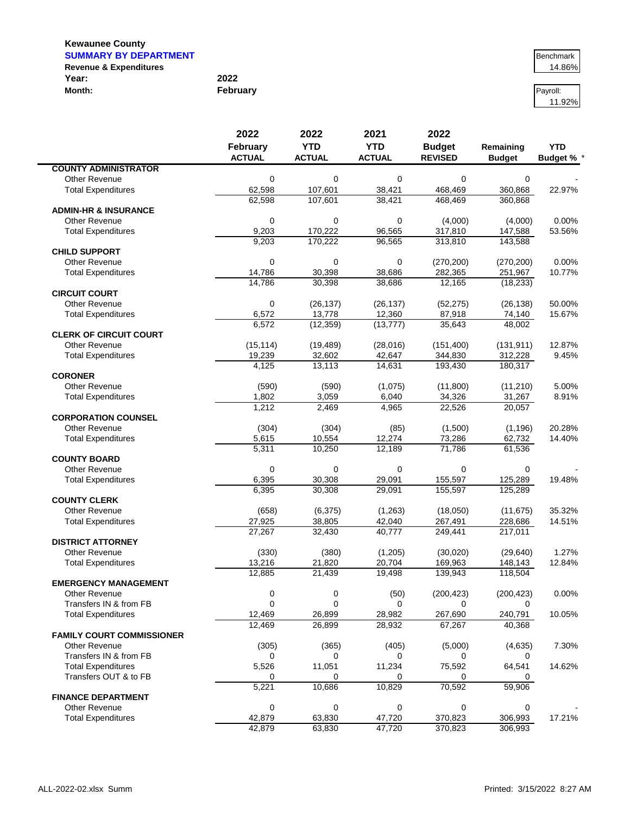| <b>SUMMARY BY DEPARTMENT</b>      |          | Benchmark |
|-----------------------------------|----------|-----------|
| <b>Revenue &amp; Expenditures</b> |          | 14.86%    |
| Year:                             | 2022     |           |
| Month:                            | February | Pavroll:  |

| Benchmark<br>14.86% |
|---------------------|
| 14.86%              |

11.92%

|                                  | 2022<br>February | 2022               | 2021             | 2022               |                    |                   |
|----------------------------------|------------------|--------------------|------------------|--------------------|--------------------|-------------------|
|                                  |                  | <b>YTD</b>         |                  | <b>YTD</b>         | <b>Budget</b>      | Remaining         |
|                                  | <b>ACTUAL</b>    | <b>ACTUAL</b>      | <b>ACTUAL</b>    | <b>REVISED</b>     | <b>Budget</b>      | <b>Budget % '</b> |
| <b>COUNTY ADMINISTRATOR</b>      |                  |                    |                  |                    |                    |                   |
| <b>Other Revenue</b>             | 0                | $\mathbf 0$        | 0                | 0                  | $\mathbf 0$        |                   |
| <b>Total Expenditures</b>        | 62,598           | 107,601            | 38,421           | 468,469            | 360,868            | 22.97%            |
|                                  | 62,598           | 107,601            | 38,421           | 468,469            | 360,868            |                   |
| <b>ADMIN-HR &amp; INSURANCE</b>  |                  |                    |                  |                    |                    |                   |
| <b>Other Revenue</b>             | 0                | $\mathbf 0$        | 0                | (4,000)            | (4,000)            | 0.00%             |
| <b>Total Expenditures</b>        | 9,203<br>9,203   | 170,222<br>170,222 | 96,565<br>96,565 | 317,810<br>313,810 | 147,588            | 53.56%            |
| <b>CHILD SUPPORT</b>             |                  |                    |                  |                    | 143,588            |                   |
| <b>Other Revenue</b>             | $\mathbf 0$      | 0                  | 0                | (270, 200)         | (270, 200)         | 0.00%             |
| <b>Total Expenditures</b>        | 14,786           | 30,398             | 38,686           | 282,365            | 251,967            | 10.77%            |
|                                  | 14,786           | 30,398             | 38,686           | 12,165             | (18, 233)          |                   |
| <b>CIRCUIT COURT</b>             |                  |                    |                  |                    |                    |                   |
| Other Revenue                    | 0                | (26, 137)          | (26, 137)        | (52, 275)          | (26, 138)          | 50.00%            |
| <b>Total Expenditures</b>        | 6,572            | 13,778             | 12,360           | 87,918             | 74,140             | 15.67%            |
|                                  | 6,572            | (12, 359)          | (13, 777)        | 35,643             | 48,002             |                   |
| <b>CLERK OF CIRCUIT COURT</b>    |                  |                    |                  |                    |                    |                   |
| Other Revenue                    | (15, 114)        | (19, 489)          | (28,016)         | (151, 400)         | (131, 911)         | 12.87%            |
| <b>Total Expenditures</b>        | 19,239           | 32,602             | 42,647           | 344,830            | 312,228            | 9.45%             |
|                                  | 4,125            | 13,113             | 14,631           | 193,430            | 180,317            |                   |
| <b>CORONER</b>                   |                  |                    |                  |                    |                    |                   |
| Other Revenue                    | (590)            | (590)              | (1,075)          | (11,800)           | (11, 210)          | 5.00%             |
| <b>Total Expenditures</b>        | 1,802            | 3,059              | 6,040            | 34,326             | 31,267             | 8.91%             |
|                                  | 1,212            | 2,469              | 4,965            | 22,526             | 20,057             |                   |
| <b>CORPORATION COUNSEL</b>       |                  |                    |                  |                    |                    |                   |
| Other Revenue                    | (304)            | (304)              | (85)             | (1,500)            | (1, 196)           | 20.28%            |
| <b>Total Expenditures</b>        | 5,615            | 10,554             | 12,274           | 73,286             | 62,732             | 14.40%            |
|                                  | 5,311            | 10,250             | 12,189           | 71,786             | 61,536             |                   |
| <b>COUNTY BOARD</b>              |                  |                    |                  |                    |                    |                   |
| Other Revenue                    | 0                | $\mathbf 0$        | $\mathbf 0$      | 0                  | 0                  |                   |
| <b>Total Expenditures</b>        | 6,395            | 30,308             | 29,091           | 155,597            | 125,289            | 19.48%            |
|                                  | 6,395            | 30,308             | 29,091           | 155,597            | 125,289            |                   |
| <b>COUNTY CLERK</b>              |                  |                    |                  |                    |                    |                   |
| Other Revenue                    | (658)            | (6, 375)           | (1,263)          | (18,050)           | (11, 675)          | 35.32%            |
| <b>Total Expenditures</b>        | 27,925           | 38,805             | 42,040           | 267,491            | 228,686            | 14.51%            |
|                                  | 27,267           | 32,430             | 40,777           | 249,441            | 217,011            |                   |
| <b>DISTRICT ATTORNEY</b>         |                  |                    |                  |                    |                    |                   |
| Other Revenue                    | (330)            | (380)              | (1,205)          | (30,020)           | (29, 640)          | 1.27%<br>12.84%   |
| <b>Total Expenditures</b>        | 13,216<br>12,885 | 21,820<br>21,439   | 20,704<br>19,498 | 169,963<br>139,943 | 148,143<br>118,504 |                   |
| <b>EMERGENCY MANAGEMENT</b>      |                  |                    |                  |                    |                    |                   |
| Other Revenue                    | 0                | 0                  | (50)             | (200, 423)         | (200, 423)         | 0.00%             |
| Transfers IN & from FB           | $\overline{0}$   | $\mathbf 0$        | 0                | 0                  | 0                  |                   |
| <b>Total Expenditures</b>        | 12,469           | 26,899             | 28,982           | 267,690            | 240,791            | 10.05%            |
|                                  | 12,469           | 26,899             | 28,932           | 67,267             | 40,368             |                   |
| <b>FAMILY COURT COMMISSIONER</b> |                  |                    |                  |                    |                    |                   |
| Other Revenue                    | (305)            | (365)              | (405)            | (5,000)            | (4,635)            | 7.30%             |
| Transfers IN & from FB           | 0                | $\Omega$           | 0                | 0                  | 0                  |                   |
| <b>Total Expenditures</b>        | 5,526            | 11,051             | 11,234           | 75,592             | 64,541             | 14.62%            |
| Transfers OUT & to FB            | 0                | 0                  | 0                | 0                  |                    |                   |
|                                  | 5,221            | 10,686             | 10,829           | 70,592             | 59,906             |                   |
| <b>FINANCE DEPARTMENT</b>        |                  |                    |                  |                    |                    |                   |
| <b>Other Revenue</b>             | 0                | $\mathbf 0$        | 0                | 0                  | 0                  |                   |
| <b>Total Expenditures</b>        | 42,879           | 63,830             | 47,720           | 370,823            | 306,993            | 17.21%            |
|                                  | 42,879           | 63,830             | 47,720           | 370,823            | 306,993            |                   |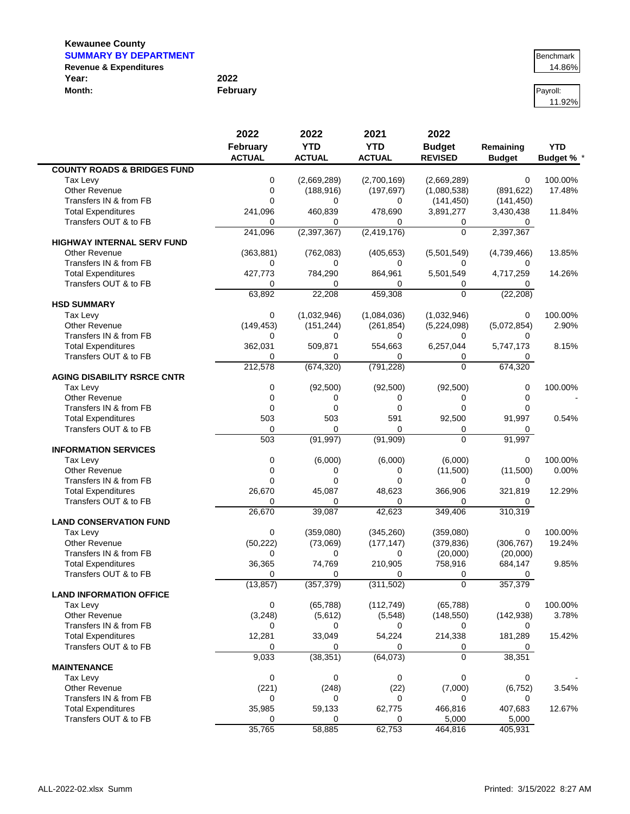| <b>SUMMARY BY DEPARTMENT</b>      |          | Benchmark |
|-----------------------------------|----------|-----------|
| <b>Revenue &amp; Expenditures</b> |          | 14.86%    |
| Year:                             | 2022     |           |
| Month:                            | February | Pavroll:  |

| Benchmark |  |
|-----------|--|
| 14.86%    |  |

11.92%

|                                                    | 2022          | 2022                  | 2021            | 2022                |               |                 |
|----------------------------------------------------|---------------|-----------------------|-----------------|---------------------|---------------|-----------------|
|                                                    | February      | <b>YTD</b>            | <b>YTD</b>      | <b>Budget</b>       | Remaining     | <b>YTD</b>      |
|                                                    | <b>ACTUAL</b> | <b>ACTUAL</b>         | <b>ACTUAL</b>   | <b>REVISED</b>      | <b>Budget</b> | <b>Budget %</b> |
| <b>COUNTY ROADS &amp; BRIDGES FUND</b>             |               |                       |                 |                     |               |                 |
| Tax Levy                                           | 0             | (2,669,289)           | (2,700,169)     | (2,669,289)         | 0             | 100.00%         |
| Other Revenue                                      | $\mathbf 0$   | (188, 916)            | (197, 697)      | (1,080,538)         | (891, 622)    | 17.48%          |
| Transfers IN & from FB                             | $\Omega$      | $\Omega$              | 0               | (141, 450)          | (141, 450)    |                 |
| <b>Total Expenditures</b>                          | 241,096       | 460,839               | 478,690         | 3,891,277           | 3,430,438     | 11.84%          |
| Transfers OUT & to FB                              | 0             | 0                     | $\Omega$        | 0                   | 0             |                 |
|                                                    | 241,096       | (2,397,367)           | (2, 419, 176)   | $\overline{0}$      | 2,397,367     |                 |
| <b>HIGHWAY INTERNAL SERV FUND</b>                  |               |                       |                 |                     |               |                 |
| Other Revenue                                      | (363, 881)    | (762, 083)            | (405, 653)      | (5,501,549)         | (4,739,466)   | 13.85%          |
| Transfers IN & from FB                             | 0             | $\Omega$              | $\Omega$        | 0                   | 0             |                 |
| <b>Total Expenditures</b>                          | 427,773       | 784,290               | 864,961         | 5,501,549           | 4,717,259     | 14.26%          |
| Transfers OUT & to FB                              | 0             | 0                     | 0               | 0                   | 0             |                 |
|                                                    | 63,892        | 22,208                | 459,308         | $\overline{0}$      | (22, 208)     |                 |
| <b>HSD SUMMARY</b>                                 |               |                       |                 |                     |               |                 |
| Tax Levy                                           | 0             | (1,032,946)           | (1,084,036)     | (1,032,946)         | 0             | 100.00%         |
| Other Revenue                                      | (149, 453)    | (151, 244)            | (261, 854)      | (5,224,098)         | (5,072,854)   | 2.90%           |
| Transfers IN & from FB                             | 0             | $\Omega$              | 0               | 0                   | 0             |                 |
| <b>Total Expenditures</b>                          | 362,031       | 509,871               | 554,663         | 6,257,044           | 5,747,173     | 8.15%           |
| Transfers OUT & to FB                              | $\Omega$      | $\Omega$              | 0               | 0                   | 0             |                 |
|                                                    | 212,578       | (674, 320)            | (791, 228)      | $\Omega$            | 674,320       |                 |
| <b>AGING DISABILITY RSRCE CNTR</b>                 | 0             |                       |                 |                     | 0             |                 |
| Tax Levy                                           | $\mathbf 0$   | (92, 500)<br>$\Omega$ | (92, 500)<br>0  | (92, 500)<br>0      | $\Omega$      | 100.00%         |
| <b>Other Revenue</b><br>Transfers IN & from FB     | $\mathbf 0$   | $\mathbf 0$           |                 | 0                   | $\Omega$      |                 |
|                                                    | 503           | 503                   | 0<br>591        |                     |               | 0.54%           |
| <b>Total Expenditures</b>                          | $\mathbf 0$   | $\mathbf 0$           | 0               | 92,500              | 91,997        |                 |
| Transfers OUT & to FB                              | 503           |                       |                 | 0<br>$\overline{0}$ | 0<br>91,997   |                 |
| <b>INFORMATION SERVICES</b>                        |               | (91, 997)             | (91, 909)       |                     |               |                 |
| Tax Levy                                           | 0             | (6,000)               | (6,000)         | (6,000)             | 0             | 100.00%         |
| <b>Other Revenue</b>                               | 0             | 0                     | 0               | (11,500)            | (11,500)      | 0.00%           |
|                                                    | $\Omega$      | $\Omega$              | $\mathbf 0$     | $\Omega$            | 0             |                 |
| Transfers IN & from FB                             |               |                       |                 |                     |               | 12.29%          |
| <b>Total Expenditures</b><br>Transfers OUT & to FB | 26,670        | 45,087                | 48,623          | 366,906             | 321,819       |                 |
|                                                    | 0<br>26,670   | 0<br>39,087           | 0<br>42,623     | 0<br>349,406        | 0<br>310,319  |                 |
| <b>LAND CONSERVATION FUND</b>                      |               |                       |                 |                     |               |                 |
| Tax Levy                                           | 0             | (359,080)             | (345, 260)      | (359,080)           | 0             | 100.00%         |
| Other Revenue                                      | (50, 222)     | (73,069)              |                 | (379, 836)          | (306, 767)    | 19.24%          |
| Transfers IN & from FB                             | 0             | 0                     | (177, 147)<br>0 | (20,000)            | (20,000)      |                 |
| <b>Total Expenditures</b>                          | 36,365        | 74,769                | 210,905         | 758,916             | 684,147       | 9.85%           |
| Transfers OUT & to FB                              | 0             | $\Omega$              | 0               | 0                   | 0             |                 |
|                                                    | (13, 857)     | (357, 379)            | (311, 502)      | 0                   | 357,379       |                 |
| <b>LAND INFORMATION OFFICE</b>                     |               |                       |                 |                     |               |                 |
| Tax Levy                                           | 0             | (65, 788)             | (112, 749)      | (65, 788)           | 0             | 100.00%         |
| Other Revenue                                      | (3, 248)      | (5,612)               | (5, 548)        | (148, 550)          | (142, 938)    | 3.78%           |
| Transfers IN & from FB                             | 0             | 0                     | 0               | $\Omega$            | 0             |                 |
| <b>Total Expenditures</b>                          | 12,281        | 33,049                | 54,224          | 214,338             | 181,289       | 15.42%          |
| Transfers OUT & to FB                              | 0             | 0                     | 0               | 0                   | 0             |                 |
|                                                    | 9,033         | (38, 351)             | (64,073)        | 0                   | 38,351        |                 |
| <b>MAINTENANCE</b>                                 |               |                       |                 |                     |               |                 |
| Tax Levy                                           | 0             | $\mathbf 0$           | 0               | 0                   | $\mathbf 0$   |                 |
| Other Revenue                                      | (221)         | (248)                 | (22)            | (7,000)             | (6, 752)      | 3.54%           |
| Transfers IN & from FB                             | 0             | $\Omega$              | 0               | 0                   | 0             |                 |
| <b>Total Expenditures</b>                          | 35,985        | 59,133                | 62,775          | 466,816             | 407,683       | 12.67%          |
| Transfers OUT & to FB                              | 0             | 0                     | 0               | 5,000               | 5,000         |                 |
|                                                    | 35,765        | 58,885                | 62,753          | 464,816             | 405,931       |                 |
|                                                    |               |                       |                 |                     |               |                 |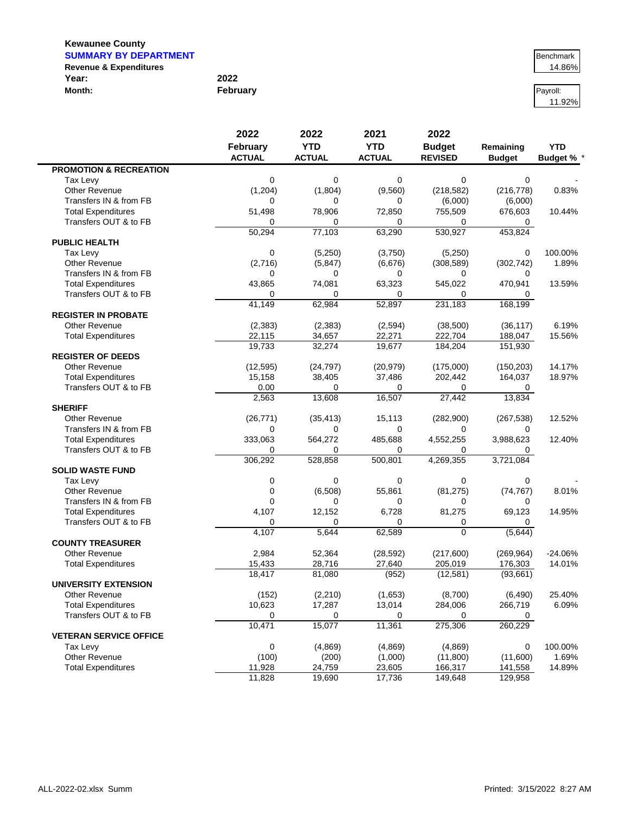| <b>SUMMARY BY DEPARTMENT</b>      |          | Benchmark |
|-----------------------------------|----------|-----------|
| <b>Revenue &amp; Expenditures</b> |          | 14.86%    |
| Year:                             | 2022     |           |
| Month:                            | Februarv | Pavroll:  |

11.92%

| February      | 2022                                                                                                                                                                                                                                                         | 2021                                                                                                                                                                                                                                                           | 2022                                                                                                                                                                                                                                                             | Remaining                                                                                                                                                                                                                                                       | <b>YTD</b>                                                                                                                                                                                                                                                                                                  |
|---------------|--------------------------------------------------------------------------------------------------------------------------------------------------------------------------------------------------------------------------------------------------------------|----------------------------------------------------------------------------------------------------------------------------------------------------------------------------------------------------------------------------------------------------------------|------------------------------------------------------------------------------------------------------------------------------------------------------------------------------------------------------------------------------------------------------------------|-----------------------------------------------------------------------------------------------------------------------------------------------------------------------------------------------------------------------------------------------------------------|-------------------------------------------------------------------------------------------------------------------------------------------------------------------------------------------------------------------------------------------------------------------------------------------------------------|
|               | <b>YTD</b>                                                                                                                                                                                                                                                   | <b>YTD</b>                                                                                                                                                                                                                                                     | <b>Budget</b>                                                                                                                                                                                                                                                    |                                                                                                                                                                                                                                                                 |                                                                                                                                                                                                                                                                                                             |
| <b>ACTUAL</b> | <b>ACTUAL</b>                                                                                                                                                                                                                                                | <b>ACTUAL</b>                                                                                                                                                                                                                                                  | <b>REVISED</b>                                                                                                                                                                                                                                                   | <b>Budget</b>                                                                                                                                                                                                                                                   | Budget % *                                                                                                                                                                                                                                                                                                  |
|               |                                                                                                                                                                                                                                                              |                                                                                                                                                                                                                                                                |                                                                                                                                                                                                                                                                  |                                                                                                                                                                                                                                                                 |                                                                                                                                                                                                                                                                                                             |
| 0             | 0                                                                                                                                                                                                                                                            | $\mathbf 0$                                                                                                                                                                                                                                                    | 0                                                                                                                                                                                                                                                                | 0                                                                                                                                                                                                                                                               |                                                                                                                                                                                                                                                                                                             |
| (1, 204)      | (1,804)                                                                                                                                                                                                                                                      | (9,560)                                                                                                                                                                                                                                                        | (218, 582)                                                                                                                                                                                                                                                       | (216, 778)                                                                                                                                                                                                                                                      | 0.83%                                                                                                                                                                                                                                                                                                       |
| 0             | 0                                                                                                                                                                                                                                                            | 0                                                                                                                                                                                                                                                              | (6,000)                                                                                                                                                                                                                                                          | (6,000)                                                                                                                                                                                                                                                         |                                                                                                                                                                                                                                                                                                             |
| 51,498        |                                                                                                                                                                                                                                                              | 72,850                                                                                                                                                                                                                                                         | 755,509                                                                                                                                                                                                                                                          | 676,603                                                                                                                                                                                                                                                         | 10.44%                                                                                                                                                                                                                                                                                                      |
| 0             | 0                                                                                                                                                                                                                                                            | $\Omega$                                                                                                                                                                                                                                                       | 0                                                                                                                                                                                                                                                                | 0                                                                                                                                                                                                                                                               |                                                                                                                                                                                                                                                                                                             |
|               |                                                                                                                                                                                                                                                              |                                                                                                                                                                                                                                                                |                                                                                                                                                                                                                                                                  |                                                                                                                                                                                                                                                                 |                                                                                                                                                                                                                                                                                                             |
|               |                                                                                                                                                                                                                                                              |                                                                                                                                                                                                                                                                |                                                                                                                                                                                                                                                                  |                                                                                                                                                                                                                                                                 |                                                                                                                                                                                                                                                                                                             |
|               |                                                                                                                                                                                                                                                              |                                                                                                                                                                                                                                                                |                                                                                                                                                                                                                                                                  |                                                                                                                                                                                                                                                                 | 100.00%                                                                                                                                                                                                                                                                                                     |
|               |                                                                                                                                                                                                                                                              |                                                                                                                                                                                                                                                                |                                                                                                                                                                                                                                                                  |                                                                                                                                                                                                                                                                 | 1.89%                                                                                                                                                                                                                                                                                                       |
| 0             | 0                                                                                                                                                                                                                                                            | 0                                                                                                                                                                                                                                                              | 0                                                                                                                                                                                                                                                                | 0                                                                                                                                                                                                                                                               |                                                                                                                                                                                                                                                                                                             |
|               |                                                                                                                                                                                                                                                              |                                                                                                                                                                                                                                                                |                                                                                                                                                                                                                                                                  |                                                                                                                                                                                                                                                                 | 13.59%                                                                                                                                                                                                                                                                                                      |
| $\Omega$      | $\Omega$                                                                                                                                                                                                                                                     | 0                                                                                                                                                                                                                                                              | 0                                                                                                                                                                                                                                                                | 0                                                                                                                                                                                                                                                               |                                                                                                                                                                                                                                                                                                             |
|               |                                                                                                                                                                                                                                                              |                                                                                                                                                                                                                                                                |                                                                                                                                                                                                                                                                  |                                                                                                                                                                                                                                                                 |                                                                                                                                                                                                                                                                                                             |
|               |                                                                                                                                                                                                                                                              |                                                                                                                                                                                                                                                                |                                                                                                                                                                                                                                                                  |                                                                                                                                                                                                                                                                 |                                                                                                                                                                                                                                                                                                             |
| (2, 383)      |                                                                                                                                                                                                                                                              | (2, 594)                                                                                                                                                                                                                                                       | (38,500)                                                                                                                                                                                                                                                         | (36, 117)                                                                                                                                                                                                                                                       | 6.19%                                                                                                                                                                                                                                                                                                       |
| 22,115        | 34,657                                                                                                                                                                                                                                                       | 22,271                                                                                                                                                                                                                                                         | 222,704                                                                                                                                                                                                                                                          | 188,047                                                                                                                                                                                                                                                         | 15.56%                                                                                                                                                                                                                                                                                                      |
| 19,733        | 32,274                                                                                                                                                                                                                                                       | 19,677                                                                                                                                                                                                                                                         | 184,204                                                                                                                                                                                                                                                          | 151,930                                                                                                                                                                                                                                                         |                                                                                                                                                                                                                                                                                                             |
|               |                                                                                                                                                                                                                                                              |                                                                                                                                                                                                                                                                |                                                                                                                                                                                                                                                                  |                                                                                                                                                                                                                                                                 |                                                                                                                                                                                                                                                                                                             |
| (12, 595)     | (24, 797)                                                                                                                                                                                                                                                    | (20, 979)                                                                                                                                                                                                                                                      | (175,000)                                                                                                                                                                                                                                                        | (150, 203)                                                                                                                                                                                                                                                      | 14.17%                                                                                                                                                                                                                                                                                                      |
| 15,158        | 38,405                                                                                                                                                                                                                                                       | 37,486                                                                                                                                                                                                                                                         | 202,442                                                                                                                                                                                                                                                          | 164,037                                                                                                                                                                                                                                                         | 18.97%                                                                                                                                                                                                                                                                                                      |
| 0.00          | $\Omega$                                                                                                                                                                                                                                                     | 0                                                                                                                                                                                                                                                              | 0                                                                                                                                                                                                                                                                | 0                                                                                                                                                                                                                                                               |                                                                                                                                                                                                                                                                                                             |
| 2,563         |                                                                                                                                                                                                                                                              |                                                                                                                                                                                                                                                                |                                                                                                                                                                                                                                                                  |                                                                                                                                                                                                                                                                 |                                                                                                                                                                                                                                                                                                             |
|               |                                                                                                                                                                                                                                                              |                                                                                                                                                                                                                                                                |                                                                                                                                                                                                                                                                  |                                                                                                                                                                                                                                                                 |                                                                                                                                                                                                                                                                                                             |
|               |                                                                                                                                                                                                                                                              |                                                                                                                                                                                                                                                                |                                                                                                                                                                                                                                                                  |                                                                                                                                                                                                                                                                 | 12.52%                                                                                                                                                                                                                                                                                                      |
| 0             | 0                                                                                                                                                                                                                                                            | $\mathbf 0$                                                                                                                                                                                                                                                    | 0                                                                                                                                                                                                                                                                | 0                                                                                                                                                                                                                                                               |                                                                                                                                                                                                                                                                                                             |
|               |                                                                                                                                                                                                                                                              |                                                                                                                                                                                                                                                                |                                                                                                                                                                                                                                                                  |                                                                                                                                                                                                                                                                 | 12.40%                                                                                                                                                                                                                                                                                                      |
|               |                                                                                                                                                                                                                                                              |                                                                                                                                                                                                                                                                |                                                                                                                                                                                                                                                                  |                                                                                                                                                                                                                                                                 |                                                                                                                                                                                                                                                                                                             |
|               |                                                                                                                                                                                                                                                              |                                                                                                                                                                                                                                                                |                                                                                                                                                                                                                                                                  |                                                                                                                                                                                                                                                                 |                                                                                                                                                                                                                                                                                                             |
|               |                                                                                                                                                                                                                                                              |                                                                                                                                                                                                                                                                |                                                                                                                                                                                                                                                                  |                                                                                                                                                                                                                                                                 |                                                                                                                                                                                                                                                                                                             |
|               | $\mathbf 0$                                                                                                                                                                                                                                                  |                                                                                                                                                                                                                                                                |                                                                                                                                                                                                                                                                  |                                                                                                                                                                                                                                                                 |                                                                                                                                                                                                                                                                                                             |
|               |                                                                                                                                                                                                                                                              |                                                                                                                                                                                                                                                                |                                                                                                                                                                                                                                                                  |                                                                                                                                                                                                                                                                 | 8.01%                                                                                                                                                                                                                                                                                                       |
|               | 0                                                                                                                                                                                                                                                            |                                                                                                                                                                                                                                                                |                                                                                                                                                                                                                                                                  |                                                                                                                                                                                                                                                                 |                                                                                                                                                                                                                                                                                                             |
|               |                                                                                                                                                                                                                                                              |                                                                                                                                                                                                                                                                |                                                                                                                                                                                                                                                                  |                                                                                                                                                                                                                                                                 | 14.95%                                                                                                                                                                                                                                                                                                      |
|               |                                                                                                                                                                                                                                                              |                                                                                                                                                                                                                                                                |                                                                                                                                                                                                                                                                  |                                                                                                                                                                                                                                                                 |                                                                                                                                                                                                                                                                                                             |
|               |                                                                                                                                                                                                                                                              |                                                                                                                                                                                                                                                                | $\Omega$                                                                                                                                                                                                                                                         |                                                                                                                                                                                                                                                                 |                                                                                                                                                                                                                                                                                                             |
|               |                                                                                                                                                                                                                                                              |                                                                                                                                                                                                                                                                |                                                                                                                                                                                                                                                                  |                                                                                                                                                                                                                                                                 |                                                                                                                                                                                                                                                                                                             |
|               |                                                                                                                                                                                                                                                              |                                                                                                                                                                                                                                                                |                                                                                                                                                                                                                                                                  |                                                                                                                                                                                                                                                                 | $-24.06%$                                                                                                                                                                                                                                                                                                   |
|               |                                                                                                                                                                                                                                                              |                                                                                                                                                                                                                                                                |                                                                                                                                                                                                                                                                  |                                                                                                                                                                                                                                                                 | 14.01%                                                                                                                                                                                                                                                                                                      |
|               |                                                                                                                                                                                                                                                              |                                                                                                                                                                                                                                                                |                                                                                                                                                                                                                                                                  |                                                                                                                                                                                                                                                                 |                                                                                                                                                                                                                                                                                                             |
|               |                                                                                                                                                                                                                                                              |                                                                                                                                                                                                                                                                |                                                                                                                                                                                                                                                                  |                                                                                                                                                                                                                                                                 |                                                                                                                                                                                                                                                                                                             |
|               |                                                                                                                                                                                                                                                              |                                                                                                                                                                                                                                                                |                                                                                                                                                                                                                                                                  |                                                                                                                                                                                                                                                                 | 25.40%                                                                                                                                                                                                                                                                                                      |
|               |                                                                                                                                                                                                                                                              |                                                                                                                                                                                                                                                                |                                                                                                                                                                                                                                                                  |                                                                                                                                                                                                                                                                 | 6.09%                                                                                                                                                                                                                                                                                                       |
|               |                                                                                                                                                                                                                                                              |                                                                                                                                                                                                                                                                |                                                                                                                                                                                                                                                                  |                                                                                                                                                                                                                                                                 |                                                                                                                                                                                                                                                                                                             |
|               |                                                                                                                                                                                                                                                              |                                                                                                                                                                                                                                                                |                                                                                                                                                                                                                                                                  |                                                                                                                                                                                                                                                                 |                                                                                                                                                                                                                                                                                                             |
|               |                                                                                                                                                                                                                                                              |                                                                                                                                                                                                                                                                |                                                                                                                                                                                                                                                                  |                                                                                                                                                                                                                                                                 |                                                                                                                                                                                                                                                                                                             |
|               |                                                                                                                                                                                                                                                              |                                                                                                                                                                                                                                                                |                                                                                                                                                                                                                                                                  |                                                                                                                                                                                                                                                                 | 100.00%                                                                                                                                                                                                                                                                                                     |
|               |                                                                                                                                                                                                                                                              |                                                                                                                                                                                                                                                                |                                                                                                                                                                                                                                                                  |                                                                                                                                                                                                                                                                 | 1.69%                                                                                                                                                                                                                                                                                                       |
|               |                                                                                                                                                                                                                                                              |                                                                                                                                                                                                                                                                |                                                                                                                                                                                                                                                                  |                                                                                                                                                                                                                                                                 | 14.89%                                                                                                                                                                                                                                                                                                      |
|               |                                                                                                                                                                                                                                                              |                                                                                                                                                                                                                                                                |                                                                                                                                                                                                                                                                  |                                                                                                                                                                                                                                                                 |                                                                                                                                                                                                                                                                                                             |
|               | 2022<br>50,294<br>0<br>(2,716)<br>43,865<br>41,149<br>(26, 771)<br>333,063<br>0<br>306,292<br>0<br>$\mathbf 0$<br>$\mathbf 0$<br>4,107<br>$\Omega$<br>4,107<br>2,984<br>15,433<br>18,417<br>(152)<br>10,623<br>0<br>10,471<br>0<br>(100)<br>11,928<br>11,828 | 78,906<br>77,103<br>(5, 250)<br>(5, 847)<br>74,081<br>62,984<br>(2, 383)<br>13,608<br>(35, 413)<br>564,272<br>0<br>528,858<br>(6,508)<br>12,152<br>0<br>5,644<br>52,364<br>28,716<br>81,080<br>(2, 210)<br>17,287<br>0<br>15,077<br>(4,869)<br>(200)<br>24,759 | 63,290<br>(3,750)<br>(6,676)<br>63,323<br>52,897<br>16,507<br>15,113<br>485,688<br>$\Omega$<br>500,801<br>$\mathbf 0$<br>55,861<br>0<br>6,728<br>0<br>62,589<br>(28, 592)<br>27,640<br>(952)<br>(1,653)<br>13,014<br>0<br>11,361<br>(4,869)<br>(1,000)<br>23,605 | 530,927<br>(5,250)<br>(308, 589)<br>545,022<br>231,183<br>27,442<br>(282,900)<br>4,552,255<br>0<br>4,269,355<br>0<br>(81, 275)<br>0<br>81,275<br>0<br>(217,600)<br>205,019<br>(12, 581)<br>(8,700)<br>284,006<br>0<br>275,306<br>(4,869)<br>(11,800)<br>166,317 | 453,824<br>0<br>(302, 742)<br>470,941<br>168,199<br>13,834<br>(267, 538)<br>3,988,623<br>0<br>3,721,084<br>0<br>(74, 767)<br>0<br>69,123<br>0<br>(5,644)<br>(269, 964)<br>176,303<br>(93, 661)<br>(6, 490)<br>266,719<br>0<br>260,229<br>0<br>(11,600)<br>141,558<br>19,690<br>17,736<br>149,648<br>129,958 |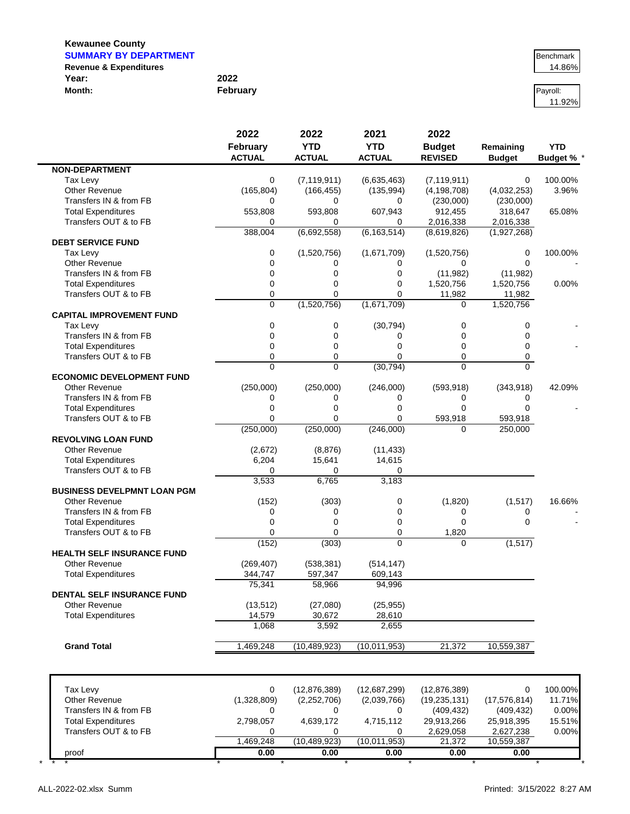| <b>SUMMARY BY DEPARTMENT</b>      |          | Benchmark |
|-----------------------------------|----------|-----------|
| <b>Revenue &amp; Expenditures</b> |          | 14.86%    |
| Year:                             | 2022     |           |
| Month:                            | February | Pavroll:  |

11.92%

|                                    | 2022<br>February<br><b>ACTUAL</b> | 2022<br><b>YTD</b><br><b>ACTUAL</b> | 2021<br><b>YTD</b><br><b>ACTUAL</b> | 2022<br><b>Budget</b><br><b>REVISED</b> | Remaining<br><b>Budget</b> | <b>YTD</b><br>Budget % * |
|------------------------------------|-----------------------------------|-------------------------------------|-------------------------------------|-----------------------------------------|----------------------------|--------------------------|
| <b>NON-DEPARTMENT</b>              |                                   |                                     |                                     |                                         |                            |                          |
| Tax Levy                           | 0                                 | (7, 119, 911)                       | (6,635,463)                         | (7, 119, 911)                           | 0                          | 100.00%                  |
| Other Revenue                      | (165, 804)                        | (166, 455)                          | (135, 994)                          | (4, 198, 708)                           | (4,032,253)                | 3.96%                    |
| Transfers IN & from FB             | 0                                 | 0                                   | 0                                   | (230,000)                               | (230,000)                  |                          |
| <b>Total Expenditures</b>          | 553,808                           | 593,808                             | 607,943                             | 912,455                                 | 318,647                    | 65.08%                   |
| Transfers OUT & to FB              | 0                                 | 0                                   | 0                                   | 2,016,338                               | 2,016,338                  |                          |
|                                    | 388,004                           | (6,692,558)                         | (6, 163, 514)                       | (8,619,826)                             | (1,927,268)                |                          |
| <b>DEBT SERVICE FUND</b>           |                                   |                                     |                                     |                                         |                            |                          |
| Tax Levy                           | 0                                 | (1,520,756)                         | (1,671,709)                         | (1,520,756)                             | 0                          | 100.00%                  |
| Other Revenue                      | 0                                 | 0                                   | 0                                   | 0                                       | 0                          |                          |
| Transfers IN & from FB             | $\overline{0}$                    | $\Omega$                            | $\mathbf 0$                         | (11, 982)                               | (11, 982)                  |                          |
| <b>Total Expenditures</b>          | 0                                 | 0                                   | 0                                   | 1,520,756                               | 1,520,756                  | 0.00%                    |
| Transfers OUT & to FB              | 0                                 | $\Omega$                            | $\mathbf 0$                         | 11,982                                  | 11,982                     |                          |
|                                    | $\Omega$                          | (1,520,756)                         | (1,671,709)                         | $\Omega$                                | 1,520,756                  |                          |
| <b>CAPITAL IMPROVEMENT FUND</b>    |                                   |                                     |                                     |                                         |                            |                          |
| Tax Levy                           | 0                                 | 0                                   | (30, 794)                           | 0                                       | 0                          |                          |
| Transfers IN & from FB             | 0                                 | $\mathbf 0$                         | 0                                   | 0                                       | $\Omega$                   |                          |
| <b>Total Expenditures</b>          | 0                                 | 0                                   | 0                                   | 0                                       | $\mathbf 0$                |                          |
| Transfers OUT & to FB              | 0                                 | $\mathbf 0$                         | $\mathbf 0$                         | 0                                       | 0                          |                          |
|                                    | $\Omega$                          | $\Omega$                            | (30, 794)                           | 0                                       | $\Omega$                   |                          |
| <b>ECONOMIC DEVELOPMENT FUND</b>   |                                   |                                     |                                     |                                         |                            |                          |
| <b>Other Revenue</b>               | (250,000)                         | (250,000)                           | (246,000)                           | (593, 918)                              | (343, 918)                 | 42.09%                   |
| Transfers IN & from FB             | 0                                 | 0                                   | 0                                   | 0                                       | 0                          |                          |
| <b>Total Expenditures</b>          | 0                                 | $\mathbf 0$                         | 0                                   | 0                                       | $\Omega$                   |                          |
| Transfers OUT & to FB              | 0                                 | $\Omega$                            | $\Omega$                            | 593,918                                 | 593,918                    |                          |
|                                    | (250,000)                         | (250,000)                           | (246,000)                           | 0                                       | 250,000                    |                          |
| <b>REVOLVING LOAN FUND</b>         |                                   |                                     |                                     |                                         |                            |                          |
| <b>Other Revenue</b>               | (2,672)                           | (8, 876)                            | (11, 433)                           |                                         |                            |                          |
| <b>Total Expenditures</b>          | 6,204                             | 15,641                              | 14,615                              |                                         |                            |                          |
| Transfers OUT & to FB              | 0                                 | 0                                   | 0                                   |                                         |                            |                          |
| <b>BUSINESS DEVELPMNT LOAN PGM</b> | 3,533                             | 6,765                               | 3,183                               |                                         |                            |                          |
|                                    |                                   |                                     |                                     |                                         |                            |                          |
| <b>Other Revenue</b>               | (152)                             | (303)                               | 0                                   | (1,820)                                 | (1,517)                    | 16.66%                   |
| Transfers IN & from FB             | 0                                 | 0                                   | 0                                   | 0                                       | 0                          |                          |
| <b>Total Expenditures</b>          | 0                                 | $\mathbf 0$                         | 0                                   | 0                                       | $\Omega$                   |                          |
| Transfers OUT & to FB              | 0                                 | $\Omega$                            | $\mathbf 0$<br>$\Omega$             | 1,820                                   |                            |                          |
| <b>HEALTH SELF INSURANCE FUND</b>  | (152)                             | (303)                               |                                     | 0                                       | (1, 517)                   |                          |
| Other Revenue                      |                                   |                                     |                                     |                                         |                            |                          |
|                                    | (269, 407)                        | (538, 381)                          | (514, 147)                          |                                         |                            |                          |
| <b>Total Expenditures</b>          | 344,747                           | 597,347                             | 609,143                             |                                         |                            |                          |
| DENTAL SELF INSURANCE FUND         | 75,341                            | 58,966                              | 94,996                              |                                         |                            |                          |
| <b>Other Revenue</b>               | (13, 512)                         | (27,080)                            | (25, 955)                           |                                         |                            |                          |
|                                    |                                   | 30,672                              |                                     |                                         |                            |                          |
| <b>Total Expenditures</b>          | 14,579<br>1,068                   | 3,592                               | 28,610<br>2,655                     |                                         |                            |                          |
|                                    |                                   |                                     |                                     |                                         |                            |                          |
| <b>Grand Total</b>                 | 1,469,248                         | (10, 489, 923)                      | (10,011,953)                        | 21,372                                  | 10,559,387                 |                          |
|                                    |                                   |                                     |                                     |                                         |                            |                          |
| Tax Levy                           | 0                                 | (12, 876, 389)                      | (12,687,299)                        | (12, 876, 389)                          | 0                          | 100.00%                  |
| <b>Other Revenue</b>               | (1,328,809)                       | (2,252,706)                         | (2,039,766)                         | (19, 235, 131)                          | (17.576.814)               | 11.71%                   |
| Transfers IN & from FB             | 0                                 | 0                                   | 0                                   | (409, 432)                              | (409, 432)                 | 0.00%                    |
| <b>Total Expenditures</b>          | 2,798,057                         | 4,639,172                           | 4,715,112                           | 29,913,266                              | 25,918,395                 | 15.51%                   |
| Transfers OUT & to FB              | 0                                 | 0                                   | 0                                   | 2,629,058                               | 2,627,238                  | 0.00%                    |
|                                    |                                   |                                     |                                     |                                         |                            |                          |
|                                    | 1,469,248                         | (10, 489, 923)                      | (10,011,953)                        | 21,372                                  | 10,559,387                 |                          |

proof **0.00 0.00 0.00 0.00 0.00** \* \* \* \* \* \* \* \* \* \*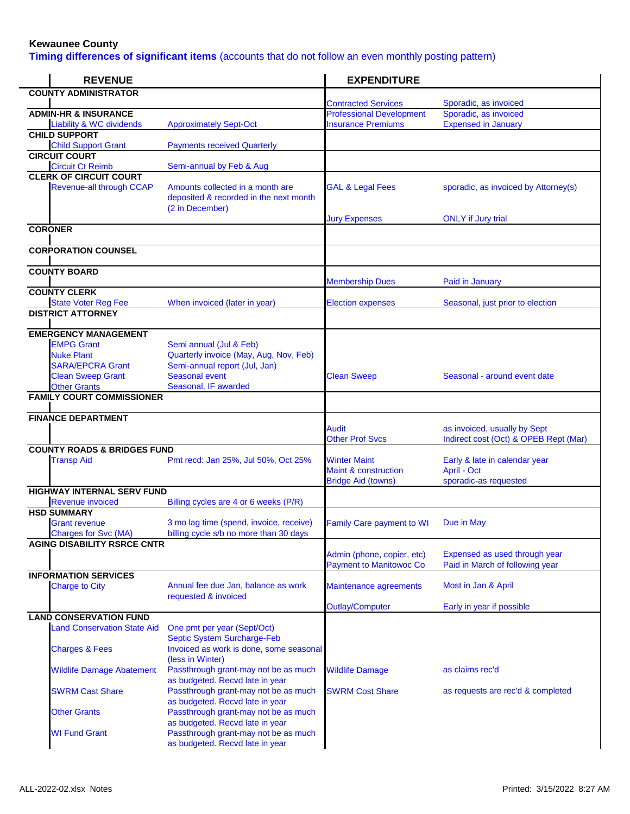**Timing differences of significant items** (accounts that do not follow an even monthly posting pattern)

| <b>REVENUE</b>                                       |                                                                                               | <b>EXPENDITURE</b>                                                                  |                                                                       |
|------------------------------------------------------|-----------------------------------------------------------------------------------------------|-------------------------------------------------------------------------------------|-----------------------------------------------------------------------|
| <b>COUNTY ADMINISTRATOR</b>                          |                                                                                               |                                                                                     |                                                                       |
| <b>ADMIN-HR &amp; INSURANCE</b>                      |                                                                                               | <b>Contracted Services</b><br><b>Professional Development</b>                       | Sporadic, as invoiced<br>Sporadic, as invoiced                        |
| <b>Liability &amp; WC dividends</b>                  | <b>Approximately Sept-Oct</b>                                                                 | <b>Insurance Premiums</b>                                                           | <b>Expensed in January</b>                                            |
| <b>CHILD SUPPORT</b>                                 |                                                                                               |                                                                                     |                                                                       |
| <b>Child Support Grant</b>                           | <b>Payments received Quarterly</b>                                                            |                                                                                     |                                                                       |
| <b>CIRCUIT COURT</b><br><b>Circuit Ct Reimb</b>      | Semi-annual by Feb & Aug                                                                      |                                                                                     |                                                                       |
| <b>CLERK OF CIRCUIT COURT</b>                        |                                                                                               |                                                                                     |                                                                       |
| <b>Revenue-all through CCAP</b>                      | Amounts collected in a month are<br>deposited & recorded in the next month<br>(2 in December) | <b>GAL &amp; Legal Fees</b>                                                         | sporadic, as invoiced by Attorney(s)                                  |
| <b>CORONER</b>                                       |                                                                                               | <b>Jury Expenses</b>                                                                | <b>ONLY</b> if Jury trial                                             |
|                                                      |                                                                                               |                                                                                     |                                                                       |
| <b>CORPORATION COUNSEL</b>                           |                                                                                               |                                                                                     |                                                                       |
| <b>COUNTY BOARD</b>                                  |                                                                                               | <b>Membership Dues</b>                                                              | Paid in January                                                       |
| <b>COUNTY CLERK</b>                                  |                                                                                               |                                                                                     |                                                                       |
| <b>State Voter Reg Fee</b>                           | When invoiced (later in year)                                                                 | <b>Election expenses</b>                                                            | Seasonal, just prior to election                                      |
| <b>DISTRICT ATTORNEY</b>                             |                                                                                               |                                                                                     |                                                                       |
| <b>EMERGENCY MANAGEMENT</b>                          |                                                                                               |                                                                                     |                                                                       |
| <b>EMPG Grant</b>                                    | Semi annual (Jul & Feb)                                                                       |                                                                                     |                                                                       |
| <b>Nuke Plant</b>                                    | Quarterly invoice (May, Aug, Nov, Feb)                                                        |                                                                                     |                                                                       |
| <b>SARA/EPCRA Grant</b><br><b>Clean Sweep Grant</b>  | Semi-annual report (Jul, Jan)<br><b>Seasonal event</b>                                        | <b>Clean Sweep</b>                                                                  | Seasonal - around event date                                          |
| <b>Other Grants</b>                                  | Seasonal, IF awarded                                                                          |                                                                                     |                                                                       |
| <b>FAMILY COURT COMMISSIONER</b>                     |                                                                                               |                                                                                     |                                                                       |
| <b>FINANCE DEPARTMENT</b>                            |                                                                                               |                                                                                     |                                                                       |
|                                                      |                                                                                               | <b>Audit</b><br><b>Other Prof Svcs</b>                                              | as invoiced, usually by Sept<br>Indirect cost (Oct) & OPEB Rept (Mar) |
| <b>COUNTY ROADS &amp; BRIDGES FUND</b>               |                                                                                               |                                                                                     |                                                                       |
| <b>Transp Aid</b>                                    | Pmt recd: Jan 25%, Jul 50%, Oct 25%                                                           | <b>Winter Maint</b><br><b>Maint &amp; construction</b><br><b>Bridge Aid (towns)</b> | Early & late in calendar year<br>April - Oct<br>sporadic-as requested |
| <b>HIGHWAY INTERNAL SERV FUND</b>                    |                                                                                               |                                                                                     |                                                                       |
| <b>Revenue invoiced</b>                              | Billing cycles are 4 or 6 weeks (P/R)                                                         |                                                                                     |                                                                       |
| <b>HSD SUMMARY</b>                                   |                                                                                               |                                                                                     |                                                                       |
| <b>Grant revenue</b><br><b>Charges for Svc (MA)</b>  | 3 mo lag time (spend, invoice, receive)<br>billing cycle s/b no more than 30 days             | <b>Family Care payment to WI</b>                                                    | Due in May                                                            |
| <b>AGING DISABILITY RSRCE CNTR</b>                   |                                                                                               |                                                                                     |                                                                       |
|                                                      |                                                                                               | Admin (phone, copier, etc)<br><b>Payment to Manitowoc Co</b>                        | Expensed as used through year<br>Paid in March of following year      |
| <b>INFORMATION SERVICES</b><br><b>Charge to City</b> | Annual fee due Jan, balance as work                                                           | Maintenance agreements                                                              | Most in Jan & April                                                   |
|                                                      | requested & invoiced                                                                          | <b>Outlay/Computer</b>                                                              | Early in year if possible                                             |
| <b>LAND CONSERVATION FUND</b>                        |                                                                                               |                                                                                     |                                                                       |
| <b>Land Conservation State Aid</b>                   | One pmt per year (Sept/Oct)<br>Septic System Surcharge-Feb                                    |                                                                                     |                                                                       |
| <b>Charges &amp; Fees</b>                            | Invoiced as work is done, some seasonal<br>(less in Winter)                                   |                                                                                     |                                                                       |
| <b>Wildlife Damage Abatement</b>                     | Passthrough grant-may not be as much<br>as budgeted. Recvd late in year                       | <b>Wildlife Damage</b>                                                              | as claims rec'd                                                       |
| <b>SWRM Cast Share</b>                               | Passthrough grant-may not be as much<br>as budgeted. Recvd late in year                       | <b>SWRM Cost Share</b>                                                              | as requests are rec'd & completed                                     |
| <b>Other Grants</b>                                  | Passthrough grant-may not be as much<br>as budgeted. Recvd late in year                       |                                                                                     |                                                                       |
| <b>WI Fund Grant</b>                                 | Passthrough grant-may not be as much<br>as budgeted. Recvd late in year                       |                                                                                     |                                                                       |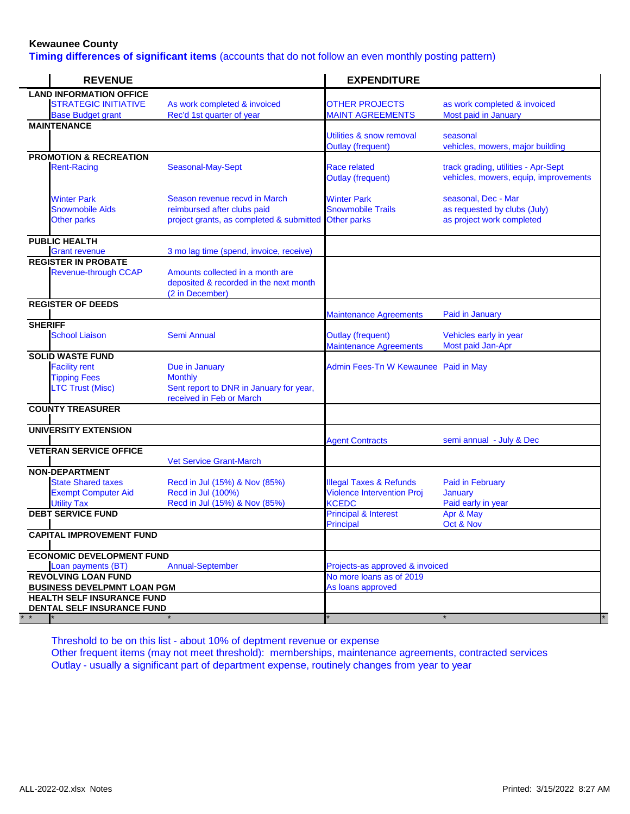**Timing differences of significant items** (accounts that do not follow an even monthly posting pattern)

| <b>REVENUE</b>                                   |                                                                                               | <b>EXPENDITURE</b>                                          |                                                                              |
|--------------------------------------------------|-----------------------------------------------------------------------------------------------|-------------------------------------------------------------|------------------------------------------------------------------------------|
| <b>LAND INFORMATION OFFICE</b>                   |                                                                                               |                                                             |                                                                              |
| <b>STRATEGIC INITIATIVE</b>                      | As work completed & invoiced                                                                  | <b>OTHER PROJECTS</b>                                       | as work completed & invoiced                                                 |
| <b>Base Budget grant</b>                         | Rec'd 1st quarter of year                                                                     | <b>MAINT AGREEMENTS</b>                                     | Most paid in January                                                         |
| <b>MAINTENANCE</b>                               |                                                                                               |                                                             |                                                                              |
|                                                  |                                                                                               | Utilities & snow removal                                    | seasonal                                                                     |
|                                                  |                                                                                               | <b>Outlay (frequent)</b>                                    | vehicles, mowers, major building                                             |
| <b>PROMOTION &amp; RECREATION</b>                |                                                                                               |                                                             |                                                                              |
| <b>Rent-Racing</b>                               | Seasonal-May-Sept                                                                             | Race related<br><b>Outlay (frequent)</b>                    | track grading, utilities - Apr-Sept<br>vehicles, mowers, equip, improvements |
| <b>Winter Park</b>                               | Season revenue recvd in March                                                                 | <b>Winter Park</b>                                          | seasonal, Dec - Mar                                                          |
| <b>Snowmobile Aids</b>                           | reimbursed after clubs paid                                                                   | <b>Snowmobile Trails</b>                                    | as requested by clubs (July)                                                 |
| <b>Other parks</b>                               | project grants, as completed & submitted Other parks                                          |                                                             | as project work completed                                                    |
| <b>PUBLIC HEALTH</b>                             |                                                                                               |                                                             |                                                                              |
| <b>Grant revenue</b>                             | 3 mo lag time (spend, invoice, receive)                                                       |                                                             |                                                                              |
| <b>REGISTER IN PROBATE</b>                       |                                                                                               |                                                             |                                                                              |
| <b>Revenue-through CCAP</b>                      | Amounts collected in a month are<br>deposited & recorded in the next month<br>(2 in December) |                                                             |                                                                              |
| <b>REGISTER OF DEEDS</b>                         |                                                                                               |                                                             |                                                                              |
|                                                  |                                                                                               | <b>Maintenance Agreements</b>                               | Paid in January                                                              |
| <b>SHERIFF</b><br><b>School Liaison</b>          | <b>Semi Annual</b>                                                                            | <b>Outlay (frequent)</b><br><b>Maintenance Agreements</b>   | Vehicles early in year<br>Most paid Jan-Apr                                  |
| <b>SOLID WASTE FUND</b>                          |                                                                                               |                                                             |                                                                              |
| <b>Facility rent</b>                             | Due in January                                                                                | Admin Fees-Tn W Kewaunee Paid in May                        |                                                                              |
| <b>Tipping Fees</b>                              | <b>Monthly</b>                                                                                |                                                             |                                                                              |
| <b>LTC Trust (Misc)</b>                          | Sent report to DNR in January for year,<br>received in Feb or March                           |                                                             |                                                                              |
| <b>COUNTY TREASURER</b>                          |                                                                                               |                                                             |                                                                              |
| <b>UNIVERSITY EXTENSION</b>                      |                                                                                               |                                                             |                                                                              |
|                                                  |                                                                                               | <b>Agent Contracts</b>                                      | semi annual - July & Dec                                                     |
| <b>VETERAN SERVICE OFFICE</b>                    | <b>Vet Service Grant-March</b>                                                                |                                                             |                                                                              |
| <b>NON-DEPARTMENT</b>                            |                                                                                               |                                                             |                                                                              |
| <b>State Shared taxes</b>                        | Recd in Jul (15%) & Nov (85%)                                                                 | <b>Illegal Taxes &amp; Refunds</b>                          | <b>Paid in February</b>                                                      |
| <b>Exempt Computer Aid</b>                       | Recd in Jul (100%)                                                                            | <b>Violence Intervention Proj</b>                           | <b>January</b>                                                               |
| <b>Utility Tax</b>                               | Recd in Jul (15%) & Nov (85%)                                                                 | <b>KCEDC</b>                                                | Paid early in year                                                           |
| <b>DEBT SERVICE FUND</b>                         |                                                                                               | <b>Principal &amp; Interest</b>                             | Apr & May                                                                    |
|                                                  |                                                                                               | <b>Principal</b>                                            | Oct & Nov                                                                    |
| <b>CAPITAL IMPROVEMENT FUND</b>                  |                                                                                               |                                                             |                                                                              |
| <b>ECONOMIC DEVELOPMENT FUND</b>                 |                                                                                               |                                                             |                                                                              |
|                                                  |                                                                                               |                                                             |                                                                              |
| Loan payments (BT)<br><b>REVOLVING LOAN FUND</b> | <b>Annual-September</b>                                                                       | Projects-as approved & invoiced<br>No more loans as of 2019 |                                                                              |
| <b>BUSINESS DEVELPMNT LOAN PGM</b>               |                                                                                               | As loans approved                                           |                                                                              |
| <b>HEALTH SELF INSURANCE FUND</b>                |                                                                                               |                                                             |                                                                              |
| DENTAL SELF INSURANCE FUND                       |                                                                                               |                                                             |                                                                              |
|                                                  |                                                                                               |                                                             |                                                                              |

Threshold to be on this list - about 10% of deptment revenue or expense Other frequent items (may not meet threshold): memberships, maintenance agreements, contracted services Outlay - usually a significant part of department expense, routinely changes from year to year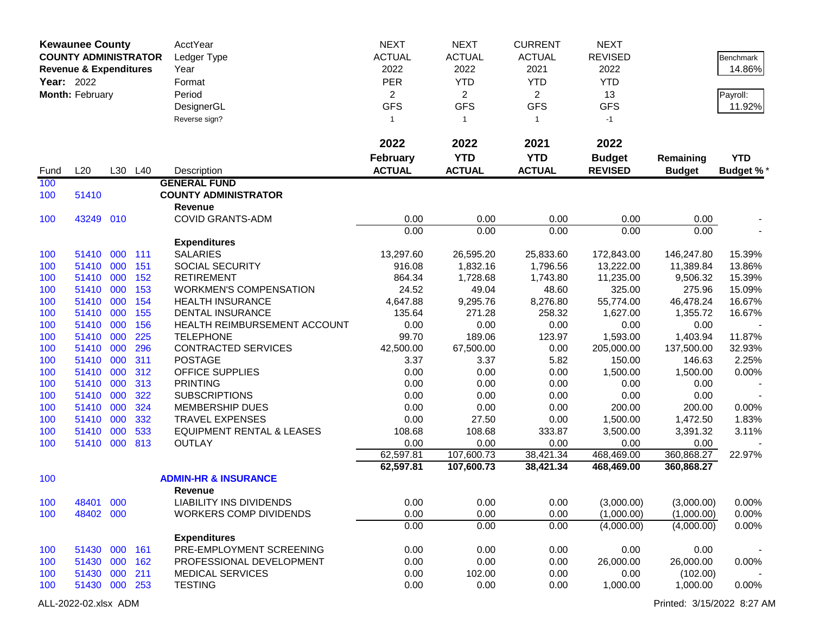|            | <b>Kewaunee County</b><br><b>COUNTY ADMINISTRATOR</b><br><b>Revenue &amp; Expenditures</b><br><b>Year: 2022</b><br>Month: February |     |            | AcctYear<br>Ledger Type<br>Year<br>Format | <b>NEXT</b><br><b>ACTUAL</b><br>2022<br><b>PER</b> | <b>NEXT</b><br><b>ACTUAL</b><br>2022<br><b>YTD</b> | <b>CURRENT</b><br><b>ACTUAL</b><br>2021<br><b>YTD</b> | <b>NEXT</b><br><b>REVISED</b><br>2022<br><b>YTD</b> |                         | Benchmark<br>14.86% |
|------------|------------------------------------------------------------------------------------------------------------------------------------|-----|------------|-------------------------------------------|----------------------------------------------------|----------------------------------------------------|-------------------------------------------------------|-----------------------------------------------------|-------------------------|---------------------|
|            |                                                                                                                                    |     |            | Period                                    | $\overline{2}$                                     | $\overline{2}$                                     | $\overline{2}$                                        | 13                                                  |                         | Payroll:            |
|            |                                                                                                                                    |     |            | DesignerGL                                | <b>GFS</b>                                         | <b>GFS</b>                                         | <b>GFS</b>                                            | <b>GFS</b>                                          |                         | 11.92%              |
|            |                                                                                                                                    |     |            | Reverse sign?                             | $\mathbf{1}$                                       | $\mathbf{1}$                                       | $\mathbf{1}$                                          | $-1$                                                |                         |                     |
|            |                                                                                                                                    |     |            |                                           | 2022                                               | 2022                                               | 2021                                                  | 2022                                                |                         |                     |
|            |                                                                                                                                    |     |            |                                           | <b>February</b>                                    | <b>YTD</b>                                         | <b>YTD</b>                                            | <b>Budget</b>                                       | Remaining               | <b>YTD</b>          |
| Fund       | L20                                                                                                                                |     | L30 L40    | Description                               | <b>ACTUAL</b>                                      | <b>ACTUAL</b>                                      | <b>ACTUAL</b>                                         | <b>REVISED</b>                                      | <b>Budget</b>           | Budget %*           |
| 100        |                                                                                                                                    |     |            | <b>GENERAL FUND</b>                       |                                                    |                                                    |                                                       |                                                     |                         |                     |
| 100        | 51410                                                                                                                              |     |            | <b>COUNTY ADMINISTRATOR</b>               |                                                    |                                                    |                                                       |                                                     |                         |                     |
|            |                                                                                                                                    |     |            | <b>Revenue</b>                            |                                                    |                                                    |                                                       |                                                     |                         |                     |
| 100        | 43249 010                                                                                                                          |     |            | <b>COVID GRANTS-ADM</b>                   | 0.00                                               | 0.00                                               | 0.00                                                  | 0.00                                                | 0.00                    |                     |
|            |                                                                                                                                    |     |            |                                           | 0.00                                               | 0.00                                               | 0.00                                                  | 0.00                                                | 0.00                    |                     |
|            |                                                                                                                                    |     |            | <b>Expenditures</b>                       |                                                    |                                                    |                                                       |                                                     |                         |                     |
| 100<br>100 | 51410<br>51410 000                                                                                                                 | 000 | 111<br>151 | <b>SALARIES</b><br>SOCIAL SECURITY        | 13,297.60<br>916.08                                | 26,595.20<br>1,832.16                              | 25,833.60<br>1,796.56                                 | 172,843.00<br>13,222.00                             | 146,247.80<br>11,389.84 | 15.39%<br>13.86%    |
| 100        | 51410                                                                                                                              | 000 | 152        | <b>RETIREMENT</b>                         | 864.34                                             | 1,728.68                                           | 1,743.80                                              | 11,235.00                                           | 9,506.32                | 15.39%              |
| 100        | 51410                                                                                                                              | 000 | 153        | <b>WORKMEN'S COMPENSATION</b>             | 24.52                                              | 49.04                                              | 48.60                                                 | 325.00                                              | 275.96                  | 15.09%              |
| 100        | 51410                                                                                                                              | 000 | 154        | <b>HEALTH INSURANCE</b>                   | 4,647.88                                           | 9,295.76                                           | 8,276.80                                              | 55,774.00                                           | 46,478.24               | 16.67%              |
| 100        | 51410                                                                                                                              | 000 | 155        | <b>DENTAL INSURANCE</b>                   | 135.64                                             | 271.28                                             | 258.32                                                | 1,627.00                                            | 1,355.72                | 16.67%              |
| 100        | 51410                                                                                                                              | 000 | 156        | HEALTH REIMBURSEMENT ACCOUNT              | 0.00                                               | 0.00                                               | 0.00                                                  | 0.00                                                | 0.00                    |                     |
| 100        | 51410                                                                                                                              | 000 | 225        | <b>TELEPHONE</b>                          | 99.70                                              | 189.06                                             | 123.97                                                | 1,593.00                                            | 1,403.94                | 11.87%              |
| 100        | 51410                                                                                                                              | 000 | 296        | <b>CONTRACTED SERVICES</b>                | 42,500.00                                          | 67,500.00                                          | 0.00                                                  | 205,000.00                                          | 137,500.00              | 32.93%              |
| 100        | 51410                                                                                                                              | 000 | 311        | <b>POSTAGE</b>                            | 3.37                                               | 3.37                                               | 5.82                                                  | 150.00                                              | 146.63                  | 2.25%               |
| 100        | 51410                                                                                                                              | 000 | 312        | OFFICE SUPPLIES                           | 0.00                                               | 0.00                                               | 0.00                                                  | 1,500.00                                            | 1,500.00                | 0.00%               |
| 100        | 51410                                                                                                                              | 000 | 313        | <b>PRINTING</b>                           | 0.00                                               | 0.00                                               | 0.00                                                  | 0.00                                                | 0.00                    |                     |
| 100        | 51410                                                                                                                              | 000 | 322        | <b>SUBSCRIPTIONS</b>                      | 0.00                                               | 0.00                                               | 0.00                                                  | 0.00                                                | 0.00                    |                     |
| 100        | 51410                                                                                                                              | 000 | 324        | <b>MEMBERSHIP DUES</b>                    | 0.00                                               | 0.00                                               | 0.00                                                  | 200.00                                              | 200.00                  | 0.00%               |
| 100        | 51410                                                                                                                              | 000 | 332        | <b>TRAVEL EXPENSES</b>                    | 0.00                                               | 27.50                                              | 0.00                                                  | 1,500.00                                            | 1,472.50                | 1.83%               |
| 100        | 51410                                                                                                                              | 000 | 533        | <b>EQUIPMENT RENTAL &amp; LEASES</b>      | 108.68                                             | 108.68                                             | 333.87                                                | 3,500.00                                            | 3,391.32                | 3.11%               |
| 100        | 51410                                                                                                                              | 000 | 813        | <b>OUTLAY</b>                             | 0.00<br>62,597.81                                  | 0.00<br>107,600.73                                 | 0.00<br>38,421.34                                     | 0.00<br>468,469.00                                  | 0.00<br>360,868.27      | 22.97%              |
|            |                                                                                                                                    |     |            |                                           | 62,597.81                                          | 107,600.73                                         | 38,421.34                                             | 468,469.00                                          | 360,868.27              |                     |
| 100        |                                                                                                                                    |     |            | <b>ADMIN-HR &amp; INSURANCE</b>           |                                                    |                                                    |                                                       |                                                     |                         |                     |
|            |                                                                                                                                    |     |            | <b>Revenue</b>                            |                                                    |                                                    |                                                       |                                                     |                         |                     |
| 100        | 48401 000                                                                                                                          |     |            | LIABILITY INS DIVIDENDS                   | 0.00                                               | 0.00                                               | 0.00                                                  | (3,000.00)                                          | (3,000.00)              | $0.00\%$            |
| 100        | 48402 000                                                                                                                          |     |            | <b>WORKERS COMP DIVIDENDS</b>             | 0.00                                               | 0.00                                               | 0.00                                                  | (1,000.00)                                          | (1,000.00)              | 0.00%               |
|            |                                                                                                                                    |     |            |                                           | 0.00                                               | 0.00                                               | 0.00                                                  | (4,000.00)                                          | (4,000.00)              | 0.00%               |
|            |                                                                                                                                    |     |            | <b>Expenditures</b>                       |                                                    |                                                    |                                                       |                                                     |                         |                     |
| 100        | 51430 000 161                                                                                                                      |     |            | PRE-EMPLOYMENT SCREENING                  | 0.00                                               | 0.00                                               | 0.00                                                  | 0.00                                                | 0.00                    |                     |
| 100        | 51430 000 162                                                                                                                      |     |            | PROFESSIONAL DEVELOPMENT                  | 0.00                                               | 0.00                                               | 0.00                                                  | 26,000.00                                           | 26,000.00               | 0.00%               |
| 100        | 51430 000                                                                                                                          |     | 211        | <b>MEDICAL SERVICES</b>                   | 0.00                                               | 102.00                                             | 0.00                                                  | 0.00                                                | (102.00)                |                     |
| 100        | 51430 000 253                                                                                                                      |     |            | <b>TESTING</b>                            | 0.00                                               | 0.00                                               | 0.00                                                  | 1,000.00                                            | 1,000.00                | 0.00%               |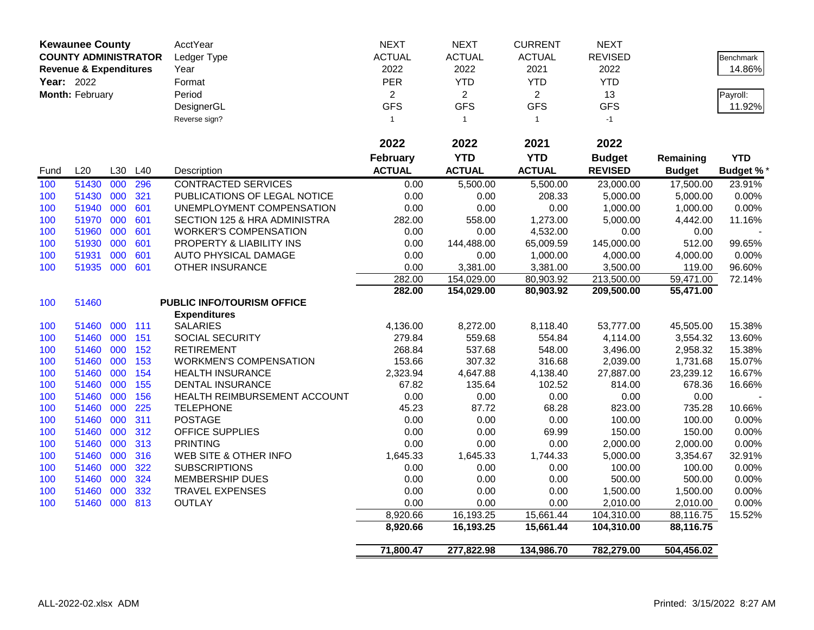|      | <b>Kewaunee County</b><br><b>COUNTY ADMINISTRATOR</b> |     |     | AcctYear                      | <b>NEXT</b>     | <b>NEXT</b>    | <b>CURRENT</b> | <b>NEXT</b>    |               |                  |
|------|-------------------------------------------------------|-----|-----|-------------------------------|-----------------|----------------|----------------|----------------|---------------|------------------|
|      |                                                       |     |     | Ledger Type                   | <b>ACTUAL</b>   | <b>ACTUAL</b>  | <b>ACTUAL</b>  | <b>REVISED</b> |               | <b>Benchmark</b> |
|      | <b>Revenue &amp; Expenditures</b>                     |     |     | Year                          | 2022            | 2022           | 2021           | 2022           |               | 14.86%           |
|      | Year: 2022                                            |     |     | Format                        | PER             | <b>YTD</b>     | <b>YTD</b>     | <b>YTD</b>     |               |                  |
|      | Month: February                                       |     |     | Period                        | $\overline{2}$  | $\overline{2}$ | $\overline{2}$ | 13             |               | Payroll:         |
|      |                                                       |     |     | DesignerGL                    | <b>GFS</b>      | <b>GFS</b>     | <b>GFS</b>     | <b>GFS</b>     |               | 11.92%           |
|      |                                                       |     |     | Reverse sign?                 | $\mathbf{1}$    | $\overline{1}$ | $\mathbf{1}$   | $-1$           |               |                  |
|      |                                                       |     |     |                               |                 |                |                |                |               |                  |
|      |                                                       |     |     |                               | 2022            | 2022           | 2021           | 2022           |               |                  |
|      |                                                       |     |     |                               | <b>February</b> | <b>YTD</b>     | <b>YTD</b>     | <b>Budget</b>  | Remaining     | <b>YTD</b>       |
| Fund | L20                                                   | L30 | L40 | Description                   | <b>ACTUAL</b>   | <b>ACTUAL</b>  | <b>ACTUAL</b>  | <b>REVISED</b> | <b>Budget</b> | <b>Budget %</b>  |
| 100  | 51430                                                 | 000 | 296 | <b>CONTRACTED SERVICES</b>    | 0.00            | 5,500.00       | 5,500.00       | 23,000.00      | 17,500.00     | 23.91%           |
| 100  | 51430 000                                             |     | 321 | PUBLICATIONS OF LEGAL NOTICE  | 0.00            | 0.00           | 208.33         | 5,000.00       | 5,000.00      | 0.00%            |
| 100  | 51940                                                 | 000 | 601 | UNEMPLOYMENT COMPENSATION     | 0.00            | 0.00           | 0.00           | 1,000.00       | 1,000.00      | 0.00%            |
| 100  | 51970                                                 | 000 | 601 | SECTION 125 & HRA ADMINISTRA  | 282.00          | 558.00         | 1,273.00       | 5,000.00       | 4,442.00      | 11.16%           |
| 100  | 51960                                                 | 000 | 601 | <b>WORKER'S COMPENSATION</b>  | 0.00            | 0.00           | 4,532.00       | 0.00           | 0.00          |                  |
| 100  | 51930                                                 | 000 | 601 | PROPERTY & LIABILITY INS      | 0.00            | 144,488.00     | 65,009.59      | 145,000.00     | 512.00        | 99.65%           |
| 100  | 51931                                                 | 000 | 601 | <b>AUTO PHYSICAL DAMAGE</b>   | 0.00            | 0.00           | 1,000.00       | 4,000.00       | 4,000.00      | 0.00%            |
| 100  | 51935 000                                             |     | 601 | <b>OTHER INSURANCE</b>        | 0.00            | 3,381.00       | 3,381.00       | 3,500.00       | 119.00        | 96.60%           |
|      |                                                       |     |     |                               | 282.00          | 154,029.00     | 80,903.92      | 213,500.00     | 59,471.00     | 72.14%           |
|      |                                                       |     |     |                               | 282.00          | 154,029.00     | 80,903.92      | 209,500.00     | 55,471.00     |                  |
| 100  | 51460                                                 |     |     | PUBLIC INFO/TOURISM OFFICE    |                 |                |                |                |               |                  |
|      |                                                       |     |     | <b>Expenditures</b>           |                 |                |                |                |               |                  |
| 100  | 51460                                                 | 000 | 111 | <b>SALARIES</b>               | 4,136.00        | 8,272.00       | 8,118.40       | 53,777.00      | 45,505.00     | 15.38%           |
| 100  | 51460                                                 | 000 | 151 | <b>SOCIAL SECURITY</b>        | 279.84          | 559.68         | 554.84         | 4,114.00       | 3,554.32      | 13.60%           |
| 100  | 51460 000                                             |     | 152 | <b>RETIREMENT</b>             | 268.84          | 537.68         | 548.00         | 3,496.00       | 2,958.32      | 15.38%           |
| 100  | 51460                                                 | 000 | 153 | <b>WORKMEN'S COMPENSATION</b> | 153.66          | 307.32         | 316.68         | 2,039.00       | 1,731.68      | 15.07%           |
| 100  | 51460                                                 | 000 | 154 | <b>HEALTH INSURANCE</b>       | 2,323.94        | 4,647.88       | 4,138.40       | 27,887.00      | 23,239.12     | 16.67%           |
| 100  | 51460                                                 | 000 | 155 | <b>DENTAL INSURANCE</b>       | 67.82           | 135.64         | 102.52         | 814.00         | 678.36        | 16.66%           |
| 100  | 51460                                                 | 000 | 156 | HEALTH REIMBURSEMENT ACCOUNT  | 0.00            | 0.00           | 0.00           | 0.00           | 0.00          |                  |
| 100  | 51460                                                 | 000 | 225 | <b>TELEPHONE</b>              | 45.23           | 87.72          | 68.28          | 823.00         | 735.28        | 10.66%           |
| 100  | 51460                                                 | 000 | 311 | <b>POSTAGE</b>                | 0.00            | 0.00           | 0.00           | 100.00         | 100.00        | 0.00%            |
| 100  | 51460                                                 | 000 | 312 | OFFICE SUPPLIES               | 0.00            | 0.00           | 69.99          | 150.00         | 150.00        | 0.00%            |
| 100  | 51460                                                 | 000 | 313 | <b>PRINTING</b>               | 0.00            | 0.00           | 0.00           | 2,000.00       | 2,000.00      | 0.00%            |
| 100  | 51460                                                 | 000 | 316 | WEB SITE & OTHER INFO         | 1,645.33        | 1,645.33       | 1,744.33       | 5,000.00       | 3,354.67      | 32.91%           |
| 100  | 51460                                                 | 000 | 322 | <b>SUBSCRIPTIONS</b>          | 0.00            | 0.00           | 0.00           | 100.00         | 100.00        | 0.00%            |
| 100  | 51460                                                 | 000 | 324 | <b>MEMBERSHIP DUES</b>        | 0.00            | 0.00           | 0.00           | 500.00         | 500.00        | 0.00%            |
| 100  | 51460                                                 | 000 | 332 | <b>TRAVEL EXPENSES</b>        | 0.00            | 0.00           | 0.00           | 1,500.00       | 1,500.00      | 0.00%            |
| 100  | 51460 000 813                                         |     |     | <b>OUTLAY</b>                 | 0.00            | 0.00           | 0.00           | 2,010.00       | 2,010.00      | 0.00%            |
|      |                                                       |     |     |                               | 8,920.66        | 16,193.25      | 15,661.44      | 104,310.00     | 88,116.75     | 15.52%           |
|      |                                                       |     |     |                               | 8,920.66        | 16,193.25      | 15,661.44      | 104,310.00     | 88,116.75     |                  |
|      |                                                       |     |     |                               | 71,800.47       | 277,822.98     | 134,986.70     | 782,279.00     | 504,456.02    |                  |
|      |                                                       |     |     |                               |                 |                |                |                |               |                  |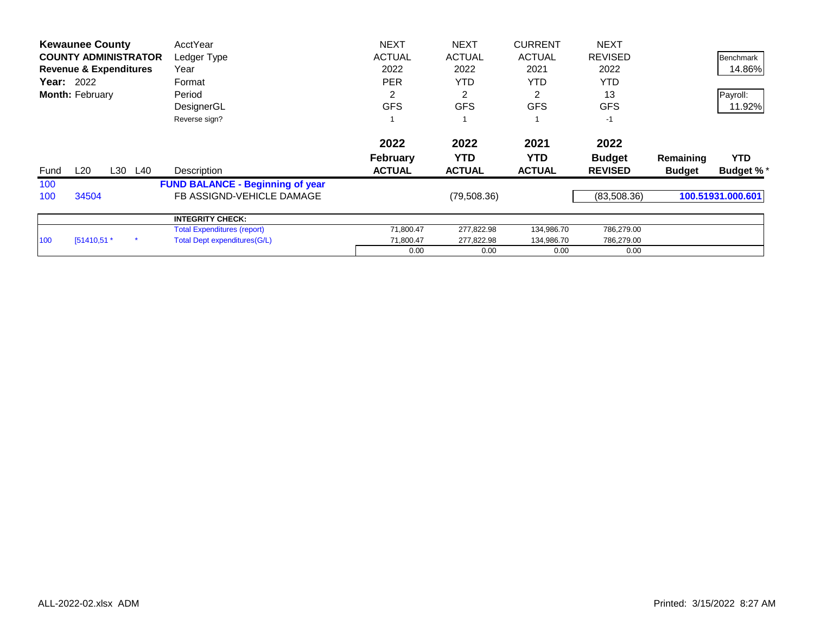|      | <b>Kewaunee County</b>                                           |     |     | AcctYear                                | <b>NEXT</b>     | <b>NEXT</b>   | <b>CURRENT</b> | <b>NEXT</b>    |               |                   |
|------|------------------------------------------------------------------|-----|-----|-----------------------------------------|-----------------|---------------|----------------|----------------|---------------|-------------------|
|      | <b>COUNTY ADMINISTRATOR</b><br><b>Revenue &amp; Expenditures</b> |     |     | Ledger Type                             | <b>ACTUAL</b>   | <b>ACTUAL</b> | <b>ACTUAL</b>  | <b>REVISED</b> |               | Benchmark         |
|      |                                                                  |     |     | Year                                    | 2022            | 2022          | 2021           | 2022           |               | 14.86%            |
|      | <b>Year: 2022</b>                                                |     |     | Format                                  | <b>PER</b>      | <b>YTD</b>    | YTD.           | <b>YTD</b>     |               |                   |
|      | Month: February                                                  |     |     | Period                                  | 2               |               |                | 13             |               | Payroll:          |
|      |                                                                  |     |     | DesignerGL                              | <b>GFS</b>      | <b>GFS</b>    | <b>GFS</b>     | <b>GFS</b>     |               | 11.92%            |
|      |                                                                  |     |     | Reverse sign?                           |                 |               |                | $-1$           |               |                   |
|      |                                                                  |     |     |                                         | 2022            | 2022          | 2021           | 2022           |               |                   |
|      |                                                                  |     |     |                                         | <b>February</b> | <b>YTD</b>    | YTD.           | <b>Budget</b>  | Remaining     | <b>YTD</b>        |
| Fund | L20                                                              | L30 | L40 | Description                             | <b>ACTUAL</b>   | <b>ACTUAL</b> | <b>ACTUAL</b>  | <b>REVISED</b> | <b>Budget</b> | <b>Budget %*</b>  |
| 100  |                                                                  |     |     | <b>FUND BALANCE - Beginning of year</b> |                 |               |                |                |               |                   |
| 100  | 34504                                                            |     |     | FB ASSIGND-VEHICLE DAMAGE               |                 | (79,508.36)   |                | (83,508.36)    |               | 100.51931.000.601 |
|      |                                                                  |     |     | <b>INTEGRITY CHECK:</b>                 |                 |               |                |                |               |                   |
|      |                                                                  |     |     | <b>Total Expenditures (report)</b>      | 71,800.47       | 277,822.98    | 134,986.70     | 786,279.00     |               |                   |
| 100  | $[51410,51.*$                                                    |     |     | Total Dept expenditures (G/L)           | 71,800.47       | 277,822.98    | 134,986.70     | 786,279.00     |               |                   |
|      |                                                                  |     |     |                                         | 0.00            | 0.00          | 0.00           | 0.00           |               |                   |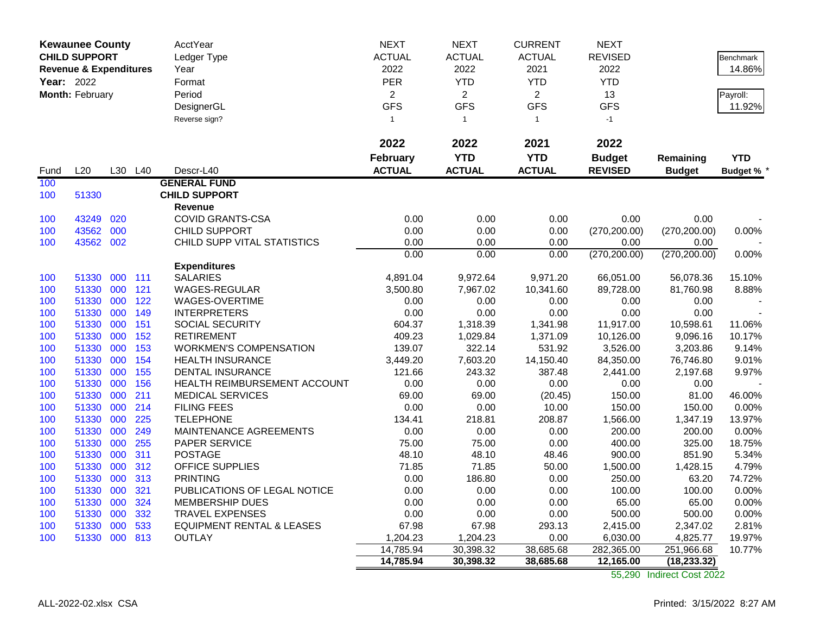|            | <b>Kewaunee County</b>            |         |                 | AcctYear                             | <b>NEXT</b>     | <b>NEXT</b>    | <b>CURRENT</b> | <b>NEXT</b>    |               |                 |
|------------|-----------------------------------|---------|-----------------|--------------------------------------|-----------------|----------------|----------------|----------------|---------------|-----------------|
|            | <b>CHILD SUPPORT</b>              |         |                 | Ledger Type                          | <b>ACTUAL</b>   | <b>ACTUAL</b>  | <b>ACTUAL</b>  | <b>REVISED</b> |               | Benchmark       |
|            | <b>Revenue &amp; Expenditures</b> |         |                 | Year                                 | 2022            | 2022           | 2021           | 2022           |               | 14.86%          |
| Year: 2022 |                                   |         |                 | Format                               | PER             | <b>YTD</b>     | <b>YTD</b>     | <b>YTD</b>     |               |                 |
|            | Month: February                   |         |                 | Period                               | $\overline{2}$  | $\overline{2}$ | $\overline{2}$ | 13             |               | Payroll:        |
|            |                                   |         |                 | DesignerGL                           | <b>GFS</b>      | <b>GFS</b>     | <b>GFS</b>     | <b>GFS</b>     |               | 11.92%          |
|            |                                   |         |                 | Reverse sign?                        | $\mathbf{1}$    | $\overline{1}$ | $\mathbf{1}$   | $-1$           |               |                 |
|            |                                   |         |                 |                                      |                 |                |                |                |               |                 |
|            |                                   |         |                 |                                      | 2022            | 2022           | 2021           | 2022           |               |                 |
|            |                                   |         |                 |                                      | <b>February</b> | <b>YTD</b>     | <b>YTD</b>     | <b>Budget</b>  | Remaining     | <b>YTD</b>      |
| Fund       | L20                               | L30     | L <sub>40</sub> | Descr-L40                            | <b>ACTUAL</b>   | <b>ACTUAL</b>  | <b>ACTUAL</b>  | <b>REVISED</b> | <b>Budget</b> | <b>Budget %</b> |
| 100        |                                   |         |                 | <b>GENERAL FUND</b>                  |                 |                |                |                |               |                 |
| 100        | 51330                             |         |                 | <b>CHILD SUPPORT</b>                 |                 |                |                |                |               |                 |
|            |                                   |         |                 | Revenue                              |                 |                |                |                |               |                 |
| 100        | 43249                             | 020     |                 | <b>COVID GRANTS-CSA</b>              | 0.00            | 0.00           | 0.00           | 0.00           | 0.00          |                 |
| 100        | 43562                             | 000     |                 | CHILD SUPPORT                        | 0.00            | 0.00           | 0.00           | (270, 200.00)  | (270, 200.00) | 0.00%           |
| 100        | 43562 002                         |         |                 | CHILD SUPP VITAL STATISTICS          | 0.00            | 0.00           | 0.00           | 0.00           | 0.00          |                 |
|            |                                   |         |                 |                                      | 0.00            | 0.00           | 0.00           | (270, 200.00)  | (270, 200.00) | 0.00%           |
|            |                                   |         |                 | <b>Expenditures</b>                  |                 |                |                |                |               |                 |
| 100        | 51330                             | 000 111 |                 | <b>SALARIES</b>                      | 4,891.04        | 9,972.64       | 9,971.20       | 66,051.00      | 56,078.36     | 15.10%          |
| 100        | 51330                             | 000     | 121             | WAGES-REGULAR                        | 3,500.80        | 7,967.02       | 10,341.60      | 89,728.00      | 81,760.98     | 8.88%           |
| 100        | 51330                             | 000     | 122             | WAGES-OVERTIME                       | 0.00            | 0.00           | 0.00           | 0.00           | 0.00          |                 |
| 100        | 51330                             | 000     | 149             | <b>INTERPRETERS</b>                  | 0.00            | 0.00           | 0.00           | 0.00           | 0.00          |                 |
| 100        | 51330                             | 000     | 151             | SOCIAL SECURITY                      | 604.37          | 1,318.39       | 1,341.98       | 11,917.00      | 10,598.61     | 11.06%          |
| 100        | 51330                             | 000     | 152             | <b>RETIREMENT</b>                    | 409.23          | 1,029.84       | 1,371.09       | 10,126.00      | 9,096.16      | 10.17%          |
| 100        | 51330                             | 000     | 153             | <b>WORKMEN'S COMPENSATION</b>        | 139.07          | 322.14         | 531.92         | 3,526.00       | 3,203.86      | 9.14%           |
| 100        | 51330                             | 000     | 154             | <b>HEALTH INSURANCE</b>              | 3,449.20        | 7,603.20       | 14,150.40      | 84,350.00      | 76,746.80     | 9.01%           |
| 100        | 51330                             | 000     | 155             | <b>DENTAL INSURANCE</b>              | 121.66          | 243.32         | 387.48         | 2,441.00       | 2,197.68      | 9.97%           |
| 100        | 51330                             | 000     | 156             | HEALTH REIMBURSEMENT ACCOUNT         | 0.00            | 0.00           | 0.00           | 0.00           | 0.00          |                 |
| 100        | 51330                             | 000     | 211             | <b>MEDICAL SERVICES</b>              | 69.00           | 69.00          | (20.45)        | 150.00         | 81.00         | 46.00%          |
| 100        | 51330                             | 000     | 214             | <b>FILING FEES</b>                   | 0.00            | 0.00           | 10.00          | 150.00         | 150.00        | 0.00%           |
| 100        | 51330                             | 000     | 225             | <b>TELEPHONE</b>                     | 134.41          | 218.81         | 208.87         | 1,566.00       | 1,347.19      | 13.97%          |
| 100        | 51330                             | 000     | 249             | MAINTENANCE AGREEMENTS               | 0.00            | 0.00           | 0.00           | 200.00         | 200.00        | 0.00%           |
| 100        | 51330                             | 000     | 255             | <b>PAPER SERVICE</b>                 | 75.00           | 75.00          | 0.00           | 400.00         | 325.00        | 18.75%          |
| 100        | 51330                             | 000     | 311             | <b>POSTAGE</b>                       | 48.10           | 48.10          | 48.46          | 900.00         | 851.90        | 5.34%           |
| 100        | 51330                             | 000     | 312             | <b>OFFICE SUPPLIES</b>               | 71.85           | 71.85          | 50.00          | 1,500.00       | 1,428.15      | 4.79%           |
| 100        | 51330                             | 000     | 313             | <b>PRINTING</b>                      | 0.00            | 186.80         | 0.00           | 250.00         | 63.20         | 74.72%          |
| 100        | 51330                             | 000     | 321             | PUBLICATIONS OF LEGAL NOTICE         | 0.00            | 0.00           | 0.00           | 100.00         | 100.00        | 0.00%           |
| 100        | 51330                             | 000     | 324             | MEMBERSHIP DUES                      | 0.00            | 0.00           | 0.00           | 65.00          | 65.00         | 0.00%           |
| 100        | 51330                             | 000     | 332             | <b>TRAVEL EXPENSES</b>               | 0.00            | 0.00           | 0.00           | 500.00         | 500.00        | 0.00%           |
| 100        | 51330                             | 000     | 533             | <b>EQUIPMENT RENTAL &amp; LEASES</b> | 67.98           | 67.98          | 293.13         | 2,415.00       | 2,347.02      | 2.81%           |
| 100        | 51330 000 813                     |         |                 | <b>OUTLAY</b>                        | 1,204.23        | 1,204.23       | 0.00           | 6,030.00       | 4,825.77      | 19.97%          |
|            |                                   |         |                 |                                      | 14,785.94       | 30,398.32      | 38,685.68      | 282,365.00     | 251,966.68    | 10.77%          |
|            |                                   |         |                 |                                      | 14,785.94       | 30,398.32      | 38,685.68      | 12,165.00      | (18, 233.32)  |                 |

55,290 Indirect Cost 2022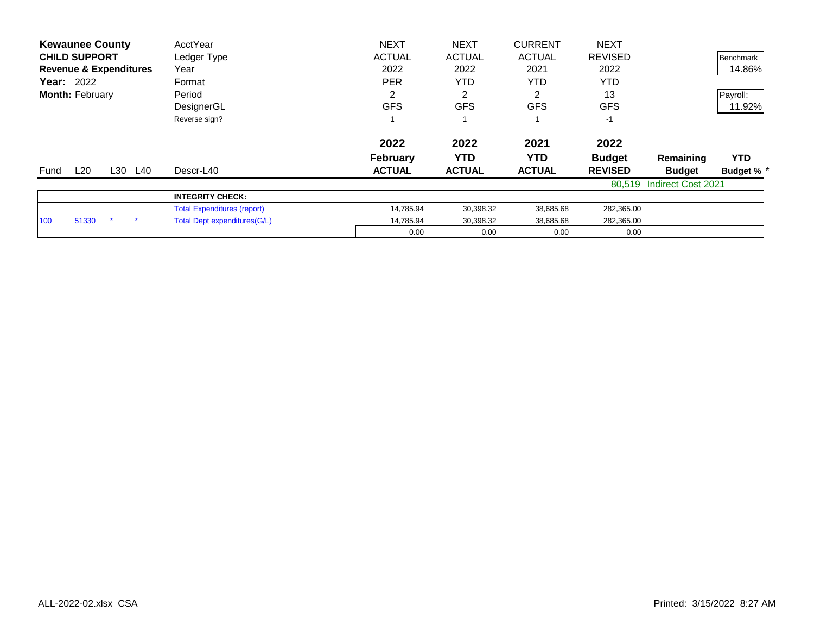| <b>Kewaunee County</b>            | AcctYear                           | <b>NEXT</b>     | <b>NEXT</b>    | <b>CURRENT</b> | <b>NEXT</b>    |                           |                  |
|-----------------------------------|------------------------------------|-----------------|----------------|----------------|----------------|---------------------------|------------------|
| <b>CHILD SUPPORT</b>              | Ledger Type                        | <b>ACTUAL</b>   | <b>ACTUAL</b>  | <b>ACTUAL</b>  | <b>REVISED</b> |                           | <b>Benchmark</b> |
| <b>Revenue &amp; Expenditures</b> | Year                               | 2022            | 2022           | 2021           | 2022           |                           | 14.86%           |
| <b>Year: 2022</b>                 | Format                             | <b>PER</b>      | <b>YTD</b>     | <b>YTD</b>     | <b>YTD</b>     |                           |                  |
| Month: February                   | Period                             | 2               | $\overline{2}$ | 2              | 13             |                           | Payroll:         |
|                                   | DesignerGL                         | <b>GFS</b>      | <b>GFS</b>     | <b>GFS</b>     | <b>GFS</b>     |                           | 11.92%           |
|                                   | Reverse sign?                      |                 |                |                | $-1$           |                           |                  |
|                                   |                                    | 2022            | 2022           | 2021           | 2022           |                           |                  |
|                                   |                                    | <b>February</b> | <b>YTD</b>     | YTD.           | <b>Budget</b>  | Remaining                 | <b>YTD</b>       |
| L20<br>L30<br>L40<br>Fund         | Descr-L40                          | <b>ACTUAL</b>   | <b>ACTUAL</b>  | <b>ACTUAL</b>  | <b>REVISED</b> | <b>Budget</b>             | <b>Budget %</b>  |
|                                   |                                    |                 |                |                |                | 80,519 Indirect Cost 2021 |                  |
|                                   | <b>INTEGRITY CHECK:</b>            |                 |                |                |                |                           |                  |
|                                   | <b>Total Expenditures (report)</b> | 14,785.94       | 30,398.32      | 38,685.68      | 282,365.00     |                           |                  |
| 51330<br>100                      | Total Dept expenditures (G/L)      | 14,785.94       | 30,398.32      | 38,685.68      | 282,365.00     |                           |                  |
|                                   |                                    | 0.00            | 0.00           | 0.00           | 0.00           |                           |                  |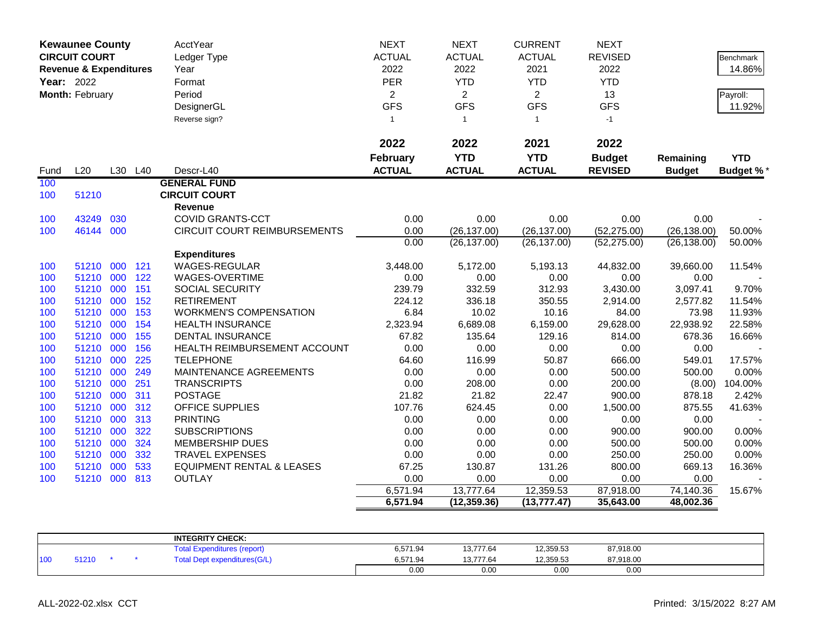|            | <b>Kewaunee County</b><br><b>CIRCUIT COURT</b><br><b>Revenue &amp; Expenditures</b> |     |         | AcctYear<br>Ledger Type<br>Year      | <b>NEXT</b><br><b>ACTUAL</b><br>2022 | <b>NEXT</b><br><b>ACTUAL</b><br>2022 | <b>CURRENT</b><br><b>ACTUAL</b><br>2021 | <b>NEXT</b><br><b>REVISED</b><br>2022 |               | Benchmark<br>14.86% |
|------------|-------------------------------------------------------------------------------------|-----|---------|--------------------------------------|--------------------------------------|--------------------------------------|-----------------------------------------|---------------------------------------|---------------|---------------------|
| Year: 2022 |                                                                                     |     |         | Format                               | PER                                  | <b>YTD</b>                           | <b>YTD</b>                              | <b>YTD</b>                            |               |                     |
|            | Month: February                                                                     |     |         | Period                               | $\overline{2}$                       | $\overline{2}$                       | $\overline{2}$                          | 13                                    |               | Payroll:            |
|            |                                                                                     |     |         | DesignerGL                           | <b>GFS</b>                           | <b>GFS</b>                           | <b>GFS</b>                              | <b>GFS</b>                            |               | 11.92%              |
|            |                                                                                     |     |         | Reverse sign?                        | $\mathbf{1}$                         | $\overline{1}$                       | $\mathbf{1}$                            | $-1$                                  |               |                     |
|            |                                                                                     |     |         |                                      |                                      |                                      |                                         |                                       |               |                     |
|            |                                                                                     |     |         |                                      | 2022                                 | 2022                                 | 2021                                    | 2022                                  |               |                     |
|            |                                                                                     |     |         |                                      | <b>February</b>                      | <b>YTD</b>                           | <b>YTD</b>                              | <b>Budget</b>                         | Remaining     | <b>YTD</b>          |
| Fund       | L20                                                                                 |     | L30 L40 | Descr-L40                            | <b>ACTUAL</b>                        | <b>ACTUAL</b>                        | <b>ACTUAL</b>                           | <b>REVISED</b>                        | <b>Budget</b> | <b>Budget %*</b>    |
| 100        |                                                                                     |     |         | <b>GENERAL FUND</b>                  |                                      |                                      |                                         |                                       |               |                     |
| 100        | 51210                                                                               |     |         | <b>CIRCUIT COURT</b>                 |                                      |                                      |                                         |                                       |               |                     |
|            |                                                                                     |     |         | <b>Revenue</b>                       |                                      |                                      |                                         |                                       |               |                     |
| 100        | 43249                                                                               | 030 |         | <b>COVID GRANTS-CCT</b>              | 0.00                                 | 0.00                                 | 0.00                                    | 0.00                                  | 0.00          |                     |
| 100        | 46144                                                                               | 000 |         | CIRCUIT COURT REIMBURSEMENTS         | 0.00                                 | (26, 137.00)                         | (26, 137.00)                            | (52, 275.00)                          | (26, 138.00)  | 50.00%              |
|            |                                                                                     |     |         |                                      | 0.00                                 | (26, 137.00)                         | (26, 137.00)                            | (52, 275.00)                          | (26, 138.00)  | 50.00%              |
|            |                                                                                     |     |         | <b>Expenditures</b>                  |                                      |                                      |                                         |                                       |               |                     |
| 100        | 51210                                                                               | 000 | 121     | <b>WAGES-REGULAR</b>                 | 3,448.00                             | 5,172.00                             | 5,193.13                                | 44,832.00                             | 39,660.00     | 11.54%              |
| 100        | 51210 000                                                                           |     | 122     | WAGES-OVERTIME                       | 0.00                                 | 0.00                                 | 0.00                                    | 0.00                                  | 0.00          |                     |
| 100        | 51210 000                                                                           |     | 151     | SOCIAL SECURITY                      | 239.79                               | 332.59                               | 312.93                                  | 3,430.00                              | 3,097.41      | 9.70%               |
| 100        | 51210 000                                                                           |     | 152     | <b>RETIREMENT</b>                    | 224.12                               | 336.18                               | 350.55                                  | 2,914.00                              | 2,577.82      | 11.54%              |
| 100        | 51210                                                                               | 000 | 153     | <b>WORKMEN'S COMPENSATION</b>        | 6.84                                 | 10.02                                | 10.16                                   | 84.00                                 | 73.98         | 11.93%              |
| 100        | 51210 000                                                                           |     | 154     | <b>HEALTH INSURANCE</b>              | 2,323.94                             | 6,689.08                             | 6,159.00                                | 29,628.00                             | 22,938.92     | 22.58%              |
| 100        | 51210 000                                                                           |     | 155     | <b>DENTAL INSURANCE</b>              | 67.82                                | 135.64                               | 129.16                                  | 814.00                                | 678.36        | 16.66%              |
| 100        | 51210 000                                                                           |     | 156     | HEALTH REIMBURSEMENT ACCOUNT         | 0.00                                 | 0.00                                 | 0.00                                    | 0.00                                  | 0.00          |                     |
| 100        | 51210                                                                               | 000 | 225     | <b>TELEPHONE</b>                     | 64.60                                | 116.99                               | 50.87                                   | 666.00                                | 549.01        | 17.57%              |
| 100        | 51210                                                                               | 000 | 249     | MAINTENANCE AGREEMENTS               | 0.00                                 | 0.00                                 | 0.00                                    | 500.00                                | 500.00        | 0.00%               |
| 100        | 51210 000                                                                           |     | 251     | <b>TRANSCRIPTS</b>                   | 0.00                                 | 208.00                               | 0.00                                    | 200.00                                | (8.00)        | 104.00%             |
| 100        | 51210                                                                               | 000 | 311     | <b>POSTAGE</b>                       | 21.82                                | 21.82                                | 22.47                                   | 900.00                                | 878.18        | 2.42%               |
| 100        | 51210                                                                               | 000 | 312     | OFFICE SUPPLIES                      | 107.76                               | 624.45                               | 0.00                                    | 1,500.00                              | 875.55        | 41.63%              |
| 100        | 51210                                                                               | 000 | 313     | <b>PRINTING</b>                      | 0.00                                 | 0.00                                 | 0.00                                    | 0.00                                  | 0.00          |                     |
| 100        | 51210 000                                                                           |     | 322     | <b>SUBSCRIPTIONS</b>                 | 0.00                                 | 0.00                                 | 0.00                                    | 900.00                                | 900.00        | 0.00%               |
| 100        | 51210                                                                               | 000 | 324     | <b>MEMBERSHIP DUES</b>               | 0.00                                 | 0.00                                 | 0.00                                    | 500.00                                | 500.00        | 0.00%               |
| 100        | 51210                                                                               | 000 | 332     | <b>TRAVEL EXPENSES</b>               | 0.00                                 | 0.00                                 | 0.00                                    | 250.00                                | 250.00        | 0.00%               |
| 100        | 51210                                                                               | 000 | 533     | <b>EQUIPMENT RENTAL &amp; LEASES</b> | 67.25                                | 130.87                               | 131.26                                  | 800.00                                | 669.13        | 16.36%              |
| 100        | 51210 000                                                                           |     | 813     | <b>OUTLAY</b>                        | 0.00                                 | 0.00                                 | 0.00                                    | 0.00                                  | 0.00          |                     |
|            |                                                                                     |     |         |                                      | 6,571.94                             | 13,777.64                            | 12,359.53                               | 87,918.00                             | 74,140.36     | 15.67%              |
|            |                                                                                     |     |         |                                      | 6,571.94                             | (12, 359.36)                         | (13, 777.47)                            | 35,643.00                             | 48,002.36     |                     |

|     |       |  | <b>INTEGRITY CHECK:</b>             |          |           |           |           |  |
|-----|-------|--|-------------------------------------|----------|-----------|-----------|-----------|--|
|     |       |  | rotal'<br>Expenditures (report)     | 6,571.94 | 13,777.64 | 12,359.53 | 87,918.00 |  |
| 100 | 51210 |  | <b>Total Dept expenditures(G/L)</b> | 6,571.94 | 13,777.64 | 12,359.53 | 87,918.00 |  |
|     |       |  |                                     | 0.00     | 0.00      | 0.00      | 0.00      |  |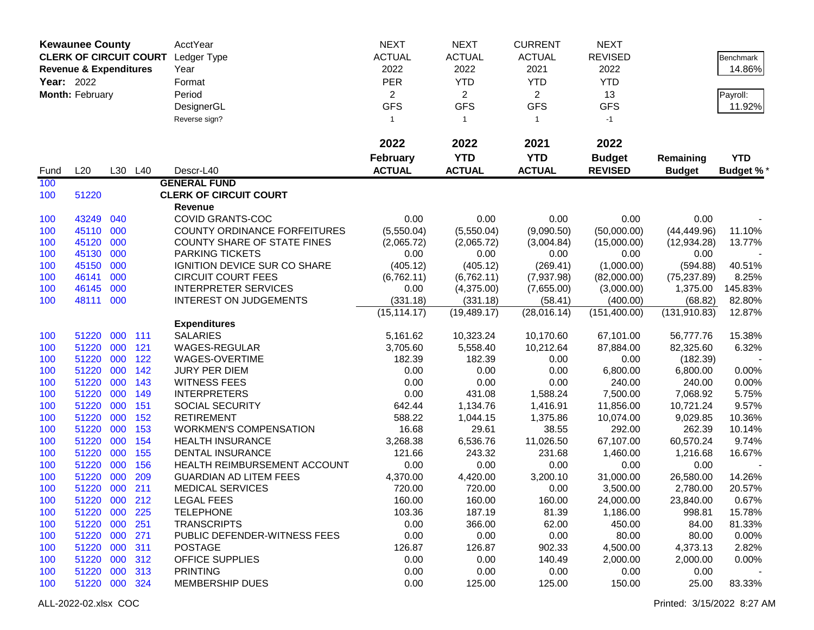| <b>Kewaunee County</b><br><b>CLERK OF CIRCUIT COURT</b> |                                      |     | AcctYear | <b>NEXT</b>                         | <b>NEXT</b>     | <b>CURRENT</b> | <b>NEXT</b>    |                |               |                  |
|---------------------------------------------------------|--------------------------------------|-----|----------|-------------------------------------|-----------------|----------------|----------------|----------------|---------------|------------------|
|                                                         | <b>Revenue &amp; Expenditures</b>    |     |          | Ledger Type                         | <b>ACTUAL</b>   | <b>ACTUAL</b>  | <b>ACTUAL</b>  | <b>REVISED</b> |               | <b>Benchmark</b> |
|                                                         | <b>Year: 2022</b><br>Month: February |     |          | Year                                | 2022            | 2022           | 2021           | 2022           |               | 14.86%           |
|                                                         |                                      |     |          | Format                              | <b>PER</b>      | <b>YTD</b>     | <b>YTD</b>     | <b>YTD</b>     |               |                  |
|                                                         |                                      |     |          | Period                              | $\overline{2}$  | $\overline{2}$ | $\overline{2}$ | 13             |               |                  |
|                                                         |                                      |     |          |                                     | <b>GFS</b>      | <b>GFS</b>     | <b>GFS</b>     | <b>GFS</b>     |               | Payroll:         |
|                                                         |                                      |     |          | DesignerGL                          |                 |                |                |                |               | 11.92%           |
|                                                         |                                      |     |          | Reverse sign?                       | $\mathbf{1}$    | $\mathbf{1}$   | $\mathbf{1}$   | $-1$           |               |                  |
|                                                         |                                      |     |          |                                     | 2022            | 2022           | 2021           | 2022           |               |                  |
|                                                         |                                      |     |          |                                     | <b>February</b> | <b>YTD</b>     | <b>YTD</b>     | <b>Budget</b>  | Remaining     | <b>YTD</b>       |
| Fund                                                    | L20                                  |     | L30 L40  | Descr-L40                           | <b>ACTUAL</b>   | <b>ACTUAL</b>  | <b>ACTUAL</b>  | <b>REVISED</b> | <b>Budget</b> | <b>Budget %*</b> |
| 100                                                     |                                      |     |          | <b>GENERAL FUND</b>                 |                 |                |                |                |               |                  |
| 100                                                     | 51220                                |     |          | <b>CLERK OF CIRCUIT COURT</b>       |                 |                |                |                |               |                  |
|                                                         |                                      |     |          | Revenue                             |                 |                |                |                |               |                  |
| 100                                                     | 43249                                | 040 |          | COVID GRANTS-COC                    | 0.00            | 0.00           | 0.00           | 0.00           | 0.00          |                  |
| 100                                                     | 45110 000                            |     |          | <b>COUNTY ORDINANCE FORFEITURES</b> | (5,550.04)      | (5,550.04)     | (9,090.50)     | (50,000.00)    | (44, 449.96)  | 11.10%           |
| 100                                                     | 45120                                | 000 |          | <b>COUNTY SHARE OF STATE FINES</b>  | (2,065.72)      | (2,065.72)     | (3,004.84)     | (15,000.00)    | (12, 934.28)  | 13.77%           |
| 100                                                     | 45130                                | 000 |          | <b>PARKING TICKETS</b>              | 0.00            | 0.00           | 0.00           | 0.00           | 0.00          |                  |
| 100                                                     | 45150                                | 000 |          | IGNITION DEVICE SUR CO SHARE        | (405.12)        | (405.12)       | (269.41)       | (1,000.00)     | (594.88)      | 40.51%           |
| 100                                                     | 46141                                | 000 |          | <b>CIRCUIT COURT FEES</b>           | (6,762.11)      | (6,762.11)     | (7,937.98)     | (82,000.00)    | (75, 237.89)  | 8.25%            |
| 100                                                     | 46145                                | 000 |          | <b>INTERPRETER SERVICES</b>         | 0.00            | (4,375.00)     | (7,655.00)     | (3,000.00)     | 1,375.00      | 145.83%          |
| 100                                                     | 48111                                | 000 |          | <b>INTEREST ON JUDGEMENTS</b>       | (331.18)        | (331.18)       | (58.41)        | (400.00)       | (68.82)       | 82.80%           |
|                                                         |                                      |     |          |                                     | (15, 114.17)    | (19, 489.17)   | (28,016.14)    | (151, 400.00)  | (131, 910.83) | 12.87%           |
|                                                         |                                      |     |          | <b>Expenditures</b>                 |                 |                |                |                |               |                  |
| 100                                                     | 51220                                | 000 | 111      | <b>SALARIES</b>                     | 5,161.62        | 10,323.24      | 10,170.60      | 67,101.00      | 56,777.76     | 15.38%           |
| 100                                                     | 51220                                | 000 | 121      | WAGES-REGULAR                       | 3,705.60        | 5,558.40       | 10,212.64      | 87,884.00      | 82,325.60     | 6.32%            |
| 100                                                     | 51220                                | 000 | 122      | WAGES-OVERTIME                      | 182.39          | 182.39         | 0.00           | 0.00           | (182.39)      |                  |
| 100                                                     | 51220                                | 000 | 142      | <b>JURY PER DIEM</b>                | 0.00            | 0.00           | 0.00           | 6,800.00       | 6,800.00      | 0.00%            |
| 100                                                     | 51220                                | 000 | 143      | <b>WITNESS FEES</b>                 | 0.00            | 0.00           | 0.00           | 240.00         | 240.00        | 0.00%            |
| 100                                                     | 51220                                | 000 | 149      | <b>INTERPRETERS</b>                 | 0.00            | 431.08         | 1,588.24       | 7,500.00       | 7,068.92      | 5.75%            |
| 100                                                     | 51220                                | 000 | 151      | SOCIAL SECURITY                     | 642.44          | 1,134.76       | 1,416.91       | 11,856.00      | 10,721.24     | 9.57%            |
| 100                                                     | 51220                                | 000 | 152      | <b>RETIREMENT</b>                   | 588.22          | 1,044.15       | 1,375.86       | 10,074.00      | 9,029.85      | 10.36%           |
| 100                                                     | 51220                                | 000 | 153      | <b>WORKMEN'S COMPENSATION</b>       | 16.68           | 29.61          | 38.55          | 292.00         | 262.39        | 10.14%           |
| 100                                                     | 51220                                | 000 | 154      | <b>HEALTH INSURANCE</b>             | 3,268.38        | 6,536.76       | 11,026.50      | 67,107.00      | 60,570.24     | 9.74%            |
| 100                                                     | 51220                                | 000 | 155      | <b>DENTAL INSURANCE</b>             | 121.66          | 243.32         | 231.68         | 1,460.00       | 1,216.68      | 16.67%           |
| 100                                                     | 51220                                | 000 | 156      | HEALTH REIMBURSEMENT ACCOUNT        | 0.00            | 0.00           | 0.00           | 0.00           | 0.00          |                  |
| 100                                                     | 51220                                | 000 | 209      | <b>GUARDIAN AD LITEM FEES</b>       | 4,370.00        | 4,420.00       | 3,200.10       | 31,000.00      | 26,580.00     | 14.26%           |
| 100                                                     | 51220 000                            |     | 211      | <b>MEDICAL SERVICES</b>             | 720.00          | 720.00         | 0.00           | 3,500.00       | 2,780.00      | 20.57%           |
| 100                                                     | 51220 000 212                        |     |          | <b>LEGAL FEES</b>                   | 160.00          | 160.00         | 160.00         | 24,000.00      | 23,840.00     | 0.67%            |
| 100                                                     | 51220 000 225                        |     |          | <b>TELEPHONE</b>                    | 103.36          | 187.19         | 81.39          | 1,186.00       | 998.81        | 15.78%           |
| 100                                                     | 51220 000                            |     | 251      | <b>TRANSCRIPTS</b>                  | 0.00            | 366.00         | 62.00          | 450.00         | 84.00         | 81.33%           |
| 100                                                     | 51220 000                            |     | 271      | PUBLIC DEFENDER-WITNESS FEES        | 0.00            | 0.00           | 0.00           | 80.00          | 80.00         | 0.00%            |
| 100                                                     | 51220 000                            |     | 311      | <b>POSTAGE</b>                      | 126.87          | 126.87         | 902.33         | 4,500.00       | 4,373.13      | 2.82%            |
| 100                                                     | 51220                                | 000 | 312      | <b>OFFICE SUPPLIES</b>              | 0.00            | 0.00           | 140.49         | 2,000.00       | 2,000.00      | 0.00%            |
| 100                                                     | 51220 000                            |     | 313      | <b>PRINTING</b>                     | 0.00            | 0.00           | 0.00           | 0.00           | 0.00          |                  |
| 100                                                     | 51220 000 324                        |     |          | <b>MEMBERSHIP DUES</b>              | 0.00            | 125.00         | 125.00         | 150.00         | 25.00         | 83.33%           |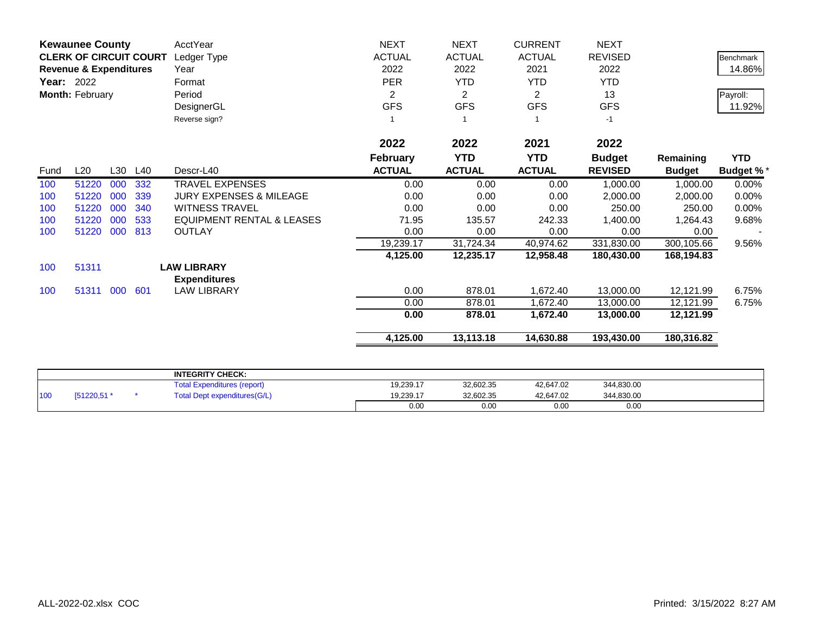|                   | <b>Kewaunee County</b><br><b>CLERK OF CIRCUIT COURT</b> |     |     | <b>AcctYear</b>                           | <b>NEXT</b>     | <b>NEXT</b>    | <b>CURRENT</b> | <b>NEXT</b>    |               |                  |
|-------------------|---------------------------------------------------------|-----|-----|-------------------------------------------|-----------------|----------------|----------------|----------------|---------------|------------------|
|                   |                                                         |     |     | Ledger Type                               | <b>ACTUAL</b>   | <b>ACTUAL</b>  | <b>ACTUAL</b>  | <b>REVISED</b> |               | <b>Benchmark</b> |
|                   | <b>Revenue &amp; Expenditures</b>                       |     |     | Year                                      | 2022            | 2022           | 2021           | 2022           |               | 14.86%           |
| <b>Year: 2022</b> |                                                         |     |     | Format                                    | <b>PER</b>      | <b>YTD</b>     | <b>YTD</b>     | <b>YTD</b>     |               |                  |
|                   | Month: February                                         |     |     | Period                                    | 2               | $\overline{2}$ | 2              | 13             |               | Payroll:         |
|                   |                                                         |     |     | DesignerGL                                | <b>GFS</b>      | <b>GFS</b>     | <b>GFS</b>     | <b>GFS</b>     |               | 11.92%           |
|                   |                                                         |     |     | Reverse sign?                             |                 |                |                | $-1$           |               |                  |
|                   |                                                         |     |     |                                           | 2022            | 2022           | 2021           | 2022           |               |                  |
|                   |                                                         |     |     |                                           | <b>February</b> | <b>YTD</b>     | <b>YTD</b>     | <b>Budget</b>  | Remaining     | <b>YTD</b>       |
| Fund              | L20                                                     | L30 | L40 | Descr-L40                                 | <b>ACTUAL</b>   | <b>ACTUAL</b>  | <b>ACTUAL</b>  | <b>REVISED</b> | <b>Budget</b> | <b>Budget %*</b> |
| 100               | 51220                                                   | 000 | 332 | <b>TRAVEL EXPENSES</b>                    | 0.00            | 0.00           | 0.00           | 1,000.00       | 1,000.00      | 0.00%            |
| 100               | 51220                                                   | 000 | 339 | <b>JURY EXPENSES &amp; MILEAGE</b>        | 0.00            | 0.00           | 0.00           | 2,000.00       | 2,000.00      | 0.00%            |
| 100               | 51220                                                   | 000 | 340 | <b>WITNESS TRAVEL</b>                     | 0.00            | 0.00           | 0.00           | 250.00         | 250.00        | 0.00%            |
| 100               | 51220                                                   | 000 | 533 | <b>EQUIPMENT RENTAL &amp; LEASES</b>      | 71.95           | 135.57         | 242.33         | 1,400.00       | 1,264.43      | 9.68%            |
| 100               | 51220                                                   | 000 | 813 | <b>OUTLAY</b>                             | 0.00            | 0.00           | 0.00           | 0.00           | 0.00          |                  |
|                   |                                                         |     |     |                                           | 19,239.17       | 31,724.34      | 40,974.62      | 331,830.00     | 300,105.66    | 9.56%            |
|                   |                                                         |     |     |                                           | 4,125.00        | 12,235.17      | 12,958.48      | 180,430.00     | 168,194.83    |                  |
| 100               | 51311                                                   |     |     | <b>LAW LIBRARY</b><br><b>Expenditures</b> |                 |                |                |                |               |                  |
| 100               | 51311 000                                               |     | 601 | <b>LAW LIBRARY</b>                        | 0.00            | 878.01         | 1,672.40       | 13,000.00      | 12,121.99     | 6.75%            |
|                   |                                                         |     |     |                                           | 0.00            | 878.01         | 1.672.40       | 13,000.00      | 12,121.99     | 6.75%            |
|                   |                                                         |     |     |                                           | 0.00            | 878.01         | 1,672.40       | 13,000.00      | 12,121.99     |                  |
|                   |                                                         |     |     |                                           | 4,125.00        | 13,113.18      | 14,630.88      | 193,430.00     | 180,316.82    |                  |
|                   |                                                         |     |     |                                           |                 |                |                |                |               |                  |
|                   |                                                         |     |     | <b>INTEGRITY CHECK:</b>                   |                 |                |                |                |               |                  |
|                   |                                                         |     |     | <b>Total Expenditures (report)</b>        | 19,239.17       | 32,602.35      | 42,647.02      | 344,830.00     |               |                  |

100 [51220,51 \* Total Dept expenditures(G/L) 19,239.17 32,602.35 42,647.02 344,830.00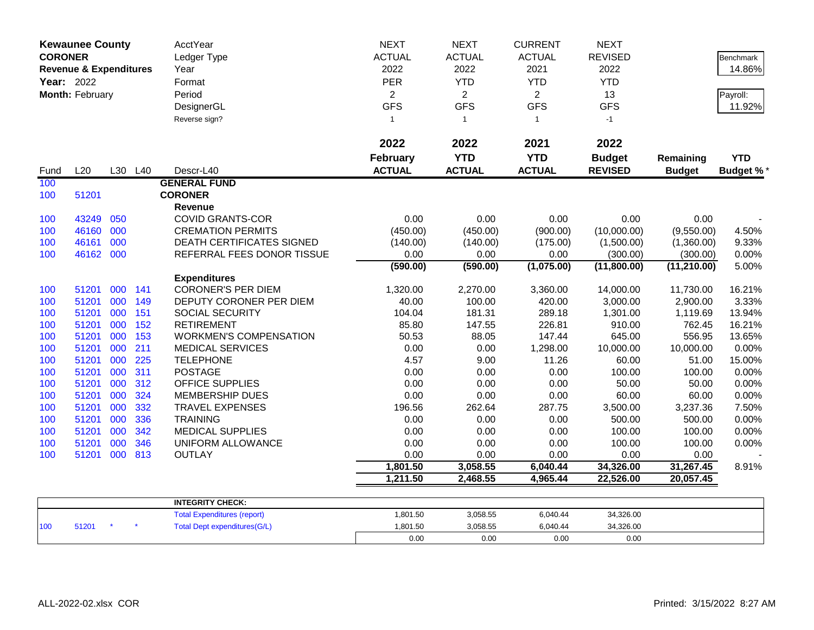| <b>Kewaunee County</b><br><b>CORONER</b><br><b>Revenue &amp; Expenditures</b><br>Year: 2022<br>Month: February |           |         |     | AcctYear<br>Ledger Type<br>Year<br>Format<br>Period<br>DesignerGL<br>Reverse sign? | <b>NEXT</b><br><b>ACTUAL</b><br>2022<br>PER<br>$\overline{2}$<br><b>GFS</b><br>$\mathbf{1}$ | <b>NEXT</b><br><b>ACTUAL</b><br>2022<br><b>YTD</b><br>$\overline{2}$<br><b>GFS</b><br>$\mathbf{1}$ | <b>CURRENT</b><br><b>ACTUAL</b><br>2021<br><b>YTD</b><br>$\overline{2}$<br><b>GFS</b><br>$\mathbf{1}$ | <b>NEXT</b><br><b>REVISED</b><br>2022<br><b>YTD</b><br>13<br><b>GFS</b><br>$-1$ |               | Benchmark<br>14.86%<br>Payroll:<br>11.92% |
|----------------------------------------------------------------------------------------------------------------|-----------|---------|-----|------------------------------------------------------------------------------------|---------------------------------------------------------------------------------------------|----------------------------------------------------------------------------------------------------|-------------------------------------------------------------------------------------------------------|---------------------------------------------------------------------------------|---------------|-------------------------------------------|
|                                                                                                                |           |         |     |                                                                                    | 2022                                                                                        | 2022                                                                                               | 2021                                                                                                  | 2022                                                                            |               |                                           |
|                                                                                                                |           |         |     |                                                                                    | <b>February</b>                                                                             | <b>YTD</b>                                                                                         | <b>YTD</b>                                                                                            | <b>Budget</b>                                                                   | Remaining     | <b>YTD</b>                                |
| Fund                                                                                                           | L20       | L30 L40 |     | Descr-L40                                                                          | <b>ACTUAL</b>                                                                               | <b>ACTUAL</b>                                                                                      | <b>ACTUAL</b>                                                                                         | <b>REVISED</b>                                                                  | <b>Budget</b> | Budget %*                                 |
| 100                                                                                                            |           |         |     | <b>GENERAL FUND</b>                                                                |                                                                                             |                                                                                                    |                                                                                                       |                                                                                 |               |                                           |
| 100                                                                                                            | 51201     |         |     | <b>CORONER</b><br><b>Revenue</b>                                                   |                                                                                             |                                                                                                    |                                                                                                       |                                                                                 |               |                                           |
| 100                                                                                                            | 43249     | 050     |     | <b>COVID GRANTS-COR</b>                                                            | 0.00                                                                                        | 0.00                                                                                               | 0.00                                                                                                  | 0.00                                                                            | 0.00          |                                           |
| 100                                                                                                            | 46160     | 000     |     | <b>CREMATION PERMITS</b>                                                           | (450.00)                                                                                    | (450.00)                                                                                           | (900.00)                                                                                              | (10,000.00)                                                                     | (9,550.00)    | 4.50%                                     |
| 100                                                                                                            | 46161     | 000     |     | DEATH CERTIFICATES SIGNED                                                          | (140.00)                                                                                    | (140.00)                                                                                           | (175.00)                                                                                              | (1,500.00)                                                                      | (1,360.00)    | 9.33%                                     |
| 100                                                                                                            | 46162 000 |         |     | REFERRAL FEES DONOR TISSUE                                                         | 0.00                                                                                        | 0.00                                                                                               | 0.00                                                                                                  | (300.00)                                                                        | (300.00)      | 0.00%                                     |
|                                                                                                                |           |         |     |                                                                                    | (590.00)                                                                                    | (590.00)                                                                                           | (1,075.00)                                                                                            | (11,800.00)                                                                     | (11, 210.00)  | 5.00%                                     |
|                                                                                                                |           |         |     | <b>Expenditures</b>                                                                |                                                                                             |                                                                                                    |                                                                                                       |                                                                                 |               |                                           |
| 100                                                                                                            | 51201     | 000 141 |     | <b>CORONER'S PER DIEM</b>                                                          | 1,320.00                                                                                    | 2,270.00                                                                                           | 3,360.00                                                                                              | 14,000.00                                                                       | 11,730.00     | 16.21%                                    |
| 100                                                                                                            | 51201     | 000     | 149 | DEPUTY CORONER PER DIEM                                                            | 40.00                                                                                       | 100.00                                                                                             | 420.00                                                                                                | 3,000.00                                                                        | 2,900.00      | 3.33%                                     |
| 100                                                                                                            | 51201     | 000     | 151 | <b>SOCIAL SECURITY</b>                                                             | 104.04                                                                                      | 181.31                                                                                             | 289.18                                                                                                | 1,301.00                                                                        | 1,119.69      | 13.94%                                    |
| 100                                                                                                            | 51201     | 000     | 152 | <b>RETIREMENT</b>                                                                  | 85.80                                                                                       | 147.55                                                                                             | 226.81                                                                                                | 910.00                                                                          | 762.45        | 16.21%                                    |
| 100                                                                                                            | 51201     | 000     | 153 | <b>WORKMEN'S COMPENSATION</b>                                                      | 50.53                                                                                       | 88.05                                                                                              | 147.44                                                                                                | 645.00                                                                          | 556.95        | 13.65%                                    |
| 100                                                                                                            | 51201     | 000     | 211 | <b>MEDICAL SERVICES</b>                                                            | 0.00                                                                                        | 0.00                                                                                               | 1,298.00                                                                                              | 10,000.00                                                                       | 10,000.00     | 0.00%                                     |
| 100                                                                                                            | 51201     | 000     | 225 | <b>TELEPHONE</b>                                                                   | 4.57                                                                                        | 9.00                                                                                               | 11.26                                                                                                 | 60.00                                                                           | 51.00         | 15.00%                                    |
| 100                                                                                                            | 51201     | 000     | 311 | <b>POSTAGE</b>                                                                     | 0.00                                                                                        | 0.00                                                                                               | 0.00                                                                                                  | 100.00                                                                          | 100.00        | 0.00%                                     |
| 100                                                                                                            | 51201     | 000     | 312 | <b>OFFICE SUPPLIES</b>                                                             | 0.00                                                                                        | 0.00                                                                                               | 0.00                                                                                                  | 50.00                                                                           | 50.00         | 0.00%                                     |
| 100                                                                                                            | 51201     | 000     | 324 | <b>MEMBERSHIP DUES</b>                                                             | 0.00                                                                                        | 0.00                                                                                               | 0.00                                                                                                  | 60.00                                                                           | 60.00         | 0.00%                                     |
| 100                                                                                                            | 51201     | 000     | 332 | <b>TRAVEL EXPENSES</b>                                                             | 196.56                                                                                      | 262.64                                                                                             | 287.75                                                                                                | 3,500.00                                                                        | 3,237.36      | 7.50%                                     |
| 100                                                                                                            | 51201     | 000     | 336 | <b>TRAINING</b>                                                                    | 0.00                                                                                        | 0.00                                                                                               | 0.00                                                                                                  | 500.00                                                                          | 500.00        | 0.00%                                     |
| 100                                                                                                            | 51201     | 000     | 342 | <b>MEDICAL SUPPLIES</b>                                                            | 0.00                                                                                        | 0.00                                                                                               | 0.00                                                                                                  | 100.00                                                                          | 100.00        | 0.00%                                     |
| 100                                                                                                            | 51201     | 000     | 346 | UNIFORM ALLOWANCE                                                                  | 0.00                                                                                        | 0.00                                                                                               | 0.00                                                                                                  | 100.00                                                                          | 100.00        | 0.00%                                     |
| 100                                                                                                            | 51201     | 000     | 813 | <b>OUTLAY</b>                                                                      | 0.00                                                                                        | 0.00                                                                                               | 0.00                                                                                                  | 0.00                                                                            | 0.00          |                                           |
|                                                                                                                |           |         |     |                                                                                    | 1,801.50                                                                                    | 3,058.55                                                                                           | 6,040.44                                                                                              | 34,326.00                                                                       | 31,267.45     | 8.91%                                     |
|                                                                                                                |           |         |     |                                                                                    | 1,211.50                                                                                    | 2,468.55                                                                                           | 4,965.44                                                                                              | 22,526.00                                                                       | 20,057.45     |                                           |
|                                                                                                                |           |         |     | <b>INTEGRITY CHECK:</b>                                                            |                                                                                             |                                                                                                    |                                                                                                       |                                                                                 |               |                                           |
|                                                                                                                |           |         |     | <b>Total Expenditures (report)</b>                                                 | 1,801.50                                                                                    | 3,058.55                                                                                           | 6,040.44                                                                                              | 34,326.00                                                                       |               |                                           |
| 100                                                                                                            | 51201     |         |     | <b>Total Dept expenditures(G/L)</b>                                                | 1,801.50                                                                                    | 3,058.55                                                                                           | 6,040.44                                                                                              | 34,326.00                                                                       |               |                                           |
|                                                                                                                |           |         |     |                                                                                    | 0.00                                                                                        | 0.00                                                                                               | 0.00                                                                                                  | 0.00                                                                            |               |                                           |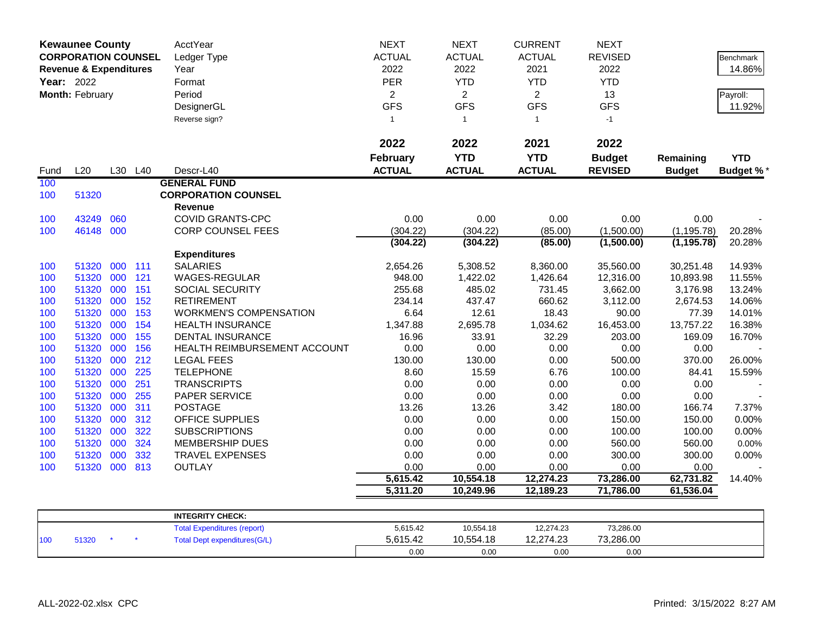| <b>Kewaunee County</b><br><b>CORPORATION COUNSEL</b> |                                   |         |     | AcctYear                            | <b>NEXT</b>     | <b>NEXT</b>    | <b>CURRENT</b> | <b>NEXT</b>    |               |                  |
|------------------------------------------------------|-----------------------------------|---------|-----|-------------------------------------|-----------------|----------------|----------------|----------------|---------------|------------------|
|                                                      |                                   |         |     | Ledger Type                         | <b>ACTUAL</b>   | <b>ACTUAL</b>  | <b>ACTUAL</b>  | <b>REVISED</b> |               | <b>Benchmark</b> |
|                                                      | <b>Revenue &amp; Expenditures</b> |         |     | Year                                | 2022            | 2022           | 2021           | 2022           |               | 14.86%           |
| Year: 2022                                           |                                   |         |     | Format                              | PER             | <b>YTD</b>     | <b>YTD</b>     | <b>YTD</b>     |               |                  |
|                                                      | Month: February                   |         |     | Period                              | $\overline{2}$  | $\overline{2}$ | $\overline{2}$ | 13             |               | Payroll:         |
|                                                      |                                   |         |     | DesignerGL                          | <b>GFS</b>      | <b>GFS</b>     | <b>GFS</b>     | <b>GFS</b>     |               | 11.92%           |
|                                                      |                                   |         |     | Reverse sign?                       | $\mathbf{1}$    | $\mathbf{1}$   | $\mathbf{1}$   | $-1$           |               |                  |
|                                                      |                                   |         |     |                                     |                 |                |                |                |               |                  |
|                                                      |                                   |         |     |                                     | 2022            | 2022           | 2021           | 2022           |               |                  |
|                                                      |                                   |         |     |                                     | <b>February</b> | <b>YTD</b>     | <b>YTD</b>     | <b>Budget</b>  | Remaining     | <b>YTD</b>       |
| Fund                                                 | L20                               | L30 L40 |     | Descr-L40                           | <b>ACTUAL</b>   | <b>ACTUAL</b>  | <b>ACTUAL</b>  | <b>REVISED</b> | <b>Budget</b> | <b>Budget %*</b> |
| 100                                                  |                                   |         |     | <b>GENERAL FUND</b>                 |                 |                |                |                |               |                  |
| 100                                                  | 51320                             |         |     | <b>CORPORATION COUNSEL</b>          |                 |                |                |                |               |                  |
|                                                      |                                   |         |     | <b>Revenue</b>                      |                 |                |                |                |               |                  |
| 100                                                  | 43249                             | 060     |     | <b>COVID GRANTS-CPC</b>             | 0.00            | 0.00           | 0.00           | 0.00           | 0.00          |                  |
| 100                                                  | 46148                             | 000     |     | <b>CORP COUNSEL FEES</b>            | (304.22)        | (304.22)       | (85.00)        | (1,500.00)     | (1, 195.78)   | 20.28%           |
|                                                      |                                   |         |     |                                     | (304.22)        | (304.22)       | (85.00)        | (1,500.00)     | (1, 195.78)   | 20.28%           |
|                                                      |                                   |         |     | <b>Expenditures</b>                 |                 |                |                |                |               |                  |
| 100                                                  | 51320                             | 000     | 111 | <b>SALARIES</b>                     | 2,654.26        | 5,308.52       | 8,360.00       | 35,560.00      | 30,251.48     | 14.93%           |
| 100                                                  | 51320                             | 000     | 121 | WAGES-REGULAR                       | 948.00          | 1,422.02       | 1,426.64       | 12,316.00      | 10,893.98     | 11.55%           |
| 100                                                  | 51320                             | 000     | 151 | SOCIAL SECURITY                     | 255.68          | 485.02         | 731.45         | 3,662.00       | 3,176.98      | 13.24%           |
| 100                                                  | 51320                             | 000     | 152 | <b>RETIREMENT</b>                   | 234.14          | 437.47         | 660.62         | 3,112.00       | 2,674.53      | 14.06%           |
| 100                                                  | 51320                             | 000     | 153 | <b>WORKMEN'S COMPENSATION</b>       | 6.64            | 12.61          | 18.43          | 90.00          | 77.39         | 14.01%           |
| 100                                                  | 51320                             | 000     | 154 | <b>HEALTH INSURANCE</b>             | 1,347.88        | 2,695.78       | 1,034.62       | 16,453.00      | 13,757.22     | 16.38%           |
| 100                                                  | 51320                             | 000     | 155 | <b>DENTAL INSURANCE</b>             | 16.96           | 33.91          | 32.29          | 203.00         | 169.09        | 16.70%           |
| 100                                                  | 51320                             | 000     | 156 | HEALTH REIMBURSEMENT ACCOUNT        | 0.00            | 0.00           | 0.00           | 0.00           | 0.00          |                  |
| 100                                                  | 51320                             | 000     | 212 | <b>LEGAL FEES</b>                   | 130.00          | 130.00         | 0.00           | 500.00         | 370.00        | 26.00%           |
| 100                                                  | 51320                             | 000     | 225 | <b>TELEPHONE</b>                    | 8.60            | 15.59          | 6.76           | 100.00         | 84.41         | 15.59%           |
| 100                                                  | 51320                             | 000     | 251 | <b>TRANSCRIPTS</b>                  | 0.00            | 0.00           | 0.00           | 0.00           | 0.00          |                  |
| 100                                                  | 51320                             | 000     | 255 | PAPER SERVICE                       | 0.00            | 0.00           | 0.00           | 0.00           | 0.00          |                  |
| 100                                                  | 51320                             | 000     | 311 | <b>POSTAGE</b>                      | 13.26           | 13.26          | 3.42           | 180.00         | 166.74        | 7.37%            |
| 100                                                  | 51320                             | 000     | 312 | OFFICE SUPPLIES                     | 0.00            | 0.00           | 0.00           | 150.00         | 150.00        | 0.00%            |
| 100                                                  | 51320                             | 000     | 322 | <b>SUBSCRIPTIONS</b>                | 0.00            | 0.00           | 0.00           | 100.00         | 100.00        | 0.00%            |
| 100                                                  | 51320                             | 000     | 324 | <b>MEMBERSHIP DUES</b>              | 0.00            | 0.00           | 0.00           | 560.00         | 560.00        | 0.00%            |
| 100                                                  | 51320                             | 000     | 332 | TRAVEL EXPENSES                     | 0.00            | 0.00           | 0.00           | 300.00         | 300.00        | 0.00%            |
| 100                                                  | 51320                             | 000     | 813 | <b>OUTLAY</b>                       | 0.00            | 0.00           | 0.00           | 0.00           | 0.00          |                  |
|                                                      |                                   |         |     |                                     | 5,615.42        | 10,554.18      | 12,274.23      | 73,286.00      | 62,731.82     | 14.40%           |
|                                                      |                                   |         |     |                                     | 5,311.20        | 10,249.96      | 12,189.23      | 71,786.00      | 61,536.04     |                  |
|                                                      |                                   |         |     |                                     |                 |                |                |                |               |                  |
|                                                      |                                   |         |     | <b>INTEGRITY CHECK:</b>             |                 |                |                |                |               |                  |
|                                                      |                                   |         |     | <b>Total Expenditures (report)</b>  | 5,615.42        | 10,554.18      | 12,274.23      | 73,286.00      |               |                  |
| 100                                                  | 51320                             |         |     | <b>Total Dept expenditures(G/L)</b> | 5,615.42        | 10,554.18      | 12,274.23      | 73,286.00      |               |                  |
|                                                      |                                   |         |     |                                     | 0.00            | 0.00           | 0.00           | 0.00           |               |                  |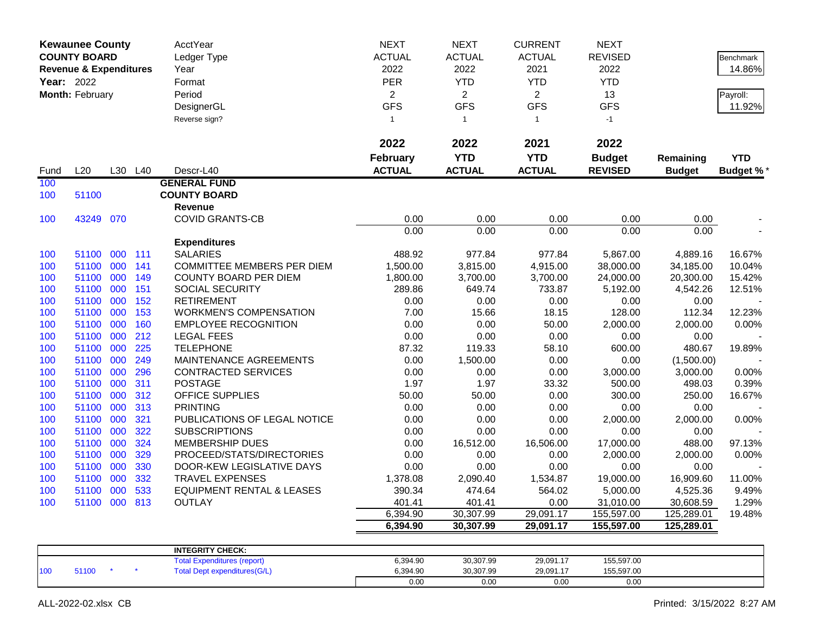|            | <b>Kewaunee County</b><br><b>COUNTY BOARD</b><br><b>Revenue &amp; Expenditures</b><br>Year: 2022<br>Month: February |     |            | AcctYear<br>Ledger Type<br>Year<br>Format<br>Period<br>DesignerGL<br>Reverse sign? | <b>NEXT</b><br><b>ACTUAL</b><br>2022<br><b>PER</b><br>$\overline{2}$<br><b>GFS</b><br>$\mathbf{1}$ | <b>NEXT</b><br><b>ACTUAL</b><br>2022<br><b>YTD</b><br>$\overline{2}$<br><b>GFS</b><br>$\overline{1}$ | <b>CURRENT</b><br><b>ACTUAL</b><br>2021<br><b>YTD</b><br>$\overline{2}$<br><b>GFS</b><br>$\mathbf{1}$ | <b>NEXT</b><br><b>REVISED</b><br>2022<br><b>YTD</b><br>13<br><b>GFS</b><br>$-1$ |                       | <b>Benchmark</b><br>14.86%<br>Payroll:<br>11.92% |
|------------|---------------------------------------------------------------------------------------------------------------------|-----|------------|------------------------------------------------------------------------------------|----------------------------------------------------------------------------------------------------|------------------------------------------------------------------------------------------------------|-------------------------------------------------------------------------------------------------------|---------------------------------------------------------------------------------|-----------------------|--------------------------------------------------|
|            |                                                                                                                     |     |            |                                                                                    | 2022<br>February                                                                                   | 2022<br><b>YTD</b>                                                                                   | 2021<br><b>YTD</b>                                                                                    | 2022<br><b>Budget</b>                                                           | Remaining             | <b>YTD</b>                                       |
| Fund       | L20                                                                                                                 |     | L30 L40    | Descr-L40                                                                          | <b>ACTUAL</b>                                                                                      | <b>ACTUAL</b>                                                                                        | <b>ACTUAL</b>                                                                                         | <b>REVISED</b>                                                                  | <b>Budget</b>         | <b>Budget %*</b>                                 |
| 100        |                                                                                                                     |     |            | <b>GENERAL FUND</b>                                                                |                                                                                                    |                                                                                                      |                                                                                                       |                                                                                 |                       |                                                  |
| 100        | 51100                                                                                                               |     |            | <b>COUNTY BOARD</b>                                                                |                                                                                                    |                                                                                                      |                                                                                                       |                                                                                 |                       |                                                  |
|            |                                                                                                                     |     |            | <b>Revenue</b>                                                                     |                                                                                                    |                                                                                                      |                                                                                                       |                                                                                 |                       |                                                  |
| 100        | 43249 070                                                                                                           |     |            | <b>COVID GRANTS-CB</b>                                                             | 0.00                                                                                               | 0.00                                                                                                 | 0.00                                                                                                  | 0.00                                                                            | 0.00                  |                                                  |
|            |                                                                                                                     |     |            |                                                                                    | 0.00                                                                                               | 0.00                                                                                                 | 0.00                                                                                                  | 0.00                                                                            | 0.00                  |                                                  |
|            | 51100 000                                                                                                           |     |            | <b>Expenditures</b><br><b>SALARIES</b>                                             | 488.92                                                                                             |                                                                                                      |                                                                                                       |                                                                                 |                       |                                                  |
| 100<br>100 | 51100                                                                                                               | 000 | 111<br>141 | <b>COMMITTEE MEMBERS PER DIEM</b>                                                  | 1,500.00                                                                                           | 977.84<br>3,815.00                                                                                   | 977.84<br>4,915.00                                                                                    | 5,867.00<br>38,000.00                                                           | 4,889.16<br>34,185.00 | 16.67%<br>10.04%                                 |
| 100        | 51100                                                                                                               | 000 | 149        | <b>COUNTY BOARD PER DIEM</b>                                                       | 1,800.00                                                                                           | 3,700.00                                                                                             | 3,700.00                                                                                              | 24,000.00                                                                       | 20,300.00             | 15.42%                                           |
| 100        | 51100 000                                                                                                           |     | 151        | SOCIAL SECURITY                                                                    | 289.86                                                                                             | 649.74                                                                                               | 733.87                                                                                                | 5,192.00                                                                        | 4,542.26              | 12.51%                                           |
| 100        | 51100                                                                                                               | 000 | 152        | <b>RETIREMENT</b>                                                                  | 0.00                                                                                               | 0.00                                                                                                 | 0.00                                                                                                  | 0.00                                                                            | 0.00                  |                                                  |
| 100        | 51100                                                                                                               | 000 | 153        | <b>WORKMEN'S COMPENSATION</b>                                                      | 7.00                                                                                               | 15.66                                                                                                | 18.15                                                                                                 | 128.00                                                                          | 112.34                | 12.23%                                           |
| 100        | 51100                                                                                                               | 000 | 160        | <b>EMPLOYEE RECOGNITION</b>                                                        | 0.00                                                                                               | 0.00                                                                                                 | 50.00                                                                                                 | 2,000.00                                                                        | 2,000.00              | 0.00%                                            |
| 100        | 51100                                                                                                               | 000 | 212        | <b>LEGAL FEES</b>                                                                  | 0.00                                                                                               | 0.00                                                                                                 | 0.00                                                                                                  | 0.00                                                                            | 0.00                  |                                                  |
| 100        | 51100                                                                                                               | 000 | 225        | <b>TELEPHONE</b>                                                                   | 87.32                                                                                              | 119.33                                                                                               | 58.10                                                                                                 | 600.00                                                                          | 480.67                | 19.89%                                           |
| 100        | 51100                                                                                                               | 000 | 249        | MAINTENANCE AGREEMENTS                                                             | 0.00                                                                                               | 1,500.00                                                                                             | 0.00                                                                                                  | 0.00                                                                            | (1,500.00)            |                                                  |
| 100        | 51100                                                                                                               | 000 | 296        | <b>CONTRACTED SERVICES</b>                                                         | 0.00                                                                                               | 0.00                                                                                                 | 0.00                                                                                                  | 3,000.00                                                                        | 3,000.00              | 0.00%                                            |
| 100        | 51100                                                                                                               | 000 | 311        | <b>POSTAGE</b>                                                                     | 1.97                                                                                               | 1.97                                                                                                 | 33.32                                                                                                 | 500.00                                                                          | 498.03                | 0.39%                                            |
| 100        | 51100                                                                                                               | 000 | 312        | OFFICE SUPPLIES                                                                    | 50.00                                                                                              | 50.00                                                                                                | 0.00                                                                                                  | 300.00                                                                          | 250.00                | 16.67%                                           |
| 100        | 51100                                                                                                               | 000 | 313        | <b>PRINTING</b>                                                                    | 0.00                                                                                               | 0.00                                                                                                 | 0.00                                                                                                  | 0.00                                                                            | 0.00                  |                                                  |
| 100        | 51100                                                                                                               | 000 | 321        | PUBLICATIONS OF LEGAL NOTICE                                                       | 0.00                                                                                               | 0.00                                                                                                 | 0.00                                                                                                  | 2,000.00                                                                        | 2,000.00              | 0.00%                                            |
| 100        | 51100                                                                                                               | 000 | 322        | <b>SUBSCRIPTIONS</b>                                                               | 0.00                                                                                               | 0.00                                                                                                 | 0.00                                                                                                  | 0.00                                                                            | 0.00                  |                                                  |
| 100        | 51100                                                                                                               | 000 | 324        | <b>MEMBERSHIP DUES</b>                                                             | 0.00                                                                                               | 16,512.00                                                                                            | 16,506.00                                                                                             | 17,000.00                                                                       | 488.00                | 97.13%                                           |
| 100        | 51100                                                                                                               | 000 | 329        | PROCEED/STATS/DIRECTORIES                                                          | 0.00                                                                                               | 0.00                                                                                                 | 0.00                                                                                                  | 2,000.00                                                                        | 2,000.00              | 0.00%                                            |
| 100        | 51100                                                                                                               | 000 | 330        | DOOR-KEW LEGISLATIVE DAYS                                                          | 0.00                                                                                               | 0.00                                                                                                 | 0.00                                                                                                  | 0.00                                                                            | 0.00                  |                                                  |
| 100        | 51100                                                                                                               | 000 | 332        | <b>TRAVEL EXPENSES</b>                                                             | 1,378.08                                                                                           | 2,090.40                                                                                             | 1,534.87                                                                                              | 19,000.00                                                                       | 16,909.60             | 11.00%                                           |
| 100        | 51100                                                                                                               | 000 | 533        | <b>EQUIPMENT RENTAL &amp; LEASES</b>                                               | 390.34                                                                                             | 474.64                                                                                               | 564.02                                                                                                | 5,000.00                                                                        | 4,525.36              | 9.49%                                            |
| 100        | 51100 000                                                                                                           |     | 813        | <b>OUTLAY</b>                                                                      | 401.41                                                                                             | 401.41                                                                                               | 0.00                                                                                                  | 31,010.00                                                                       | 30,608.59             | 1.29%                                            |
|            |                                                                                                                     |     |            |                                                                                    | 6,394.90                                                                                           | 30,307.99                                                                                            | 29,091.17                                                                                             | 155,597.00                                                                      | 125,289.01            | 19.48%                                           |
|            |                                                                                                                     |     |            |                                                                                    | 6,394.90                                                                                           | 30,307.99                                                                                            | 29,091.17                                                                                             | 155,597.00                                                                      | 125,289.01            |                                                  |
|            |                                                                                                                     |     |            |                                                                                    |                                                                                                    |                                                                                                      |                                                                                                       |                                                                                 |                       |                                                  |
|            |                                                                                                                     |     |            | <b>INTEGRITY CHECK:</b>                                                            |                                                                                                    |                                                                                                      |                                                                                                       |                                                                                 |                       |                                                  |
| 100        | 51100                                                                                                               |     |            | <b>Total Expenditures (report)</b><br><b>Total Dept expenditures(G/L)</b>          | 6,394.90<br>6,394.90                                                                               | 30,307.99<br>30,307.99                                                                               | 29,091.17<br>29,091.17                                                                                | 155,597.00<br>155,597.00                                                        |                       |                                                  |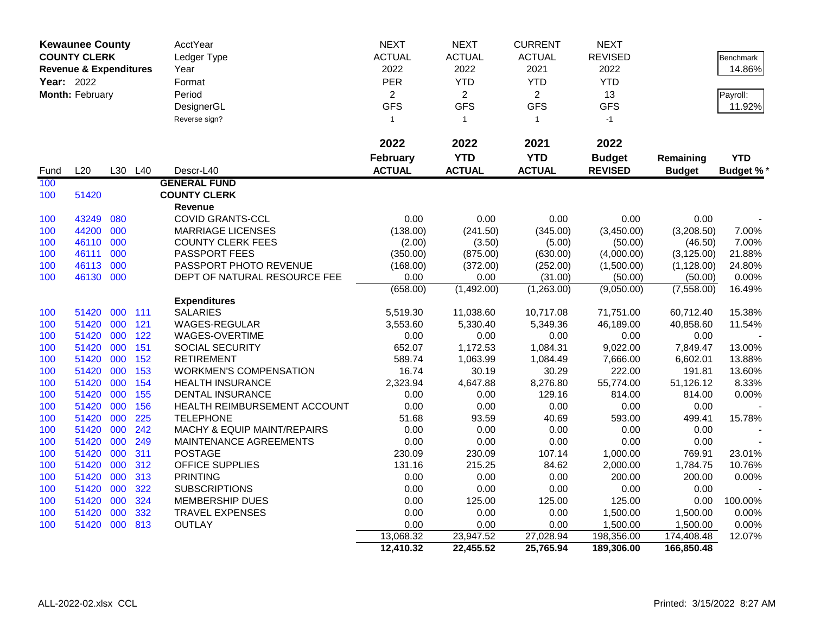|            | <b>Kewaunee County</b>                                   |     |         | <b>AcctYear</b>               | <b>NEXT</b>     | <b>NEXT</b>    | <b>CURRENT</b> | <b>NEXT</b>         |               |                  |
|------------|----------------------------------------------------------|-----|---------|-------------------------------|-----------------|----------------|----------------|---------------------|---------------|------------------|
|            | <b>COUNTY CLERK</b><br><b>Revenue &amp; Expenditures</b> |     |         | Ledger Type                   | <b>ACTUAL</b>   | <b>ACTUAL</b>  | <b>ACTUAL</b>  | <b>REVISED</b>      |               | <b>Benchmark</b> |
|            |                                                          |     |         | Year                          | 2022            | 2022           | 2021           | 2022                |               | 14.86%           |
| Year: 2022 |                                                          |     |         | Format                        | <b>PER</b>      | <b>YTD</b>     | <b>YTD</b>     | <b>YTD</b>          |               |                  |
|            | Month: February                                          |     |         | Period                        | $\overline{2}$  | $\overline{2}$ | $\overline{2}$ | 13                  |               | Payroll:         |
|            |                                                          |     |         | DesignerGL                    | <b>GFS</b>      | <b>GFS</b>     | <b>GFS</b>     | <b>GFS</b>          |               | 11.92%           |
|            |                                                          |     |         | Reverse sign?                 | $\mathbf{1}$    | $\mathbf{1}$   | $\mathbf{1}$   | $-1$                |               |                  |
|            |                                                          |     |         |                               |                 |                |                |                     |               |                  |
|            |                                                          |     |         |                               | 2022            | 2022           | 2021           | 2022                |               |                  |
|            |                                                          |     |         |                               | <b>February</b> | <b>YTD</b>     | <b>YTD</b>     | <b>Budget</b>       | Remaining     | <b>YTD</b>       |
| Fund       | L20                                                      |     | L30 L40 | Descr-L40                     | <b>ACTUAL</b>   | <b>ACTUAL</b>  | <b>ACTUAL</b>  | <b>REVISED</b>      | <b>Budget</b> | <b>Budget %*</b> |
| 100        |                                                          |     |         | <b>GENERAL FUND</b>           |                 |                |                |                     |               |                  |
| 100        | 51420                                                    |     |         | <b>COUNTY CLERK</b>           |                 |                |                |                     |               |                  |
|            |                                                          |     |         | Revenue                       |                 |                |                |                     |               |                  |
| 100        | 43249                                                    | 080 |         | <b>COVID GRANTS-CCL</b>       | 0.00            | 0.00           | 0.00           | 0.00                | 0.00          |                  |
| 100        | 44200                                                    | 000 |         | <b>MARRIAGE LICENSES</b>      | (138.00)        | (241.50)       | (345.00)       | (3,450.00)          | (3,208.50)    | 7.00%            |
| 100        | 46110                                                    | 000 |         | <b>COUNTY CLERK FEES</b>      | (2.00)          | (3.50)         | (5.00)         | (50.00)             | (46.50)       | 7.00%            |
| 100        | 46111                                                    | 000 |         | PASSPORT FEES                 | (350.00)        | (875.00)       | (630.00)       | (4,000.00)          | (3, 125.00)   | 21.88%           |
| 100        | 46113                                                    | 000 |         | PASSPORT PHOTO REVENUE        | (168.00)        | (372.00)       | (252.00)       | (1,500.00)          | (1, 128.00)   | 24.80%           |
| 100        | 46130 000                                                |     |         | DEPT OF NATURAL RESOURCE FEE  | 0.00            | 0.00           | (31.00)        | (50.00)             | (50.00)       | 0.00%            |
|            |                                                          |     |         |                               | (658.00)        | (1,492.00)     | (1,263.00)     | $\sqrt{(9,050.00)}$ | (7,558.00)    | 16.49%           |
|            |                                                          |     |         | <b>Expenditures</b>           |                 |                |                |                     |               |                  |
| 100        | 51420                                                    | 000 | 111     | <b>SALARIES</b>               | 5,519.30        | 11,038.60      | 10,717.08      | 71,751.00           | 60,712.40     | 15.38%           |
| 100        | 51420                                                    | 000 | 121     | WAGES-REGULAR                 | 3,553.60        | 5,330.40       | 5,349.36       | 46,189.00           | 40,858.60     | 11.54%           |
| 100        | 51420                                                    | 000 | 122     | WAGES-OVERTIME                | 0.00            | 0.00           | 0.00           | 0.00                | 0.00          |                  |
| 100        | 51420                                                    | 000 | 151     | SOCIAL SECURITY               | 652.07          | 1,172.53       | 1,084.31       | 9,022.00            | 7,849.47      | 13.00%           |
| 100        | 51420                                                    | 000 | 152     | <b>RETIREMENT</b>             | 589.74          | 1,063.99       | 1,084.49       | 7,666.00            | 6,602.01      | 13.88%           |
| 100        | 51420                                                    | 000 | 153     | <b>WORKMEN'S COMPENSATION</b> | 16.74           | 30.19          | 30.29          | 222.00              | 191.81        | 13.60%           |
| 100        | 51420                                                    | 000 | 154     | <b>HEALTH INSURANCE</b>       | 2,323.94        | 4,647.88       | 8,276.80       | 55,774.00           | 51,126.12     | 8.33%            |
| 100        | 51420                                                    | 000 | 155     | <b>DENTAL INSURANCE</b>       | 0.00            | 0.00           | 129.16         | 814.00              | 814.00        | 0.00%            |
| 100        | 51420                                                    | 000 | 156     | HEALTH REIMBURSEMENT ACCOUNT  | 0.00            | 0.00           | 0.00           | 0.00                | 0.00          |                  |
| 100        | 51420                                                    | 000 | 225     | <b>TELEPHONE</b>              | 51.68           | 93.59          | 40.69          | 593.00              | 499.41        | 15.78%           |
| 100        | 51420                                                    | 000 | 242     | MACHY & EQUIP MAINT/REPAIRS   | 0.00            | 0.00           | 0.00           | 0.00                | 0.00          |                  |
| 100        | 51420                                                    | 000 | 249     | MAINTENANCE AGREEMENTS        | 0.00            | 0.00           | 0.00           | 0.00                | 0.00          |                  |
| 100        | 51420                                                    | 000 | 311     | <b>POSTAGE</b>                | 230.09          | 230.09         | 107.14         | 1,000.00            | 769.91        | 23.01%           |
| 100        | 51420                                                    | 000 | 312     | <b>OFFICE SUPPLIES</b>        | 131.16          | 215.25         | 84.62          | 2,000.00            | 1,784.75      | 10.76%           |
| 100        | 51420                                                    | 000 | 313     | <b>PRINTING</b>               | 0.00            | 0.00           | 0.00           | 200.00              | 200.00        | 0.00%            |
| 100        | 51420                                                    | 000 | 322     | <b>SUBSCRIPTIONS</b>          | 0.00            | 0.00           | 0.00           | 0.00                | 0.00          |                  |
| 100        | 51420                                                    | 000 | 324     | <b>MEMBERSHIP DUES</b>        | 0.00            | 125.00         | 125.00         | 125.00              | 0.00          | 100.00%          |
| 100        | 51420                                                    | 000 | 332     | TRAVEL EXPENSES               | 0.00            | 0.00           | 0.00           | 1,500.00            | 1,500.00      | 0.00%            |
| 100        | 51420 000                                                |     | 813     | <b>OUTLAY</b>                 | 0.00            | 0.00           | 0.00           | 1,500.00            | 1,500.00      | 0.00%            |
|            |                                                          |     |         |                               | 13,068.32       | 23,947.52      | 27,028.94      | 198,356.00          | 174,408.48    | 12.07%           |
|            |                                                          |     |         |                               | 12,410.32       | 22,455.52      | 25,765.94      | 189,306.00          | 166,850.48    |                  |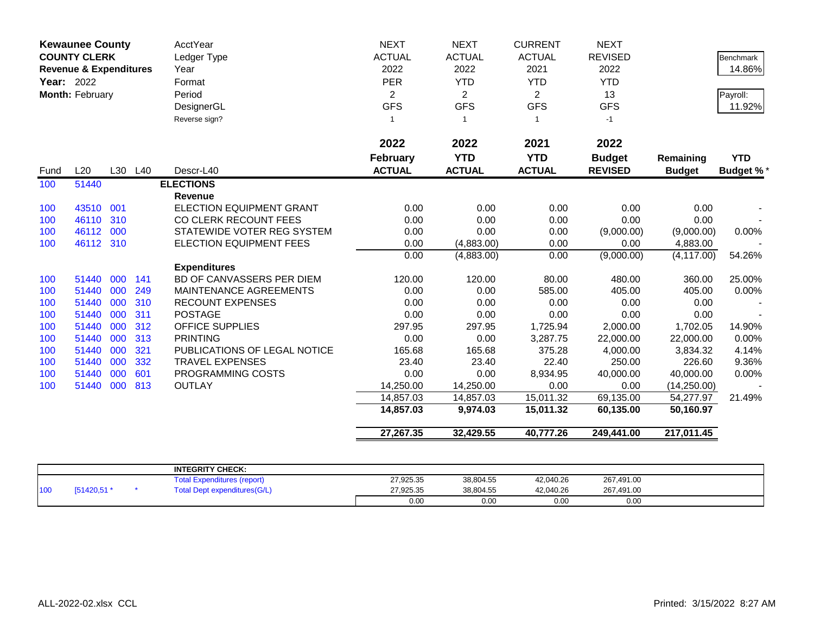| <b>Kewaunee County</b><br><b>COUNTY CLERK</b><br><b>Revenue &amp; Expenditures</b> | AcctYear<br>Ledger Type              | <b>NEXT</b><br><b>ACTUAL</b> | <b>NEXT</b><br><b>ACTUAL</b> | <b>CURRENT</b><br><b>ACTUAL</b> | <b>NEXT</b><br><b>REVISED</b>    |                             | <b>Benchmark</b>            |                                 |                            |                  |
|------------------------------------------------------------------------------------|--------------------------------------|------------------------------|------------------------------|---------------------------------|----------------------------------|-----------------------------|-----------------------------|---------------------------------|----------------------------|------------------|
|                                                                                    | <b>Year: 2022</b><br>Month: February |                              |                              | Year                            | 2022                             | 2022                        | 2021                        | 2022                            |                            | 14.86%           |
|                                                                                    |                                      |                              |                              | Format                          | PER                              | <b>YTD</b>                  | <b>YTD</b>                  | <b>YTD</b>                      |                            |                  |
|                                                                                    |                                      |                              |                              | Period                          | $\overline{c}$                   | $\overline{2}$              | $\overline{2}$              | 13                              |                            | Payroll:         |
|                                                                                    |                                      |                              |                              | DesignerGL                      | <b>GFS</b>                       | <b>GFS</b>                  | <b>GFS</b>                  | <b>GFS</b>                      |                            | 11.92%           |
|                                                                                    |                                      |                              |                              | Reverse sign?                   | $\mathbf{1}$                     | $\overline{1}$              | $\overline{1}$              | $-1$                            |                            |                  |
|                                                                                    |                                      |                              |                              |                                 | 2022                             | 2022                        | 2021                        | 2022                            |                            |                  |
| Fund                                                                               | L20                                  |                              | L30 L40                      | Descr-L40                       | <b>February</b><br><b>ACTUAL</b> | <b>YTD</b><br><b>ACTUAL</b> | <b>YTD</b><br><b>ACTUAL</b> | <b>Budget</b><br><b>REVISED</b> | Remaining<br><b>Budget</b> | <b>YTD</b>       |
| 100                                                                                | 51440                                |                              |                              | <b>ELECTIONS</b>                |                                  |                             |                             |                                 |                            | <b>Budget %*</b> |
|                                                                                    |                                      |                              |                              | <b>Revenue</b>                  |                                  |                             |                             |                                 |                            |                  |
| 100                                                                                | 43510                                | 001                          |                              | <b>ELECTION EQUIPMENT GRANT</b> | 0.00                             | 0.00                        | 0.00                        | 0.00                            | 0.00                       |                  |
| 100                                                                                | 46110                                | 310                          |                              | CO CLERK RECOUNT FEES           | 0.00                             | 0.00                        | 0.00                        | 0.00                            | 0.00                       |                  |
| 100                                                                                | 46112                                | 000                          |                              | STATEWIDE VOTER REG SYSTEM      | 0.00                             | 0.00                        | 0.00                        | (9,000.00)                      | (9,000.00)                 | 0.00%            |
| 100                                                                                | 46112 310                            |                              |                              | ELECTION EQUIPMENT FEES         | 0.00                             | (4,883.00)                  | 0.00                        | 0.00                            | 4,883.00                   |                  |
|                                                                                    |                                      |                              |                              |                                 | 0.00                             | (4,883.00)                  | 0.00                        | (9,000.00)                      | (4, 117.00)                | 54.26%           |
|                                                                                    |                                      |                              |                              | <b>Expenditures</b>             |                                  |                             |                             |                                 |                            |                  |
| 100                                                                                | 51440                                | 000                          | 141                          | BD OF CANVASSERS PER DIEM       | 120.00                           | 120.00                      | 80.00                       | 480.00                          | 360.00                     | 25.00%           |
| 100                                                                                | 51440                                | 000                          | 249                          | MAINTENANCE AGREEMENTS          | 0.00                             | 0.00                        | 585.00                      | 405.00                          | 405.00                     | 0.00%            |
| 100                                                                                | 51440                                | 000                          | 310                          | <b>RECOUNT EXPENSES</b>         | 0.00                             | 0.00                        | 0.00                        | 0.00                            | 0.00                       |                  |
| 100                                                                                | 51440                                | 000                          | 311                          | <b>POSTAGE</b>                  | 0.00                             | 0.00                        | 0.00                        | 0.00                            | 0.00                       |                  |
| 100                                                                                | 51440                                | 000                          | 312                          | <b>OFFICE SUPPLIES</b>          | 297.95                           | 297.95                      | 1,725.94                    | 2,000.00                        | 1,702.05                   | 14.90%           |
| 100                                                                                | 51440                                | 000                          | 313                          | <b>PRINTING</b>                 | 0.00                             | 0.00                        | 3,287.75                    | 22,000.00                       | 22,000.00                  | 0.00%            |
| 100                                                                                | 51440                                | 000                          | 321                          | PUBLICATIONS OF LEGAL NOTICE    | 165.68                           | 165.68                      | 375.28                      | 4,000.00                        | 3,834.32                   | 4.14%            |
| 100                                                                                | 51440                                | 000                          | 332                          | <b>TRAVEL EXPENSES</b>          | 23.40                            | 23.40                       | 22.40                       | 250.00                          | 226.60                     | 9.36%            |
| 100                                                                                | 51440                                | 000                          | 601                          | PROGRAMMING COSTS               | 0.00                             | 0.00                        | 8,934.95                    | 40,000.00                       | 40,000.00                  | 0.00%            |
| 100                                                                                | 51440                                | 000                          | 813                          | <b>OUTLAY</b>                   | 14,250.00                        | 14,250.00                   | 0.00                        | 0.00                            | (14, 250.00)               |                  |
|                                                                                    |                                      |                              |                              |                                 | 14,857.03                        | 14,857.03                   | 15,011.32                   | 69,135.00                       | 54,277.97                  | 21.49%           |
|                                                                                    |                                      |                              |                              |                                 | 14,857.03                        | 9,974.03                    | 15,011.32                   | 60,135.00                       | 50,160.97                  |                  |
|                                                                                    |                                      |                              |                              |                                 | 27,267.35                        | 32,429.55                   | 40,777.26                   | 249,441.00                      | 217,011.45                 |                  |

|     |            | <b>INTEGRITY CHECK:</b>              |           |           |           |            |  |
|-----|------------|--------------------------------------|-----------|-----------|-----------|------------|--|
|     |            | otal<br><b>Expenditures (report)</b> | 27,925.35 | 38,804.55 | 42,040.26 | 267,491.00 |  |
| 100 | [51420,51] | Dept expenditures(G/L)<br>`otal      | 27,925.35 | 38,804.55 | 42,040.26 | 267,491.00 |  |
|     |            |                                      | 0.00      | 0.00      | 0.00      | 0.00       |  |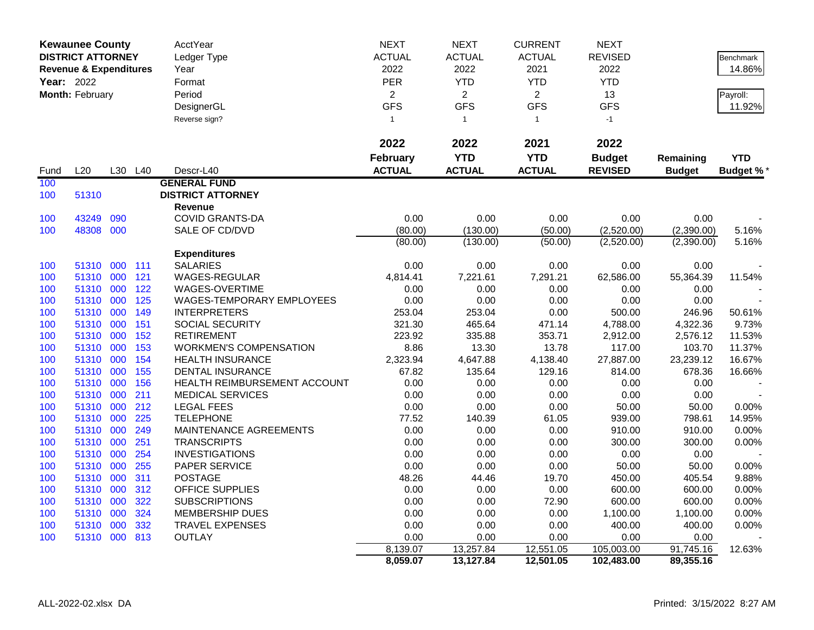|            | <b>Kewaunee County</b>            |     |         | AcctYear                      | <b>NEXT</b>     | <b>NEXT</b>    | <b>CURRENT</b> | <b>NEXT</b>    |               |                  |
|------------|-----------------------------------|-----|---------|-------------------------------|-----------------|----------------|----------------|----------------|---------------|------------------|
|            | <b>DISTRICT ATTORNEY</b>          |     |         | Ledger Type                   | <b>ACTUAL</b>   | <b>ACTUAL</b>  | <b>ACTUAL</b>  | <b>REVISED</b> |               | <b>Benchmark</b> |
|            | <b>Revenue &amp; Expenditures</b> |     |         | Year                          | 2022            | 2022           | 2021           | 2022           |               | 14.86%           |
| Year: 2022 |                                   |     |         | Format                        | PER             | <b>YTD</b>     | <b>YTD</b>     | <b>YTD</b>     |               |                  |
|            | Month: February                   |     |         | Period                        | $\overline{2}$  | $\overline{2}$ | $\overline{2}$ | 13             |               | Payroll:         |
|            |                                   |     |         | DesignerGL                    | <b>GFS</b>      | <b>GFS</b>     | <b>GFS</b>     | <b>GFS</b>     |               | 11.92%           |
|            |                                   |     |         | Reverse sign?                 | $\mathbf{1}$    | $\overline{1}$ | $\mathbf{1}$   | $-1$           |               |                  |
|            |                                   |     |         |                               |                 |                |                |                |               |                  |
|            |                                   |     |         |                               | 2022            | 2022           | 2021           | 2022           |               |                  |
|            |                                   |     |         |                               | <b>February</b> | <b>YTD</b>     | <b>YTD</b>     | <b>Budget</b>  | Remaining     | <b>YTD</b>       |
| Fund       | L20                               |     | L30 L40 | Descr-L40                     | <b>ACTUAL</b>   | <b>ACTUAL</b>  | <b>ACTUAL</b>  | <b>REVISED</b> | <b>Budget</b> |                  |
| 100        |                                   |     |         | <b>GENERAL FUND</b>           |                 |                |                |                |               | <b>Budget %*</b> |
|            | 51310                             |     |         | <b>DISTRICT ATTORNEY</b>      |                 |                |                |                |               |                  |
| 100        |                                   |     |         | Revenue                       |                 |                |                |                |               |                  |
| 100        | 43249                             | 090 |         | <b>COVID GRANTS-DA</b>        | 0.00            | 0.00           | 0.00           | 0.00           | 0.00          |                  |
| 100        | 48308 000                         |     |         | SALE OF CD/DVD                | (80.00)         | (130.00)       | (50.00)        | (2,520.00)     | (2,390.00)    | 5.16%            |
|            |                                   |     |         |                               | (80.00)         | (130.00)       | (50.00)        | (2,520.00)     | (2,390.00)    | 5.16%            |
|            |                                   |     |         | <b>Expenditures</b>           |                 |                |                |                |               |                  |
| 100        | 51310 000 111                     |     |         | <b>SALARIES</b>               | 0.00            | 0.00           | 0.00           | 0.00           | 0.00          |                  |
| 100        | 51310 000                         |     | 121     | WAGES-REGULAR                 | 4,814.41        | 7,221.61       | 7,291.21       | 62,586.00      | 55,364.39     | 11.54%           |
| 100        | 51310                             | 000 | 122     | WAGES-OVERTIME                | 0.00            | 0.00           | 0.00           | 0.00           | 0.00          |                  |
| 100        | 51310 000                         |     | 125     | WAGES-TEMPORARY EMPLOYEES     | 0.00            | 0.00           | 0.00           | 0.00           | 0.00          |                  |
| 100        | 51310 000                         |     | 149     | <b>INTERPRETERS</b>           | 253.04          | 253.04         | 0.00           | 500.00         | 246.96        | 50.61%           |
| 100        | 51310                             | 000 | 151     | SOCIAL SECURITY               | 321.30          | 465.64         | 471.14         | 4,788.00       | 4,322.36      | 9.73%            |
| 100        | 51310 000                         |     | 152     | <b>RETIREMENT</b>             | 223.92          | 335.88         | 353.71         | 2,912.00       | 2,576.12      | 11.53%           |
| 100        | 51310 000                         |     | 153     | <b>WORKMEN'S COMPENSATION</b> | 8.86            | 13.30          | 13.78          | 117.00         | 103.70        | 11.37%           |
| 100        | 51310                             | 000 | 154     | <b>HEALTH INSURANCE</b>       | 2,323.94        | 4,647.88       | 4,138.40       | 27,887.00      | 23,239.12     | 16.67%           |
| 100        | 51310 000                         |     | 155     | <b>DENTAL INSURANCE</b>       | 67.82           | 135.64         | 129.16         | 814.00         | 678.36        | 16.66%           |
| 100        | 51310 000                         |     | 156     | HEALTH REIMBURSEMENT ACCOUNT  | 0.00            | 0.00           | 0.00           | 0.00           | 0.00          |                  |
| 100        | 51310                             | 000 | 211     | <b>MEDICAL SERVICES</b>       | 0.00            | 0.00           | 0.00           | 0.00           | 0.00          |                  |
| 100        | 51310 000                         |     | 212     | <b>LEGAL FEES</b>             | 0.00            | 0.00           | 0.00           | 50.00          | 50.00         | 0.00%            |
| 100        | 51310 000                         |     | 225     | <b>TELEPHONE</b>              | 77.52           | 140.39         | 61.05          | 939.00         | 798.61        | 14.95%           |
| 100        | 51310                             | 000 | 249     | MAINTENANCE AGREEMENTS        | 0.00            | 0.00           | 0.00           | 910.00         | 910.00        | 0.00%            |
| 100        | 51310 000                         |     | 251     | <b>TRANSCRIPTS</b>            | 0.00            | 0.00           | 0.00           | 300.00         | 300.00        | 0.00%            |
| 100        | 51310 000                         |     | 254     | <b>INVESTIGATIONS</b>         | 0.00            | 0.00           | 0.00           | 0.00           | 0.00          |                  |
| 100        | 51310                             | 000 | 255     | PAPER SERVICE                 | 0.00            | 0.00           | 0.00           | 50.00          | 50.00         | 0.00%            |
| 100        | 51310 000                         |     | 311     | <b>POSTAGE</b>                | 48.26           | 44.46          | 19.70          | 450.00         | 405.54        | 9.88%            |
| 100        | 51310 000                         |     | 312     | <b>OFFICE SUPPLIES</b>        | 0.00            | 0.00           | 0.00           | 600.00         | 600.00        | 0.00%            |
| 100        | 51310                             | 000 | 322     | <b>SUBSCRIPTIONS</b>          | 0.00            | 0.00           | 72.90          | 600.00         | 600.00        | $0.00\%$         |
| 100        | 51310 000                         |     | 324     | <b>MEMBERSHIP DUES</b>        | 0.00            | 0.00           | 0.00           | 1,100.00       | 1,100.00      | 0.00%            |
| 100        | 51310                             | 000 | 332     | <b>TRAVEL EXPENSES</b>        | 0.00            | 0.00           | 0.00           | 400.00         | 400.00        | 0.00%            |
| 100        | 51310 000 813                     |     |         | <b>OUTLAY</b>                 | 0.00            | 0.00           | 0.00           | 0.00           | 0.00          |                  |
|            |                                   |     |         |                               | 8,139.07        | 13,257.84      | 12,551.05      | 105,003.00     | 91,745.16     | 12.63%           |
|            |                                   |     |         |                               | 8,059.07        | 13,127.84      | 12,501.05      | 102,483.00     | 89,355.16     |                  |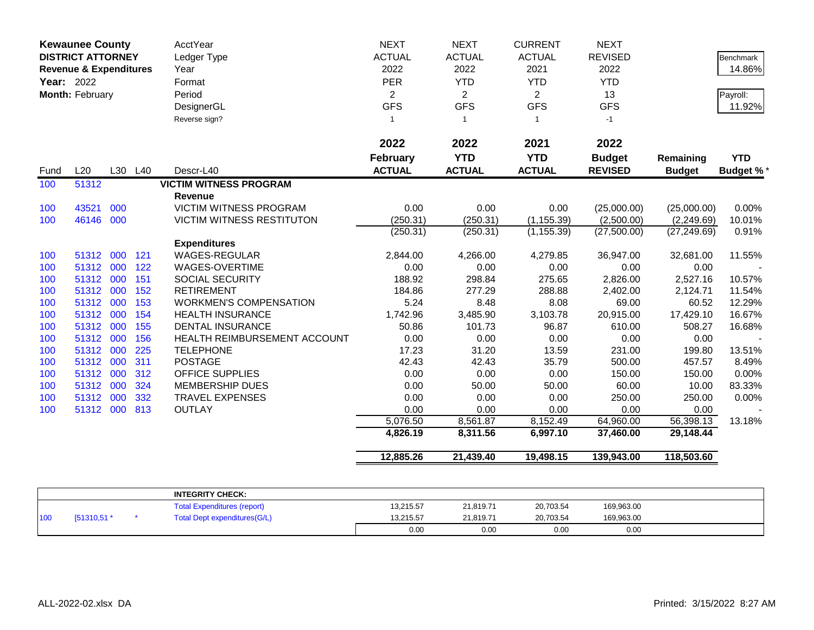| <b>Kewaunee County</b><br><b>DISTRICT ATTORNEY</b><br><b>Revenue &amp; Expenditures</b><br><b>Year: 2022</b><br>Month: February |           |     | <b>AcctYear</b><br>Ledger Type<br>Year<br>Format<br>Period<br>DesignerGL | <b>NEXT</b><br><b>ACTUAL</b><br>2022<br><b>PER</b><br>$\overline{2}$<br><b>GFS</b> | <b>NEXT</b><br><b>ACTUAL</b><br>2022<br><b>YTD</b><br>$\overline{2}$<br><b>GFS</b> | <b>CURRENT</b><br><b>ACTUAL</b><br>2021<br><b>YTD</b><br>$\overline{2}$<br><b>GFS</b> | <b>NEXT</b><br><b>REVISED</b><br>2022<br><b>YTD</b><br>13<br><b>GFS</b> |                               | <b>Benchmark</b><br>14.86%<br>Payroll:<br>11.92% |                  |
|---------------------------------------------------------------------------------------------------------------------------------|-----------|-----|--------------------------------------------------------------------------|------------------------------------------------------------------------------------|------------------------------------------------------------------------------------|---------------------------------------------------------------------------------------|-------------------------------------------------------------------------|-------------------------------|--------------------------------------------------|------------------|
|                                                                                                                                 |           |     |                                                                          | Reverse sign?                                                                      | $\mathbf{1}$<br>2022<br><b>February</b>                                            | $\overline{1}$<br>2022<br><b>YTD</b>                                                  | $\mathbf{1}$<br>2021<br><b>YTD</b>                                      | $-1$<br>2022<br><b>Budget</b> | Remaining                                        | <b>YTD</b>       |
| Fund                                                                                                                            | L20       |     | L30 L40                                                                  | Descr-L40                                                                          | <b>ACTUAL</b>                                                                      | <b>ACTUAL</b>                                                                         | <b>ACTUAL</b>                                                           | <b>REVISED</b>                | <b>Budget</b>                                    | <b>Budget %*</b> |
| 100                                                                                                                             | 51312     |     |                                                                          | <b>VICTIM WITNESS PROGRAM</b><br><b>Revenue</b>                                    |                                                                                    |                                                                                       |                                                                         |                               |                                                  |                  |
| 100                                                                                                                             | 43521     | 000 |                                                                          | VICTIM WITNESS PROGRAM                                                             | 0.00                                                                               | 0.00                                                                                  | 0.00                                                                    | (25,000.00)                   | (25,000.00)                                      | 0.00%            |
| 100                                                                                                                             | 46146 000 |     |                                                                          | <b>VICTIM WITNESS RESTITUTON</b>                                                   | (250.31)                                                                           | (250.31)                                                                              | (1, 155.39)                                                             | (2,500.00)                    | (2,249.69)                                       | 10.01%           |
|                                                                                                                                 |           |     |                                                                          |                                                                                    | (250.31)                                                                           | (250.31)                                                                              | (1, 155.39)                                                             | (27,500.00)                   | (27, 249.69)                                     | 0.91%            |
|                                                                                                                                 |           |     |                                                                          | <b>Expenditures</b>                                                                |                                                                                    |                                                                                       |                                                                         |                               |                                                  |                  |
| 100                                                                                                                             | 51312     | 000 | 121                                                                      | <b>WAGES-REGULAR</b>                                                               | 2,844.00                                                                           | 4,266.00                                                                              | 4,279.85                                                                | 36,947.00                     | 32,681.00                                        | 11.55%           |
| 100                                                                                                                             | 51312 000 |     | 122                                                                      | WAGES-OVERTIME                                                                     | 0.00                                                                               | 0.00                                                                                  | 0.00                                                                    | 0.00                          | 0.00                                             |                  |
| 100                                                                                                                             | 51312 000 |     | 151                                                                      | SOCIAL SECURITY                                                                    | 188.92                                                                             | 298.84                                                                                | 275.65                                                                  | 2,826.00                      | 2,527.16                                         | 10.57%           |
| 100                                                                                                                             | 51312 000 |     | 152                                                                      | <b>RETIREMENT</b>                                                                  | 184.86                                                                             | 277.29                                                                                | 288.88                                                                  | 2,402.00                      | 2,124.71                                         | 11.54%           |
| 100                                                                                                                             | 51312 000 |     | 153                                                                      | <b>WORKMEN'S COMPENSATION</b>                                                      | 5.24                                                                               | 8.48                                                                                  | 8.08                                                                    | 69.00                         | 60.52                                            | 12.29%           |
| 100                                                                                                                             | 51312 000 |     | 154                                                                      | <b>HEALTH INSURANCE</b>                                                            | 1,742.96                                                                           | 3,485.90                                                                              | 3,103.78                                                                | 20,915.00                     | 17,429.10                                        | 16.67%           |
| 100                                                                                                                             | 51312     | 000 | 155                                                                      | <b>DENTAL INSURANCE</b>                                                            | 50.86                                                                              | 101.73                                                                                | 96.87                                                                   | 610.00                        | 508.27                                           | 16.68%           |
| 100                                                                                                                             | 51312 000 |     | 156                                                                      | <b>HEALTH REIMBURSEMENT ACCOUNT</b>                                                | 0.00                                                                               | 0.00                                                                                  | 0.00                                                                    | 0.00                          | 0.00                                             |                  |
| 100                                                                                                                             | 51312 000 |     | 225                                                                      | <b>TELEPHONE</b>                                                                   | 17.23                                                                              | 31.20                                                                                 | 13.59                                                                   | 231.00                        | 199.80                                           | 13.51%           |
| 100                                                                                                                             | 51312 000 |     | 311                                                                      | <b>POSTAGE</b>                                                                     | 42.43                                                                              | 42.43                                                                                 | 35.79                                                                   | 500.00                        | 457.57                                           | 8.49%            |
| 100                                                                                                                             | 51312 000 |     | 312                                                                      | <b>OFFICE SUPPLIES</b>                                                             | 0.00                                                                               | 0.00                                                                                  | 0.00                                                                    | 150.00                        | 150.00                                           | 0.00%            |
| 100                                                                                                                             | 51312 000 |     | 324                                                                      | <b>MEMBERSHIP DUES</b>                                                             | 0.00                                                                               | 50.00                                                                                 | 50.00                                                                   | 60.00                         | 10.00                                            | 83.33%           |
| 100                                                                                                                             | 51312 000 |     | 332                                                                      | <b>TRAVEL EXPENSES</b>                                                             | 0.00                                                                               | 0.00                                                                                  | 0.00                                                                    | 250.00                        | 250.00                                           | 0.00%            |
| 100                                                                                                                             | 51312 000 |     | 813                                                                      | <b>OUTLAY</b>                                                                      | 0.00                                                                               | 0.00                                                                                  | 0.00                                                                    | 0.00                          | 0.00                                             |                  |
|                                                                                                                                 |           |     |                                                                          |                                                                                    | 5,076.50                                                                           | 8,561.87                                                                              | 8,152.49                                                                | 64,960.00                     | 56,398.13                                        | 13.18%           |
|                                                                                                                                 |           |     |                                                                          |                                                                                    | 4,826.19                                                                           | 8,311.56                                                                              | 6,997.10                                                                | 37,460.00                     | 29,148.44                                        |                  |
|                                                                                                                                 |           |     |                                                                          |                                                                                    | 12,885.26                                                                          | 21,439.40                                                                             | 19,498.15                                                               | 139,943.00                    | 118,503.60                                       |                  |

|     |               | <b>INTEGRITY CHECK:</b>            |           |           |           |            |  |
|-----|---------------|------------------------------------|-----------|-----------|-----------|------------|--|
|     |               | <b>Total Expenditures (report)</b> | 13,215.57 | 21,819.71 | 20,703.54 | 169,963.00 |  |
| 100 | $(51310.51*)$ | Total Dept expenditures (G/L)      | 13,215.57 | 21.819.71 | 20,703.54 | 169,963.00 |  |
|     |               |                                    | 0.00      | 0.00      | 0.00      | 0.00       |  |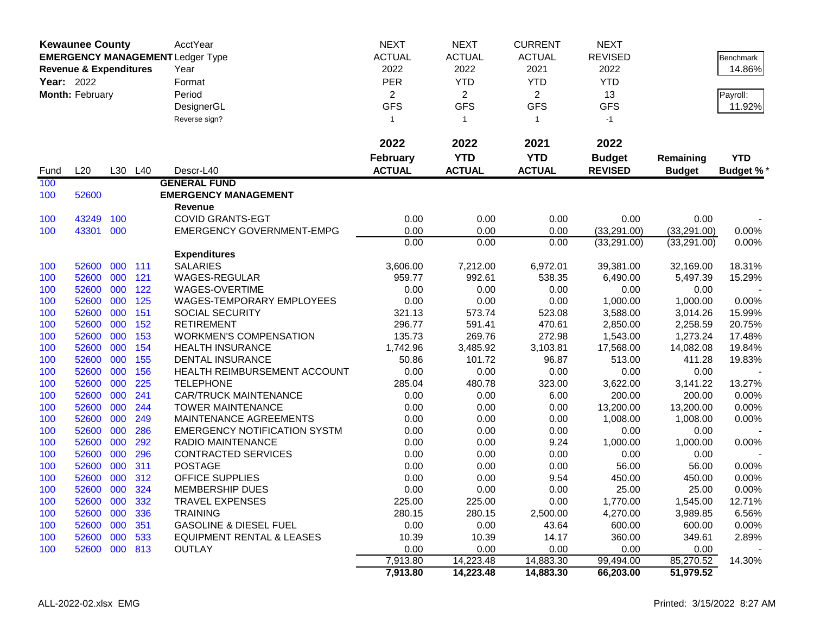|                   | <b>Kewaunee County</b>            |     |         | AcctYear                                | <b>NEXT</b>     | <b>NEXT</b>    | <b>CURRENT</b> | <b>NEXT</b>    |               |                  |
|-------------------|-----------------------------------|-----|---------|-----------------------------------------|-----------------|----------------|----------------|----------------|---------------|------------------|
|                   |                                   |     |         | <b>EMERGENCY MANAGEMENT Ledger Type</b> | <b>ACTUAL</b>   | <b>ACTUAL</b>  | <b>ACTUAL</b>  | <b>REVISED</b> |               | Benchmark        |
|                   | <b>Revenue &amp; Expenditures</b> |     |         | Year                                    | 2022            | 2022           | 2021           | 2022           |               | 14.86%           |
| <b>Year: 2022</b> |                                   |     |         | Format                                  | <b>PER</b>      | <b>YTD</b>     | <b>YTD</b>     | <b>YTD</b>     |               |                  |
|                   | Month: February                   |     |         | Period                                  | $\overline{2}$  | $\overline{2}$ | $\overline{2}$ | 13             |               | Payroll:         |
|                   |                                   |     |         | DesignerGL                              | <b>GFS</b>      | <b>GFS</b>     | <b>GFS</b>     | <b>GFS</b>     |               | 11.92%           |
|                   |                                   |     |         | Reverse sign?                           | $\mathbf{1}$    | $\mathbf{1}$   | $\mathbf{1}$   | $-1$           |               |                  |
|                   |                                   |     |         |                                         |                 |                |                |                |               |                  |
|                   |                                   |     |         |                                         | 2022            | 2022           | 2021           | 2022           |               |                  |
|                   |                                   |     |         |                                         | <b>February</b> | <b>YTD</b>     | <b>YTD</b>     | <b>Budget</b>  | Remaining     | <b>YTD</b>       |
| Fund              | L20                               |     | L30 L40 | Descr-L40                               | <b>ACTUAL</b>   | <b>ACTUAL</b>  | <b>ACTUAL</b>  | <b>REVISED</b> | <b>Budget</b> | <b>Budget %*</b> |
| 100               |                                   |     |         | <b>GENERAL FUND</b>                     |                 |                |                |                |               |                  |
| 100               | 52600                             |     |         | <b>EMERGENCY MANAGEMENT</b>             |                 |                |                |                |               |                  |
|                   |                                   |     |         | Revenue                                 |                 |                |                |                |               |                  |
| 100               | 43249                             | 100 |         | <b>COVID GRANTS-EGT</b>                 | 0.00            | 0.00           | 0.00           | 0.00           | 0.00          |                  |
| 100               | 43301 000                         |     |         | <b>EMERGENCY GOVERNMENT-EMPG</b>        | 0.00            | 0.00           | 0.00           | (33, 291.00)   | (33, 291.00)  | 0.00%            |
|                   |                                   |     |         |                                         | 0.00            | 0.00           | 0.00           | (33, 291.00)   | (33, 291.00)  | 0.00%            |
|                   |                                   |     |         | <b>Expenditures</b>                     |                 |                |                |                |               |                  |
| 100               | 52600                             | 000 | 111     | <b>SALARIES</b>                         | 3,606.00        | 7,212.00       | 6,972.01       | 39,381.00      | 32,169.00     | 18.31%           |
| 100               | 52600 000                         |     | 121     | WAGES-REGULAR                           | 959.77          | 992.61         | 538.35         | 6,490.00       | 5,497.39      | 15.29%           |
| 100               | 52600                             | 000 | 122     | WAGES-OVERTIME                          | 0.00            | 0.00           | 0.00           | 0.00           | 0.00          |                  |
| 100               | 52600                             | 000 | 125     | WAGES-TEMPORARY EMPLOYEES               | 0.00            | 0.00           | 0.00           | 1,000.00       | 1,000.00      | 0.00%            |
| 100               | 52600                             | 000 | 151     | <b>SOCIAL SECURITY</b>                  | 321.13          | 573.74         | 523.08         | 3,588.00       | 3,014.26      | 15.99%           |
| 100               | 52600                             | 000 | 152     | <b>RETIREMENT</b>                       | 296.77          | 591.41         | 470.61         | 2,850.00       | 2,258.59      | 20.75%           |
| 100               | 52600                             | 000 | 153     | <b>WORKMEN'S COMPENSATION</b>           | 135.73          | 269.76         | 272.98         | 1,543.00       | 1,273.24      | 17.48%           |
| 100               | 52600                             | 000 | 154     | <b>HEALTH INSURANCE</b>                 | 1,742.96        | 3,485.92       | 3,103.81       | 17,568.00      | 14,082.08     | 19.84%           |
| 100               | 52600                             | 000 | 155     | <b>DENTAL INSURANCE</b>                 | 50.86           | 101.72         | 96.87          | 513.00         | 411.28        | 19.83%           |
| 100               | 52600                             | 000 | 156     | HEALTH REIMBURSEMENT ACCOUNT            | 0.00            | 0.00           | 0.00           | 0.00           | 0.00          |                  |
| 100               | 52600                             | 000 | 225     | <b>TELEPHONE</b>                        | 285.04          | 480.78         | 323.00         | 3,622.00       | 3,141.22      | 13.27%           |
| 100               | 52600                             | 000 | 241     | <b>CAR/TRUCK MAINTENANCE</b>            | 0.00            | 0.00           | 6.00           | 200.00         | 200.00        | 0.00%            |
| 100               | 52600                             | 000 | 244     | <b>TOWER MAINTENANCE</b>                | 0.00            | 0.00           | 0.00           | 13,200.00      | 13,200.00     | 0.00%            |
| 100               | 52600                             | 000 | 249     | MAINTENANCE AGREEMENTS                  | 0.00            | 0.00           | 0.00           | 1,008.00       | 1,008.00      | 0.00%            |
| 100               | 52600                             | 000 | 286     | <b>EMERGENCY NOTIFICATION SYSTM</b>     | 0.00            | 0.00           | 0.00           | 0.00           | 0.00          |                  |
| 100               | 52600                             | 000 | 292     | RADIO MAINTENANCE                       | 0.00            | 0.00           | 9.24           | 1,000.00       | 1,000.00      | 0.00%            |
| 100               | 52600                             | 000 | 296     | <b>CONTRACTED SERVICES</b>              | 0.00            | 0.00           | 0.00           | 0.00           | 0.00          |                  |
| 100               | 52600                             | 000 | 311     | <b>POSTAGE</b>                          | 0.00            | 0.00           | 0.00           | 56.00          | 56.00         | 0.00%            |
| 100               | 52600                             | 000 | 312     | <b>OFFICE SUPPLIES</b>                  | 0.00            | 0.00           | 9.54           | 450.00         | 450.00        | 0.00%            |
| 100               | 52600 000                         |     | 324     | <b>MEMBERSHIP DUES</b>                  | 0.00            | 0.00           | 0.00           | 25.00          | 25.00         | 0.00%            |
| 100               | 52600 000 332                     |     |         | <b>TRAVEL EXPENSES</b>                  | 225.00          | 225.00         | 0.00           | 1,770.00       | 1,545.00      | 12.71%           |
| 100               | 52600 000                         |     | 336     | <b>TRAINING</b>                         | 280.15          | 280.15         | 2,500.00       | 4,270.00       | 3,989.85      | 6.56%            |
| 100               | 52600 000                         |     | 351     | <b>GASOLINE &amp; DIESEL FUEL</b>       | 0.00            | 0.00           | 43.64          | 600.00         | 600.00        | 0.00%            |
| 100               | 52600 000 533                     |     |         | <b>EQUIPMENT RENTAL &amp; LEASES</b>    | 10.39           | 10.39          | 14.17          | 360.00         | 349.61        | 2.89%            |
| 100               | 52600 000 813                     |     |         | <b>OUTLAY</b>                           | 0.00            | 0.00           | 0.00           | 0.00           | 0.00          |                  |
|                   |                                   |     |         |                                         | 7,913.80        | 14,223.48      | 14,883.30      | 99,494.00      | 85,270.52     | 14.30%           |
|                   |                                   |     |         |                                         | 7,913.80        | 14,223.48      | 14,883.30      | 66,203.00      | 51,979.52     |                  |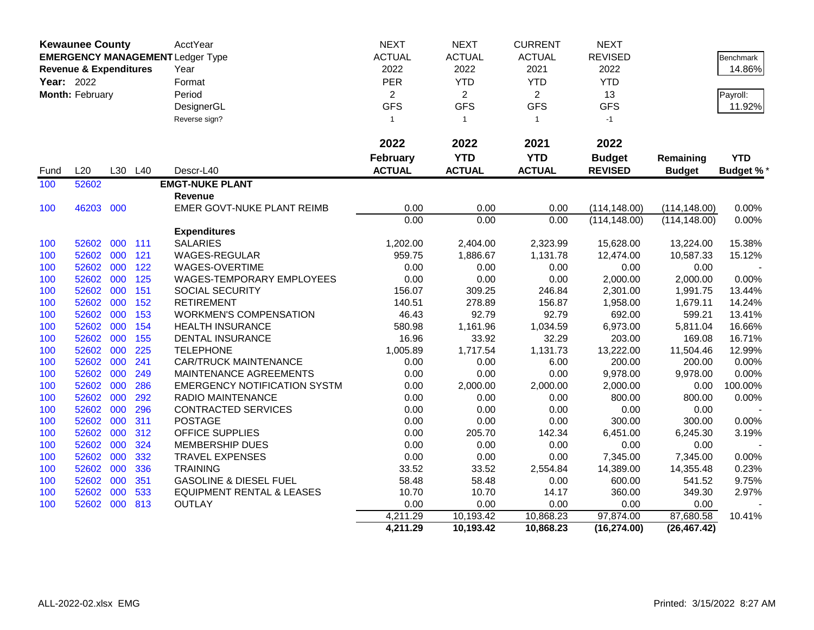| <b>Kewaunee County</b><br><b>EMERGENCY MANAGEMENT Ledger Type</b> |                                   |     | <b>AcctYear</b> | <b>NEXT</b>                          | <b>NEXT</b>     | <b>CURRENT</b> | <b>NEXT</b>    |                |               |                  |
|-------------------------------------------------------------------|-----------------------------------|-----|-----------------|--------------------------------------|-----------------|----------------|----------------|----------------|---------------|------------------|
|                                                                   | <b>Revenue &amp; Expenditures</b> |     | <b>ACTUAL</b>   | <b>ACTUAL</b>                        | <b>ACTUAL</b>   | <b>REVISED</b> |                | Benchmark      |               |                  |
|                                                                   | Year: 2022<br>Month: February     |     |                 | Year                                 | 2022            | 2022           | 2021           | 2022           |               | 14.86%           |
|                                                                   |                                   |     |                 | Format                               | <b>PER</b>      | <b>YTD</b>     | <b>YTD</b>     | <b>YTD</b>     |               |                  |
|                                                                   |                                   |     |                 | Period                               | $\overline{2}$  | $\overline{2}$ | $\overline{2}$ | 13             |               | Payroll:         |
|                                                                   |                                   |     |                 | DesignerGL                           | <b>GFS</b>      | <b>GFS</b>     | <b>GFS</b>     | <b>GFS</b>     |               | 11.92%           |
|                                                                   |                                   |     |                 | Reverse sign?                        | $\mathbf{1}$    | $\mathbf{1}$   | $\mathbf{1}$   | $-1$           |               |                  |
|                                                                   |                                   |     |                 |                                      |                 |                |                |                |               |                  |
|                                                                   |                                   |     |                 |                                      | 2022            | 2022           | 2021           | 2022           |               |                  |
|                                                                   |                                   |     |                 |                                      | <b>February</b> | <b>YTD</b>     | <b>YTD</b>     | <b>Budget</b>  | Remaining     | <b>YTD</b>       |
| Fund                                                              | L20                               |     | L30 L40         | Descr-L40                            | <b>ACTUAL</b>   | <b>ACTUAL</b>  | <b>ACTUAL</b>  | <b>REVISED</b> | <b>Budget</b> | <b>Budget %*</b> |
| 100                                                               | 52602                             |     |                 | <b>EMGT-NUKE PLANT</b>               |                 |                |                |                |               |                  |
|                                                                   |                                   |     |                 | Revenue                              |                 |                |                |                |               |                  |
| 100                                                               | 46203                             | 000 |                 | EMER GOVT-NUKE PLANT REIMB           | 0.00            | 0.00           | 0.00           | (114, 148.00)  | (114, 148.00) | 0.00%            |
|                                                                   |                                   |     |                 |                                      | 0.00            | 0.00           | 0.00           | (114, 148.00)  | (114, 148.00) | 0.00%            |
|                                                                   |                                   |     |                 | <b>Expenditures</b>                  |                 |                |                |                |               |                  |
| 100                                                               | 52602                             | 000 | 111             | <b>SALARIES</b>                      | 1,202.00        | 2,404.00       | 2,323.99       | 15,628.00      | 13,224.00     | 15.38%           |
| 100                                                               | 52602                             | 000 | 121             | <b>WAGES-REGULAR</b>                 | 959.75          | 1,886.67       | 1,131.78       | 12,474.00      | 10,587.33     | 15.12%           |
| 100                                                               | 52602                             | 000 | 122             | WAGES-OVERTIME                       | 0.00            | 0.00           | 0.00           | 0.00           | 0.00          |                  |
| 100                                                               | 52602                             | 000 | 125             | WAGES-TEMPORARY EMPLOYEES            | 0.00            | 0.00           | 0.00           | 2,000.00       | 2,000.00      | 0.00%            |
| 100                                                               | 52602                             | 000 | 151             | SOCIAL SECURITY                      | 156.07          | 309.25         | 246.84         | 2,301.00       | 1,991.75      | 13.44%           |
| 100                                                               | 52602                             | 000 | 152             | <b>RETIREMENT</b>                    | 140.51          | 278.89         | 156.87         | 1,958.00       | 1,679.11      | 14.24%           |
| 100                                                               | 52602                             | 000 | 153             | <b>WORKMEN'S COMPENSATION</b>        | 46.43           | 92.79          | 92.79          | 692.00         | 599.21        | 13.41%           |
| 100                                                               | 52602                             | 000 | 154             | <b>HEALTH INSURANCE</b>              | 580.98          | 1,161.96       | 1,034.59       | 6,973.00       | 5,811.04      | 16.66%           |
| 100                                                               | 52602                             | 000 | 155             | <b>DENTAL INSURANCE</b>              | 16.96           | 33.92          | 32.29          | 203.00         | 169.08        | 16.71%           |
| 100                                                               | 52602                             | 000 | 225             | <b>TELEPHONE</b>                     | 1,005.89        | 1,717.54       | 1,131.73       | 13,222.00      | 11,504.46     | 12.99%           |
| 100                                                               | 52602                             | 000 | 241             | <b>CAR/TRUCK MAINTENANCE</b>         | 0.00            | 0.00           | 6.00           | 200.00         | 200.00        | 0.00%            |
| 100                                                               | 52602                             | 000 | 249             | MAINTENANCE AGREEMENTS               | 0.00            | 0.00           | 0.00           | 9,978.00       | 9,978.00      | 0.00%            |
| 100                                                               | 52602                             | 000 | 286             | <b>EMERGENCY NOTIFICATION SYSTM</b>  | 0.00            | 2,000.00       | 2,000.00       | 2,000.00       | 0.00          | 100.00%          |
| 100                                                               | 52602                             | 000 | 292             | RADIO MAINTENANCE                    | 0.00            | 0.00           | 0.00           | 800.00         | 800.00        | 0.00%            |
| 100                                                               | 52602                             | 000 | 296             | CONTRACTED SERVICES                  | 0.00            | 0.00           | 0.00           | 0.00           | 0.00          |                  |
| 100                                                               | 52602                             | 000 | 311             | <b>POSTAGE</b>                       | 0.00            | 0.00           | 0.00           | 300.00         | 300.00        | 0.00%            |
| 100                                                               | 52602                             | 000 | 312             | OFFICE SUPPLIES                      | 0.00            | 205.70         | 142.34         | 6,451.00       | 6,245.30      | 3.19%            |
| 100                                                               | 52602                             | 000 | 324             | MEMBERSHIP DUES                      | 0.00            | 0.00           | 0.00           | 0.00           | 0.00          |                  |
| 100                                                               | 52602                             | 000 | 332             | <b>TRAVEL EXPENSES</b>               | 0.00            | 0.00           | 0.00           | 7,345.00       | 7,345.00      | 0.00%            |
| 100                                                               | 52602                             | 000 | 336             | <b>TRAINING</b>                      | 33.52           | 33.52          | 2,554.84       | 14,389.00      | 14,355.48     | 0.23%            |
| 100                                                               | 52602                             | 000 | 351             | <b>GASOLINE &amp; DIESEL FUEL</b>    | 58.48           | 58.48          | 0.00           | 600.00         | 541.52        | 9.75%            |
| 100                                                               | 52602                             | 000 | 533             | <b>EQUIPMENT RENTAL &amp; LEASES</b> | 10.70           | 10.70          | 14.17          | 360.00         | 349.30        | 2.97%            |
| 100                                                               | 52602                             | 000 | 813             | <b>OUTLAY</b>                        | 0.00            | 0.00           | 0.00           | 0.00           | 0.00          |                  |
|                                                                   |                                   |     |                 |                                      | 4,211.29        | 10,193.42      | 10,868.23      | 97,874.00      | 87,680.58     | 10.41%           |
|                                                                   |                                   |     |                 |                                      | 4,211.29        | 10,193.42      | 10,868.23      | (16, 274.00)   | (26, 467.42)  |                  |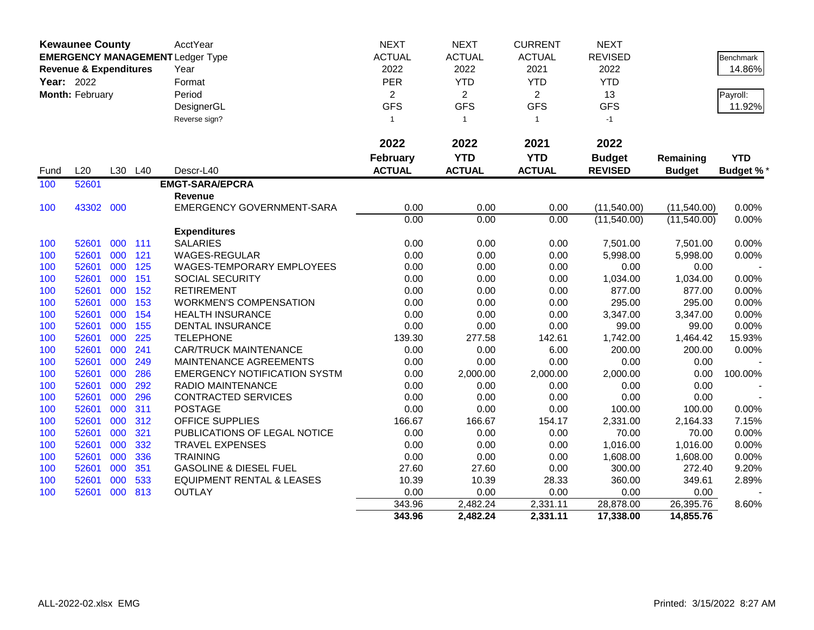|            | <b>Kewaunee County</b>            |         |     | AcctYear                                | <b>NEXT</b>     | <b>NEXT</b>    | <b>CURRENT</b> | <b>NEXT</b>    |               |                  |
|------------|-----------------------------------|---------|-----|-----------------------------------------|-----------------|----------------|----------------|----------------|---------------|------------------|
|            |                                   |         |     | <b>EMERGENCY MANAGEMENT Ledger Type</b> | <b>ACTUAL</b>   | <b>ACTUAL</b>  | <b>ACTUAL</b>  | <b>REVISED</b> |               | <b>Benchmark</b> |
|            | <b>Revenue &amp; Expenditures</b> |         |     | Year                                    | 2022            | 2022           | 2021           | 2022           |               | 14.86%           |
| Year: 2022 |                                   |         |     | Format                                  | PER             | <b>YTD</b>     | <b>YTD</b>     | <b>YTD</b>     |               |                  |
|            | Month: February                   |         |     | Period                                  | $\overline{c}$  | $\overline{c}$ | $\overline{2}$ | 13             |               | Payroll:         |
|            |                                   |         |     | DesignerGL                              | <b>GFS</b>      | <b>GFS</b>     | <b>GFS</b>     | <b>GFS</b>     |               | 11.92%           |
|            |                                   |         |     | Reverse sign?                           | $\mathbf{1}$    | $\overline{1}$ | $\mathbf{1}$   | $-1$           |               |                  |
|            |                                   |         |     |                                         |                 |                |                |                |               |                  |
|            |                                   |         |     |                                         | 2022            | 2022           | 2021           | 2022           |               |                  |
|            |                                   |         |     |                                         | <b>February</b> | <b>YTD</b>     | <b>YTD</b>     | <b>Budget</b>  | Remaining     | <b>YTD</b>       |
| Fund       | L20                               | L30     | L40 | Descr-L40                               | <b>ACTUAL</b>   | <b>ACTUAL</b>  | <b>ACTUAL</b>  | <b>REVISED</b> | <b>Budget</b> | <b>Budget %*</b> |
| 100        | 52601                             |         |     | <b>EMGT-SARA/EPCRA</b>                  |                 |                |                |                |               |                  |
|            |                                   |         |     | Revenue                                 |                 |                |                |                |               |                  |
| 100        | 43302 000                         |         |     | <b>EMERGENCY GOVERNMENT-SARA</b>        | 0.00            | 0.00           | 0.00           | (11,540.00)    | (11,540.00)   | 0.00%            |
|            |                                   |         |     |                                         | 0.00            | 0.00           | 0.00           | (11,540.00)    | (11,540.00)   | 0.00%            |
|            |                                   |         |     | <b>Expenditures</b>                     |                 |                |                |                |               |                  |
| 100        | 52601                             | 000 111 |     | <b>SALARIES</b>                         | 0.00            | 0.00           | 0.00           | 7,501.00       | 7,501.00      | 0.00%            |
| 100        | 52601                             | 000     | 121 | WAGES-REGULAR                           | 0.00            | 0.00           | 0.00           | 5,998.00       | 5,998.00      | 0.00%            |
| 100        | 52601                             | 000     | 125 | WAGES-TEMPORARY EMPLOYEES               | 0.00            | 0.00           | 0.00           | 0.00           | 0.00          |                  |
| 100        | 52601                             | 000     | 151 | <b>SOCIAL SECURITY</b>                  | 0.00            | 0.00           | 0.00           | 1,034.00       | 1,034.00      | 0.00%            |
| 100        | 52601                             | 000     | 152 | <b>RETIREMENT</b>                       | 0.00            | 0.00           | 0.00           | 877.00         | 877.00        | 0.00%            |
| 100        | 52601                             | 000     | 153 | <b>WORKMEN'S COMPENSATION</b>           | 0.00            | 0.00           | 0.00           | 295.00         | 295.00        | 0.00%            |
| 100        | 52601                             | 000     | 154 | <b>HEALTH INSURANCE</b>                 | 0.00            | 0.00           | 0.00           | 3,347.00       | 3,347.00      | 0.00%            |
| 100        | 52601                             | 000     | 155 | <b>DENTAL INSURANCE</b>                 | 0.00            | 0.00           | 0.00           | 99.00          | 99.00         | 0.00%            |
| 100        | 52601                             | 000     | 225 | <b>TELEPHONE</b>                        | 139.30          | 277.58         | 142.61         | 1,742.00       | 1,464.42      | 15.93%           |
| 100        | 52601                             | 000     | 241 | <b>CAR/TRUCK MAINTENANCE</b>            | 0.00            | 0.00           | 6.00           | 200.00         | 200.00        | 0.00%            |
| 100        | 52601                             | 000     | 249 | MAINTENANCE AGREEMENTS                  | 0.00            | 0.00           | 0.00           | 0.00           | 0.00          |                  |
| 100        | 52601                             | 000     | 286 | <b>EMERGENCY NOTIFICATION SYSTM</b>     | 0.00            | 2,000.00       | 2,000.00       | 2,000.00       | 0.00          | 100.00%          |
| 100        | 52601                             | 000     | 292 | RADIO MAINTENANCE                       | 0.00            | 0.00           | 0.00           | 0.00           | 0.00          |                  |
| 100        | 52601                             | 000     | 296 | <b>CONTRACTED SERVICES</b>              | 0.00            | 0.00           | 0.00           | 0.00           | 0.00          |                  |
| 100        | 52601                             | 000     | 311 | <b>POSTAGE</b>                          | 0.00            | 0.00           | 0.00           | 100.00         | 100.00        | 0.00%            |
| 100        | 52601                             | 000     | 312 | <b>OFFICE SUPPLIES</b>                  | 166.67          | 166.67         | 154.17         | 2,331.00       | 2,164.33      | 7.15%            |
| 100        | 52601                             | 000     | 321 | PUBLICATIONS OF LEGAL NOTICE            | 0.00            | 0.00           | 0.00           | 70.00          | 70.00         | 0.00%            |
| 100        | 52601                             | 000     | 332 | <b>TRAVEL EXPENSES</b>                  | 0.00            | 0.00           | 0.00           | 1,016.00       | 1,016.00      | 0.00%            |
| 100        | 52601                             | 000     | 336 | <b>TRAINING</b>                         | 0.00            | 0.00           | 0.00           | 1,608.00       | 1,608.00      | 0.00%            |
| 100        | 52601                             | 000     | 351 | <b>GASOLINE &amp; DIESEL FUEL</b>       | 27.60           | 27.60          | 0.00           | 300.00         | 272.40        | 9.20%            |
| 100        | 52601                             | 000     | 533 | <b>EQUIPMENT RENTAL &amp; LEASES</b>    | 10.39           | 10.39          | 28.33          | 360.00         | 349.61        | 2.89%            |
| 100        | 52601                             | 000     | 813 | <b>OUTLAY</b>                           | 0.00            | 0.00           | 0.00           | 0.00           | 0.00          |                  |
|            |                                   |         |     |                                         | 343.96          | 2,482.24       | 2,331.11       | 28,878.00      | 26,395.76     | 8.60%            |
|            |                                   |         |     |                                         | 343.96          | 2,482.24       | 2,331.11       | 17,338.00      | 14,855.76     |                  |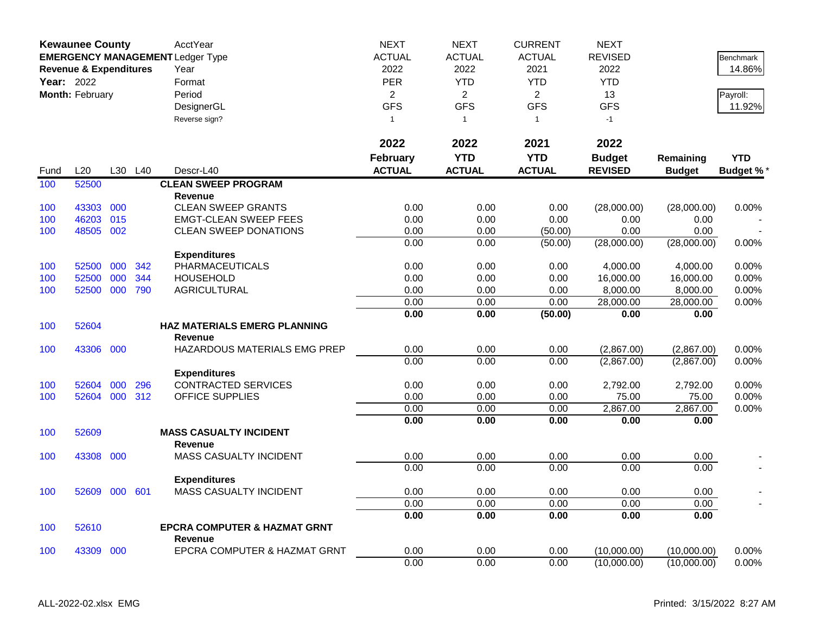|            | <b>Kewaunee County</b>            |     |     | AcctYear                                | <b>NEXT</b>     | <b>NEXT</b>    | <b>CURRENT</b> | <b>NEXT</b>      |               |                  |
|------------|-----------------------------------|-----|-----|-----------------------------------------|-----------------|----------------|----------------|------------------|---------------|------------------|
|            |                                   |     |     | <b>EMERGENCY MANAGEMENT Ledger Type</b> | <b>ACTUAL</b>   | <b>ACTUAL</b>  | <b>ACTUAL</b>  | <b>REVISED</b>   |               | Benchmark        |
|            | <b>Revenue &amp; Expenditures</b> |     |     | Year                                    | 2022            | 2022           | 2021           | 2022             |               | 14.86%           |
| Year: 2022 |                                   |     |     | Format                                  | <b>PER</b>      | <b>YTD</b>     | <b>YTD</b>     | <b>YTD</b>       |               |                  |
|            | Month: February                   |     |     | Period                                  | $\overline{2}$  | $\overline{2}$ | $\overline{2}$ | 13               |               | Payroll:         |
|            |                                   |     |     | DesignerGL                              | <b>GFS</b>      | <b>GFS</b>     | <b>GFS</b>     | <b>GFS</b>       |               | 11.92%           |
|            |                                   |     |     | Reverse sign?                           | $\mathbf{1}$    | $\overline{1}$ | $\mathbf{1}$   | $-1$             |               |                  |
|            |                                   |     |     |                                         |                 |                |                |                  |               |                  |
|            |                                   |     |     |                                         | 2022            | 2022           | 2021           | 2022             |               |                  |
|            |                                   |     |     |                                         | <b>February</b> | <b>YTD</b>     | <b>YTD</b>     | <b>Budget</b>    | Remaining     | <b>YTD</b>       |
| Fund       | L20                               | L30 | L40 | Descr-L40                               | <b>ACTUAL</b>   | <b>ACTUAL</b>  | <b>ACTUAL</b>  | <b>REVISED</b>   | <b>Budget</b> | <b>Budget %*</b> |
| 100        | 52500                             |     |     | <b>CLEAN SWEEP PROGRAM</b>              |                 |                |                |                  |               |                  |
|            |                                   |     |     | <b>Revenue</b>                          |                 |                |                |                  |               |                  |
| 100        | 43303                             | 000 |     | <b>CLEAN SWEEP GRANTS</b>               | 0.00            | 0.00           | 0.00           | (28,000.00)      | (28,000.00)   | 0.00%            |
| 100        | 46203                             | 015 |     | <b>EMGT-CLEAN SWEEP FEES</b>            | 0.00            | 0.00           | 0.00           | 0.00             | 0.00          |                  |
| 100        | 48505                             | 002 |     | <b>CLEAN SWEEP DONATIONS</b>            | 0.00            | 0.00           | (50.00)        | 0.00             | 0.00          |                  |
|            |                                   |     |     |                                         | 0.00            | 0.00           | (50.00)        | (28,000.00)      | (28,000.00)   | 0.00%            |
|            |                                   |     |     | <b>Expenditures</b>                     |                 |                |                |                  |               |                  |
| 100        | 52500                             | 000 | 342 | PHARMACEUTICALS                         | 0.00            | 0.00           | 0.00           | 4,000.00         | 4,000.00      | 0.00%            |
| 100        | 52500                             | 000 | 344 | <b>HOUSEHOLD</b>                        | 0.00            | 0.00           | 0.00           | 16,000.00        | 16,000.00     | 0.00%            |
| 100        | 52500                             | 000 | 790 | <b>AGRICULTURAL</b>                     | 0.00            | 0.00           | 0.00           | 8,000.00         | 8,000.00      | 0.00%            |
|            |                                   |     |     |                                         | 0.00            | 0.00           | 0.00           | 28,000.00        | 28,000.00     | 0.00%            |
|            |                                   |     |     |                                         | 0.00            | 0.00           | (50.00)        | 0.00             | 0.00          |                  |
| 100        | 52604                             |     |     | <b>HAZ MATERIALS EMERG PLANNING</b>     |                 |                |                |                  |               |                  |
|            |                                   |     |     | <b>Revenue</b>                          |                 |                |                |                  |               |                  |
| 100        | 43306                             | 000 |     | HAZARDOUS MATERIALS EMG PREP            | 0.00            | 0.00           | 0.00           | (2,867.00)       | (2,867.00)    | 0.00%            |
|            |                                   |     |     |                                         | 0.00            | 0.00           | 0.00           | (2,867.00)       | (2,867.00)    | 0.00%            |
|            |                                   |     |     | <b>Expenditures</b>                     |                 |                |                |                  |               |                  |
| 100        | 52604                             | 000 | 296 | <b>CONTRACTED SERVICES</b>              | 0.00            | 0.00           | 0.00           | 2,792.00         | 2,792.00      | 0.00%            |
| 100        | 52604 000                         |     | 312 | <b>OFFICE SUPPLIES</b>                  | 0.00            | 0.00           | 0.00           | 75.00            | 75.00         | 0.00%            |
|            |                                   |     |     |                                         | 0.00<br>0.00    | 0.00<br>0.00   | 0.00<br>0.00   | 2,867.00<br>0.00 | 2,867.00      | 0.00%            |
| 100        | 52609                             |     |     | <b>MASS CASUALTY INCIDENT</b>           |                 |                |                |                  | 0.00          |                  |
|            |                                   |     |     | <b>Revenue</b>                          |                 |                |                |                  |               |                  |
| 100        | 43308                             | 000 |     | MASS CASUALTY INCIDENT                  | 0.00            | 0.00           | 0.00           | 0.00             | 0.00          |                  |
|            |                                   |     |     |                                         | 0.00            | 0.00           | 0.00           | 0.00             | 0.00          |                  |
|            |                                   |     |     | <b>Expenditures</b>                     |                 |                |                |                  |               |                  |
| 100        | 52609                             | 000 | 601 | MASS CASUALTY INCIDENT                  | 0.00            | 0.00           | 0.00           | 0.00             | 0.00          |                  |
|            |                                   |     |     |                                         | 0.00            | 0.00           | 0.00           | 0.00             | 0.00          |                  |
|            |                                   |     |     |                                         | 0.00            | 0.00           | 0.00           | 0.00             | 0.00          |                  |
| 100        | 52610                             |     |     | <b>EPCRA COMPUTER &amp; HAZMAT GRNT</b> |                 |                |                |                  |               |                  |
|            |                                   |     |     | <b>Revenue</b>                          |                 |                |                |                  |               |                  |
| 100        | 43309                             | 000 |     | EPCRA COMPUTER & HAZMAT GRNT            | 0.00            | 0.00           | 0.00           | (10,000.00)      | (10,000.00)   | 0.00%            |
|            |                                   |     |     |                                         | 0.00            | 0.00           | 0.00           | (10,000.00)      | (10,000.00)   | 0.00%            |
|            |                                   |     |     |                                         |                 |                |                |                  |               |                  |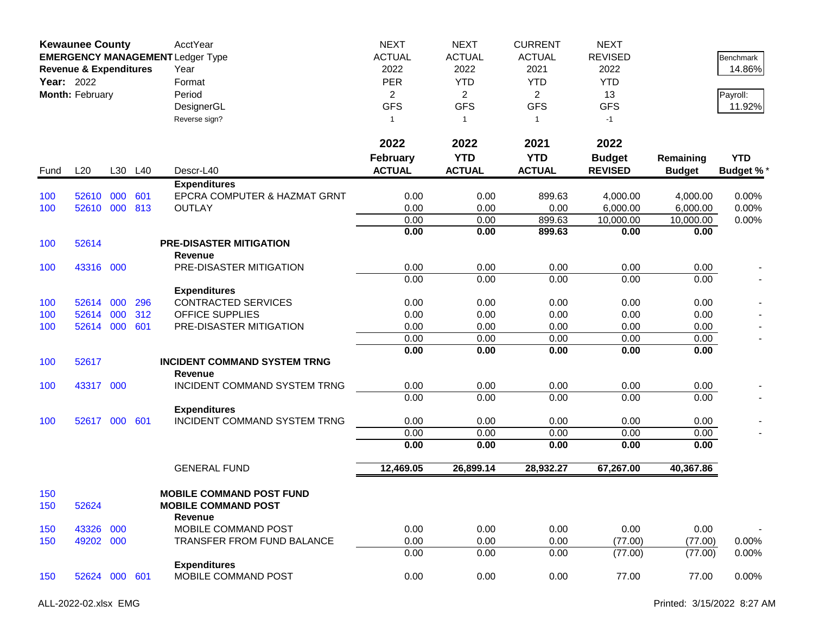|            | <b>Kewaunee County</b><br><b>EMERGENCY MANAGEMENT Ledger Type</b><br><b>Revenue &amp; Expenditures</b><br><b>Year: 2022</b><br>Month: February |     |         | AcctYear<br>Year<br>Format<br>Period<br>DesignerGL<br>Reverse sign?      | <b>NEXT</b><br><b>ACTUAL</b><br>2022<br><b>PER</b><br>$\overline{2}$<br><b>GFS</b><br>1 | <b>NEXT</b><br><b>ACTUAL</b><br>2022<br><b>YTD</b><br>$\overline{2}$<br><b>GFS</b><br>$\overline{1}$ | <b>CURRENT</b><br><b>ACTUAL</b><br>2021<br><b>YTD</b><br>$\overline{2}$<br><b>GFS</b><br>$\mathbf{1}$ | <b>NEXT</b><br><b>REVISED</b><br>2022<br><b>YTD</b><br>13<br><b>GFS</b><br>$-1$ |                            | <b>Benchmark</b><br>14.86%<br>Payroll:<br>11.92% |
|------------|------------------------------------------------------------------------------------------------------------------------------------------------|-----|---------|--------------------------------------------------------------------------|-----------------------------------------------------------------------------------------|------------------------------------------------------------------------------------------------------|-------------------------------------------------------------------------------------------------------|---------------------------------------------------------------------------------|----------------------------|--------------------------------------------------|
|            |                                                                                                                                                |     |         |                                                                          | 2022<br><b>February</b>                                                                 | 2022<br><b>YTD</b>                                                                                   | 2021<br><b>YTD</b>                                                                                    | 2022                                                                            |                            | <b>YTD</b>                                       |
| Fund       | L20                                                                                                                                            |     | L30 L40 | Descr-L40                                                                | <b>ACTUAL</b>                                                                           | <b>ACTUAL</b>                                                                                        | <b>ACTUAL</b>                                                                                         | <b>Budget</b><br><b>REVISED</b>                                                 | Remaining<br><b>Budget</b> | <b>Budget %*</b>                                 |
|            |                                                                                                                                                |     |         | <b>Expenditures</b>                                                      |                                                                                         |                                                                                                      |                                                                                                       |                                                                                 |                            |                                                  |
| 100        | 52610                                                                                                                                          | 000 | 601     | EPCRA COMPUTER & HAZMAT GRNT                                             | 0.00                                                                                    | 0.00                                                                                                 | 899.63                                                                                                | 4,000.00                                                                        | 4,000.00                   | 0.00%                                            |
| 100        | 52610 000                                                                                                                                      |     | 813     | <b>OUTLAY</b>                                                            | 0.00                                                                                    | 0.00                                                                                                 | 0.00                                                                                                  | 6,000.00                                                                        | 6,000.00                   | 0.00%                                            |
|            |                                                                                                                                                |     |         |                                                                          | 0.00<br>0.00                                                                            | 0.00<br>0.00                                                                                         | 899.63<br>899.63                                                                                      | 10,000.00<br>0.00                                                               | 10,000.00<br>0.00          | 0.00%                                            |
| 100        | 52614                                                                                                                                          |     |         | <b>PRE-DISASTER MITIGATION</b><br><b>Revenue</b>                         |                                                                                         |                                                                                                      |                                                                                                       |                                                                                 |                            |                                                  |
| 100        | 43316 000                                                                                                                                      |     |         | PRE-DISASTER MITIGATION                                                  | 0.00                                                                                    | 0.00                                                                                                 | 0.00                                                                                                  | 0.00                                                                            | 0.00                       |                                                  |
|            |                                                                                                                                                |     |         |                                                                          | 0.00                                                                                    | 0.00                                                                                                 | 0.00                                                                                                  | 0.00                                                                            | 0.00                       |                                                  |
|            |                                                                                                                                                |     |         | <b>Expenditures</b>                                                      |                                                                                         |                                                                                                      |                                                                                                       |                                                                                 |                            |                                                  |
| 100        | 52614                                                                                                                                          | 000 | 296     | <b>CONTRACTED SERVICES</b>                                               | 0.00                                                                                    | 0.00                                                                                                 | 0.00                                                                                                  | 0.00                                                                            | 0.00                       |                                                  |
| 100        | 52614                                                                                                                                          | 000 | 312     | <b>OFFICE SUPPLIES</b>                                                   | 0.00                                                                                    | 0.00                                                                                                 | 0.00                                                                                                  | 0.00                                                                            | 0.00                       |                                                  |
| 100        | 52614                                                                                                                                          | 000 | 601     | PRE-DISASTER MITIGATION                                                  | 0.00                                                                                    | 0.00                                                                                                 | 0.00                                                                                                  | 0.00                                                                            | 0.00                       |                                                  |
|            |                                                                                                                                                |     |         |                                                                          | 0.00<br>0.00                                                                            | 0.00<br>0.00                                                                                         | 0.00<br>0.00                                                                                          | 0.00<br>0.00                                                                    | 0.00<br>0.00               |                                                  |
| 100        | 52617                                                                                                                                          |     |         | <b>INCIDENT COMMAND SYSTEM TRNG</b><br>Revenue                           |                                                                                         |                                                                                                      |                                                                                                       |                                                                                 |                            |                                                  |
| 100        | 43317 000                                                                                                                                      |     |         | INCIDENT COMMAND SYSTEM TRNG                                             | 0.00                                                                                    | 0.00                                                                                                 | 0.00                                                                                                  | 0.00                                                                            | 0.00                       |                                                  |
|            |                                                                                                                                                |     |         |                                                                          | 0.00                                                                                    | 0.00                                                                                                 | 0.00                                                                                                  | 0.00                                                                            | 0.00                       |                                                  |
|            |                                                                                                                                                |     |         | <b>Expenditures</b>                                                      |                                                                                         |                                                                                                      |                                                                                                       |                                                                                 |                            |                                                  |
| 100        | 52617 000 601                                                                                                                                  |     |         | INCIDENT COMMAND SYSTEM TRNG                                             | 0.00                                                                                    | 0.00                                                                                                 | 0.00                                                                                                  | 0.00                                                                            | 0.00                       |                                                  |
|            |                                                                                                                                                |     |         |                                                                          | 0.00                                                                                    | 0.00                                                                                                 | 0.00                                                                                                  | 0.00                                                                            | 0.00                       |                                                  |
|            |                                                                                                                                                |     |         |                                                                          | 0.00                                                                                    | 0.00                                                                                                 | 0.00                                                                                                  | 0.00                                                                            | 0.00                       |                                                  |
|            |                                                                                                                                                |     |         | <b>GENERAL FUND</b>                                                      | 12,469.05                                                                               | 26,899.14                                                                                            | 28,932.27                                                                                             | 67,267.00                                                                       | 40,367.86                  |                                                  |
| 150<br>150 | 52624                                                                                                                                          |     |         | <b>MOBILE COMMAND POST FUND</b><br><b>MOBILE COMMAND POST</b><br>Revenue |                                                                                         |                                                                                                      |                                                                                                       |                                                                                 |                            |                                                  |
| 150        | 43326                                                                                                                                          | 000 |         | MOBILE COMMAND POST                                                      | 0.00                                                                                    | 0.00                                                                                                 | 0.00                                                                                                  | 0.00                                                                            | 0.00                       |                                                  |
| 150        | 49202 000                                                                                                                                      |     |         | <b>TRANSFER FROM FUND BALANCE</b>                                        | 0.00                                                                                    | 0.00                                                                                                 | 0.00                                                                                                  | (77.00)                                                                         | (77.00)                    | 0.00%                                            |
|            |                                                                                                                                                |     |         |                                                                          | 0.00                                                                                    | 0.00                                                                                                 | 0.00                                                                                                  | (77.00)                                                                         | (77.00)                    | 0.00%                                            |
| 150        | 52624 000 601                                                                                                                                  |     |         | <b>Expenditures</b><br>MOBILE COMMAND POST                               | 0.00                                                                                    | 0.00                                                                                                 | 0.00                                                                                                  | 77.00                                                                           | 77.00                      | 0.00%                                            |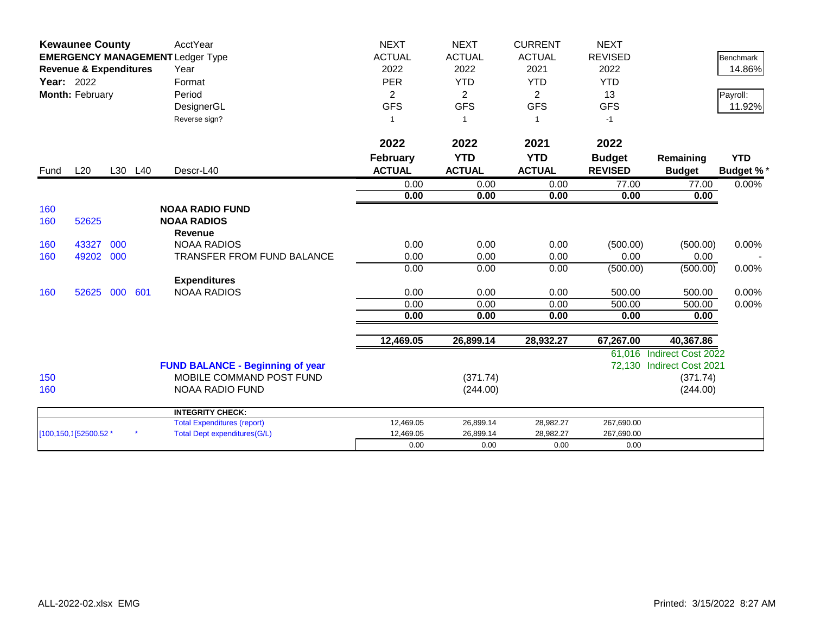|                   | <b>Kewaunee County</b><br><b>EMERGENCY MANAGEMENT Ledger Type</b> |     |         | AcctYear                                | <b>NEXT</b>     | <b>NEXT</b>    | <b>CURRENT</b> | <b>NEXT</b>    |                           |                  |
|-------------------|-------------------------------------------------------------------|-----|---------|-----------------------------------------|-----------------|----------------|----------------|----------------|---------------------------|------------------|
|                   |                                                                   |     |         |                                         | <b>ACTUAL</b>   | <b>ACTUAL</b>  | <b>ACTUAL</b>  | <b>REVISED</b> |                           | <b>Benchmark</b> |
|                   | <b>Revenue &amp; Expenditures</b>                                 |     |         | Year                                    | 2022            | 2022           | 2021           | 2022           |                           | 14.86%           |
| <b>Year: 2022</b> |                                                                   |     |         | Format                                  | <b>PER</b>      | <b>YTD</b>     | <b>YTD</b>     | <b>YTD</b>     |                           |                  |
|                   | Month: February                                                   |     |         | Period                                  | $\overline{2}$  | $\overline{2}$ | 2              | 13             |                           | Payroll:         |
|                   |                                                                   |     |         | DesignerGL                              | <b>GFS</b>      | <b>GFS</b>     | <b>GFS</b>     | <b>GFS</b>     |                           | 11.92%           |
|                   |                                                                   |     |         | Reverse sign?                           |                 | $\overline{1}$ | $\overline{1}$ | $-1$           |                           |                  |
|                   |                                                                   |     |         |                                         | 2022            | 2022           | 2021           | 2022           |                           |                  |
|                   |                                                                   |     |         |                                         | <b>February</b> | <b>YTD</b>     | <b>YTD</b>     | <b>Budget</b>  | Remaining                 | <b>YTD</b>       |
| Fund              | L20                                                               |     | L30 L40 | Descr-L40                               | <b>ACTUAL</b>   | <b>ACTUAL</b>  | <b>ACTUAL</b>  | <b>REVISED</b> | <b>Budget</b>             | <b>Budget %*</b> |
|                   |                                                                   |     |         |                                         | 0.00            | 0.00           | 0.00           | 77.00          |                           | 0.00%            |
|                   |                                                                   |     |         |                                         | 0.00            | 0.00           | 0.00           | 0.00           | 77.00<br>0.00             |                  |
| 160               |                                                                   |     |         | <b>NOAA RADIO FUND</b>                  |                 |                |                |                |                           |                  |
| 160               | 52625                                                             |     |         | <b>NOAA RADIOS</b>                      |                 |                |                |                |                           |                  |
|                   |                                                                   |     |         | <b>Revenue</b>                          |                 |                |                |                |                           |                  |
| 160               | 43327                                                             | 000 |         | <b>NOAA RADIOS</b>                      | 0.00            | 0.00           | 0.00           | (500.00)       | (500.00)                  | 0.00%            |
| 160               | 49202                                                             | 000 |         | <b>TRANSFER FROM FUND BALANCE</b>       | 0.00            | 0.00           | 0.00           | 0.00           | 0.00                      |                  |
|                   |                                                                   |     |         |                                         | 0.00            | 0.00           | 0.00           | (500.00)       | (500.00)                  | 0.00%            |
|                   |                                                                   |     |         | <b>Expenditures</b>                     |                 |                |                |                |                           |                  |
| 160               | 52625                                                             | 000 | 601     | <b>NOAA RADIOS</b>                      | 0.00            | 0.00           | 0.00           | 500.00         | 500.00                    | 0.00%            |
|                   |                                                                   |     |         |                                         | 0.00            | 0.00           | 0.00           | 500.00         | 500.00                    | 0.00%            |
|                   |                                                                   |     |         |                                         | 0.00            | 0.00           | 0.00           | 0.00           | 0.00                      |                  |
|                   |                                                                   |     |         |                                         | 12,469.05       | 26,899.14      | 28,932.27      | 67,267.00      | 40,367.86                 |                  |
|                   |                                                                   |     |         |                                         |                 |                |                |                | 61,016 Indirect Cost 2022 |                  |
|                   |                                                                   |     |         | <b>FUND BALANCE - Beginning of year</b> |                 |                |                |                | 72,130 Indirect Cost 2021 |                  |
| 150               |                                                                   |     |         | MOBILE COMMAND POST FUND                |                 | (371.74)       |                |                | (371.74)                  |                  |
| 160               |                                                                   |     |         | <b>NOAA RADIO FUND</b>                  |                 | (244.00)       |                |                | (244.00)                  |                  |
|                   |                                                                   |     |         | <b>INTEGRITY CHECK:</b>                 |                 |                |                |                |                           |                  |
|                   |                                                                   |     |         | <b>Total Expenditures (report)</b>      | 12,469.05       | 26,899.14      | 28,982.27      | 267,690.00     |                           |                  |
|                   | [100,150,1] 52500.52 *                                            |     |         | <b>Total Dept expenditures(G/L)</b>     | 12,469.05       | 26,899.14      | 28,982.27      | 267,690.00     |                           |                  |
|                   |                                                                   |     |         |                                         | 0.00            | 0.00           | 0.00           | 0.00           |                           |                  |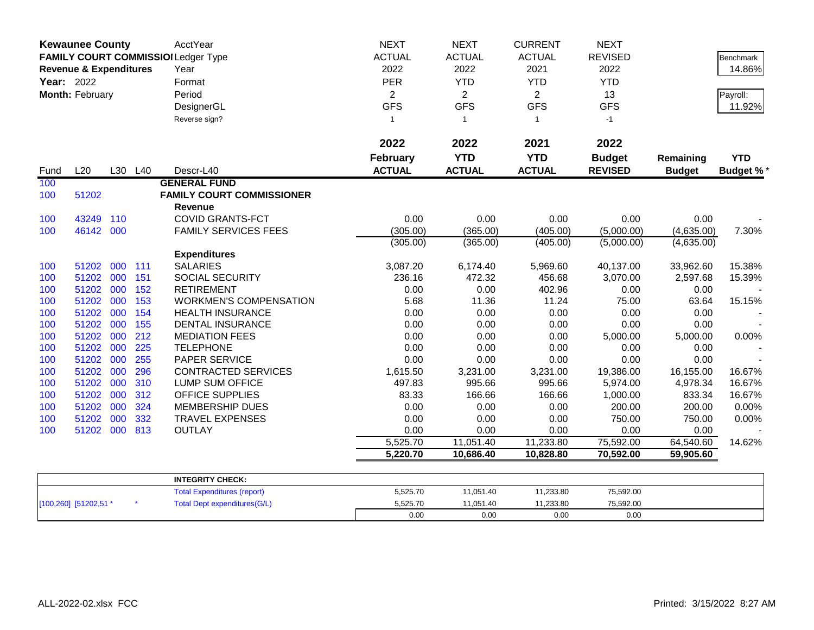|            | <b>Kewaunee County</b>            |     |            | AcctYear                            | <b>NEXT</b>     | <b>NEXT</b>    | <b>CURRENT</b> | <b>NEXT</b>    |               |                  |
|------------|-----------------------------------|-----|------------|-------------------------------------|-----------------|----------------|----------------|----------------|---------------|------------------|
|            |                                   |     |            | FAMILY COURT COMMISSIOI Ledger Type | <b>ACTUAL</b>   | <b>ACTUAL</b>  | <b>ACTUAL</b>  | <b>REVISED</b> |               | Benchmark        |
|            | <b>Revenue &amp; Expenditures</b> |     |            | Year                                | 2022            | 2022           | 2021           | 2022           |               | 14.86%           |
| Year: 2022 |                                   |     |            | Format                              | PER             | <b>YTD</b>     | <b>YTD</b>     | <b>YTD</b>     |               |                  |
|            | Month: February                   |     |            | Period                              | $\overline{2}$  | $\overline{2}$ | $\overline{2}$ | 13             |               | Payroll:         |
|            |                                   |     |            | DesignerGL                          | <b>GFS</b>      | <b>GFS</b>     | <b>GFS</b>     | <b>GFS</b>     |               | 11.92%           |
|            |                                   |     |            | Reverse sign?                       | $\mathbf{1}$    | $\mathbf{1}$   | $\overline{1}$ | $-1$           |               |                  |
|            |                                   |     |            |                                     | 2022            | 2022           | 2021           | 2022           |               |                  |
|            |                                   |     |            |                                     | <b>February</b> | <b>YTD</b>     | <b>YTD</b>     | <b>Budget</b>  | Remaining     | <b>YTD</b>       |
| Fund       | L20                               |     | L30 L40    | Descr-L40                           | <b>ACTUAL</b>   | <b>ACTUAL</b>  | <b>ACTUAL</b>  | <b>REVISED</b> | <b>Budget</b> | <b>Budget %*</b> |
| 100        |                                   |     |            | <b>GENERAL FUND</b>                 |                 |                |                |                |               |                  |
| 100        | 51202                             |     |            | <b>FAMILY COURT COMMISSIONER</b>    |                 |                |                |                |               |                  |
|            |                                   |     |            | Revenue                             |                 |                |                |                |               |                  |
| 100        | 43249                             | 110 |            | <b>COVID GRANTS-FCT</b>             | 0.00            | 0.00           | 0.00           | 0.00           | 0.00          |                  |
| 100        | 46142 000                         |     |            | <b>FAMILY SERVICES FEES</b>         | (305.00)        | (365.00)       | (405.00)       | (5,000.00)     | (4,635.00)    | 7.30%            |
|            |                                   |     |            |                                     | (305.00)        | (365.00)       | (405.00)       | (5,000.00)     | (4,635.00)    |                  |
|            |                                   |     |            | <b>Expenditures</b>                 |                 |                |                |                |               |                  |
| 100        | 51202 000 111                     |     |            | <b>SALARIES</b>                     | 3,087.20        | 6,174.40       | 5,969.60       | 40,137.00      | 33,962.60     | 15.38%           |
| 100        | 51202 000                         |     | 151        | <b>SOCIAL SECURITY</b>              | 236.16          | 472.32         | 456.68         | 3,070.00       | 2,597.68      | 15.39%           |
| 100        | 51202 000                         |     | 152        | <b>RETIREMENT</b>                   | 0.00            | 0.00           | 402.96         | 0.00           | 0.00          |                  |
| 100        | 51202 000                         |     | 153        | <b>WORKMEN'S COMPENSATION</b>       | 5.68            | 11.36          | 11.24          | 75.00          | 63.64         | 15.15%           |
| 100        | 51202 000                         |     | 154        | <b>HEALTH INSURANCE</b>             | 0.00            | 0.00           | 0.00           | 0.00           | 0.00          |                  |
| 100        | 51202 000                         |     | 155        | <b>DENTAL INSURANCE</b>             | 0.00            | 0.00           | 0.00           | 0.00           | 0.00          |                  |
| 100        | 51202 000                         |     | 212        | <b>MEDIATION FEES</b>               | 0.00            | 0.00           | 0.00           | 5,000.00       | 5,000.00      | 0.00%            |
| 100<br>100 | 51202 000<br>51202 000            |     | 225<br>255 | <b>TELEPHONE</b><br>PAPER SERVICE   | 0.00<br>0.00    | 0.00<br>0.00   | 0.00<br>0.00   | 0.00<br>0.00   | 0.00<br>0.00  |                  |
| 100        | 51202                             | 000 | 296        | <b>CONTRACTED SERVICES</b>          | 1,615.50        | 3,231.00       | 3,231.00       | 19,386.00      | 16,155.00     | 16.67%           |
| 100        | 51202 000                         |     | 310        | <b>LUMP SUM OFFICE</b>              | 497.83          | 995.66         | 995.66         | 5,974.00       | 4,978.34      | 16.67%           |
| 100        | 51202 000                         |     | 312        | OFFICE SUPPLIES                     | 83.33           | 166.66         | 166.66         | 1,000.00       | 833.34        | 16.67%           |
| 100        | 51202 000                         |     | 324        | <b>MEMBERSHIP DUES</b>              | 0.00            | 0.00           | 0.00           | 200.00         | 200.00        | 0.00%            |
| 100        | 51202 000                         |     | 332        | <b>TRAVEL EXPENSES</b>              | 0.00            | 0.00           | 0.00           | 750.00         | 750.00        | 0.00%            |
| 100        | 51202 000                         |     | 813        | <b>OUTLAY</b>                       | 0.00            | 0.00           | 0.00           | 0.00           | 0.00          |                  |
|            |                                   |     |            |                                     | 5,525.70        | 11,051.40      | 11,233.80      | 75,592.00      | 64,540.60     | 14.62%           |
|            |                                   |     |            |                                     | 5,220.70        | 10,686.40      | 10,828.80      | 70,592.00      | 59,905.60     |                  |
|            |                                   |     |            | <b>INTEGRITY CHECK:</b>             |                 |                |                |                |               |                  |
|            |                                   |     |            | <b>Total Expenditures (report)</b>  | 5,525.70        | 11,051.40      | 11,233.80      | 75,592.00      |               |                  |
|            | [100,260] [51202,51 *             |     |            | <b>Total Dept expenditures(G/L)</b> | 5,525.70        | 11,051.40      | 11,233.80      | 75,592.00      |               |                  |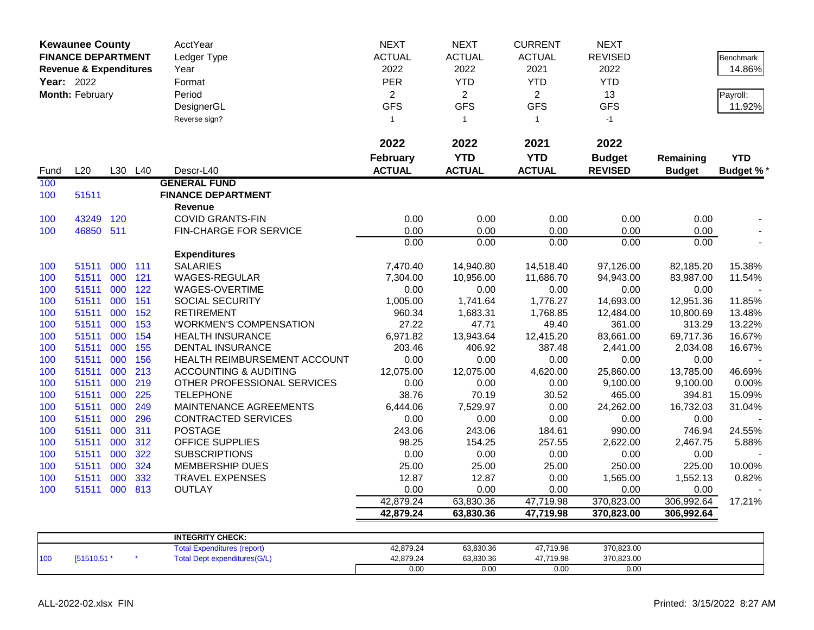| <b>Kewaunee County</b><br><b>FINANCE DEPARTMENT</b><br><b>Revenue &amp; Expenditures</b><br>Year: 2022<br>Month: February |                |            |            | AcctYear<br>Ledger Type<br>Year<br>Format<br>Period<br>DesignerGL<br>Reverse sign? | <b>NEXT</b><br><b>ACTUAL</b><br>2022<br><b>PER</b><br>$\overline{2}$<br><b>GFS</b><br>$\overline{1}$<br>2022 | <b>NEXT</b><br><b>ACTUAL</b><br>2022<br><b>YTD</b><br>$\overline{2}$<br><b>GFS</b><br>$\overline{1}$<br>2022 | <b>CURRENT</b><br><b>ACTUAL</b><br>2021<br><b>YTD</b><br>$\overline{2}$<br><b>GFS</b><br>$\mathbf{1}$<br>2021 | <b>NEXT</b><br><b>REVISED</b><br>2022<br><b>YTD</b><br>13<br><b>GFS</b><br>$-1$<br>2022 |                    | <b>Benchmark</b><br>14.86%<br>Payroll:<br>11.92% |
|---------------------------------------------------------------------------------------------------------------------------|----------------|------------|------------|------------------------------------------------------------------------------------|--------------------------------------------------------------------------------------------------------------|--------------------------------------------------------------------------------------------------------------|---------------------------------------------------------------------------------------------------------------|-----------------------------------------------------------------------------------------|--------------------|--------------------------------------------------|
|                                                                                                                           |                |            |            |                                                                                    | February                                                                                                     | <b>YTD</b>                                                                                                   | <b>YTD</b>                                                                                                    | <b>Budget</b>                                                                           | Remaining          | <b>YTD</b>                                       |
| Fund                                                                                                                      | L20            |            | L30 L40    | Descr-L40                                                                          | <b>ACTUAL</b>                                                                                                | <b>ACTUAL</b>                                                                                                | <b>ACTUAL</b>                                                                                                 | <b>REVISED</b>                                                                          | <b>Budget</b>      | <b>Budget %</b>                                  |
| 100                                                                                                                       |                |            |            | <b>GENERAL FUND</b>                                                                |                                                                                                              |                                                                                                              |                                                                                                               |                                                                                         |                    |                                                  |
| 100                                                                                                                       | 51511          |            |            | <b>FINANCE DEPARTMENT</b>                                                          |                                                                                                              |                                                                                                              |                                                                                                               |                                                                                         |                    |                                                  |
|                                                                                                                           |                |            |            | <b>Revenue</b>                                                                     |                                                                                                              |                                                                                                              |                                                                                                               |                                                                                         |                    |                                                  |
| 100                                                                                                                       | 43249          | 120        |            | <b>COVID GRANTS-FIN</b>                                                            | 0.00                                                                                                         | 0.00                                                                                                         | 0.00                                                                                                          | 0.00                                                                                    | 0.00               |                                                  |
| 100                                                                                                                       | 46850 511      |            |            | FIN-CHARGE FOR SERVICE                                                             | 0.00                                                                                                         | 0.00                                                                                                         | 0.00                                                                                                          | 0.00                                                                                    | 0.00               |                                                  |
|                                                                                                                           |                |            |            |                                                                                    | 0.00                                                                                                         | 0.00                                                                                                         | 0.00                                                                                                          | 0.00                                                                                    | 0.00               |                                                  |
|                                                                                                                           |                |            |            | <b>Expenditures</b>                                                                |                                                                                                              |                                                                                                              |                                                                                                               |                                                                                         |                    |                                                  |
| 100                                                                                                                       | 51511          | 000 111    |            | <b>SALARIES</b>                                                                    | 7,470.40                                                                                                     | 14,940.80                                                                                                    | 14,518.40                                                                                                     | 97,126.00                                                                               | 82,185.20          | 15.38%                                           |
| 100                                                                                                                       | 51511          | 000        | 121        | WAGES-REGULAR                                                                      | 7,304.00                                                                                                     | 10,956.00                                                                                                    | 11,686.70                                                                                                     | 94,943.00                                                                               | 83,987.00          | 11.54%                                           |
| 100                                                                                                                       | 51511          | 000        | 122        | WAGES-OVERTIME                                                                     | 0.00                                                                                                         | 0.00                                                                                                         | 0.00                                                                                                          | 0.00                                                                                    | 0.00               |                                                  |
| 100                                                                                                                       | 51511          | 000        | 151        | SOCIAL SECURITY                                                                    | 1,005.00                                                                                                     | 1,741.64                                                                                                     | 1,776.27                                                                                                      | 14,693.00                                                                               | 12,951.36          | 11.85%                                           |
| 100                                                                                                                       | 51511          | 000        | 152        | <b>RETIREMENT</b>                                                                  | 960.34                                                                                                       | 1,683.31                                                                                                     | 1,768.85                                                                                                      | 12,484.00                                                                               | 10,800.69          | 13.48%                                           |
| 100                                                                                                                       | 51511          | 000        | 153        | <b>WORKMEN'S COMPENSATION</b>                                                      | 27.22                                                                                                        | 47.71                                                                                                        | 49.40                                                                                                         | 361.00                                                                                  | 313.29             | 13.22%                                           |
| 100                                                                                                                       | 51511          | 000        | 154        | <b>HEALTH INSURANCE</b>                                                            | 6,971.82                                                                                                     | 13,943.64                                                                                                    | 12,415.20                                                                                                     | 83,661.00                                                                               | 69,717.36          | 16.67%                                           |
| 100                                                                                                                       | 51511          | 000        | 155        | <b>DENTAL INSURANCE</b>                                                            | 203.46                                                                                                       | 406.92                                                                                                       | 387.48                                                                                                        | 2,441.00                                                                                | 2,034.08           | 16.67%                                           |
| 100                                                                                                                       | 51511          | 000        | 156        | HEALTH REIMBURSEMENT ACCOUNT                                                       | 0.00                                                                                                         | 0.00                                                                                                         | 0.00                                                                                                          | 0.00                                                                                    | 0.00               |                                                  |
| 100                                                                                                                       | 51511          | 000        | 213        | <b>ACCOUNTING &amp; AUDITING</b>                                                   | 12,075.00                                                                                                    | 12,075.00                                                                                                    | 4,620.00                                                                                                      | 25,860.00                                                                               | 13,785.00          | 46.69%                                           |
| 100                                                                                                                       | 51511          | 000        | 219        | OTHER PROFESSIONAL SERVICES                                                        | 0.00                                                                                                         | 0.00                                                                                                         | 0.00                                                                                                          | 9,100.00                                                                                | 9,100.00           | 0.00%                                            |
| 100                                                                                                                       | 51511          | 000        | 225        | <b>TELEPHONE</b>                                                                   | 38.76                                                                                                        | 70.19                                                                                                        | 30.52                                                                                                         | 465.00                                                                                  | 394.81             | 15.09%                                           |
| 100                                                                                                                       | 51511          | 000        | 249        | MAINTENANCE AGREEMENTS                                                             | 6,444.06                                                                                                     | 7,529.97                                                                                                     | 0.00                                                                                                          | 24,262.00                                                                               | 16,732.03          | 31.04%                                           |
| 100                                                                                                                       | 51511          | 000        | 296        | <b>CONTRACTED SERVICES</b>                                                         | 0.00                                                                                                         | 0.00                                                                                                         | 0.00                                                                                                          | 0.00                                                                                    | 0.00               |                                                  |
| 100                                                                                                                       | 51511          | 000        | 311        | <b>POSTAGE</b><br>OFFICE SUPPLIES                                                  | 243.06<br>98.25                                                                                              | 243.06                                                                                                       | 184.61                                                                                                        | 990.00                                                                                  | 746.94             | 24.55%                                           |
| 100                                                                                                                       | 51511          | 000<br>000 | 312<br>322 |                                                                                    | 0.00                                                                                                         | 154.25                                                                                                       | 257.55                                                                                                        | 2,622.00                                                                                | 2,467.75           | 5.88%                                            |
| 100                                                                                                                       | 51511<br>51511 | 000        | 324        | <b>SUBSCRIPTIONS</b><br><b>MEMBERSHIP DUES</b>                                     |                                                                                                              | 0.00<br>25.00                                                                                                | 0.00                                                                                                          | 0.00<br>250.00                                                                          | 0.00<br>225.00     | 10.00%                                           |
| 100<br>100                                                                                                                | 51511          | 000        | 332        | <b>TRAVEL EXPENSES</b>                                                             | 25.00<br>12.87                                                                                               | 12.87                                                                                                        | 25.00<br>0.00                                                                                                 | 1,565.00                                                                                | 1,552.13           | 0.82%                                            |
| 100                                                                                                                       | 51511 000 813  |            |            | <b>OUTLAY</b>                                                                      | 0.00                                                                                                         | 0.00                                                                                                         | 0.00                                                                                                          |                                                                                         |                    |                                                  |
|                                                                                                                           |                |            |            |                                                                                    | 42,879.24                                                                                                    | 63,830.36                                                                                                    | 47,719.98                                                                                                     | 0.00<br>370,823.00                                                                      | 0.00<br>306,992.64 | 17.21%                                           |
|                                                                                                                           |                |            |            |                                                                                    | 42,879.24                                                                                                    | 63,830.36                                                                                                    | 47,719.98                                                                                                     | 370,823.00                                                                              | 306,992.64         |                                                  |
|                                                                                                                           |                |            |            |                                                                                    |                                                                                                              |                                                                                                              |                                                                                                               |                                                                                         |                    |                                                  |
|                                                                                                                           |                |            |            | <b>INTEGRITY CHECK:</b>                                                            |                                                                                                              |                                                                                                              |                                                                                                               |                                                                                         |                    |                                                  |
|                                                                                                                           |                |            |            | <b>Total Expenditures (report)</b>                                                 | 42,879.24                                                                                                    | 63,830.36                                                                                                    | 47,719.98                                                                                                     | 370,823.00                                                                              |                    |                                                  |
| 100                                                                                                                       | [51510.51 *    |            |            | <b>Total Dept expenditures(G/L)</b>                                                | 42,879.24                                                                                                    | 63,830.36                                                                                                    | 47,719.98                                                                                                     | 370,823.00                                                                              |                    |                                                  |
|                                                                                                                           |                |            |            |                                                                                    | 0.00                                                                                                         | 0.00                                                                                                         | 0.00                                                                                                          | 0.00                                                                                    |                    |                                                  |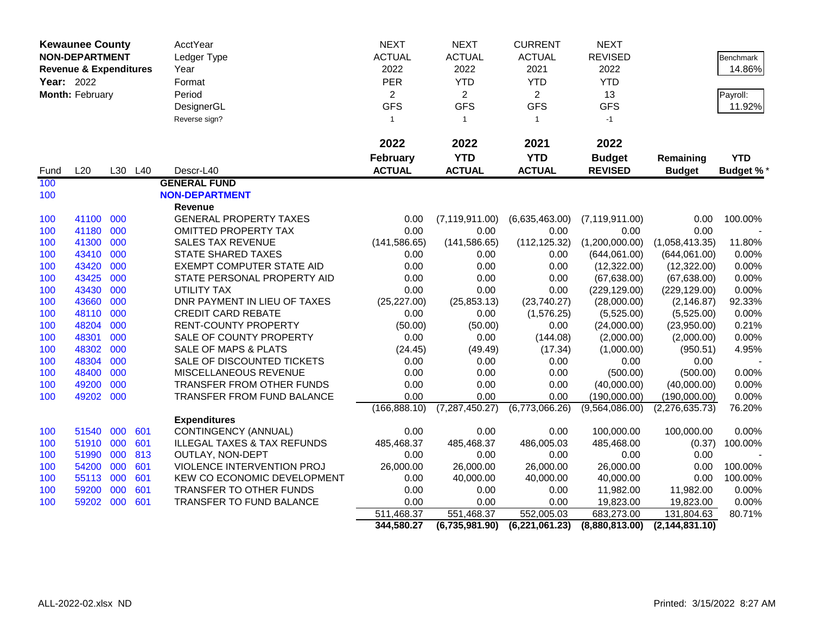| <b>Kewaunee County</b> |                                   |     | AcctYear | <b>NEXT</b>                            | <b>NEXT</b>     | <b>CURRENT</b>   | <b>NEXT</b>    |                  |                  |                  |
|------------------------|-----------------------------------|-----|----------|----------------------------------------|-----------------|------------------|----------------|------------------|------------------|------------------|
|                        | <b>NON-DEPARTMENT</b>             |     |          | Ledger Type                            | <b>ACTUAL</b>   | <b>ACTUAL</b>    | <b>ACTUAL</b>  | <b>REVISED</b>   |                  | Benchmark        |
|                        | <b>Revenue &amp; Expenditures</b> |     |          | Year                                   | 2022            | 2022             | 2021           | 2022             |                  | 14.86%           |
|                        | Year: 2022                        |     |          | Format                                 | <b>PER</b>      | <b>YTD</b>       | <b>YTD</b>     | <b>YTD</b>       |                  |                  |
|                        | Month: February                   |     |          | Period                                 | $\overline{2}$  | $\overline{2}$   | $\overline{2}$ | 13               |                  | Payroll:         |
|                        |                                   |     |          | DesignerGL                             | <b>GFS</b>      | <b>GFS</b>       | <b>GFS</b>     | <b>GFS</b>       |                  | 11.92%           |
|                        |                                   |     |          | Reverse sign?                          | $\mathbf{1}$    | $\mathbf{1}$     | $\mathbf{1}$   | $-1$             |                  |                  |
|                        |                                   |     |          |                                        |                 |                  |                |                  |                  |                  |
|                        |                                   |     |          |                                        | 2022            | 2022             | 2021           | 2022             |                  |                  |
|                        |                                   |     |          |                                        | <b>February</b> | <b>YTD</b>       | <b>YTD</b>     | <b>Budget</b>    | Remaining        | <b>YTD</b>       |
| Fund                   | L20                               |     | L30 L40  | Descr-L40                              | <b>ACTUAL</b>   | <b>ACTUAL</b>    | <b>ACTUAL</b>  | <b>REVISED</b>   | <b>Budget</b>    | <b>Budget %*</b> |
| 100                    |                                   |     |          | <b>GENERAL FUND</b>                    |                 |                  |                |                  |                  |                  |
| 100                    |                                   |     |          | <b>NON-DEPARTMENT</b>                  |                 |                  |                |                  |                  |                  |
|                        |                                   |     |          | <b>Revenue</b>                         |                 |                  |                |                  |                  |                  |
| 100                    | 41100 000                         |     |          | <b>GENERAL PROPERTY TAXES</b>          | 0.00            | (7, 119, 911.00) | (6,635,463.00) | (7, 119, 911.00) | 0.00             | 100.00%          |
| 100                    | 41180                             | 000 |          | <b>OMITTED PROPERTY TAX</b>            | 0.00            | 0.00             | 0.00           | 0.00             | 0.00             |                  |
| 100                    | 41300                             | 000 |          | <b>SALES TAX REVENUE</b>               | (141, 586.65)   | (141, 586.65)    | (112, 125.32)  | (1,200,000.00)   | (1,058,413.35)   | 11.80%           |
| 100                    | 43410                             | 000 |          | <b>STATE SHARED TAXES</b>              | 0.00            | 0.00             | 0.00           | (644,061.00)     | (644,061.00)     | 0.00%            |
| 100                    | 43420                             | 000 |          | <b>EXEMPT COMPUTER STATE AID</b>       | 0.00            | 0.00             | 0.00           | (12,322.00)      | (12, 322.00)     | 0.00%            |
| 100                    | 43425                             | 000 |          | STATE PERSONAL PROPERTY AID            | 0.00            | 0.00             | 0.00           | (67, 638.00)     | (67, 638.00)     | 0.00%            |
| 100                    | 43430                             | 000 |          | UTILITY TAX                            | 0.00            | 0.00             | 0.00           | (229, 129.00)    | (229, 129.00)    | 0.00%            |
| 100                    | 43660                             | 000 |          | DNR PAYMENT IN LIEU OF TAXES           | (25, 227.00)    | (25, 853.13)     | (23,740.27)    | (28,000.00)      | (2, 146.87)      | 92.33%           |
| 100                    | 48110                             | 000 |          | <b>CREDIT CARD REBATE</b>              | 0.00            | 0.00             | (1,576.25)     | (5,525.00)       | (5,525.00)       | 0.00%            |
| 100                    | 48204                             | 000 |          | <b>RENT-COUNTY PROPERTY</b>            | (50.00)         | (50.00)          | 0.00           | (24,000.00)      | (23,950.00)      | 0.21%            |
| 100                    | 48301                             | 000 |          | SALE OF COUNTY PROPERTY                | 0.00            | 0.00             | (144.08)       | (2,000.00)       | (2,000.00)       | 0.00%            |
| 100                    | 48302                             | 000 |          | SALE OF MAPS & PLATS                   | (24.45)         | (49.49)          | (17.34)        | (1,000.00)       | (950.51)         | 4.95%            |
| 100                    | 48304                             | 000 |          | SALE OF DISCOUNTED TICKETS             | 0.00            | 0.00             | 0.00           | 0.00             | 0.00             |                  |
| 100                    | 48400                             | 000 |          | MISCELLANEOUS REVENUE                  | 0.00            | 0.00             | 0.00           | (500.00)         | (500.00)         | 0.00%            |
| 100                    | 49200                             | 000 |          | TRANSFER FROM OTHER FUNDS              | 0.00            | 0.00             | 0.00           | (40,000.00)      | (40,000.00)      | 0.00%            |
| 100                    | 49202 000                         |     |          | TRANSFER FROM FUND BALANCE             | 0.00            | 0.00             | 0.00           | (190,000.00)     | (190,000.00)     | 0.00%            |
|                        |                                   |     |          |                                        | (166, 888.10)   | (7, 287, 450.27) | (6,773,066.26) | (9,564,086.00)   | (2,276,635.73)   | 76.20%           |
|                        |                                   |     |          | <b>Expenditures</b>                    |                 |                  |                |                  |                  |                  |
| 100                    | 51540                             | 000 | 601      | CONTINGENCY (ANNUAL)                   | 0.00            | 0.00             | 0.00           | 100,000.00       | 100,000.00       | 0.00%            |
| 100                    | 51910 000                         |     | 601      | <b>ILLEGAL TAXES &amp; TAX REFUNDS</b> | 485,468.37      | 485,468.37       | 486,005.03     | 485,468.00       | (0.37)           | 100.00%          |
| 100                    | 51990                             | 000 | 813      | OUTLAY, NON-DEPT                       | 0.00            | 0.00             | 0.00           | 0.00             | 0.00             |                  |
| 100                    | 54200                             | 000 | 601      | VIOLENCE INTERVENTION PROJ             | 26,000.00       | 26,000.00        | 26,000.00      | 26,000.00        | 0.00             | 100.00%          |
| 100                    | 55113                             | 000 | 601      | KEW CO ECONOMIC DEVELOPMENT            | 0.00            | 40,000.00        | 40,000.00      | 40,000.00        | 0.00             | 100.00%          |
| 100                    | 59200                             | 000 | 601      | TRANSFER TO OTHER FUNDS                | 0.00            | 0.00             | 0.00           | 11,982.00        | 11,982.00        | 0.00%            |
| 100                    | 59202 000                         |     | 601      | TRANSFER TO FUND BALANCE               | 0.00            | 0.00             | 0.00           | 19,823.00        | 19,823.00        | 0.00%            |
|                        |                                   |     |          |                                        | 511,468.37      | 551,468.37       | 552,005.03     | 683,273.00       | 131,804.63       | 80.71%           |
|                        |                                   |     |          |                                        | 344,580.27      | (6,735,981.90)   | (6,221,061.23) | (8,880,813.00)   | (2, 144, 831.10) |                  |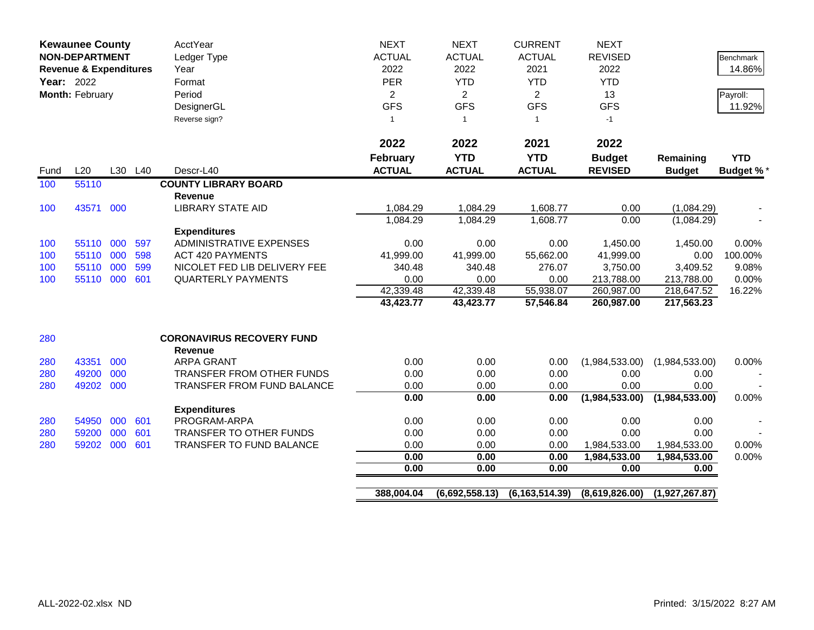| <b>Kewaunee County</b><br><b>NON-DEPARTMENT</b><br><b>Revenue &amp; Expenditures</b><br>Year: 2022<br>Month: February |           |     |         | <b>AcctYear</b><br>Ledger Type<br>Year<br>Format<br>Period<br>DesignerGL<br>Reverse sign? | <b>NEXT</b><br><b>ACTUAL</b><br>2022<br>PER<br>$\overline{2}$<br><b>GFS</b><br>$\mathbf{1}$ | <b>NEXT</b><br><b>ACTUAL</b><br>2022<br><b>YTD</b><br>$\overline{2}$<br><b>GFS</b><br>$\overline{1}$ | <b>CURRENT</b><br><b>ACTUAL</b><br>2021<br><b>YTD</b><br>$\overline{2}$<br><b>GFS</b><br>$\mathbf{1}$ | <b>NEXT</b><br><b>REVISED</b><br>2022<br><b>YTD</b><br>13<br><b>GFS</b><br>$-1$ | Remaining      | <b>Benchmark</b><br>14.86%<br>Payroll:<br>11.92% |
|-----------------------------------------------------------------------------------------------------------------------|-----------|-----|---------|-------------------------------------------------------------------------------------------|---------------------------------------------------------------------------------------------|------------------------------------------------------------------------------------------------------|-------------------------------------------------------------------------------------------------------|---------------------------------------------------------------------------------|----------------|--------------------------------------------------|
|                                                                                                                       |           |     |         |                                                                                           | 2022<br><b>February</b>                                                                     | 2022<br><b>YTD</b>                                                                                   | 2021<br><b>YTD</b>                                                                                    | 2022<br><b>Budget</b>                                                           |                | <b>YTD</b>                                       |
| Fund                                                                                                                  | L20       |     | L30 L40 | Descr-L40                                                                                 | <b>ACTUAL</b>                                                                               | <b>ACTUAL</b>                                                                                        | <b>ACTUAL</b>                                                                                         | <b>REVISED</b>                                                                  | <b>Budget</b>  | Budget %*                                        |
| 100                                                                                                                   | 55110     |     |         | <b>COUNTY LIBRARY BOARD</b>                                                               |                                                                                             |                                                                                                      |                                                                                                       |                                                                                 |                |                                                  |
|                                                                                                                       |           |     |         | <b>Revenue</b>                                                                            |                                                                                             |                                                                                                      |                                                                                                       |                                                                                 |                |                                                  |
| 100                                                                                                                   | 43571     | 000 |         | <b>LIBRARY STATE AID</b>                                                                  | 1,084.29                                                                                    | 1,084.29                                                                                             | 1,608.77                                                                                              | 0.00                                                                            | (1,084.29)     |                                                  |
|                                                                                                                       |           |     |         |                                                                                           | 1,084.29                                                                                    | 1,084.29                                                                                             | 1,608.77                                                                                              | 0.00                                                                            | (1,084.29)     |                                                  |
|                                                                                                                       |           |     |         | <b>Expenditures</b>                                                                       |                                                                                             |                                                                                                      |                                                                                                       |                                                                                 |                |                                                  |
| 100                                                                                                                   | 55110 000 |     | 597     | <b>ADMINISTRATIVE EXPENSES</b>                                                            | 0.00                                                                                        | 0.00                                                                                                 | 0.00                                                                                                  | 1,450.00                                                                        | 1,450.00       | 0.00%                                            |
| 100                                                                                                                   | 55110 000 |     | 598     | <b>ACT 420 PAYMENTS</b>                                                                   | 41,999.00                                                                                   | 41,999.00                                                                                            | 55,662.00                                                                                             | 41,999.00                                                                       | 0.00           | 100.00%                                          |
| 100                                                                                                                   | 55110 000 |     | 599     | NICOLET FED LIB DELIVERY FEE                                                              | 340.48                                                                                      | 340.48                                                                                               | 276.07                                                                                                | 3,750.00                                                                        | 3,409.52       | 9.08%                                            |
| 100                                                                                                                   | 55110 000 |     | 601     | <b>QUARTERLY PAYMENTS</b>                                                                 | 0.00                                                                                        | 0.00                                                                                                 | 0.00                                                                                                  | 213,788.00                                                                      | 213,788.00     | 0.00%                                            |
|                                                                                                                       |           |     |         |                                                                                           | 42,339.48                                                                                   | 42,339.48                                                                                            | 55,938.07                                                                                             | 260,987.00                                                                      | 218,647.52     | 16.22%                                           |
|                                                                                                                       |           |     |         |                                                                                           | 43,423.77                                                                                   | 43,423.77                                                                                            | 57,546.84                                                                                             | 260,987.00                                                                      | 217,563.23     |                                                  |
| 280                                                                                                                   |           |     |         | <b>CORONAVIRUS RECOVERY FUND</b><br><b>Revenue</b>                                        |                                                                                             |                                                                                                      |                                                                                                       |                                                                                 |                |                                                  |
| 280                                                                                                                   | 43351     | 000 |         | <b>ARPA GRANT</b>                                                                         | 0.00                                                                                        | 0.00                                                                                                 | 0.00                                                                                                  | (1,984,533.00)                                                                  | (1,984,533.00) | 0.00%                                            |
| 280                                                                                                                   | 49200     | 000 |         | TRANSFER FROM OTHER FUNDS                                                                 | 0.00                                                                                        | 0.00                                                                                                 | 0.00                                                                                                  | 0.00                                                                            | 0.00           |                                                  |
| 280                                                                                                                   | 49202     | 000 |         | <b>TRANSFER FROM FUND BALANCE</b>                                                         | 0.00                                                                                        | 0.00                                                                                                 | 0.00                                                                                                  | 0.00                                                                            | 0.00           |                                                  |
|                                                                                                                       |           |     |         |                                                                                           | 0.00                                                                                        | 0.00                                                                                                 | 0.00                                                                                                  | (1,984,533.00)                                                                  | (1,984,533.00) | 0.00%                                            |
|                                                                                                                       |           |     |         | <b>Expenditures</b>                                                                       |                                                                                             |                                                                                                      |                                                                                                       |                                                                                 |                |                                                  |
| 280                                                                                                                   | 54950     | 000 | 601     | PROGRAM-ARPA                                                                              | 0.00                                                                                        | 0.00                                                                                                 | 0.00                                                                                                  | 0.00                                                                            | 0.00           |                                                  |
| 280                                                                                                                   | 59200     | 000 | 601     | TRANSFER TO OTHER FUNDS                                                                   | 0.00                                                                                        | 0.00                                                                                                 | 0.00                                                                                                  | 0.00                                                                            | 0.00           |                                                  |
| 280                                                                                                                   | 59202     | 000 | 601     | TRANSFER TO FUND BALANCE                                                                  | 0.00                                                                                        | 0.00                                                                                                 | 0.00                                                                                                  | 1,984,533.00                                                                    | 1,984,533.00   | 0.00%                                            |
|                                                                                                                       |           |     |         |                                                                                           | 0.00                                                                                        | 0.00                                                                                                 | 0.00                                                                                                  | 1,984,533.00                                                                    | 1,984,533.00   | 0.00%                                            |
|                                                                                                                       |           |     |         |                                                                                           | 0.00                                                                                        | 0.00                                                                                                 | 0.00                                                                                                  | 0.00                                                                            | 0.00           |                                                  |
|                                                                                                                       |           |     |         |                                                                                           | 388,004.04                                                                                  | (6,692,558.13)                                                                                       | (6, 163, 514.39)                                                                                      | (8,619,826.00)                                                                  | (1,927,267.87) |                                                  |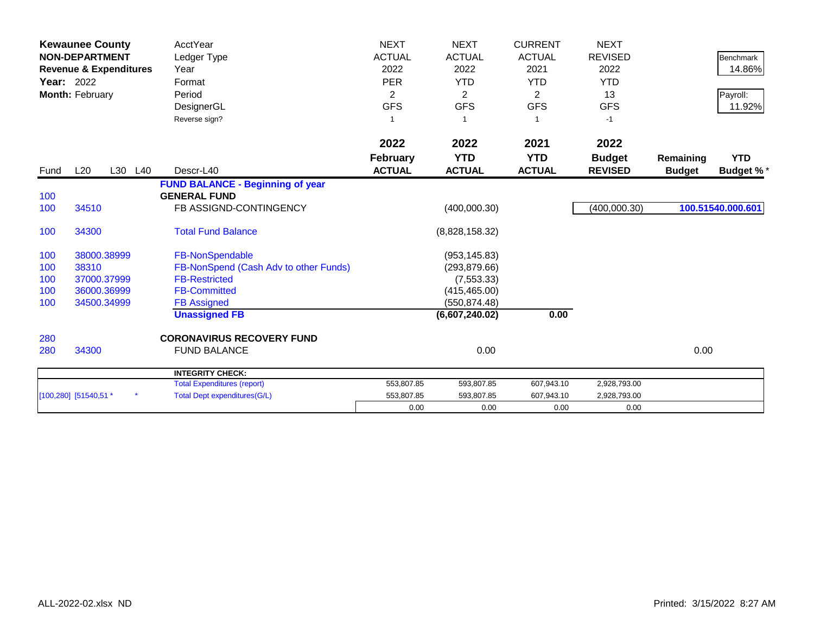| <b>Year: 2022</b> | <b>Kewaunee County</b><br><b>NON-DEPARTMENT</b><br><b>Revenue &amp; Expenditures</b><br>Month: February | AcctYear<br>Ledger Type<br>Year<br>Format<br>Period<br>DesignerGL<br>Reverse sign? | <b>NEXT</b><br><b>ACTUAL</b><br>2022<br><b>PER</b><br>2<br><b>GFS</b> | <b>NEXT</b><br><b>ACTUAL</b><br>2022<br><b>YTD</b><br>2<br><b>GFS</b> | <b>CURRENT</b><br><b>ACTUAL</b><br>2021<br><b>YTD</b><br>$\overline{2}$<br><b>GFS</b><br>-1 | <b>NEXT</b><br><b>REVISED</b><br>2022<br><b>YTD</b><br>13<br><b>GFS</b><br>$-1$ |                            | Benchmark<br>14.86%<br>Payroll:<br>11.92% |
|-------------------|---------------------------------------------------------------------------------------------------------|------------------------------------------------------------------------------------|-----------------------------------------------------------------------|-----------------------------------------------------------------------|---------------------------------------------------------------------------------------------|---------------------------------------------------------------------------------|----------------------------|-------------------------------------------|
|                   |                                                                                                         |                                                                                    | 2022                                                                  | 2022                                                                  | 2021                                                                                        | 2022                                                                            |                            |                                           |
| Fund              | L20<br>L30                                                                                              | L40<br>Descr-L40                                                                   | <b>February</b><br><b>ACTUAL</b>                                      | <b>YTD</b><br><b>ACTUAL</b>                                           | <b>YTD</b><br><b>ACTUAL</b>                                                                 | <b>Budget</b><br><b>REVISED</b>                                                 | Remaining<br><b>Budget</b> | <b>YTD</b><br><b>Budget %*</b>            |
|                   |                                                                                                         | <b>FUND BALANCE - Beginning of year</b>                                            |                                                                       |                                                                       |                                                                                             |                                                                                 |                            |                                           |
| 100               |                                                                                                         | <b>GENERAL FUND</b>                                                                |                                                                       |                                                                       |                                                                                             |                                                                                 |                            |                                           |
| 100               | 34510                                                                                                   | FB ASSIGND-CONTINGENCY                                                             |                                                                       | (400,000.30)                                                          |                                                                                             | (400,000.30)                                                                    |                            | 100.51540.000.601                         |
| 100               | 34300                                                                                                   | <b>Total Fund Balance</b>                                                          |                                                                       | (8,828,158.32)                                                        |                                                                                             |                                                                                 |                            |                                           |
| 100               | 38000.38999                                                                                             | FB-NonSpendable                                                                    |                                                                       | (953, 145.83)                                                         |                                                                                             |                                                                                 |                            |                                           |
| 100               | 38310                                                                                                   | FB-NonSpend (Cash Adv to other Funds)                                              |                                                                       | (293, 879.66)                                                         |                                                                                             |                                                                                 |                            |                                           |
| 100               | 37000.37999                                                                                             | <b>FB-Restricted</b>                                                               |                                                                       | (7, 553.33)                                                           |                                                                                             |                                                                                 |                            |                                           |
| 100               | 36000.36999                                                                                             | <b>FB-Committed</b>                                                                |                                                                       | (415, 465.00)                                                         |                                                                                             |                                                                                 |                            |                                           |
| 100               | 34500.34999                                                                                             | <b>FB Assigned</b>                                                                 |                                                                       | (550, 874.48)                                                         |                                                                                             |                                                                                 |                            |                                           |
|                   |                                                                                                         | <b>Unassigned FB</b>                                                               |                                                                       | (6,607,240.02)                                                        | 0.00                                                                                        |                                                                                 |                            |                                           |
| 280               |                                                                                                         | <b>CORONAVIRUS RECOVERY FUND</b>                                                   |                                                                       |                                                                       |                                                                                             |                                                                                 |                            |                                           |
| 280               | 34300                                                                                                   | <b>FUND BALANCE</b>                                                                |                                                                       | 0.00                                                                  |                                                                                             |                                                                                 | 0.00                       |                                           |
|                   |                                                                                                         | <b>INTEGRITY CHECK:</b>                                                            |                                                                       |                                                                       |                                                                                             |                                                                                 |                            |                                           |
|                   |                                                                                                         | <b>Total Expenditures (report)</b>                                                 | 553,807.85                                                            | 593,807.85                                                            | 607,943.10                                                                                  | 2,928,793.00                                                                    |                            |                                           |
|                   | [100,280] [51540,51 *                                                                                   | <b>Total Dept expenditures(G/L)</b>                                                | 553,807.85                                                            | 593,807.85                                                            | 607,943.10                                                                                  | 2,928,793.00                                                                    |                            |                                           |
|                   |                                                                                                         |                                                                                    | 0.00                                                                  | 0.00                                                                  | 0.00                                                                                        | 0.00                                                                            |                            |                                           |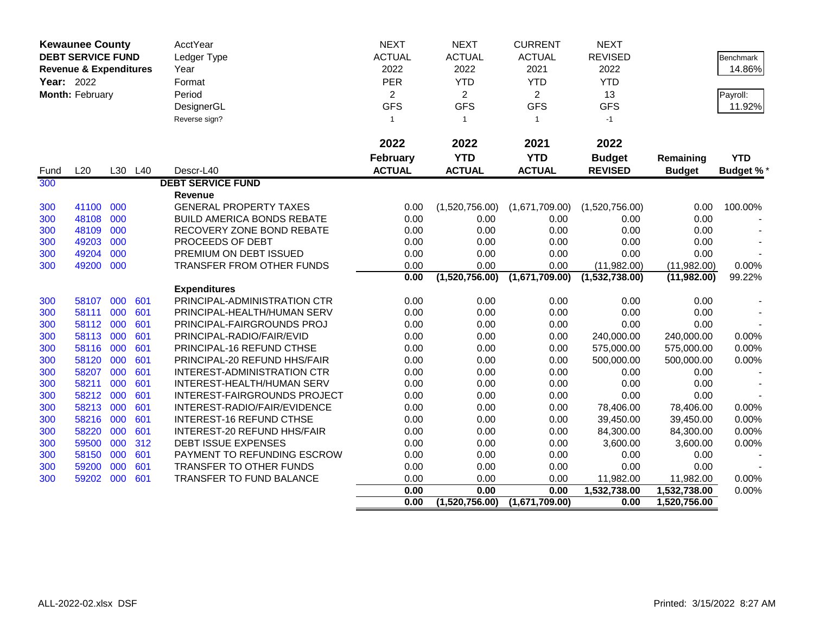| <b>Kewaunee County</b> |                                   |            | <b>AcctYear</b> | <b>NEXT</b>                                                | <b>NEXT</b>     | <b>CURRENT</b> | <b>NEXT</b>    |                   |               |                  |
|------------------------|-----------------------------------|------------|-----------------|------------------------------------------------------------|-----------------|----------------|----------------|-------------------|---------------|------------------|
|                        | <b>DEBT SERVICE FUND</b>          |            |                 | Ledger Type                                                | <b>ACTUAL</b>   | <b>ACTUAL</b>  | <b>ACTUAL</b>  | <b>REVISED</b>    |               | <b>Benchmark</b> |
|                        | <b>Revenue &amp; Expenditures</b> |            |                 | Year                                                       | 2022            | 2022           | 2021           | 2022              |               | 14.86%           |
| Year: 2022             |                                   |            |                 | Format                                                     | PER             | <b>YTD</b>     | <b>YTD</b>     | <b>YTD</b>        |               |                  |
|                        | Month: February                   |            |                 | Period                                                     | $\overline{2}$  | $\overline{2}$ | $\overline{2}$ | 13                |               | Payroll:         |
|                        |                                   |            |                 | DesignerGL                                                 | <b>GFS</b>      | <b>GFS</b>     | <b>GFS</b>     | <b>GFS</b>        |               | 11.92%           |
|                        |                                   |            |                 | Reverse sign?                                              | $\mathbf{1}$    | $\overline{1}$ | $\mathbf{1}$   | $-1$              |               |                  |
|                        |                                   |            |                 |                                                            |                 |                |                |                   |               |                  |
|                        |                                   |            |                 |                                                            | 2022            | 2022           | 2021           | 2022              |               |                  |
|                        |                                   |            |                 |                                                            | <b>February</b> | <b>YTD</b>     | <b>YTD</b>     | <b>Budget</b>     | Remaining     | <b>YTD</b>       |
| Fund                   | L20                               |            | L30 L40         | Descr-L40                                                  | <b>ACTUAL</b>   | <b>ACTUAL</b>  | <b>ACTUAL</b>  | <b>REVISED</b>    | <b>Budget</b> | <b>Budget %*</b> |
| 300                    |                                   |            |                 | <b>DEBT SERVICE FUND</b>                                   |                 |                |                |                   |               |                  |
|                        |                                   |            |                 | Revenue                                                    |                 |                |                |                   |               |                  |
| 300                    | 41100                             | 000        |                 | <b>GENERAL PROPERTY TAXES</b>                              | 0.00            | (1,520,756.00) | (1,671,709.00) | (1,520,756.00)    | 0.00          | 100.00%          |
| 300                    | 48108                             | 000        |                 | <b>BUILD AMERICA BONDS REBATE</b>                          | 0.00            | 0.00           | 0.00           | 0.00              | 0.00          |                  |
| 300                    | 48109                             | 000        |                 | RECOVERY ZONE BOND REBATE                                  | 0.00            | 0.00           | 0.00           | 0.00              | 0.00          |                  |
| 300                    | 49203                             | 000        |                 | PROCEEDS OF DEBT                                           | 0.00            | 0.00           | 0.00           | 0.00              | 0.00          |                  |
| 300                    | 49204                             | 000        |                 | PREMIUM ON DEBT ISSUED                                     | 0.00            | 0.00           | 0.00           | 0.00              | 0.00          |                  |
| 300                    | 49200                             | 000        |                 | <b>TRANSFER FROM OTHER FUNDS</b>                           | 0.00            | 0.00           | 0.00           | (11,982.00)       | (11,982.00)   | 0.00%            |
|                        |                                   |            |                 |                                                            | 0.00            | (1,520,756.00) | (1,671,709.00) | (1,532,738.00)    | (11,982.00)   | 99.22%           |
|                        |                                   |            |                 | <b>Expenditures</b>                                        |                 |                |                |                   |               |                  |
| 300                    | 58107                             | 000        | 601             | PRINCIPAL-ADMINISTRATION CTR                               | 0.00            | 0.00           | 0.00           | 0.00              | 0.00          |                  |
| 300                    | 58111                             | 000        | 601             | PRINCIPAL-HEALTH/HUMAN SERV                                | 0.00            | 0.00           | 0.00           | 0.00              | 0.00          |                  |
| 300                    | 58112                             | 000        | 601             | PRINCIPAL-FAIRGROUNDS PROJ                                 | 0.00            | 0.00           | 0.00           | 0.00              | 0.00          |                  |
| 300                    | 58113                             | 000        | 601             | PRINCIPAL-RADIO/FAIR/EVID                                  | 0.00            | 0.00           | 0.00           | 240,000.00        | 240,000.00    | 0.00%            |
| 300                    | 58116 000                         |            | 601             | <b>PRINCIPAL-16 REFUND CTHSE</b>                           | 0.00            | 0.00           | 0.00           | 575,000.00        | 575,000.00    | 0.00%            |
| 300                    | 58120 000                         |            | 601             | PRINCIPAL-20 REFUND HHS/FAIR                               | 0.00            | 0.00           | 0.00           | 500,000.00        | 500,000.00    | 0.00%            |
| 300                    | 58207                             | 000        | 601             | INTEREST-ADMINISTRATION CTR                                | 0.00            | 0.00           | 0.00           | 0.00              | 0.00          |                  |
| 300                    | 58211<br>58212                    | 000<br>000 | 601<br>601      | INTEREST-HEALTH/HUMAN SERV<br>INTEREST-FAIRGROUNDS PROJECT | 0.00            | 0.00<br>0.00   | 0.00<br>0.00   | 0.00              | 0.00<br>0.00  |                  |
| 300<br>300             | 58213                             | 000        | 601             | INTEREST-RADIO/FAIR/EVIDENCE                               | 0.00<br>0.00    | 0.00           | 0.00           | 0.00<br>78,406.00 | 78,406.00     | 0.00%            |
| 300                    | 58216 000                         |            | 601             | <b>INTEREST-16 REFUND CTHSE</b>                            | 0.00            | 0.00           | 0.00           | 39,450.00         | 39,450.00     | 0.00%            |
| 300                    | 58220                             | 000        | 601             | INTEREST-20 REFUND HHS/FAIR                                | 0.00            | 0.00           | 0.00           | 84,300.00         | 84,300.00     | 0.00%            |
| 300                    | 59500                             | 000        | 312             | DEBT ISSUE EXPENSES                                        | 0.00            | 0.00           | 0.00           | 3,600.00          | 3,600.00      | 0.00%            |
| 300                    | 58150                             | 000        | 601             | PAYMENT TO REFUNDING ESCROW                                | 0.00            | 0.00           | 0.00           | 0.00              | 0.00          |                  |
| 300                    | 59200                             | 000        | 601             | TRANSFER TO OTHER FUNDS                                    | 0.00            | 0.00           | 0.00           | 0.00              | 0.00          |                  |
| 300                    | 59202                             | 000        | 601             | TRANSFER TO FUND BALANCE                                   | 0.00            | 0.00           | 0.00           | 11,982.00         | 11,982.00     | 0.00%            |
|                        |                                   |            |                 |                                                            | 0.00            | 0.00           | 0.00           | 1,532,738.00      | 1,532,738.00  | 0.00%            |
|                        |                                   |            |                 |                                                            | 0.00            | (1,520,756.00) | (1,671,709.00) | 0.00              | 1,520,756.00  |                  |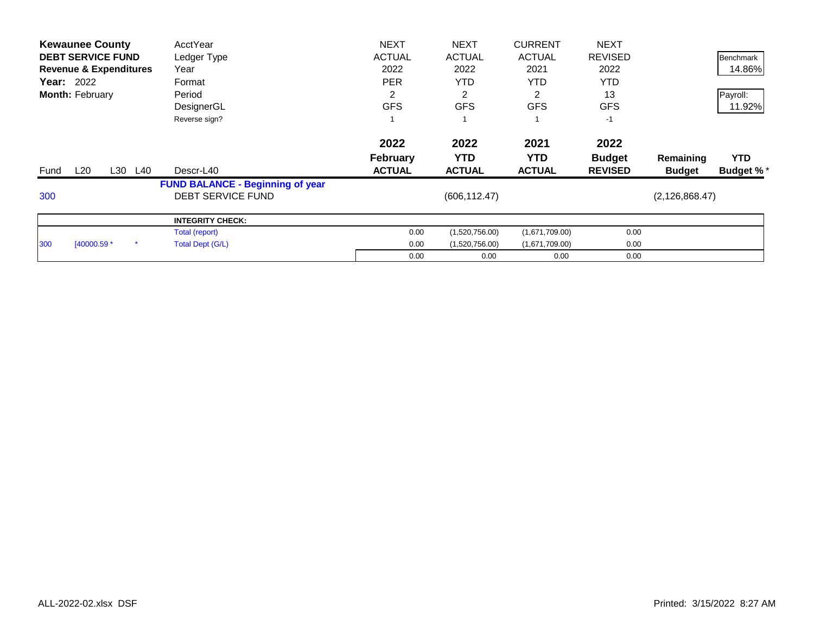| <b>Kewaunee County</b>            | AcctYear                                | <b>NEXT</b>     | <b>NEXT</b>    | <b>CURRENT</b> | <b>NEXT</b>    |                  |                  |
|-----------------------------------|-----------------------------------------|-----------------|----------------|----------------|----------------|------------------|------------------|
| <b>DEBT SERVICE FUND</b>          | Ledger Type                             | <b>ACTUAL</b>   | <b>ACTUAL</b>  | <b>ACTUAL</b>  | <b>REVISED</b> |                  | Benchmark        |
| <b>Revenue &amp; Expenditures</b> | Year                                    | 2022            | 2022           | 2021           | 2022           |                  | 14.86%           |
| <b>Year: 2022</b>                 | Format                                  | <b>PER</b>      | <b>YTD</b>     | <b>YTD</b>     | <b>YTD</b>     |                  |                  |
| <b>Month: February</b>            | Period                                  | 2               | 2              | 2              | 13             |                  | Payroll:         |
|                                   | DesignerGL                              | <b>GFS</b>      | <b>GFS</b>     | <b>GFS</b>     | <b>GFS</b>     |                  | 11.92%           |
|                                   | Reverse sign?                           |                 |                |                | $-1$           |                  |                  |
|                                   |                                         | 2022            | 2022           | 2021           | 2022           |                  |                  |
|                                   |                                         | <b>February</b> | <b>YTD</b>     | YTD.           | <b>Budget</b>  | Remaining        | <b>YTD</b>       |
| L20<br>L30<br>L40<br>Fund         | Descr-L40                               | <b>ACTUAL</b>   | <b>ACTUAL</b>  | <b>ACTUAL</b>  | <b>REVISED</b> | <b>Budget</b>    | <b>Budget %*</b> |
|                                   | <b>FUND BALANCE - Beginning of year</b> |                 |                |                |                |                  |                  |
| 300                               | <b>DEBT SERVICE FUND</b>                |                 | (606, 112.47)  |                |                | (2, 126, 868.47) |                  |
|                                   | <b>INTEGRITY CHECK:</b>                 |                 |                |                |                |                  |                  |
|                                   | Total (report)                          | 0.00            | (1,520,756.00) | (1,671,709.00) | 0.00           |                  |                  |
| [40000.59 *<br>300                | Total Dept (G/L)                        | 0.00            | (1,520,756.00) | (1,671,709.00) | 0.00           |                  |                  |
|                                   |                                         | 0.00            | 0.00           | 0.00           | 0.00           |                  |                  |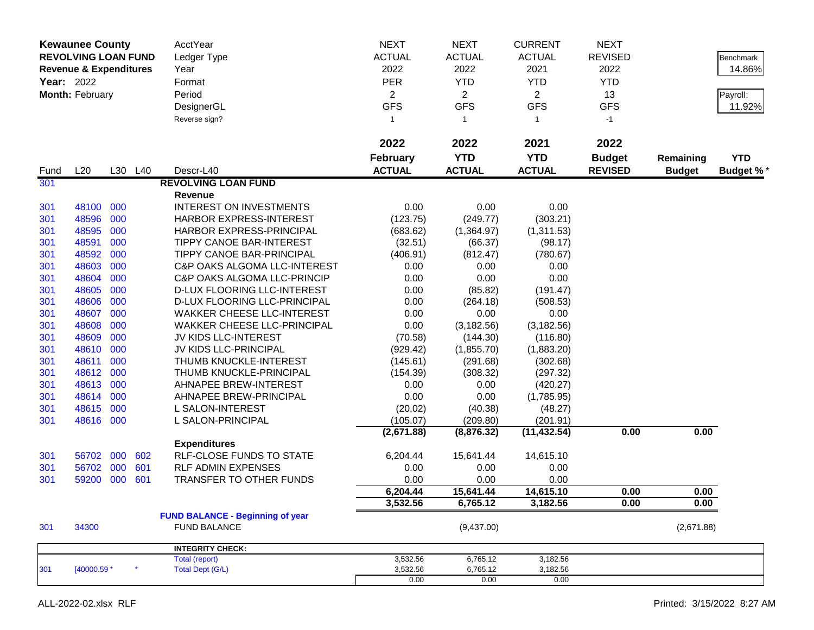| <b>Kewaunee County</b><br><b>REVOLVING LOAN FUND</b><br><b>Revenue &amp; Expenditures</b><br>Year: 2022<br>Month: February |             |     |         | AcctYear<br>Ledger Type<br>Year<br>Format<br>Period<br>DesignerGL<br>Reverse sign? | <b>NEXT</b><br><b>ACTUAL</b><br>2022<br><b>PER</b><br>$\overline{a}$<br><b>GFS</b><br>$\mathbf{1}$ | <b>NEXT</b><br><b>ACTUAL</b><br>2022<br><b>YTD</b><br>$\overline{2}$<br><b>GFS</b><br>-1 | <b>CURRENT</b><br><b>ACTUAL</b><br>2021<br><b>YTD</b><br>$\overline{2}$<br><b>GFS</b><br>$\mathbf{1}$ | <b>NEXT</b><br><b>REVISED</b><br>2022<br><b>YTD</b><br>13<br><b>GFS</b><br>$-1$ |                            | Benchmark<br>14.86%<br>Payroll:<br>11.92% |
|----------------------------------------------------------------------------------------------------------------------------|-------------|-----|---------|------------------------------------------------------------------------------------|----------------------------------------------------------------------------------------------------|------------------------------------------------------------------------------------------|-------------------------------------------------------------------------------------------------------|---------------------------------------------------------------------------------|----------------------------|-------------------------------------------|
|                                                                                                                            |             |     |         |                                                                                    | 2022                                                                                               | 2022                                                                                     | 2021                                                                                                  | 2022                                                                            |                            |                                           |
| Fund                                                                                                                       | L20         |     | L30 L40 | Descr-L40                                                                          | <b>February</b><br><b>ACTUAL</b>                                                                   | <b>YTD</b><br><b>ACTUAL</b>                                                              | <b>YTD</b><br><b>ACTUAL</b>                                                                           | <b>Budget</b><br><b>REVISED</b>                                                 | Remaining<br><b>Budget</b> | <b>YTD</b><br><b>Budget %*</b>            |
| 301                                                                                                                        |             |     |         | <b>REVOLVING LOAN FUND</b>                                                         |                                                                                                    |                                                                                          |                                                                                                       |                                                                                 |                            |                                           |
|                                                                                                                            |             |     |         | Revenue                                                                            |                                                                                                    |                                                                                          |                                                                                                       |                                                                                 |                            |                                           |
| 301                                                                                                                        | 48100 000   |     |         | <b>INTEREST ON INVESTMENTS</b>                                                     | 0.00                                                                                               | 0.00                                                                                     | 0.00                                                                                                  |                                                                                 |                            |                                           |
| 301                                                                                                                        | 48596       | 000 |         | HARBOR EXPRESS-INTEREST                                                            | (123.75)                                                                                           | (249.77)                                                                                 | (303.21)                                                                                              |                                                                                 |                            |                                           |
| 301                                                                                                                        | 48595       | 000 |         | HARBOR EXPRESS-PRINCIPAL                                                           | (683.62)                                                                                           | (1,364.97)                                                                               | (1,311.53)                                                                                            |                                                                                 |                            |                                           |
| 301                                                                                                                        | 48591       | 000 |         | TIPPY CANOE BAR-INTEREST                                                           | (32.51)                                                                                            | (66.37)                                                                                  | (98.17)                                                                                               |                                                                                 |                            |                                           |
| 301                                                                                                                        | 48592       | 000 |         | TIPPY CANOE BAR-PRINCIPAL                                                          | (406.91)                                                                                           | (812.47)                                                                                 | (780.67)                                                                                              |                                                                                 |                            |                                           |
| 301                                                                                                                        | 48603       | 000 |         | C&P OAKS ALGOMA LLC-INTEREST                                                       | 0.00                                                                                               | 0.00                                                                                     | 0.00                                                                                                  |                                                                                 |                            |                                           |
| 301                                                                                                                        | 48604       | 000 |         | <b>C&amp;P OAKS ALGOMA LLC-PRINCIP</b>                                             | 0.00                                                                                               | 0.00                                                                                     | 0.00                                                                                                  |                                                                                 |                            |                                           |
| 301                                                                                                                        | 48605       | 000 |         | D-LUX FLOORING LLC-INTEREST                                                        | 0.00                                                                                               | (85.82)                                                                                  | (191.47)                                                                                              |                                                                                 |                            |                                           |
| 301                                                                                                                        | 48606       | 000 |         | D-LUX FLOORING LLC-PRINCIPAL                                                       | 0.00                                                                                               | (264.18)                                                                                 | (508.53)                                                                                              |                                                                                 |                            |                                           |
| 301                                                                                                                        | 48607       | 000 |         | <b>WAKKER CHEESE LLC-INTEREST</b>                                                  | 0.00                                                                                               | 0.00                                                                                     | 0.00                                                                                                  |                                                                                 |                            |                                           |
| 301                                                                                                                        | 48608       | 000 |         | <b>WAKKER CHEESE LLC-PRINCIPAL</b>                                                 | 0.00                                                                                               | (3, 182.56)                                                                              | (3, 182.56)                                                                                           |                                                                                 |                            |                                           |
| 301                                                                                                                        | 48609       | 000 |         | JV KIDS LLC-INTEREST                                                               | (70.58)                                                                                            | (144.30)                                                                                 | (116.80)                                                                                              |                                                                                 |                            |                                           |
| 301                                                                                                                        | 48610       | 000 |         | JV KIDS LLC-PRINCIPAL                                                              | (929.42)                                                                                           | (1,855.70)                                                                               | (1,883.20)                                                                                            |                                                                                 |                            |                                           |
| 301                                                                                                                        | 48611       | 000 |         | THUMB KNUCKLE-INTEREST                                                             | (145.61)                                                                                           | (291.68)                                                                                 | (302.68)                                                                                              |                                                                                 |                            |                                           |
| 301                                                                                                                        | 48612       | 000 |         | THUMB KNUCKLE-PRINCIPAL                                                            | (154.39)                                                                                           | (308.32)                                                                                 | (297.32)                                                                                              |                                                                                 |                            |                                           |
| 301                                                                                                                        | 48613       | 000 |         | AHNAPEE BREW-INTEREST                                                              | 0.00                                                                                               | 0.00                                                                                     | (420.27)                                                                                              |                                                                                 |                            |                                           |
| 301                                                                                                                        | 48614       | 000 |         | AHNAPEE BREW-PRINCIPAL                                                             | 0.00                                                                                               | 0.00                                                                                     | (1,785.95)                                                                                            |                                                                                 |                            |                                           |
| 301                                                                                                                        | 48615       | 000 |         | L SALON-INTEREST                                                                   | (20.02)                                                                                            | (40.38)                                                                                  | (48.27)                                                                                               |                                                                                 |                            |                                           |
| 301                                                                                                                        | 48616 000   |     |         | L SALON-PRINCIPAL                                                                  | (105.07)                                                                                           | (209.80)                                                                                 | (201.91)                                                                                              |                                                                                 |                            |                                           |
|                                                                                                                            |             |     |         |                                                                                    | (2,671.88)                                                                                         | (8,876.32)                                                                               | (11, 432.54)                                                                                          | 0.00                                                                            | 0.00                       |                                           |
|                                                                                                                            |             |     |         | <b>Expenditures</b>                                                                |                                                                                                    |                                                                                          |                                                                                                       |                                                                                 |                            |                                           |
| 301                                                                                                                        | 56702       | 000 | 602     | <b>RLF-CLOSE FUNDS TO STATE</b>                                                    | 6,204.44                                                                                           | 15,641.44                                                                                | 14,615.10                                                                                             |                                                                                 |                            |                                           |
| 301                                                                                                                        | 56702       | 000 | 601     | <b>RLF ADMIN EXPENSES</b>                                                          | 0.00                                                                                               | 0.00                                                                                     | 0.00                                                                                                  |                                                                                 |                            |                                           |
| 301                                                                                                                        | 59200       | 000 | 601     | TRANSFER TO OTHER FUNDS                                                            | 0.00                                                                                               | 0.00                                                                                     | 0.00                                                                                                  |                                                                                 |                            |                                           |
|                                                                                                                            |             |     |         |                                                                                    | 6,204.44                                                                                           | 15,641.44                                                                                | 14,615.10                                                                                             | 0.00                                                                            | 0.00                       |                                           |
|                                                                                                                            |             |     |         |                                                                                    | 3,532.56                                                                                           | 6,765.12                                                                                 | 3,182.56                                                                                              | 0.00                                                                            | 0.00                       |                                           |
|                                                                                                                            |             |     |         | <b>FUND BALANCE - Beginning of year</b>                                            |                                                                                                    |                                                                                          |                                                                                                       |                                                                                 |                            |                                           |
| 301                                                                                                                        | 34300       |     |         | <b>FUND BALANCE</b>                                                                |                                                                                                    | (9,437.00)                                                                               |                                                                                                       |                                                                                 | (2,671.88)                 |                                           |
|                                                                                                                            |             |     |         | <b>INTEGRITY CHECK:</b>                                                            |                                                                                                    |                                                                                          |                                                                                                       |                                                                                 |                            |                                           |
|                                                                                                                            |             |     |         | Total (report)                                                                     | 3,532.56                                                                                           | 6,765.12                                                                                 | 3,182.56                                                                                              |                                                                                 |                            |                                           |
| 301                                                                                                                        | [40000.59 * |     | $\star$ | <b>Total Dept (G/L)</b>                                                            | 3,532.56<br>0.00                                                                                   | 6,765.12<br>0.00                                                                         | 3,182.56                                                                                              |                                                                                 |                            |                                           |
|                                                                                                                            |             |     |         |                                                                                    |                                                                                                    |                                                                                          | 0.00                                                                                                  |                                                                                 |                            |                                           |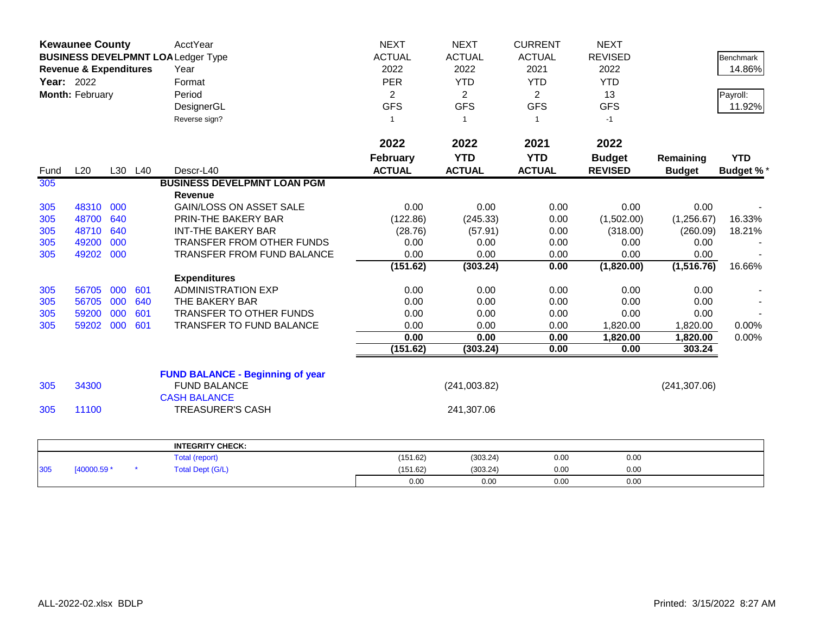|                   | <b>Kewaunee County</b>            |         |     | AcctYear                                 | <b>NEXT</b>     | <b>NEXT</b>    | <b>CURRENT</b> | <b>NEXT</b>    |               |                  |
|-------------------|-----------------------------------|---------|-----|------------------------------------------|-----------------|----------------|----------------|----------------|---------------|------------------|
|                   |                                   |         |     | <b>BUSINESS DEVELPMNT LOALedger Type</b> | <b>ACTUAL</b>   | <b>ACTUAL</b>  | <b>ACTUAL</b>  | <b>REVISED</b> |               | Benchmark        |
|                   | <b>Revenue &amp; Expenditures</b> |         |     | Year                                     | 2022            | 2022           | 2021           | 2022           |               | 14.86%           |
| <b>Year: 2022</b> |                                   |         |     | Format                                   | <b>PER</b>      | <b>YTD</b>     | <b>YTD</b>     | <b>YTD</b>     |               |                  |
|                   | Month: February                   |         |     | Period                                   | $\overline{2}$  | $\overline{2}$ | $\overline{2}$ | 13             |               | Payroll:         |
|                   |                                   |         |     | DesignerGL                               | <b>GFS</b>      | <b>GFS</b>     | <b>GFS</b>     | <b>GFS</b>     |               | 11.92%           |
|                   |                                   |         |     | Reverse sign?                            | $\mathbf{1}$    | $\overline{1}$ | $\mathbf{1}$   | $-1$           |               |                  |
|                   |                                   |         |     |                                          |                 |                |                |                |               |                  |
|                   |                                   |         |     |                                          | 2022            | 2022           | 2021           | 2022           |               |                  |
|                   |                                   |         |     |                                          | <b>February</b> | <b>YTD</b>     | <b>YTD</b>     | <b>Budget</b>  | Remaining     | <b>YTD</b>       |
| Fund              | L20                               | L30 L40 |     | Descr-L40                                | <b>ACTUAL</b>   | <b>ACTUAL</b>  | <b>ACTUAL</b>  | <b>REVISED</b> | <b>Budget</b> | <b>Budget %*</b> |
| 305               |                                   |         |     | <b>BUSINESS DEVELPMNT LOAN PGM</b>       |                 |                |                |                |               |                  |
|                   |                                   |         |     | <b>Revenue</b>                           |                 |                |                |                |               |                  |
| 305               | 48310                             | 000     |     | <b>GAIN/LOSS ON ASSET SALE</b>           | 0.00            | 0.00           | 0.00           | 0.00           | 0.00          |                  |
| 305               | 48700                             | 640     |     | PRIN-THE BAKERY BAR                      | (122.86)        | (245.33)       | 0.00           | (1,502.00)     | (1,256.67)    | 16.33%           |
| 305               | 48710                             | 640     |     | <b>INT-THE BAKERY BAR</b>                | (28.76)         | (57.91)        | 0.00           | (318.00)       | (260.09)      | 18.21%           |
| 305               | 49200                             | 000     |     | TRANSFER FROM OTHER FUNDS                | 0.00            | 0.00           | 0.00           | 0.00           | 0.00          |                  |
| 305               | 49202                             | 000     |     | <b>TRANSFER FROM FUND BALANCE</b>        | 0.00            | 0.00           | 0.00           | 0.00           | 0.00          |                  |
|                   |                                   |         |     |                                          | (151.62)        | (303.24)       | 0.00           | (1,820.00)     | (1, 516.76)   | 16.66%           |
|                   |                                   |         |     | <b>Expenditures</b>                      |                 |                |                |                |               |                  |
| 305               | 56705                             | 000     | 601 | <b>ADMINISTRATION EXP</b>                | 0.00            | 0.00           | 0.00           | 0.00           | 0.00          |                  |
| 305               | 56705                             | 000     | 640 | THE BAKERY BAR                           | 0.00            | 0.00           | 0.00           | 0.00           | 0.00          |                  |
| 305               | 59200                             | 000     | 601 | TRANSFER TO OTHER FUNDS                  | 0.00            | 0.00           | 0.00           | 0.00           | 0.00          |                  |
| 305               | 59202                             | 000     | 601 | TRANSFER TO FUND BALANCE                 | 0.00            | 0.00           | 0.00           | 1,820.00       | 1,820.00      | 0.00%            |
|                   |                                   |         |     |                                          | 0.00            | 0.00           | 0.00           | 1,820.00       | 1,820.00      | 0.00%            |
|                   |                                   |         |     |                                          | (151.62)        | (303.24)       | 0.00           | 0.00           | 303.24        |                  |
|                   |                                   |         |     | <b>FUND BALANCE - Beginning of year</b>  |                 |                |                |                |               |                  |
| 305               | 34300                             |         |     | <b>FUND BALANCE</b>                      |                 | (241,003.82)   |                |                | (241, 307.06) |                  |
|                   |                                   |         |     | <b>CASH BALANCE</b>                      |                 |                |                |                |               |                  |
| 305               | 11100                             |         |     | <b>TREASURER'S CASH</b>                  |                 | 241,307.06     |                |                |               |                  |
|                   |                                   |         |     |                                          |                 |                |                |                |               |                  |
|                   |                                   |         |     | <b>INTEGRITY CHECK:</b>                  |                 |                |                |                |               |                  |
|                   |                                   |         |     | <b>Total (report)</b>                    | (151.62)        | (303.24)       | 0.00           | 0.00           |               |                  |
| 305               | [40000.59 *                       |         |     | <b>Total Dept (G/L)</b>                  | (151.62)        | (303.24)       | 0.00           | 0.00           |               |                  |
|                   |                                   |         |     |                                          | 0.00            | 0.00           | 0.00           | 0.00           |               |                  |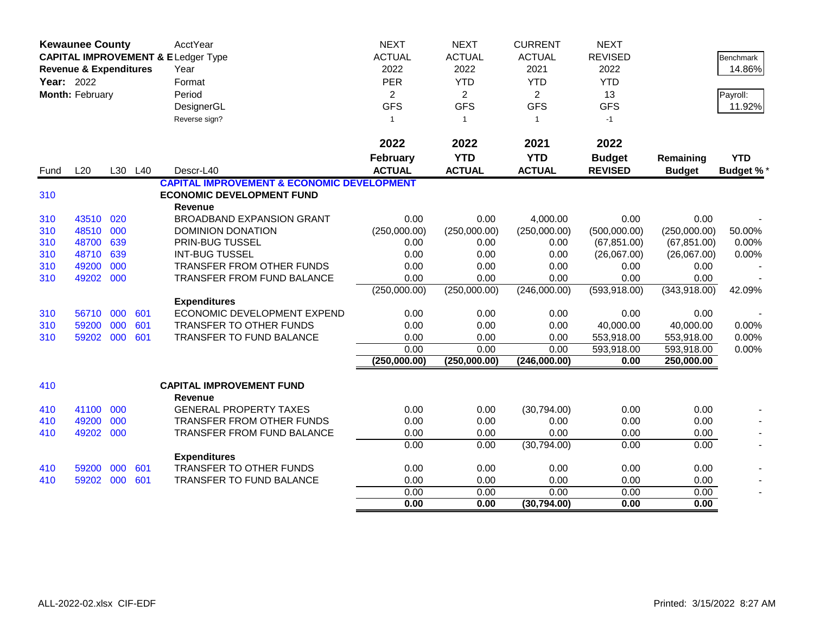|            | <b>Kewaunee County</b><br><b>CAPITAL IMPROVEMENT &amp; ELedger Type</b><br><b>Revenue &amp; Expenditures</b><br>Year: 2022 |     |            | AcctYear<br>Year                                      | <b>NEXT</b><br><b>ACTUAL</b><br>2022 | <b>NEXT</b><br><b>ACTUAL</b><br>2022 | <b>CURRENT</b><br><b>ACTUAL</b><br>2021 | <b>NEXT</b><br><b>REVISED</b><br>2022 |                   | <b>Benchmark</b><br>14.86% |
|------------|----------------------------------------------------------------------------------------------------------------------------|-----|------------|-------------------------------------------------------|--------------------------------------|--------------------------------------|-----------------------------------------|---------------------------------------|-------------------|----------------------------|
|            |                                                                                                                            |     |            | Format                                                | PER                                  | <b>YTD</b>                           | <b>YTD</b>                              | <b>YTD</b>                            |                   |                            |
|            | Month: February                                                                                                            |     |            | Period                                                | $\overline{2}$                       | 2                                    | $\overline{2}$                          | 13                                    |                   |                            |
|            |                                                                                                                            |     |            | DesignerGL                                            | <b>GFS</b>                           | <b>GFS</b>                           | <b>GFS</b>                              | <b>GFS</b>                            |                   | Payroll:<br>11.92%         |
|            |                                                                                                                            |     |            |                                                       | $\mathbf{1}$                         |                                      | $\overline{1}$                          | $-1$                                  |                   |                            |
|            |                                                                                                                            |     |            | Reverse sign?                                         |                                      | $\overline{1}$                       |                                         |                                       |                   |                            |
|            |                                                                                                                            |     |            |                                                       | 2022                                 | 2022                                 | 2021                                    | 2022                                  |                   |                            |
|            |                                                                                                                            |     |            |                                                       | <b>February</b>                      | <b>YTD</b>                           | <b>YTD</b>                              | <b>Budget</b>                         | Remaining         | <b>YTD</b>                 |
| Fund       | L20                                                                                                                        |     | L30 L40    | Descr-L40                                             | <b>ACTUAL</b>                        | <b>ACTUAL</b>                        | <b>ACTUAL</b>                           | <b>REVISED</b>                        | <b>Budget</b>     | <b>Budget %*</b>           |
|            |                                                                                                                            |     |            | <b>CAPITAL IMPROVEMENT &amp; ECONOMIC DEVELOPMENT</b> |                                      |                                      |                                         |                                       |                   |                            |
| 310        |                                                                                                                            |     |            | <b>ECONOMIC DEVELOPMENT FUND</b>                      |                                      |                                      |                                         |                                       |                   |                            |
|            |                                                                                                                            |     |            | <b>Revenue</b>                                        |                                      |                                      |                                         |                                       |                   |                            |
| 310        | 43510                                                                                                                      | 020 |            | <b>BROADBAND EXPANSION GRANT</b>                      | 0.00                                 | 0.00                                 | 4,000.00                                | 0.00                                  | 0.00              |                            |
| 310        | 48510                                                                                                                      | 000 |            | DOMINION DONATION                                     | (250,000.00)                         | (250,000.00)                         | (250,000.00)                            | (500,000.00)                          | (250,000.00)      | 50.00%                     |
| 310        | 48700                                                                                                                      | 639 |            | PRIN-BUG TUSSEL                                       | 0.00                                 | 0.00                                 | 0.00                                    | (67, 851.00)                          | (67, 851.00)      | 0.00%                      |
| 310        | 48710                                                                                                                      | 639 |            | <b>INT-BUG TUSSEL</b>                                 | 0.00                                 | 0.00                                 | 0.00                                    | (26,067.00)                           | (26,067.00)       | 0.00%                      |
| 310        | 49200                                                                                                                      | 000 |            | TRANSFER FROM OTHER FUNDS                             | 0.00                                 | 0.00                                 | 0.00                                    | 0.00                                  | 0.00              |                            |
| 310        | 49202                                                                                                                      | 000 |            | <b>TRANSFER FROM FUND BALANCE</b>                     | 0.00                                 | 0.00                                 | 0.00                                    | 0.00                                  | 0.00              |                            |
|            |                                                                                                                            |     |            |                                                       | (250,000.00)                         | (250,000.00)                         | (246,000.00)                            | (593, 918.00)                         | (343,918.00)      | 42.09%                     |
|            | 56710                                                                                                                      | 000 |            | <b>Expenditures</b><br>ECONOMIC DEVELOPMENT EXPEND    | 0.00                                 | 0.00                                 |                                         | 0.00                                  |                   |                            |
| 310        | 59200                                                                                                                      | 000 | 601<br>601 | TRANSFER TO OTHER FUNDS                               | 0.00                                 | 0.00                                 | 0.00<br>0.00                            | 40,000.00                             | 0.00<br>40,000.00 | 0.00%                      |
| 310<br>310 | 59202 000                                                                                                                  |     | 601        | TRANSFER TO FUND BALANCE                              | 0.00                                 | 0.00                                 | 0.00                                    | 553,918.00                            | 553,918.00        | 0.00%                      |
|            |                                                                                                                            |     |            |                                                       | 0.00                                 | 0.00                                 | 0.00                                    | 593,918.00                            | 593,918.00        | 0.00%                      |
|            |                                                                                                                            |     |            |                                                       | (250,000.00)                         | (250,000.00)                         | (246,000.00)                            | 0.00                                  | 250,000.00        |                            |
|            |                                                                                                                            |     |            |                                                       |                                      |                                      |                                         |                                       |                   |                            |
| 410        |                                                                                                                            |     |            | <b>CAPITAL IMPROVEMENT FUND</b>                       |                                      |                                      |                                         |                                       |                   |                            |
|            |                                                                                                                            |     |            | <b>Revenue</b>                                        |                                      |                                      |                                         |                                       |                   |                            |
| 410        | 41100                                                                                                                      | 000 |            | <b>GENERAL PROPERTY TAXES</b>                         | 0.00                                 | 0.00                                 | (30,794.00)                             | 0.00                                  | 0.00              |                            |
| 410        | 49200                                                                                                                      | 000 |            | TRANSFER FROM OTHER FUNDS                             | 0.00                                 | 0.00                                 | 0.00                                    | 0.00                                  | 0.00              |                            |
| 410        | 49202                                                                                                                      | 000 |            | <b>TRANSFER FROM FUND BALANCE</b>                     | 0.00                                 | 0.00                                 | 0.00                                    | 0.00                                  | 0.00              |                            |
|            |                                                                                                                            |     |            |                                                       | 0.00                                 | 0.00                                 | (30,794.00)                             | 0.00                                  | 0.00              |                            |
|            |                                                                                                                            |     |            | <b>Expenditures</b>                                   |                                      |                                      |                                         |                                       |                   |                            |
| 410        | 59200                                                                                                                      | 000 | 601        | TRANSFER TO OTHER FUNDS                               | 0.00                                 | 0.00                                 | 0.00                                    | 0.00                                  | 0.00              |                            |
| 410        | 59202                                                                                                                      | 000 | 601        | <b>TRANSFER TO FUND BALANCE</b>                       | 0.00                                 | 0.00                                 | 0.00                                    | 0.00                                  | 0.00              |                            |
|            |                                                                                                                            |     |            |                                                       | 0.00                                 | 0.00                                 | 0.00                                    | 0.00                                  | 0.00              |                            |
|            |                                                                                                                            |     |            |                                                       | 0.00                                 | 0.00                                 | (30, 794.00)                            | 0.00                                  | 0.00              |                            |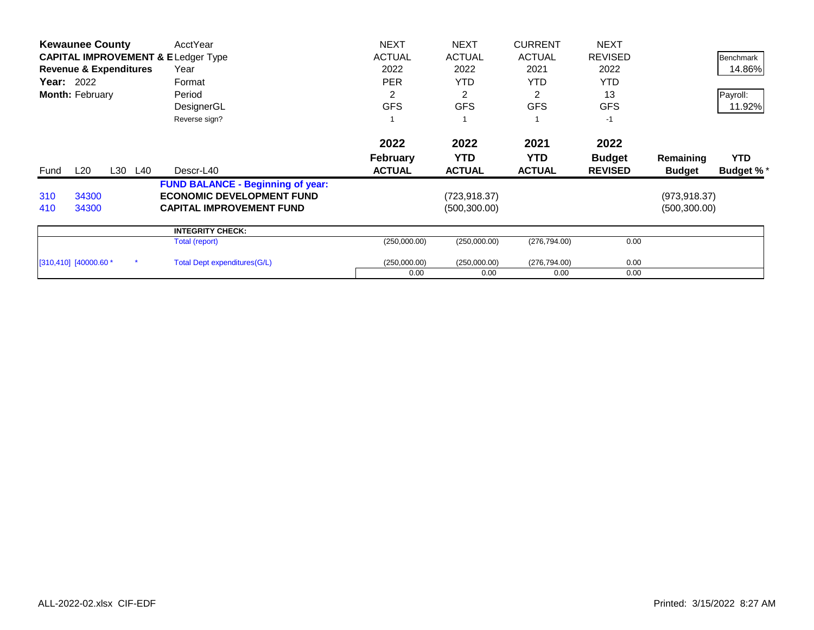|      | <b>Kewaunee County</b>            |         | AcctYear                                      | <b>NEXT</b>     | <b>NEXT</b>   | <b>CURRENT</b> | <b>NEXT</b>    |               |                  |
|------|-----------------------------------|---------|-----------------------------------------------|-----------------|---------------|----------------|----------------|---------------|------------------|
|      |                                   |         | <b>CAPITAL IMPROVEMENT &amp; ELedger Type</b> | <b>ACTUAL</b>   | <b>ACTUAL</b> | <b>ACTUAL</b>  | <b>REVISED</b> |               | Benchmark        |
|      | <b>Revenue &amp; Expenditures</b> |         | Year                                          | 2022            | 2022          | 2021           | 2022           |               | 14.86%           |
|      | <b>Year: 2022</b>                 |         | Format                                        | <b>PER</b>      | <b>YTD</b>    | <b>YTD</b>     | <b>YTD</b>     |               |                  |
|      | Month: February                   |         | Period                                        | 2               | 2             | 2              | 13             |               | Payroll:         |
|      |                                   |         | DesignerGL                                    | <b>GFS</b>      | <b>GFS</b>    | <b>GFS</b>     | <b>GFS</b>     |               | 11.92%           |
|      |                                   |         | Reverse sign?                                 |                 |               |                | $-1$           |               |                  |
|      |                                   |         |                                               | 2022            | 2022          | 2021           | 2022           |               |                  |
|      |                                   |         |                                               | <b>February</b> | <b>YTD</b>    | YTD.           | <b>Budget</b>  | Remaining     | <b>YTD</b>       |
| Fund | L20                               | L30 L40 | Descr-L40                                     | <b>ACTUAL</b>   | <b>ACTUAL</b> | <b>ACTUAL</b>  | <b>REVISED</b> | <b>Budget</b> | <b>Budget %*</b> |
|      |                                   |         | <b>FUND BALANCE - Beginning of year:</b>      |                 |               |                |                |               |                  |
| 310  | 34300                             |         | <b>ECONOMIC DEVELOPMENT FUND</b>              |                 | (723,918.37)  |                |                | (973, 918.37) |                  |
| 410  | 34300                             |         | <b>CAPITAL IMPROVEMENT FUND</b>               |                 | (500, 300.00) |                |                | (500, 300.00) |                  |
|      |                                   |         | <b>INTEGRITY CHECK:</b>                       |                 |               |                |                |               |                  |
|      |                                   |         | Total (report)                                | (250,000.00)    | (250,000.00)  | (276, 794.00)  | 0.00           |               |                  |
|      | $[310, 410]$ $[40000.60 *$        |         | Total Dept expenditures (G/L)                 | (250,000.00)    | (250,000.00)  | (276, 794.00)  | 0.00           |               |                  |
|      |                                   |         |                                               |                 |               |                |                |               |                  |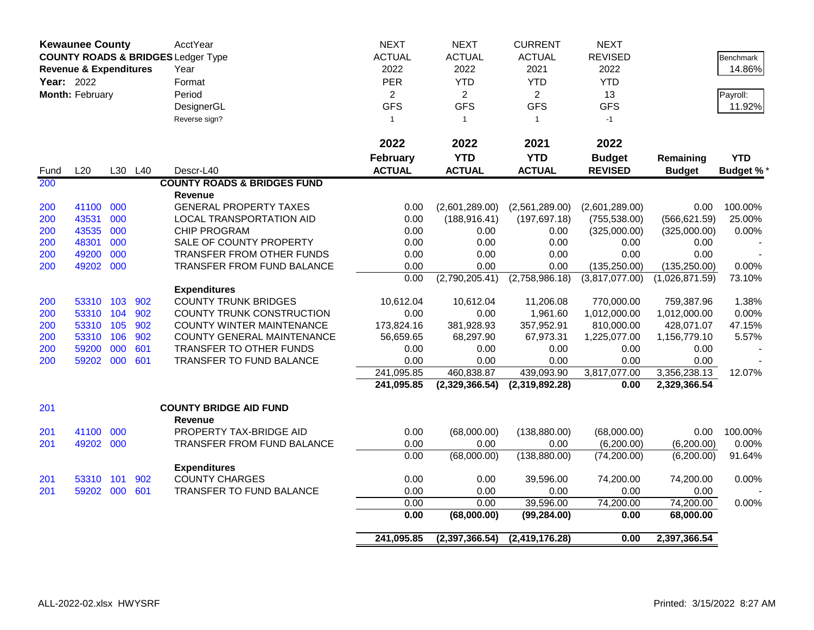|             | <b>Kewaunee County</b>            |     |         | AcctYear                                        | <b>NEXT</b>             | <b>NEXT</b>      | <b>CURRENT</b>   | <b>NEXT</b>    |                |                  |
|-------------|-----------------------------------|-----|---------|-------------------------------------------------|-------------------------|------------------|------------------|----------------|----------------|------------------|
|             |                                   |     |         | <b>COUNTY ROADS &amp; BRIDGES Ledger Type</b>   | <b>ACTUAL</b>           | <b>ACTUAL</b>    | <b>ACTUAL</b>    | <b>REVISED</b> |                | <b>Benchmark</b> |
|             | <b>Revenue &amp; Expenditures</b> |     |         | Year                                            | 2022                    | 2022             | 2021             | 2022           |                | 14.86%           |
| Year: 2022  |                                   |     |         | Format                                          | <b>PER</b>              | <b>YTD</b>       | <b>YTD</b>       | <b>YTD</b>     |                |                  |
|             | Month: February                   |     |         | Period                                          | $\overline{\mathbf{c}}$ | $\overline{2}$   | $\overline{a}$   | 13             |                | Payroll:         |
|             |                                   |     |         | DesignerGL                                      | <b>GFS</b>              | <b>GFS</b>       | <b>GFS</b>       | <b>GFS</b>     |                | 11.92%           |
|             |                                   |     |         | Reverse sign?                                   | $\overline{1}$          | $\overline{1}$   | $\mathbf{1}$     | $-1$           |                |                  |
|             |                                   |     |         |                                                 |                         |                  |                  |                |                |                  |
|             |                                   |     |         |                                                 | 2022                    | 2022             | 2021             | 2022           |                |                  |
|             |                                   |     |         |                                                 | <b>February</b>         | <b>YTD</b>       | <b>YTD</b>       | <b>Budget</b>  | Remaining      | <b>YTD</b>       |
|             | L20                               |     | L30 L40 | Descr-L40                                       | <b>ACTUAL</b>           | <b>ACTUAL</b>    | <b>ACTUAL</b>    | <b>REVISED</b> | <b>Budget</b>  | <b>Budget %*</b> |
| Fund<br>200 |                                   |     |         | <b>COUNTY ROADS &amp; BRIDGES FUND</b>          |                         |                  |                  |                |                |                  |
|             |                                   |     |         |                                                 |                         |                  |                  |                |                |                  |
|             |                                   | 000 |         | <b>Revenue</b><br><b>GENERAL PROPERTY TAXES</b> |                         |                  |                  |                |                | 100.00%          |
| 200         | 41100<br>43531                    |     |         |                                                 | 0.00                    | (2,601,289.00)   | (2,561,289.00)   | (2,601,289.00) | 0.00           |                  |
| 200         |                                   | 000 |         | LOCAL TRANSPORTATION AID                        | 0.00                    | (188, 916.41)    | (197, 697.18)    | (755, 538.00)  | (566, 621.59)  | 25.00%           |
| 200         | 43535                             | 000 |         | <b>CHIP PROGRAM</b>                             | 0.00                    | 0.00             | 0.00             | (325,000.00)   | (325,000.00)   | 0.00%            |
| 200         | 48301                             | 000 |         | SALE OF COUNTY PROPERTY                         | 0.00                    | 0.00             | 0.00             | 0.00           | 0.00           |                  |
| 200         | 49200                             | 000 |         | TRANSFER FROM OTHER FUNDS                       | 0.00                    | 0.00             | 0.00             | 0.00           | 0.00           |                  |
| 200         | 49202 000                         |     |         | TRANSFER FROM FUND BALANCE                      | 0.00                    | 0.00             | 0.00             | (135, 250.00)  | (135, 250.00)  | 0.00%            |
|             |                                   |     |         |                                                 | 0.00                    | (2,790,205.41)   | (2,758,986.18)   | (3,817,077.00) | (1,026,871.59) | 73.10%           |
|             |                                   |     |         | <b>Expenditures</b>                             |                         |                  |                  |                |                |                  |
| 200         | 53310 103                         |     | 902     | <b>COUNTY TRUNK BRIDGES</b>                     | 10,612.04               | 10,612.04        | 11,206.08        | 770,000.00     | 759,387.96     | 1.38%            |
| 200         | 53310 104                         |     | 902     | COUNTY TRUNK CONSTRUCTION                       | 0.00                    | 0.00             | 1,961.60         | 1,012,000.00   | 1,012,000.00   | 0.00%            |
| 200         | 53310 105                         |     | 902     | <b>COUNTY WINTER MAINTENANCE</b>                | 173,824.16              | 381,928.93       | 357,952.91       | 810,000.00     | 428,071.07     | 47.15%           |
| 200         | 53310 106                         |     | 902     | COUNTY GENERAL MAINTENANCE                      | 56,659.65               | 68,297.90        | 67,973.31        | 1,225,077.00   | 1,156,779.10   | 5.57%            |
| 200         | 59200                             | 000 | 601     | TRANSFER TO OTHER FUNDS                         | 0.00                    | 0.00             | 0.00             | 0.00           | 0.00           |                  |
| 200         | 59202 000                         |     | 601     | TRANSFER TO FUND BALANCE                        | 0.00                    | 0.00             | 0.00             | 0.00           | 0.00           |                  |
|             |                                   |     |         |                                                 | 241,095.85              | 460,838.87       | 439,093.90       | 3,817,077.00   | 3,356,238.13   | 12.07%           |
|             |                                   |     |         |                                                 | 241,095.85              | (2,329,366.54)   | (2,319,892.28)   | 0.00           | 2,329,366.54   |                  |
| 201         |                                   |     |         | <b>COUNTY BRIDGE AID FUND</b>                   |                         |                  |                  |                |                |                  |
|             |                                   |     |         | <b>Revenue</b>                                  |                         |                  |                  |                |                |                  |
| 201         | 41100                             | 000 |         | PROPERTY TAX-BRIDGE AID                         | 0.00                    | (68,000.00)      | (138, 880.00)    | (68,000.00)    | 0.00           | 100.00%          |
| 201         | 49202 000                         |     |         | TRANSFER FROM FUND BALANCE                      | 0.00                    | 0.00             | 0.00             | (6,200.00)     | (6,200.00)     | 0.00%            |
|             |                                   |     |         |                                                 | 0.00                    | (68,000.00)      | (138, 880.00)    | (74, 200.00)   | (6,200.00)     | 91.64%           |
|             |                                   |     |         | <b>Expenditures</b>                             |                         |                  |                  |                |                |                  |
| 201         | 53310 101                         |     | 902     | <b>COUNTY CHARGES</b>                           | 0.00                    | 0.00             | 39,596.00        | 74,200.00      | 74,200.00      | 0.00%            |
| 201         | 59202 000                         |     | 601     | TRANSFER TO FUND BALANCE                        | 0.00                    | 0.00             | 0.00             | 0.00           | 0.00           |                  |
|             |                                   |     |         |                                                 | 0.00                    | 0.00             | 39,596.00        | 74,200.00      | 74,200.00      | 0.00%            |
|             |                                   |     |         |                                                 | 0.00                    | (68,000.00)      | (99, 284.00)     | 0.00           | 68,000.00      |                  |
|             |                                   |     |         |                                                 |                         |                  |                  |                |                |                  |
|             |                                   |     |         |                                                 | 241,095.85              | (2, 397, 366.54) | (2, 419, 176.28) | 0.00           | 2,397,366.54   |                  |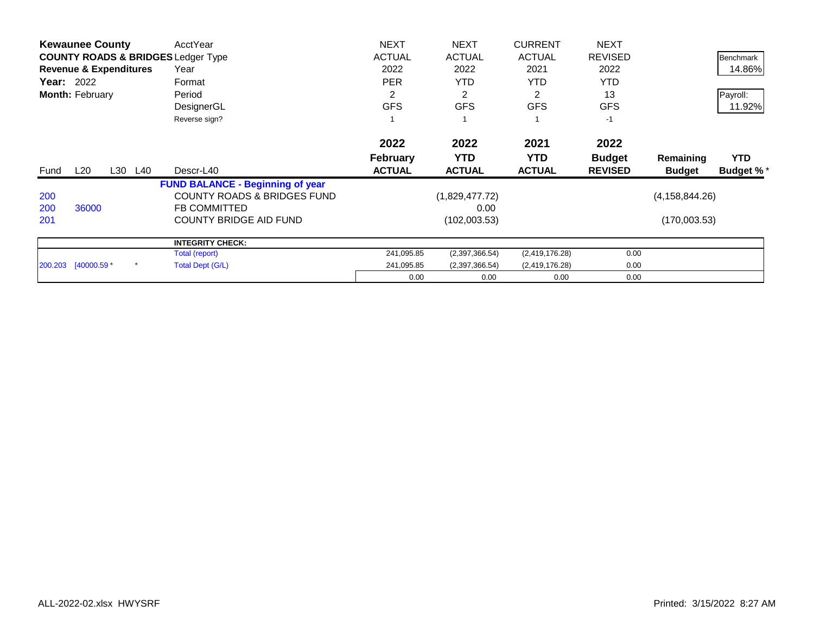|                   | <b>Kewaunee County</b>            |         | AcctYear                                      | <b>NEXT</b>     | <b>NEXT</b>    | <b>CURRENT</b> | <b>NEXT</b>    |                  |                  |
|-------------------|-----------------------------------|---------|-----------------------------------------------|-----------------|----------------|----------------|----------------|------------------|------------------|
|                   |                                   |         | <b>COUNTY ROADS &amp; BRIDGES Ledger Type</b> | <b>ACTUAL</b>   | <b>ACTUAL</b>  | <b>ACTUAL</b>  | <b>REVISED</b> |                  | Benchmark        |
|                   | <b>Revenue &amp; Expenditures</b> |         | Year                                          | 2022            | 2022           | 2021           | 2022           |                  | 14.86%           |
| <b>Year: 2022</b> |                                   |         | Format                                        | <b>PER</b>      | <b>YTD</b>     | YTD.           | <b>YTD</b>     |                  |                  |
|                   | Month: February                   |         | Period                                        | $\overline{c}$  | $\overline{2}$ | 2              | 13             |                  | Payroll:         |
|                   |                                   |         | DesignerGL                                    | <b>GFS</b>      | <b>GFS</b>     | <b>GFS</b>     | <b>GFS</b>     |                  | 11.92%           |
|                   |                                   |         | Reverse sign?                                 |                 |                |                | $-1$           |                  |                  |
|                   |                                   |         |                                               | 2022            | 2022           | 2021           | 2022           |                  |                  |
|                   |                                   |         |                                               | <b>February</b> | <b>YTD</b>     | <b>YTD</b>     | <b>Budget</b>  | Remaining        | <b>YTD</b>       |
| Fund              | L20                               | L30 L40 | Descr-L40                                     | <b>ACTUAL</b>   | <b>ACTUAL</b>  | <b>ACTUAL</b>  | <b>REVISED</b> | <b>Budget</b>    | <b>Budget %*</b> |
|                   |                                   |         | <b>FUND BALANCE - Beginning of year</b>       |                 |                |                |                |                  |                  |
| 200               |                                   |         | <b>COUNTY ROADS &amp; BRIDGES FUND</b>        |                 | (1,829,477.72) |                |                | (4, 158, 844.26) |                  |
| 200               | 36000                             |         | <b>FB COMMITTED</b>                           |                 | 0.00           |                |                |                  |                  |
| 201               |                                   |         | <b>COUNTY BRIDGE AID FUND</b>                 |                 | (102,003.53)   |                |                | (170,003.53)     |                  |
|                   |                                   |         | <b>INTEGRITY CHECK:</b>                       |                 |                |                |                |                  |                  |
|                   |                                   |         | Total (report)                                | 241,095.85      | (2,397,366.54) | (2,419,176.28) | 0.00           |                  |                  |
|                   | 200.203 [40000.59 *               |         | Total Dept (G/L)                              | 241,095.85      | (2,397,366.54) | (2,419,176.28) | 0.00           |                  |                  |
|                   |                                   |         |                                               | 0.00            | 0.00           | 0.00           | 0.00           |                  |                  |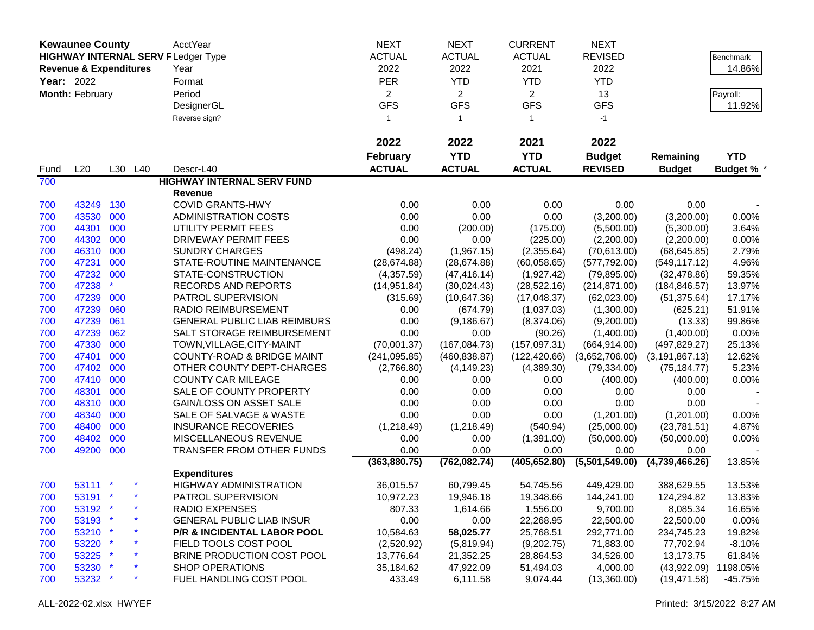|            | <b>Kewaunee County</b>            |     |         | AcctYear                                  | <b>NEXT</b>     | <b>NEXT</b>    | <b>CURRENT</b> | <b>NEXT</b>    |                  |                 |
|------------|-----------------------------------|-----|---------|-------------------------------------------|-----------------|----------------|----------------|----------------|------------------|-----------------|
|            |                                   |     |         | <b>HIGHWAY INTERNAL SERV FLedger Type</b> | <b>ACTUAL</b>   | <b>ACTUAL</b>  | <b>ACTUAL</b>  | <b>REVISED</b> |                  | Benchmark       |
|            | <b>Revenue &amp; Expenditures</b> |     |         | Year                                      | 2022            | 2022           | 2021           | 2022           |                  | 14.86%          |
| Year: 2022 |                                   |     |         | Format                                    | PER             | <b>YTD</b>     | <b>YTD</b>     | <b>YTD</b>     |                  |                 |
|            | Month: February                   |     |         | Period                                    | $\overline{2}$  | $\overline{2}$ | $\overline{2}$ | 13             |                  | Payroll:        |
|            |                                   |     |         | DesignerGL                                | <b>GFS</b>      | <b>GFS</b>     | <b>GFS</b>     | <b>GFS</b>     |                  | 11.92%          |
|            |                                   |     |         |                                           |                 | $\mathbf{1}$   |                |                |                  |                 |
|            |                                   |     |         | Reverse sign?                             | $\mathbf{1}$    |                | $\overline{1}$ | $-1$           |                  |                 |
|            |                                   |     |         |                                           | 2022            | 2022           | 2021           | 2022           |                  |                 |
|            |                                   |     |         |                                           | <b>February</b> | <b>YTD</b>     | <b>YTD</b>     | <b>Budget</b>  | Remaining        | <b>YTD</b>      |
| Fund       | L20                               |     | L30 L40 | Descr-L40                                 | <b>ACTUAL</b>   | <b>ACTUAL</b>  | <b>ACTUAL</b>  | <b>REVISED</b> | <b>Budget</b>    | <b>Budget %</b> |
| 700        |                                   |     |         | <b>HIGHWAY INTERNAL SERV FUND</b>         |                 |                |                |                |                  |                 |
|            |                                   |     |         | Revenue                                   |                 |                |                |                |                  |                 |
| 700        | 43249                             | 130 |         | <b>COVID GRANTS-HWY</b>                   | 0.00            | 0.00           | 0.00           | 0.00           | 0.00             |                 |
| 700        | 43530 000                         |     |         | <b>ADMINISTRATION COSTS</b>               | 0.00            | 0.00           | 0.00           | (3,200.00)     | (3,200.00)       | 0.00%           |
| 700        | 44301                             | 000 |         | UTILITY PERMIT FEES                       | 0.00            | (200.00)       | (175.00)       | (5,500.00)     | (5,300.00)       | 3.64%           |
| 700        | 44302                             | 000 |         | DRIVEWAY PERMIT FEES                      | 0.00            | 0.00           | (225.00)       | (2,200.00)     | (2,200.00)       | 0.00%           |
| 700        | 46310                             | 000 |         | <b>SUNDRY CHARGES</b>                     | (498.24)        | (1,967.15)     | (2,355.64)     | (70, 613.00)   | (68, 645.85)     | 2.79%           |
| 700        | 47231 000                         |     |         | STATE-ROUTINE MAINTENANCE                 | (28, 674.88)    | (28, 674.88)   | (60,058.65)    | (577, 792.00)  | (549, 117.12)    | 4.96%           |
| 700        | 47232 000                         |     |         | STATE-CONSTRUCTION                        | (4,357.59)      | (47, 416.14)   | (1,927.42)     | (79,895.00)    | (32, 478.86)     | 59.35%          |
| 700        | 47238                             |     |         | RECORDS AND REPORTS                       | (14, 951.84)    | (30,024.43)    | (28, 522.16)   | (214, 871.00)  | (184, 846.57)    | 13.97%          |
| 700        | 47239                             | 000 |         | PATROL SUPERVISION                        | (315.69)        | (10,647.36)    | (17,048.37)    | (62,023.00)    | (51, 375.64)     | 17.17%          |
| 700        | 47239                             | 060 |         | <b>RADIO REIMBURSEMENT</b>                | 0.00            | (674.79)       | (1,037.03)     | (1,300.00)     | (625.21)         | 51.91%          |
| 700        | 47239                             | 061 |         | <b>GENERAL PUBLIC LIAB REIMBURS</b>       | 0.00            | (9, 186.67)    | (8,374.06)     | (9,200.00)     | (13.33)          | 99.86%          |
| 700        | 47239                             | 062 |         | SALT STORAGE REIMBURSEMENT                | 0.00            | 0.00           | (90.26)        | (1,400.00)     | (1,400.00)       | 0.00%           |
| 700        | 47330                             | 000 |         | TOWN, VILLAGE, CITY-MAINT                 | (70,001.37)     | (167, 084.73)  | (157,097.31)   | (664, 914.00)  | (497, 829.27)    | 25.13%          |
| 700        | 47401                             | 000 |         | <b>COUNTY-ROAD &amp; BRIDGE MAINT</b>     | (241, 095.85)   | (460, 838.87)  | (122, 420.66)  | (3,652,706.00) | (3, 191, 867.13) | 12.62%          |
| 700        | 47402 000                         |     |         | OTHER COUNTY DEPT-CHARGES                 | (2,766.80)      | (4, 149.23)    | (4,389.30)     | (79, 334.00)   | (75, 184.77)     | 5.23%           |
| 700        | 47410 000                         |     |         | <b>COUNTY CAR MILEAGE</b>                 | 0.00            | 0.00           | 0.00           | (400.00)       | (400.00)         | 0.00%           |
| 700        | 48301                             | 000 |         | SALE OF COUNTY PROPERTY                   | 0.00            | 0.00           | 0.00           | 0.00           | 0.00             |                 |
| 700        | 48310 000                         |     |         | <b>GAIN/LOSS ON ASSET SALE</b>            | 0.00            | 0.00           | 0.00           | 0.00           | 0.00             |                 |
| 700        | 48340                             | 000 |         | SALE OF SALVAGE & WASTE                   | 0.00            | 0.00           | 0.00           | (1,201.00)     | (1,201.00)       | 0.00%           |
| 700        | 48400                             | 000 |         | <b>INSURANCE RECOVERIES</b>               | (1,218.49)      | (1,218.49)     | (540.94)       | (25,000.00)    | (23,781.51)      | 4.87%           |
| 700        | 48402                             | 000 |         | MISCELLANEOUS REVENUE                     | 0.00            | 0.00           | (1,391.00)     | (50,000.00)    | (50,000.00)      | 0.00%           |
| 700        | 49200 000                         |     |         | TRANSFER FROM OTHER FUNDS                 | 0.00            | 0.00           | 0.00           | 0.00           | 0.00             |                 |
|            |                                   |     |         |                                           | (363, 880.75)   | (762, 082.74)  | (405, 652.80)  | (5,501,549.00) | (4,739,466.26)   | 13.85%          |
|            |                                   |     |         | <b>Expenditures</b>                       |                 |                |                |                |                  |                 |
| 700        | 53111 *                           |     |         | <b>HIGHWAY ADMINISTRATION</b>             | 36,015.57       | 60,799.45      | 54,745.56      | 449,429.00     | 388,629.55       | 13.53%          |
| 700        | 53191 *                           |     |         | PATROL SUPERVISION                        | 10,972.23       | 19,946.18      | 19,348.66      | 144,241.00     | 124,294.82       | 13.83%          |
| 700        | 53192 *                           |     |         | RADIO EXPENSES                            | 807.33          | 1,614.66       | 1,556.00       | 9,700.00       | 8,085.34         | 16.65%          |
| 700        | 53193 *                           |     |         | <b>GENERAL PUBLIC LIAB INSUR</b>          | 0.00            | 0.00           | 22,268.95      | 22,500.00      | 22,500.00        | 0.00%           |
| 700        | 53210 *                           |     |         | P/R & INCIDENTAL LABOR POOL               | 10,584.63       | 58,025.77      | 25,768.51      | 292,771.00     | 234,745.23       | 19.82%          |
| 700        | 53220 *                           |     |         | FIELD TOOLS COST POOL                     | (2,520.92)      | (5,819.94)     | (9,202.75)     | 71,883.00      | 77,702.94        | $-8.10%$        |
| 700        | 53225 *                           |     |         | BRINE PRODUCTION COST POOL                | 13,776.64       | 21,352.25      | 28,864.53      | 34,526.00      | 13,173.75        | 61.84%          |
| 700        | 53230 *                           |     |         | <b>SHOP OPERATIONS</b>                    | 35,184.62       | 47,922.09      | 51,494.03      | 4,000.00       | (43,922.09)      | 1198.05%        |
| 700        | 53232 *                           |     |         | FUEL HANDLING COST POOL                   | 433.49          | 6,111.58       | 9,074.44       | (13,360.00)    | (19, 471.58)     | -45.75%         |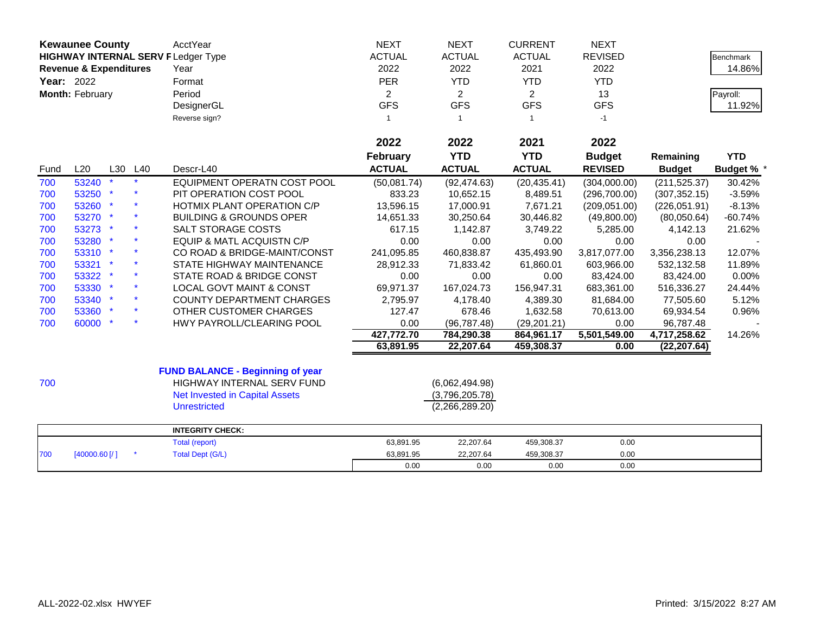|            | <b>Kewaunee County</b>                                                         |     |     | <b>AcctYear</b>                         | <b>NEXT</b>     | <b>NEXT</b>    | <b>CURRENT</b> | <b>NEXT</b>    |               |                  |
|------------|--------------------------------------------------------------------------------|-----|-----|-----------------------------------------|-----------------|----------------|----------------|----------------|---------------|------------------|
|            | <b>HIGHWAY INTERNAL SERV FLedger Type</b><br><b>Revenue &amp; Expenditures</b> |     |     |                                         | <b>ACTUAL</b>   | <b>ACTUAL</b>  | <b>ACTUAL</b>  | <b>REVISED</b> |               | <b>Benchmark</b> |
|            |                                                                                |     |     | Year                                    | 2022            | 2022           | 2021           | 2022           |               | 14.86%           |
| Year: 2022 |                                                                                |     |     | Format                                  | PER             | <b>YTD</b>     | <b>YTD</b>     | <b>YTD</b>     |               |                  |
|            | Month: February                                                                |     |     | Period                                  | $\overline{2}$  | $\overline{2}$ | $\overline{2}$ | 13             |               | Payroll:         |
|            |                                                                                |     |     | DesignerGL                              | <b>GFS</b>      | <b>GFS</b>     | <b>GFS</b>     | <b>GFS</b>     |               | 11.92%           |
|            |                                                                                |     |     | Reverse sign?                           | $\mathbf{1}$    | $\mathbf{1}$   | $\overline{1}$ | $-1$           |               |                  |
|            |                                                                                |     |     |                                         |                 |                |                |                |               |                  |
|            |                                                                                |     |     |                                         | 2022            | 2022           | 2021           | 2022           |               |                  |
|            |                                                                                |     |     |                                         | <b>February</b> | <b>YTD</b>     | <b>YTD</b>     | <b>Budget</b>  | Remaining     | <b>YTD</b>       |
| Fund       | L20                                                                            | L30 | L40 | Descr-L40                               | <b>ACTUAL</b>   | <b>ACTUAL</b>  | <b>ACTUAL</b>  | <b>REVISED</b> | <b>Budget</b> | <b>Budget %</b>  |
| 700        | 53240                                                                          |     |     | EQUIPMENT OPERATN COST POOL             | (50,081.74)     | (92, 474.63)   | (20, 435.41)   | (304,000.00)   | (211, 525.37) | 30.42%           |
| 700        | 53250                                                                          |     |     | PIT OPERATION COST POOL                 | 833.23          | 10,652.15      | 8,489.51       | (296,700.00)   | (307, 352.15) | $-3.59%$         |
| 700        | 53260 *                                                                        |     |     | HOTMIX PLANT OPERATION C/P              | 13,596.15       | 17,000.91      | 7,671.21       | (209, 051.00)  | (226, 051.91) | $-8.13%$         |
| 700        | 53270 *                                                                        |     |     | <b>BUILDING &amp; GROUNDS OPER</b>      | 14,651.33       | 30,250.64      | 30,446.82      | (49,800.00)    | (80,050.64)   | $-60.74%$        |
| 700        | 53273 *                                                                        |     |     | SALT STORAGE COSTS                      | 617.15          | 1,142.87       | 3,749.22       | 5,285.00       | 4,142.13      | 21.62%           |
| 700        | 53280 *                                                                        |     |     | EQUIP & MATL ACQUISTN C/P               | 0.00            | 0.00           | 0.00           | 0.00           | 0.00          |                  |
| 700        | 53310 *                                                                        |     |     | CO ROAD & BRIDGE-MAINT/CONST            | 241,095.85      | 460,838.87     | 435,493.90     | 3,817,077.00   | 3,356,238.13  | 12.07%           |
| 700        | 53321 *                                                                        |     |     | STATE HIGHWAY MAINTENANCE               | 28,912.33       | 71,833.42      | 61,860.01      | 603,966.00     | 532,132.58    | 11.89%           |
| 700        | 53322 *                                                                        |     |     | STATE ROAD & BRIDGE CONST               | 0.00            | 0.00           | 0.00           | 83,424.00      | 83,424.00     | 0.00%            |
| 700        | 53330 *                                                                        |     |     | <b>LOCAL GOVT MAINT &amp; CONST</b>     | 69,971.37       | 167,024.73     | 156,947.31     | 683,361.00     | 516,336.27    | 24.44%           |
| 700        | 53340 *                                                                        |     |     | <b>COUNTY DEPARTMENT CHARGES</b>        | 2,795.97        | 4,178.40       | 4,389.30       | 81,684.00      | 77,505.60     | 5.12%            |
| 700        | 53360 *                                                                        |     |     | OTHER CUSTOMER CHARGES                  | 127.47          | 678.46         | 1,632.58       | 70,613.00      | 69,934.54     | 0.96%            |
| 700        | 60000 *                                                                        |     |     | HWY PAYROLL/CLEARING POOL               | 0.00            | (96, 787.48)   | (29, 201.21)   | 0.00           | 96,787.48     |                  |
|            |                                                                                |     |     |                                         | 427,772.70      | 784,290.38     | 864,961.17     | 5,501,549.00   | 4,717,258.62  | 14.26%           |
|            |                                                                                |     |     |                                         | 63,891.95       | 22,207.64      | 459,308.37     | 0.00           | (22, 207.64)  |                  |
|            |                                                                                |     |     | <b>FUND BALANCE - Beginning of year</b> |                 |                |                |                |               |                  |
| 700        |                                                                                |     |     | HIGHWAY INTERNAL SERV FUND              |                 | (6,062,494.98) |                |                |               |                  |
|            |                                                                                |     |     | <b>Net Invested in Capital Assets</b>   |                 | (3,796,205.78) |                |                |               |                  |
|            |                                                                                |     |     | <b>Unrestricted</b>                     |                 | (2,266,289.20) |                |                |               |                  |
|            |                                                                                |     |     |                                         |                 |                |                |                |               |                  |
|            |                                                                                |     |     | <b>INTEGRITY CHECK:</b>                 |                 |                |                |                |               |                  |
|            |                                                                                |     |     | Total (report)                          | 63,891.95       | 22,207.64      | 459,308.37     | 0.00           |               |                  |
| 700        | [40000.60]                                                                     |     |     | <b>Total Dept (G/L)</b>                 | 63,891.95       | 22,207.64      | 459,308.37     | 0.00           |               |                  |
|            |                                                                                |     |     |                                         | 0.00            | 0.00           | 0.00           | 0.00           |               |                  |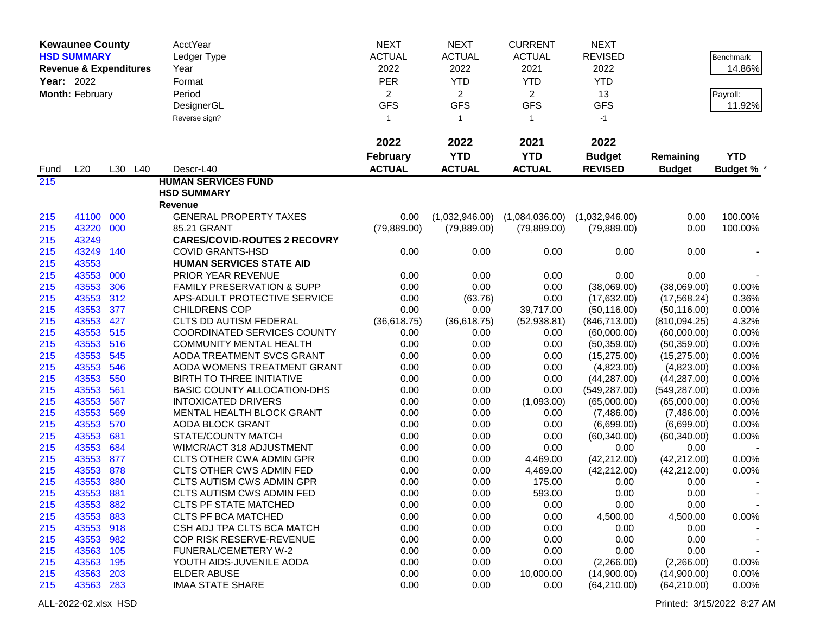|            | <b>Kewaunee County</b>            |         | AcctYear                              | <b>NEXT</b>     | <b>NEXT</b>    | <b>CURRENT</b> | <b>NEXT</b>    |               |                   |
|------------|-----------------------------------|---------|---------------------------------------|-----------------|----------------|----------------|----------------|---------------|-------------------|
|            | <b>HSD SUMMARY</b>                |         | Ledger Type                           | <b>ACTUAL</b>   | <b>ACTUAL</b>  | <b>ACTUAL</b>  | <b>REVISED</b> |               | <b>Benchmark</b>  |
|            | <b>Revenue &amp; Expenditures</b> |         | Year                                  | 2022            | 2022           | 2021           | 2022           |               | 14.86%            |
| Year: 2022 |                                   |         | Format                                | <b>PER</b>      | <b>YTD</b>     | <b>YTD</b>     | <b>YTD</b>     |               |                   |
|            | Month: February                   |         | Period                                | $\overline{2}$  | $\overline{2}$ | $\overline{2}$ | 13             |               | Payroll:          |
|            |                                   |         | DesignerGL                            | <b>GFS</b>      | <b>GFS</b>     | <b>GFS</b>     | <b>GFS</b>     |               | 11.92%            |
|            |                                   |         | Reverse sign?                         | $\overline{1}$  | $\mathbf{1}$   | -1             | $-1$           |               |                   |
|            |                                   |         |                                       |                 |                |                |                |               |                   |
|            |                                   |         |                                       | 2022            | 2022           | 2021           | 2022           |               |                   |
|            |                                   |         |                                       | <b>February</b> | <b>YTD</b>     | <b>YTD</b>     | <b>Budget</b>  | Remaining     | <b>YTD</b>        |
| Fund       | L20                               | L30 L40 | Descr-L40                             | <b>ACTUAL</b>   | <b>ACTUAL</b>  | <b>ACTUAL</b>  | <b>REVISED</b> | <b>Budget</b> | <b>Budget % *</b> |
| 215        |                                   |         | <b>HUMAN SERVICES FUND</b>            |                 |                |                |                |               |                   |
|            |                                   |         | <b>HSD SUMMARY</b>                    |                 |                |                |                |               |                   |
|            |                                   |         | <b>Revenue</b>                        |                 |                |                |                |               |                   |
| 215        | 41100                             | 000     | <b>GENERAL PROPERTY TAXES</b>         | 0.00            | (1,032,946.00) | (1,084,036.00) | (1,032,946.00) | 0.00          | 100.00%           |
| 215        | 43220                             | 000     | 85.21 GRANT                           | (79, 889.00)    | (79, 889.00)   | (79, 889.00)   | (79,889.00)    | 0.00          | 100.00%           |
| 215        | 43249                             |         | <b>CARES/COVID-ROUTES 2 RECOVRY</b>   |                 |                |                |                |               |                   |
| 215        | 43249                             | 140     | <b>COVID GRANTS-HSD</b>               | 0.00            | 0.00           | 0.00           | 0.00           | 0.00          |                   |
| 215        | 43553                             |         | <b>HUMAN SERVICES STATE AID</b>       |                 |                |                |                |               |                   |
| 215        | 43553                             | 000     | PRIOR YEAR REVENUE                    | 0.00            | 0.00           | 0.00           | 0.00           | 0.00          |                   |
| 215        | 43553                             | 306     | <b>FAMILY PRESERVATION &amp; SUPP</b> | 0.00            | 0.00           | 0.00           | (38,069.00)    | (38,069.00)   | 0.00%             |
| 215        | 43553                             | 312     | APS-ADULT PROTECTIVE SERVICE          | 0.00            | (63.76)        | 0.00           | (17,632.00)    | (17, 568.24)  | 0.36%             |
| 215        | 43553                             | 377     | <b>CHILDRENS COP</b>                  | 0.00            | 0.00           | 39,717.00      | (50, 116.00)   | (50, 116.00)  | 0.00%             |
| 215        | 43553                             | 427     | CLTS DD AUTISM FEDERAL                | (36,618.75)     | (36,618.75)    | (52, 938.81)   | (846, 713.00)  | (810,094.25)  | 4.32%             |
| 215        | 43553                             | 515     | <b>COORDINATED SERVICES COUNTY</b>    | 0.00            | 0.00           | 0.00           | (60,000.00)    | (60,000.00)   | 0.00%             |
| 215        | 43553                             | 516     | <b>COMMUNITY MENTAL HEALTH</b>        | 0.00            | 0.00           | 0.00           | (50, 359.00)   | (50, 359.00)  | 0.00%             |
| 215        | 43553                             | 545     | AODA TREATMENT SVCS GRANT             | 0.00            | 0.00           | 0.00           | (15, 275.00)   | (15, 275.00)  | 0.00%             |
| 215        | 43553                             | 546     | AODA WOMENS TREATMENT GRANT           | 0.00            | 0.00           | 0.00           | (4,823.00)     | (4,823.00)    | 0.00%             |
| 215        | 43553                             | 550     | BIRTH TO THREE INITIATIVE             | 0.00            | 0.00           | 0.00           | (44, 287.00)   | (44, 287.00)  | 0.00%             |
| 215        | 43553                             | 561     | <b>BASIC COUNTY ALLOCATION-DHS</b>    | 0.00            | 0.00           | 0.00           | (549, 287.00)  | (549, 287.00) | 0.00%             |
| 215        | 43553                             | 567     | <b>INTOXICATED DRIVERS</b>            | 0.00            | 0.00           | (1,093.00)     | (65,000.00)    | (65,000.00)   | 0.00%             |
| 215        | 43553                             | 569     | MENTAL HEALTH BLOCK GRANT             | 0.00            | 0.00           | 0.00           | (7,486.00)     | (7,486.00)    | 0.00%             |
| 215        | 43553                             | 570     | <b>AODA BLOCK GRANT</b>               | 0.00            | 0.00           | 0.00           | (6,699.00)     | (6,699.00)    | 0.00%             |
| 215        | 43553                             | 681     | STATE/COUNTY MATCH                    | 0.00            | 0.00           | 0.00           | (60, 340.00)   | (60, 340.00)  | 0.00%             |
| 215        | 43553                             | 684     | WIMCR/ACT 318 ADJUSTMENT              | 0.00            | 0.00           | 0.00           | 0.00           | 0.00          |                   |
| 215        | 43553                             | 877     | <b>CLTS OTHER CWA ADMIN GPR</b>       | 0.00            | 0.00           | 4,469.00       | (42, 212.00)   | (42, 212.00)  | 0.00%             |
| 215        | 43553                             | 878     | CLTS OTHER CWS ADMIN FED              | 0.00            | 0.00           | 4,469.00       | (42, 212.00)   | (42, 212.00)  | 0.00%             |
| 215        | 43553                             | 880     | CLTS AUTISM CWS ADMIN GPR             | 0.00            | 0.00           | 175.00         | 0.00           | 0.00          |                   |
| 215        | 43553                             | 881     | <b>CLTS AUTISM CWS ADMIN FED</b>      | 0.00            | 0.00           | 593.00         | 0.00           | 0.00          |                   |
| 215        | 43553                             | 882     | <b>CLTS PF STATE MATCHED</b>          | 0.00            | 0.00           | 0.00           | 0.00           | 0.00          |                   |
| 215        | 43553                             | 883     | <b>CLTS PF BCA MATCHED</b>            | 0.00            | 0.00           | 0.00           | 4,500.00       | 4,500.00      | 0.00%             |
| 215        | 43553 918                         |         | CSH ADJ TPA CLTS BCA MATCH            | 0.00            | 0.00           | 0.00           | 0.00           | 0.00          |                   |
| 215        | 43553 982                         |         | COP RISK RESERVE-REVENUE              | 0.00            | 0.00           | 0.00           | 0.00           | 0.00          |                   |
| 215        | 43563                             | 105     | FUNERAL/CEMETERY W-2                  | 0.00            | 0.00           | 0.00           | 0.00           | 0.00          |                   |
| 215        | 43563 195                         |         | YOUTH AIDS-JUVENILE AODA              | 0.00            | 0.00           | 0.00           | (2,266.00)     | (2,266.00)    | 0.00%             |
| 215        | 43563 203                         |         | <b>ELDER ABUSE</b>                    | 0.00            | 0.00           | 10,000.00      | (14,900.00)    | (14,900.00)   | 0.00%             |
| 215        | 43563 283                         |         | <b>IMAA STATE SHARE</b>               | 0.00            | 0.00           | 0.00           | (64, 210.00)   | (64, 210.00)  | 0.00%             |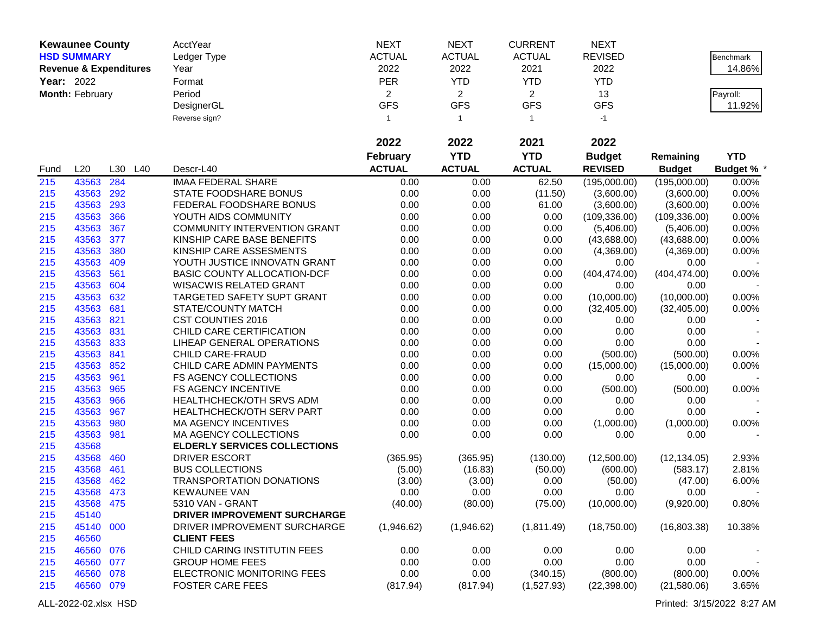|            | <b>Kewaunee County</b>            |     |     | AcctYear                            | <b>NEXT</b>    | <b>NEXT</b>    | <b>CURRENT</b>          | <b>NEXT</b>    |               |                   |
|------------|-----------------------------------|-----|-----|-------------------------------------|----------------|----------------|-------------------------|----------------|---------------|-------------------|
|            | <b>HSD SUMMARY</b>                |     |     | Ledger Type                         | <b>ACTUAL</b>  | <b>ACTUAL</b>  | <b>ACTUAL</b>           | <b>REVISED</b> |               | Benchmark         |
|            | <b>Revenue &amp; Expenditures</b> |     |     | Year                                | 2022           | 2022           | 2021                    | 2022           |               | 14.86%            |
| Year: 2022 |                                   |     |     | Format                              | PER            | <b>YTD</b>     | <b>YTD</b>              | <b>YTD</b>     |               |                   |
|            | Month: February                   |     |     | Period                              | $\overline{2}$ | $\overline{2}$ | $\overline{2}$          | 13             |               | Payroll:          |
|            |                                   |     |     | DesignerGL                          | <b>GFS</b>     | <b>GFS</b>     | <b>GFS</b>              | <b>GFS</b>     |               | 11.92%            |
|            |                                   |     |     | Reverse sign?                       | 1              | $\overline{1}$ | $\overline{\mathbf{1}}$ | $-1$           |               |                   |
|            |                                   |     |     |                                     |                |                |                         |                |               |                   |
|            |                                   |     |     |                                     | 2022           | 2022           | 2021                    | 2022           |               |                   |
|            |                                   |     |     |                                     | February       | <b>YTD</b>     | <b>YTD</b>              | <b>Budget</b>  | Remaining     | <b>YTD</b>        |
| Fund       | L20                               | L30 | L40 | Descr-L40                           | <b>ACTUAL</b>  | <b>ACTUAL</b>  | <b>ACTUAL</b>           | <b>REVISED</b> | <b>Budget</b> | <b>Budget % *</b> |
| 215        | 43563                             | 284 |     | <b>IMAA FEDERAL SHARE</b>           | 0.00           | 0.00           | 62.50                   | (195,000.00)   | (195,000.00)  | 0.00%             |
| 215        | 43563                             | 292 |     | STATE FOODSHARE BONUS               | 0.00           | 0.00           | (11.50)                 | (3,600.00)     | (3,600.00)    | 0.00%             |
| 215        | 43563                             | 293 |     | FEDERAL FOODSHARE BONUS             | 0.00           | 0.00           | 61.00                   | (3,600.00)     | (3,600.00)    | 0.00%             |
| 215        | 43563                             | 366 |     | YOUTH AIDS COMMUNITY                | 0.00           | 0.00           | 0.00                    | (109, 336.00)  | (109, 336.00) | 0.00%             |
| 215        | 43563                             | 367 |     | <b>COMMUNITY INTERVENTION GRANT</b> | 0.00           | 0.00           | 0.00                    | (5,406.00)     | (5,406.00)    | 0.00%             |
| 215        | 43563                             | 377 |     | KINSHIP CARE BASE BENEFITS          | 0.00           | 0.00           | 0.00                    | (43,688.00)    | (43,688.00)   | 0.00%             |
| 215        | 43563                             | 380 |     | KINSHIP CARE ASSESMENTS             | 0.00           | 0.00           | 0.00                    | (4,369.00)     | (4,369.00)    | 0.00%             |
| 215        | 43563                             | 409 |     | YOUTH JUSTICE INNOVATN GRANT        | 0.00           | 0.00           | 0.00                    | 0.00           | 0.00          |                   |
| 215        | 43563                             | 561 |     | BASIC COUNTY ALLOCATION-DCF         | 0.00           | 0.00           | 0.00                    | (404, 474.00)  | (404, 474.00) | 0.00%             |
| 215        | 43563                             | 604 |     | WISACWIS RELATED GRANT              | 0.00           | 0.00           | 0.00                    | 0.00           | 0.00          |                   |
| 215        | 43563                             | 632 |     | <b>TARGETED SAFETY SUPT GRANT</b>   | 0.00           | 0.00           | 0.00                    | (10,000.00)    | (10,000.00)   | 0.00%             |
| 215        | 43563 681                         |     |     | STATE/COUNTY MATCH                  | 0.00           | 0.00           | 0.00                    | (32, 405.00)   | (32, 405.00)  | 0.00%             |
| 215        | 43563 821                         |     |     | <b>CST COUNTIES 2016</b>            | 0.00           | 0.00           | 0.00                    | 0.00           | 0.00          |                   |
| 215        | 43563                             | 831 |     | CHILD CARE CERTIFICATION            | 0.00           | 0.00           | 0.00                    | 0.00           | 0.00          |                   |
| 215        | 43563 833                         |     |     | LIHEAP GENERAL OPERATIONS           | 0.00           | 0.00           | 0.00                    | 0.00           | 0.00          |                   |
| 215        | 43563 841                         |     |     | CHILD CARE-FRAUD                    | 0.00           | 0.00           | 0.00                    | (500.00)       | (500.00)      | 0.00%             |
| 215        | 43563                             | 852 |     | CHILD CARE ADMIN PAYMENTS           | 0.00           | 0.00           | 0.00                    | (15,000.00)    | (15,000.00)   | 0.00%             |
| 215        | 43563                             | 961 |     | FS AGENCY COLLECTIONS               | 0.00           | 0.00           | 0.00                    | 0.00           | 0.00          |                   |
| 215        | 43563                             | 965 |     | <b>FS AGENCY INCENTIVE</b>          | 0.00           | 0.00           | 0.00                    | (500.00)       | (500.00)      | 0.00%             |
| 215        | 43563                             | 966 |     | HEALTHCHECK/OTH SRVS ADM            | 0.00           | 0.00           | 0.00                    | 0.00           | 0.00          |                   |
| 215        | 43563                             | 967 |     | HEALTHCHECK/OTH SERV PART           | 0.00           | 0.00           | 0.00                    | 0.00           | 0.00          |                   |
| 215        | 43563                             | 980 |     | <b>MA AGENCY INCENTIVES</b>         | 0.00           | 0.00           | 0.00                    | (1,000.00)     | (1,000.00)    | 0.00%             |
| 215        | 43563                             | 981 |     | MA AGENCY COLLECTIONS               | 0.00           | 0.00           | 0.00                    | 0.00           | 0.00          |                   |
| 215        | 43568                             |     |     | <b>ELDERLY SERVICES COLLECTIONS</b> |                |                |                         |                |               |                   |
| 215        | 43568                             | 460 |     | <b>DRIVER ESCORT</b>                | (365.95)       | (365.95)       | (130.00)                | (12,500.00)    | (12, 134.05)  | 2.93%             |
| 215        | 43568                             | 461 |     | <b>BUS COLLECTIONS</b>              | (5.00)         | (16.83)        | (50.00)                 | (600.00)       | (583.17)      | 2.81%             |
| 215        | 43568                             | 462 |     | <b>TRANSPORTATION DONATIONS</b>     | (3.00)         | (3.00)         | 0.00                    | (50.00)        | (47.00)       | 6.00%             |
| 215        | 43568                             | 473 |     | <b>KEWAUNEE VAN</b>                 | 0.00           | 0.00           | 0.00                    | 0.00           | 0.00          |                   |
| 215        | 43568 475                         |     |     | 5310 VAN - GRANT                    | (40.00)        | (80.00)        | (75.00)                 | (10,000.00)    | (9,920.00)    | 0.80%             |
| 215        | 45140                             |     |     | DRIVER IMPROVEMENT SURCHARGE        |                |                |                         |                |               |                   |
| 215        | 45140 000                         |     |     | DRIVER IMPROVEMENT SURCHARGE        | (1,946.62)     | (1,946.62)     | (1,811.49)              | (18,750.00)    | (16,803.38)   | 10.38%            |
| 215        | 46560                             |     |     | <b>CLIENT FEES</b>                  |                |                |                         |                |               |                   |
| 215        | 46560 076                         |     |     | CHILD CARING INSTITUTIN FEES        | 0.00           | 0.00           | 0.00                    | 0.00           | 0.00          |                   |
| 215        | 46560 077                         |     |     | <b>GROUP HOME FEES</b>              | 0.00           | 0.00           | 0.00                    | 0.00           | 0.00          |                   |
| 215        | 46560 078                         |     |     | ELECTRONIC MONITORING FEES          | 0.00           | 0.00           | (340.15)                | (800.00)       | (800.00)      | 0.00%             |
| 215        | 46560 079                         |     |     | <b>FOSTER CARE FEES</b>             | (817.94)       | (817.94)       | (1,527.93)              | (22, 398.00)   | (21,580.06)   | 3.65%             |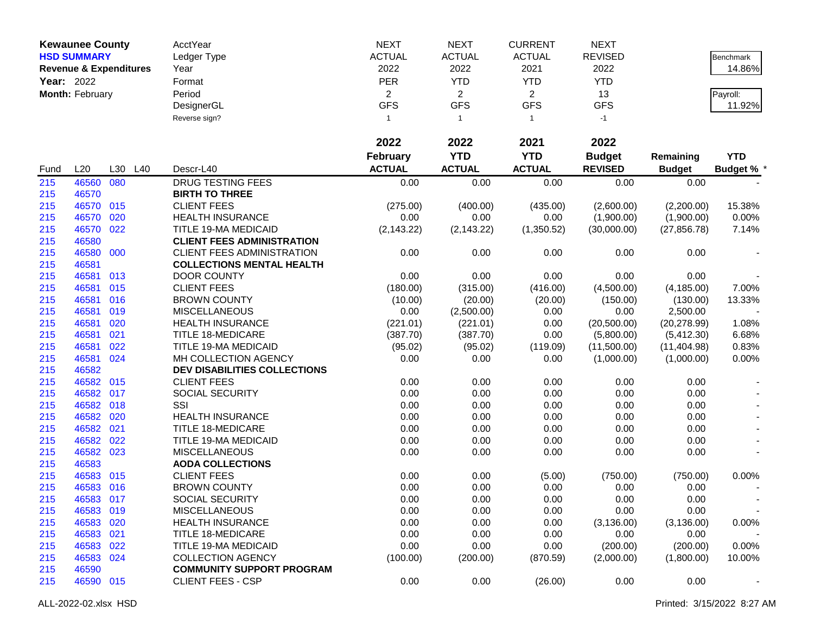|            | <b>Kewaunee County</b>            |     |     | AcctYear                            | <b>NEXT</b>     | <b>NEXT</b>    | <b>CURRENT</b> | <b>NEXT</b>    |               |                   |
|------------|-----------------------------------|-----|-----|-------------------------------------|-----------------|----------------|----------------|----------------|---------------|-------------------|
|            | <b>HSD SUMMARY</b>                |     |     | Ledger Type                         | <b>ACTUAL</b>   | <b>ACTUAL</b>  | <b>ACTUAL</b>  | <b>REVISED</b> |               | Benchmark         |
|            | <b>Revenue &amp; Expenditures</b> |     |     | Year                                | 2022            | 2022           | 2021           | 2022           |               | 14.86%            |
| Year: 2022 |                                   |     |     | Format                              | PER             | <b>YTD</b>     | <b>YTD</b>     | <b>YTD</b>     |               |                   |
|            | Month: February                   |     |     | Period                              | $\overline{2}$  | $\overline{2}$ | $\overline{2}$ | 13             |               | Payroll:          |
|            |                                   |     |     | DesignerGL                          | <b>GFS</b>      | <b>GFS</b>     | <b>GFS</b>     | <b>GFS</b>     |               | 11.92%            |
|            |                                   |     |     | Reverse sign?                       | $\mathbf{1}$    | $\mathbf{1}$   | $\overline{1}$ | $-1$           |               |                   |
|            |                                   |     |     |                                     |                 |                |                |                |               |                   |
|            |                                   |     |     |                                     | 2022            | 2022           | 2021           | 2022           |               |                   |
|            |                                   |     |     |                                     | <b>February</b> | <b>YTD</b>     | <b>YTD</b>     | <b>Budget</b>  | Remaining     | <b>YTD</b>        |
| Fund       | L20                               | L30 | L40 | Descr-L40                           | <b>ACTUAL</b>   | <b>ACTUAL</b>  | <b>ACTUAL</b>  | <b>REVISED</b> | <b>Budget</b> | <b>Budget % *</b> |
| 215        | 46560 080                         |     |     | <b>DRUG TESTING FEES</b>            | 0.00            | 0.00           | 0.00           | 0.00           | 0.00          |                   |
| 215        | 46570                             |     |     | <b>BIRTH TO THREE</b>               |                 |                |                |                |               |                   |
| 215        | 46570 015                         |     |     | <b>CLIENT FEES</b>                  | (275.00)        | (400.00)       | (435.00)       | (2,600.00)     | (2,200.00)    | 15.38%            |
| 215        | 46570                             | 020 |     | <b>HEALTH INSURANCE</b>             | 0.00            | 0.00           | 0.00           | (1,900.00)     | (1,900.00)    | 0.00%             |
| 215        | 46570 022                         |     |     | TITLE 19-MA MEDICAID                | (2, 143.22)     | (2, 143.22)    | (1,350.52)     | (30,000.00)    | (27, 856.78)  | 7.14%             |
| 215        | 46580                             |     |     | <b>CLIENT FEES ADMINISTRATION</b>   |                 |                |                |                |               |                   |
| 215        | 46580 000                         |     |     | CLIENT FEES ADMINISTRATION          | 0.00            | 0.00           | 0.00           | 0.00           | 0.00          |                   |
| 215        | 46581                             |     |     | <b>COLLECTIONS MENTAL HEALTH</b>    |                 |                |                |                |               |                   |
| 215        | 46581                             | 013 |     | <b>DOOR COUNTY</b>                  | 0.00            | 0.00           | 0.00           | 0.00           | 0.00          |                   |
| 215        | 46581 015                         |     |     | <b>CLIENT FEES</b>                  | (180.00)        | (315.00)       | (416.00)       | (4,500.00)     | (4, 185.00)   | 7.00%             |
| 215        | 46581 016                         |     |     | <b>BROWN COUNTY</b>                 | (10.00)         | (20.00)        | (20.00)        | (150.00)       | (130.00)      | 13.33%            |
| 215        | 46581 019                         |     |     | <b>MISCELLANEOUS</b>                | 0.00            | (2,500.00)     | 0.00           | 0.00           | 2,500.00      |                   |
| 215        | 46581                             | 020 |     | <b>HEALTH INSURANCE</b>             | (221.01)        | (221.01)       | 0.00           | (20,500.00)    | (20, 278.99)  | 1.08%             |
| 215        | 46581                             | 021 |     | TITLE 18-MEDICARE                   | (387.70)        | (387.70)       | 0.00           | (5,800.00)     | (5,412.30)    | 6.68%             |
| 215        | 46581                             | 022 |     | TITLE 19-MA MEDICAID                | (95.02)         | (95.02)        | (119.09)       | (11,500.00)    | (11, 404.98)  | 0.83%             |
| 215        | 46581 024                         |     |     | MH COLLECTION AGENCY                | 0.00            | 0.00           | 0.00           | (1,000.00)     | (1,000.00)    | 0.00%             |
| 215        | 46582                             |     |     | <b>DEV DISABILITIES COLLECTIONS</b> |                 |                |                |                |               |                   |
| 215        | 46582 015                         |     |     | <b>CLIENT FEES</b>                  | 0.00            | 0.00           | 0.00           | 0.00           | 0.00          |                   |
| 215        | 46582 017                         |     |     | SOCIAL SECURITY                     | 0.00            | 0.00           | 0.00           | 0.00           | 0.00          |                   |
| 215        | 46582 018                         |     |     | SSI                                 | 0.00            | 0.00           | 0.00           | 0.00           | 0.00          |                   |
| 215        | 46582 020                         |     |     | <b>HEALTH INSURANCE</b>             | 0.00            | 0.00           | 0.00           | 0.00           | 0.00          |                   |
| 215        | 46582 021                         |     |     | <b>TITLE 18-MEDICARE</b>            | 0.00            | 0.00           | 0.00           | 0.00           | 0.00          |                   |
| 215        | 46582                             | 022 |     | TITLE 19-MA MEDICAID                | 0.00            | 0.00           | 0.00           | 0.00           | 0.00          |                   |
| 215        | 46582 023                         |     |     | <b>MISCELLANEOUS</b>                | 0.00            | 0.00           | 0.00           | 0.00           | 0.00          |                   |
| 215        | 46583                             |     |     | <b>AODA COLLECTIONS</b>             |                 |                |                |                |               |                   |
| 215        | 46583 015                         |     |     | <b>CLIENT FEES</b>                  | 0.00            | 0.00           | (5.00)         | (750.00)       | (750.00)      | 0.00%             |
| 215        | 46583 016                         |     |     | <b>BROWN COUNTY</b>                 | 0.00            | 0.00           | 0.00           | 0.00           | 0.00          |                   |
| 215        | 46583 017                         |     |     | SOCIAL SECURITY                     | 0.00            | 0.00           | 0.00           | 0.00           | 0.00          |                   |
| 215        | 46583 019                         |     |     | <b>MISCELLANEOUS</b>                | 0.00            | 0.00           | 0.00           | 0.00           | 0.00          |                   |
| 215        | 46583 020                         |     |     | <b>HEALTH INSURANCE</b>             | 0.00            | 0.00           | 0.00           | (3, 136.00)    | (3, 136.00)   | $0.00\%$          |
| 215        | 46583 021                         |     |     | <b>TITLE 18-MEDICARE</b>            | 0.00            | 0.00           | 0.00           | 0.00           | 0.00          |                   |
| 215        | 46583 022                         |     |     | TITLE 19-MA MEDICAID                | 0.00            | 0.00           | 0.00           | (200.00)       | (200.00)      | 0.00%             |
| 215        | 46583 024                         |     |     | <b>COLLECTION AGENCY</b>            | (100.00)        | (200.00)       | (870.59)       | (2,000.00)     | (1,800.00)    | 10.00%            |
| 215        | 46590                             |     |     | <b>COMMUNITY SUPPORT PROGRAM</b>    |                 |                |                |                |               |                   |
| 215        | 46590 015                         |     |     | <b>CLIENT FEES - CSP</b>            | 0.00            | 0.00           | (26.00)        | 0.00           | 0.00          |                   |
|            |                                   |     |     |                                     |                 |                |                |                |               |                   |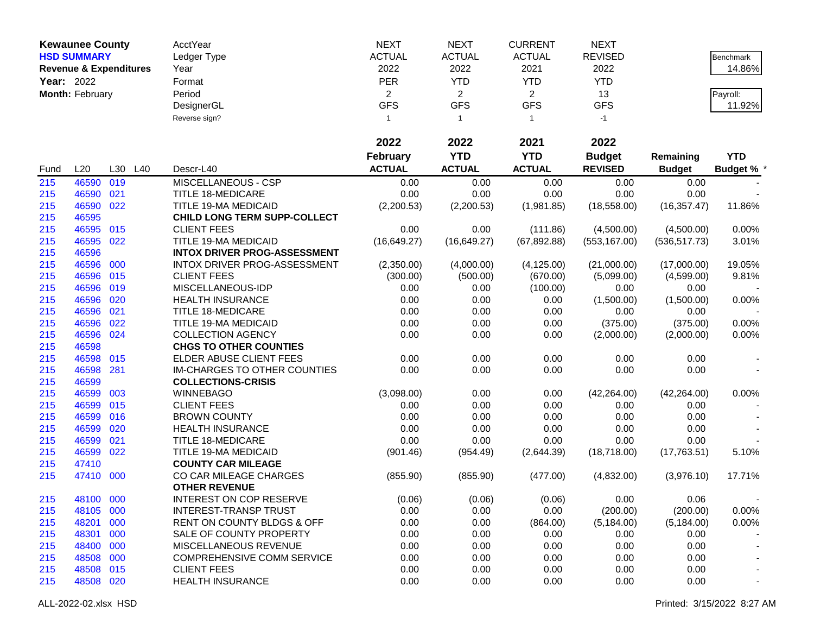|            | <b>Kewaunee County</b>            |     |     | AcctYear                              | <b>NEXT</b>     | <b>NEXT</b>    | <b>CURRENT</b> | <b>NEXT</b>    |               |                   |
|------------|-----------------------------------|-----|-----|---------------------------------------|-----------------|----------------|----------------|----------------|---------------|-------------------|
|            | <b>HSD SUMMARY</b>                |     |     | Ledger Type                           | <b>ACTUAL</b>   | <b>ACTUAL</b>  | <b>ACTUAL</b>  | <b>REVISED</b> |               | <b>Benchmark</b>  |
|            | <b>Revenue &amp; Expenditures</b> |     |     | Year                                  | 2022            | 2022           | 2021           | 2022           |               | 14.86%            |
| Year: 2022 |                                   |     |     | Format                                | PER             | <b>YTD</b>     | <b>YTD</b>     | <b>YTD</b>     |               |                   |
|            | Month: February                   |     |     | Period                                | $\overline{2}$  | $\overline{2}$ | $\overline{2}$ | 13             |               | Payroll:          |
|            |                                   |     |     | DesignerGL                            | <b>GFS</b>      | <b>GFS</b>     | <b>GFS</b>     | <b>GFS</b>     |               | 11.92%            |
|            |                                   |     |     | Reverse sign?                         | $\mathbf{1}$    | $\mathbf{1}$   | -1             | -1             |               |                   |
|            |                                   |     |     |                                       | 2022            | 2022           | 2021           | 2022           |               |                   |
|            |                                   |     |     |                                       | <b>February</b> | <b>YTD</b>     | <b>YTD</b>     | <b>Budget</b>  | Remaining     | <b>YTD</b>        |
| Fund       | L20                               | L30 | L40 | Descr-L40                             | <b>ACTUAL</b>   | <b>ACTUAL</b>  | <b>ACTUAL</b>  | <b>REVISED</b> | <b>Budget</b> | <b>Budget % *</b> |
| 215        | 46590                             | 019 |     | MISCELLANEOUS - CSP                   | 0.00            | 0.00           | 0.00           | 0.00           | 0.00          |                   |
| 215        | 46590                             | 021 |     | <b>TITLE 18-MEDICARE</b>              | 0.00            | 0.00           | 0.00           | 0.00           | 0.00          |                   |
| 215        | 46590                             | 022 |     | TITLE 19-MA MEDICAID                  | (2,200.53)      | (2,200.53)     | (1,981.85)     | (18, 558.00)   | (16, 357.47)  | 11.86%            |
| 215        | 46595                             |     |     | CHILD LONG TERM SUPP-COLLECT          |                 |                |                |                |               |                   |
| 215        | 46595                             | 015 |     | <b>CLIENT FEES</b>                    | 0.00            | 0.00           | (111.86)       | (4,500.00)     | (4,500.00)    | 0.00%             |
| 215        | 46595                             | 022 |     | TITLE 19-MA MEDICAID                  | (16, 649.27)    | (16,649.27)    | (67, 892.88)   | (553, 167.00)  | (536, 517.73) | 3.01%             |
| 215        | 46596                             |     |     | <b>INTOX DRIVER PROG-ASSESSMENT</b>   |                 |                |                |                |               |                   |
| 215        | 46596                             | 000 |     | INTOX DRIVER PROG-ASSESSMENT          | (2,350.00)      | (4,000.00)     | (4, 125.00)    | (21,000.00)    | (17,000.00)   | 19.05%            |
| 215        | 46596                             | 015 |     | <b>CLIENT FEES</b>                    | (300.00)        | (500.00)       | (670.00)       | (5,099.00)     | (4,599.00)    | 9.81%             |
| 215        | 46596                             | 019 |     | MISCELLANEOUS-IDP                     | 0.00            | 0.00           | (100.00)       | 0.00           | 0.00          |                   |
| 215        | 46596                             | 020 |     | <b>HEALTH INSURANCE</b>               | 0.00            | 0.00           | 0.00           | (1,500.00)     | (1,500.00)    | 0.00%             |
| 215        | 46596                             | 021 |     | <b>TITLE 18-MEDICARE</b>              | 0.00            | 0.00           | 0.00           | 0.00           | 0.00          |                   |
| 215        | 46596                             | 022 |     | TITLE 19-MA MEDICAID                  | 0.00            | 0.00           | 0.00           | (375.00)       | (375.00)      | 0.00%             |
| 215        | 46596                             | 024 |     | <b>COLLECTION AGENCY</b>              | 0.00            | 0.00           | 0.00           | (2,000.00)     | (2,000.00)    | 0.00%             |
| 215        | 46598                             |     |     | <b>CHGS TO OTHER COUNTIES</b>         |                 |                |                |                |               |                   |
| 215        | 46598                             | 015 |     | ELDER ABUSE CLIENT FEES               | 0.00            | 0.00           | 0.00           | 0.00           | 0.00          |                   |
| 215        | 46598                             | 281 |     | IM-CHARGES TO OTHER COUNTIES          | 0.00            | 0.00           | 0.00           | 0.00           | 0.00          |                   |
| 215        | 46599                             |     |     | <b>COLLECTIONS-CRISIS</b>             |                 |                |                |                |               |                   |
| 215        | 46599                             | 003 |     | <b>WINNEBAGO</b>                      | (3,098.00)      | 0.00           | 0.00           | (42, 264.00)   | (42, 264.00)  | 0.00%             |
| 215        | 46599                             | 015 |     | <b>CLIENT FEES</b>                    | 0.00            | 0.00           | 0.00           | 0.00           | 0.00          |                   |
| 215        | 46599                             | 016 |     | <b>BROWN COUNTY</b>                   | 0.00            | 0.00           | 0.00           | 0.00           | 0.00          |                   |
| 215        | 46599                             | 020 |     | <b>HEALTH INSURANCE</b>               | 0.00            | 0.00           | 0.00           | 0.00           | 0.00          |                   |
| 215        | 46599                             | 021 |     | <b>TITLE 18-MEDICARE</b>              | 0.00            | 0.00           | 0.00           | 0.00           | 0.00          |                   |
| 215        | 46599                             | 022 |     | TITLE 19-MA MEDICAID                  | (901.46)        | (954.49)       | (2,644.39)     | (18,718.00)    | (17,763.51)   | 5.10%             |
| 215        | 47410                             |     |     | <b>COUNTY CAR MILEAGE</b>             |                 |                |                |                |               |                   |
| 215        | 47410                             | 000 |     | CO CAR MILEAGE CHARGES                | (855.90)        | (855.90)       | (477.00)       | (4,832.00)     | (3,976.10)    | 17.71%            |
|            |                                   |     |     | <b>OTHER REVENUE</b>                  |                 |                |                |                |               |                   |
| 215        | 48100 000                         |     |     | INTEREST ON COP RESERVE               | (0.06)          | (0.06)         | (0.06)         | 0.00           | 0.06          |                   |
| 215        | 48105 000                         |     |     | <b>INTEREST-TRANSP TRUST</b>          | 0.00            | 0.00           | 0.00           | (200.00)       | (200.00)      | 0.00%             |
| 215        | 48201 000                         |     |     | <b>RENT ON COUNTY BLDGS &amp; OFF</b> | 0.00            | 0.00           | (864.00)       | (5, 184.00)    | (5, 184.00)   | 0.00%             |
| 215        | 48301                             | 000 |     | SALE OF COUNTY PROPERTY               | 0.00            | 0.00           | 0.00           | 0.00           | 0.00          |                   |
| 215        | 48400 000                         |     |     | MISCELLANEOUS REVENUE                 | 0.00            | 0.00           | 0.00           | 0.00           | 0.00          |                   |
| 215        | 48508 000                         |     |     | <b>COMPREHENSIVE COMM SERVICE</b>     | 0.00            | 0.00           | 0.00           | 0.00           | 0.00          |                   |
| 215        | 48508 015                         |     |     | <b>CLIENT FEES</b>                    | 0.00            | 0.00           | 0.00           | 0.00           | 0.00          |                   |
| 215        | 48508 020                         |     |     | <b>HEALTH INSURANCE</b>               | 0.00            | 0.00           | 0.00           | 0.00           | 0.00          |                   |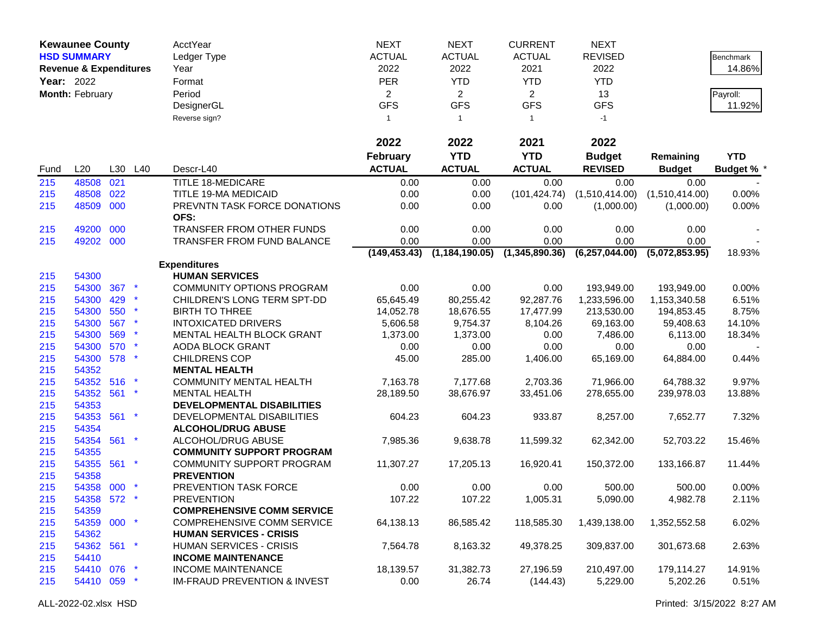|            | <b>Kewaunee County</b>            |     |         | <b>AcctYear</b>                         | <b>NEXT</b>     | <b>NEXT</b>      | <b>CURRENT</b> | <b>NEXT</b>      |                |                 |
|------------|-----------------------------------|-----|---------|-----------------------------------------|-----------------|------------------|----------------|------------------|----------------|-----------------|
|            | <b>HSD SUMMARY</b>                |     |         | Ledger Type                             | <b>ACTUAL</b>   | <b>ACTUAL</b>    | <b>ACTUAL</b>  | <b>REVISED</b>   |                | Benchmark       |
|            | <b>Revenue &amp; Expenditures</b> |     |         | Year                                    | 2022            | 2022             | 2021           | 2022             |                | 14.86%          |
| Year: 2022 |                                   |     |         | Format                                  | <b>PER</b>      | <b>YTD</b>       | <b>YTD</b>     | <b>YTD</b>       |                |                 |
|            | Month: February                   |     |         | Period                                  | $\overline{2}$  | $\overline{c}$   | $\overline{2}$ | 13               |                | Payroll:        |
|            |                                   |     |         |                                         | <b>GFS</b>      | <b>GFS</b>       | <b>GFS</b>     | <b>GFS</b>       |                |                 |
|            |                                   |     |         | DesignerGL                              |                 |                  |                |                  |                | 11.92%          |
|            |                                   |     |         | Reverse sign?                           | $\mathbf{1}$    | $\mathbf{1}$     | $\overline{1}$ | $-1$             |                |                 |
|            |                                   |     |         |                                         | 2022            | 2022             | 2021           | 2022             |                |                 |
|            |                                   |     |         |                                         | <b>February</b> | <b>YTD</b>       | <b>YTD</b>     | <b>Budget</b>    | Remaining      | <b>YTD</b>      |
| Fund       | L20                               |     | L30 L40 | Descr-L40                               | <b>ACTUAL</b>   | <b>ACTUAL</b>    | <b>ACTUAL</b>  | <b>REVISED</b>   | <b>Budget</b>  | <b>Budget %</b> |
| 215        | 48508                             | 021 |         | <b>TITLE 18-MEDICARE</b>                | 0.00            | 0.00             | 0.00           | 0.00             | 0.00           |                 |
| 215        | 48508 022                         |     |         | TITLE 19-MA MEDICAID                    | 0.00            | 0.00             | (101, 424.74)  | (1,510,414.00)   | (1,510,414.00) | 0.00%           |
| 215        | 48509 000                         |     |         | PREVNTN TASK FORCE DONATIONS            | 0.00            | 0.00             | 0.00           | (1,000.00)       | (1,000.00)     | 0.00%           |
|            |                                   |     |         | OFS:                                    |                 |                  |                |                  |                |                 |
| 215        | 49200 000                         |     |         | TRANSFER FROM OTHER FUNDS               | 0.00            | 0.00             | 0.00           | 0.00             | 0.00           |                 |
| 215        | 49202 000                         |     |         | TRANSFER FROM FUND BALANCE              | 0.00            | 0.00             | 0.00           | 0.00             | 0.00           |                 |
|            |                                   |     |         |                                         | (149, 453.43)   | (1, 184, 190.05) | (1,345,890.36) | (6, 257, 044.00) | (5,072,853.95) | 18.93%          |
|            |                                   |     |         | <b>Expenditures</b>                     |                 |                  |                |                  |                |                 |
| 215        | 54300                             |     |         | <b>HUMAN SERVICES</b>                   |                 |                  |                |                  |                |                 |
| 215        | 54300                             | 367 |         | <b>COMMUNITY OPTIONS PROGRAM</b>        | 0.00            | 0.00             | 0.00           | 193,949.00       | 193,949.00     | 0.00%           |
| 215        | 54300                             | 429 |         | CHILDREN'S LONG TERM SPT-DD             | 65,645.49       | 80,255.42        | 92,287.76      | 1,233,596.00     | 1,153,340.58   | 6.51%           |
| 215        | 54300                             | 550 | $\star$ | <b>BIRTH TO THREE</b>                   | 14,052.78       | 18,676.55        | 17,477.99      | 213,530.00       | 194,853.45     | 8.75%           |
| 215        | 54300                             | 567 |         | <b>INTOXICATED DRIVERS</b>              | 5,606.58        | 9,754.37         | 8,104.26       | 69,163.00        | 59,408.63      | 14.10%          |
| 215        | 54300                             | 569 |         | MENTAL HEALTH BLOCK GRANT               | 1,373.00        | 1,373.00         | 0.00           | 7,486.00         | 6,113.00       | 18.34%          |
| 215        | 54300                             | 570 | $\ast$  | AODA BLOCK GRANT                        | 0.00            | 0.00             | 0.00           | 0.00             | 0.00           |                 |
| 215        | 54300 578                         |     | $\star$ | <b>CHILDRENS COP</b>                    | 45.00           | 285.00           | 1,406.00       | 65,169.00        | 64,884.00      | 0.44%           |
| 215        | 54352                             |     |         | <b>MENTAL HEALTH</b>                    |                 |                  |                |                  |                |                 |
| 215        | 54352                             | 516 |         | <b>COMMUNITY MENTAL HEALTH</b>          | 7,163.78        | 7,177.68         | 2,703.36       | 71,966.00        | 64,788.32      | 9.97%           |
| 215        | 54352                             | 561 | $\star$ | <b>MENTAL HEALTH</b>                    | 28,189.50       | 38,676.97        | 33,451.06      | 278,655.00       | 239,978.03     | 13.88%          |
| 215        | 54353                             |     |         | DEVELOPMENTAL DISABILITIES              |                 |                  |                |                  |                |                 |
| 215        | 54353 561                         |     | $\star$ | DEVELOPMENTAL DISABILITIES              | 604.23          | 604.23           | 933.87         | 8,257.00         | 7,652.77       | 7.32%           |
| 215        | 54354                             |     |         | <b>ALCOHOL/DRUG ABUSE</b>               |                 |                  |                |                  |                |                 |
| 215        | 54354 561                         |     | $\star$ | ALCOHOL/DRUG ABUSE                      | 7,985.36        | 9,638.78         | 11,599.32      | 62,342.00        | 52,703.22      | 15.46%          |
| 215        | 54355                             |     |         | <b>COMMUNITY SUPPORT PROGRAM</b>        |                 |                  |                |                  |                |                 |
| 215        | 54355                             | 561 | $\star$ | COMMUNITY SUPPORT PROGRAM               | 11,307.27       | 17,205.13        | 16,920.41      | 150,372.00       | 133,166.87     | 11.44%          |
| 215        | 54358                             |     |         | <b>PREVENTION</b>                       |                 |                  |                |                  |                |                 |
| 215        | 54358 000                         |     |         | PREVENTION TASK FORCE                   | 0.00            | 0.00             | 0.00           | 500.00           | 500.00         | 0.00%           |
| 215        | 54358 572 *                       |     |         | <b>PREVENTION</b>                       | 107.22          | 107.22           | 1,005.31       | 5,090.00         | 4,982.78       | 2.11%           |
| 215        | 54359                             |     |         | <b>COMPREHENSIVE COMM SERVICE</b>       |                 |                  |                |                  |                |                 |
| 215        | 54359 000 *                       |     |         | <b>COMPREHENSIVE COMM SERVICE</b>       | 64,138.13       | 86,585.42        | 118,585.30     | 1,439,138.00     | 1,352,552.58   | 6.02%           |
| 215        | 54362                             |     |         | <b>HUMAN SERVICES - CRISIS</b>          |                 |                  |                |                  |                |                 |
| 215        | 54362 561 *                       |     |         | <b>HUMAN SERVICES - CRISIS</b>          | 7,564.78        | 8,163.32         | 49,378.25      | 309,837.00       | 301,673.68     | 2.63%           |
| 215        | 54410                             |     |         | <b>INCOME MAINTENANCE</b>               |                 |                  |                |                  |                |                 |
| 215        | 54410 076 *                       |     |         | <b>INCOME MAINTENANCE</b>               | 18,139.57       | 31,382.73        | 27,196.59      | 210,497.00       | 179,114.27     | 14.91%          |
| 215        | 54410 059 *                       |     |         | <b>IM-FRAUD PREVENTION &amp; INVEST</b> | 0.00            | 26.74            | (144.43)       | 5,229.00         | 5,202.26       | 0.51%           |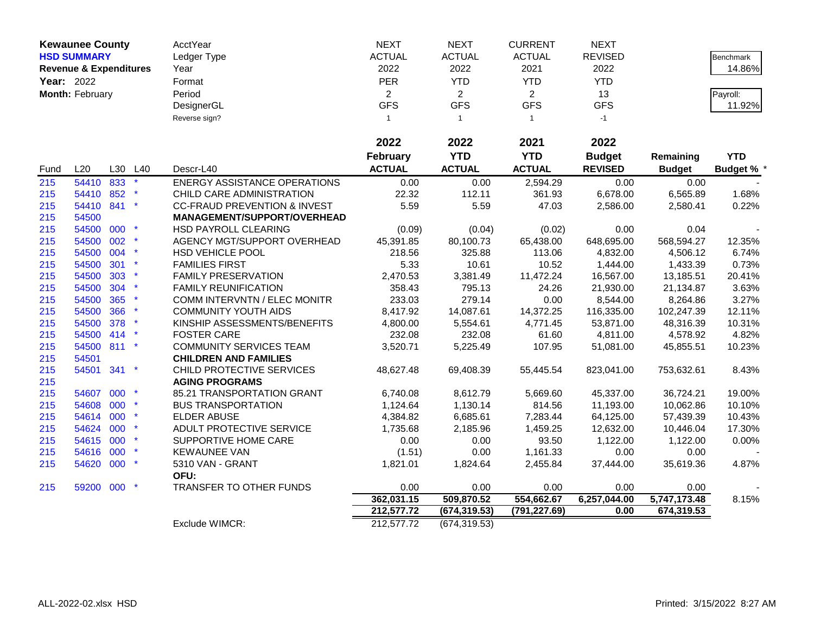|      | <b>Kewaunee County</b>            |     |         | AcctYear                                | <b>NEXT</b>    | <b>NEXT</b>    | <b>CURRENT</b> | <b>NEXT</b>    |               |                  |
|------|-----------------------------------|-----|---------|-----------------------------------------|----------------|----------------|----------------|----------------|---------------|------------------|
|      | <b>HSD SUMMARY</b>                |     |         | Ledger Type                             | <b>ACTUAL</b>  | <b>ACTUAL</b>  | <b>ACTUAL</b>  | <b>REVISED</b> |               | <b>Benchmark</b> |
|      | <b>Revenue &amp; Expenditures</b> |     |         | Year                                    | 2022           | 2022           | 2021           | 2022           |               | 14.86%           |
|      | <b>Year: 2022</b>                 |     |         | Format                                  | PER            | <b>YTD</b>     | <b>YTD</b>     | <b>YTD</b>     |               |                  |
|      | Month: February                   |     |         | Period                                  | $\overline{2}$ | $\overline{2}$ | $\overline{2}$ | 13             |               | Payroll:         |
|      |                                   |     |         | DesignerGL                              | <b>GFS</b>     | <b>GFS</b>     | <b>GFS</b>     | <b>GFS</b>     |               | 11.92%           |
|      |                                   |     |         | Reverse sign?                           | $\mathbf{1}$   | $\mathbf{1}$   | $\overline{1}$ | $-1$           |               |                  |
|      |                                   |     |         |                                         |                |                |                |                |               |                  |
|      |                                   |     |         |                                         | 2022           | 2022           | 2021           | 2022           |               |                  |
|      |                                   |     |         |                                         | February       | <b>YTD</b>     | <b>YTD</b>     | <b>Budget</b>  | Remaining     | <b>YTD</b>       |
| Fund | L20                               | L30 | L40     | Descr-L40                               | <b>ACTUAL</b>  | <b>ACTUAL</b>  | <b>ACTUAL</b>  | <b>REVISED</b> | <b>Budget</b> | <b>Budget %</b>  |
| 215  | 54410 833                         |     | $\star$ | <b>ENERGY ASSISTANCE OPERATIONS</b>     | 0.00           | 0.00           | 2,594.29       | 0.00           | 0.00          |                  |
| 215  | 54410 852                         |     |         | CHILD CARE ADMINISTRATION               | 22.32          | 112.11         | 361.93         | 6,678.00       | 6,565.89      | 1.68%            |
| 215  | 54410 841                         |     | $\ast$  | <b>CC-FRAUD PREVENTION &amp; INVEST</b> | 5.59           | 5.59           | 47.03          | 2,586.00       | 2,580.41      | 0.22%            |
| 215  | 54500                             |     |         | MANAGEMENT/SUPPORT/OVERHEAD             |                |                |                |                |               |                  |
| 215  | 54500 000                         |     | $\star$ | HSD PAYROLL CLEARING                    | (0.09)         | (0.04)         | (0.02)         | 0.00           | 0.04          |                  |
| 215  | 54500                             | 002 |         | AGENCY MGT/SUPPORT OVERHEAD             | 45,391.85      | 80,100.73      | 65,438.00      | 648,695.00     | 568,594.27    | 12.35%           |
| 215  | 54500 004                         |     | $\star$ | HSD VEHICLE POOL                        | 218.56         | 325.88         | 113.06         | 4,832.00       | 4,506.12      | 6.74%            |
| 215  | 54500                             | 301 |         | <b>FAMILIES FIRST</b>                   | 5.33           | 10.61          | 10.52          | 1,444.00       | 1,433.39      | 0.73%            |
| 215  | 54500                             | 303 |         | <b>FAMILY PRESERVATION</b>              | 2,470.53       | 3,381.49       | 11,472.24      | 16,567.00      | 13,185.51     | 20.41%           |
| 215  | 54500                             | 304 | $\star$ | <b>FAMILY REUNIFICATION</b>             | 358.43         | 795.13         | 24.26          | 21,930.00      | 21,134.87     | 3.63%            |
| 215  | 54500                             | 365 | $\star$ | COMM INTERVNTN / ELEC MONITR            | 233.03         | 279.14         | 0.00           | 8,544.00       | 8,264.86      | 3.27%            |
| 215  | 54500                             | 366 |         | <b>COMMUNITY YOUTH AIDS</b>             | 8,417.92       | 14,087.61      | 14,372.25      | 116,335.00     | 102,247.39    | 12.11%           |
| 215  | 54500 378                         |     |         | KINSHIP ASSESSMENTS/BENEFITS            | 4,800.00       | 5,554.61       | 4,771.45       | 53,871.00      | 48,316.39     | 10.31%           |
| 215  | 54500 414                         |     |         | <b>FOSTER CARE</b>                      | 232.08         | 232.08         | 61.60          | 4,811.00       | 4,578.92      | 4.82%            |
| 215  | 54500 811                         |     | $\star$ | <b>COMMUNITY SERVICES TEAM</b>          | 3,520.71       | 5,225.49       | 107.95         | 51,081.00      | 45,855.51     | 10.23%           |
| 215  | 54501                             |     |         | <b>CHILDREN AND FAMILIES</b>            |                |                |                |                |               |                  |
| 215  | 54501 341                         |     | $\star$ | CHILD PROTECTIVE SERVICES               | 48,627.48      | 69,408.39      | 55,445.54      | 823,041.00     | 753,632.61    | 8.43%            |
| 215  |                                   |     |         | <b>AGING PROGRAMS</b>                   |                |                |                |                |               |                  |
| 215  | 54607                             | 000 |         | 85.21 TRANSPORTATION GRANT              | 6,740.08       | 8,612.79       | 5,669.60       | 45,337.00      | 36,724.21     | 19.00%           |
| 215  | 54608                             | 000 |         | <b>BUS TRANSPORTATION</b>               | 1,124.64       | 1,130.14       | 814.56         | 11,193.00      | 10,062.86     | 10.10%           |
| 215  | 54614 000                         |     |         | ELDER ABUSE                             | 4,384.82       | 6,685.61       | 7,283.44       | 64,125.00      | 57,439.39     | 10.43%           |
| 215  | 54624 000                         |     |         | ADULT PROTECTIVE SERVICE                | 1,735.68       | 2,185.96       | 1,459.25       | 12,632.00      | 10,446.04     | 17.30%           |
| 215  | 54615 000                         |     |         | SUPPORTIVE HOME CARE                    | 0.00           | 0.00           | 93.50          | 1,122.00       | 1,122.00      | 0.00%            |
| 215  | 54616                             | 000 |         | <b>KEWAUNEE VAN</b>                     | (1.51)         | 0.00           | 1,161.33       | 0.00           | 0.00          |                  |
| 215  | 54620 000                         |     | $\star$ | 5310 VAN - GRANT                        | 1,821.01       | 1,824.64       | 2,455.84       | 37,444.00      | 35,619.36     | 4.87%            |
|      |                                   |     |         | OFU:                                    |                |                |                |                |               |                  |
| 215  | 59200 000                         |     |         | TRANSFER TO OTHER FUNDS                 | 0.00           | 0.00           | 0.00           | 0.00           | 0.00          |                  |
|      |                                   |     |         |                                         | 362,031.15     | 509,870.52     | 554,662.67     | 6,257,044.00   | 5,747,173.48  | 8.15%            |
|      |                                   |     |         |                                         | 212,577.72     | (674, 319.53)  | (791, 227.69)  | 0.00           | 674,319.53    |                  |
|      |                                   |     |         | Exclude WIMCR:                          | 212,577.72     | (674, 319.53)  |                |                |               |                  |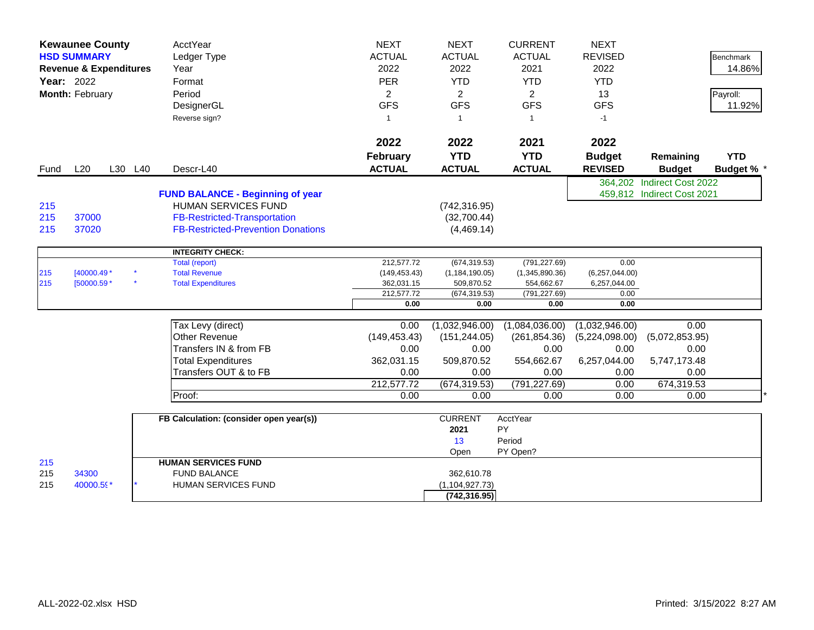|                   | <b>Kewaunee County</b><br><b>HSD SUMMARY</b><br><b>Revenue &amp; Expenditures</b><br><b>Year: 2022</b><br>Month: February |  |         | AcctYear<br>Ledger Type<br>Year<br>Format<br>Period<br>DesignerGL<br>Reverse sign?                                                                        | <b>NEXT</b><br><b>ACTUAL</b><br>2022<br><b>PER</b><br>$\overline{2}$<br><b>GFS</b><br>$\overline{1}$ | <b>NEXT</b><br><b>ACTUAL</b><br>2022<br><b>YTD</b><br>$\overline{2}$<br><b>GFS</b><br>$\overline{1}$ | <b>CURRENT</b><br><b>ACTUAL</b><br>2021<br><b>YTD</b><br>$\overline{2}$<br><b>GFS</b><br>$\overline{1}$ | <b>NEXT</b><br><b>REVISED</b><br>2022<br><b>YTD</b><br>13<br><b>GFS</b><br>$-1$ |                                                          | <b>Benchmark</b><br>14.86%<br>Payroll:<br>11.92% |
|-------------------|---------------------------------------------------------------------------------------------------------------------------|--|---------|-----------------------------------------------------------------------------------------------------------------------------------------------------------|------------------------------------------------------------------------------------------------------|------------------------------------------------------------------------------------------------------|---------------------------------------------------------------------------------------------------------|---------------------------------------------------------------------------------|----------------------------------------------------------|--------------------------------------------------|
|                   |                                                                                                                           |  |         |                                                                                                                                                           | 2022<br><b>February</b>                                                                              | 2022<br><b>YTD</b>                                                                                   | 2021<br><b>YTD</b>                                                                                      | 2022<br><b>Budget</b>                                                           | Remaining                                                | <b>YTD</b>                                       |
| Fund              | L20                                                                                                                       |  | L30 L40 | Descr-L40                                                                                                                                                 | <b>ACTUAL</b>                                                                                        | <b>ACTUAL</b>                                                                                        | <b>ACTUAL</b>                                                                                           | <b>REVISED</b>                                                                  | <b>Budget</b>                                            | Budget % *                                       |
| 215<br>215<br>215 | 37000<br>37020                                                                                                            |  |         | <b>FUND BALANCE - Beginning of year</b><br><b>HUMAN SERVICES FUND</b><br><b>FB-Restricted-Transportation</b><br><b>FB-Restricted-Prevention Donations</b> |                                                                                                      | (742, 316.95)<br>(32,700.44)<br>(4,469.14)                                                           |                                                                                                         |                                                                                 | 364,202 Indirect Cost 2022<br>459,812 Indirect Cost 2021 |                                                  |
|                   |                                                                                                                           |  |         | <b>INTEGRITY CHECK:</b>                                                                                                                                   |                                                                                                      |                                                                                                      |                                                                                                         |                                                                                 |                                                          |                                                  |
|                   |                                                                                                                           |  |         | Total (report)                                                                                                                                            | 212,577.72                                                                                           | (674, 319.53)                                                                                        | (791, 227.69)                                                                                           | 0.00                                                                            |                                                          |                                                  |
| 215<br>215        | $[40000.49*$<br>[50000.59 *                                                                                               |  |         | <b>Total Revenue</b><br><b>Total Expenditures</b>                                                                                                         | (149, 453.43)                                                                                        | (1, 184, 190.05)<br>509,870.52                                                                       | (1,345,890.36)<br>554,662.67                                                                            | (6,257,044.00)                                                                  |                                                          |                                                  |
|                   |                                                                                                                           |  |         |                                                                                                                                                           | 362,031.15<br>212,577.72                                                                             | (674, 319.53)                                                                                        | (791, 227.69)                                                                                           | 6,257,044.00<br>0.00                                                            |                                                          |                                                  |
|                   |                                                                                                                           |  |         |                                                                                                                                                           | 0.00                                                                                                 | 0.00                                                                                                 | 0.00                                                                                                    | 0.00                                                                            |                                                          |                                                  |
|                   |                                                                                                                           |  |         |                                                                                                                                                           |                                                                                                      |                                                                                                      |                                                                                                         |                                                                                 |                                                          |                                                  |
|                   |                                                                                                                           |  |         | Tax Levy (direct)                                                                                                                                         | 0.00                                                                                                 | (1,032,946.00)                                                                                       | (1,084,036.00)                                                                                          | (1,032,946.00)                                                                  | 0.00                                                     |                                                  |
|                   |                                                                                                                           |  |         | <b>Other Revenue</b>                                                                                                                                      | (149, 453.43)                                                                                        | (151, 244.05)                                                                                        | (261, 854.36)                                                                                           | (5,224,098.00)                                                                  | (5,072,853.95)                                           |                                                  |
|                   |                                                                                                                           |  |         | Transfers IN & from FB                                                                                                                                    | 0.00                                                                                                 | 0.00                                                                                                 | 0.00                                                                                                    | 0.00                                                                            | 0.00                                                     |                                                  |
|                   |                                                                                                                           |  |         | <b>Total Expenditures</b>                                                                                                                                 | 362,031.15                                                                                           | 509,870.52                                                                                           | 554,662.67                                                                                              | 6,257,044.00                                                                    | 5,747,173.48                                             |                                                  |
|                   |                                                                                                                           |  |         | Transfers OUT & to FB                                                                                                                                     | 0.00                                                                                                 | 0.00                                                                                                 | 0.00                                                                                                    | 0.00                                                                            | 0.00                                                     |                                                  |
|                   |                                                                                                                           |  |         |                                                                                                                                                           | 212,577.72                                                                                           | (674, 319.53)                                                                                        | (791, 227.69)                                                                                           | 0.00                                                                            | 674,319.53                                               |                                                  |
|                   |                                                                                                                           |  |         | Proof:                                                                                                                                                    | 0.00                                                                                                 | 0.00                                                                                                 | 0.00                                                                                                    | 0.00                                                                            | 0.00                                                     |                                                  |
|                   |                                                                                                                           |  |         | FB Calculation: (consider open year(s))                                                                                                                   |                                                                                                      | <b>CURRENT</b><br>2021<br>13                                                                         | AcctYear<br>PY<br>Period                                                                                |                                                                                 |                                                          |                                                  |
| 215               |                                                                                                                           |  |         | <b>HUMAN SERVICES FUND</b>                                                                                                                                |                                                                                                      | Open                                                                                                 | PY Open?                                                                                                |                                                                                 |                                                          |                                                  |
| 215<br>215        | 34300<br>40000.59*                                                                                                        |  |         | <b>FUND BALANCE</b><br>HUMAN SERVICES FUND                                                                                                                |                                                                                                      | 362,610.78<br>(1, 104, 927.73)<br>(742, 316.95)                                                      |                                                                                                         |                                                                                 |                                                          |                                                  |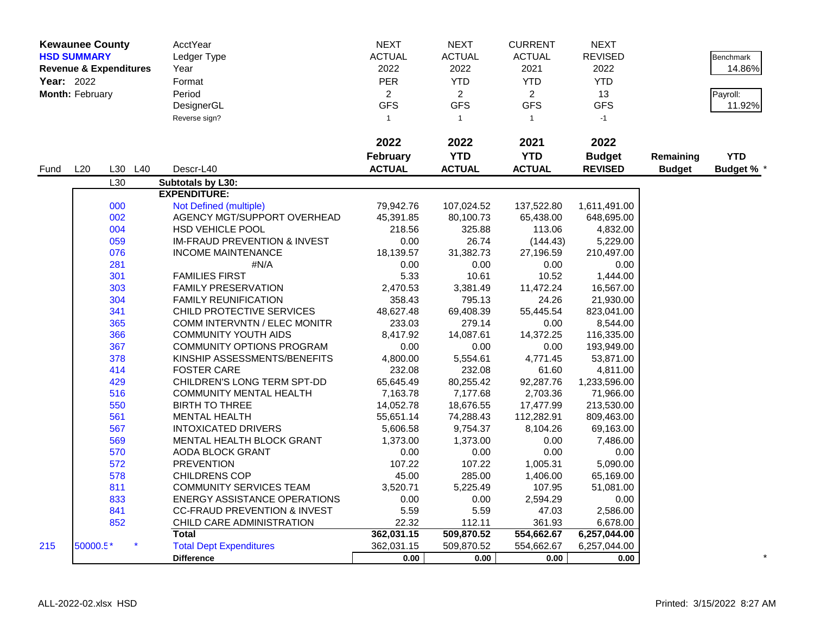|            | <b>Kewaunee County</b> |                                   | AcctYear                                | <b>NEXT</b>    | <b>NEXT</b>    | <b>CURRENT</b> | <b>NEXT</b>    |               |                  |
|------------|------------------------|-----------------------------------|-----------------------------------------|----------------|----------------|----------------|----------------|---------------|------------------|
|            | <b>HSD SUMMARY</b>     |                                   | Ledger Type                             | <b>ACTUAL</b>  | <b>ACTUAL</b>  | <b>ACTUAL</b>  | <b>REVISED</b> |               | <b>Benchmark</b> |
|            |                        | <b>Revenue &amp; Expenditures</b> | Year                                    | 2022           | 2022           | 2021           | 2022           |               | 14.86%           |
| Year: 2022 |                        |                                   | Format                                  | <b>PER</b>     | <b>YTD</b>     | <b>YTD</b>     | <b>YTD</b>     |               |                  |
|            | Month: February        |                                   | Period                                  | $\overline{2}$ | $\overline{a}$ | $\overline{2}$ | 13             |               | Payroll:         |
|            |                        |                                   | DesignerGL                              | <b>GFS</b>     | <b>GFS</b>     | <b>GFS</b>     | <b>GFS</b>     |               | 11.92%           |
|            |                        |                                   | Reverse sign?                           | $\overline{1}$ | $\mathbf{1}$   | $\overline{1}$ | $-1$           |               |                  |
|            |                        |                                   |                                         |                |                |                |                |               |                  |
|            |                        |                                   |                                         | 2022           | 2022           | 2021           | 2022           |               |                  |
|            |                        |                                   |                                         | February       | <b>YTD</b>     | <b>YTD</b>     | <b>Budget</b>  | Remaining     | <b>YTD</b>       |
| Fund       | L20                    | L30 L40                           | Descr-L40                               | <b>ACTUAL</b>  | <b>ACTUAL</b>  | <b>ACTUAL</b>  | <b>REVISED</b> | <b>Budget</b> | <b>Budget %</b>  |
|            |                        | L30                               | Subtotals by L30:                       |                |                |                |                |               |                  |
|            |                        |                                   | <b>EXPENDITURE:</b>                     |                |                |                |                |               |                  |
|            |                        | 000                               | Not Defined (multiple)                  | 79,942.76      | 107,024.52     | 137,522.80     | 1,611,491.00   |               |                  |
|            |                        | 002                               | AGENCY MGT/SUPPORT OVERHEAD             | 45,391.85      | 80,100.73      | 65,438.00      | 648,695.00     |               |                  |
|            |                        | 004                               | <b>HSD VEHICLE POOL</b>                 | 218.56         | 325.88         | 113.06         | 4,832.00       |               |                  |
|            |                        | 059                               | <b>IM-FRAUD PREVENTION &amp; INVEST</b> | 0.00           | 26.74          | (144.43)       | 5,229.00       |               |                  |
|            |                        | 076                               | <b>INCOME MAINTENANCE</b>               | 18,139.57      | 31,382.73      | 27,196.59      | 210,497.00     |               |                  |
|            |                        | 281                               | #N/A                                    | 0.00           | 0.00           | 0.00           | 0.00           |               |                  |
|            |                        | 301                               | <b>FAMILIES FIRST</b>                   | 5.33           | 10.61          | 10.52          | 1,444.00       |               |                  |
|            |                        | 303                               | <b>FAMILY PRESERVATION</b>              | 2,470.53       | 3,381.49       | 11,472.24      | 16,567.00      |               |                  |
|            |                        | 304                               | <b>FAMILY REUNIFICATION</b>             | 358.43         | 795.13         | 24.26          | 21,930.00      |               |                  |
|            |                        | 341                               | CHILD PROTECTIVE SERVICES               | 48,627.48      | 69,408.39      | 55,445.54      | 823,041.00     |               |                  |
|            |                        | 365                               | <b>COMM INTERVNTN / ELEC MONITR</b>     | 233.03         | 279.14         | 0.00           | 8,544.00       |               |                  |
|            |                        | 366                               | <b>COMMUNITY YOUTH AIDS</b>             | 8,417.92       | 14,087.61      | 14,372.25      | 116,335.00     |               |                  |
|            |                        | 367                               | <b>COMMUNITY OPTIONS PROGRAM</b>        | 0.00           | 0.00           | 0.00           | 193,949.00     |               |                  |
|            |                        | 378                               | KINSHIP ASSESSMENTS/BENEFITS            | 4,800.00       | 5,554.61       | 4,771.45       | 53,871.00      |               |                  |
|            |                        | 414                               | <b>FOSTER CARE</b>                      | 232.08         | 232.08         | 61.60          | 4,811.00       |               |                  |
|            |                        | 429                               | CHILDREN'S LONG TERM SPT-DD             | 65,645.49      | 80,255.42      | 92,287.76      | 1,233,596.00   |               |                  |
|            |                        | 516                               | <b>COMMUNITY MENTAL HEALTH</b>          | 7,163.78       | 7,177.68       | 2,703.36       | 71,966.00      |               |                  |
|            |                        | 550                               | <b>BIRTH TO THREE</b>                   | 14,052.78      | 18,676.55      | 17,477.99      | 213,530.00     |               |                  |
|            |                        | 561                               | <b>MENTAL HEALTH</b>                    | 55,651.14      | 74,288.43      | 112,282.91     | 809,463.00     |               |                  |
|            |                        | 567                               | <b>INTOXICATED DRIVERS</b>              | 5,606.58       | 9,754.37       | 8,104.26       | 69,163.00      |               |                  |
|            |                        | 569                               | <b>MENTAL HEALTH BLOCK GRANT</b>        | 1,373.00       | 1,373.00       | 0.00           | 7,486.00       |               |                  |
|            |                        | 570                               | AODA BLOCK GRANT                        | 0.00           | 0.00           | 0.00           | 0.00           |               |                  |
|            |                        | 572                               | <b>PREVENTION</b>                       | 107.22         | 107.22         | 1,005.31       | 5,090.00       |               |                  |
|            |                        | 578                               | <b>CHILDRENS COP</b>                    | 45.00          | 285.00         | 1,406.00       | 65,169.00      |               |                  |
|            |                        | 811                               | <b>COMMUNITY SERVICES TEAM</b>          | 3,520.71       | 5,225.49       | 107.95         | 51,081.00      |               |                  |
|            |                        | 833                               | <b>ENERGY ASSISTANCE OPERATIONS</b>     | 0.00           | 0.00           | 2,594.29       | 0.00           |               |                  |
|            |                        | 841                               | <b>CC-FRAUD PREVENTION &amp; INVEST</b> | 5.59           | 5.59           | 47.03          | 2,586.00       |               |                  |
|            |                        | 852                               | CHILD CARE ADMINISTRATION               | 22.32          | 112.11         | 361.93         | 6,678.00       |               |                  |
|            |                        |                                   | <b>Total</b>                            | 362,031.15     | 509,870.52     | 554,662.67     | 6,257,044.00   |               |                  |
| 215        | 50000.5*               |                                   | <b>Total Dept Expenditures</b>          | 362,031.15     | 509,870.52     | 554,662.67     | 6,257,044.00   |               |                  |
|            |                        |                                   | <b>Difference</b>                       | 0.00           | 0.00           | 0.00           | 0.00           |               |                  |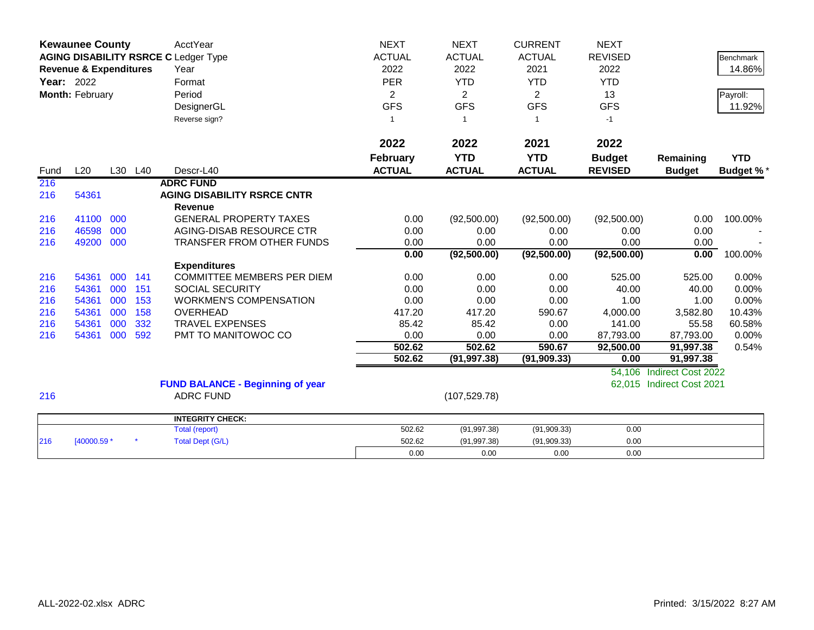|                   | <b>Kewaunee County</b>            |     |         | <b>AcctYear</b>                             | <b>NEXT</b>     | <b>NEXT</b>    | <b>CURRENT</b> | <b>NEXT</b>            |                           |                  |
|-------------------|-----------------------------------|-----|---------|---------------------------------------------|-----------------|----------------|----------------|------------------------|---------------------------|------------------|
|                   |                                   |     |         | <b>AGING DISABILITY RSRCE C Ledger Type</b> | <b>ACTUAL</b>   | <b>ACTUAL</b>  | <b>ACTUAL</b>  | <b>REVISED</b>         |                           | <b>Benchmark</b> |
|                   | <b>Revenue &amp; Expenditures</b> |     |         | Year                                        | 2022            | 2022           | 2021           | 2022                   |                           | 14.86%           |
| <b>Year: 2022</b> |                                   |     |         | Format                                      | <b>PER</b>      | <b>YTD</b>     | <b>YTD</b>     | <b>YTD</b>             |                           |                  |
|                   | Month: February                   |     |         | Period                                      | $\overline{2}$  | $\overline{2}$ | $\overline{2}$ | 13                     |                           | Payroll:         |
|                   |                                   |     |         | DesignerGL                                  | <b>GFS</b>      | <b>GFS</b>     | <b>GFS</b>     | <b>GFS</b>             |                           | 11.92%           |
|                   |                                   |     |         | Reverse sign?                               | -1              | -1             | 1              | $-1$                   |                           |                  |
|                   |                                   |     |         |                                             |                 |                |                |                        |                           |                  |
|                   |                                   |     |         |                                             | 2022            | 2022           | 2021           | 2022                   |                           |                  |
|                   |                                   |     |         |                                             | <b>February</b> | <b>YTD</b>     | <b>YTD</b>     | <b>Budget</b>          | Remaining                 | <b>YTD</b>       |
| Fund              | L20                               |     | L30 L40 | Descr-L40                                   | <b>ACTUAL</b>   | <b>ACTUAL</b>  | <b>ACTUAL</b>  | <b>REVISED</b>         | <b>Budget</b>             | Budget %*        |
| 216               |                                   |     |         | <b>ADRC FUND</b>                            |                 |                |                |                        |                           |                  |
| 216               | 54361                             |     |         | <b>AGING DISABILITY RSRCE CNTR</b>          |                 |                |                |                        |                           |                  |
|                   |                                   |     |         | <b>Revenue</b>                              |                 |                |                |                        |                           |                  |
| 216               | 41100                             | 000 |         | <b>GENERAL PROPERTY TAXES</b>               | 0.00            | (92,500.00)    | (92,500.00)    | (92,500.00)            | 0.00                      | 100.00%          |
| 216               | 46598                             | 000 |         | AGING-DISAB RESOURCE CTR                    | 0.00            | 0.00           | 0.00           | 0.00                   | 0.00                      |                  |
| 216               | 49200                             | 000 |         | <b>TRANSFER FROM OTHER FUNDS</b>            | 0.00            | 0.00           | 0.00           | 0.00                   | 0.00                      |                  |
|                   |                                   |     |         |                                             | 0.00            | (92,500.00)    | (92, 500.00)   | (92, 500.00)           | 0.00                      | 100.00%          |
|                   |                                   |     |         | <b>Expenditures</b>                         |                 |                |                |                        |                           |                  |
| 216               | 54361                             | 000 | 141     | COMMITTEE MEMBERS PER DIEM                  | 0.00            | 0.00           | 0.00           | 525.00                 | 525.00                    | 0.00%            |
| 216               | 54361                             | 000 | 151     | <b>SOCIAL SECURITY</b>                      | 0.00            | 0.00           | 0.00           | 40.00                  | 40.00                     | 0.00%            |
| 216               | 54361                             | 000 | 153     | <b>WORKMEN'S COMPENSATION</b>               | 0.00            | 0.00           | 0.00           | 1.00                   | 1.00                      | 0.00%            |
| 216               | 54361                             | 000 | 158     | <b>OVERHEAD</b>                             | 417.20          | 417.20         | 590.67         | 4,000.00               | 3,582.80                  | 10.43%           |
| 216               | 54361                             | 000 | 332     | <b>TRAVEL EXPENSES</b>                      | 85.42           | 85.42          | 0.00           | 141.00                 | 55.58                     | 60.58%           |
| 216               | 54361                             | 000 | 592     | PMT TO MANITOWOC CO                         | 0.00<br>502.62  | 0.00<br>502.62 | 0.00<br>590.67 | 87,793.00<br>92,500.00 | 87,793.00<br>91,997.38    | 0.00%<br>0.54%   |
|                   |                                   |     |         |                                             | 502.62          | (91, 997.38)   | (91, 909.33)   | 0.00                   | 91,997.38                 |                  |
|                   |                                   |     |         |                                             |                 |                |                | 54,106                 | Indirect Cost 2022        |                  |
|                   |                                   |     |         | <b>FUND BALANCE - Beginning of year</b>     |                 |                |                |                        | 62,015 Indirect Cost 2021 |                  |
| 216               |                                   |     |         | <b>ADRC FUND</b>                            |                 | (107, 529.78)  |                |                        |                           |                  |
|                   |                                   |     |         |                                             |                 |                |                |                        |                           |                  |
|                   |                                   |     |         | <b>INTEGRITY CHECK:</b>                     |                 |                |                |                        |                           |                  |
|                   |                                   |     |         | <b>Total (report)</b>                       | 502.62          | (91, 997.38)   | (91,909.33)    | 0.00                   |                           |                  |
| 216               | [40000.59 *                       |     |         | <b>Total Dept (G/L)</b>                     | 502.62          | (91, 997.38)   | (91,909.33)    | 0.00                   |                           |                  |
|                   |                                   |     |         |                                             | 0.00            | 0.00           | 0.00           | 0.00                   |                           |                  |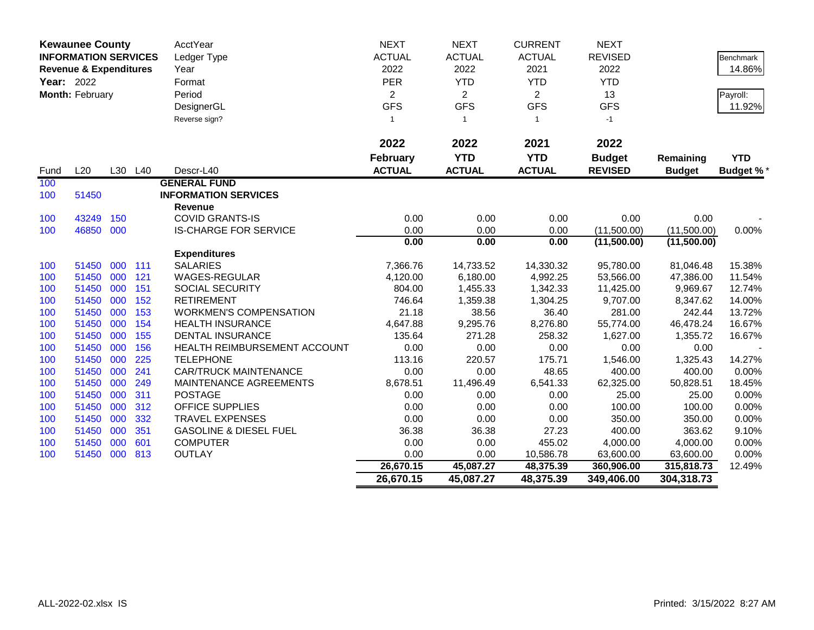|            | <b>Kewaunee County</b>            |     |         | AcctYear                          | <b>NEXT</b>     | <b>NEXT</b>    | <b>CURRENT</b> | <b>NEXT</b>    |               |                  |
|------------|-----------------------------------|-----|---------|-----------------------------------|-----------------|----------------|----------------|----------------|---------------|------------------|
|            | <b>INFORMATION SERVICES</b>       |     |         | Ledger Type                       | <b>ACTUAL</b>   | <b>ACTUAL</b>  | <b>ACTUAL</b>  | <b>REVISED</b> |               | <b>Benchmark</b> |
|            | <b>Revenue &amp; Expenditures</b> |     |         | Year                              | 2022            | 2022           | 2021           | 2022           |               | 14.86%           |
| Year: 2022 |                                   |     |         | Format                            | PER             | <b>YTD</b>     | <b>YTD</b>     | <b>YTD</b>     |               |                  |
|            | Month: February                   |     |         | Period                            | $\overline{2}$  | $\overline{2}$ | $\overline{2}$ | 13             |               | Payroll:         |
|            |                                   |     |         | DesignerGL                        | <b>GFS</b>      | <b>GFS</b>     | <b>GFS</b>     | <b>GFS</b>     |               | 11.92%           |
|            |                                   |     |         | Reverse sign?                     | $\mathbf{1}$    | $\overline{1}$ | $\mathbf{1}$   | $-1$           |               |                  |
|            |                                   |     |         |                                   |                 |                |                |                |               |                  |
|            |                                   |     |         |                                   | 2022            | 2022           | 2021           | 2022           |               |                  |
|            |                                   |     |         |                                   | <b>February</b> | <b>YTD</b>     | <b>YTD</b>     | <b>Budget</b>  | Remaining     | <b>YTD</b>       |
| Fund       | L20                               |     | L30 L40 | Descr-L40                         | <b>ACTUAL</b>   | <b>ACTUAL</b>  | <b>ACTUAL</b>  | <b>REVISED</b> | <b>Budget</b> | <b>Budget %*</b> |
| 100        |                                   |     |         | <b>GENERAL FUND</b>               |                 |                |                |                |               |                  |
| 100        | 51450                             |     |         | <b>INFORMATION SERVICES</b>       |                 |                |                |                |               |                  |
|            |                                   |     |         | <b>Revenue</b>                    |                 |                |                |                |               |                  |
| 100        | 43249                             | 150 |         | <b>COVID GRANTS-IS</b>            | 0.00            | 0.00           | 0.00           | 0.00           | 0.00          |                  |
| 100        | 46850                             | 000 |         | <b>IS-CHARGE FOR SERVICE</b>      | 0.00            | 0.00           | 0.00           | (11,500.00)    | (11,500.00)   | 0.00%            |
|            |                                   |     |         |                                   | 0.00            | 0.00           | 0.00           | (11,500.00)    | (11,500.00)   |                  |
|            |                                   |     |         | <b>Expenditures</b>               |                 |                |                |                |               |                  |
| 100        | 51450                             | 000 | 111     | <b>SALARIES</b>                   | 7,366.76        | 14,733.52      | 14,330.32      | 95,780.00      | 81,046.48     | 15.38%           |
| 100        | 51450                             | 000 | 121     | <b>WAGES-REGULAR</b>              | 4,120.00        | 6,180.00       | 4,992.25       | 53,566.00      | 47,386.00     | 11.54%           |
| 100        | 51450                             | 000 | 151     | <b>SOCIAL SECURITY</b>            | 804.00          | 1,455.33       | 1,342.33       | 11,425.00      | 9,969.67      | 12.74%           |
| 100        | 51450                             | 000 | 152     | <b>RETIREMENT</b>                 | 746.64          | 1,359.38       | 1,304.25       | 9,707.00       | 8,347.62      | 14.00%           |
| 100        | 51450                             | 000 | 153     | <b>WORKMEN'S COMPENSATION</b>     | 21.18           | 38.56          | 36.40          | 281.00         | 242.44        | 13.72%           |
| 100        | 51450                             | 000 | 154     | <b>HEALTH INSURANCE</b>           | 4,647.88        | 9,295.76       | 8,276.80       | 55,774.00      | 46,478.24     | 16.67%           |
| 100        | 51450                             | 000 | 155     | <b>DENTAL INSURANCE</b>           | 135.64          | 271.28         | 258.32         | 1,627.00       | 1,355.72      | 16.67%           |
| 100        | 51450                             | 000 | 156     | HEALTH REIMBURSEMENT ACCOUNT      | 0.00            | 0.00           | 0.00           | 0.00           | 0.00          |                  |
| 100        | 51450                             | 000 | 225     | <b>TELEPHONE</b>                  | 113.16          | 220.57         | 175.71         | 1,546.00       | 1,325.43      | 14.27%           |
| 100        | 51450                             | 000 | 241     | <b>CAR/TRUCK MAINTENANCE</b>      | 0.00            | 0.00           | 48.65          | 400.00         | 400.00        | 0.00%            |
| 100        | 51450                             | 000 | 249     | MAINTENANCE AGREEMENTS            | 8,678.51        | 11,496.49      | 6,541.33       | 62,325.00      | 50,828.51     | 18.45%           |
| 100        | 51450                             | 000 | 311     | <b>POSTAGE</b>                    | 0.00            | 0.00           | 0.00           | 25.00          | 25.00         | 0.00%            |
| 100        | 51450                             | 000 | 312     | <b>OFFICE SUPPLIES</b>            | 0.00            | 0.00           | 0.00           | 100.00         | 100.00        | 0.00%            |
| 100        | 51450                             | 000 | 332     | <b>TRAVEL EXPENSES</b>            | 0.00            | 0.00           | 0.00           | 350.00         | 350.00        | 0.00%            |
| 100        | 51450                             | 000 | 351     | <b>GASOLINE &amp; DIESEL FUEL</b> | 36.38           | 36.38          | 27.23          | 400.00         | 363.62        | 9.10%            |
| 100        | 51450                             | 000 | 601     | <b>COMPUTER</b>                   | 0.00            | 0.00           | 455.02         | 4,000.00       | 4,000.00      | 0.00%            |
| 100        | 51450 000                         |     | 813     | <b>OUTLAY</b>                     | 0.00            | 0.00           | 10,586.78      | 63,600.00      | 63,600.00     | 0.00%            |
|            |                                   |     |         |                                   | 26,670.15       | 45,087.27      | 48,375.39      | 360,906.00     | 315,818.73    | 12.49%           |
|            |                                   |     |         |                                   | 26,670.15       | 45,087.27      | 48,375.39      | 349,406.00     | 304,318.73    |                  |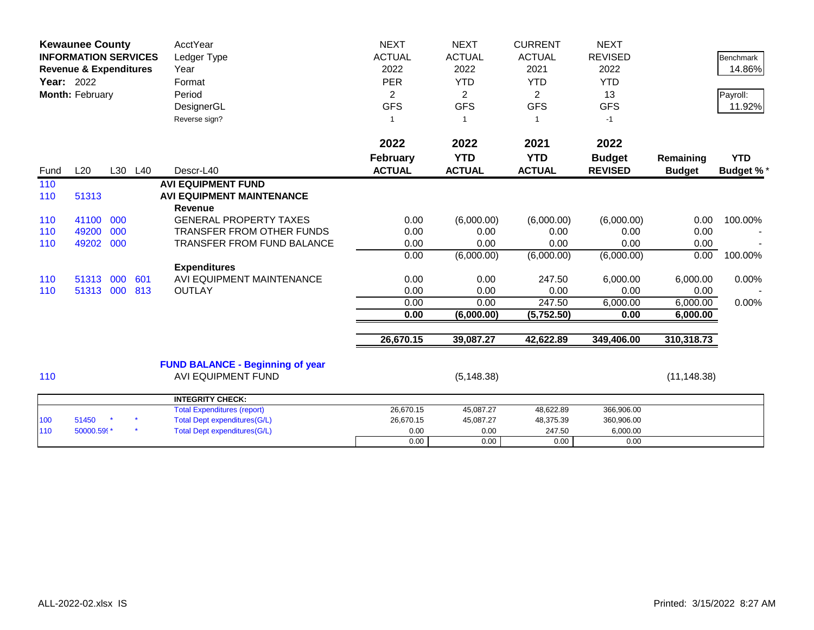|      | <b>Kewaunee County</b><br><b>INFORMATION SERVICES</b><br><b>Revenue &amp; Expenditures</b><br>Year: 2022<br>Month: February |     |         | <b>AcctYear</b><br>Ledger Type<br>Year<br>Format<br>Period<br>DesignerGL<br>Reverse sign? | <b>NEXT</b><br><b>ACTUAL</b><br>2022<br><b>PER</b><br>2<br><b>GFS</b><br>-1 | <b>NEXT</b><br><b>ACTUAL</b><br>2022<br><b>YTD</b><br>2<br><b>GFS</b> | <b>CURRENT</b><br><b>ACTUAL</b><br>2021<br><b>YTD</b><br>$\overline{2}$<br><b>GFS</b><br>1 | <b>NEXT</b><br><b>REVISED</b><br>2022<br><b>YTD</b><br>13<br><b>GFS</b><br>$-1$ |                            | <b>Benchmark</b><br>14.86%<br>Payroll:<br>11.92% |
|------|-----------------------------------------------------------------------------------------------------------------------------|-----|---------|-------------------------------------------------------------------------------------------|-----------------------------------------------------------------------------|-----------------------------------------------------------------------|--------------------------------------------------------------------------------------------|---------------------------------------------------------------------------------|----------------------------|--------------------------------------------------|
| Fund | L20                                                                                                                         |     | L30 L40 | Descr-L40                                                                                 | 2022<br><b>February</b><br><b>ACTUAL</b>                                    | 2022<br><b>YTD</b><br><b>ACTUAL</b>                                   | 2021<br><b>YTD</b><br><b>ACTUAL</b>                                                        | 2022<br><b>Budget</b><br><b>REVISED</b>                                         | Remaining<br><b>Budget</b> | <b>YTD</b><br><b>Budget %*</b>                   |
| 110  |                                                                                                                             |     |         | <b>AVI EQUIPMENT FUND</b>                                                                 |                                                                             |                                                                       |                                                                                            |                                                                                 |                            |                                                  |
| 110  | 51313                                                                                                                       |     |         | <b>AVI EQUIPMENT MAINTENANCE</b><br><b>Revenue</b>                                        |                                                                             |                                                                       |                                                                                            |                                                                                 |                            |                                                  |
| 110  | 41100                                                                                                                       | 000 |         | <b>GENERAL PROPERTY TAXES</b>                                                             | 0.00                                                                        | (6,000.00)                                                            | (6,000.00)                                                                                 | (6,000.00)                                                                      | 0.00                       | 100.00%                                          |
| 110  | 49200                                                                                                                       | 000 |         | <b>TRANSFER FROM OTHER FUNDS</b>                                                          | 0.00                                                                        | 0.00                                                                  | 0.00                                                                                       | 0.00                                                                            | 0.00                       |                                                  |
| 110  | 49202                                                                                                                       | 000 |         | <b>TRANSFER FROM FUND BALANCE</b>                                                         | 0.00                                                                        | 0.00                                                                  | 0.00                                                                                       | 0.00                                                                            | 0.00                       |                                                  |
|      |                                                                                                                             |     |         |                                                                                           | 0.00                                                                        | (6,000.00)                                                            | (6,000.00)                                                                                 | (6,000.00)                                                                      | 0.00                       | 100.00%                                          |
|      |                                                                                                                             |     |         | <b>Expenditures</b>                                                                       |                                                                             |                                                                       |                                                                                            |                                                                                 |                            |                                                  |
| 110  | 51313                                                                                                                       | 000 | 601     | AVI EQUIPMENT MAINTENANCE                                                                 | 0.00                                                                        | 0.00                                                                  | 247.50                                                                                     | 6,000.00                                                                        | 6,000.00                   | 0.00%                                            |
| 110  | 51313 000                                                                                                                   |     | 813     | <b>OUTLAY</b>                                                                             | 0.00                                                                        | 0.00                                                                  | 0.00                                                                                       | 0.00                                                                            | 0.00                       |                                                  |
|      |                                                                                                                             |     |         |                                                                                           | 0.00                                                                        | 0.00                                                                  | 247.50                                                                                     | 6,000.00                                                                        | 6,000.00                   | 0.00%                                            |
|      |                                                                                                                             |     |         |                                                                                           | 0.00                                                                        | (6,000.00)                                                            | (5,752.50)                                                                                 | 0.00                                                                            | 6,000.00                   |                                                  |
|      |                                                                                                                             |     |         |                                                                                           | 26,670.15                                                                   | 39,087.27                                                             | 42,622.89                                                                                  | 349,406.00                                                                      | 310,318.73                 |                                                  |
| 110  |                                                                                                                             |     |         | <b>FUND BALANCE - Beginning of year</b><br><b>AVI EQUIPMENT FUND</b>                      |                                                                             | (5, 148.38)                                                           |                                                                                            |                                                                                 | (11, 148.38)               |                                                  |
|      |                                                                                                                             |     |         | <b>INTEGRITY CHECK:</b>                                                                   |                                                                             |                                                                       |                                                                                            |                                                                                 |                            |                                                  |
|      |                                                                                                                             |     |         | <b>Total Expenditures (report)</b>                                                        | 26,670.15                                                                   | 45,087.27                                                             | 48,622.89                                                                                  | 366,906.00                                                                      |                            |                                                  |
| 100  | 51450                                                                                                                       |     |         | <b>Total Dept expenditures(G/L)</b>                                                       | 26,670.15                                                                   | 45,087.27                                                             | 48,375.39                                                                                  | 360,906.00                                                                      |                            |                                                  |
| 110  | 50000.599*                                                                                                                  |     |         | <b>Total Dept expenditures(G/L)</b>                                                       | 0.00                                                                        | 0.00                                                                  | 247.50                                                                                     | 6,000.00                                                                        |                            |                                                  |
|      |                                                                                                                             |     |         |                                                                                           | 0.00                                                                        | 0.00                                                                  | 0.00                                                                                       | 0.00                                                                            |                            |                                                  |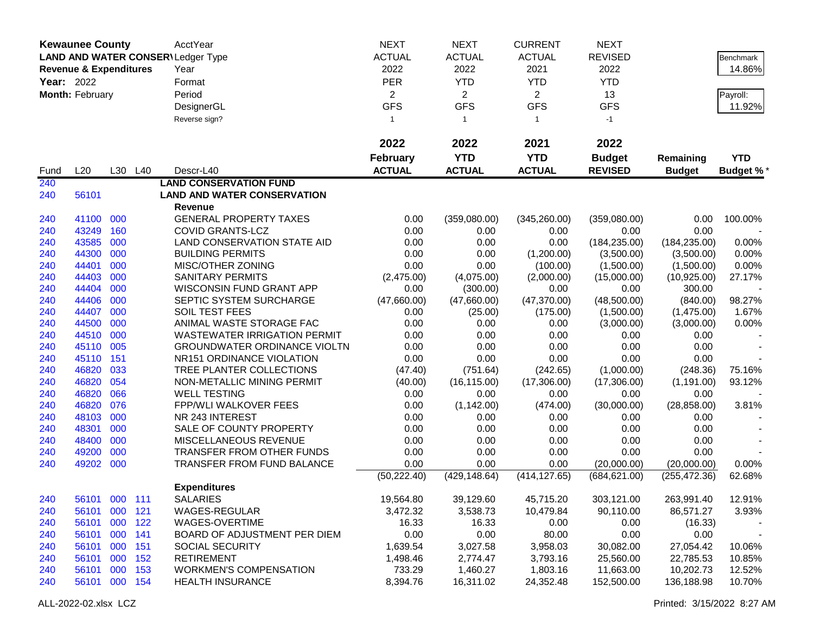| <b>ACTUAL</b><br><b>ACTUAL</b><br><b>LAND AND WATER CONSER\Ledger Type</b><br><b>ACTUAL</b><br><b>REVISED</b><br><b>Benchmark</b><br>2022<br>2022<br>2021<br>2022<br>14.86%<br><b>Revenue &amp; Expenditures</b><br>Year<br><b>PER</b><br><b>Year: 2022</b><br><b>YTD</b><br><b>YTD</b><br><b>YTD</b><br>Format<br>$\overline{2}$<br>$\overline{2}$<br>Month: February<br>Period<br>$\overline{2}$<br>13<br>Payroll:<br><b>GFS</b><br><b>GFS</b><br><b>GFS</b><br><b>GFS</b><br>11.92%<br>DesignerGL<br>Reverse sign?<br>$-1$<br>$\mathbf{1}$<br>$\mathbf{1}$<br>$\mathbf{1}$<br>2022<br>2022<br>2021<br>2022<br><b>YTD</b><br><b>YTD</b><br><b>Budget</b><br><b>February</b><br><b>YTD</b><br>Remaining<br>L20<br><b>ACTUAL</b><br><b>ACTUAL</b><br><b>ACTUAL</b><br><b>REVISED</b><br>L30 L40<br>Descr-L40<br><b>Budget</b><br><b>Budget %*</b><br>Fund<br>240<br><b>LAND CONSERVATION FUND</b><br><b>LAND AND WATER CONSERVATION</b><br>240<br>56101<br>Revenue<br>41100 000<br><b>GENERAL PROPERTY TAXES</b><br>0.00<br>(359,080.00)<br>(345, 260.00)<br>(359,080.00)<br>0.00<br>100.00%<br>240<br>160<br>0.00<br>43249<br><b>COVID GRANTS-LCZ</b><br>0.00<br>0.00<br>0.00<br>0.00<br>240<br>43585<br>000<br>LAND CONSERVATION STATE AID<br>0.00<br>0.00<br>0.00<br>(184, 235.00)<br>(184, 235.00)<br>0.00%<br>240<br>44300<br>000<br><b>BUILDING PERMITS</b><br>0.00<br>0.00<br>(1,200.00)<br>(3,500.00)<br>0.00%<br>240<br>(3,500.00)<br>44401<br>000<br>MISC/OTHER ZONING<br>0.00<br>0.00<br>240<br>(100.00)<br>(1,500.00)<br>(1,500.00)<br>0.00%<br>44403<br>000<br><b>SANITARY PERMITS</b><br>240<br>(2,475.00)<br>(4,075.00)<br>(2,000.00)<br>(15,000.00)<br>(10, 925.00)<br>27.17%<br>44404<br>000<br>WISCONSIN FUND GRANT APP<br>240<br>0.00<br>(300.00)<br>0.00<br>0.00<br>300.00<br>44406<br>(47,660.00)<br>(47, 370.00)<br>98.27%<br>240<br>000<br>SEPTIC SYSTEM SURCHARGE<br>(47,660.00)<br>(48,500.00)<br>(840.00)<br>44407<br>000<br>SOIL TEST FEES<br>240<br>0.00<br>(25.00)<br>(175.00)<br>(1,500.00)<br>(1,475.00)<br>1.67%<br>ANIMAL WASTE STORAGE FAC<br>240<br>44500<br>000<br>0.00<br>0.00<br>0.00<br>(3,000.00)<br>0.00%<br>(3,000.00)<br>44510<br>000<br><b>WASTEWATER IRRIGATION PERMIT</b><br>0.00<br>0.00<br>0.00<br>0.00<br>0.00<br>240<br>45110<br>005<br><b>GROUNDWATER ORDINANCE VIOLTN</b><br>0.00<br>0.00<br>0.00<br>0.00<br>0.00<br>240<br>45110<br>151<br>0.00<br>0.00<br>0.00<br>0.00<br>0.00<br>240<br>NR151 ORDINANCE VIOLATION<br>46820<br>033<br>240<br>TREE PLANTER COLLECTIONS<br>(47.40)<br>(751.64)<br>(242.65)<br>(1,000.00)<br>(248.36)<br>75.16%<br>46820<br>054<br>(16, 115.00)<br>(17,306.00)<br>(17,306.00)<br>240<br>NON-METALLIC MINING PERMIT<br>(40.00)<br>(1, 191.00)<br>93.12%<br>46820<br>066<br><b>WELL TESTING</b><br>240<br>0.00<br>0.00<br>0.00<br>0.00<br>0.00<br>46820<br>076<br>(1, 142.00)<br>(474.00)<br>(30,000.00)<br>(28, 858.00)<br>240<br><b>FPP/WLI WALKOVER FEES</b><br>0.00<br>3.81%<br>48103<br>000<br>NR 243 INTEREST<br>240<br>0.00<br>0.00<br>0.00<br>0.00<br>0.00<br>48301<br>000<br>0.00<br>240<br>SALE OF COUNTY PROPERTY<br>0.00<br>0.00<br>0.00<br>0.00<br>000<br>0.00<br>48400<br>MISCELLANEOUS REVENUE<br>0.00<br>0.00<br>0.00<br>0.00<br>240<br>49200<br>000<br>TRANSFER FROM OTHER FUNDS<br>0.00<br>0.00<br>0.00<br>0.00<br>0.00<br>240<br>49202 000<br>0.00<br>0.00<br>0.00<br>0.00%<br>TRANSFER FROM FUND BALANCE<br>(20,000.00)<br>(20,000.00)<br>240<br>(50, 222.40)<br>(429, 148.64)<br>(414, 127.65)<br>(684, 621.00)<br>(255, 472.36)<br>62.68%<br><b>Expenditures</b><br><b>SALARIES</b><br>240<br>12.91%<br>56101 000 111<br>19,564.80<br>39,129.60<br>45,715.20<br>303,121.00<br>263,991.40<br>56101 000 121<br>WAGES-REGULAR<br>10,479.84<br>90,110.00<br>3,472.32<br>3,538.73<br>86,571.27<br>3.93%<br>240<br>000<br>16.33<br>56101<br>122<br>WAGES-OVERTIME<br>16.33<br>0.00<br>0.00<br>(16.33)<br>240<br>0.00<br>0.00<br>0.00<br>56101<br>000<br>BOARD OF ADJUSTMENT PER DIEM<br>80.00<br>240<br>141<br>0.00<br>56101<br>000<br><b>SOCIAL SECURITY</b><br>1,639.54<br>3,027.58<br>3,958.03<br>27,054.42<br>240<br>151<br>30,082.00<br>10.06%<br>56101 000 152<br><b>RETIREMENT</b><br>1,498.46<br>3,793.16<br>25,560.00<br>240<br>2,774.47<br>22,785.53<br>10.85%<br>56101 000 153<br><b>WORKMEN'S COMPENSATION</b><br>733.29<br>11,663.00<br>1,460.27<br>1,803.16<br>10,202.73<br>12.52%<br>240<br>56101 000 154<br>8,394.76<br><b>HEALTH INSURANCE</b><br>16,311.02<br>24,352.48<br>152,500.00<br>136,188.98<br>10.70%<br>240 | <b>Kewaunee County</b> |  | AcctYear | <b>NEXT</b> | <b>NEXT</b> | <b>CURRENT</b> | <b>NEXT</b> |  |
|-----------------------------------------------------------------------------------------------------------------------------------------------------------------------------------------------------------------------------------------------------------------------------------------------------------------------------------------------------------------------------------------------------------------------------------------------------------------------------------------------------------------------------------------------------------------------------------------------------------------------------------------------------------------------------------------------------------------------------------------------------------------------------------------------------------------------------------------------------------------------------------------------------------------------------------------------------------------------------------------------------------------------------------------------------------------------------------------------------------------------------------------------------------------------------------------------------------------------------------------------------------------------------------------------------------------------------------------------------------------------------------------------------------------------------------------------------------------------------------------------------------------------------------------------------------------------------------------------------------------------------------------------------------------------------------------------------------------------------------------------------------------------------------------------------------------------------------------------------------------------------------------------------------------------------------------------------------------------------------------------------------------------------------------------------------------------------------------------------------------------------------------------------------------------------------------------------------------------------------------------------------------------------------------------------------------------------------------------------------------------------------------------------------------------------------------------------------------------------------------------------------------------------------------------------------------------------------------------------------------------------------------------------------------------------------------------------------------------------------------------------------------------------------------------------------------------------------------------------------------------------------------------------------------------------------------------------------------------------------------------------------------------------------------------------------------------------------------------------------------------------------------------------------------------------------------------------------------------------------------------------------------------------------------------------------------------------------------------------------------------------------------------------------------------------------------------------------------------------------------------------------------------------------------------------------------------------------------------------------------------------------------------------------------------------------------------------------------------------------------------------------------------------------------------------------------------------------------------------------------------------------------------------------------------------------------------------------------------------------------------------------------------------------------------------------------------------------------------------------------------------------------------------------------------------------------------------------------------------------------------------------------------------------------------------------------------------------------------------------------------------------------------------------------------------------------------------------------------------------------------------------------------------------------|------------------------|--|----------|-------------|-------------|----------------|-------------|--|
|                                                                                                                                                                                                                                                                                                                                                                                                                                                                                                                                                                                                                                                                                                                                                                                                                                                                                                                                                                                                                                                                                                                                                                                                                                                                                                                                                                                                                                                                                                                                                                                                                                                                                                                                                                                                                                                                                                                                                                                                                                                                                                                                                                                                                                                                                                                                                                                                                                                                                                                                                                                                                                                                                                                                                                                                                                                                                                                                                                                                                                                                                                                                                                                                                                                                                                                                                                                                                                                                                                                                                                                                                                                                                                                                                                                                                                                                                                                                                                                                                                                                                                                                                                                                                                                                                                                                                                                                                                                                                                                                         |                        |  |          |             |             |                |             |  |
|                                                                                                                                                                                                                                                                                                                                                                                                                                                                                                                                                                                                                                                                                                                                                                                                                                                                                                                                                                                                                                                                                                                                                                                                                                                                                                                                                                                                                                                                                                                                                                                                                                                                                                                                                                                                                                                                                                                                                                                                                                                                                                                                                                                                                                                                                                                                                                                                                                                                                                                                                                                                                                                                                                                                                                                                                                                                                                                                                                                                                                                                                                                                                                                                                                                                                                                                                                                                                                                                                                                                                                                                                                                                                                                                                                                                                                                                                                                                                                                                                                                                                                                                                                                                                                                                                                                                                                                                                                                                                                                                         |                        |  |          |             |             |                |             |  |
|                                                                                                                                                                                                                                                                                                                                                                                                                                                                                                                                                                                                                                                                                                                                                                                                                                                                                                                                                                                                                                                                                                                                                                                                                                                                                                                                                                                                                                                                                                                                                                                                                                                                                                                                                                                                                                                                                                                                                                                                                                                                                                                                                                                                                                                                                                                                                                                                                                                                                                                                                                                                                                                                                                                                                                                                                                                                                                                                                                                                                                                                                                                                                                                                                                                                                                                                                                                                                                                                                                                                                                                                                                                                                                                                                                                                                                                                                                                                                                                                                                                                                                                                                                                                                                                                                                                                                                                                                                                                                                                                         |                        |  |          |             |             |                |             |  |
|                                                                                                                                                                                                                                                                                                                                                                                                                                                                                                                                                                                                                                                                                                                                                                                                                                                                                                                                                                                                                                                                                                                                                                                                                                                                                                                                                                                                                                                                                                                                                                                                                                                                                                                                                                                                                                                                                                                                                                                                                                                                                                                                                                                                                                                                                                                                                                                                                                                                                                                                                                                                                                                                                                                                                                                                                                                                                                                                                                                                                                                                                                                                                                                                                                                                                                                                                                                                                                                                                                                                                                                                                                                                                                                                                                                                                                                                                                                                                                                                                                                                                                                                                                                                                                                                                                                                                                                                                                                                                                                                         |                        |  |          |             |             |                |             |  |
|                                                                                                                                                                                                                                                                                                                                                                                                                                                                                                                                                                                                                                                                                                                                                                                                                                                                                                                                                                                                                                                                                                                                                                                                                                                                                                                                                                                                                                                                                                                                                                                                                                                                                                                                                                                                                                                                                                                                                                                                                                                                                                                                                                                                                                                                                                                                                                                                                                                                                                                                                                                                                                                                                                                                                                                                                                                                                                                                                                                                                                                                                                                                                                                                                                                                                                                                                                                                                                                                                                                                                                                                                                                                                                                                                                                                                                                                                                                                                                                                                                                                                                                                                                                                                                                                                                                                                                                                                                                                                                                                         |                        |  |          |             |             |                |             |  |
|                                                                                                                                                                                                                                                                                                                                                                                                                                                                                                                                                                                                                                                                                                                                                                                                                                                                                                                                                                                                                                                                                                                                                                                                                                                                                                                                                                                                                                                                                                                                                                                                                                                                                                                                                                                                                                                                                                                                                                                                                                                                                                                                                                                                                                                                                                                                                                                                                                                                                                                                                                                                                                                                                                                                                                                                                                                                                                                                                                                                                                                                                                                                                                                                                                                                                                                                                                                                                                                                                                                                                                                                                                                                                                                                                                                                                                                                                                                                                                                                                                                                                                                                                                                                                                                                                                                                                                                                                                                                                                                                         |                        |  |          |             |             |                |             |  |
|                                                                                                                                                                                                                                                                                                                                                                                                                                                                                                                                                                                                                                                                                                                                                                                                                                                                                                                                                                                                                                                                                                                                                                                                                                                                                                                                                                                                                                                                                                                                                                                                                                                                                                                                                                                                                                                                                                                                                                                                                                                                                                                                                                                                                                                                                                                                                                                                                                                                                                                                                                                                                                                                                                                                                                                                                                                                                                                                                                                                                                                                                                                                                                                                                                                                                                                                                                                                                                                                                                                                                                                                                                                                                                                                                                                                                                                                                                                                                                                                                                                                                                                                                                                                                                                                                                                                                                                                                                                                                                                                         |                        |  |          |             |             |                |             |  |
|                                                                                                                                                                                                                                                                                                                                                                                                                                                                                                                                                                                                                                                                                                                                                                                                                                                                                                                                                                                                                                                                                                                                                                                                                                                                                                                                                                                                                                                                                                                                                                                                                                                                                                                                                                                                                                                                                                                                                                                                                                                                                                                                                                                                                                                                                                                                                                                                                                                                                                                                                                                                                                                                                                                                                                                                                                                                                                                                                                                                                                                                                                                                                                                                                                                                                                                                                                                                                                                                                                                                                                                                                                                                                                                                                                                                                                                                                                                                                                                                                                                                                                                                                                                                                                                                                                                                                                                                                                                                                                                                         |                        |  |          |             |             |                |             |  |
|                                                                                                                                                                                                                                                                                                                                                                                                                                                                                                                                                                                                                                                                                                                                                                                                                                                                                                                                                                                                                                                                                                                                                                                                                                                                                                                                                                                                                                                                                                                                                                                                                                                                                                                                                                                                                                                                                                                                                                                                                                                                                                                                                                                                                                                                                                                                                                                                                                                                                                                                                                                                                                                                                                                                                                                                                                                                                                                                                                                                                                                                                                                                                                                                                                                                                                                                                                                                                                                                                                                                                                                                                                                                                                                                                                                                                                                                                                                                                                                                                                                                                                                                                                                                                                                                                                                                                                                                                                                                                                                                         |                        |  |          |             |             |                |             |  |
|                                                                                                                                                                                                                                                                                                                                                                                                                                                                                                                                                                                                                                                                                                                                                                                                                                                                                                                                                                                                                                                                                                                                                                                                                                                                                                                                                                                                                                                                                                                                                                                                                                                                                                                                                                                                                                                                                                                                                                                                                                                                                                                                                                                                                                                                                                                                                                                                                                                                                                                                                                                                                                                                                                                                                                                                                                                                                                                                                                                                                                                                                                                                                                                                                                                                                                                                                                                                                                                                                                                                                                                                                                                                                                                                                                                                                                                                                                                                                                                                                                                                                                                                                                                                                                                                                                                                                                                                                                                                                                                                         |                        |  |          |             |             |                |             |  |
|                                                                                                                                                                                                                                                                                                                                                                                                                                                                                                                                                                                                                                                                                                                                                                                                                                                                                                                                                                                                                                                                                                                                                                                                                                                                                                                                                                                                                                                                                                                                                                                                                                                                                                                                                                                                                                                                                                                                                                                                                                                                                                                                                                                                                                                                                                                                                                                                                                                                                                                                                                                                                                                                                                                                                                                                                                                                                                                                                                                                                                                                                                                                                                                                                                                                                                                                                                                                                                                                                                                                                                                                                                                                                                                                                                                                                                                                                                                                                                                                                                                                                                                                                                                                                                                                                                                                                                                                                                                                                                                                         |                        |  |          |             |             |                |             |  |
|                                                                                                                                                                                                                                                                                                                                                                                                                                                                                                                                                                                                                                                                                                                                                                                                                                                                                                                                                                                                                                                                                                                                                                                                                                                                                                                                                                                                                                                                                                                                                                                                                                                                                                                                                                                                                                                                                                                                                                                                                                                                                                                                                                                                                                                                                                                                                                                                                                                                                                                                                                                                                                                                                                                                                                                                                                                                                                                                                                                                                                                                                                                                                                                                                                                                                                                                                                                                                                                                                                                                                                                                                                                                                                                                                                                                                                                                                                                                                                                                                                                                                                                                                                                                                                                                                                                                                                                                                                                                                                                                         |                        |  |          |             |             |                |             |  |
|                                                                                                                                                                                                                                                                                                                                                                                                                                                                                                                                                                                                                                                                                                                                                                                                                                                                                                                                                                                                                                                                                                                                                                                                                                                                                                                                                                                                                                                                                                                                                                                                                                                                                                                                                                                                                                                                                                                                                                                                                                                                                                                                                                                                                                                                                                                                                                                                                                                                                                                                                                                                                                                                                                                                                                                                                                                                                                                                                                                                                                                                                                                                                                                                                                                                                                                                                                                                                                                                                                                                                                                                                                                                                                                                                                                                                                                                                                                                                                                                                                                                                                                                                                                                                                                                                                                                                                                                                                                                                                                                         |                        |  |          |             |             |                |             |  |
|                                                                                                                                                                                                                                                                                                                                                                                                                                                                                                                                                                                                                                                                                                                                                                                                                                                                                                                                                                                                                                                                                                                                                                                                                                                                                                                                                                                                                                                                                                                                                                                                                                                                                                                                                                                                                                                                                                                                                                                                                                                                                                                                                                                                                                                                                                                                                                                                                                                                                                                                                                                                                                                                                                                                                                                                                                                                                                                                                                                                                                                                                                                                                                                                                                                                                                                                                                                                                                                                                                                                                                                                                                                                                                                                                                                                                                                                                                                                                                                                                                                                                                                                                                                                                                                                                                                                                                                                                                                                                                                                         |                        |  |          |             |             |                |             |  |
|                                                                                                                                                                                                                                                                                                                                                                                                                                                                                                                                                                                                                                                                                                                                                                                                                                                                                                                                                                                                                                                                                                                                                                                                                                                                                                                                                                                                                                                                                                                                                                                                                                                                                                                                                                                                                                                                                                                                                                                                                                                                                                                                                                                                                                                                                                                                                                                                                                                                                                                                                                                                                                                                                                                                                                                                                                                                                                                                                                                                                                                                                                                                                                                                                                                                                                                                                                                                                                                                                                                                                                                                                                                                                                                                                                                                                                                                                                                                                                                                                                                                                                                                                                                                                                                                                                                                                                                                                                                                                                                                         |                        |  |          |             |             |                |             |  |
|                                                                                                                                                                                                                                                                                                                                                                                                                                                                                                                                                                                                                                                                                                                                                                                                                                                                                                                                                                                                                                                                                                                                                                                                                                                                                                                                                                                                                                                                                                                                                                                                                                                                                                                                                                                                                                                                                                                                                                                                                                                                                                                                                                                                                                                                                                                                                                                                                                                                                                                                                                                                                                                                                                                                                                                                                                                                                                                                                                                                                                                                                                                                                                                                                                                                                                                                                                                                                                                                                                                                                                                                                                                                                                                                                                                                                                                                                                                                                                                                                                                                                                                                                                                                                                                                                                                                                                                                                                                                                                                                         |                        |  |          |             |             |                |             |  |
|                                                                                                                                                                                                                                                                                                                                                                                                                                                                                                                                                                                                                                                                                                                                                                                                                                                                                                                                                                                                                                                                                                                                                                                                                                                                                                                                                                                                                                                                                                                                                                                                                                                                                                                                                                                                                                                                                                                                                                                                                                                                                                                                                                                                                                                                                                                                                                                                                                                                                                                                                                                                                                                                                                                                                                                                                                                                                                                                                                                                                                                                                                                                                                                                                                                                                                                                                                                                                                                                                                                                                                                                                                                                                                                                                                                                                                                                                                                                                                                                                                                                                                                                                                                                                                                                                                                                                                                                                                                                                                                                         |                        |  |          |             |             |                |             |  |
|                                                                                                                                                                                                                                                                                                                                                                                                                                                                                                                                                                                                                                                                                                                                                                                                                                                                                                                                                                                                                                                                                                                                                                                                                                                                                                                                                                                                                                                                                                                                                                                                                                                                                                                                                                                                                                                                                                                                                                                                                                                                                                                                                                                                                                                                                                                                                                                                                                                                                                                                                                                                                                                                                                                                                                                                                                                                                                                                                                                                                                                                                                                                                                                                                                                                                                                                                                                                                                                                                                                                                                                                                                                                                                                                                                                                                                                                                                                                                                                                                                                                                                                                                                                                                                                                                                                                                                                                                                                                                                                                         |                        |  |          |             |             |                |             |  |
|                                                                                                                                                                                                                                                                                                                                                                                                                                                                                                                                                                                                                                                                                                                                                                                                                                                                                                                                                                                                                                                                                                                                                                                                                                                                                                                                                                                                                                                                                                                                                                                                                                                                                                                                                                                                                                                                                                                                                                                                                                                                                                                                                                                                                                                                                                                                                                                                                                                                                                                                                                                                                                                                                                                                                                                                                                                                                                                                                                                                                                                                                                                                                                                                                                                                                                                                                                                                                                                                                                                                                                                                                                                                                                                                                                                                                                                                                                                                                                                                                                                                                                                                                                                                                                                                                                                                                                                                                                                                                                                                         |                        |  |          |             |             |                |             |  |
|                                                                                                                                                                                                                                                                                                                                                                                                                                                                                                                                                                                                                                                                                                                                                                                                                                                                                                                                                                                                                                                                                                                                                                                                                                                                                                                                                                                                                                                                                                                                                                                                                                                                                                                                                                                                                                                                                                                                                                                                                                                                                                                                                                                                                                                                                                                                                                                                                                                                                                                                                                                                                                                                                                                                                                                                                                                                                                                                                                                                                                                                                                                                                                                                                                                                                                                                                                                                                                                                                                                                                                                                                                                                                                                                                                                                                                                                                                                                                                                                                                                                                                                                                                                                                                                                                                                                                                                                                                                                                                                                         |                        |  |          |             |             |                |             |  |
|                                                                                                                                                                                                                                                                                                                                                                                                                                                                                                                                                                                                                                                                                                                                                                                                                                                                                                                                                                                                                                                                                                                                                                                                                                                                                                                                                                                                                                                                                                                                                                                                                                                                                                                                                                                                                                                                                                                                                                                                                                                                                                                                                                                                                                                                                                                                                                                                                                                                                                                                                                                                                                                                                                                                                                                                                                                                                                                                                                                                                                                                                                                                                                                                                                                                                                                                                                                                                                                                                                                                                                                                                                                                                                                                                                                                                                                                                                                                                                                                                                                                                                                                                                                                                                                                                                                                                                                                                                                                                                                                         |                        |  |          |             |             |                |             |  |
|                                                                                                                                                                                                                                                                                                                                                                                                                                                                                                                                                                                                                                                                                                                                                                                                                                                                                                                                                                                                                                                                                                                                                                                                                                                                                                                                                                                                                                                                                                                                                                                                                                                                                                                                                                                                                                                                                                                                                                                                                                                                                                                                                                                                                                                                                                                                                                                                                                                                                                                                                                                                                                                                                                                                                                                                                                                                                                                                                                                                                                                                                                                                                                                                                                                                                                                                                                                                                                                                                                                                                                                                                                                                                                                                                                                                                                                                                                                                                                                                                                                                                                                                                                                                                                                                                                                                                                                                                                                                                                                                         |                        |  |          |             |             |                |             |  |
|                                                                                                                                                                                                                                                                                                                                                                                                                                                                                                                                                                                                                                                                                                                                                                                                                                                                                                                                                                                                                                                                                                                                                                                                                                                                                                                                                                                                                                                                                                                                                                                                                                                                                                                                                                                                                                                                                                                                                                                                                                                                                                                                                                                                                                                                                                                                                                                                                                                                                                                                                                                                                                                                                                                                                                                                                                                                                                                                                                                                                                                                                                                                                                                                                                                                                                                                                                                                                                                                                                                                                                                                                                                                                                                                                                                                                                                                                                                                                                                                                                                                                                                                                                                                                                                                                                                                                                                                                                                                                                                                         |                        |  |          |             |             |                |             |  |
|                                                                                                                                                                                                                                                                                                                                                                                                                                                                                                                                                                                                                                                                                                                                                                                                                                                                                                                                                                                                                                                                                                                                                                                                                                                                                                                                                                                                                                                                                                                                                                                                                                                                                                                                                                                                                                                                                                                                                                                                                                                                                                                                                                                                                                                                                                                                                                                                                                                                                                                                                                                                                                                                                                                                                                                                                                                                                                                                                                                                                                                                                                                                                                                                                                                                                                                                                                                                                                                                                                                                                                                                                                                                                                                                                                                                                                                                                                                                                                                                                                                                                                                                                                                                                                                                                                                                                                                                                                                                                                                                         |                        |  |          |             |             |                |             |  |
|                                                                                                                                                                                                                                                                                                                                                                                                                                                                                                                                                                                                                                                                                                                                                                                                                                                                                                                                                                                                                                                                                                                                                                                                                                                                                                                                                                                                                                                                                                                                                                                                                                                                                                                                                                                                                                                                                                                                                                                                                                                                                                                                                                                                                                                                                                                                                                                                                                                                                                                                                                                                                                                                                                                                                                                                                                                                                                                                                                                                                                                                                                                                                                                                                                                                                                                                                                                                                                                                                                                                                                                                                                                                                                                                                                                                                                                                                                                                                                                                                                                                                                                                                                                                                                                                                                                                                                                                                                                                                                                                         |                        |  |          |             |             |                |             |  |
|                                                                                                                                                                                                                                                                                                                                                                                                                                                                                                                                                                                                                                                                                                                                                                                                                                                                                                                                                                                                                                                                                                                                                                                                                                                                                                                                                                                                                                                                                                                                                                                                                                                                                                                                                                                                                                                                                                                                                                                                                                                                                                                                                                                                                                                                                                                                                                                                                                                                                                                                                                                                                                                                                                                                                                                                                                                                                                                                                                                                                                                                                                                                                                                                                                                                                                                                                                                                                                                                                                                                                                                                                                                                                                                                                                                                                                                                                                                                                                                                                                                                                                                                                                                                                                                                                                                                                                                                                                                                                                                                         |                        |  |          |             |             |                |             |  |
|                                                                                                                                                                                                                                                                                                                                                                                                                                                                                                                                                                                                                                                                                                                                                                                                                                                                                                                                                                                                                                                                                                                                                                                                                                                                                                                                                                                                                                                                                                                                                                                                                                                                                                                                                                                                                                                                                                                                                                                                                                                                                                                                                                                                                                                                                                                                                                                                                                                                                                                                                                                                                                                                                                                                                                                                                                                                                                                                                                                                                                                                                                                                                                                                                                                                                                                                                                                                                                                                                                                                                                                                                                                                                                                                                                                                                                                                                                                                                                                                                                                                                                                                                                                                                                                                                                                                                                                                                                                                                                                                         |                        |  |          |             |             |                |             |  |
|                                                                                                                                                                                                                                                                                                                                                                                                                                                                                                                                                                                                                                                                                                                                                                                                                                                                                                                                                                                                                                                                                                                                                                                                                                                                                                                                                                                                                                                                                                                                                                                                                                                                                                                                                                                                                                                                                                                                                                                                                                                                                                                                                                                                                                                                                                                                                                                                                                                                                                                                                                                                                                                                                                                                                                                                                                                                                                                                                                                                                                                                                                                                                                                                                                                                                                                                                                                                                                                                                                                                                                                                                                                                                                                                                                                                                                                                                                                                                                                                                                                                                                                                                                                                                                                                                                                                                                                                                                                                                                                                         |                        |  |          |             |             |                |             |  |
|                                                                                                                                                                                                                                                                                                                                                                                                                                                                                                                                                                                                                                                                                                                                                                                                                                                                                                                                                                                                                                                                                                                                                                                                                                                                                                                                                                                                                                                                                                                                                                                                                                                                                                                                                                                                                                                                                                                                                                                                                                                                                                                                                                                                                                                                                                                                                                                                                                                                                                                                                                                                                                                                                                                                                                                                                                                                                                                                                                                                                                                                                                                                                                                                                                                                                                                                                                                                                                                                                                                                                                                                                                                                                                                                                                                                                                                                                                                                                                                                                                                                                                                                                                                                                                                                                                                                                                                                                                                                                                                                         |                        |  |          |             |             |                |             |  |
|                                                                                                                                                                                                                                                                                                                                                                                                                                                                                                                                                                                                                                                                                                                                                                                                                                                                                                                                                                                                                                                                                                                                                                                                                                                                                                                                                                                                                                                                                                                                                                                                                                                                                                                                                                                                                                                                                                                                                                                                                                                                                                                                                                                                                                                                                                                                                                                                                                                                                                                                                                                                                                                                                                                                                                                                                                                                                                                                                                                                                                                                                                                                                                                                                                                                                                                                                                                                                                                                                                                                                                                                                                                                                                                                                                                                                                                                                                                                                                                                                                                                                                                                                                                                                                                                                                                                                                                                                                                                                                                                         |                        |  |          |             |             |                |             |  |
|                                                                                                                                                                                                                                                                                                                                                                                                                                                                                                                                                                                                                                                                                                                                                                                                                                                                                                                                                                                                                                                                                                                                                                                                                                                                                                                                                                                                                                                                                                                                                                                                                                                                                                                                                                                                                                                                                                                                                                                                                                                                                                                                                                                                                                                                                                                                                                                                                                                                                                                                                                                                                                                                                                                                                                                                                                                                                                                                                                                                                                                                                                                                                                                                                                                                                                                                                                                                                                                                                                                                                                                                                                                                                                                                                                                                                                                                                                                                                                                                                                                                                                                                                                                                                                                                                                                                                                                                                                                                                                                                         |                        |  |          |             |             |                |             |  |
|                                                                                                                                                                                                                                                                                                                                                                                                                                                                                                                                                                                                                                                                                                                                                                                                                                                                                                                                                                                                                                                                                                                                                                                                                                                                                                                                                                                                                                                                                                                                                                                                                                                                                                                                                                                                                                                                                                                                                                                                                                                                                                                                                                                                                                                                                                                                                                                                                                                                                                                                                                                                                                                                                                                                                                                                                                                                                                                                                                                                                                                                                                                                                                                                                                                                                                                                                                                                                                                                                                                                                                                                                                                                                                                                                                                                                                                                                                                                                                                                                                                                                                                                                                                                                                                                                                                                                                                                                                                                                                                                         |                        |  |          |             |             |                |             |  |
|                                                                                                                                                                                                                                                                                                                                                                                                                                                                                                                                                                                                                                                                                                                                                                                                                                                                                                                                                                                                                                                                                                                                                                                                                                                                                                                                                                                                                                                                                                                                                                                                                                                                                                                                                                                                                                                                                                                                                                                                                                                                                                                                                                                                                                                                                                                                                                                                                                                                                                                                                                                                                                                                                                                                                                                                                                                                                                                                                                                                                                                                                                                                                                                                                                                                                                                                                                                                                                                                                                                                                                                                                                                                                                                                                                                                                                                                                                                                                                                                                                                                                                                                                                                                                                                                                                                                                                                                                                                                                                                                         |                        |  |          |             |             |                |             |  |
|                                                                                                                                                                                                                                                                                                                                                                                                                                                                                                                                                                                                                                                                                                                                                                                                                                                                                                                                                                                                                                                                                                                                                                                                                                                                                                                                                                                                                                                                                                                                                                                                                                                                                                                                                                                                                                                                                                                                                                                                                                                                                                                                                                                                                                                                                                                                                                                                                                                                                                                                                                                                                                                                                                                                                                                                                                                                                                                                                                                                                                                                                                                                                                                                                                                                                                                                                                                                                                                                                                                                                                                                                                                                                                                                                                                                                                                                                                                                                                                                                                                                                                                                                                                                                                                                                                                                                                                                                                                                                                                                         |                        |  |          |             |             |                |             |  |
|                                                                                                                                                                                                                                                                                                                                                                                                                                                                                                                                                                                                                                                                                                                                                                                                                                                                                                                                                                                                                                                                                                                                                                                                                                                                                                                                                                                                                                                                                                                                                                                                                                                                                                                                                                                                                                                                                                                                                                                                                                                                                                                                                                                                                                                                                                                                                                                                                                                                                                                                                                                                                                                                                                                                                                                                                                                                                                                                                                                                                                                                                                                                                                                                                                                                                                                                                                                                                                                                                                                                                                                                                                                                                                                                                                                                                                                                                                                                                                                                                                                                                                                                                                                                                                                                                                                                                                                                                                                                                                                                         |                        |  |          |             |             |                |             |  |
|                                                                                                                                                                                                                                                                                                                                                                                                                                                                                                                                                                                                                                                                                                                                                                                                                                                                                                                                                                                                                                                                                                                                                                                                                                                                                                                                                                                                                                                                                                                                                                                                                                                                                                                                                                                                                                                                                                                                                                                                                                                                                                                                                                                                                                                                                                                                                                                                                                                                                                                                                                                                                                                                                                                                                                                                                                                                                                                                                                                                                                                                                                                                                                                                                                                                                                                                                                                                                                                                                                                                                                                                                                                                                                                                                                                                                                                                                                                                                                                                                                                                                                                                                                                                                                                                                                                                                                                                                                                                                                                                         |                        |  |          |             |             |                |             |  |
|                                                                                                                                                                                                                                                                                                                                                                                                                                                                                                                                                                                                                                                                                                                                                                                                                                                                                                                                                                                                                                                                                                                                                                                                                                                                                                                                                                                                                                                                                                                                                                                                                                                                                                                                                                                                                                                                                                                                                                                                                                                                                                                                                                                                                                                                                                                                                                                                                                                                                                                                                                                                                                                                                                                                                                                                                                                                                                                                                                                                                                                                                                                                                                                                                                                                                                                                                                                                                                                                                                                                                                                                                                                                                                                                                                                                                                                                                                                                                                                                                                                                                                                                                                                                                                                                                                                                                                                                                                                                                                                                         |                        |  |          |             |             |                |             |  |
|                                                                                                                                                                                                                                                                                                                                                                                                                                                                                                                                                                                                                                                                                                                                                                                                                                                                                                                                                                                                                                                                                                                                                                                                                                                                                                                                                                                                                                                                                                                                                                                                                                                                                                                                                                                                                                                                                                                                                                                                                                                                                                                                                                                                                                                                                                                                                                                                                                                                                                                                                                                                                                                                                                                                                                                                                                                                                                                                                                                                                                                                                                                                                                                                                                                                                                                                                                                                                                                                                                                                                                                                                                                                                                                                                                                                                                                                                                                                                                                                                                                                                                                                                                                                                                                                                                                                                                                                                                                                                                                                         |                        |  |          |             |             |                |             |  |
|                                                                                                                                                                                                                                                                                                                                                                                                                                                                                                                                                                                                                                                                                                                                                                                                                                                                                                                                                                                                                                                                                                                                                                                                                                                                                                                                                                                                                                                                                                                                                                                                                                                                                                                                                                                                                                                                                                                                                                                                                                                                                                                                                                                                                                                                                                                                                                                                                                                                                                                                                                                                                                                                                                                                                                                                                                                                                                                                                                                                                                                                                                                                                                                                                                                                                                                                                                                                                                                                                                                                                                                                                                                                                                                                                                                                                                                                                                                                                                                                                                                                                                                                                                                                                                                                                                                                                                                                                                                                                                                                         |                        |  |          |             |             |                |             |  |
|                                                                                                                                                                                                                                                                                                                                                                                                                                                                                                                                                                                                                                                                                                                                                                                                                                                                                                                                                                                                                                                                                                                                                                                                                                                                                                                                                                                                                                                                                                                                                                                                                                                                                                                                                                                                                                                                                                                                                                                                                                                                                                                                                                                                                                                                                                                                                                                                                                                                                                                                                                                                                                                                                                                                                                                                                                                                                                                                                                                                                                                                                                                                                                                                                                                                                                                                                                                                                                                                                                                                                                                                                                                                                                                                                                                                                                                                                                                                                                                                                                                                                                                                                                                                                                                                                                                                                                                                                                                                                                                                         |                        |  |          |             |             |                |             |  |
|                                                                                                                                                                                                                                                                                                                                                                                                                                                                                                                                                                                                                                                                                                                                                                                                                                                                                                                                                                                                                                                                                                                                                                                                                                                                                                                                                                                                                                                                                                                                                                                                                                                                                                                                                                                                                                                                                                                                                                                                                                                                                                                                                                                                                                                                                                                                                                                                                                                                                                                                                                                                                                                                                                                                                                                                                                                                                                                                                                                                                                                                                                                                                                                                                                                                                                                                                                                                                                                                                                                                                                                                                                                                                                                                                                                                                                                                                                                                                                                                                                                                                                                                                                                                                                                                                                                                                                                                                                                                                                                                         |                        |  |          |             |             |                |             |  |
|                                                                                                                                                                                                                                                                                                                                                                                                                                                                                                                                                                                                                                                                                                                                                                                                                                                                                                                                                                                                                                                                                                                                                                                                                                                                                                                                                                                                                                                                                                                                                                                                                                                                                                                                                                                                                                                                                                                                                                                                                                                                                                                                                                                                                                                                                                                                                                                                                                                                                                                                                                                                                                                                                                                                                                                                                                                                                                                                                                                                                                                                                                                                                                                                                                                                                                                                                                                                                                                                                                                                                                                                                                                                                                                                                                                                                                                                                                                                                                                                                                                                                                                                                                                                                                                                                                                                                                                                                                                                                                                                         |                        |  |          |             |             |                |             |  |
|                                                                                                                                                                                                                                                                                                                                                                                                                                                                                                                                                                                                                                                                                                                                                                                                                                                                                                                                                                                                                                                                                                                                                                                                                                                                                                                                                                                                                                                                                                                                                                                                                                                                                                                                                                                                                                                                                                                                                                                                                                                                                                                                                                                                                                                                                                                                                                                                                                                                                                                                                                                                                                                                                                                                                                                                                                                                                                                                                                                                                                                                                                                                                                                                                                                                                                                                                                                                                                                                                                                                                                                                                                                                                                                                                                                                                                                                                                                                                                                                                                                                                                                                                                                                                                                                                                                                                                                                                                                                                                                                         |                        |  |          |             |             |                |             |  |
|                                                                                                                                                                                                                                                                                                                                                                                                                                                                                                                                                                                                                                                                                                                                                                                                                                                                                                                                                                                                                                                                                                                                                                                                                                                                                                                                                                                                                                                                                                                                                                                                                                                                                                                                                                                                                                                                                                                                                                                                                                                                                                                                                                                                                                                                                                                                                                                                                                                                                                                                                                                                                                                                                                                                                                                                                                                                                                                                                                                                                                                                                                                                                                                                                                                                                                                                                                                                                                                                                                                                                                                                                                                                                                                                                                                                                                                                                                                                                                                                                                                                                                                                                                                                                                                                                                                                                                                                                                                                                                                                         |                        |  |          |             |             |                |             |  |
|                                                                                                                                                                                                                                                                                                                                                                                                                                                                                                                                                                                                                                                                                                                                                                                                                                                                                                                                                                                                                                                                                                                                                                                                                                                                                                                                                                                                                                                                                                                                                                                                                                                                                                                                                                                                                                                                                                                                                                                                                                                                                                                                                                                                                                                                                                                                                                                                                                                                                                                                                                                                                                                                                                                                                                                                                                                                                                                                                                                                                                                                                                                                                                                                                                                                                                                                                                                                                                                                                                                                                                                                                                                                                                                                                                                                                                                                                                                                                                                                                                                                                                                                                                                                                                                                                                                                                                                                                                                                                                                                         |                        |  |          |             |             |                |             |  |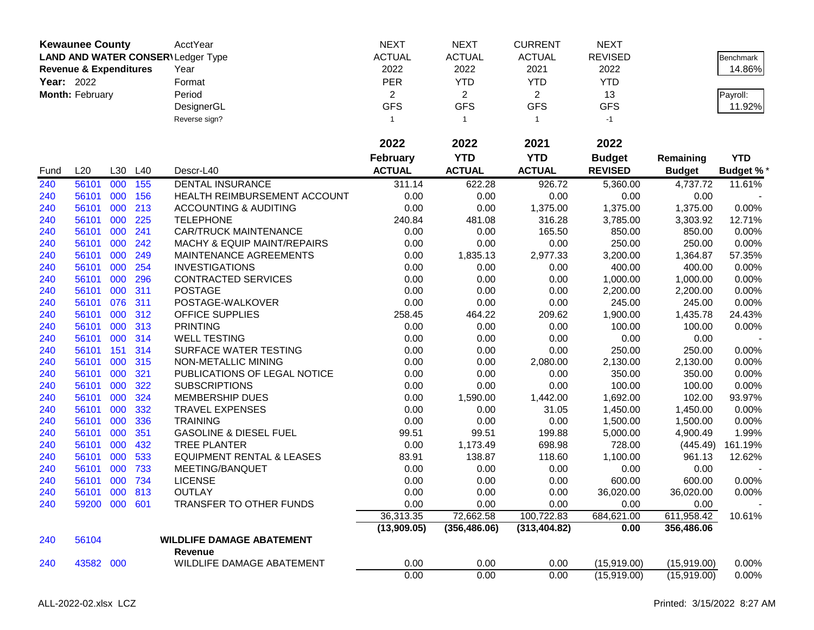|                   | <b>Kewaunee County</b>            |         |     | AcctYear                                 | <b>NEXT</b>     | <b>NEXT</b>    | <b>CURRENT</b> | <b>NEXT</b>    |               |                  |
|-------------------|-----------------------------------|---------|-----|------------------------------------------|-----------------|----------------|----------------|----------------|---------------|------------------|
|                   |                                   |         |     | <b>LAND AND WATER CONSER\Ledger Type</b> | <b>ACTUAL</b>   | <b>ACTUAL</b>  | <b>ACTUAL</b>  | <b>REVISED</b> |               | <b>Benchmark</b> |
|                   | <b>Revenue &amp; Expenditures</b> |         |     | Year                                     | 2022            | 2022           | 2021           | 2022           |               | 14.86%           |
| <b>Year: 2022</b> |                                   |         |     | Format                                   | <b>PER</b>      | <b>YTD</b>     | <b>YTD</b>     | <b>YTD</b>     |               |                  |
|                   | Month: February                   |         |     | Period                                   | $\overline{c}$  | $\overline{2}$ | $\overline{2}$ | 13             |               | Payroll:         |
|                   |                                   |         |     | DesignerGL                               | <b>GFS</b>      | <b>GFS</b>     | <b>GFS</b>     | <b>GFS</b>     |               | 11.92%           |
|                   |                                   |         |     | Reverse sign?                            | $\mathbf{1}$    | $\overline{1}$ | $\mathbf{1}$   | $-1$           |               |                  |
|                   |                                   |         |     |                                          |                 |                |                |                |               |                  |
|                   |                                   |         |     |                                          | 2022            | 2022           | 2021           | 2022           |               |                  |
|                   |                                   |         |     |                                          | <b>February</b> | <b>YTD</b>     | <b>YTD</b>     | <b>Budget</b>  | Remaining     | <b>YTD</b>       |
| Fund              | L20                               | L30     | L40 | Descr-L40                                | <b>ACTUAL</b>   | <b>ACTUAL</b>  | <b>ACTUAL</b>  | <b>REVISED</b> | <b>Budget</b> | <b>Budget %*</b> |
| 240               | 56101                             | 000     | 155 | <b>DENTAL INSURANCE</b>                  | 311.14          | 622.28         | 926.72         | 5,360.00       | 4,737.72      | 11.61%           |
| 240               | 56101                             | 000     | 156 | HEALTH REIMBURSEMENT ACCOUNT             | 0.00            | 0.00           | 0.00           | 0.00           | 0.00          |                  |
| 240               | 56101                             | 000     | 213 | <b>ACCOUNTING &amp; AUDITING</b>         | 0.00            | 0.00           | 1,375.00       | 1,375.00       | 1,375.00      | 0.00%            |
| 240               | 56101                             | 000     | 225 | <b>TELEPHONE</b>                         | 240.84          | 481.08         | 316.28         | 3,785.00       | 3,303.92      | 12.71%           |
| 240               | 56101                             | 000     | 241 | <b>CAR/TRUCK MAINTENANCE</b>             | 0.00            | 0.00           | 165.50         | 850.00         | 850.00        | 0.00%            |
| 240               | 56101                             | 000     | 242 | <b>MACHY &amp; EQUIP MAINT/REPAIRS</b>   | 0.00            | 0.00           | 0.00           | 250.00         | 250.00        | 0.00%            |
| 240               | 56101                             | 000     | 249 | MAINTENANCE AGREEMENTS                   | 0.00            | 1,835.13       | 2,977.33       | 3,200.00       | 1,364.87      | 57.35%           |
| 240               | 56101                             | 000     | 254 | <b>INVESTIGATIONS</b>                    | 0.00            | 0.00           | 0.00           | 400.00         | 400.00        | 0.00%            |
| 240               | 56101                             | 000     | 296 | <b>CONTRACTED SERVICES</b>               | 0.00            | 0.00           | 0.00           | 1,000.00       | 1,000.00      | 0.00%            |
| 240               | 56101                             | 000     | 311 | <b>POSTAGE</b>                           | 0.00            | 0.00           | 0.00           | 2,200.00       | 2,200.00      | 0.00%            |
| 240               | 56101                             | 076     | 311 | POSTAGE-WALKOVER                         | 0.00            | 0.00           | 0.00           | 245.00         | 245.00        | 0.00%            |
| 240               | 56101                             | 000     | 312 | <b>OFFICE SUPPLIES</b>                   | 258.45          | 464.22         | 209.62         | 1,900.00       | 1,435.78      | 24.43%           |
| 240               | 56101                             | 000     | 313 | <b>PRINTING</b>                          | 0.00            | 0.00           | 0.00           | 100.00         | 100.00        | 0.00%            |
| 240               | 56101                             | 000     | 314 | <b>WELL TESTING</b>                      | 0.00            | 0.00           | 0.00           | 0.00           | 0.00          |                  |
| 240               | 56101                             | 151     | 314 | SURFACE WATER TESTING                    | 0.00            | 0.00           | 0.00           | 250.00         | 250.00        | 0.00%            |
| 240               | 56101                             | 000     | 315 | NON-METALLIC MINING                      | 0.00            | 0.00           | 2,080.00       | 2,130.00       | 2,130.00      | 0.00%            |
| 240               | 56101                             | 000     | 321 | PUBLICATIONS OF LEGAL NOTICE             | 0.00            | 0.00           | 0.00           | 350.00         | 350.00        | 0.00%            |
| 240               | 56101                             | 000     | 322 | <b>SUBSCRIPTIONS</b>                     | 0.00            | 0.00           | 0.00           | 100.00         | 100.00        | 0.00%            |
| 240               | 56101                             | 000     | 324 | <b>MEMBERSHIP DUES</b>                   | 0.00            | 1,590.00       | 1,442.00       | 1,692.00       | 102.00        | 93.97%           |
| 240               | 56101                             | 000     | 332 | <b>TRAVEL EXPENSES</b>                   | 0.00            | 0.00           | 31.05          | 1,450.00       | 1,450.00      | 0.00%            |
| 240               | 56101                             | 000     | 336 | <b>TRAINING</b>                          | 0.00            | 0.00           | 0.00           | 1,500.00       | 1,500.00      | 0.00%            |
| 240               | 56101                             | 000     | 351 | <b>GASOLINE &amp; DIESEL FUEL</b>        | 99.51           | 99.51          | 199.88         | 5,000.00       | 4,900.49      | 1.99%            |
| 240               | 56101                             | 000     | 432 | <b>TREE PLANTER</b>                      | 0.00            | 1,173.49       | 698.98         | 728.00         | (445.49)      | 161.19%          |
| 240               | 56101                             | 000     | 533 | <b>EQUIPMENT RENTAL &amp; LEASES</b>     | 83.91           | 138.87         | 118.60         | 1,100.00       | 961.13        | 12.62%           |
| 240               | 56101                             | 000     | 733 | MEETING/BANQUET                          | 0.00            | 0.00           | 0.00           | 0.00           | 0.00          |                  |
| 240               | 56101                             | 000     | 734 | <b>LICENSE</b>                           | 0.00            | 0.00           | 0.00           | 600.00         | 600.00        | $0.00\%$         |
| 240               | 56101                             | 000 813 |     | <b>OUTLAY</b>                            | 0.00            | 0.00           | 0.00           | 36,020.00      | 36,020.00     | 0.00%            |
| 240               | 59200 000 601                     |         |     | TRANSFER TO OTHER FUNDS                  | 0.00            | 0.00           | 0.00           | 0.00           | 0.00          |                  |
|                   |                                   |         |     |                                          | 36,313.35       | 72,662.58      | 100,722.83     | 684,621.00     | 611,958.42    | 10.61%           |
|                   |                                   |         |     |                                          | (13,909.05)     | (356, 486.06)  | (313, 404.82)  | 0.00           | 356,486.06    |                  |
| 240               | 56104                             |         |     | <b>WILDLIFE DAMAGE ABATEMENT</b>         |                 |                |                |                |               |                  |
|                   |                                   |         |     | Revenue                                  |                 |                |                |                |               |                  |
| 240               | 43582 000                         |         |     | WILDLIFE DAMAGE ABATEMENT                | 0.00            | 0.00           | 0.00           | (15,919.00)    | (15,919.00)   | 0.00%            |
|                   |                                   |         |     |                                          | 0.00            | 0.00           | 0.00           | (15,919.00)    | (15,919.00)   | 0.00%            |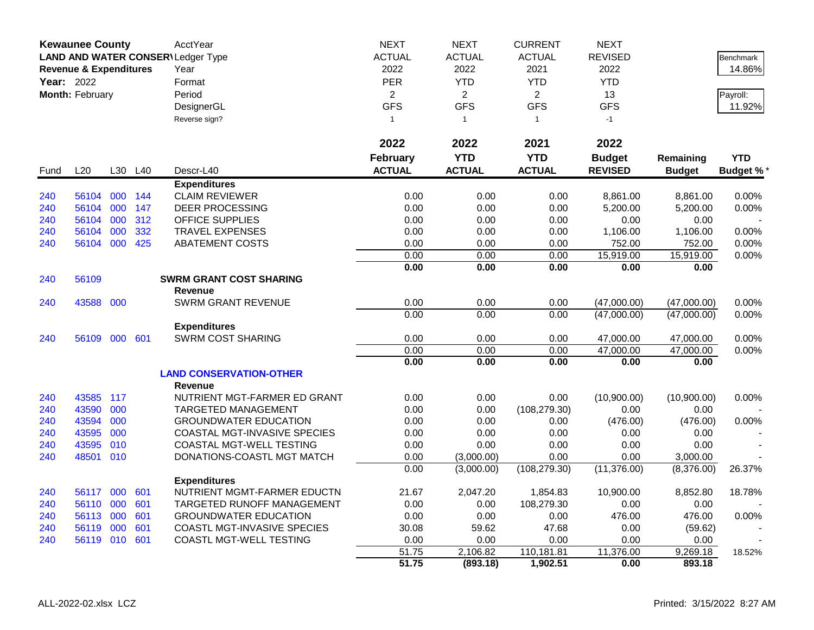|      | <b>Kewaunee County</b>            |     |         | AcctYear                            | <b>NEXT</b>    | <b>NEXT</b>    | <b>CURRENT</b> | <b>NEXT</b>    |               |                 |
|------|-----------------------------------|-----|---------|-------------------------------------|----------------|----------------|----------------|----------------|---------------|-----------------|
|      |                                   |     |         | LAND AND WATER CONSER\Ledger Type   | <b>ACTUAL</b>  | <b>ACTUAL</b>  | <b>ACTUAL</b>  | <b>REVISED</b> |               | Benchmark       |
|      | <b>Revenue &amp; Expenditures</b> |     |         | Year                                | 2022           | 2022           | 2021           | 2022           |               | 14.86%          |
|      | Year: 2022                        |     |         | Format                              | <b>PER</b>     | <b>YTD</b>     | <b>YTD</b>     | <b>YTD</b>     |               |                 |
|      | Month: February                   |     |         | Period                              | $\overline{2}$ | $\overline{2}$ | $\overline{2}$ | 13             |               | Payroll:        |
|      |                                   |     |         | DesignerGL                          | <b>GFS</b>     | <b>GFS</b>     | <b>GFS</b>     | <b>GFS</b>     |               | 11.92%          |
|      |                                   |     |         | Reverse sign?                       | $\mathbf{1}$   | $\overline{1}$ | $\mathbf{1}$   | $-1$           |               |                 |
|      |                                   |     |         |                                     |                |                |                |                |               |                 |
|      |                                   |     |         |                                     | 2022           | 2022           | 2021           | 2022           |               |                 |
|      |                                   |     |         |                                     | February       | <b>YTD</b>     | <b>YTD</b>     | <b>Budget</b>  | Remaining     | <b>YTD</b>      |
| Fund | L20                               | L30 | L40     | Descr-L40                           | <b>ACTUAL</b>  | <b>ACTUAL</b>  | <b>ACTUAL</b>  | <b>REVISED</b> | <b>Budget</b> | <b>Budget %</b> |
|      |                                   |     |         | <b>Expenditures</b>                 |                |                |                |                |               |                 |
| 240  | 56104                             |     | 000 144 | <b>CLAIM REVIEWER</b>               | 0.00           | 0.00           | 0.00           | 8,861.00       | 8,861.00      | 0.00%           |
| 240  | 56104                             | 000 | 147     | <b>DEER PROCESSING</b>              | 0.00           | 0.00           | 0.00           | 5,200.00       | 5,200.00      | 0.00%           |
| 240  | 56104                             | 000 | 312     | <b>OFFICE SUPPLIES</b>              | 0.00           | 0.00           | 0.00           | 0.00           | 0.00          |                 |
| 240  | 56104                             | 000 | 332     | <b>TRAVEL EXPENSES</b>              | 0.00           | 0.00           | 0.00           | 1,106.00       | 1,106.00      | 0.00%           |
| 240  | 56104 000                         |     | 425     | <b>ABATEMENT COSTS</b>              | 0.00           | 0.00           | 0.00           | 752.00         | 752.00        | 0.00%           |
|      |                                   |     |         |                                     | 0.00           | 0.00           | 0.00           | 15,919.00      | 15,919.00     | 0.00%           |
|      |                                   |     |         |                                     | 0.00           | 0.00           | 0.00           | 0.00           | 0.00          |                 |
| 240  | 56109                             |     |         | <b>SWRM GRANT COST SHARING</b>      |                |                |                |                |               |                 |
|      |                                   |     |         | <b>Revenue</b>                      |                |                |                |                |               |                 |
| 240  | 43588 000                         |     |         | <b>SWRM GRANT REVENUE</b>           | 0.00           | 0.00           | 0.00           | (47,000.00)    | (47,000.00)   | 0.00%           |
|      |                                   |     |         |                                     | 0.00           | 0.00           | 0.00           | (47,000.00)    | (47,000.00)   | 0.00%           |
|      |                                   |     |         | <b>Expenditures</b>                 |                |                |                |                |               |                 |
| 240  | 56109                             | 000 | 601     | <b>SWRM COST SHARING</b>            | 0.00           | 0.00           | 0.00           | 47,000.00      | 47,000.00     | 0.00%           |
|      |                                   |     |         |                                     | 0.00           | 0.00           | 0.00           | 47,000.00      | 47,000.00     | 0.00%           |
|      |                                   |     |         |                                     | 0.00           | 0.00           | 0.00           | 0.00           | 0.00          |                 |
|      |                                   |     |         | <b>LAND CONSERVATION-OTHER</b>      |                |                |                |                |               |                 |
|      |                                   |     |         | <b>Revenue</b>                      |                |                |                |                |               |                 |
| 240  | 43585                             | 117 |         | NUTRIENT MGT-FARMER ED GRANT        | 0.00           | 0.00           | 0.00           | (10,900.00)    | (10,900.00)   | 0.00%           |
| 240  | 43590                             | 000 |         | TARGETED MANAGEMENT                 | 0.00           | 0.00           | (108, 279.30)  | 0.00           | 0.00          |                 |
| 240  | 43594                             | 000 |         | <b>GROUNDWATER EDUCATION</b>        | 0.00           | 0.00           | 0.00           | (476.00)       | (476.00)      | 0.00%           |
| 240  | 43595                             | 000 |         | <b>COASTAL MGT-INVASIVE SPECIES</b> | 0.00           | 0.00           | 0.00           | 0.00           | 0.00          |                 |
| 240  | 43595                             | 010 |         | <b>COASTAL MGT-WELL TESTING</b>     | 0.00           | 0.00           | 0.00           | 0.00           | 0.00          |                 |
| 240  | 48501                             | 010 |         | DONATIONS-COASTL MGT MATCH          | 0.00           | (3,000.00)     | 0.00           | 0.00           | 3,000.00      |                 |
|      |                                   |     |         |                                     | 0.00           | (3,000.00)     | (108, 279.30)  | (11, 376.00)   | (8,376.00)    | 26.37%          |
|      |                                   |     |         | <b>Expenditures</b>                 |                |                |                |                |               |                 |
| 240  | 56117                             | 000 | 601     | NUTRIENT MGMT-FARMER EDUCTN         | 21.67          | 2,047.20       | 1,854.83       | 10,900.00      | 8,852.80      | 18.78%          |
| 240  | 56110                             | 000 | 601     | <b>TARGETED RUNOFF MANAGEMENT</b>   | 0.00           | 0.00           | 108,279.30     | 0.00           | 0.00          |                 |
| 240  | 56113                             | 000 | 601     | <b>GROUNDWATER EDUCATION</b>        | 0.00           | 0.00           | 0.00           | 476.00         | 476.00        | 0.00%           |
| 240  | 56119                             | 000 | 601     | COASTL MGT-INVASIVE SPECIES         | 30.08          | 59.62          | 47.68          | 0.00           | (59.62)       |                 |
| 240  | 56119 010                         |     | 601     | COASTL MGT-WELL TESTING             | 0.00           | 0.00           | 0.00           | 0.00           | 0.00          |                 |
|      |                                   |     |         |                                     | 51.75          | 2,106.82       | 110,181.81     | 11,376.00      | 9,269.18      | 18.52%          |
|      |                                   |     |         |                                     | 51.75          | (893.18)       | 1,902.51       | 0.00           | 893.18        |                 |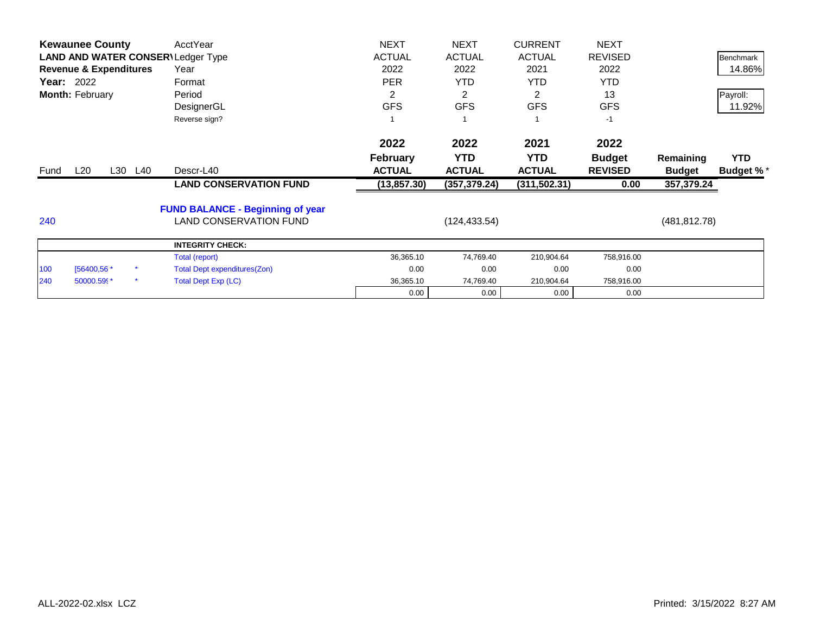|            | <b>Kewaunee County</b>            |         | AcctYear                                 | <b>NEXT</b>   | <b>NEXT</b>   | <b>CURRENT</b> | <b>NEXT</b>    |               |                  |
|------------|-----------------------------------|---------|------------------------------------------|---------------|---------------|----------------|----------------|---------------|------------------|
|            |                                   |         | <b>LAND AND WATER CONSER\Ledger Type</b> | <b>ACTUAL</b> | <b>ACTUAL</b> | <b>ACTUAL</b>  | <b>REVISED</b> |               | <b>Benchmark</b> |
|            | <b>Revenue &amp; Expenditures</b> |         | Year                                     | 2022          | 2022          | 2021           | 2022           |               | 14.86%           |
| Year: 2022 |                                   |         | Format                                   | <b>PER</b>    | <b>YTD</b>    | YTD.           | <b>YTD</b>     |               |                  |
|            | Month: February                   |         | Period                                   | 2             | 2             | 2              | 13             |               | Payroll:         |
|            |                                   |         | DesignerGL                               | <b>GFS</b>    | <b>GFS</b>    | <b>GFS</b>     | <b>GFS</b>     |               | 11.92%           |
|            |                                   |         | Reverse sign?                            |               |               |                | $-1$           |               |                  |
|            |                                   |         |                                          | 2022          | 2022          | 2021           | 2022           |               |                  |
|            |                                   |         |                                          | February      | <b>YTD</b>    | <b>YTD</b>     | <b>Budget</b>  | Remaining     | <b>YTD</b>       |
| Fund       | $L_{20}$                          | L30 L40 | Descr-L40                                | <b>ACTUAL</b> | <b>ACTUAL</b> | <b>ACTUAL</b>  | <b>REVISED</b> | <b>Budget</b> | <b>Budget %*</b> |
|            |                                   |         | <b>LAND CONSERVATION FUND</b>            | (13, 857.30)  | (357, 379.24) | (311, 502.31)  | 0.00           | 357,379.24    |                  |
|            |                                   |         | <b>FUND BALANCE - Beginning of year</b>  |               |               |                |                |               |                  |
| 240        |                                   |         | <b>LAND CONSERVATION FUND</b>            |               | (124, 433.54) |                |                | (481, 812.78) |                  |
|            |                                   |         | <b>INTEGRITY CHECK:</b>                  |               |               |                |                |               |                  |
|            |                                   |         | Total (report)                           | 36,365.10     | 74,769.40     | 210,904.64     | 758,916.00     |               |                  |
| 100        | [56400,56 *                       |         | <b>Total Dept expenditures(Zon)</b>      | 0.00          | 0.00          | 0.00           | 0.00           |               |                  |
| 240        | 50000.599*                        |         | <b>Total Dept Exp (LC)</b>               | 36,365.10     | 74,769.40     | 210,904.64     | 758,916.00     |               |                  |
|            |                                   |         |                                          | 0.00          | 0.00          | 0.00           | 0.00           |               |                  |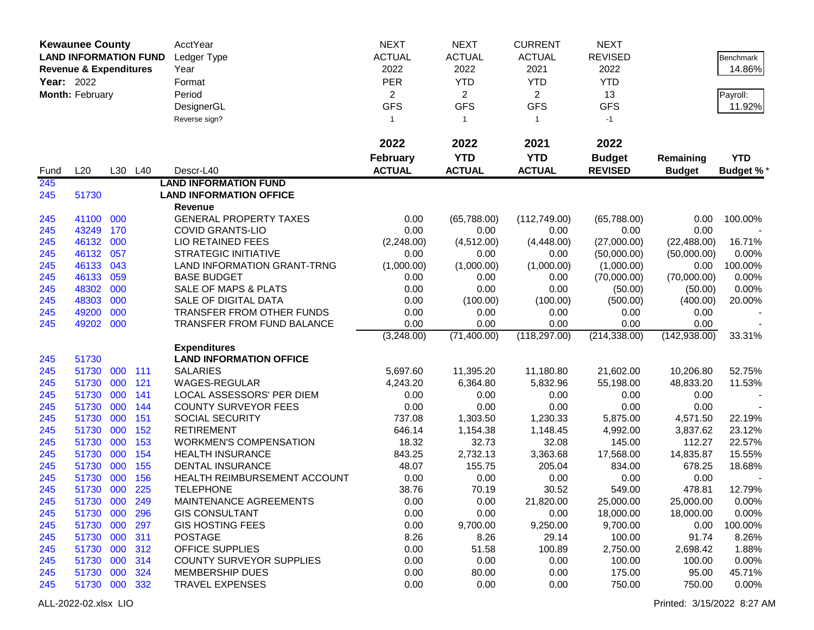|                   | <b>Kewaunee County</b>            |            |            | AcctYear                         | <b>NEXT</b>     | <b>NEXT</b>    | <b>CURRENT</b> | <b>NEXT</b>    |               |            |
|-------------------|-----------------------------------|------------|------------|----------------------------------|-----------------|----------------|----------------|----------------|---------------|------------|
|                   | <b>LAND INFORMATION FUND</b>      |            |            | Ledger Type                      | <b>ACTUAL</b>   | <b>ACTUAL</b>  | <b>ACTUAL</b>  | <b>REVISED</b> |               | Benchmark  |
|                   | <b>Revenue &amp; Expenditures</b> |            |            | Year                             | 2022            | 2022           | 2021           | 2022           |               | 14.86%     |
| <b>Year: 2022</b> |                                   |            |            | Format                           | <b>PER</b>      | <b>YTD</b>     | <b>YTD</b>     | <b>YTD</b>     |               |            |
|                   | Month: February                   |            |            | Period                           | $\overline{2}$  | $\overline{2}$ | $\overline{2}$ | 13             |               | Payroll:   |
|                   |                                   |            |            | DesignerGL                       | <b>GFS</b>      | <b>GFS</b>     | <b>GFS</b>     | <b>GFS</b>     |               | 11.92%     |
|                   |                                   |            |            |                                  | $\mathbf{1}$    | $\mathbf{1}$   | $\mathbf{1}$   | $-1$           |               |            |
|                   |                                   |            |            | Reverse sign?                    |                 |                |                |                |               |            |
|                   |                                   |            |            |                                  | 2022            | 2022           | 2021           | 2022           |               |            |
|                   |                                   |            |            |                                  | <b>February</b> | <b>YTD</b>     | <b>YTD</b>     | <b>Budget</b>  | Remaining     | <b>YTD</b> |
| Fund              | L20                               |            | L30 L40    | Descr-L40                        | <b>ACTUAL</b>   | <b>ACTUAL</b>  | <b>ACTUAL</b>  | <b>REVISED</b> | <b>Budget</b> | Budget %*  |
| 245               |                                   |            |            | <b>LAND INFORMATION FUND</b>     |                 |                |                |                |               |            |
| 245               | 51730                             |            |            | <b>LAND INFORMATION OFFICE</b>   |                 |                |                |                |               |            |
|                   |                                   |            |            | Revenue                          |                 |                |                |                |               |            |
| 245               | 41100 000                         |            |            | <b>GENERAL PROPERTY TAXES</b>    | 0.00            | (65,788.00)    | (112,749.00)   | (65,788.00)    | 0.00          | 100.00%    |
| 245               | 43249                             | 170        |            | <b>COVID GRANTS-LIO</b>          | 0.00            | 0.00           | 0.00           | 0.00           | 0.00          |            |
| 245               | 46132                             | 000        |            | <b>LIO RETAINED FEES</b>         | (2,248.00)      | (4,512.00)     | (4,448.00)     | (27,000.00)    | (22, 488.00)  | 16.71%     |
| 245               | 46132                             | 057        |            | <b>STRATEGIC INITIATIVE</b>      | 0.00            | 0.00           | 0.00           | (50,000.00)    | (50,000.00)   | 0.00%      |
| 245               | 46133                             | 043        |            | LAND INFORMATION GRANT-TRNG      | (1,000.00)      | (1,000.00)     | (1,000.00)     | (1,000.00)     | 0.00          | 100.00%    |
| 245               | 46133                             | 059        |            | <b>BASE BUDGET</b>               | 0.00            | 0.00           | 0.00           | (70,000.00)    | (70,000.00)   | 0.00%      |
| 245               | 48302                             | 000        |            | SALE OF MAPS & PLATS             | 0.00            | 0.00           | 0.00           | (50.00)        | (50.00)       | 0.00%      |
| 245               | 48303                             | 000        |            | SALE OF DIGITAL DATA             | 0.00            | (100.00)       | (100.00)       | (500.00)       | (400.00)      | 20.00%     |
| 245               | 49200                             | 000        |            | TRANSFER FROM OTHER FUNDS        | 0.00            | 0.00           | 0.00           | 0.00           | 0.00          |            |
| 245               | 49202 000                         |            |            | TRANSFER FROM FUND BALANCE       | 0.00            | 0.00           | 0.00           | 0.00           | 0.00          |            |
|                   |                                   |            |            |                                  | (3,248.00)      | (71, 400.00)   | (118, 297.00)  | (214, 338.00)  | (142, 938.00) | 33.31%     |
|                   |                                   |            |            | <b>Expenditures</b>              |                 |                |                |                |               |            |
| 245               | 51730                             |            |            | <b>LAND INFORMATION OFFICE</b>   |                 |                |                |                |               |            |
| 245               | 51730                             | 000<br>000 | 111<br>121 | <b>SALARIES</b><br>WAGES-REGULAR | 5,697.60        | 11,395.20      | 11,180.80      | 21,602.00      | 10,206.80     | 52.75%     |
| 245               | 51730<br>51730                    | 000        | 141        | LOCAL ASSESSORS' PER DIEM        | 4,243.20        | 6,364.80       | 5,832.96       | 55,198.00      | 48,833.20     | 11.53%     |
| 245<br>245        | 51730                             | 000        | 144        | <b>COUNTY SURVEYOR FEES</b>      | 0.00<br>0.00    | 0.00<br>0.00   | 0.00<br>0.00   | 0.00<br>0.00   | 0.00<br>0.00  |            |
| 245               | 51730                             | 000        | 151        | <b>SOCIAL SECURITY</b>           | 737.08          | 1,303.50       | 1,230.33       | 5,875.00       | 4,571.50      | 22.19%     |
| 245               | 51730                             | 000        | 152        | <b>RETIREMENT</b>                | 646.14          | 1,154.38       | 1,148.45       | 4,992.00       | 3,837.62      | 23.12%     |
| 245               | 51730                             | 000        | 153        | <b>WORKMEN'S COMPENSATION</b>    | 18.32           | 32.73          | 32.08          | 145.00         | 112.27        | 22.57%     |
| 245               | 51730                             | 000        | 154        | <b>HEALTH INSURANCE</b>          | 843.25          | 2,732.13       | 3,363.68       | 17,568.00      | 14,835.87     | 15.55%     |
| 245               | 51730                             | 000        | 155        | <b>DENTAL INSURANCE</b>          | 48.07           | 155.75         | 205.04         | 834.00         | 678.25        | 18.68%     |
| 245               | 51730                             | 000        | 156        | HEALTH REIMBURSEMENT ACCOUNT     | 0.00            | 0.00           | 0.00           | 0.00           | 0.00          |            |
| 245               | 51730 000                         |            | 225        | <b>TELEPHONE</b>                 | 38.76           | 70.19          | 30.52          | 549.00         | 478.81        | 12.79%     |
| 245               | 51730 000                         |            | 249        | MAINTENANCE AGREEMENTS           | 0.00            | 0.00           | 21,820.00      | 25,000.00      | 25,000.00     | $0.00\%$   |
| 245               | 51730 000                         |            | 296        | <b>GIS CONSULTANT</b>            | 0.00            | 0.00           | 0.00           | 18,000.00      | 18,000.00     | 0.00%      |
| 245               | 51730 000                         |            | 297        | <b>GIS HOSTING FEES</b>          | 0.00            | 9,700.00       | 9,250.00       | 9,700.00       | 0.00          | 100.00%    |
| 245               | 51730 000                         |            | 311        | <b>POSTAGE</b>                   | 8.26            | 8.26           | 29.14          | 100.00         | 91.74         | 8.26%      |
| 245               | 51730 000                         |            | 312        | <b>OFFICE SUPPLIES</b>           | 0.00            | 51.58          | 100.89         | 2,750.00       | 2,698.42      | 1.88%      |
| 245               | 51730 000                         |            | 314        | <b>COUNTY SURVEYOR SUPPLIES</b>  | 0.00            | 0.00           | 0.00           | 100.00         | 100.00        | 0.00%      |
| 245               | 51730 000                         |            | 324        | <b>MEMBERSHIP DUES</b>           | 0.00            | 80.00          | 0.00           | 175.00         | 95.00         | 45.71%     |
| 245               | 51730 000 332                     |            |            | <b>TRAVEL EXPENSES</b>           | 0.00            | 0.00           | 0.00           | 750.00         | 750.00        | 0.00%      |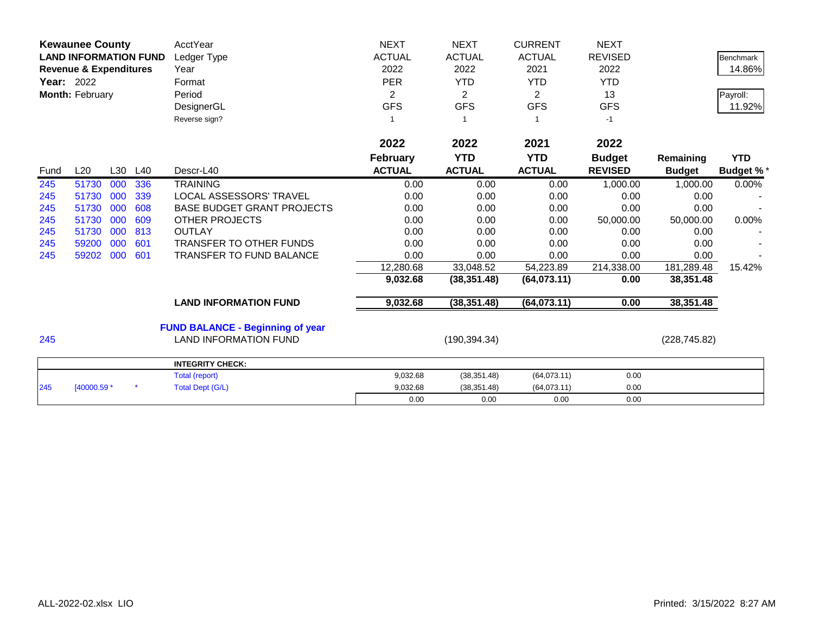|      | <b>Kewaunee County</b><br><b>LAND INFORMATION FUND</b><br><b>Revenue &amp; Expenditures</b><br><b>Year: 2022</b><br>Month: February |     |     | AcctYear<br>Ledger Type<br>Year<br>Format<br>Period<br>DesignerGL<br>Reverse sign? | <b>NEXT</b><br><b>ACTUAL</b><br>2022<br><b>PER</b><br>$\overline{c}$<br><b>GFS</b><br>1 | <b>NEXT</b><br><b>ACTUAL</b><br>2022<br><b>YTD</b><br>$\overline{2}$<br><b>GFS</b><br>-1 | <b>CURRENT</b><br><b>ACTUAL</b><br>2021<br><b>YTD</b><br>$\overline{2}$<br><b>GFS</b> | <b>NEXT</b><br><b>REVISED</b><br>2022<br><b>YTD</b><br>13<br><b>GFS</b><br>$-1$ |                            | <b>Benchmark</b><br>14.86%<br>Payroll:<br>11.92% |
|------|-------------------------------------------------------------------------------------------------------------------------------------|-----|-----|------------------------------------------------------------------------------------|-----------------------------------------------------------------------------------------|------------------------------------------------------------------------------------------|---------------------------------------------------------------------------------------|---------------------------------------------------------------------------------|----------------------------|--------------------------------------------------|
|      |                                                                                                                                     |     |     |                                                                                    | 2022                                                                                    | 2022                                                                                     | 2021                                                                                  | 2022                                                                            |                            |                                                  |
| Fund | L20                                                                                                                                 | L30 | L40 | Descr-L40                                                                          | <b>February</b><br><b>ACTUAL</b>                                                        | <b>YTD</b><br><b>ACTUAL</b>                                                              | <b>YTD</b><br><b>ACTUAL</b>                                                           | <b>Budget</b><br><b>REVISED</b>                                                 | Remaining<br><b>Budget</b> | <b>YTD</b><br><b>Budget %*</b>                   |
| 245  | 51730                                                                                                                               | 000 | 336 | <b>TRAINING</b>                                                                    | 0.00                                                                                    | 0.00                                                                                     | 0.00                                                                                  | 1,000.00                                                                        | 1,000.00                   | 0.00%                                            |
| 245  | 51730                                                                                                                               | 000 | 339 | <b>LOCAL ASSESSORS' TRAVEL</b>                                                     | 0.00                                                                                    | 0.00                                                                                     | 0.00                                                                                  | 0.00                                                                            | 0.00                       |                                                  |
| 245  | 51730                                                                                                                               | 000 | 608 | <b>BASE BUDGET GRANT PROJECTS</b>                                                  | 0.00                                                                                    | 0.00                                                                                     | 0.00                                                                                  | 0.00                                                                            | 0.00                       |                                                  |
| 245  | 51730                                                                                                                               | 000 | 609 | <b>OTHER PROJECTS</b>                                                              | 0.00                                                                                    | 0.00                                                                                     | 0.00                                                                                  | 50,000.00                                                                       | 50,000.00                  | 0.00%                                            |
| 245  | 51730                                                                                                                               | 000 | 813 | <b>OUTLAY</b>                                                                      | 0.00                                                                                    | 0.00                                                                                     | 0.00                                                                                  | 0.00                                                                            | 0.00                       |                                                  |
| 245  | 59200                                                                                                                               | 000 | 601 | TRANSFER TO OTHER FUNDS                                                            | 0.00                                                                                    | 0.00                                                                                     | 0.00                                                                                  | 0.00                                                                            | 0.00                       |                                                  |
| 245  | 59202                                                                                                                               | 000 | 601 | <b>TRANSFER TO FUND BALANCE</b>                                                    | 0.00                                                                                    | 0.00                                                                                     | 0.00                                                                                  | 0.00                                                                            | 0.00                       |                                                  |
|      |                                                                                                                                     |     |     |                                                                                    | 12,280.68                                                                               | 33,048.52                                                                                | 54,223.89                                                                             | 214,338.00                                                                      | 181,289.48                 | 15.42%                                           |
|      |                                                                                                                                     |     |     |                                                                                    | 9,032.68                                                                                | (38, 351.48)                                                                             | (64,073.11)                                                                           | 0.00                                                                            | 38,351.48                  |                                                  |
|      |                                                                                                                                     |     |     | <b>LAND INFORMATION FUND</b>                                                       | 9,032.68                                                                                | (38, 351.48)                                                                             | (64,073.11)                                                                           | 0.00                                                                            | 38,351.48                  |                                                  |
|      |                                                                                                                                     |     |     | <b>FUND BALANCE - Beginning of year</b>                                            |                                                                                         |                                                                                          |                                                                                       |                                                                                 |                            |                                                  |
| 245  |                                                                                                                                     |     |     | <b>LAND INFORMATION FUND</b>                                                       |                                                                                         | (190, 394.34)                                                                            |                                                                                       |                                                                                 | (228, 745.82)              |                                                  |
|      |                                                                                                                                     |     |     | <b>INTEGRITY CHECK:</b>                                                            |                                                                                         |                                                                                          |                                                                                       |                                                                                 |                            |                                                  |
|      |                                                                                                                                     |     |     | Total (report)                                                                     | 9,032.68                                                                                | (38, 351.48)                                                                             | (64,073.11)                                                                           | 0.00                                                                            |                            |                                                  |
| 245  | [40000.59 *                                                                                                                         |     |     | <b>Total Dept (G/L)</b>                                                            | 9,032.68                                                                                | (38, 351.48)                                                                             | (64,073.11)                                                                           | 0.00                                                                            |                            |                                                  |
|      |                                                                                                                                     |     |     |                                                                                    | 0.00                                                                                    | 0.00                                                                                     | 0.00                                                                                  | 0.00                                                                            |                            |                                                  |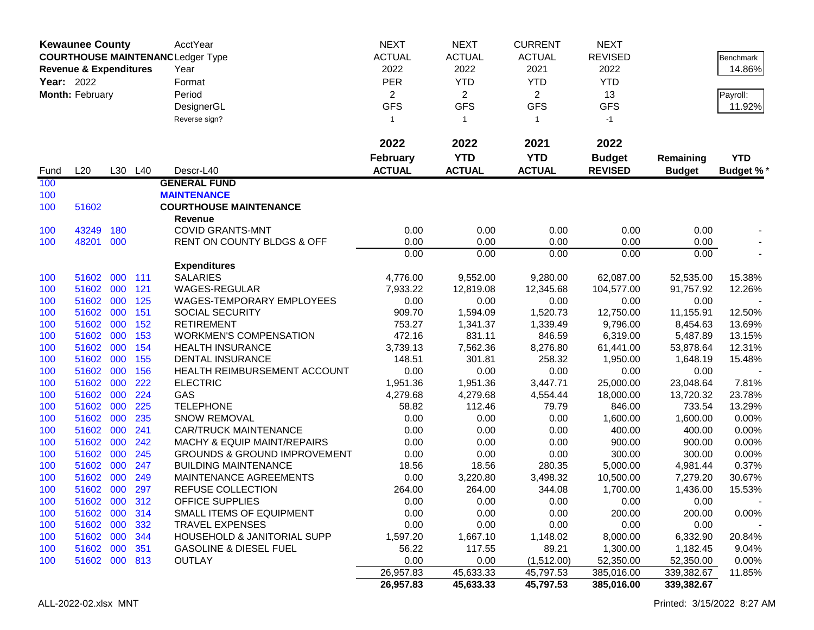|                   | <b>Kewaunee County</b>            |            |            | <b>AcctYear</b>                                          | <b>NEXT</b>      | <b>NEXT</b>        | <b>CURRENT</b>     | <b>NEXT</b>           |                       |                  |
|-------------------|-----------------------------------|------------|------------|----------------------------------------------------------|------------------|--------------------|--------------------|-----------------------|-----------------------|------------------|
|                   |                                   |            |            | <b>COURTHOUSE MAINTENANC Ledger Type</b>                 | <b>ACTUAL</b>    | <b>ACTUAL</b>      | <b>ACTUAL</b>      | <b>REVISED</b>        |                       | Benchmark        |
|                   | <b>Revenue &amp; Expenditures</b> |            |            | Year                                                     | 2022             | 2022               | 2021               | 2022                  |                       | 14.86%           |
| <b>Year: 2022</b> |                                   |            |            | Format                                                   | <b>PER</b>       | <b>YTD</b>         | <b>YTD</b>         | <b>YTD</b>            |                       |                  |
|                   | Month: February                   |            |            | Period                                                   | $\overline{2}$   | $\overline{2}$     | $\overline{2}$     | 13                    |                       | Payroll:         |
|                   |                                   |            |            | DesignerGL                                               | <b>GFS</b>       | <b>GFS</b>         | <b>GFS</b>         | <b>GFS</b>            |                       | 11.92%           |
|                   |                                   |            |            | Reverse sign?                                            | $\overline{1}$   | $\mathbf{1}$       | $\mathbf{1}$       | $-1$                  |                       |                  |
|                   |                                   |            |            |                                                          |                  |                    |                    |                       |                       |                  |
|                   |                                   |            |            |                                                          | 2022             | 2022               | 2021               | 2022                  |                       |                  |
|                   |                                   |            |            |                                                          | <b>February</b>  | <b>YTD</b>         | <b>YTD</b>         | <b>Budget</b>         | Remaining             | <b>YTD</b>       |
| Fund              | L20                               |            | L30 L40    | Descr-L40                                                | <b>ACTUAL</b>    | <b>ACTUAL</b>      | <b>ACTUAL</b>      | <b>REVISED</b>        | <b>Budget</b>         | <b>Budget %*</b> |
| 100               |                                   |            |            | <b>GENERAL FUND</b>                                      |                  |                    |                    |                       |                       |                  |
| 100               |                                   |            |            | <b>MAINTENANCE</b>                                       |                  |                    |                    |                       |                       |                  |
| 100               | 51602                             |            |            | <b>COURTHOUSE MAINTENANCE</b>                            |                  |                    |                    |                       |                       |                  |
|                   |                                   |            |            | <b>Revenue</b>                                           |                  |                    |                    |                       |                       |                  |
| 100               | 43249                             | 180        |            | <b>COVID GRANTS-MNT</b>                                  | 0.00             | 0.00               | 0.00               | 0.00                  | 0.00                  |                  |
| 100               | 48201 000                         |            |            | RENT ON COUNTY BLDGS & OFF                               | 0.00             | 0.00               | 0.00               | 0.00                  | 0.00                  |                  |
|                   |                                   |            |            |                                                          | 0.00             | 0.00               | 0.00               | 0.00                  | 0.00                  |                  |
|                   |                                   |            |            | <b>Expenditures</b>                                      |                  |                    |                    |                       |                       |                  |
| 100               | 51602                             | 000        | 111        | <b>SALARIES</b>                                          | 4,776.00         | 9,552.00           | 9,280.00           | 62,087.00             | 52,535.00             | 15.38%           |
| 100               | 51602                             | 000        | 121        | WAGES-REGULAR                                            | 7,933.22         | 12,819.08          | 12,345.68          | 104,577.00            | 91,757.92             | 12.26%           |
| 100               | 51602 000                         |            | 125        | <b>WAGES-TEMPORARY EMPLOYEES</b>                         | 0.00             | 0.00               | 0.00               | 0.00                  | 0.00                  |                  |
| 100               | 51602 000                         |            | 151        | <b>SOCIAL SECURITY</b><br><b>RETIREMENT</b>              | 909.70           | 1,594.09           | 1,520.73           | 12,750.00             | 11,155.91             | 12.50%           |
| 100               | 51602 000                         |            | 152<br>153 |                                                          | 753.27<br>472.16 | 1,341.37           | 1,339.49           | 9,796.00              | 8,454.63              | 13.69%<br>13.15% |
| 100<br>100        | 51602<br>51602                    | 000<br>000 | 154        | <b>WORKMEN'S COMPENSATION</b><br><b>HEALTH INSURANCE</b> | 3,739.13         | 831.11<br>7,562.36 | 846.59<br>8,276.80 | 6,319.00<br>61,441.00 | 5,487.89<br>53,878.64 | 12.31%           |
| 100               | 51602                             | 000        | 155        | DENTAL INSURANCE                                         | 148.51           | 301.81             | 258.32             | 1,950.00              | 1,648.19              | 15.48%           |
| 100               | 51602                             | 000        | 156        | HEALTH REIMBURSEMENT ACCOUNT                             | 0.00             | 0.00               | 0.00               | 0.00                  | 0.00                  |                  |
| 100               | 51602                             | 000        | 222        | <b>ELECTRIC</b>                                          | 1,951.36         | 1,951.36           | 3,447.71           | 25,000.00             | 23,048.64             | 7.81%            |
| 100               | 51602                             | 000        | 224        | GAS                                                      | 4,279.68         | 4,279.68           | 4,554.44           | 18,000.00             | 13,720.32             | 23.78%           |
| 100               | 51602                             | 000        | 225        | <b>TELEPHONE</b>                                         | 58.82            | 112.46             | 79.79              | 846.00                | 733.54                | 13.29%           |
| 100               | 51602                             | 000        | 235        | <b>SNOW REMOVAL</b>                                      | 0.00             | 0.00               | 0.00               | 1,600.00              | 1,600.00              | 0.00%            |
| 100               | 51602                             | 000        | 241        | <b>CAR/TRUCK MAINTENANCE</b>                             | 0.00             | 0.00               | 0.00               | 400.00                | 400.00                | 0.00%            |
| 100               | 51602 000                         |            | 242        | <b>MACHY &amp; EQUIP MAINT/REPAIRS</b>                   | 0.00             | 0.00               | 0.00               | 900.00                | 900.00                | 0.00%            |
| 100               | 51602 000                         |            | 245        | <b>GROUNDS &amp; GROUND IMPROVEMENT</b>                  | 0.00             | 0.00               | 0.00               | 300.00                | 300.00                | 0.00%            |
| 100               | 51602                             | 000        | 247        | <b>BUILDING MAINTENANCE</b>                              | 18.56            | 18.56              | 280.35             | 5,000.00              | 4,981.44              | 0.37%            |
| 100               | 51602                             | 000        | 249        | MAINTENANCE AGREEMENTS                                   | 0.00             | 3,220.80           | 3,498.32           | 10,500.00             | 7,279.20              | 30.67%           |
| 100               | 51602 000                         |            | 297        | REFUSE COLLECTION                                        | 264.00           | 264.00             | 344.08             | 1,700.00              | 1,436.00              | 15.53%           |
| 100               | 51602 000 312                     |            |            | OFFICE SUPPLIES                                          | 0.00             | 0.00               | 0.00               | 0.00                  | 0.00                  |                  |
| 100               | 51602 000 314                     |            |            | SMALL ITEMS OF EQUIPMENT                                 | 0.00             | 0.00               | 0.00               | 200.00                | 200.00                | 0.00%            |
| 100               | 51602 000                         |            | 332        | <b>TRAVEL EXPENSES</b>                                   | 0.00             | 0.00               | 0.00               | 0.00                  | 0.00                  |                  |
| 100               | 51602 000                         |            | 344        | HOUSEHOLD & JANITORIAL SUPP                              | 1,597.20         | 1,667.10           | 1,148.02           | 8,000.00              | 6,332.90              | 20.84%           |
| 100               | 51602 000                         |            | 351        | <b>GASOLINE &amp; DIESEL FUEL</b>                        | 56.22            | 117.55             | 89.21              | 1,300.00              | 1,182.45              | 9.04%            |
| 100               | 51602 000 813                     |            |            | <b>OUTLAY</b>                                            | 0.00             | 0.00               | (1,512.00)         | 52,350.00             | 52,350.00             | 0.00%            |
|                   |                                   |            |            |                                                          | 26,957.83        | 45,633.33          | 45,797.53          | 385,016.00            | 339,382.67            | 11.85%           |
|                   |                                   |            |            |                                                          | 26,957.83        | 45,633.33          | 45,797.53          | 385,016.00            | 339,382.67            |                  |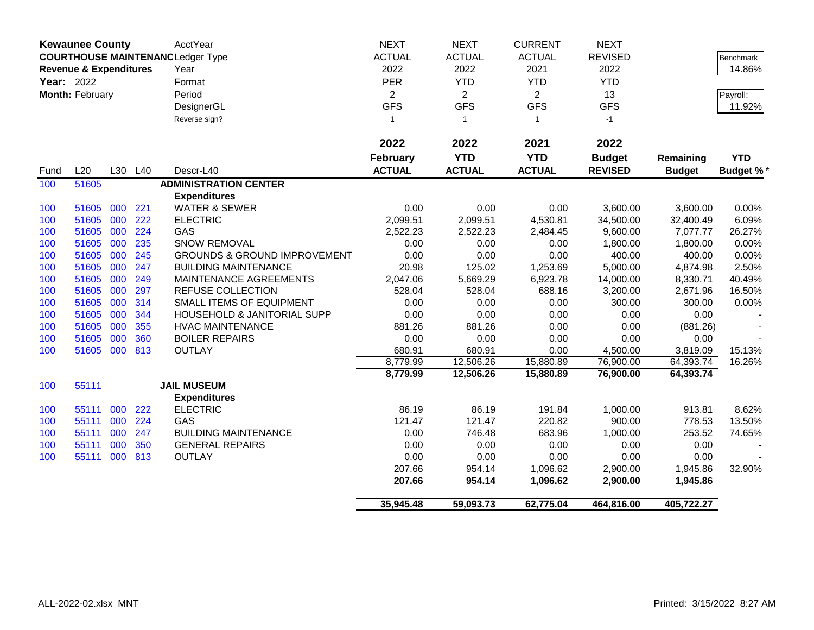|            | <b>Kewaunee County</b>            |     |     | <b>AcctYear</b>                          | <b>NEXT</b>     | <b>NEXT</b>    | <b>CURRENT</b> | <b>NEXT</b>    |               |                  |
|------------|-----------------------------------|-----|-----|------------------------------------------|-----------------|----------------|----------------|----------------|---------------|------------------|
|            |                                   |     |     | <b>COURTHOUSE MAINTENANC Ledger Type</b> | <b>ACTUAL</b>   | <b>ACTUAL</b>  | <b>ACTUAL</b>  | <b>REVISED</b> |               | <b>Benchmark</b> |
|            | <b>Revenue &amp; Expenditures</b> |     |     | Year                                     | 2022            | 2022           | 2021           | 2022           |               | 14.86%           |
| Year: 2022 |                                   |     |     | Format                                   | PER             | <b>YTD</b>     | <b>YTD</b>     | <b>YTD</b>     |               |                  |
|            | Month: February                   |     |     | Period                                   | $\overline{2}$  | $\overline{2}$ | $\overline{2}$ | 13             |               | Payroll:         |
|            |                                   |     |     | DesignerGL                               | <b>GFS</b>      | <b>GFS</b>     | <b>GFS</b>     | <b>GFS</b>     |               | 11.92%           |
|            |                                   |     |     | Reverse sign?                            | $\mathbf{1}$    | $\overline{1}$ | $\mathbf{1}$   | $-1$           |               |                  |
|            |                                   |     |     |                                          |                 |                |                |                |               |                  |
|            |                                   |     |     |                                          | 2022            | 2022           | 2021           | 2022           |               |                  |
|            |                                   |     |     |                                          | <b>February</b> | <b>YTD</b>     | <b>YTD</b>     | <b>Budget</b>  | Remaining     | <b>YTD</b>       |
| Fund       | L20                               | L30 | L40 | Descr-L40                                | <b>ACTUAL</b>   | <b>ACTUAL</b>  | <b>ACTUAL</b>  | <b>REVISED</b> | <b>Budget</b> | <b>Budget %*</b> |
| 100        | 51605                             |     |     | <b>ADMINISTRATION CENTER</b>             |                 |                |                |                |               |                  |
|            |                                   |     |     | <b>Expenditures</b>                      |                 |                |                |                |               |                  |
| 100        | 51605                             | 000 | 221 | <b>WATER &amp; SEWER</b>                 | 0.00            | 0.00           | 0.00           | 3,600.00       | 3,600.00      | 0.00%            |
| 100        | 51605                             | 000 | 222 | <b>ELECTRIC</b>                          | 2,099.51        | 2,099.51       | 4,530.81       | 34,500.00      | 32,400.49     | 6.09%            |
| 100        | 51605                             | 000 | 224 | GAS                                      | 2,522.23        | 2,522.23       | 2,484.45       | 9,600.00       | 7,077.77      | 26.27%           |
| 100        | 51605                             | 000 | 235 | SNOW REMOVAL                             | 0.00            | 0.00           | 0.00           | 1,800.00       | 1,800.00      | 0.00%            |
| 100        | 51605                             | 000 | 245 | <b>GROUNDS &amp; GROUND IMPROVEMENT</b>  | 0.00            | 0.00           | 0.00           | 400.00         | 400.00        | 0.00%            |
| 100        | 51605                             | 000 | 247 | <b>BUILDING MAINTENANCE</b>              | 20.98           | 125.02         | 1,253.69       | 5,000.00       | 4,874.98      | 2.50%            |
| 100        | 51605                             | 000 | 249 | MAINTENANCE AGREEMENTS                   | 2,047.06        | 5,669.29       | 6,923.78       | 14,000.00      | 8,330.71      | 40.49%           |
| 100        | 51605                             | 000 | 297 | REFUSE COLLECTION                        | 528.04          | 528.04         | 688.16         | 3,200.00       | 2,671.96      | 16.50%           |
| 100        | 51605                             | 000 | 314 | SMALL ITEMS OF EQUIPMENT                 | 0.00            | 0.00           | 0.00           | 300.00         | 300.00        | 0.00%            |
| 100        | 51605                             | 000 | 344 | HOUSEHOLD & JANITORIAL SUPP              | 0.00            | 0.00           | 0.00           | 0.00           | 0.00          |                  |
| 100        | 51605                             | 000 | 355 | <b>HVAC MAINTENANCE</b>                  | 881.26          | 881.26         | 0.00           | 0.00           | (881.26)      |                  |
| 100        | 51605                             | 000 | 360 | <b>BOILER REPAIRS</b>                    | 0.00            | 0.00           | 0.00           | 0.00           | 0.00          |                  |
| 100        | 51605                             | 000 | 813 | <b>OUTLAY</b>                            | 680.91          | 680.91         | 0.00           | 4,500.00       | 3,819.09      | 15.13%           |
|            |                                   |     |     |                                          | 8,779.99        | 12,506.26      | 15,880.89      | 76,900.00      | 64,393.74     | 16.26%           |
|            |                                   |     |     |                                          | 8,779.99        | 12,506.26      | 15,880.89      | 76,900.00      | 64,393.74     |                  |
| 100        | 55111                             |     |     | <b>JAIL MUSEUM</b>                       |                 |                |                |                |               |                  |
|            |                                   |     |     | <b>Expenditures</b>                      |                 |                |                |                |               |                  |
| 100        | 55111                             | 000 | 222 | <b>ELECTRIC</b>                          | 86.19           | 86.19          | 191.84         | 1,000.00       | 913.81        | 8.62%            |
| 100        | 55111                             | 000 | 224 | GAS                                      | 121.47          | 121.47         | 220.82         | 900.00         | 778.53        | 13.50%           |
| 100        | 55111                             | 000 | 247 | <b>BUILDING MAINTENANCE</b>              | 0.00            | 746.48         | 683.96         | 1,000.00       | 253.52        | 74.65%           |
| 100        | 55111                             | 000 | 350 | <b>GENERAL REPAIRS</b>                   | 0.00            | 0.00           | 0.00           | 0.00           | 0.00          |                  |
| 100        | 55111                             | 000 | 813 | <b>OUTLAY</b>                            | 0.00            | 0.00           | 0.00           | 0.00           | 0.00          |                  |
|            |                                   |     |     |                                          | 207.66          | 954.14         | 1,096.62       | 2,900.00       | 1,945.86      | 32.90%           |
|            |                                   |     |     |                                          | 207.66          | 954.14         | 1,096.62       | 2,900.00       | 1,945.86      |                  |
|            |                                   |     |     |                                          | 35,945.48       | 59,093.73      | 62,775.04      | 464,816.00     | 405,722.27    |                  |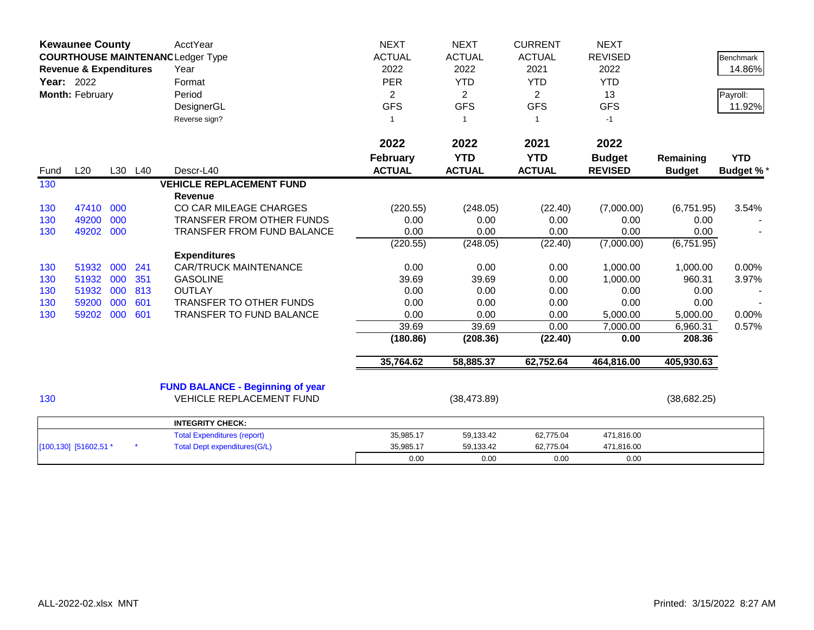|            | <b>Kewaunee County</b>                                                        |     |         | AcctYear                                | <b>NEXT</b>     | <b>NEXT</b>    | <b>CURRENT</b> | <b>NEXT</b>    |               |                  |
|------------|-------------------------------------------------------------------------------|-----|---------|-----------------------------------------|-----------------|----------------|----------------|----------------|---------------|------------------|
|            | <b>COURTHOUSE MAINTENANC Ledger Type</b><br><b>Revenue &amp; Expenditures</b> |     |         |                                         | <b>ACTUAL</b>   | <b>ACTUAL</b>  | <b>ACTUAL</b>  | <b>REVISED</b> |               | <b>Benchmark</b> |
|            |                                                                               |     |         | Year                                    | 2022            | 2022           | 2021           | 2022           |               | 14.86%           |
| Year: 2022 |                                                                               |     |         | Format                                  | <b>PER</b>      | <b>YTD</b>     | <b>YTD</b>     | <b>YTD</b>     |               |                  |
|            | Month: February                                                               |     |         | Period                                  | $\overline{2}$  | $\overline{2}$ | $\overline{2}$ | 13             |               | Payroll:         |
|            |                                                                               |     |         | DesignerGL                              | <b>GFS</b>      | <b>GFS</b>     | <b>GFS</b>     | <b>GFS</b>     |               | 11.92%           |
|            |                                                                               |     |         | Reverse sign?                           | 1               | -1             | $\mathbf{1}$   | $-1$           |               |                  |
|            |                                                                               |     |         |                                         | 2022            | 2022           | 2021           | 2022           |               |                  |
|            |                                                                               |     |         |                                         | <b>February</b> | <b>YTD</b>     | <b>YTD</b>     | <b>Budget</b>  | Remaining     | <b>YTD</b>       |
| Fund       | L20                                                                           |     | L30 L40 | Descr-L40                               | <b>ACTUAL</b>   | <b>ACTUAL</b>  | <b>ACTUAL</b>  | <b>REVISED</b> | <b>Budget</b> | <b>Budget %*</b> |
| 130        |                                                                               |     |         | <b>VEHICLE REPLACEMENT FUND</b>         |                 |                |                |                |               |                  |
|            |                                                                               |     |         | <b>Revenue</b>                          |                 |                |                |                |               |                  |
| 130        | 47410                                                                         | 000 |         | CO CAR MILEAGE CHARGES                  | (220.55)        | (248.05)       | (22.40)        | (7,000.00)     | (6,751.95)    | 3.54%            |
| 130        | 49200                                                                         | 000 |         | TRANSFER FROM OTHER FUNDS               | 0.00            | 0.00           | 0.00           | 0.00           | 0.00          |                  |
| 130        | 49202                                                                         | 000 |         | <b>TRANSFER FROM FUND BALANCE</b>       | 0.00            | 0.00           | 0.00           | 0.00           | 0.00          |                  |
|            |                                                                               |     |         |                                         | (220.55)        | (248.05)       | (22.40)        | (7,000.00)     | (6,751.95)    |                  |
|            |                                                                               |     |         | <b>Expenditures</b>                     |                 |                |                |                |               |                  |
| 130        | 51932                                                                         | 000 | 241     | <b>CAR/TRUCK MAINTENANCE</b>            | 0.00            | 0.00           | 0.00           | 1,000.00       | 1,000.00      | 0.00%            |
| 130        | 51932                                                                         | 000 | 351     | <b>GASOLINE</b>                         | 39.69           | 39.69          | 0.00           | 1,000.00       | 960.31        | 3.97%            |
| 130        | 51932                                                                         | 000 | 813     | <b>OUTLAY</b>                           | 0.00            | 0.00           | 0.00           | 0.00           | 0.00          |                  |
| 130        | 59200                                                                         | 000 | 601     | <b>TRANSFER TO OTHER FUNDS</b>          | 0.00            | 0.00           | 0.00           | 0.00           | 0.00          |                  |
| 130        | 59202                                                                         | 000 | 601     | TRANSFER TO FUND BALANCE                | 0.00            | 0.00           | 0.00           | 5,000.00       | 5,000.00      | 0.00%            |
|            |                                                                               |     |         |                                         | 39.69           | 39.69          | 0.00           | 7,000.00       | 6,960.31      | 0.57%            |
|            |                                                                               |     |         |                                         | (180.86)        | (208.36)       | (22.40)        | 0.00           | 208.36        |                  |
|            |                                                                               |     |         |                                         | 35,764.62       | 58,885.37      | 62,752.64      | 464,816.00     | 405,930.63    |                  |
|            |                                                                               |     |         | <b>FUND BALANCE - Beginning of year</b> |                 |                |                |                |               |                  |
| 130        |                                                                               |     |         | <b>VEHICLE REPLACEMENT FUND</b>         |                 | (38, 473.89)   |                |                | (38, 682.25)  |                  |
|            |                                                                               |     |         | <b>INTEGRITY CHECK:</b>                 |                 |                |                |                |               |                  |
|            |                                                                               |     |         | <b>Total Expenditures (report)</b>      | 35,985.17       | 59,133.42      | 62,775.04      | 471,816.00     |               |                  |
|            | [100,130] [51602,51 *                                                         |     |         | <b>Total Dept expenditures(G/L)</b>     | 35,985.17       | 59,133.42      | 62,775.04      | 471,816.00     |               |                  |
|            |                                                                               |     |         |                                         | 0.00            | 0.00           | 0.00           | 0.00           |               |                  |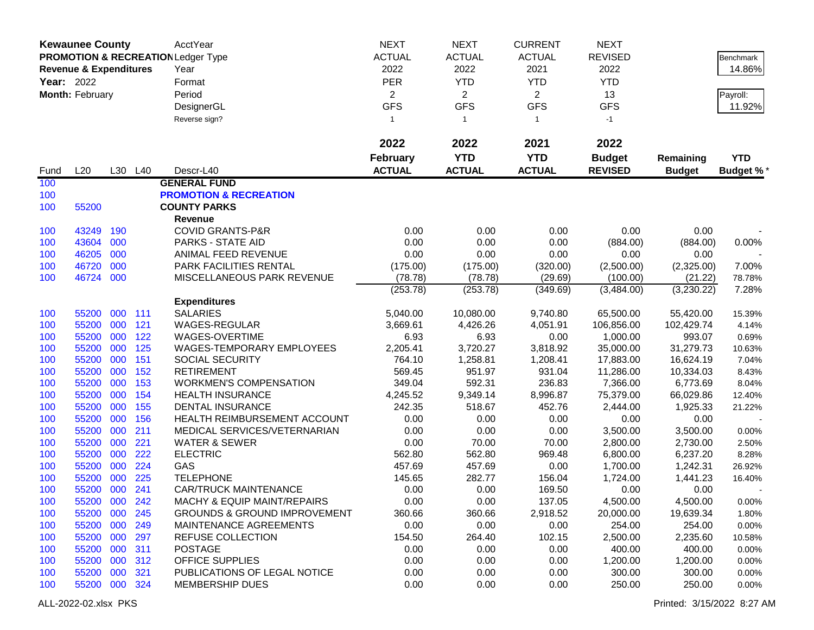|                   | <b>Kewaunee County</b>            |            |            | AcctYear                                      | <b>NEXT</b>      | <b>NEXT</b>        | <b>CURRENT</b>     | <b>NEXT</b>            |                        |                |
|-------------------|-----------------------------------|------------|------------|-----------------------------------------------|------------------|--------------------|--------------------|------------------------|------------------------|----------------|
|                   |                                   |            |            | <b>PROMOTION &amp; RECREATION Ledger Type</b> | <b>ACTUAL</b>    | <b>ACTUAL</b>      | <b>ACTUAL</b>      | <b>REVISED</b>         |                        | Benchmark      |
|                   | <b>Revenue &amp; Expenditures</b> |            |            | Year                                          | 2022             | 2022               | 2021               | 2022                   |                        | 14.86%         |
| <b>Year: 2022</b> |                                   |            |            | Format                                        | <b>PER</b>       | <b>YTD</b>         | <b>YTD</b>         | <b>YTD</b>             |                        |                |
|                   | Month: February                   |            |            | Period                                        | $\overline{2}$   | $\overline{2}$     | $\overline{2}$     | 13                     |                        | Payroll:       |
|                   |                                   |            |            | DesignerGL                                    | <b>GFS</b>       | <b>GFS</b>         | <b>GFS</b>         | <b>GFS</b>             |                        | 11.92%         |
|                   |                                   |            |            | Reverse sign?                                 | $\mathbf{1}$     | $\mathbf{1}$       | $\mathbf{1}$       | $-1$                   |                        |                |
|                   |                                   |            |            |                                               |                  |                    |                    |                        |                        |                |
|                   |                                   |            |            |                                               | 2022             | 2022               | 2021               | 2022                   |                        |                |
|                   |                                   |            |            |                                               | <b>February</b>  | <b>YTD</b>         | <b>YTD</b>         | <b>Budget</b>          | Remaining              | <b>YTD</b>     |
| Fund              | L20                               |            | L30 L40    | Descr-L40                                     | <b>ACTUAL</b>    | <b>ACTUAL</b>      | <b>ACTUAL</b>      | <b>REVISED</b>         | <b>Budget</b>          | Budget %*      |
| 100               |                                   |            |            | <b>GENERAL FUND</b>                           |                  |                    |                    |                        |                        |                |
| 100               |                                   |            |            | <b>PROMOTION &amp; RECREATION</b>             |                  |                    |                    |                        |                        |                |
| 100               | 55200                             |            |            | <b>COUNTY PARKS</b>                           |                  |                    |                    |                        |                        |                |
|                   |                                   |            |            | Revenue                                       |                  |                    |                    |                        |                        |                |
| 100               | 43249                             | 190        |            | <b>COVID GRANTS-P&amp;R</b>                   | 0.00             | 0.00               | 0.00               | 0.00                   | 0.00                   |                |
| 100               | 43604                             | 000        |            | PARKS - STATE AID                             | 0.00             | 0.00               | 0.00               | (884.00)               | (884.00)               | 0.00%          |
| 100               | 46205                             | 000        |            | ANIMAL FEED REVENUE                           | 0.00             | 0.00               | 0.00               | 0.00                   | 0.00                   |                |
| 100               | 46720                             | 000        |            | PARK FACILITIES RENTAL                        | (175.00)         | (175.00)           | (320.00)           | (2,500.00)             | (2,325.00)             | 7.00%          |
| 100               | 46724                             | 000        |            | MISCELLANEOUS PARK REVENUE                    | (78.78)          | (78.78)            | (29.69)            | (100.00)               | (21.22)                | 78.78%         |
|                   |                                   |            |            |                                               | (253.78)         | (253.78)           | (349.69)           | (3,484.00)             | (3,230.22)             | 7.28%          |
|                   |                                   |            |            | <b>Expenditures</b>                           |                  |                    |                    |                        |                        |                |
| 100               | 55200                             | 000        | 111        | <b>SALARIES</b>                               | 5,040.00         | 10,080.00          | 9,740.80           | 65,500.00              | 55,420.00              | 15.39%         |
| 100               | 55200                             | 000        | 121        | WAGES-REGULAR                                 | 3,669.61         | 4,426.26           | 4,051.91           | 106,856.00             | 102,429.74             | 4.14%          |
| 100               | 55200                             | 000        | 122        | WAGES-OVERTIME                                | 6.93             | 6.93               | 0.00               | 1,000.00               | 993.07                 | 0.69%          |
| 100               | 55200                             | 000        | 125        | WAGES-TEMPORARY EMPLOYEES                     | 2,205.41         | 3,720.27           | 3,818.92           | 35,000.00              | 31,279.73              | 10.63%         |
| 100<br>100        | 55200<br>55200                    | 000<br>000 | 151<br>152 | <b>SOCIAL SECURITY</b><br><b>RETIREMENT</b>   | 764.10<br>569.45 | 1,258.81<br>951.97 | 1,208.41<br>931.04 | 17,883.00<br>11,286.00 | 16,624.19<br>10,334.03 | 7.04%          |
| 100               | 55200                             | 000        | 153        | <b>WORKMEN'S COMPENSATION</b>                 | 349.04           | 592.31             | 236.83             | 7,366.00               | 6,773.69               | 8.43%<br>8.04% |
| 100               | 55200                             | 000        | 154        | <b>HEALTH INSURANCE</b>                       | 4,245.52         | 9,349.14           | 8,996.87           | 75,379.00              | 66,029.86              | 12.40%         |
| 100               | 55200                             | 000        | 155        | <b>DENTAL INSURANCE</b>                       | 242.35           | 518.67             | 452.76             | 2,444.00               | 1,925.33               | 21.22%         |
| 100               | 55200                             | 000        | 156        | HEALTH REIMBURSEMENT ACCOUNT                  | 0.00             | 0.00               | 0.00               | 0.00                   | 0.00                   |                |
| 100               | 55200                             | 000        | 211        | MEDICAL SERVICES/VETERNARIAN                  | 0.00             | 0.00               | 0.00               | 3,500.00               | 3,500.00               | 0.00%          |
| 100               | 55200                             | 000        | 221        | <b>WATER &amp; SEWER</b>                      | 0.00             | 70.00              | 70.00              | 2,800.00               | 2,730.00               | 2.50%          |
| 100               | 55200                             | 000        | 222        | <b>ELECTRIC</b>                               | 562.80           | 562.80             | 969.48             | 6,800.00               | 6,237.20               | 8.28%          |
| 100               | 55200                             | 000        | 224        | GAS                                           | 457.69           | 457.69             | 0.00               | 1,700.00               | 1,242.31               | 26.92%         |
| 100               | 55200                             | 000        | 225        | <b>TELEPHONE</b>                              | 145.65           | 282.77             | 156.04             | 1,724.00               | 1,441.23               | 16.40%         |
| 100               | 55200 000                         |            | 241        | <b>CAR/TRUCK MAINTENANCE</b>                  | 0.00             | 0.00               | 169.50             | 0.00                   | 0.00                   |                |
| 100               | 55200 000                         |            | 242        | MACHY & EQUIP MAINT/REPAIRS                   | 0.00             | 0.00               | 137.05             | 4,500.00               | 4,500.00               | 0.00%          |
| 100               | 55200 000                         |            | 245        | <b>GROUNDS &amp; GROUND IMPROVEMENT</b>       | 360.66           | 360.66             | 2,918.52           | 20,000.00              | 19,639.34              | 1.80%          |
| 100               | 55200 000                         |            | 249        | MAINTENANCE AGREEMENTS                        | 0.00             | 0.00               | 0.00               | 254.00                 | 254.00                 | 0.00%          |
| 100               | 55200 000                         |            | 297        | REFUSE COLLECTION                             | 154.50           | 264.40             | 102.15             | 2,500.00               | 2,235.60               | 10.58%         |
| 100               | 55200 000                         |            | 311        | <b>POSTAGE</b>                                | 0.00             | 0.00               | 0.00               | 400.00                 | 400.00                 | 0.00%          |
| 100               | 55200 000                         |            | 312        | OFFICE SUPPLIES                               | 0.00             | 0.00               | 0.00               | 1,200.00               | 1,200.00               | 0.00%          |
| 100               | 55200 000                         |            | 321        | PUBLICATIONS OF LEGAL NOTICE                  | 0.00             | 0.00               | 0.00               | 300.00                 | 300.00                 | 0.00%          |
| 100               | 55200 000 324                     |            |            | <b>MEMBERSHIP DUES</b>                        | 0.00             | 0.00               | 0.00               | 250.00                 | 250.00                 | 0.00%          |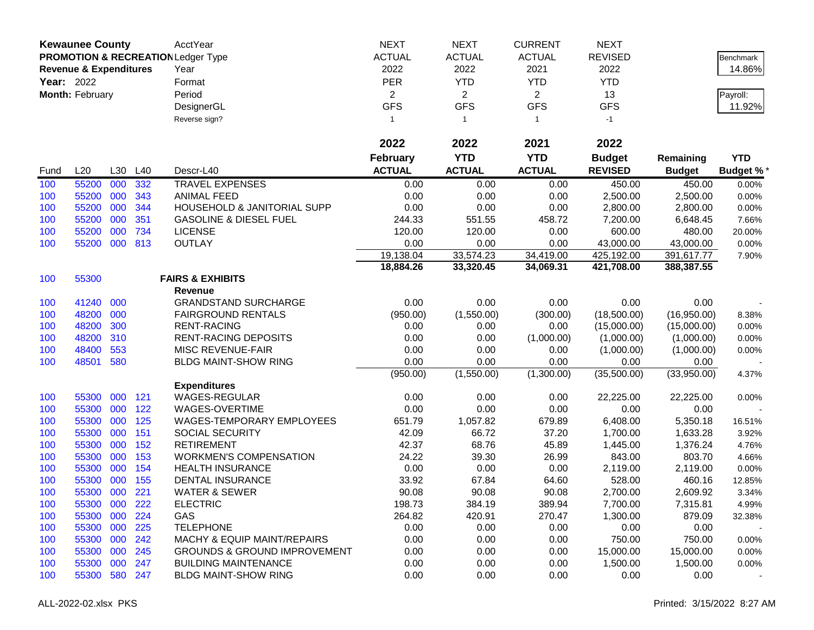|            | <b>Kewaunee County</b>            |     |         | AcctYear                                      | <b>NEXT</b>     | <b>NEXT</b>    | <b>CURRENT</b> | <b>NEXT</b>    |               |                  |
|------------|-----------------------------------|-----|---------|-----------------------------------------------|-----------------|----------------|----------------|----------------|---------------|------------------|
|            |                                   |     |         | <b>PROMOTION &amp; RECREATION Ledger Type</b> | <b>ACTUAL</b>   | <b>ACTUAL</b>  | <b>ACTUAL</b>  | <b>REVISED</b> |               | Benchmark        |
|            | <b>Revenue &amp; Expenditures</b> |     |         | Year                                          | 2022            | 2022           | 2021           | 2022           |               | 14.86%           |
| Year: 2022 |                                   |     |         | Format                                        | <b>PER</b>      | <b>YTD</b>     | <b>YTD</b>     | <b>YTD</b>     |               |                  |
|            | Month: February                   |     |         | Period                                        | $\overline{c}$  | $\overline{2}$ | $\overline{2}$ | 13             |               | Payroll:         |
|            |                                   |     |         | DesignerGL                                    | <b>GFS</b>      | <b>GFS</b>     | <b>GFS</b>     | <b>GFS</b>     |               | 11.92%           |
|            |                                   |     |         | Reverse sign?                                 | $\mathbf{1}$    | $\overline{1}$ | $\mathbf{1}$   | $-1$           |               |                  |
|            |                                   |     |         |                                               |                 |                |                |                |               |                  |
|            |                                   |     |         |                                               | 2022            | 2022           | 2021           | 2022           |               |                  |
|            |                                   |     |         |                                               | <b>February</b> | <b>YTD</b>     | <b>YTD</b>     | <b>Budget</b>  | Remaining     | <b>YTD</b>       |
| Fund       | L20                               | L30 | L40     | Descr-L40                                     | <b>ACTUAL</b>   | <b>ACTUAL</b>  | <b>ACTUAL</b>  | <b>REVISED</b> | <b>Budget</b> | <b>Budget %*</b> |
| 100        | 55200                             | 000 | 332     | <b>TRAVEL EXPENSES</b>                        | 0.00            | 0.00           | 0.00           | 450.00         | 450.00        | 0.00%            |
| 100        | 55200                             | 000 | 343     | <b>ANIMAL FEED</b>                            | 0.00            | 0.00           | 0.00           | 2,500.00       | 2,500.00      | 0.00%            |
| 100        | 55200                             | 000 | 344     | HOUSEHOLD & JANITORIAL SUPP                   | 0.00            | 0.00           | 0.00           | 2,800.00       | 2,800.00      | 0.00%            |
| 100        | 55200                             | 000 | 351     | <b>GASOLINE &amp; DIESEL FUEL</b>             | 244.33          | 551.55         | 458.72         | 7,200.00       | 6,648.45      | 7.66%            |
| 100        | 55200                             | 000 | 734     | <b>LICENSE</b>                                | 120.00          | 120.00         | 0.00           | 600.00         | 480.00        | 20.00%           |
| 100        | 55200                             | 000 | 813     | <b>OUTLAY</b>                                 | 0.00            | 0.00           | 0.00           | 43,000.00      | 43,000.00     | 0.00%            |
|            |                                   |     |         |                                               | 19,138.04       | 33,574.23      | 34,419.00      | 425,192.00     | 391,617.77    | 7.90%            |
|            |                                   |     |         |                                               | 18,884.26       | 33,320.45      | 34,069.31      | 421,708.00     | 388,387.55    |                  |
| 100        | 55300                             |     |         | <b>FAIRS &amp; EXHIBITS</b>                   |                 |                |                |                |               |                  |
|            |                                   |     |         | <b>Revenue</b>                                |                 |                |                |                |               |                  |
| 100        | 41240                             | 000 |         | <b>GRANDSTAND SURCHARGE</b>                   | 0.00            | 0.00           | 0.00           | 0.00           | 0.00          |                  |
| 100        | 48200                             | 000 |         | <b>FAIRGROUND RENTALS</b>                     | (950.00)        | (1,550.00)     | (300.00)       | (18,500.00)    | (16,950.00)   | 8.38%            |
| 100        | 48200                             | 300 |         | <b>RENT-RACING</b>                            | 0.00            | 0.00           | 0.00           | (15,000.00)    | (15,000.00)   | 0.00%            |
| 100        | 48200                             | 310 |         | <b>RENT-RACING DEPOSITS</b>                   | 0.00            | 0.00           | (1,000.00)     | (1,000.00)     | (1,000.00)    | 0.00%            |
| 100        | 48400                             | 553 |         | MISC REVENUE-FAIR                             | 0.00            | 0.00           | 0.00           | (1,000.00)     | (1,000.00)    | 0.00%            |
| 100        | 48501                             | 580 |         | <b>BLDG MAINT-SHOW RING</b>                   | 0.00            | 0.00           | 0.00           | 0.00           | 0.00          |                  |
|            |                                   |     |         |                                               | (950.00)        | (1,550.00)     | (1,300.00)     | (35,500.00)    | (33,950.00)   | 4.37%            |
|            |                                   |     |         | <b>Expenditures</b>                           |                 |                |                |                |               |                  |
| 100        | 55300                             | 000 | 121     | <b>WAGES-REGULAR</b>                          | 0.00            | 0.00           | 0.00           | 22,225.00      | 22,225.00     | 0.00%            |
| 100        | 55300                             | 000 | 122     | WAGES-OVERTIME                                | 0.00            | 0.00           | 0.00           | 0.00           | 0.00          |                  |
| 100        | 55300                             | 000 | 125     | WAGES-TEMPORARY EMPLOYEES                     | 651.79          | 1,057.82       | 679.89         | 6,408.00       | 5,350.18      | 16.51%           |
| 100        | 55300                             | 000 | 151     | SOCIAL SECURITY                               | 42.09           | 66.72          | 37.20          | 1,700.00       | 1,633.28      | 3.92%            |
| 100        | 55300                             | 000 | 152     | <b>RETIREMENT</b>                             | 42.37           | 68.76          | 45.89          | 1,445.00       | 1,376.24      | 4.76%            |
| 100        | 55300                             | 000 | 153     | <b>WORKMEN'S COMPENSATION</b>                 | 24.22           | 39.30          | 26.99          | 843.00         | 803.70        | 4.66%            |
| 100        | 55300                             | 000 | 154     | <b>HEALTH INSURANCE</b>                       | 0.00            | 0.00           | 0.00           | 2,119.00       | 2,119.00      | 0.00%            |
| 100        | 55300                             | 000 | 155     | DENTAL INSURANCE                              | 33.92           | 67.84          | 64.60          | 528.00         | 460.16        | 12.85%           |
| 100        | 55300                             | 000 | 221     | <b>WATER &amp; SEWER</b>                      | 90.08           | 90.08          | 90.08          | 2,700.00       | 2,609.92      | 3.34%            |
| 100        | 55300                             | 000 | 222     | <b>ELECTRIC</b>                               | 198.73          | 384.19         | 389.94         | 7,700.00       | 7,315.81      | 4.99%            |
| 100        | 55300                             |     | 000 224 | GAS                                           | 264.82          | 420.91         | 270.47         | 1,300.00       | 879.09        | 32.38%           |
| 100        | 55300                             | 000 | 225     | <b>TELEPHONE</b>                              | 0.00            | 0.00           | 0.00           | 0.00           | 0.00          |                  |
| 100        | 55300                             | 000 | 242     | <b>MACHY &amp; EQUIP MAINT/REPAIRS</b>        | 0.00            | 0.00           | 0.00           | 750.00         | 750.00        | 0.00%            |
| 100        | 55300                             | 000 | 245     | <b>GROUNDS &amp; GROUND IMPROVEMENT</b>       | 0.00            | 0.00           | 0.00           | 15,000.00      | 15,000.00     | 0.00%            |
| 100        | 55300                             | 000 | 247     | <b>BUILDING MAINTENANCE</b>                   | 0.00            | 0.00           | 0.00           | 1,500.00       | 1,500.00      | 0.00%            |
| 100        | 55300                             |     | 580 247 | <b>BLDG MAINT-SHOW RING</b>                   | 0.00            | 0.00           | 0.00           | 0.00           | 0.00          |                  |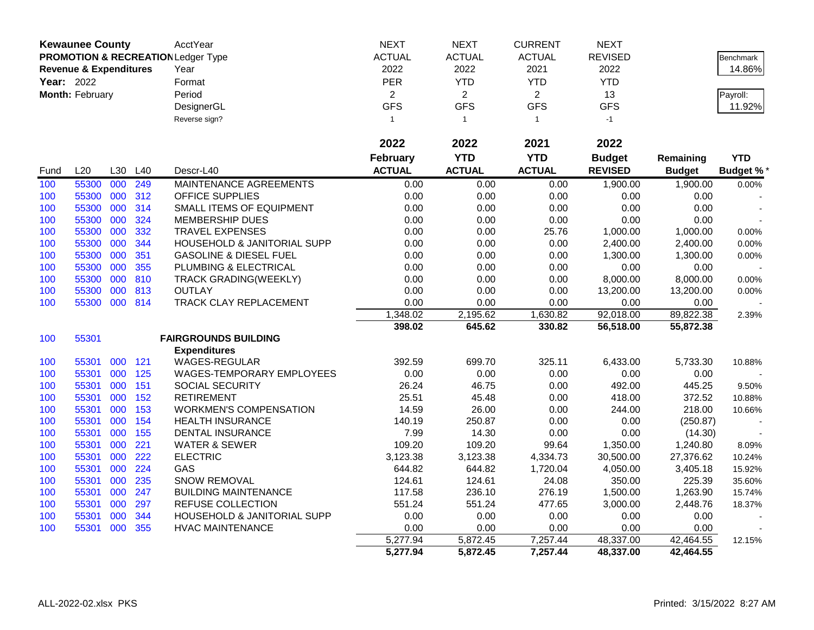| <b>Kewaunee County</b> |                                   |     | AcctYear | <b>NEXT</b>                                   | <b>NEXT</b>    | <b>CURRENT</b> | <b>NEXT</b>    |                |               |                  |
|------------------------|-----------------------------------|-----|----------|-----------------------------------------------|----------------|----------------|----------------|----------------|---------------|------------------|
|                        |                                   |     |          | <b>PROMOTION &amp; RECREATION Ledger Type</b> | <b>ACTUAL</b>  | <b>ACTUAL</b>  | <b>ACTUAL</b>  | <b>REVISED</b> |               | <b>Benchmark</b> |
|                        | <b>Revenue &amp; Expenditures</b> |     |          | Year                                          | 2022           | 2022           | 2021           | 2022           |               | 14.86%           |
| <b>Year: 2022</b>      |                                   |     |          | Format                                        | PER            | <b>YTD</b>     | <b>YTD</b>     | <b>YTD</b>     |               |                  |
|                        | Month: February                   |     |          | Period                                        | $\overline{2}$ | $\overline{2}$ | $\overline{2}$ | 13             |               | Payroll:         |
|                        |                                   |     |          | DesignerGL                                    | <b>GFS</b>     | <b>GFS</b>     | <b>GFS</b>     | <b>GFS</b>     |               | 11.92%           |
|                        |                                   |     |          | Reverse sign?                                 | $\mathbf{1}$   | $\mathbf{1}$   | $\mathbf{1}$   | $-1$           |               |                  |
|                        |                                   |     |          |                                               |                |                |                |                |               |                  |
|                        |                                   |     |          |                                               | 2022           | 2022           | 2021           | 2022           |               |                  |
|                        |                                   |     |          |                                               | February       | <b>YTD</b>     | <b>YTD</b>     | <b>Budget</b>  | Remaining     | <b>YTD</b>       |
| Fund                   | L20                               | L30 | L40      | Descr-L40                                     | <b>ACTUAL</b>  | <b>ACTUAL</b>  | <b>ACTUAL</b>  | <b>REVISED</b> | <b>Budget</b> | <b>Budget %*</b> |
| 100                    | 55300                             | 000 | 249      | MAINTENANCE AGREEMENTS                        | 0.00           | 0.00           | 0.00           | 1,900.00       | 1,900.00      | 0.00%            |
| 100                    | 55300                             | 000 | 312      | OFFICE SUPPLIES                               | 0.00           | 0.00           | 0.00           | 0.00           | 0.00          |                  |
| 100                    | 55300                             | 000 | 314      | SMALL ITEMS OF EQUIPMENT                      | 0.00           | 0.00           | 0.00           | 0.00           | 0.00          |                  |
| 100                    | 55300                             | 000 | 324      | MEMBERSHIP DUES                               | 0.00           | 0.00           | 0.00           | 0.00           | 0.00          |                  |
| 100                    | 55300                             | 000 | 332      | <b>TRAVEL EXPENSES</b>                        | 0.00           | 0.00           | 25.76          | 1,000.00       | 1,000.00      | 0.00%            |
| 100                    | 55300                             | 000 | 344      | HOUSEHOLD & JANITORIAL SUPP                   | 0.00           | 0.00           | 0.00           | 2,400.00       | 2,400.00      | 0.00%            |
| 100                    | 55300                             | 000 | 351      | <b>GASOLINE &amp; DIESEL FUEL</b>             | 0.00           | 0.00           | 0.00           | 1,300.00       | 1,300.00      | 0.00%            |
| 100                    | 55300                             | 000 | 355      | PLUMBING & ELECTRICAL                         | 0.00           | 0.00           | 0.00           | 0.00           | 0.00          |                  |
| 100                    | 55300                             | 000 | 810      | TRACK GRADING(WEEKLY)                         | 0.00           | 0.00           | 0.00           | 8,000.00       | 8,000.00      | 0.00%            |
| 100                    | 55300                             | 000 | 813      | <b>OUTLAY</b>                                 | 0.00           | 0.00           | 0.00           | 13,200.00      | 13,200.00     | 0.00%            |
| 100                    | 55300                             | 000 | 814      | TRACK CLAY REPLACEMENT                        | 0.00           | 0.00           | 0.00           | 0.00           | 0.00          |                  |
|                        |                                   |     |          |                                               | 1,348.02       | 2,195.62       | 1,630.82       | 92,018.00      | 89,822.38     | 2.39%            |
|                        |                                   |     |          |                                               | 398.02         | 645.62         | 330.82         | 56,518.00      | 55,872.38     |                  |
| 100                    | 55301                             |     |          | <b>FAIRGROUNDS BUILDING</b>                   |                |                |                |                |               |                  |
|                        |                                   |     |          | <b>Expenditures</b>                           |                |                |                |                |               |                  |
| 100                    | 55301                             | 000 | 121      | WAGES-REGULAR                                 | 392.59         | 699.70         | 325.11         | 6,433.00       | 5,733.30      | 10.88%           |
| 100                    | 55301                             | 000 | 125      | WAGES-TEMPORARY EMPLOYEES                     | 0.00           | 0.00           | 0.00           | 0.00           | 0.00          |                  |
| 100                    | 55301                             | 000 | 151      | SOCIAL SECURITY                               | 26.24          | 46.75          | 0.00           | 492.00         | 445.25        | 9.50%            |
| 100                    | 55301                             | 000 | 152      | <b>RETIREMENT</b>                             | 25.51          | 45.48          | 0.00           | 418.00         | 372.52        | 10.88%           |
| 100                    | 55301                             | 000 | 153      | <b>WORKMEN'S COMPENSATION</b>                 | 14.59          | 26.00          | 0.00           | 244.00         | 218.00        | 10.66%           |
| 100                    | 55301                             | 000 | 154      | HEALTH INSURANCE                              | 140.19         | 250.87         | 0.00           | 0.00           | (250.87)      |                  |
| 100                    | 55301                             | 000 | 155      | <b>DENTAL INSURANCE</b>                       | 7.99           | 14.30          | 0.00           | 0.00           | (14.30)       |                  |
| 100                    | 55301                             | 000 | 221      | <b>WATER &amp; SEWER</b>                      | 109.20         | 109.20         | 99.64          | 1,350.00       | 1,240.80      | 8.09%            |
| 100                    | 55301                             | 000 | 222      | <b>ELECTRIC</b>                               | 3,123.38       | 3,123.38       | 4,334.73       | 30,500.00      | 27,376.62     | 10.24%           |
| 100                    | 55301                             | 000 | 224      | GAS                                           | 644.82         | 644.82         | 1,720.04       | 4,050.00       | 3,405.18      | 15.92%           |
| 100                    | 55301                             | 000 | 235      | <b>SNOW REMOVAL</b>                           | 124.61         | 124.61         | 24.08          | 350.00         | 225.39        | 35.60%           |
| 100                    | 55301                             | 000 | 247      | <b>BUILDING MAINTENANCE</b>                   | 117.58         | 236.10         | 276.19         | 1,500.00       | 1,263.90      | 15.74%           |
| 100                    | 55301                             | 000 | 297      | <b>REFUSE COLLECTION</b>                      | 551.24         | 551.24         | 477.65         | 3,000.00       | 2,448.76      | 18.37%           |
| 100                    | 55301                             | 000 | 344      | HOUSEHOLD & JANITORIAL SUPP                   | 0.00           | 0.00           | 0.00           | 0.00           | 0.00          |                  |
| 100                    | 55301                             | 000 | 355      | <b>HVAC MAINTENANCE</b>                       | 0.00           | 0.00           | 0.00           | 0.00           | 0.00          |                  |
|                        |                                   |     |          |                                               | 5,277.94       | 5,872.45       | 7,257.44       | 48,337.00      | 42,464.55     | 12.15%           |
|                        |                                   |     |          |                                               | 5,277.94       | 5,872.45       | 7,257.44       | 48,337.00      | 42,464.55     |                  |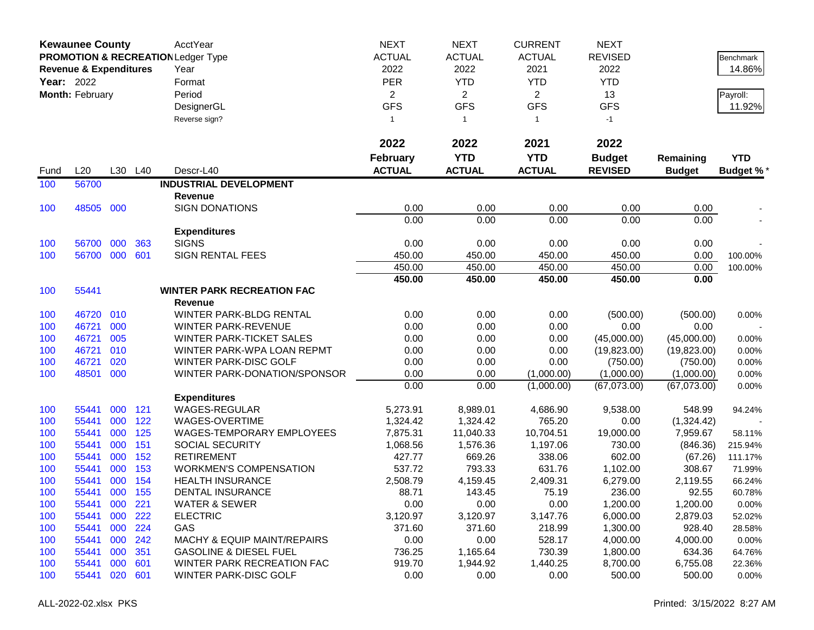|      | <b>Kewaunee County</b>            |     |         | AcctYear                                      | <b>NEXT</b>     | <b>NEXT</b>    | <b>CURRENT</b> | <b>NEXT</b>    |               |                  |
|------|-----------------------------------|-----|---------|-----------------------------------------------|-----------------|----------------|----------------|----------------|---------------|------------------|
|      |                                   |     |         | <b>PROMOTION &amp; RECREATION Ledger Type</b> | <b>ACTUAL</b>   | <b>ACTUAL</b>  | <b>ACTUAL</b>  | <b>REVISED</b> |               | <b>Benchmark</b> |
|      | <b>Revenue &amp; Expenditures</b> |     |         | Year                                          | 2022            | 2022           | 2021           | 2022           |               | 14.86%           |
|      | <b>Year: 2022</b>                 |     |         | Format                                        | <b>PER</b>      | <b>YTD</b>     | <b>YTD</b>     | <b>YTD</b>     |               |                  |
|      | Month: February                   |     |         | Period                                        | $\overline{a}$  | $\overline{2}$ | $\overline{2}$ | 13             |               | Payroll:         |
|      |                                   |     |         | DesignerGL                                    | <b>GFS</b>      | <b>GFS</b>     | <b>GFS</b>     | <b>GFS</b>     |               | 11.92%           |
|      |                                   |     |         | Reverse sign?                                 | $\mathbf{1}$    | $\overline{1}$ | $\mathbf{1}$   | $-1$           |               |                  |
|      |                                   |     |         |                                               |                 |                |                |                |               |                  |
|      |                                   |     |         |                                               | 2022            | 2022           | 2021           | 2022           |               |                  |
|      |                                   |     |         |                                               | <b>February</b> | <b>YTD</b>     | <b>YTD</b>     | <b>Budget</b>  | Remaining     | <b>YTD</b>       |
| Fund | L20                               |     | L30 L40 | Descr-L40                                     | <b>ACTUAL</b>   | <b>ACTUAL</b>  | <b>ACTUAL</b>  | <b>REVISED</b> | <b>Budget</b> | Budget %*        |
| 100  | 56700                             |     |         | <b>INDUSTRIAL DEVELOPMENT</b>                 |                 |                |                |                |               |                  |
|      |                                   |     |         | <b>Revenue</b>                                |                 |                |                |                |               |                  |
| 100  | 48505                             | 000 |         | <b>SIGN DONATIONS</b>                         | 0.00            | 0.00           | 0.00           | 0.00           | 0.00          |                  |
|      |                                   |     |         |                                               | 0.00            | 0.00           | 0.00           | 0.00           | 0.00          |                  |
|      |                                   |     |         | <b>Expenditures</b>                           |                 |                |                |                |               |                  |
| 100  | 56700                             | 000 | 363     | <b>SIGNS</b>                                  | 0.00            | 0.00           | 0.00           | 0.00           | 0.00          |                  |
| 100  | 56700                             | 000 | 601     | <b>SIGN RENTAL FEES</b>                       | 450.00          | 450.00         | 450.00         | 450.00         | 0.00          | 100.00%          |
|      |                                   |     |         |                                               | 450.00          | 450.00         | 450.00         | 450.00         | 0.00          | 100.00%          |
|      |                                   |     |         |                                               | 450.00          | 450.00         | 450.00         | 450.00         | 0.00          |                  |
| 100  | 55441                             |     |         | <b>WINTER PARK RECREATION FAC</b>             |                 |                |                |                |               |                  |
|      |                                   |     |         | Revenue                                       |                 |                |                |                |               |                  |
| 100  | 46720                             | 010 |         | WINTER PARK-BLDG RENTAL                       | 0.00            | 0.00           | 0.00           | (500.00)       | (500.00)      | 0.00%            |
| 100  | 46721                             | 000 |         | WINTER PARK-REVENUE                           | 0.00            | 0.00           | 0.00           | 0.00           | 0.00          |                  |
| 100  | 46721                             | 005 |         | <b>WINTER PARK-TICKET SALES</b>               | 0.00            | 0.00           | 0.00           | (45,000.00)    | (45,000.00)   | 0.00%            |
| 100  | 46721                             | 010 |         | WINTER PARK-WPA LOAN REPMT                    | 0.00            | 0.00           | 0.00           | (19,823.00)    | (19,823.00)   | 0.00%            |
| 100  | 46721                             | 020 |         | WINTER PARK-DISC GOLF                         | 0.00            | 0.00           | 0.00           | (750.00)       | (750.00)      | 0.00%            |
| 100  | 48501                             | 000 |         | WINTER PARK-DONATION/SPONSOR                  | 0.00            | 0.00           | (1,000.00)     | (1,000.00)     | (1,000.00)    | 0.00%            |
|      |                                   |     |         |                                               | 0.00            | 0.00           | (1,000.00)     | (67,073.00)    | (67,073.00)   | 0.00%            |
|      |                                   |     |         | <b>Expenditures</b>                           |                 |                |                |                |               |                  |
| 100  | 55441                             | 000 | 121     | <b>WAGES-REGULAR</b>                          | 5,273.91        | 8,989.01       | 4,686.90       | 9,538.00       | 548.99        | 94.24%           |
| 100  | 55441                             | 000 | 122     | WAGES-OVERTIME                                | 1,324.42        | 1,324.42       | 765.20         | 0.00           | (1,324.42)    |                  |
| 100  | 55441                             | 000 | 125     | WAGES-TEMPORARY EMPLOYEES                     | 7,875.31        | 11,040.33      | 10,704.51      | 19,000.00      | 7,959.67      | 58.11%           |
| 100  | 55441                             | 000 | 151     | SOCIAL SECURITY                               | 1,068.56        | 1,576.36       | 1,197.06       | 730.00         | (846.36)      | 215.94%          |
| 100  | 55441                             | 000 | 152     | <b>RETIREMENT</b>                             | 427.77          | 669.26         | 338.06         | 602.00         | (67.26)       | 111.17%          |
| 100  | 55441                             | 000 | 153     | <b>WORKMEN'S COMPENSATION</b>                 | 537.72          | 793.33         | 631.76         | 1,102.00       | 308.67        | 71.99%           |
| 100  | 55441                             | 000 | 154     | <b>HEALTH INSURANCE</b>                       | 2,508.79        | 4,159.45       | 2,409.31       | 6,279.00       | 2,119.55      | 66.24%           |
| 100  | 55441                             | 000 | 155     | <b>DENTAL INSURANCE</b>                       | 88.71           | 143.45         | 75.19          | 236.00         | 92.55         | 60.78%           |
| 100  | 55441                             | 000 | 221     | <b>WATER &amp; SEWER</b>                      | 0.00            | 0.00           | 0.00           | 1,200.00       | 1,200.00      | 0.00%            |
| 100  | 55441                             | 000 | 222     | <b>ELECTRIC</b>                               | 3,120.97        | 3,120.97       | 3,147.76       | 6,000.00       | 2,879.03      | 52.02%           |
| 100  | 55441                             | 000 | 224     | GAS                                           | 371.60          | 371.60         | 218.99         | 1,300.00       | 928.40        | 28.58%           |
| 100  | 55441                             | 000 | 242     | <b>MACHY &amp; EQUIP MAINT/REPAIRS</b>        | 0.00            | 0.00           | 528.17         | 4,000.00       | 4,000.00      | 0.00%            |
| 100  | 55441                             | 000 | 351     | <b>GASOLINE &amp; DIESEL FUEL</b>             | 736.25          | 1,165.64       | 730.39         | 1,800.00       | 634.36        | 64.76%           |
| 100  | 55441                             | 000 | 601     | WINTER PARK RECREATION FAC                    | 919.70          | 1,944.92       | 1,440.25       | 8,700.00       | 6,755.08      | 22.36%           |
| 100  | 55441                             | 020 | 601     | WINTER PARK-DISC GOLF                         | 0.00            | 0.00           | 0.00           | 500.00         | 500.00        | $0.00\%$         |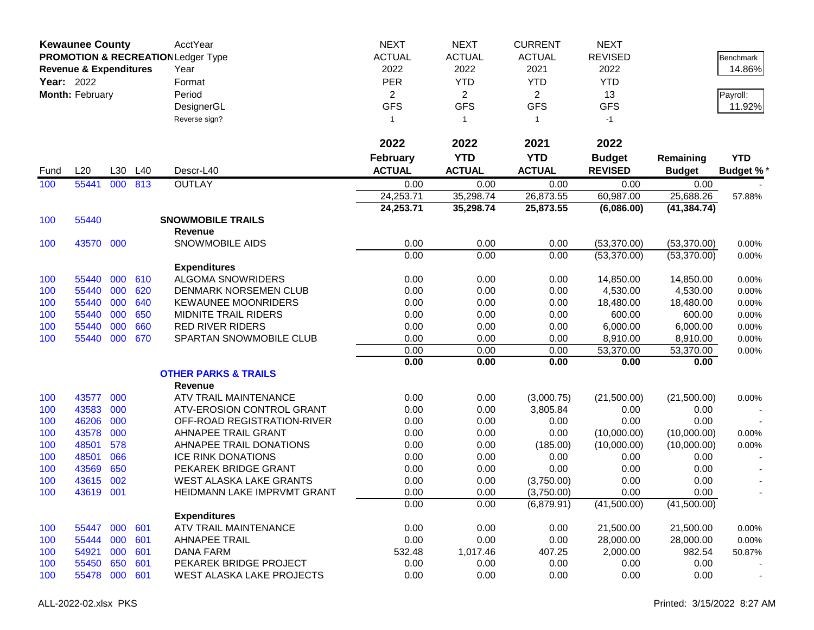|      | <b>Kewaunee County</b>            |     |     | AcctYear                                      | <b>NEXT</b>     | <b>NEXT</b>    | <b>CURRENT</b> | <b>NEXT</b>    |               |                  |
|------|-----------------------------------|-----|-----|-----------------------------------------------|-----------------|----------------|----------------|----------------|---------------|------------------|
|      |                                   |     |     | <b>PROMOTION &amp; RECREATION Ledger Type</b> | <b>ACTUAL</b>   | <b>ACTUAL</b>  | <b>ACTUAL</b>  | <b>REVISED</b> |               | <b>Benchmark</b> |
|      | <b>Revenue &amp; Expenditures</b> |     |     | Year                                          | 2022            | 2022           | 2021           | 2022           |               | 14.86%           |
|      | <b>Year: 2022</b>                 |     |     | Format                                        | <b>PER</b>      | <b>YTD</b>     | <b>YTD</b>     | <b>YTD</b>     |               |                  |
|      | Month: February                   |     |     | Period                                        | $\overline{a}$  | $\overline{2}$ | $\overline{2}$ | 13             |               | Payroll:         |
|      |                                   |     |     | DesignerGL                                    | <b>GFS</b>      | <b>GFS</b>     | <b>GFS</b>     | <b>GFS</b>     |               | 11.92%           |
|      |                                   |     |     | Reverse sign?                                 | $\mathbf{1}$    | $\overline{1}$ | $\mathbf{1}$   | $-1$           |               |                  |
|      |                                   |     |     |                                               |                 |                |                |                |               |                  |
|      |                                   |     |     |                                               | 2022            | 2022           | 2021           | 2022           |               |                  |
|      |                                   |     |     |                                               | <b>February</b> | <b>YTD</b>     | <b>YTD</b>     | <b>Budget</b>  | Remaining     | <b>YTD</b>       |
| Fund | L20                               | L30 | L40 | Descr-L40                                     | <b>ACTUAL</b>   | <b>ACTUAL</b>  | <b>ACTUAL</b>  | <b>REVISED</b> | <b>Budget</b> | <b>Budget %*</b> |
| 100  | 55441                             | 000 | 813 | <b>OUTLAY</b>                                 | 0.00            | 0.00           | 0.00           | 0.00           | 0.00          |                  |
|      |                                   |     |     |                                               | 24,253.71       | 35,298.74      | 26,873.55      | 60,987.00      | 25,688.26     | 57.88%           |
|      |                                   |     |     |                                               | 24,253.71       | 35,298.74      | 25,873.55      | (6,086.00)     | (41, 384.74)  |                  |
| 100  | 55440                             |     |     | <b>SNOWMOBILE TRAILS</b>                      |                 |                |                |                |               |                  |
|      |                                   |     |     | <b>Revenue</b>                                |                 |                |                |                |               |                  |
| 100  | 43570 000                         |     |     | SNOWMOBILE AIDS                               | 0.00            | 0.00           | 0.00           | (53,370.00)    | (53,370.00)   | 0.00%            |
|      |                                   |     |     |                                               | 0.00            | 0.00           | 0.00           | (53,370.00)    | (53,370.00)   | 0.00%            |
|      |                                   |     |     | <b>Expenditures</b>                           |                 |                |                |                |               |                  |
| 100  | 55440                             | 000 | 610 | <b>ALGOMA SNOWRIDERS</b>                      | 0.00            | 0.00           | 0.00           | 14,850.00      | 14,850.00     | 0.00%            |
| 100  | 55440                             | 000 | 620 | DENMARK NORSEMEN CLUB                         | 0.00            | 0.00           | 0.00           | 4,530.00       | 4,530.00      | 0.00%            |
| 100  | 55440                             | 000 | 640 | <b>KEWAUNEE MOONRIDERS</b>                    | 0.00            | 0.00           | 0.00           | 18,480.00      | 18,480.00     | 0.00%            |
| 100  | 55440                             | 000 | 650 | <b>MIDNITE TRAIL RIDERS</b>                   | 0.00            | 0.00           | 0.00           | 600.00         | 600.00        | 0.00%            |
| 100  | 55440                             | 000 | 660 | <b>RED RIVER RIDERS</b>                       | 0.00            | 0.00           | 0.00           | 6,000.00       | 6,000.00      | 0.00%            |
| 100  | 55440                             | 000 | 670 | SPARTAN SNOWMOBILE CLUB                       | 0.00            | 0.00           | 0.00           | 8,910.00       | 8,910.00      | 0.00%            |
|      |                                   |     |     |                                               | 0.00            | 0.00           | 0.00           | 53,370.00      | 53,370.00     | 0.00%            |
|      |                                   |     |     |                                               | 0.00            | 0.00           | 0.00           | 0.00           | 0.00          |                  |
|      |                                   |     |     | <b>OTHER PARKS &amp; TRAILS</b>               |                 |                |                |                |               |                  |
|      |                                   |     |     | <b>Revenue</b>                                |                 |                |                |                |               |                  |
| 100  | 43577                             | 000 |     | ATV TRAIL MAINTENANCE                         | 0.00            | 0.00           | (3,000.75)     | (21,500.00)    | (21,500.00)   | 0.00%            |
| 100  | 43583                             | 000 |     | ATV-EROSION CONTROL GRANT                     | 0.00            | 0.00           | 3,805.84       | 0.00           | 0.00          |                  |
| 100  | 46206                             | 000 |     | OFF-ROAD REGISTRATION-RIVER                   | 0.00            | 0.00           | 0.00           | 0.00           | 0.00          |                  |
| 100  | 43578                             | 000 |     | AHNAPEE TRAIL GRANT                           | 0.00            | 0.00           | 0.00           | (10,000.00)    | (10,000.00)   | 0.00%            |
| 100  | 48501                             | 578 |     | AHNAPEE TRAIL DONATIONS                       | 0.00            | 0.00           | (185.00)       | (10,000.00)    | (10,000.00)   | 0.00%            |
| 100  | 48501                             | 066 |     | <b>ICE RINK DONATIONS</b>                     | 0.00            | 0.00           | 0.00           | 0.00           | 0.00          |                  |
| 100  | 43569                             | 650 |     | PEKAREK BRIDGE GRANT                          | 0.00            | 0.00           | 0.00           | 0.00           | 0.00          |                  |
| 100  | 43615                             | 002 |     | <b>WEST ALASKA LAKE GRANTS</b>                | 0.00            | 0.00           | (3,750.00)     | 0.00           | 0.00          |                  |
| 100  | 43619                             | 001 |     | HEIDMANN LAKE IMPRVMT GRANT                   | 0.00            | 0.00           | (3,750.00)     | 0.00           | 0.00          |                  |
|      |                                   |     |     |                                               | 0.00            | 0.00           | (6,879.91)     | (41,500.00)    | (41,500.00)   |                  |
|      |                                   |     |     | <b>Expenditures</b>                           |                 |                |                |                |               |                  |
| 100  | 55447                             | 000 | 601 | ATV TRAIL MAINTENANCE                         | 0.00            | 0.00           | 0.00           | 21,500.00      | 21,500.00     | 0.00%            |
| 100  | 55444                             | 000 | 601 | <b>AHNAPEE TRAIL</b>                          | 0.00            | 0.00           | 0.00           | 28,000.00      | 28,000.00     | 0.00%            |
| 100  | 54921                             | 000 | 601 | <b>DANA FARM</b>                              | 532.48          | 1,017.46       | 407.25         | 2,000.00       | 982.54        | 50.87%           |
| 100  | 55450                             | 650 | 601 | PEKAREK BRIDGE PROJECT                        | 0.00            | 0.00           | 0.00           | 0.00           | 0.00          |                  |
| 100  | 55478                             | 000 | 601 | WEST ALASKA LAKE PROJECTS                     | 0.00            | 0.00           | 0.00           | 0.00           | 0.00          |                  |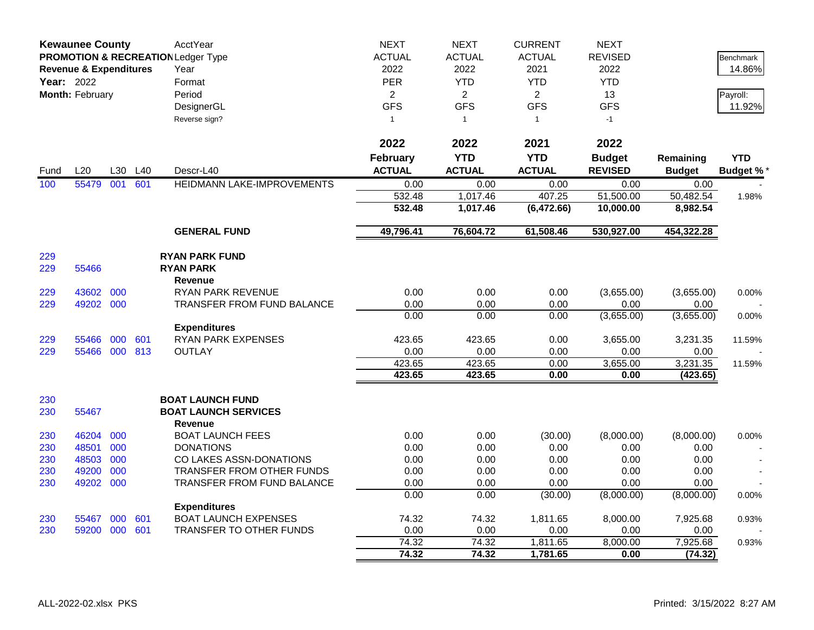|            | <b>Kewaunee County</b>            |     |     | AcctYear                                      | <b>NEXT</b>      | <b>NEXT</b>      | <b>CURRENT</b> | <b>NEXT</b>      |                      |                 |
|------------|-----------------------------------|-----|-----|-----------------------------------------------|------------------|------------------|----------------|------------------|----------------------|-----------------|
|            |                                   |     |     | <b>PROMOTION &amp; RECREATION Ledger Type</b> | <b>ACTUAL</b>    | <b>ACTUAL</b>    | <b>ACTUAL</b>  | <b>REVISED</b>   |                      | Benchmark       |
|            | <b>Revenue &amp; Expenditures</b> |     |     | Year                                          | 2022             | 2022             | 2021           | 2022             |                      | 14.86%          |
| Year: 2022 |                                   |     |     | Format                                        | <b>PER</b>       | <b>YTD</b>       | <b>YTD</b>     | <b>YTD</b>       |                      |                 |
|            | Month: February                   |     |     | Period                                        | $\overline{2}$   | 2                | $\overline{2}$ | 13               |                      | Payroll:        |
|            |                                   |     |     | DesignerGL                                    | <b>GFS</b>       | <b>GFS</b>       | <b>GFS</b>     | <b>GFS</b>       |                      | 11.92%          |
|            |                                   |     |     | Reverse sign?                                 | $\mathbf{1}$     | $\mathbf{1}$     | $\mathbf{1}$   | $-1$             |                      |                 |
|            |                                   |     |     |                                               |                  |                  |                |                  |                      |                 |
|            |                                   |     |     |                                               | 2022             | 2022             | 2021           | 2022             |                      |                 |
|            |                                   |     |     |                                               | <b>February</b>  | <b>YTD</b>       | <b>YTD</b>     | <b>Budget</b>    | Remaining            | <b>YTD</b>      |
| Fund       | L20                               | L30 | L40 | Descr-L40                                     | <b>ACTUAL</b>    | <b>ACTUAL</b>    | <b>ACTUAL</b>  | <b>REVISED</b>   | <b>Budget</b>        | <b>Budget %</b> |
| 100        | 55479                             | 001 | 601 | HEIDMANN LAKE-IMPROVEMENTS                    | 0.00             | 0.00             | 0.00           | 0.00             | 0.00                 |                 |
|            |                                   |     |     |                                               | 532.48           | 1,017.46         | 407.25         | 51,500.00        | 50,482.54            | 1.98%           |
|            |                                   |     |     |                                               | 532.48           | 1,017.46         | (6,472.66)     | 10,000.00        | 8,982.54             |                 |
|            |                                   |     |     | <b>GENERAL FUND</b>                           | 49,796.41        | 76,604.72        | 61,508.46      | 530,927.00       | 454,322.28           |                 |
|            |                                   |     |     |                                               |                  |                  |                |                  |                      |                 |
| 229        |                                   |     |     | <b>RYAN PARK FUND</b>                         |                  |                  |                |                  |                      |                 |
| 229        | 55466                             |     |     | <b>RYAN PARK</b>                              |                  |                  |                |                  |                      |                 |
|            |                                   |     |     | Revenue                                       |                  |                  |                |                  |                      |                 |
| 229        | 43602                             | 000 |     | RYAN PARK REVENUE                             | 0.00             | 0.00             | 0.00           | (3,655.00)       | (3,655.00)           | 0.00%           |
| 229        | 49202 000                         |     |     | TRANSFER FROM FUND BALANCE                    | 0.00             | 0.00             | 0.00           | 0.00             | 0.00                 |                 |
|            |                                   |     |     |                                               | 0.00             | 0.00             | 0.00           | (3,655.00)       | (3,655.00)           | 0.00%           |
|            |                                   |     |     | <b>Expenditures</b>                           |                  |                  |                |                  |                      |                 |
| 229        | 55466                             | 000 | 601 | <b>RYAN PARK EXPENSES</b>                     | 423.65           | 423.65           | 0.00           | 3,655.00         | 3,231.35             | 11.59%          |
| 229        | 55466                             | 000 | 813 | <b>OUTLAY</b>                                 | 0.00             | 0.00             | 0.00<br>0.00   | 0.00             | 0.00                 |                 |
|            |                                   |     |     |                                               | 423.65<br>423.65 | 423.65<br>423.65 | 0.00           | 3,655.00<br>0.00 | 3,231.35<br>(423.65) | 11.59%          |
|            |                                   |     |     |                                               |                  |                  |                |                  |                      |                 |
| 230        |                                   |     |     | <b>BOAT LAUNCH FUND</b>                       |                  |                  |                |                  |                      |                 |
| 230        | 55467                             |     |     | <b>BOAT LAUNCH SERVICES</b>                   |                  |                  |                |                  |                      |                 |
|            |                                   |     |     | Revenue                                       |                  |                  |                |                  |                      |                 |
| 230        | 46204                             | 000 |     | <b>BOAT LAUNCH FEES</b>                       | 0.00             | 0.00             | (30.00)        | (8,000.00)       | (8,000.00)           | 0.00%           |
| 230        | 48501                             | 000 |     | <b>DONATIONS</b>                              | 0.00             | 0.00             | 0.00           | 0.00             | 0.00                 |                 |
| 230        | 48503                             | 000 |     | CO LAKES ASSN-DONATIONS                       | 0.00             | 0.00             | 0.00           | 0.00             | 0.00                 |                 |
| 230        | 49200                             | 000 |     | <b>TRANSFER FROM OTHER FUNDS</b>              | 0.00             | 0.00             | 0.00           | 0.00             | 0.00                 |                 |
| 230        | 49202 000                         |     |     | TRANSFER FROM FUND BALANCE                    | 0.00             | 0.00             | 0.00           | 0.00             | 0.00                 |                 |
|            |                                   |     |     |                                               | 0.00             | 0.00             | (30.00)        | (8,000.00)       | (8,000.00)           | 0.00%           |
|            |                                   |     |     | <b>Expenditures</b>                           |                  |                  |                |                  |                      |                 |
| 230        | 55467                             | 000 | 601 | <b>BOAT LAUNCH EXPENSES</b>                   | 74.32            | 74.32            | 1,811.65       | 8,000.00         | 7,925.68             | 0.93%           |
| 230        | 59200 000 601                     |     |     | TRANSFER TO OTHER FUNDS                       | 0.00             | 0.00             | 0.00           | 0.00             | 0.00                 |                 |
|            |                                   |     |     |                                               | 74.32            | 74.32            | 1,811.65       | 8,000.00         | 7,925.68             | 0.93%           |
|            |                                   |     |     |                                               | 74.32            | 74.32            | 1,781.65       | 0.00             | (74.32)              |                 |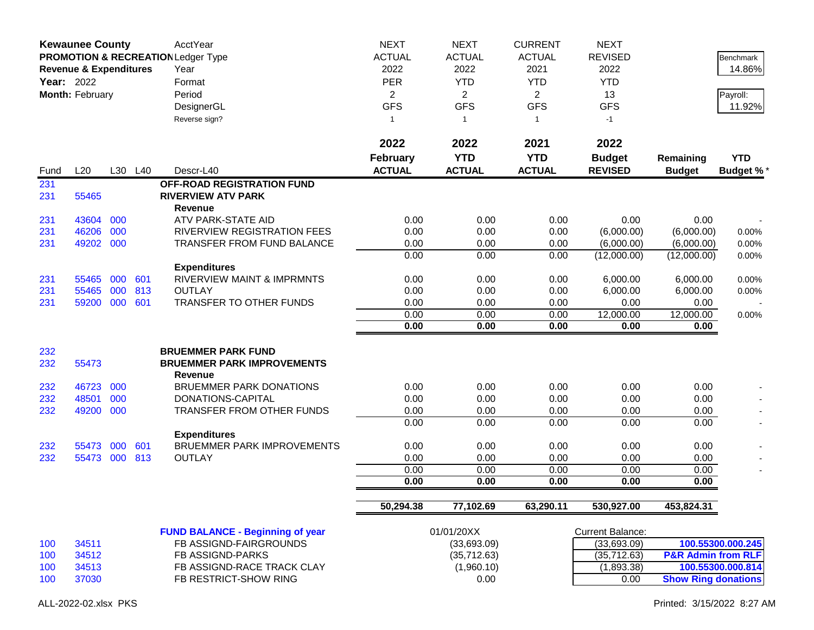| <b>Kewaunee County</b><br>PROMOTION & RECREATION Ledger Type<br><b>Revenue &amp; Expenditures</b><br>Year: 2022<br>Month: February |           |     | AcctYear<br>Year<br>Format<br>Period<br>DesignerGL<br>Reverse sign? | <b>NEXT</b><br><b>ACTUAL</b><br>2022<br><b>PER</b><br>$\overline{a}$<br><b>GFS</b><br>$\mathbf{1}$ | <b>NEXT</b><br><b>ACTUAL</b><br>2022<br><b>YTD</b><br>$\overline{2}$<br><b>GFS</b><br>$\overline{1}$ | <b>CURRENT</b><br><b>ACTUAL</b><br>2021<br><b>YTD</b><br>$\overline{2}$<br><b>GFS</b><br>$\mathbf{1}$ | <b>NEXT</b><br><b>REVISED</b><br>2022<br><b>YTD</b><br>13<br><b>GFS</b><br>$-1$ |                                 | Benchmark<br>14.86%<br>Payroll:<br>11.92% |                                |
|------------------------------------------------------------------------------------------------------------------------------------|-----------|-----|---------------------------------------------------------------------|----------------------------------------------------------------------------------------------------|------------------------------------------------------------------------------------------------------|-------------------------------------------------------------------------------------------------------|---------------------------------------------------------------------------------|---------------------------------|-------------------------------------------|--------------------------------|
|                                                                                                                                    |           |     |                                                                     |                                                                                                    | 2022                                                                                                 | 2022                                                                                                  | 2021                                                                            | 2022                            |                                           |                                |
| Fund                                                                                                                               | L20       |     | L30 L40                                                             | Descr-L40                                                                                          | <b>February</b><br><b>ACTUAL</b>                                                                     | <b>YTD</b><br><b>ACTUAL</b>                                                                           | <b>YTD</b><br><b>ACTUAL</b>                                                     | <b>Budget</b><br><b>REVISED</b> | Remaining<br><b>Budget</b>                | <b>YTD</b><br><b>Budget %*</b> |
| 231<br>231                                                                                                                         | 55465     |     |                                                                     | OFF-ROAD REGISTRATION FUND<br><b>RIVERVIEW ATV PARK</b><br><b>Revenue</b>                          |                                                                                                      |                                                                                                       |                                                                                 |                                 |                                           |                                |
| 231                                                                                                                                | 43604     | 000 |                                                                     | ATV PARK-STATE AID                                                                                 | 0.00                                                                                                 | 0.00                                                                                                  | 0.00                                                                            | 0.00                            | 0.00                                      |                                |
| 231                                                                                                                                | 46206     | 000 |                                                                     | RIVERVIEW REGISTRATION FEES                                                                        | 0.00                                                                                                 | 0.00                                                                                                  | 0.00                                                                            | (6,000.00)                      | (6,000.00)                                | 0.00%                          |
| 231                                                                                                                                | 49202 000 |     |                                                                     | <b>TRANSFER FROM FUND BALANCE</b>                                                                  | 0.00                                                                                                 | 0.00                                                                                                  | 0.00                                                                            | (6,000.00)                      | (6,000.00)                                | 0.00%                          |
|                                                                                                                                    |           |     |                                                                     |                                                                                                    | 0.00                                                                                                 | 0.00                                                                                                  | 0.00                                                                            | (12,000.00)                     | (12,000.00)                               | 0.00%                          |
| 231                                                                                                                                | 55465     | 000 | 601                                                                 | <b>Expenditures</b><br><b>RIVERVIEW MAINT &amp; IMPRMNTS</b>                                       | 0.00                                                                                                 | 0.00                                                                                                  | 0.00                                                                            | 6,000.00                        | 6,000.00                                  | 0.00%                          |
| 231                                                                                                                                | 55465     | 000 | 813                                                                 | <b>OUTLAY</b>                                                                                      | 0.00                                                                                                 | 0.00                                                                                                  | 0.00                                                                            | 6,000.00                        | 6,000.00                                  | 0.00%                          |
| 231                                                                                                                                | 59200     | 000 | 601                                                                 | TRANSFER TO OTHER FUNDS                                                                            | 0.00                                                                                                 | 0.00                                                                                                  | 0.00                                                                            | 0.00                            | 0.00                                      |                                |
|                                                                                                                                    |           |     |                                                                     |                                                                                                    | 0.00                                                                                                 | 0.00                                                                                                  | 0.00                                                                            | 12,000.00                       | 12,000.00                                 | 0.00%                          |
|                                                                                                                                    |           |     |                                                                     |                                                                                                    | 0.00                                                                                                 | 0.00                                                                                                  | 0.00                                                                            | 0.00                            | 0.00                                      |                                |
| 232                                                                                                                                |           |     |                                                                     | <b>BRUEMMER PARK FUND</b>                                                                          |                                                                                                      |                                                                                                       |                                                                                 |                                 |                                           |                                |
| 232                                                                                                                                | 55473     |     |                                                                     | <b>BRUEMMER PARK IMPROVEMENTS</b><br><b>Revenue</b>                                                |                                                                                                      |                                                                                                       |                                                                                 |                                 |                                           |                                |
| 232                                                                                                                                | 46723     | 000 |                                                                     | <b>BRUEMMER PARK DONATIONS</b>                                                                     | 0.00                                                                                                 | 0.00                                                                                                  | 0.00                                                                            | 0.00                            | 0.00                                      |                                |
| 232                                                                                                                                | 48501     | 000 |                                                                     | DONATIONS-CAPITAL                                                                                  | 0.00                                                                                                 | 0.00                                                                                                  | 0.00                                                                            | 0.00                            | 0.00                                      |                                |
| 232                                                                                                                                | 49200     | 000 |                                                                     | <b>TRANSFER FROM OTHER FUNDS</b>                                                                   | 0.00                                                                                                 | 0.00                                                                                                  | 0.00                                                                            | 0.00                            | 0.00                                      |                                |
|                                                                                                                                    |           |     |                                                                     |                                                                                                    | 0.00                                                                                                 | 0.00                                                                                                  | 0.00                                                                            | 0.00                            | 0.00                                      |                                |
|                                                                                                                                    |           |     |                                                                     | <b>Expenditures</b>                                                                                |                                                                                                      |                                                                                                       |                                                                                 |                                 |                                           |                                |
| 232                                                                                                                                | 55473     | 000 | 601                                                                 | <b>BRUEMMER PARK IMPROVEMENTS</b>                                                                  | 0.00                                                                                                 | 0.00                                                                                                  | 0.00                                                                            | 0.00                            | 0.00                                      |                                |
| 232                                                                                                                                | 55473     | 000 | 813                                                                 | <b>OUTLAY</b>                                                                                      | 0.00                                                                                                 | 0.00                                                                                                  | 0.00                                                                            | 0.00                            | 0.00                                      |                                |
|                                                                                                                                    |           |     |                                                                     |                                                                                                    | 0.00                                                                                                 | 0.00                                                                                                  | 0.00                                                                            | 0.00                            | 0.00                                      |                                |
|                                                                                                                                    |           |     |                                                                     |                                                                                                    | 0.00                                                                                                 | 0.00                                                                                                  | 0.00                                                                            | 0.00                            | 0.00                                      |                                |
|                                                                                                                                    |           |     |                                                                     |                                                                                                    | 50,294.38                                                                                            | 77,102.69                                                                                             | 63,290.11                                                                       | 530,927.00                      | 453,824.31                                |                                |
|                                                                                                                                    |           |     |                                                                     | <b>FUND BALANCE - Beginning of year</b>                                                            |                                                                                                      | 01/01/20XX                                                                                            |                                                                                 | <b>Current Balance:</b>         |                                           |                                |
| 100                                                                                                                                | 34511     |     |                                                                     | FB ASSIGND-FAIRGROUNDS                                                                             |                                                                                                      | (33,693.09)                                                                                           |                                                                                 | (33,693.09)                     |                                           | 100.55300.000.245              |
| 100                                                                                                                                | 34512     |     |                                                                     | FB ASSIGND-PARKS                                                                                   |                                                                                                      | (35, 712.63)                                                                                          |                                                                                 | (35, 712.63)                    | <b>P&amp;R Admin from RLF</b>             |                                |
| 100                                                                                                                                | 34513     |     |                                                                     | FB ASSIGND-RACE TRACK CLAY                                                                         |                                                                                                      | (1,960.10)                                                                                            |                                                                                 | (1,893.38)                      |                                           | 100.55300.000.814              |
| 100                                                                                                                                | 37030     |     |                                                                     | FB RESTRICT-SHOW RING                                                                              |                                                                                                      | 0.00                                                                                                  |                                                                                 | 0.00                            | <b>Show Ring donations</b>                |                                |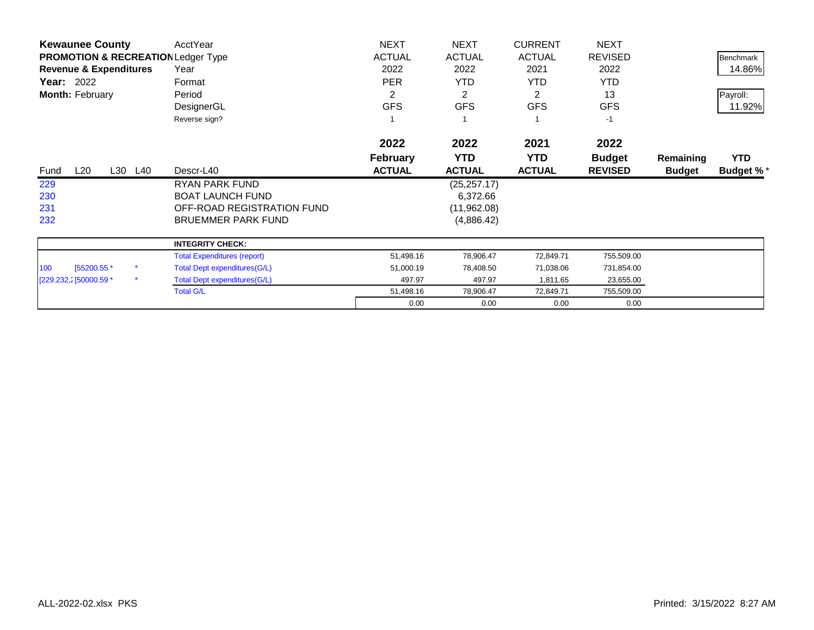| <b>Kewaunee County</b>                        | AcctYear                            | <b>NEXT</b>     | <b>NEXT</b>   | <b>CURRENT</b> | <b>NEXT</b>    |               |                  |
|-----------------------------------------------|-------------------------------------|-----------------|---------------|----------------|----------------|---------------|------------------|
| <b>PROMOTION &amp; RECREATION Ledger Type</b> |                                     | <b>ACTUAL</b>   | <b>ACTUAL</b> | <b>ACTUAL</b>  | <b>REVISED</b> |               | <b>Benchmark</b> |
| <b>Revenue &amp; Expenditures</b>             | Year                                | 2022            | 2022          | 2021           | 2022           |               | 14.86%           |
| <b>Year: 2022</b>                             | Format                              | <b>PER</b>      | <b>YTD</b>    | YTD.           | <b>YTD</b>     |               |                  |
| Month: February                               | Period                              | 2               | 2             | $\overline{2}$ | 13             |               | Payroll:         |
|                                               | DesignerGL                          | <b>GFS</b>      | <b>GFS</b>    | <b>GFS</b>     | <b>GFS</b>     |               | 11.92%           |
|                                               | Reverse sign?                       |                 |               |                | $-1$           |               |                  |
|                                               |                                     | 2022            | 2022          | 2021           | 2022           |               |                  |
|                                               |                                     | <b>February</b> | <b>YTD</b>    | <b>YTD</b>     | <b>Budget</b>  | Remaining     | <b>YTD</b>       |
| L20<br>L30 L40<br>Fund                        | Descr-L40                           | <b>ACTUAL</b>   | <b>ACTUAL</b> | <b>ACTUAL</b>  | <b>REVISED</b> | <b>Budget</b> | <b>Budget %*</b> |
| 229                                           | RYAN PARK FUND                      |                 | (25, 257.17)  |                |                |               |                  |
| 230                                           | <b>BOAT LAUNCH FUND</b>             |                 | 6,372.66      |                |                |               |                  |
| 231                                           | OFF-ROAD REGISTRATION FUND          |                 | (11,962.08)   |                |                |               |                  |
| 232                                           | <b>BRUEMMER PARK FUND</b>           |                 | (4,886.42)    |                |                |               |                  |
|                                               | <b>INTEGRITY CHECK:</b>             |                 |               |                |                |               |                  |
|                                               | <b>Total Expenditures (report)</b>  | 51,498.16       | 78,906.47     | 72,849.71      | 755,509.00     |               |                  |
| [55200.55 *<br>100                            | <b>Total Dept expenditures(G/L)</b> | 51,000.19       | 78,408.50     | 71,038.06      | 731,854.00     |               |                  |
| $\star$<br>[229.232,2] 50000.59 *             | <b>Total Dept expenditures(G/L)</b> | 497.97          | 497.97        | 1,811.65       | 23,655.00      |               |                  |
|                                               | <b>Total G/L</b>                    | 51,498.16       | 78,906.47     | 72,849.71      | 755,509.00     |               |                  |
|                                               |                                     | 0.00            | 0.00          | 0.00           | 0.00           |               |                  |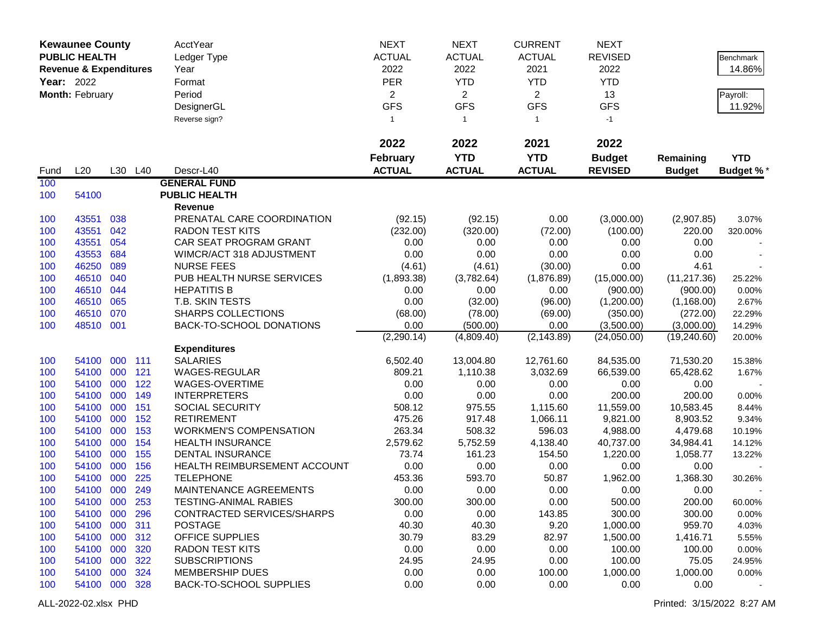|                   | <b>Kewaunee County</b>            |     |         | <b>AcctYear</b>                | <b>NEXT</b>     | <b>NEXT</b>    | <b>CURRENT</b> | <b>NEXT</b>    |               |                  |
|-------------------|-----------------------------------|-----|---------|--------------------------------|-----------------|----------------|----------------|----------------|---------------|------------------|
|                   | <b>PUBLIC HEALTH</b>              |     |         | Ledger Type                    | <b>ACTUAL</b>   | <b>ACTUAL</b>  | <b>ACTUAL</b>  | <b>REVISED</b> |               | <b>Benchmark</b> |
|                   | <b>Revenue &amp; Expenditures</b> |     |         | Year                           | 2022            | 2022           | 2021           | 2022           |               | 14.86%           |
| <b>Year: 2022</b> |                                   |     |         | Format                         | <b>PER</b>      | <b>YTD</b>     | <b>YTD</b>     | <b>YTD</b>     |               |                  |
|                   | Month: February                   |     |         | Period                         | $\overline{2}$  | $\overline{2}$ | $\overline{2}$ | 13             |               | Payroll:         |
|                   |                                   |     |         | DesignerGL                     | <b>GFS</b>      | <b>GFS</b>     | <b>GFS</b>     | <b>GFS</b>     |               | 11.92%           |
|                   |                                   |     |         | Reverse sign?                  | $\mathbf{1}$    | $\overline{1}$ | $\mathbf{1}$   | $-1$           |               |                  |
|                   |                                   |     |         |                                |                 |                |                |                |               |                  |
|                   |                                   |     |         |                                | 2022            | 2022           | 2021           | 2022           |               |                  |
|                   |                                   |     |         |                                | <b>February</b> | <b>YTD</b>     | <b>YTD</b>     | <b>Budget</b>  | Remaining     | <b>YTD</b>       |
| Fund              | L20                               |     | L30 L40 | Descr-L40                      | <b>ACTUAL</b>   | <b>ACTUAL</b>  | <b>ACTUAL</b>  | <b>REVISED</b> | <b>Budget</b> | <b>Budget %*</b> |
| 100               |                                   |     |         | <b>GENERAL FUND</b>            |                 |                |                |                |               |                  |
| 100               | 54100                             |     |         | <b>PUBLIC HEALTH</b>           |                 |                |                |                |               |                  |
|                   |                                   |     |         | Revenue                        |                 |                |                |                |               |                  |
| 100               | 43551                             | 038 |         | PRENATAL CARE COORDINATION     | (92.15)         | (92.15)        | 0.00           | (3,000.00)     | (2,907.85)    | 3.07%            |
| 100               | 43551                             | 042 |         | <b>RADON TEST KITS</b>         | (232.00)        | (320.00)       | (72.00)        | (100.00)       | 220.00        | 320.00%          |
| 100               | 43551                             | 054 |         | CAR SEAT PROGRAM GRANT         | 0.00            | 0.00           | 0.00           | 0.00           | 0.00          |                  |
| 100               | 43553                             | 684 |         | WIMCR/ACT 318 ADJUSTMENT       | 0.00            | 0.00           | 0.00           | 0.00           | 0.00          |                  |
| 100               | 46250                             | 089 |         | <b>NURSE FEES</b>              | (4.61)          | (4.61)         | (30.00)        | 0.00           | 4.61          |                  |
| 100               | 46510                             | 040 |         | PUB HEALTH NURSE SERVICES      | (1,893.38)      | (3,782.64)     | (1,876.89)     | (15,000.00)    | (11, 217.36)  | 25.22%           |
| 100               | 46510                             | 044 |         | <b>HEPATITIS B</b>             | 0.00            | 0.00           | 0.00           | (900.00)       | (900.00)      | 0.00%            |
| 100               | 46510                             | 065 |         | T.B. SKIN TESTS                | 0.00            | (32.00)        | (96.00)        | (1,200.00)     | (1, 168.00)   | 2.67%            |
| 100               | 46510                             | 070 |         | <b>SHARPS COLLECTIONS</b>      | (68.00)         | (78.00)        | (69.00)        | (350.00)       | (272.00)      | 22.29%           |
| 100               | 48510 001                         |     |         | BACK-TO-SCHOOL DONATIONS       | 0.00            | (500.00)       | 0.00           | (3,500.00)     | (3,000.00)    | 14.29%           |
|                   |                                   |     |         |                                | (2, 290.14)     | (4,809.40)     | (2, 143.89)    | (24,050.00)    | (19, 240.60)  | 20.00%           |
|                   |                                   |     |         | <b>Expenditures</b>            |                 |                |                |                |               |                  |
| 100               | 54100                             | 000 | 111     | <b>SALARIES</b>                | 6,502.40        | 13,004.80      | 12,761.60      | 84,535.00      | 71,530.20     | 15.38%           |
| 100               | 54100                             | 000 | 121     | <b>WAGES-REGULAR</b>           | 809.21          | 1,110.38       | 3,032.69       | 66,539.00      | 65,428.62     | 1.67%            |
| 100               | 54100                             | 000 | 122     | WAGES-OVERTIME                 | 0.00            | 0.00           | 0.00           | 0.00           | 0.00          |                  |
| 100               | 54100                             | 000 | 149     | <b>INTERPRETERS</b>            | 0.00            | 0.00           | 0.00           | 200.00         | 200.00        | 0.00%            |
| 100               | 54100                             | 000 | 151     | <b>SOCIAL SECURITY</b>         | 508.12          | 975.55         | 1,115.60       | 11,559.00      | 10,583.45     | 8.44%            |
| 100               | 54100                             | 000 | 152     | <b>RETIREMENT</b>              | 475.26          | 917.48         | 1,066.11       | 9,821.00       | 8,903.52      | 9.34%            |
| 100               | 54100                             | 000 | 153     | <b>WORKMEN'S COMPENSATION</b>  | 263.34          | 508.32         | 596.03         | 4,988.00       | 4,479.68      | 10.19%           |
| 100               | 54100                             | 000 | 154     | <b>HEALTH INSURANCE</b>        | 2,579.62        | 5,752.59       | 4,138.40       | 40,737.00      | 34,984.41     | 14.12%           |
| 100               | 54100                             | 000 | 155     | DENTAL INSURANCE               | 73.74           | 161.23         | 154.50         | 1,220.00       | 1,058.77      | 13.22%           |
| 100               | 54100                             | 000 | 156     | HEALTH REIMBURSEMENT ACCOUNT   | 0.00            | 0.00           | 0.00           | 0.00           | 0.00          |                  |
| 100               | 54100                             | 000 | 225     | <b>TELEPHONE</b>               | 453.36          | 593.70         | 50.87          | 1,962.00       | 1,368.30      | 30.26%           |
| 100               | 54100 000                         |     | 249     | MAINTENANCE AGREEMENTS         | 0.00            | 0.00           | 0.00           | 0.00           | 0.00          |                  |
| 100               | 54100 000                         |     | 253     | TESTING-ANIMAL RABIES          | 300.00          | 300.00         | 0.00           | 500.00         | 200.00        | 60.00%           |
| 100               | 54100 000                         |     | 296     | CONTRACTED SERVICES/SHARPS     | 0.00            | 0.00           | 143.85         | 300.00         | 300.00        | 0.00%            |
| 100               | 54100 000                         |     | 311     | <b>POSTAGE</b>                 | 40.30           | 40.30          | 9.20           | 1,000.00       | 959.70        | 4.03%            |
| 100               | 54100 000                         |     | 312     | <b>OFFICE SUPPLIES</b>         | 30.79           | 83.29          | 82.97          | 1,500.00       | 1,416.71      | 5.55%            |
| 100               | 54100 000                         |     | 320     | <b>RADON TEST KITS</b>         | 0.00            | 0.00           | 0.00           | 100.00         | 100.00        | 0.00%            |
| 100               | 54100 000                         |     | 322     | <b>SUBSCRIPTIONS</b>           | 24.95           | 24.95          | 0.00           | 100.00         | 75.05         | 24.95%           |
| 100               | 54100 000                         |     | 324     | <b>MEMBERSHIP DUES</b>         | 0.00            | 0.00           | 100.00         | 1,000.00       | 1,000.00      | 0.00%            |
| 100               | 54100 000                         |     | 328     | <b>BACK-TO-SCHOOL SUPPLIES</b> | 0.00            | 0.00           | 0.00           | 0.00           | 0.00          |                  |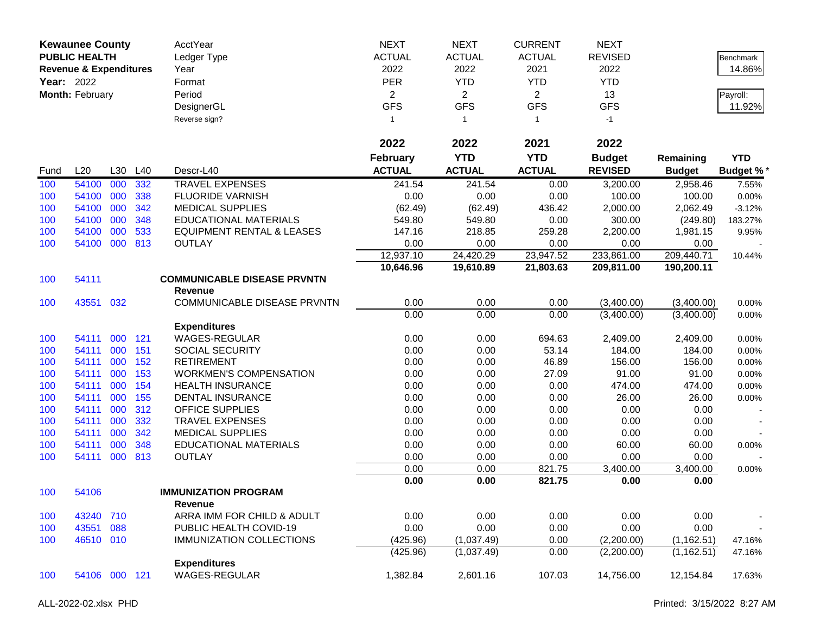| <b>Kewaunee County</b><br><b>PUBLIC HEALTH</b><br><b>Revenue &amp; Expenditures</b><br><b>Year: 2022</b><br>Month: February |                |            | AcctYear<br>Ledger Type<br>Year<br>Format<br>Period<br>DesignerGL<br>Reverse sign? | <b>NEXT</b><br><b>ACTUAL</b><br>2022<br>PER<br>$\overline{2}$<br><b>GFS</b><br>$\mathbf{1}$ | <b>NEXT</b><br><b>ACTUAL</b><br>2022<br><b>YTD</b><br>$\overline{2}$<br><b>GFS</b><br>$\overline{1}$ | <b>CURRENT</b><br><b>ACTUAL</b><br>2021<br><b>YTD</b><br>$\overline{2}$<br><b>GFS</b><br>$\mathbf{1}$ | <b>NEXT</b><br><b>REVISED</b><br>2022<br><b>YTD</b><br>13<br><b>GFS</b><br>$-1$ |                 | Benchmark<br>14.86%<br>Payroll:<br>11.92% |                  |
|-----------------------------------------------------------------------------------------------------------------------------|----------------|------------|------------------------------------------------------------------------------------|---------------------------------------------------------------------------------------------|------------------------------------------------------------------------------------------------------|-------------------------------------------------------------------------------------------------------|---------------------------------------------------------------------------------|-----------------|-------------------------------------------|------------------|
|                                                                                                                             |                |            |                                                                                    |                                                                                             | 2022                                                                                                 | 2022                                                                                                  | 2021                                                                            | 2022            |                                           |                  |
|                                                                                                                             |                |            |                                                                                    |                                                                                             | <b>February</b>                                                                                      | <b>YTD</b>                                                                                            | <b>YTD</b>                                                                      | <b>Budget</b>   | Remaining                                 | <b>YTD</b>       |
| Fund                                                                                                                        | L20            |            | L30 L40                                                                            | Descr-L40                                                                                   | <b>ACTUAL</b>                                                                                        | <b>ACTUAL</b>                                                                                         | <b>ACTUAL</b>                                                                   | <b>REVISED</b>  | <b>Budget</b>                             | <b>Budget %*</b> |
| 100                                                                                                                         | 54100          | 000        | 332                                                                                | <b>TRAVEL EXPENSES</b>                                                                      | 241.54                                                                                               | 241.54                                                                                                | 0.00                                                                            | 3,200.00        | 2,958.46                                  | 7.55%            |
| 100                                                                                                                         | 54100          | 000        | 338                                                                                | <b>FLUORIDE VARNISH</b>                                                                     | 0.00                                                                                                 | 0.00                                                                                                  | 0.00                                                                            | 100.00          | 100.00                                    | 0.00%            |
| 100                                                                                                                         | 54100          | 000        | 342                                                                                | <b>MEDICAL SUPPLIES</b>                                                                     | (62.49)                                                                                              | (62.49)                                                                                               | 436.42                                                                          | 2,000.00        | 2,062.49                                  | $-3.12%$         |
| 100                                                                                                                         | 54100          | 000        | 348                                                                                | <b>EDUCATIONAL MATERIALS</b>                                                                | 549.80                                                                                               | 549.80                                                                                                | 0.00                                                                            | 300.00          | (249.80)                                  | 183.27%          |
| 100                                                                                                                         | 54100          | 000        | 533                                                                                | <b>EQUIPMENT RENTAL &amp; LEASES</b>                                                        | 147.16                                                                                               | 218.85                                                                                                | 259.28                                                                          | 2,200.00        | 1,981.15                                  | 9.95%            |
| 100                                                                                                                         | 54100          | 000        | 813                                                                                | <b>OUTLAY</b>                                                                               | 0.00                                                                                                 | 0.00                                                                                                  | 0.00                                                                            | 0.00            | 0.00                                      |                  |
|                                                                                                                             |                |            |                                                                                    |                                                                                             | 12,937.10                                                                                            | 24,420.29                                                                                             | 23,947.52                                                                       | 233,861.00      | 209,440.71                                | 10.44%           |
|                                                                                                                             |                |            |                                                                                    |                                                                                             | 10,646.96                                                                                            | 19,610.89                                                                                             | 21,803.63                                                                       | 209,811.00      | 190,200.11                                |                  |
| 100                                                                                                                         | 54111          |            |                                                                                    | <b>COMMUNICABLE DISEASE PRVNTN</b>                                                          |                                                                                                      |                                                                                                       |                                                                                 |                 |                                           |                  |
|                                                                                                                             |                |            |                                                                                    | <b>Revenue</b>                                                                              |                                                                                                      |                                                                                                       |                                                                                 |                 |                                           |                  |
| 100                                                                                                                         | 43551          | 032        |                                                                                    | COMMUNICABLE DISEASE PRVNTN                                                                 | 0.00                                                                                                 | 0.00                                                                                                  | 0.00                                                                            | (3,400.00)      | (3,400.00)                                | 0.00%            |
|                                                                                                                             |                |            |                                                                                    |                                                                                             | 0.00                                                                                                 | 0.00                                                                                                  | 0.00                                                                            | (3,400.00)      | (3,400.00)                                | 0.00%            |
|                                                                                                                             |                |            |                                                                                    | <b>Expenditures</b>                                                                         |                                                                                                      |                                                                                                       |                                                                                 |                 |                                           |                  |
| 100                                                                                                                         | 54111          | 000        | 121                                                                                | <b>WAGES-REGULAR</b>                                                                        | 0.00                                                                                                 | 0.00                                                                                                  | 694.63                                                                          | 2,409.00        | 2,409.00                                  | 0.00%            |
| 100                                                                                                                         | 54111          | 000        | 151                                                                                | SOCIAL SECURITY                                                                             | 0.00                                                                                                 | 0.00                                                                                                  | 53.14                                                                           | 184.00          | 184.00                                    | 0.00%            |
| 100                                                                                                                         | 54111<br>54111 | 000<br>000 | 152<br>153                                                                         | <b>RETIREMENT</b><br><b>WORKMEN'S COMPENSATION</b>                                          | 0.00<br>0.00                                                                                         | 0.00<br>0.00                                                                                          | 46.89                                                                           | 156.00<br>91.00 | 156.00<br>91.00                           | 0.00%            |
| 100                                                                                                                         | 54111          | 000        | 154                                                                                |                                                                                             |                                                                                                      | 0.00                                                                                                  | 27.09                                                                           |                 | 474.00                                    | 0.00%            |
| 100<br>100                                                                                                                  | 54111          | 000        | 155                                                                                | <b>HEALTH INSURANCE</b><br><b>DENTAL INSURANCE</b>                                          | 0.00<br>0.00                                                                                         | 0.00                                                                                                  | 0.00<br>0.00                                                                    | 474.00<br>26.00 | 26.00                                     | 0.00%            |
| 100                                                                                                                         | 54111          | 000        | 312                                                                                | OFFICE SUPPLIES                                                                             | 0.00                                                                                                 | 0.00                                                                                                  | 0.00                                                                            | 0.00            | 0.00                                      | 0.00%            |
| 100                                                                                                                         | 54111          | 000        | 332                                                                                | <b>TRAVEL EXPENSES</b>                                                                      | 0.00                                                                                                 | 0.00                                                                                                  | 0.00                                                                            | 0.00            | 0.00                                      |                  |
| 100                                                                                                                         | 54111          | 000        | 342                                                                                | <b>MEDICAL SUPPLIES</b>                                                                     | 0.00                                                                                                 | 0.00                                                                                                  | 0.00                                                                            | 0.00            | 0.00                                      |                  |
| 100                                                                                                                         | 54111          | 000        | 348                                                                                | <b>EDUCATIONAL MATERIALS</b>                                                                | 0.00                                                                                                 | 0.00                                                                                                  | 0.00                                                                            | 60.00           | 60.00                                     | 0.00%            |
| 100                                                                                                                         | 54111          | 000        | 813                                                                                | <b>OUTLAY</b>                                                                               | 0.00                                                                                                 | 0.00                                                                                                  | 0.00                                                                            | 0.00            | 0.00                                      |                  |
|                                                                                                                             |                |            |                                                                                    |                                                                                             | 0.00                                                                                                 | 0.00                                                                                                  | 821.75                                                                          | 3,400.00        | 3,400.00                                  | 0.00%            |
|                                                                                                                             |                |            |                                                                                    |                                                                                             | 0.00                                                                                                 | 0.00                                                                                                  | 821.75                                                                          | 0.00            | 0.00                                      |                  |
| 100                                                                                                                         | 54106          |            |                                                                                    | <b>IMMUNIZATION PROGRAM</b>                                                                 |                                                                                                      |                                                                                                       |                                                                                 |                 |                                           |                  |
|                                                                                                                             |                |            |                                                                                    | Revenue                                                                                     |                                                                                                      |                                                                                                       |                                                                                 |                 |                                           |                  |
| 100                                                                                                                         | 43240          | 710        |                                                                                    | ARRA IMM FOR CHILD & ADULT                                                                  | 0.00                                                                                                 | 0.00                                                                                                  | 0.00                                                                            | 0.00            | 0.00                                      |                  |
| 100                                                                                                                         | 43551          | 088        |                                                                                    | PUBLIC HEALTH COVID-19                                                                      | 0.00                                                                                                 | 0.00                                                                                                  | 0.00                                                                            | 0.00            | 0.00                                      |                  |
| 100                                                                                                                         | 46510 010      |            |                                                                                    | <b>IMMUNIZATION COLLECTIONS</b>                                                             | (425.96)                                                                                             | (1,037.49)                                                                                            | 0.00                                                                            | (2,200.00)      | (1, 162.51)                               | 47.16%           |
|                                                                                                                             |                |            |                                                                                    |                                                                                             | (425.96)                                                                                             | (1,037.49)                                                                                            | 0.00                                                                            | (2,200.00)      | (1, 162.51)                               | 47.16%           |
|                                                                                                                             |                |            |                                                                                    | <b>Expenditures</b>                                                                         |                                                                                                      |                                                                                                       |                                                                                 |                 |                                           |                  |
| 100                                                                                                                         | 54106 000 121  |            |                                                                                    | <b>WAGES-REGULAR</b>                                                                        | 1,382.84                                                                                             | 2,601.16                                                                                              | 107.03                                                                          | 14,756.00       | 12,154.84                                 | 17.63%           |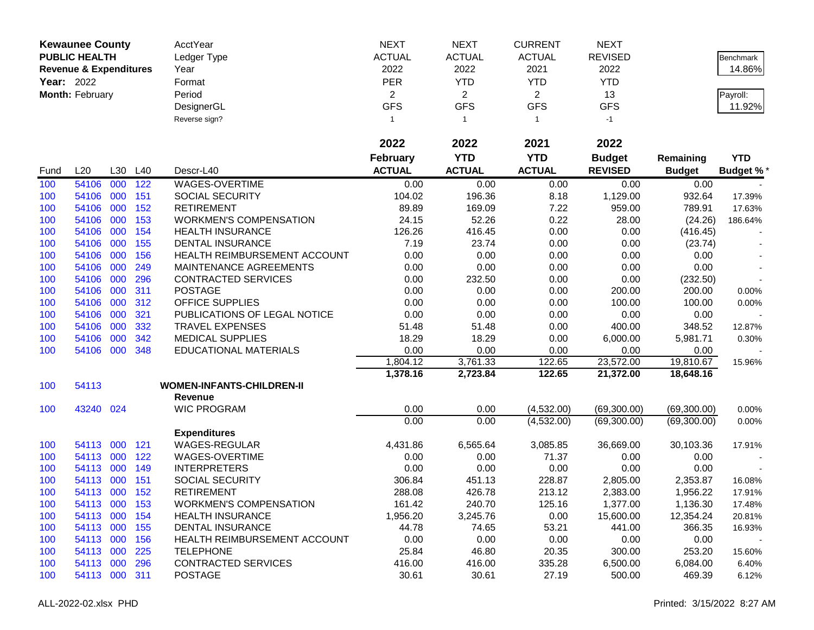|      | <b>Kewaunee County</b>                                             |     |      | AcctYear                         | <b>NEXT</b>     | <b>NEXT</b>    | <b>CURRENT</b> | <b>NEXT</b>    |               |                 |
|------|--------------------------------------------------------------------|-----|------|----------------------------------|-----------------|----------------|----------------|----------------|---------------|-----------------|
|      | <b>PUBLIC HEALTH</b>                                               |     |      | Ledger Type                      | <b>ACTUAL</b>   | <b>ACTUAL</b>  | <b>ACTUAL</b>  | <b>REVISED</b> |               | Benchmark       |
|      | <b>Revenue &amp; Expenditures</b><br>Year: 2022<br>Month: February |     | Year | 2022                             | 2022            | 2021           | 2022           |                | 14.86%        |                 |
|      |                                                                    |     |      | Format                           | <b>PER</b>      | <b>YTD</b>     | <b>YTD</b>     | <b>YTD</b>     |               |                 |
|      |                                                                    |     |      | Period                           | $\overline{2}$  | $\overline{2}$ | $\overline{2}$ | 13             |               | Payroll:        |
|      |                                                                    |     |      | DesignerGL                       | <b>GFS</b>      | <b>GFS</b>     | <b>GFS</b>     | <b>GFS</b>     |               | 11.92%          |
|      |                                                                    |     |      | Reverse sign?                    | 1               | $\overline{1}$ | $\mathbf{1}$   | $-1$           |               |                 |
|      |                                                                    |     |      |                                  |                 |                |                |                |               |                 |
|      |                                                                    |     |      |                                  | 2022            | 2022           | 2021           | 2022           |               |                 |
|      |                                                                    |     |      |                                  | <b>February</b> | <b>YTD</b>     | <b>YTD</b>     | <b>Budget</b>  | Remaining     | <b>YTD</b>      |
| Fund | L20                                                                | L30 | L40  | Descr-L40                        | <b>ACTUAL</b>   | <b>ACTUAL</b>  | <b>ACTUAL</b>  | <b>REVISED</b> | <b>Budget</b> | <b>Budget %</b> |
| 100  | 54106                                                              | 000 | 122  | WAGES-OVERTIME                   | 0.00            | 0.00           | 0.00           | 0.00           | 0.00          |                 |
| 100  | 54106                                                              | 000 | 151  | <b>SOCIAL SECURITY</b>           | 104.02          | 196.36         | 8.18           | 1,129.00       | 932.64        | 17.39%          |
| 100  | 54106                                                              | 000 | 152  | <b>RETIREMENT</b>                | 89.89           | 169.09         | 7.22           | 959.00         | 789.91        | 17.63%          |
| 100  | 54106                                                              | 000 | 153  | <b>WORKMEN'S COMPENSATION</b>    | 24.15           | 52.26          | 0.22           | 28.00          | (24.26)       | 186.64%         |
| 100  | 54106                                                              | 000 | 154  | <b>HEALTH INSURANCE</b>          | 126.26          | 416.45         | 0.00           | 0.00           | (416.45)      |                 |
| 100  | 54106                                                              | 000 | 155  | <b>DENTAL INSURANCE</b>          | 7.19            | 23.74          | 0.00           | 0.00           | (23.74)       |                 |
| 100  | 54106                                                              | 000 | 156  | HEALTH REIMBURSEMENT ACCOUNT     | 0.00            | 0.00           | 0.00           | 0.00           | 0.00          |                 |
| 100  | 54106                                                              | 000 | 249  | MAINTENANCE AGREEMENTS           | 0.00            | 0.00           | 0.00           | 0.00           | 0.00          |                 |
| 100  | 54106                                                              | 000 | 296  | CONTRACTED SERVICES              | 0.00            | 232.50         | 0.00           | 0.00           | (232.50)      |                 |
| 100  | 54106                                                              | 000 | 311  | <b>POSTAGE</b>                   | 0.00            | 0.00           | 0.00           | 200.00         | 200.00        | 0.00%           |
| 100  | 54106                                                              | 000 | 312  | <b>OFFICE SUPPLIES</b>           | 0.00            | 0.00           | 0.00           | 100.00         | 100.00        | 0.00%           |
| 100  | 54106                                                              | 000 | 321  | PUBLICATIONS OF LEGAL NOTICE     | 0.00            | 0.00           | 0.00           | 0.00           | 0.00          |                 |
| 100  | 54106                                                              | 000 | 332  | <b>TRAVEL EXPENSES</b>           | 51.48           | 51.48          | 0.00           | 400.00         | 348.52        | 12.87%          |
| 100  | 54106                                                              | 000 | 342  | <b>MEDICAL SUPPLIES</b>          | 18.29           | 18.29          | 0.00           | 6,000.00       | 5,981.71      | 0.30%           |
| 100  | 54106                                                              | 000 | 348  | EDUCATIONAL MATERIALS            | 0.00            | 0.00           | 0.00           | 0.00           | 0.00          |                 |
|      |                                                                    |     |      |                                  | 1,804.12        | 3,761.33       | 122.65         | 23,572.00      | 19,810.67     | 15.96%          |
|      |                                                                    |     |      |                                  | 1,378.16        | 2,723.84       | 122.65         | 21,372.00      | 18,648.16     |                 |
| 100  | 54113                                                              |     |      | <b>WOMEN-INFANTS-CHILDREN-II</b> |                 |                |                |                |               |                 |
|      |                                                                    |     |      | <b>Revenue</b>                   |                 |                |                |                |               |                 |
| 100  | 43240 024                                                          |     |      | <b>WIC PROGRAM</b>               | 0.00            | 0.00           | (4,532.00)     | (69,300.00)    | (69,300.00)   | 0.00%           |
|      |                                                                    |     |      |                                  | 0.00            | 0.00           | (4,532.00)     | (69,300.00)    | (69,300.00)   | 0.00%           |
|      |                                                                    |     |      | <b>Expenditures</b>              |                 |                |                |                |               |                 |
| 100  | 54113                                                              | 000 | 121  | <b>WAGES-REGULAR</b>             | 4,431.86        | 6,565.64       | 3,085.85       | 36,669.00      | 30,103.36     | 17.91%          |
| 100  | 54113 000                                                          |     | 122  | WAGES-OVERTIME                   | 0.00            | 0.00           | 71.37          | 0.00           | 0.00          |                 |
| 100  | 54113                                                              | 000 | 149  | <b>INTERPRETERS</b>              | 0.00            | 0.00           | 0.00           | 0.00           | 0.00          |                 |
| 100  | 54113                                                              | 000 | 151  | SOCIAL SECURITY                  | 306.84          | 451.13         | 228.87         | 2,805.00       | 2,353.87      | 16.08%          |
| 100  | 54113 000                                                          |     | 152  | <b>RETIREMENT</b>                | 288.08          | 426.78         | 213.12         | 2,383.00       | 1,956.22      | 17.91%          |
| 100  | 54113 000                                                          |     | 153  | <b>WORKMEN'S COMPENSATION</b>    | 161.42          | 240.70         | 125.16         | 1,377.00       | 1,136.30      | 17.48%          |
| 100  | 54113 000                                                          |     | 154  | <b>HEALTH INSURANCE</b>          | 1,956.20        | 3,245.76       | 0.00           | 15,600.00      | 12,354.24     | 20.81%          |
| 100  | 54113 000                                                          |     | 155  | <b>DENTAL INSURANCE</b>          | 44.78           | 74.65          | 53.21          | 441.00         | 366.35        | 16.93%          |
| 100  | 54113 000                                                          |     | 156  | HEALTH REIMBURSEMENT ACCOUNT     | 0.00            | 0.00           | 0.00           | 0.00           | 0.00          |                 |
| 100  | 54113 000                                                          |     | 225  | <b>TELEPHONE</b>                 | 25.84           | 46.80          | 20.35          | 300.00         | 253.20        | 15.60%          |
| 100  | 54113 000                                                          |     | 296  | <b>CONTRACTED SERVICES</b>       | 416.00          | 416.00         | 335.28         | 6,500.00       | 6,084.00      | 6.40%           |
| 100  | 54113 000 311                                                      |     |      | <b>POSTAGE</b>                   | 30.61           | 30.61          | 27.19          | 500.00         | 469.39        | 6.12%           |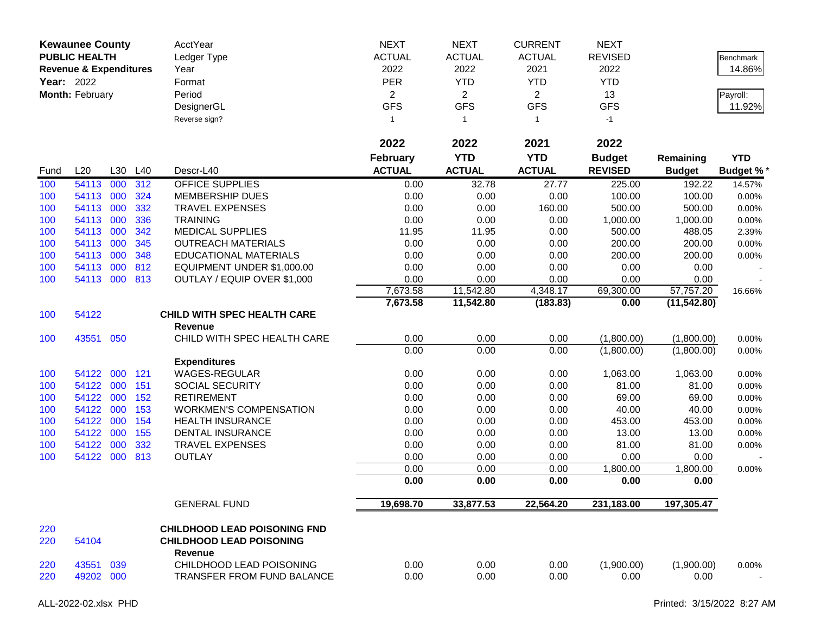|            | <b>Kewaunee County</b><br><b>PUBLIC HEALTH</b><br><b>Revenue &amp; Expenditures</b><br>Year: 2022<br>Month: February |     |            | L30 L40                                              | AcctYear<br>Ledger Type<br>Year<br>Format<br>Period<br>DesignerGL<br>Reverse sign? | <b>NEXT</b><br><b>ACTUAL</b><br>2022<br>PER<br>$\overline{2}$<br><b>GFS</b><br>$\mathbf{1}$ | <b>NEXT</b><br><b>ACTUAL</b><br>2022<br><b>YTD</b><br>$\overline{2}$<br><b>GFS</b><br>$\overline{1}$ | <b>CURRENT</b><br><b>ACTUAL</b><br>2021<br><b>YTD</b><br>$\overline{2}$<br><b>GFS</b><br>$\mathbf{1}$ | <b>NEXT</b><br><b>REVISED</b><br>2022<br><b>YTD</b><br>13<br><b>GFS</b><br>$-1$ |                  | Benchmark<br>14.86%<br>Payroll:<br>11.92% |
|------------|----------------------------------------------------------------------------------------------------------------------|-----|------------|------------------------------------------------------|------------------------------------------------------------------------------------|---------------------------------------------------------------------------------------------|------------------------------------------------------------------------------------------------------|-------------------------------------------------------------------------------------------------------|---------------------------------------------------------------------------------|------------------|-------------------------------------------|
|            |                                                                                                                      |     |            |                                                      | 2022                                                                               | 2022                                                                                        | 2021                                                                                                 | 2022                                                                                                  |                                                                                 |                  |                                           |
|            |                                                                                                                      |     |            |                                                      | <b>February</b>                                                                    | <b>YTD</b>                                                                                  | <b>YTD</b>                                                                                           | <b>Budget</b>                                                                                         | Remaining                                                                       | <b>YTD</b>       |                                           |
| Fund       | L20                                                                                                                  |     |            | Descr-L40                                            | <b>ACTUAL</b>                                                                      | <b>ACTUAL</b>                                                                               | <b>ACTUAL</b>                                                                                        | <b>REVISED</b>                                                                                        | <b>Budget</b>                                                                   | <b>Budget %*</b> |                                           |
| 100        | 54113                                                                                                                | 000 | 312        | <b>OFFICE SUPPLIES</b>                               | 0.00                                                                               | 32.78                                                                                       | 27.77                                                                                                | 225.00                                                                                                | 192.22                                                                          | 14.57%           |                                           |
| 100        | 54113 000                                                                                                            |     | 324        | <b>MEMBERSHIP DUES</b>                               | 0.00                                                                               | 0.00                                                                                        | 0.00                                                                                                 | 100.00                                                                                                | 100.00                                                                          | 0.00%            |                                           |
| 100        | 54113 000                                                                                                            |     | 332        | <b>TRAVEL EXPENSES</b>                               | 0.00                                                                               | 0.00                                                                                        | 160.00                                                                                               | 500.00                                                                                                | 500.00                                                                          | 0.00%            |                                           |
| 100        | 54113 000                                                                                                            |     | 336        | <b>TRAINING</b>                                      | 0.00                                                                               | 0.00                                                                                        | 0.00                                                                                                 | 1,000.00                                                                                              | 1,000.00                                                                        | 0.00%            |                                           |
| 100<br>100 | 54113<br>54113 000                                                                                                   | 000 | 342<br>345 | <b>MEDICAL SUPPLIES</b><br><b>OUTREACH MATERIALS</b> | 11.95<br>0.00                                                                      | 11.95<br>0.00                                                                               | 0.00<br>0.00                                                                                         | 500.00<br>200.00                                                                                      | 488.05<br>200.00                                                                | 2.39%            |                                           |
| 100        | 54113 000                                                                                                            |     | 348        | <b>EDUCATIONAL MATERIALS</b>                         | 0.00                                                                               | 0.00                                                                                        | 0.00                                                                                                 | 200.00                                                                                                | 200.00                                                                          | 0.00%<br>0.00%   |                                           |
| 100        | 54113                                                                                                                | 000 | 812        | EQUIPMENT UNDER \$1,000.00                           | 0.00                                                                               | 0.00                                                                                        | 0.00                                                                                                 | 0.00                                                                                                  | 0.00                                                                            |                  |                                           |
| 100        | 54113 000 813                                                                                                        |     |            | OUTLAY / EQUIP OVER \$1,000                          | 0.00                                                                               | 0.00                                                                                        | 0.00                                                                                                 | 0.00                                                                                                  | 0.00                                                                            |                  |                                           |
|            |                                                                                                                      |     |            |                                                      | 7,673.58                                                                           | 11,542.80                                                                                   | 4,348.17                                                                                             | 69,300.00                                                                                             | 57,757.20                                                                       | 16.66%           |                                           |
|            |                                                                                                                      |     |            |                                                      | 7,673.58                                                                           | 11,542.80                                                                                   | (183.83)                                                                                             | 0.00                                                                                                  | (11, 542.80)                                                                    |                  |                                           |
| 100        | 54122                                                                                                                |     |            | <b>CHILD WITH SPEC HEALTH CARE</b>                   |                                                                                    |                                                                                             |                                                                                                      |                                                                                                       |                                                                                 |                  |                                           |
|            |                                                                                                                      |     |            | <b>Revenue</b>                                       |                                                                                    |                                                                                             |                                                                                                      |                                                                                                       |                                                                                 |                  |                                           |
| 100        | 43551 050                                                                                                            |     |            | CHILD WITH SPEC HEALTH CARE                          | 0.00                                                                               | 0.00                                                                                        | 0.00                                                                                                 | (1,800.00)                                                                                            | (1,800.00)                                                                      | 0.00%            |                                           |
|            |                                                                                                                      |     |            |                                                      | 0.00                                                                               | 0.00                                                                                        | 0.00                                                                                                 | (1,800.00)                                                                                            | (1,800.00)                                                                      | 0.00%            |                                           |
|            |                                                                                                                      |     |            | <b>Expenditures</b>                                  |                                                                                    |                                                                                             |                                                                                                      |                                                                                                       |                                                                                 |                  |                                           |
| 100        | 54122 000                                                                                                            |     | 121        | WAGES-REGULAR                                        | 0.00                                                                               | 0.00                                                                                        | 0.00                                                                                                 | 1,063.00                                                                                              | 1,063.00                                                                        | 0.00%            |                                           |
| 100        | 54122 000                                                                                                            |     | 151        | <b>SOCIAL SECURITY</b>                               | 0.00                                                                               | 0.00                                                                                        | 0.00                                                                                                 | 81.00                                                                                                 | 81.00                                                                           | 0.00%            |                                           |
| 100        | 54122                                                                                                                | 000 | 152        | <b>RETIREMENT</b>                                    | 0.00                                                                               | 0.00                                                                                        | 0.00                                                                                                 | 69.00                                                                                                 | 69.00                                                                           | 0.00%            |                                           |
| 100        | 54122                                                                                                                | 000 | 153        | <b>WORKMEN'S COMPENSATION</b>                        | 0.00                                                                               | 0.00                                                                                        | 0.00                                                                                                 | 40.00                                                                                                 | 40.00                                                                           | 0.00%            |                                           |
| 100        | 54122 000                                                                                                            |     | 154        | <b>HEALTH INSURANCE</b>                              | 0.00                                                                               | 0.00                                                                                        | 0.00                                                                                                 | 453.00                                                                                                | 453.00                                                                          | 0.00%            |                                           |
| 100        | 54122 000                                                                                                            |     | 155        | DENTAL INSURANCE                                     | 0.00                                                                               | 0.00                                                                                        | 0.00                                                                                                 | 13.00                                                                                                 | 13.00                                                                           | 0.00%            |                                           |
| 100        | 54122 000                                                                                                            |     | 332        | TRAVEL EXPENSES                                      | 0.00                                                                               | 0.00                                                                                        | 0.00                                                                                                 | 81.00                                                                                                 | 81.00                                                                           | 0.00%            |                                           |
| 100        | 54122 000                                                                                                            |     | 813        | <b>OUTLAY</b>                                        | 0.00                                                                               | 0.00                                                                                        | 0.00                                                                                                 | 0.00                                                                                                  | 0.00                                                                            |                  |                                           |
|            |                                                                                                                      |     |            |                                                      | 0.00                                                                               | 0.00                                                                                        | 0.00                                                                                                 | 1,800.00                                                                                              | 1,800.00                                                                        | 0.00%            |                                           |
|            |                                                                                                                      |     |            |                                                      | 0.00                                                                               | 0.00                                                                                        | 0.00                                                                                                 | 0.00                                                                                                  | 0.00                                                                            |                  |                                           |
|            |                                                                                                                      |     |            | <b>GENERAL FUND</b>                                  | 19,698.70                                                                          | 33,877.53                                                                                   | 22,564.20                                                                                            | 231,183.00                                                                                            | 197,305.47                                                                      |                  |                                           |
| 220        |                                                                                                                      |     |            | <b>CHILDHOOD LEAD POISONING FND</b>                  |                                                                                    |                                                                                             |                                                                                                      |                                                                                                       |                                                                                 |                  |                                           |
| 220        | 54104                                                                                                                |     |            | <b>CHILDHOOD LEAD POISONING</b><br>Revenue           |                                                                                    |                                                                                             |                                                                                                      |                                                                                                       |                                                                                 |                  |                                           |
| 220        | 43551 039                                                                                                            |     |            | CHILDHOOD LEAD POISONING                             | 0.00                                                                               | 0.00                                                                                        | 0.00                                                                                                 | (1,900.00)                                                                                            | (1,900.00)                                                                      | 0.00%            |                                           |
| 220        | 49202 000                                                                                                            |     |            | TRANSFER FROM FUND BALANCE                           | 0.00                                                                               | 0.00                                                                                        | 0.00                                                                                                 | 0.00                                                                                                  | 0.00                                                                            |                  |                                           |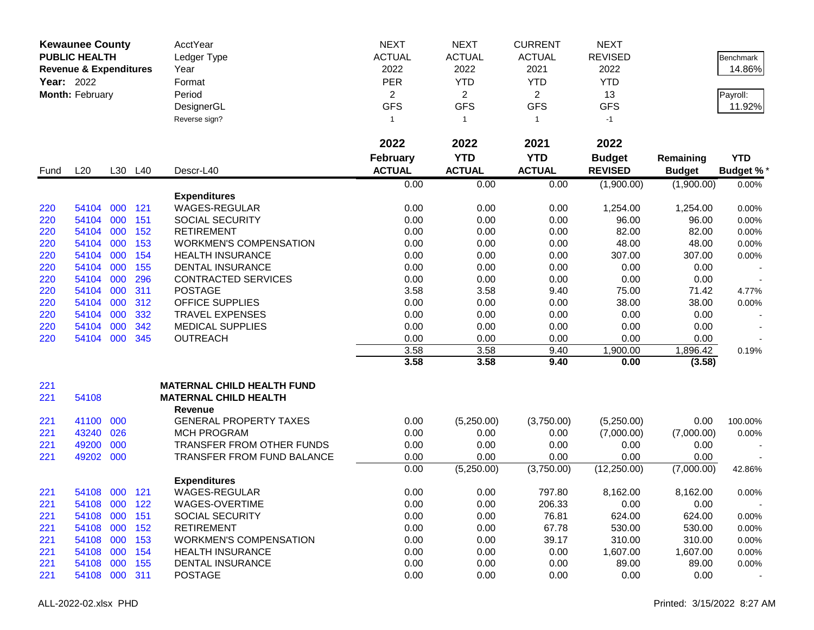|      | <b>Kewaunee County</b>                                             |         |         | AcctYear                          | <b>NEXT</b>     | <b>NEXT</b>    | <b>CURRENT</b> | <b>NEXT</b>    |               |                  |
|------|--------------------------------------------------------------------|---------|---------|-----------------------------------|-----------------|----------------|----------------|----------------|---------------|------------------|
|      | <b>PUBLIC HEALTH</b>                                               |         |         | Ledger Type                       | <b>ACTUAL</b>   | <b>ACTUAL</b>  | <b>ACTUAL</b>  | <b>REVISED</b> |               | Benchmark        |
|      | <b>Revenue &amp; Expenditures</b><br>Year: 2022<br>Month: February |         | Year    | 2022                              | 2022            | 2021           | 2022           |                | 14.86%        |                  |
|      |                                                                    |         |         | Format                            | <b>PER</b>      | <b>YTD</b>     | <b>YTD</b>     | <b>YTD</b>     |               |                  |
|      |                                                                    |         |         | Period                            | $\overline{2}$  | $\overline{2}$ | $\overline{2}$ | 13             |               | Payroll:         |
|      |                                                                    |         |         | DesignerGL                        | <b>GFS</b>      | <b>GFS</b>     | <b>GFS</b>     | <b>GFS</b>     |               | 11.92%           |
|      |                                                                    |         |         | Reverse sign?                     | 1               | $\overline{1}$ | $\mathbf{1}$   | $-1$           |               |                  |
|      |                                                                    |         |         |                                   |                 |                |                |                |               |                  |
|      |                                                                    |         |         |                                   | 2022            | 2022           | 2021           | 2022           |               |                  |
|      |                                                                    |         |         |                                   | <b>February</b> | <b>YTD</b>     | <b>YTD</b>     | <b>Budget</b>  | Remaining     | <b>YTD</b>       |
| Fund | L20                                                                |         | L30 L40 | Descr-L40                         | <b>ACTUAL</b>   | <b>ACTUAL</b>  | <b>ACTUAL</b>  | <b>REVISED</b> | <b>Budget</b> | <b>Budget %*</b> |
|      |                                                                    |         |         |                                   | 0.00            | 0.00           | 0.00           | (1,900.00)     | (1,900.00)    | 0.00%            |
|      |                                                                    |         |         | <b>Expenditures</b>               |                 |                |                |                |               |                  |
| 220  | 54104                                                              | 000     | 121     | WAGES-REGULAR                     | 0.00            | 0.00           | 0.00           | 1,254.00       | 1,254.00      | 0.00%            |
| 220  | 54104                                                              | 000     | 151     | <b>SOCIAL SECURITY</b>            | 0.00            | 0.00           | 0.00           | 96.00          | 96.00         | 0.00%            |
| 220  | 54104                                                              | 000     | 152     | <b>RETIREMENT</b>                 | 0.00            | 0.00           | 0.00           | 82.00          | 82.00         | 0.00%            |
| 220  | 54104                                                              | 000     | 153     | <b>WORKMEN'S COMPENSATION</b>     | 0.00            | 0.00           | 0.00           | 48.00          | 48.00         | 0.00%            |
| 220  | 54104                                                              | 000     | 154     | <b>HEALTH INSURANCE</b>           | 0.00            | 0.00           | 0.00           | 307.00         | 307.00        | 0.00%            |
| 220  | 54104                                                              | 000     | 155     | <b>DENTAL INSURANCE</b>           | 0.00            | 0.00           | 0.00           | 0.00           | 0.00          |                  |
| 220  | 54104                                                              | 000     | 296     | <b>CONTRACTED SERVICES</b>        | 0.00            | 0.00           | 0.00           | 0.00           | 0.00          |                  |
| 220  | 54104                                                              | 000     | 311     | <b>POSTAGE</b>                    | 3.58            | 3.58           | 9.40           | 75.00          | 71.42         | 4.77%            |
| 220  | 54104                                                              | 000     | 312     | <b>OFFICE SUPPLIES</b>            | 0.00            | 0.00           | 0.00           | 38.00          | 38.00         | 0.00%            |
| 220  | 54104                                                              | 000     | 332     | <b>TRAVEL EXPENSES</b>            | 0.00            | 0.00           | 0.00           | 0.00           | 0.00          |                  |
| 220  | 54104                                                              | 000     | 342     | <b>MEDICAL SUPPLIES</b>           | 0.00            | 0.00           | 0.00           | 0.00           | 0.00          |                  |
| 220  | 54104                                                              | 000     | 345     | <b>OUTREACH</b>                   | 0.00            | 0.00           | 0.00           | 0.00           | 0.00          |                  |
|      |                                                                    |         |         |                                   | 3.58            | 3.58           | 9.40           | 1,900.00       | 1,896.42      | 0.19%            |
|      |                                                                    |         |         |                                   | 3.58            | 3.58           | 9.40           | 0.00           | (3.58)        |                  |
| 221  |                                                                    |         |         | <b>MATERNAL CHILD HEALTH FUND</b> |                 |                |                |                |               |                  |
| 221  | 54108                                                              |         |         | <b>MATERNAL CHILD HEALTH</b>      |                 |                |                |                |               |                  |
|      |                                                                    |         |         | <b>Revenue</b>                    |                 |                |                |                |               |                  |
| 221  | 41100                                                              | 000     |         | <b>GENERAL PROPERTY TAXES</b>     | 0.00            | (5,250.00)     | (3,750.00)     | (5,250.00)     | 0.00          | 100.00%          |
| 221  | 43240                                                              | 026     |         | <b>MCH PROGRAM</b>                | 0.00            | 0.00           | 0.00           | (7,000.00)     | (7,000.00)    | 0.00%            |
| 221  | 49200                                                              | 000     |         | TRANSFER FROM OTHER FUNDS         | 0.00            | 0.00           | 0.00           | 0.00           | 0.00          |                  |
| 221  | 49202                                                              | 000     |         | <b>TRANSFER FROM FUND BALANCE</b> | 0.00            | 0.00           | 0.00           | 0.00           | 0.00          |                  |
|      |                                                                    |         |         |                                   | 0.00            | (5,250.00)     | (3,750.00)     | (12, 250.00)   | (7,000.00)    | 42.86%           |
|      |                                                                    |         |         | <b>Expenditures</b>               |                 |                |                |                |               |                  |
| 221  | 54108 000 121                                                      |         |         | WAGES-REGULAR                     | 0.00            | 0.00           | 797.80         | 8,162.00       | 8,162.00      | 0.00%            |
| 221  | 54108                                                              | 000     | 122     | WAGES-OVERTIME                    | 0.00            | 0.00           | 206.33         | 0.00           | 0.00          |                  |
| 221  | 54108                                                              | 000     | 151     | SOCIAL SECURITY                   | 0.00            | 0.00           | 76.81          | 624.00         | 624.00        | 0.00%            |
| 221  | 54108                                                              |         | 000 152 | <b>RETIREMENT</b>                 | 0.00            | 0.00           | 67.78          | 530.00         | 530.00        | 0.00%            |
| 221  | 54108                                                              | 000     | 153     | <b>WORKMEN'S COMPENSATION</b>     | 0.00            | 0.00           | 39.17          | 310.00         | 310.00        | 0.00%            |
| 221  | 54108                                                              | 000     | 154     | <b>HEALTH INSURANCE</b>           | 0.00            | 0.00           | 0.00           | 1,607.00       | 1,607.00      | 0.00%            |
| 221  | 54108                                                              | 000     | 155     | <b>DENTAL INSURANCE</b>           | 0.00            | 0.00           | 0.00           | 89.00          | 89.00         | 0.00%            |
| 221  | 54108                                                              | 000 311 |         | <b>POSTAGE</b>                    | 0.00            | 0.00           | 0.00           | 0.00           | 0.00          |                  |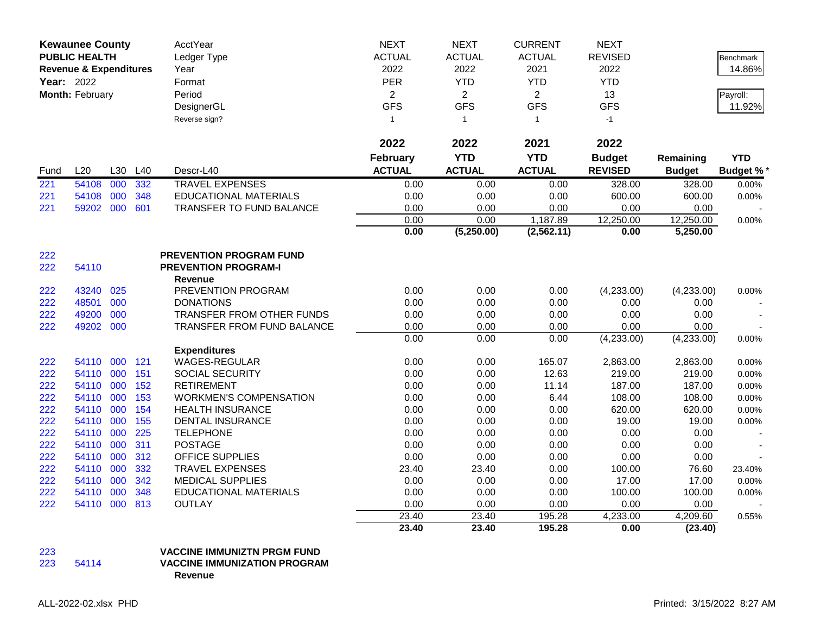|      | <b>Kewaunee County</b>            |     |     | AcctYear                       | <b>NEXT</b>     | <b>NEXT</b>        | <b>CURRENT</b> | <b>NEXT</b>    |               |                  |
|------|-----------------------------------|-----|-----|--------------------------------|-----------------|--------------------|----------------|----------------|---------------|------------------|
|      | <b>PUBLIC HEALTH</b>              |     |     | Ledger Type                    | <b>ACTUAL</b>   | <b>ACTUAL</b>      | <b>ACTUAL</b>  | <b>REVISED</b> |               | <b>Benchmark</b> |
|      | <b>Revenue &amp; Expenditures</b> |     |     | Year                           | 2022            | 2022               | 2021           | 2022           |               | 14.86%           |
|      | Year: 2022                        |     |     | Format                         | PER             | <b>YTD</b>         | <b>YTD</b>     | <b>YTD</b>     |               |                  |
|      | Month: February                   |     |     | Period                         | $\overline{2}$  | $\overline{2}$     | $\overline{2}$ | 13             |               | Payroll:         |
|      |                                   |     |     | DesignerGL                     | <b>GFS</b>      | <b>GFS</b>         | <b>GFS</b>     | <b>GFS</b>     |               | 11.92%           |
|      |                                   |     |     | Reverse sign?                  | $\mathbf{1}$    | $\mathbf{1}$       | $\mathbf{1}$   | $-1$           |               |                  |
|      |                                   |     |     |                                |                 |                    |                |                |               |                  |
|      |                                   |     |     |                                | 2022            | 2022               | 2021           | 2022           |               |                  |
|      |                                   |     |     |                                | <b>February</b> | <b>YTD</b>         | <b>YTD</b>     | <b>Budget</b>  | Remaining     | <b>YTD</b>       |
| Fund | L20                               | L30 | L40 | Descr-L40                      | <b>ACTUAL</b>   | <b>ACTUAL</b>      | <b>ACTUAL</b>  | <b>REVISED</b> | <b>Budget</b> | <b>Budget %*</b> |
| 221  | 54108                             | 000 | 332 | <b>TRAVEL EXPENSES</b>         | 0.00            | 0.00               | 0.00           | 328.00         | 328.00        | 0.00%            |
| 221  | 54108                             | 000 | 348 | <b>EDUCATIONAL MATERIALS</b>   | 0.00            | 0.00               | 0.00           | 600.00         | 600.00        | 0.00%            |
| 221  | 59202 000                         |     | 601 | TRANSFER TO FUND BALANCE       | 0.00            | 0.00               | 0.00           | 0.00           | 0.00          |                  |
|      |                                   |     |     |                                | 0.00            | 0.00               | 1,187.89       | 12,250.00      | 12,250.00     | 0.00%            |
|      |                                   |     |     |                                | 0.00            | (5,250.00)         | (2, 562.11)    | 0.00           | 5,250.00      |                  |
|      |                                   |     |     |                                |                 |                    |                |                |               |                  |
| 222  |                                   |     |     | <b>PREVENTION PROGRAM FUND</b> |                 |                    |                |                |               |                  |
| 222  | 54110                             |     |     | <b>PREVENTION PROGRAM-I</b>    |                 |                    |                |                |               |                  |
|      |                                   |     |     | <b>Revenue</b>                 |                 |                    |                |                |               |                  |
| 222  | 43240 025                         |     |     | PREVENTION PROGRAM             | 0.00            | 0.00               | 0.00           | (4,233.00)     | (4,233.00)    | 0.00%            |
| 222  | 48501                             | 000 |     | <b>DONATIONS</b>               | 0.00            | 0.00               | 0.00           | 0.00           | 0.00          |                  |
| 222  | 49200                             | 000 |     | TRANSFER FROM OTHER FUNDS      | 0.00            | 0.00               | 0.00           | 0.00           | 0.00          |                  |
| 222  | 49202 000                         |     |     | TRANSFER FROM FUND BALANCE     | 0.00            | 0.00               | 0.00           | 0.00           | 0.00          |                  |
|      |                                   |     |     |                                | 0.00            | 0.00               | 0.00           | (4,233.00)     | (4,233.00)    | 0.00%            |
|      |                                   |     |     | <b>Expenditures</b>            |                 |                    |                |                |               |                  |
| 222  | 54110                             | 000 | 121 | WAGES-REGULAR                  | 0.00            | 0.00               | 165.07         | 2,863.00       | 2,863.00      | 0.00%            |
| 222  | 54110 000                         |     | 151 | <b>SOCIAL SECURITY</b>         | 0.00            | 0.00               | 12.63          | 219.00         | 219.00        | 0.00%            |
| 222  | 54110 000                         |     | 152 | <b>RETIREMENT</b>              | 0.00            | 0.00               | 11.14          | 187.00         | 187.00        | 0.00%            |
| 222  | 54110                             | 000 | 153 | <b>WORKMEN'S COMPENSATION</b>  | 0.00            | 0.00               | 6.44           | 108.00         | 108.00        | 0.00%            |
| 222  | 54110 000                         |     | 154 | <b>HEALTH INSURANCE</b>        | 0.00            | 0.00               | 0.00           | 620.00         | 620.00        | 0.00%            |
| 222  | 54110                             | 000 | 155 | <b>DENTAL INSURANCE</b>        | 0.00            | 0.00               | 0.00           | 19.00          | 19.00         | 0.00%            |
| 222  | 54110 000                         |     | 225 | <b>TELEPHONE</b>               | 0.00            | 0.00               | 0.00           | 0.00           | 0.00          |                  |
| 222  | 54110 000                         |     | 311 | <b>POSTAGE</b>                 | 0.00            | 0.00               | 0.00           | 0.00           | 0.00          |                  |
| 222  | 54110 000                         |     | 312 | <b>OFFICE SUPPLIES</b>         | 0.00            | 0.00               | 0.00           | 0.00           | 0.00          |                  |
| 222  | 54110                             | 000 | 332 | <b>TRAVEL EXPENSES</b>         | 23.40           | 23.40              | 0.00           | 100.00         | 76.60         | 23.40%           |
| 222  | 54110                             | 000 | 342 | <b>MEDICAL SUPPLIES</b>        | 0.00            | 0.00               | 0.00           | 17.00          | 17.00         | 0.00%            |
| 222  | 54110                             | 000 | 348 | <b>EDUCATIONAL MATERIALS</b>   | 0.00            | 0.00               | 0.00           | 100.00         | 100.00        | 0.00%            |
| 222  | 54110 000                         |     | 813 | <b>OUTLAY</b>                  | 0.00            | 0.00               | 0.00           | 0.00           | 0.00          |                  |
|      |                                   |     |     |                                | 23.40           | $\overline{23.40}$ | 195.28         | 4,233.00       | 4,209.60      | 0.55%            |
|      |                                   |     |     |                                | 23.40           | 23.40              | 195.28         | 0.00           | (23.40)       |                  |

## 223 **VACCINE IMMUNIZTN PRGM FUND**

## **VACCINE IMMUNIZATION PROGRAM**

**Revenue**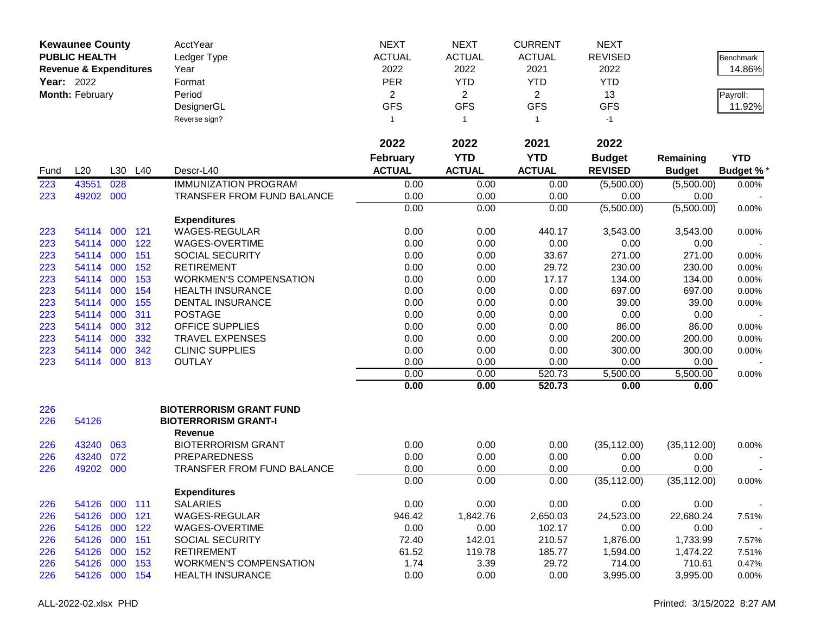|                   | <b>Kewaunee County</b>            |     |         | AcctYear                       | <b>NEXT</b>     | <b>NEXT</b>    | <b>CURRENT</b> | <b>NEXT</b>    |               |                  |
|-------------------|-----------------------------------|-----|---------|--------------------------------|-----------------|----------------|----------------|----------------|---------------|------------------|
|                   | <b>PUBLIC HEALTH</b>              |     |         | Ledger Type                    | <b>ACTUAL</b>   | <b>ACTUAL</b>  | <b>ACTUAL</b>  | <b>REVISED</b> |               | <b>Benchmark</b> |
|                   | <b>Revenue &amp; Expenditures</b> |     |         | Year                           | 2022            | 2022           | 2021           | 2022           |               | 14.86%           |
| <b>Year: 2022</b> |                                   |     |         | Format                         | <b>PER</b>      | <b>YTD</b>     | <b>YTD</b>     | <b>YTD</b>     |               |                  |
|                   | Month: February                   |     |         | Period                         | $\overline{2}$  | $\overline{2}$ | $\overline{2}$ | 13             |               | Payroll:         |
|                   |                                   |     |         | DesignerGL                     | <b>GFS</b>      | <b>GFS</b>     | <b>GFS</b>     | <b>GFS</b>     |               | 11.92%           |
|                   |                                   |     |         | Reverse sign?                  | -1              | $\overline{1}$ | $\mathbf{1}$   | $-1$           |               |                  |
|                   |                                   |     |         |                                |                 |                |                |                |               |                  |
|                   |                                   |     |         |                                | 2022            | 2022           | 2021           | 2022           |               |                  |
|                   |                                   |     |         |                                | <b>February</b> | <b>YTD</b>     | <b>YTD</b>     | <b>Budget</b>  | Remaining     | <b>YTD</b>       |
| Fund              | L20                               |     | L30 L40 | Descr-L40                      | <b>ACTUAL</b>   | <b>ACTUAL</b>  | <b>ACTUAL</b>  | <b>REVISED</b> | <b>Budget</b> | <b>Budget %*</b> |
| 223               | 43551                             | 028 |         | <b>IMMUNIZATION PROGRAM</b>    | 0.00            | 0.00           | 0.00           | (5,500.00)     | (5,500.00)    | 0.00%            |
| 223               | 49202 000                         |     |         | TRANSFER FROM FUND BALANCE     | 0.00            | 0.00           | 0.00           | 0.00           | 0.00          |                  |
|                   |                                   |     |         |                                | 0.00            | 0.00           | 0.00           | (5,500.00)     | (5,500.00)    | 0.00%            |
|                   |                                   |     |         | <b>Expenditures</b>            |                 |                |                |                |               |                  |
| 223               | 54114 000                         |     | 121     | WAGES-REGULAR                  | 0.00            | 0.00           | 440.17         | 3,543.00       | 3,543.00      | 0.00%            |
| 223               | 54114 000                         |     | 122     | WAGES-OVERTIME                 | 0.00            | 0.00           | 0.00           | 0.00           | 0.00          |                  |
| 223               | 54114 000                         |     | 151     | <b>SOCIAL SECURITY</b>         | 0.00            | 0.00           | 33.67          | 271.00         | 271.00        | 0.00%            |
| 223               | 54114 000                         |     | 152     | <b>RETIREMENT</b>              | 0.00            | 0.00           | 29.72          | 230.00         | 230.00        | 0.00%            |
| 223               | 54114                             | 000 | 153     | <b>WORKMEN'S COMPENSATION</b>  | 0.00            | 0.00           | 17.17          | 134.00         | 134.00        | 0.00%            |
| 223               | 54114                             | 000 | 154     | <b>HEALTH INSURANCE</b>        | 0.00            | 0.00           | 0.00           | 697.00         | 697.00        | 0.00%            |
| 223               | 54114                             | 000 | 155     | <b>DENTAL INSURANCE</b>        | 0.00            | 0.00           | 0.00           | 39.00          | 39.00         | 0.00%            |
| 223               | 54114                             | 000 | 311     | <b>POSTAGE</b>                 | 0.00            | 0.00           | 0.00           | 0.00           | 0.00          |                  |
| 223               | 54114 000                         |     | 312     | <b>OFFICE SUPPLIES</b>         | 0.00            | 0.00           | 0.00           | 86.00          | 86.00         | 0.00%            |
| 223               | 54114                             | 000 | 332     | <b>TRAVEL EXPENSES</b>         | 0.00            | 0.00           | 0.00           | 200.00         | 200.00        | 0.00%            |
| 223               | 54114                             | 000 | 342     | <b>CLINIC SUPPLIES</b>         | 0.00            | 0.00           | 0.00           | 300.00         | 300.00        | 0.00%            |
| 223               | 54114 000                         |     | 813     | <b>OUTLAY</b>                  | 0.00            | 0.00           | 0.00           | 0.00           | 0.00          |                  |
|                   |                                   |     |         |                                | 0.00            | 0.00           | 520.73         | 5,500.00       | 5,500.00      | 0.00%            |
|                   |                                   |     |         |                                | 0.00            | 0.00           | 520.73         | 0.00           | 0.00          |                  |
| 226               |                                   |     |         | <b>BIOTERRORISM GRANT FUND</b> |                 |                |                |                |               |                  |
| 226               | 54126                             |     |         | <b>BIOTERRORISM GRANT-I</b>    |                 |                |                |                |               |                  |
|                   |                                   |     |         | <b>Revenue</b>                 |                 |                |                |                |               |                  |
| 226               | 43240                             | 063 |         | <b>BIOTERRORISM GRANT</b>      | 0.00            | 0.00           | 0.00           | (35, 112.00)   | (35, 112.00)  | 0.00%            |
| 226               | 43240                             | 072 |         | <b>PREPAREDNESS</b>            | 0.00            | 0.00           | 0.00           | 0.00           | 0.00          |                  |
| 226               | 49202 000                         |     |         | TRANSFER FROM FUND BALANCE     | 0.00            | 0.00           | 0.00           | 0.00           | 0.00          |                  |
|                   |                                   |     |         |                                | 0.00            | 0.00           | 0.00           | (35, 112.00)   | (35, 112.00)  | 0.00%            |
|                   |                                   |     |         | <b>Expenditures</b>            |                 |                |                |                |               |                  |
| 226               | 54126 000 111                     |     |         | <b>SALARIES</b>                | 0.00            | 0.00           | 0.00           | 0.00           | 0.00          |                  |
| 226               | 54126 000                         |     | 121     | WAGES-REGULAR                  | 946.42          | 1,842.76       | 2,650.03       | 24,523.00      | 22,680.24     | 7.51%            |
| 226               | 54126 000                         |     | 122     | WAGES-OVERTIME                 | 0.00            | 0.00           | 102.17         | 0.00           | 0.00          |                  |
| 226               | 54126 000                         |     | 151     | <b>SOCIAL SECURITY</b>         | 72.40           | 142.01         | 210.57         | 1,876.00       | 1,733.99      | 7.57%            |
| 226               | 54126 000 152                     |     |         | <b>RETIREMENT</b>              | 61.52           | 119.78         | 185.77         | 1,594.00       | 1,474.22      | 7.51%            |
| 226               | 54126 000 153                     |     |         | <b>WORKMEN'S COMPENSATION</b>  | 1.74            | 3.39           | 29.72          | 714.00         | 710.61        | 0.47%            |
| 226               | 54126 000 154                     |     |         | <b>HEALTH INSURANCE</b>        | 0.00            | 0.00           | 0.00           | 3,995.00       | 3,995.00      | 0.00%            |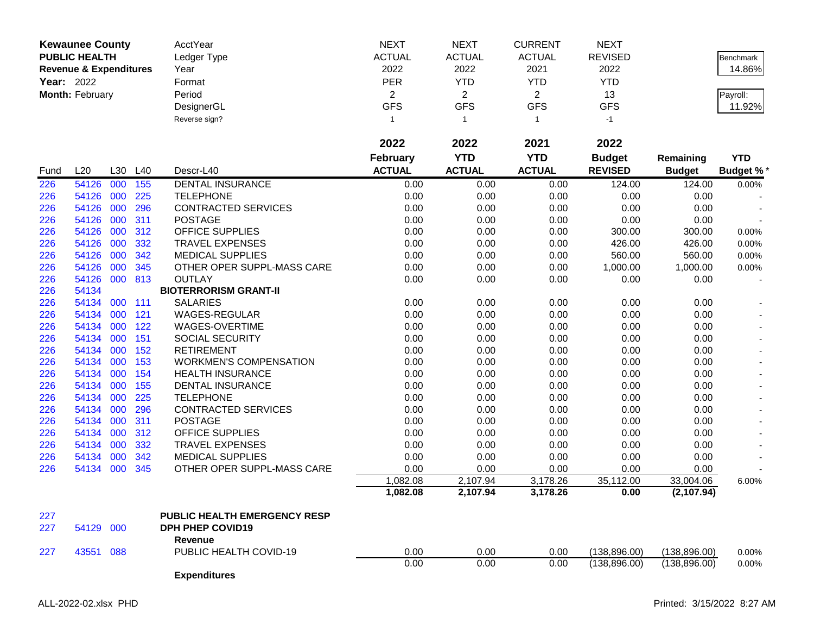|            | <b>Kewaunee County</b><br><b>PUBLIC HEALTH</b><br><b>Revenue &amp; Expenditures</b><br>Year: 2022<br>Month: February |         |     | AcctYear<br>Ledger Type<br>Year<br>Format<br>Period<br>DesignerGL<br>Reverse sign? | <b>NEXT</b><br><b>ACTUAL</b><br>2022<br>PER<br>$\overline{c}$<br><b>GFS</b><br>$\mathbf{1}$ | <b>NEXT</b><br><b>ACTUAL</b><br>2022<br><b>YTD</b><br>$\overline{2}$<br><b>GFS</b><br>$\mathbf{1}$ | <b>CURRENT</b><br><b>ACTUAL</b><br>2021<br><b>YTD</b><br>$\overline{2}$<br><b>GFS</b><br>$\overline{1}$ | <b>NEXT</b><br><b>REVISED</b><br>2022<br><b>YTD</b><br>13<br><b>GFS</b><br>$-1$ |               | Benchmark<br>14.86%<br>Payroll:<br>11.92% |
|------------|----------------------------------------------------------------------------------------------------------------------|---------|-----|------------------------------------------------------------------------------------|---------------------------------------------------------------------------------------------|----------------------------------------------------------------------------------------------------|---------------------------------------------------------------------------------------------------------|---------------------------------------------------------------------------------|---------------|-------------------------------------------|
|            |                                                                                                                      |         |     |                                                                                    | 2022                                                                                        | 2022                                                                                               | 2021                                                                                                    | 2022                                                                            |               |                                           |
|            |                                                                                                                      |         |     |                                                                                    | <b>February</b>                                                                             | <b>YTD</b>                                                                                         | <b>YTD</b>                                                                                              | <b>Budget</b>                                                                   | Remaining     | <b>YTD</b>                                |
| Fund       | L20                                                                                                                  | L30 L40 |     | Descr-L40                                                                          | <b>ACTUAL</b>                                                                               | <b>ACTUAL</b>                                                                                      | <b>ACTUAL</b>                                                                                           | <b>REVISED</b>                                                                  | <b>Budget</b> | <b>Budget %*</b>                          |
| 226        | 54126                                                                                                                | 000     | 155 | <b>DENTAL INSURANCE</b>                                                            | 0.00                                                                                        | 0.00                                                                                               | 0.00                                                                                                    | 124.00                                                                          | 124.00        | 0.00%                                     |
| 226        | 54126 000                                                                                                            |         | 225 | <b>TELEPHONE</b>                                                                   | 0.00                                                                                        | 0.00                                                                                               | 0.00                                                                                                    | 0.00                                                                            | 0.00          |                                           |
| 226        | 54126 000                                                                                                            |         | 296 | CONTRACTED SERVICES                                                                | 0.00                                                                                        | 0.00                                                                                               | 0.00                                                                                                    | 0.00                                                                            | 0.00          |                                           |
| 226        | 54126 000                                                                                                            |         | 311 | <b>POSTAGE</b>                                                                     | 0.00                                                                                        | 0.00                                                                                               | 0.00                                                                                                    | 0.00                                                                            | 0.00          |                                           |
| 226        | 54126 000                                                                                                            |         | 312 | OFFICE SUPPLIES                                                                    | 0.00                                                                                        | 0.00                                                                                               | 0.00                                                                                                    | 300.00                                                                          | 300.00        | 0.00%                                     |
| 226        | 54126 000                                                                                                            |         | 332 | <b>TRAVEL EXPENSES</b>                                                             | 0.00                                                                                        | 0.00                                                                                               | 0.00                                                                                                    | 426.00                                                                          | 426.00        | 0.00%                                     |
| 226        | 54126 000                                                                                                            |         | 342 | <b>MEDICAL SUPPLIES</b>                                                            | 0.00                                                                                        | 0.00                                                                                               | 0.00                                                                                                    | 560.00                                                                          | 560.00        | 0.00%                                     |
| 226        | 54126                                                                                                                | 000     | 345 | OTHER OPER SUPPL-MASS CARE                                                         | 0.00                                                                                        | 0.00                                                                                               | 0.00                                                                                                    | 1,000.00                                                                        | 1,000.00      | 0.00%                                     |
| 226        | 54126 000 813                                                                                                        |         |     | <b>OUTLAY</b>                                                                      | 0.00                                                                                        | 0.00                                                                                               | 0.00                                                                                                    | 0.00                                                                            | 0.00          |                                           |
| 226        | 54134                                                                                                                |         |     | <b>BIOTERRORISM GRANT-II</b>                                                       |                                                                                             |                                                                                                    |                                                                                                         |                                                                                 |               |                                           |
| 226        | 54134 000                                                                                                            |         | 111 | <b>SALARIES</b>                                                                    | 0.00                                                                                        | 0.00                                                                                               | 0.00                                                                                                    | 0.00                                                                            | 0.00          |                                           |
| 226        | 54134                                                                                                                | 000     | 121 | WAGES-REGULAR                                                                      | 0.00                                                                                        | 0.00                                                                                               | 0.00                                                                                                    | 0.00                                                                            | 0.00          |                                           |
| 226        | 54134 000                                                                                                            |         | 122 | WAGES-OVERTIME                                                                     | 0.00                                                                                        | 0.00                                                                                               | 0.00                                                                                                    | 0.00                                                                            | 0.00          |                                           |
| 226        | 54134 000                                                                                                            |         | 151 | SOCIAL SECURITY                                                                    | 0.00                                                                                        | 0.00                                                                                               | 0.00                                                                                                    | 0.00                                                                            | 0.00          |                                           |
| 226        | 54134 000                                                                                                            |         | 152 | <b>RETIREMENT</b>                                                                  | 0.00                                                                                        | 0.00                                                                                               | 0.00                                                                                                    | 0.00                                                                            | 0.00          |                                           |
| 226        | 54134 000                                                                                                            |         | 153 | <b>WORKMEN'S COMPENSATION</b>                                                      | 0.00                                                                                        | 0.00                                                                                               | 0.00                                                                                                    | 0.00                                                                            | 0.00          |                                           |
| 226        | 54134                                                                                                                | 000     | 154 | <b>HEALTH INSURANCE</b>                                                            | 0.00                                                                                        | 0.00                                                                                               | 0.00                                                                                                    | 0.00                                                                            | 0.00          |                                           |
| 226        | 54134                                                                                                                | 000     | 155 | <b>DENTAL INSURANCE</b>                                                            | 0.00                                                                                        | 0.00                                                                                               | 0.00                                                                                                    | 0.00                                                                            | 0.00          |                                           |
| 226        | 54134                                                                                                                | 000     | 225 | <b>TELEPHONE</b>                                                                   | 0.00                                                                                        | 0.00                                                                                               | 0.00                                                                                                    | 0.00                                                                            | 0.00          |                                           |
| 226        | 54134                                                                                                                | 000     | 296 | CONTRACTED SERVICES                                                                | 0.00                                                                                        | 0.00                                                                                               | 0.00                                                                                                    | 0.00                                                                            | 0.00          |                                           |
| 226        | 54134                                                                                                                | 000     | 311 | <b>POSTAGE</b>                                                                     | 0.00                                                                                        | 0.00                                                                                               | 0.00                                                                                                    | 0.00                                                                            | 0.00          |                                           |
| 226        | 54134 000                                                                                                            |         | 312 | OFFICE SUPPLIES                                                                    | 0.00                                                                                        | 0.00                                                                                               | 0.00                                                                                                    | 0.00                                                                            | 0.00          |                                           |
| 226        | 54134 000                                                                                                            |         | 332 | <b>TRAVEL EXPENSES</b>                                                             | 0.00                                                                                        | 0.00                                                                                               | 0.00                                                                                                    | 0.00                                                                            | 0.00          |                                           |
| 226        | 54134                                                                                                                | 000     | 342 | <b>MEDICAL SUPPLIES</b>                                                            | 0.00                                                                                        | 0.00                                                                                               | 0.00                                                                                                    | 0.00                                                                            | 0.00          |                                           |
| 226        | 54134 000                                                                                                            |         | 345 | OTHER OPER SUPPL-MASS CARE                                                         | 0.00                                                                                        | 0.00                                                                                               | 0.00                                                                                                    | 0.00                                                                            | 0.00          |                                           |
|            |                                                                                                                      |         |     |                                                                                    | 1,082.08                                                                                    | 2,107.94                                                                                           | 3,178.26                                                                                                | 35,112.00                                                                       | 33,004.06     | 6.00%                                     |
|            |                                                                                                                      |         |     |                                                                                    | 1,082.08                                                                                    | 2,107.94                                                                                           | 3,178.26                                                                                                | 0.00                                                                            | (2, 107.94)   |                                           |
|            |                                                                                                                      |         |     |                                                                                    |                                                                                             |                                                                                                    |                                                                                                         |                                                                                 |               |                                           |
| 227<br>227 |                                                                                                                      |         |     | <b>PUBLIC HEALTH EMERGENCY RESP</b><br><b>DPH PHEP COVID19</b>                     |                                                                                             |                                                                                                    |                                                                                                         |                                                                                 |               |                                           |
|            | 54129 000                                                                                                            |         |     | Revenue                                                                            |                                                                                             |                                                                                                    |                                                                                                         |                                                                                 |               |                                           |
|            | 43551 088                                                                                                            |         |     | PUBLIC HEALTH COVID-19                                                             | 0.00                                                                                        | 0.00                                                                                               |                                                                                                         |                                                                                 |               |                                           |
| 227        |                                                                                                                      |         |     |                                                                                    | 0.00                                                                                        |                                                                                                    | 0.00<br>0.00                                                                                            | (138, 896.00)                                                                   | (138, 896.00) | 0.00%                                     |
|            |                                                                                                                      |         |     | <b>Expenditures</b>                                                                |                                                                                             | 0.00                                                                                               |                                                                                                         | (138, 896.00)                                                                   | (138, 896.00) | 0.00%                                     |
|            |                                                                                                                      |         |     |                                                                                    |                                                                                             |                                                                                                    |                                                                                                         |                                                                                 |               |                                           |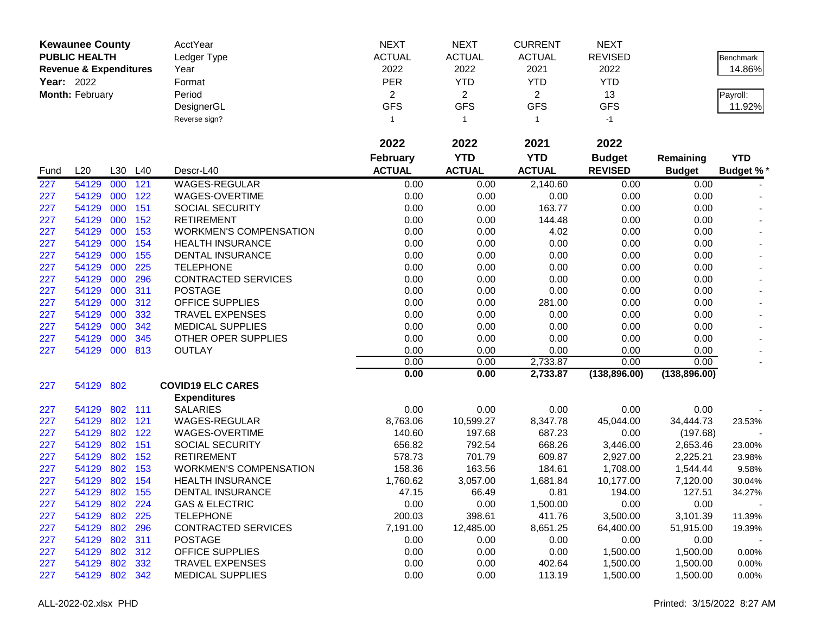|                   | <b>Kewaunee County</b>            |            |            | AcctYear                                                 | <b>NEXT</b>       | <b>NEXT</b>         | <b>CURRENT</b>   | <b>NEXT</b>           |                       |                  |
|-------------------|-----------------------------------|------------|------------|----------------------------------------------------------|-------------------|---------------------|------------------|-----------------------|-----------------------|------------------|
|                   | <b>PUBLIC HEALTH</b>              |            |            | Ledger Type                                              | <b>ACTUAL</b>     | <b>ACTUAL</b>       | <b>ACTUAL</b>    | <b>REVISED</b>        |                       | Benchmark        |
|                   | <b>Revenue &amp; Expenditures</b> |            |            | Year                                                     | 2022              | 2022                | 2021             | 2022                  |                       | 14.86%           |
| <b>Year: 2022</b> |                                   |            |            | Format                                                   | PER               | <b>YTD</b>          | <b>YTD</b>       | <b>YTD</b>            |                       |                  |
|                   | Month: February                   |            |            | Period                                                   | $\overline{c}$    | $\overline{2}$      | $\overline{2}$   | 13                    |                       | Payroll:         |
|                   |                                   |            |            | DesignerGL                                               | <b>GFS</b>        | <b>GFS</b>          | <b>GFS</b>       | <b>GFS</b>            |                       | 11.92%           |
|                   |                                   |            |            | Reverse sign?                                            | -1                | $\overline{1}$      | $\mathbf{1}$     | $-1$                  |                       |                  |
|                   |                                   |            |            |                                                          |                   |                     |                  |                       |                       |                  |
|                   |                                   |            |            |                                                          | 2022              | 2022                | 2021             | 2022                  |                       |                  |
|                   |                                   |            |            |                                                          | <b>February</b>   | <b>YTD</b>          | <b>YTD</b>       | <b>Budget</b>         | Remaining             | <b>YTD</b>       |
| Fund              | L20                               | L30        | L40        | Descr-L40                                                | <b>ACTUAL</b>     | <b>ACTUAL</b>       | <b>ACTUAL</b>    | <b>REVISED</b>        | <b>Budget</b>         | <b>Budget %*</b> |
| 227               | 54129                             | 000        | 121        | WAGES-REGULAR                                            | 0.00              | 0.00                | 2,140.60         | 0.00                  | 0.00                  |                  |
| 227               | 54129                             | 000        | 122        | WAGES-OVERTIME                                           | 0.00              | 0.00                | 0.00             | 0.00                  | 0.00                  |                  |
| 227               | 54129                             | 000        | 151        | <b>SOCIAL SECURITY</b>                                   | 0.00              | 0.00                | 163.77           | 0.00                  | 0.00                  |                  |
| 227               | 54129                             | 000        | 152        | <b>RETIREMENT</b>                                        | 0.00              | 0.00                | 144.48           | 0.00                  | 0.00                  |                  |
| 227               | 54129                             | 000        | 153        | <b>WORKMEN'S COMPENSATION</b>                            | 0.00              | 0.00                | 4.02             | 0.00                  | 0.00                  |                  |
| 227               | 54129                             | 000        | 154        | <b>HEALTH INSURANCE</b>                                  | 0.00              | 0.00                | 0.00             | 0.00                  | 0.00                  |                  |
| 227               | 54129                             | 000        | 155        | <b>DENTAL INSURANCE</b>                                  | 0.00              | 0.00                | 0.00             | 0.00                  | 0.00                  |                  |
| 227               | 54129                             | 000        | 225        | <b>TELEPHONE</b>                                         | 0.00              | 0.00                | 0.00             | 0.00                  | 0.00                  |                  |
| 227               | 54129                             | 000        | 296        | <b>CONTRACTED SERVICES</b>                               | 0.00              | 0.00                | 0.00             | 0.00                  | 0.00                  |                  |
| 227               | 54129                             | 000        | 311        | <b>POSTAGE</b>                                           | 0.00              | 0.00                | 0.00             | 0.00                  | 0.00                  |                  |
| 227               | 54129                             | 000        | 312        | <b>OFFICE SUPPLIES</b>                                   | 0.00              | 0.00                | 281.00           | 0.00                  | 0.00                  |                  |
| 227               | 54129                             | 000        | 332        | <b>TRAVEL EXPENSES</b>                                   | 0.00              | 0.00                | 0.00             | 0.00                  | 0.00                  |                  |
| 227               | 54129                             | 000        | 342        | <b>MEDICAL SUPPLIES</b>                                  | 0.00              | 0.00                | 0.00             | 0.00                  | 0.00                  |                  |
| 227               | 54129                             | 000        | 345        | OTHER OPER SUPPLIES                                      | 0.00              | 0.00                | 0.00             | 0.00                  | 0.00                  |                  |
| 227               | 54129                             | 000        | 813        | <b>OUTLAY</b>                                            | 0.00              | 0.00                | 0.00             | 0.00                  | 0.00                  |                  |
|                   |                                   |            |            |                                                          | 0.00              | 0.00                | 2,733.87         | 0.00                  | 0.00                  |                  |
|                   |                                   |            |            |                                                          | 0.00              | 0.00                | 2,733.87         | (138, 896.00)         | (138, 896.00)         |                  |
| 227               | 54129 802                         |            |            | <b>COVID19 ELC CARES</b>                                 |                   |                     |                  |                       |                       |                  |
|                   |                                   |            |            | <b>Expenditures</b>                                      |                   |                     |                  |                       |                       |                  |
| 227               | 54129                             | 802 111    |            | <b>SALARIES</b>                                          | 0.00              | 0.00                | 0.00             | 0.00                  | 0.00                  |                  |
| 227               | 54129                             | 802        | 121        | WAGES-REGULAR                                            | 8,763.06          | 10,599.27           | 8,347.78         | 45,044.00             | 34,444.73             | 23.53%           |
| 227               | 54129                             | 802        | 122        | WAGES-OVERTIME                                           | 140.60            | 197.68              | 687.23           | 0.00                  | (197.68)              |                  |
| 227               | 54129                             | 802<br>802 | 151<br>152 | SOCIAL SECURITY                                          | 656.82            | 792.54              | 668.26           | 3,446.00              | 2,653.46              | 23.00%           |
| 227               | 54129                             | 802        |            | <b>RETIREMENT</b>                                        | 578.73            | 701.79              | 609.87           | 2,927.00              | 2,225.21              | 23.98%           |
| 227               | 54129<br>54129                    | 802        | 153        | <b>WORKMEN'S COMPENSATION</b><br><b>HEALTH INSURANCE</b> | 158.36            | 163.56              | 184.61           | 1,708.00              | 1,544.44              | 9.58%            |
| 227<br>227        | 54129                             | 802        | 154<br>155 | <b>DENTAL INSURANCE</b>                                  | 1,760.62<br>47.15 | 3,057.00<br>66.49   | 1,681.84<br>0.81 | 10,177.00<br>194.00   | 7,120.00<br>127.51    | 30.04%<br>34.27% |
|                   | 54129 802 224                     |            |            | <b>GAS &amp; ELECTRIC</b>                                | 0.00              | 0.00                | 1,500.00         | 0.00                  | 0.00                  |                  |
| 227               |                                   | 802 225    |            |                                                          | 200.03            |                     | 411.76           |                       |                       |                  |
| 227<br>227        | 54129<br>54129 802 296            |            |            | <b>TELEPHONE</b><br><b>CONTRACTED SERVICES</b>           | 7,191.00          | 398.61<br>12,485.00 | 8,651.25         | 3,500.00<br>64,400.00 | 3,101.39<br>51,915.00 | 11.39%           |
| 227               | 54129                             | 802 311    |            | <b>POSTAGE</b>                                           | 0.00              | 0.00                | 0.00             | 0.00                  | 0.00                  | 19.39%           |
| 227               | 54129                             |            | 802 312    | <b>OFFICE SUPPLIES</b>                                   | 0.00              | 0.00                | 0.00             | 1,500.00              | 1,500.00              | 0.00%            |
| 227               | 54129                             | 802 332    |            | <b>TRAVEL EXPENSES</b>                                   | 0.00              | 0.00                | 402.64           | 1,500.00              | 1,500.00              | 0.00%            |
| 227               | 54129 802 342                     |            |            | <b>MEDICAL SUPPLIES</b>                                  | 0.00              | 0.00                | 113.19           | 1,500.00              | 1,500.00              | 0.00%            |
|                   |                                   |            |            |                                                          |                   |                     |                  |                       |                       |                  |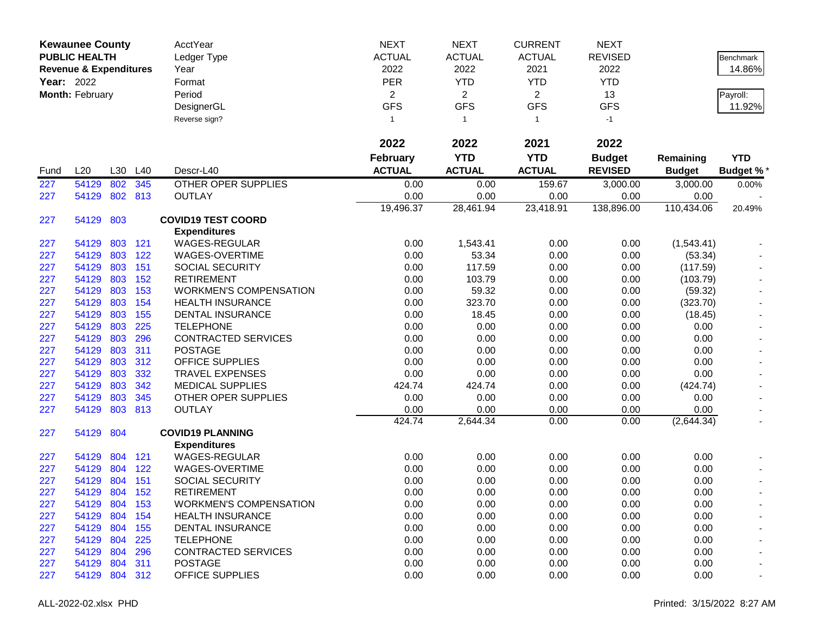|            | <b>Kewaunee County</b>            |     |         | AcctYear                      | <b>NEXT</b>     | <b>NEXT</b>    | <b>CURRENT</b> | <b>NEXT</b>    |               |                  |
|------------|-----------------------------------|-----|---------|-------------------------------|-----------------|----------------|----------------|----------------|---------------|------------------|
|            | <b>PUBLIC HEALTH</b>              |     |         | Ledger Type                   | <b>ACTUAL</b>   | <b>ACTUAL</b>  | <b>ACTUAL</b>  | <b>REVISED</b> |               | Benchmark        |
|            | <b>Revenue &amp; Expenditures</b> |     |         | Year                          | 2022            | 2022           | 2021           | 2022           |               | 14.86%           |
| Year: 2022 |                                   |     |         | Format                        | <b>PER</b>      | <b>YTD</b>     | <b>YTD</b>     | <b>YTD</b>     |               |                  |
|            | Month: February                   |     |         | Period                        | $\overline{a}$  | $\overline{2}$ | $\overline{2}$ | 13             |               | Payroll:         |
|            |                                   |     |         | DesignerGL                    | <b>GFS</b>      | <b>GFS</b>     | <b>GFS</b>     | <b>GFS</b>     |               | 11.92%           |
|            |                                   |     |         | Reverse sign?                 | $\mathbf{1}$    | $\mathbf{1}$   | $\mathbf{1}$   | $-1$           |               |                  |
|            |                                   |     |         |                               |                 |                |                |                |               |                  |
|            |                                   |     |         |                               | 2022            | 2022           | 2021           | 2022           |               |                  |
|            |                                   |     |         |                               | <b>February</b> | <b>YTD</b>     | <b>YTD</b>     | <b>Budget</b>  | Remaining     | <b>YTD</b>       |
| Fund       | L20                               | L30 | L40     | Descr-L40                     | <b>ACTUAL</b>   | <b>ACTUAL</b>  | <b>ACTUAL</b>  | <b>REVISED</b> | <b>Budget</b> | <b>Budget %*</b> |
| 227        | 54129                             | 802 | 345     | <b>OTHER OPER SUPPLIES</b>    | 0.00            | 0.00           | 159.67         | 3,000.00       | 3,000.00      | 0.00%            |
| 227        | 54129                             |     | 802 813 | <b>OUTLAY</b>                 | 0.00            | 0.00           | 0.00           | 0.00           | 0.00          |                  |
|            |                                   |     |         |                               | 19,496.37       | 28,461.94      | 23,418.91      | 138,896.00     | 110,434.06    | 20.49%           |
| 227        | 54129                             | 803 |         | <b>COVID19 TEST COORD</b>     |                 |                |                |                |               |                  |
|            |                                   |     |         | <b>Expenditures</b>           |                 |                |                |                |               |                  |
| 227        | 54129                             | 803 | 121     | <b>WAGES-REGULAR</b>          | 0.00            | 1,543.41       | 0.00           | 0.00           | (1,543.41)    |                  |
| 227        | 54129                             | 803 | 122     | WAGES-OVERTIME                | 0.00            | 53.34          | 0.00           | 0.00           | (53.34)       |                  |
| 227        | 54129                             | 803 | 151     | <b>SOCIAL SECURITY</b>        | 0.00            | 117.59         | 0.00           | 0.00           | (117.59)      |                  |
| 227        | 54129                             | 803 | 152     | <b>RETIREMENT</b>             | 0.00            | 103.79         | 0.00           | 0.00           | (103.79)      |                  |
| 227        | 54129                             | 803 | 153     | <b>WORKMEN'S COMPENSATION</b> | 0.00            | 59.32          | 0.00           | 0.00           | (59.32)       |                  |
| 227        | 54129                             | 803 | 154     | <b>HEALTH INSURANCE</b>       | 0.00            | 323.70         | 0.00           | 0.00           | (323.70)      |                  |
| 227        | 54129                             | 803 | 155     | DENTAL INSURANCE              | 0.00            | 18.45          | 0.00           | 0.00           | (18.45)       |                  |
| 227        | 54129                             | 803 | 225     | <b>TELEPHONE</b>              | 0.00            | 0.00           | 0.00           | 0.00           | 0.00          |                  |
| 227        | 54129                             | 803 | 296     | <b>CONTRACTED SERVICES</b>    | 0.00            | 0.00           | 0.00           | 0.00           | 0.00          |                  |
| 227        | 54129                             | 803 | 311     | <b>POSTAGE</b>                | 0.00            | 0.00           | 0.00           | 0.00           | 0.00          |                  |
| 227        | 54129                             | 803 | 312     | <b>OFFICE SUPPLIES</b>        | 0.00            | 0.00           | 0.00           | 0.00           | 0.00          |                  |
| 227        | 54129                             | 803 | 332     | <b>TRAVEL EXPENSES</b>        | 0.00            | 0.00           | 0.00           | 0.00           | 0.00          |                  |
| 227        | 54129                             | 803 | 342     | MEDICAL SUPPLIES              | 424.74          | 424.74         | 0.00           | 0.00           | (424.74)      |                  |
| 227        | 54129                             | 803 | 345     | OTHER OPER SUPPLIES           | 0.00            | 0.00           | 0.00           | 0.00           | 0.00          |                  |
| 227        | 54129                             | 803 | 813     | <b>OUTLAY</b>                 | 0.00            | 0.00           | 0.00           | 0.00           | 0.00          |                  |
|            |                                   |     |         |                               | 424.74          | 2,644.34       | 0.00           | 0.00           | (2,644.34)    |                  |
| 227        | 54129                             | 804 |         | <b>COVID19 PLANNING</b>       |                 |                |                |                |               |                  |
|            |                                   |     |         | <b>Expenditures</b>           |                 |                |                |                |               |                  |
| 227        | 54129                             | 804 | 121     | WAGES-REGULAR                 | 0.00            | 0.00           | 0.00           | 0.00           | 0.00          |                  |
| 227        | 54129                             | 804 | 122     | WAGES-OVERTIME                | 0.00            | 0.00           | 0.00           | 0.00           | 0.00          |                  |
| 227        | 54129                             | 804 | 151     | SOCIAL SECURITY               | 0.00            | 0.00           | 0.00           | 0.00           | 0.00          |                  |
| 227        | 54129                             | 804 | 152     | <b>RETIREMENT</b>             | 0.00            | 0.00           | 0.00           | 0.00           | 0.00          |                  |
| 227        | 54129 804 153                     |     |         | <b>WORKMEN'S COMPENSATION</b> | 0.00            | 0.00           | 0.00           | 0.00           | 0.00          |                  |
| 227        | 54129                             |     | 804 154 | <b>HEALTH INSURANCE</b>       | 0.00            | 0.00           | 0.00           | 0.00           | 0.00          |                  |
| 227        | 54129 804 155                     |     |         | <b>DENTAL INSURANCE</b>       | 0.00            | 0.00           | 0.00           | 0.00           | 0.00          |                  |
| 227        | 54129                             | 804 | 225     | <b>TELEPHONE</b>              | 0.00            | 0.00           | 0.00           | 0.00           | 0.00          |                  |
| 227        | 54129                             | 804 | 296     | <b>CONTRACTED SERVICES</b>    | 0.00            | 0.00           | 0.00           | 0.00           | 0.00          |                  |
| 227        | 54129 804                         |     | 311     | <b>POSTAGE</b>                | 0.00            | 0.00           | 0.00           | 0.00           | 0.00          |                  |
| 227        | 54129 804 312                     |     |         | <b>OFFICE SUPPLIES</b>        | 0.00            | 0.00           | 0.00           | 0.00           | 0.00          |                  |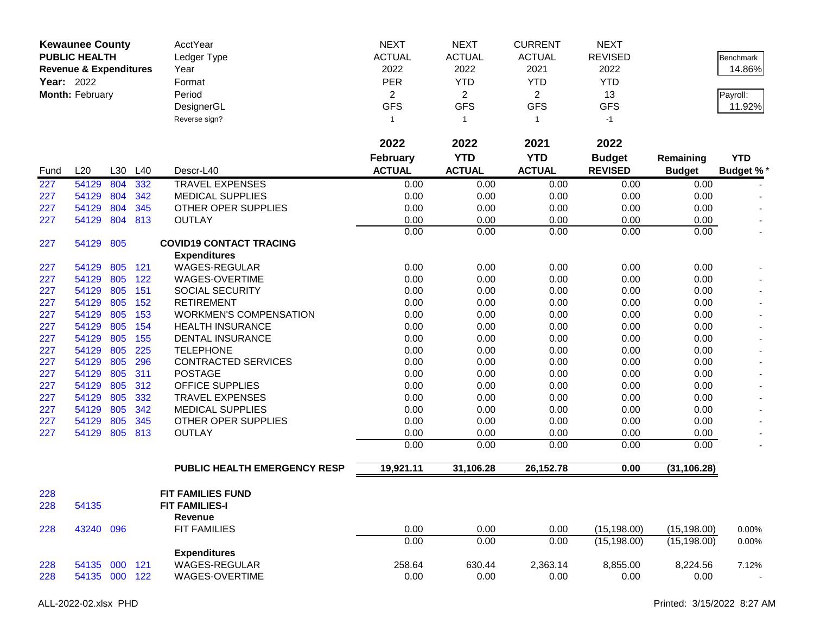|      | <b>Kewaunee County</b><br><b>PUBLIC HEALTH</b> |     |     | AcctYear<br>Ledger Type        | <b>NEXT</b><br><b>ACTUAL</b> | <b>NEXT</b><br><b>ACTUAL</b> | <b>CURRENT</b><br><b>ACTUAL</b> | <b>NEXT</b><br><b>REVISED</b> |               | <b>Benchmark</b> |
|------|------------------------------------------------|-----|-----|--------------------------------|------------------------------|------------------------------|---------------------------------|-------------------------------|---------------|------------------|
|      | <b>Revenue &amp; Expenditures</b>              |     |     | Year                           | 2022                         | 2022                         | 2021                            | 2022                          |               | 14.86%           |
|      | <b>Year: 2022</b>                              |     |     | Format                         | PER                          | <b>YTD</b>                   | <b>YTD</b>                      | <b>YTD</b>                    |               |                  |
|      | Month: February                                |     |     | Period                         | $\overline{2}$               | $\overline{2}$               | $\overline{2}$                  | 13                            |               | Payroll:         |
|      |                                                |     |     | DesignerGL                     | <b>GFS</b>                   | <b>GFS</b>                   | <b>GFS</b>                      | <b>GFS</b>                    |               | 11.92%           |
|      |                                                |     |     | Reverse sign?                  | 1                            | $\overline{1}$               | $\mathbf{1}$                    | $-1$                          |               |                  |
|      |                                                |     |     |                                | 2022                         | 2022                         | 2021                            | 2022                          |               |                  |
|      |                                                |     |     |                                | <b>February</b>              | <b>YTD</b>                   | <b>YTD</b>                      | <b>Budget</b>                 | Remaining     | <b>YTD</b>       |
| Fund | L20                                            | L30 | L40 | Descr-L40                      | <b>ACTUAL</b>                | <b>ACTUAL</b>                | <b>ACTUAL</b>                   | <b>REVISED</b>                | <b>Budget</b> | <b>Budget %*</b> |
| 227  | 54129                                          | 804 | 332 | <b>TRAVEL EXPENSES</b>         | 0.00                         | 0.00                         | 0.00                            | 0.00                          | 0.00          |                  |
| 227  | 54129                                          | 804 | 342 | <b>MEDICAL SUPPLIES</b>        | 0.00                         | 0.00                         | 0.00                            | 0.00                          | 0.00          |                  |
| 227  | 54129                                          | 804 | 345 | OTHER OPER SUPPLIES            | 0.00                         | 0.00                         | 0.00                            | 0.00                          | 0.00          | $\blacksquare$   |
| 227  | 54129                                          | 804 | 813 | <b>OUTLAY</b>                  | 0.00                         | 0.00                         | 0.00                            | 0.00                          | 0.00          |                  |
|      |                                                |     |     |                                | 0.00                         | 0.00                         | 0.00                            | 0.00                          | 0.00          | $\blacksquare$   |
| 227  | 54129                                          | 805 |     | <b>COVID19 CONTACT TRACING</b> |                              |                              |                                 |                               |               |                  |
|      |                                                |     |     | <b>Expenditures</b>            |                              |                              |                                 |                               |               |                  |
| 227  | 54129                                          | 805 | 121 | WAGES-REGULAR                  | 0.00                         | 0.00                         | 0.00                            | 0.00                          | 0.00          |                  |
| 227  | 54129                                          | 805 | 122 | WAGES-OVERTIME                 | 0.00                         | 0.00                         | 0.00                            | 0.00                          | 0.00          |                  |
| 227  | 54129                                          | 805 | 151 | <b>SOCIAL SECURITY</b>         | 0.00                         | 0.00                         | 0.00                            | 0.00                          | 0.00          |                  |
| 227  | 54129                                          | 805 | 152 | <b>RETIREMENT</b>              | 0.00                         | 0.00                         | 0.00                            | 0.00                          | 0.00          |                  |
| 227  | 54129                                          | 805 | 153 | <b>WORKMEN'S COMPENSATION</b>  | 0.00                         | 0.00                         | 0.00                            | 0.00                          | 0.00          |                  |
| 227  | 54129                                          | 805 | 154 | <b>HEALTH INSURANCE</b>        | 0.00                         | 0.00                         | 0.00                            | 0.00                          | 0.00          |                  |
| 227  | 54129                                          | 805 | 155 | DENTAL INSURANCE               | 0.00                         | 0.00                         | 0.00                            | 0.00                          | 0.00          |                  |
| 227  | 54129                                          | 805 | 225 | <b>TELEPHONE</b>               | 0.00                         | 0.00                         | 0.00                            | 0.00                          | 0.00          |                  |
| 227  | 54129                                          | 805 | 296 | <b>CONTRACTED SERVICES</b>     | 0.00                         | 0.00                         | 0.00                            | 0.00                          | 0.00          |                  |
| 227  | 54129                                          | 805 | 311 | <b>POSTAGE</b>                 | 0.00                         | 0.00                         | 0.00                            | 0.00                          | 0.00          |                  |
| 227  | 54129                                          | 805 | 312 | <b>OFFICE SUPPLIES</b>         | 0.00                         | 0.00                         | 0.00                            | 0.00                          | 0.00          | $\blacksquare$   |
| 227  | 54129                                          | 805 | 332 | <b>TRAVEL EXPENSES</b>         | 0.00                         | 0.00                         | 0.00                            | 0.00                          | 0.00          |                  |
| 227  | 54129                                          | 805 | 342 | <b>MEDICAL SUPPLIES</b>        | 0.00                         | 0.00                         | 0.00                            | 0.00                          | 0.00          |                  |
| 227  | 54129                                          | 805 | 345 | OTHER OPER SUPPLIES            | 0.00                         | 0.00                         | 0.00                            | 0.00                          | 0.00          |                  |
| 227  | 54129                                          | 805 | 813 | <b>OUTLAY</b>                  | 0.00                         | 0.00                         | 0.00                            | 0.00                          | 0.00          |                  |
|      |                                                |     |     |                                | 0.00                         | 0.00                         | 0.00                            | 0.00                          | 0.00          |                  |
|      |                                                |     |     | PUBLIC HEALTH EMERGENCY RESP   | 19,921.11                    | 31,106.28                    | 26,152.78                       | 0.00                          | (31, 106.28)  |                  |
| 228  |                                                |     |     | <b>FIT FAMILIES FUND</b>       |                              |                              |                                 |                               |               |                  |
| 228  | 54135                                          |     |     | <b>FIT FAMILIES-I</b>          |                              |                              |                                 |                               |               |                  |
|      |                                                |     |     | Revenue                        |                              |                              |                                 |                               |               |                  |
| 228  | 43240                                          | 096 |     | <b>FIT FAMILIES</b>            | 0.00                         | 0.00                         | 0.00                            | (15, 198.00)                  | (15, 198.00)  | 0.00%            |
|      |                                                |     |     |                                | 0.00                         | 0.00                         | 0.00                            | (15, 198.00)                  | (15, 198.00)  | $0.00\%$         |
|      |                                                |     |     | <b>Expenditures</b>            |                              |                              |                                 |                               |               |                  |
| 228  | 54135 000 121                                  |     |     | <b>WAGES-REGULAR</b>           | 258.64                       | 630.44                       | 2,363.14                        | 8,855.00                      | 8,224.56      | 7.12%            |
| 228  | 54135 000 122                                  |     |     | WAGES-OVERTIME                 | 0.00                         | 0.00                         | 0.00                            | 0.00                          | 0.00          | $\sim$           |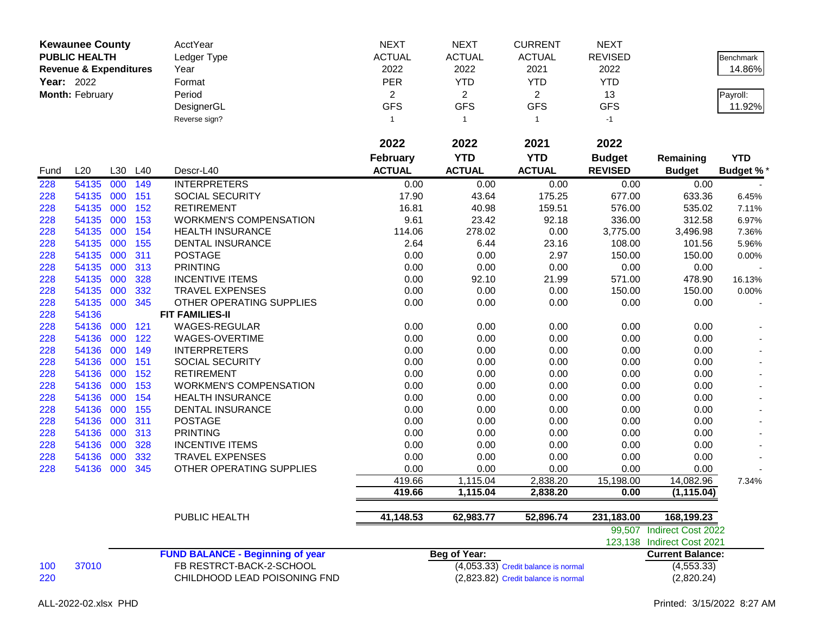|            | <b>Kewaunee County</b><br><b>PUBLIC HEALTH</b><br><b>Revenue &amp; Expenditures</b> |     |     | AcctYear<br>Ledger Type<br>Year         | <b>NEXT</b><br><b>ACTUAL</b><br>2022 | <b>NEXT</b><br><b>ACTUAL</b><br>2022 | <b>CURRENT</b><br><b>ACTUAL</b><br>2021 | <b>NEXT</b><br><b>REVISED</b><br>2022 |                            | <b>Benchmark</b><br>14.86% |
|------------|-------------------------------------------------------------------------------------|-----|-----|-----------------------------------------|--------------------------------------|--------------------------------------|-----------------------------------------|---------------------------------------|----------------------------|----------------------------|
| Year: 2022 |                                                                                     |     |     | Format                                  | PER                                  | <b>YTD</b>                           | <b>YTD</b>                              | <b>YTD</b>                            |                            |                            |
|            | Month: February                                                                     |     |     | Period                                  | $\overline{2}$                       | $\overline{2}$                       | $\overline{2}$                          | 13                                    |                            | Payroll:                   |
|            |                                                                                     |     |     | DesignerGL                              | <b>GFS</b>                           | <b>GFS</b>                           | <b>GFS</b>                              | <b>GFS</b>                            |                            | 11.92%                     |
|            |                                                                                     |     |     | Reverse sign?                           | $\mathbf{1}$                         | $\overline{1}$                       | $\mathbf{1}$                            | $-1$                                  |                            |                            |
|            |                                                                                     |     |     |                                         | 2022                                 | 2022                                 | 2021                                    | 2022                                  |                            |                            |
|            |                                                                                     |     |     |                                         | February                             | <b>YTD</b>                           | <b>YTD</b>                              | <b>Budget</b>                         | Remaining                  | <b>YTD</b>                 |
| Fund       | L20                                                                                 | L30 | L40 | Descr-L40                               | <b>ACTUAL</b>                        | <b>ACTUAL</b>                        | <b>ACTUAL</b>                           | <b>REVISED</b>                        | <b>Budget</b>              | <b>Budget %*</b>           |
| 228        | 54135                                                                               | 000 | 149 | <b>INTERPRETERS</b>                     | 0.00                                 | 0.00                                 | 0.00                                    | 0.00                                  | 0.00                       |                            |
| 228        | 54135                                                                               | 000 | 151 | <b>SOCIAL SECURITY</b>                  | 17.90                                | 43.64                                | 175.25                                  | 677.00                                | 633.36                     | 6.45%                      |
| 228        | 54135                                                                               | 000 | 152 | <b>RETIREMENT</b>                       | 16.81                                | 40.98                                | 159.51                                  | 576.00                                | 535.02                     | 7.11%                      |
| 228        | 54135                                                                               | 000 | 153 | <b>WORKMEN'S COMPENSATION</b>           | 9.61                                 | 23.42                                | 92.18                                   | 336.00                                | 312.58                     | 6.97%                      |
| 228        | 54135                                                                               | 000 | 154 | <b>HEALTH INSURANCE</b>                 | 114.06                               | 278.02                               | 0.00                                    | 3,775.00                              | 3,496.98                   | 7.36%                      |
| 228        | 54135                                                                               | 000 | 155 | DENTAL INSURANCE                        | 2.64                                 | 6.44                                 | 23.16                                   | 108.00                                | 101.56                     | 5.96%                      |
| 228        | 54135                                                                               | 000 | 311 | <b>POSTAGE</b>                          | 0.00                                 | 0.00                                 | 2.97                                    | 150.00                                | 150.00                     | 0.00%                      |
| 228        | 54135                                                                               | 000 | 313 | <b>PRINTING</b>                         | 0.00                                 | 0.00                                 | 0.00                                    | 0.00                                  | 0.00                       |                            |
| 228        | 54135                                                                               | 000 | 328 | <b>INCENTIVE ITEMS</b>                  | 0.00                                 | 92.10                                | 21.99                                   | 571.00                                | 478.90                     | 16.13%                     |
| 228        | 54135                                                                               | 000 | 332 | <b>TRAVEL EXPENSES</b>                  | 0.00                                 | 0.00                                 | 0.00                                    | 150.00                                | 150.00                     | 0.00%                      |
| 228        | 54135                                                                               | 000 | 345 | OTHER OPERATING SUPPLIES                | 0.00                                 | 0.00                                 | 0.00                                    | 0.00                                  | 0.00                       |                            |
| 228        | 54136                                                                               |     |     | <b>FIT FAMILIES-II</b>                  |                                      |                                      |                                         |                                       |                            |                            |
| 228        | 54136                                                                               | 000 | 121 | WAGES-REGULAR                           | 0.00                                 | 0.00                                 | 0.00                                    | 0.00                                  | 0.00                       |                            |
| 228        | 54136                                                                               | 000 | 122 | WAGES-OVERTIME                          | 0.00                                 | 0.00                                 | 0.00                                    | 0.00                                  | 0.00                       |                            |
| 228        | 54136                                                                               | 000 | 149 | <b>INTERPRETERS</b>                     | 0.00                                 | 0.00                                 | 0.00                                    | 0.00                                  | 0.00                       |                            |
| 228        | 54136                                                                               | 000 | 151 | <b>SOCIAL SECURITY</b>                  | 0.00                                 | 0.00                                 | 0.00                                    | 0.00                                  | 0.00                       |                            |
| 228        | 54136                                                                               | 000 | 152 | <b>RETIREMENT</b>                       | 0.00                                 | 0.00                                 | 0.00                                    | 0.00                                  | 0.00                       |                            |
| 228        | 54136                                                                               | 000 | 153 | <b>WORKMEN'S COMPENSATION</b>           | 0.00                                 | 0.00                                 | 0.00                                    | 0.00                                  | 0.00                       |                            |
| 228        | 54136                                                                               | 000 | 154 | <b>HEALTH INSURANCE</b>                 | 0.00                                 | 0.00                                 | 0.00                                    | 0.00                                  | 0.00                       |                            |
| 228        | 54136                                                                               | 000 | 155 | DENTAL INSURANCE                        | 0.00                                 | 0.00                                 | 0.00                                    | 0.00                                  | 0.00                       |                            |
| 228        | 54136                                                                               | 000 | 311 | <b>POSTAGE</b>                          | 0.00                                 | 0.00                                 | 0.00                                    | 0.00                                  | 0.00                       |                            |
| 228        | 54136                                                                               | 000 | 313 | <b>PRINTING</b>                         | 0.00                                 | 0.00                                 | 0.00                                    | 0.00                                  | 0.00                       |                            |
| 228        | 54136                                                                               | 000 | 328 | <b>INCENTIVE ITEMS</b>                  | 0.00                                 | 0.00                                 | 0.00                                    | 0.00                                  | 0.00                       |                            |
| 228        | 54136                                                                               | 000 | 332 | <b>TRAVEL EXPENSES</b>                  | 0.00                                 | 0.00                                 | 0.00                                    | 0.00                                  | 0.00                       |                            |
| 228        | 54136                                                                               | 000 | 345 | OTHER OPERATING SUPPLIES                | 0.00                                 | 0.00                                 | 0.00<br>2,838.20                        | 0.00                                  | 0.00                       |                            |
|            |                                                                                     |     |     |                                         | 419.66<br>419.66                     | 1,115.04<br>1,115.04                 |                                         | 15,198.00                             | 14,082.96<br>(1, 115.04)   | 7.34%                      |
|            |                                                                                     |     |     |                                         |                                      |                                      | 2,838.20                                | 0.00                                  |                            |                            |
|            |                                                                                     |     |     | PUBLIC HEALTH                           | 41,148.53                            | 62,983.77                            | 52,896.74                               | 231,183.00                            | 168,199.23                 |                            |
|            |                                                                                     |     |     |                                         |                                      |                                      |                                         |                                       | 99,507 Indirect Cost 2022  |                            |
|            |                                                                                     |     |     |                                         |                                      |                                      |                                         |                                       | 123,138 Indirect Cost 2021 |                            |
|            |                                                                                     |     |     | <b>FUND BALANCE - Beginning of year</b> |                                      | <b>Beg of Year:</b>                  |                                         |                                       | <b>Current Balance:</b>    |                            |
| 100        | 37010                                                                               |     |     | FB RESTRCT-BACK-2-SCHOOL                |                                      |                                      | $(4,053.33)$ Credit balance is normal   |                                       | (4, 553.33)                |                            |
| 220        |                                                                                     |     |     | CHILDHOOD LEAD POISONING FND            |                                      |                                      | (2,823.82) Credit balance is normal     |                                       | (2,820.24)                 |                            |
|            |                                                                                     |     |     |                                         |                                      |                                      |                                         |                                       |                            |                            |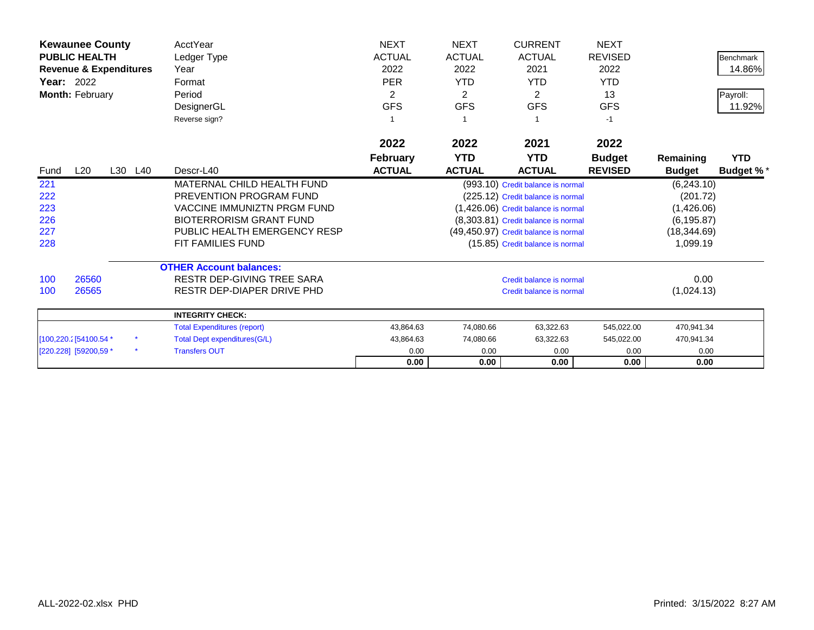|                   | <b>Kewaunee County</b>            |            | AcctYear                            | <b>NEXT</b>     | <b>NEXT</b>   | <b>CURRENT</b>                       | <b>NEXT</b>    |               |                  |
|-------------------|-----------------------------------|------------|-------------------------------------|-----------------|---------------|--------------------------------------|----------------|---------------|------------------|
|                   | <b>PUBLIC HEALTH</b>              |            | Ledger Type                         | <b>ACTUAL</b>   | <b>ACTUAL</b> | <b>ACTUAL</b>                        | <b>REVISED</b> |               | Benchmark        |
|                   | <b>Revenue &amp; Expenditures</b> |            | Year                                | 2022            | 2022          | 2021                                 | 2022           |               | 14.86%           |
| <b>Year: 2022</b> |                                   |            | Format                              | <b>PER</b>      | <b>YTD</b>    | <b>YTD</b>                           | <b>YTD</b>     |               |                  |
|                   | Month: February                   |            | Period                              | $\overline{c}$  | 2             | $\overline{2}$                       | 13             |               | Payroll:         |
|                   |                                   |            | DesignerGL                          | <b>GFS</b>      | <b>GFS</b>    | <b>GFS</b>                           | <b>GFS</b>     |               | 11.92%           |
|                   |                                   |            | Reverse sign?                       |                 |               |                                      | -1             |               |                  |
|                   |                                   |            |                                     | 2022            | 2022          | 2021                                 | 2022           |               |                  |
|                   |                                   |            |                                     | <b>February</b> | <b>YTD</b>    | <b>YTD</b>                           | <b>Budget</b>  | Remaining     | <b>YTD</b>       |
| Fund              | L20                               | L30<br>L40 | Descr-L40                           | <b>ACTUAL</b>   | <b>ACTUAL</b> | <b>ACTUAL</b>                        | <b>REVISED</b> | <b>Budget</b> | <b>Budget %*</b> |
| 221               |                                   |            | MATERNAL CHILD HEALTH FUND          |                 |               | (993.10) Credit balance is normal    |                | (6,243.10)    |                  |
| 222               |                                   |            | PREVENTION PROGRAM FUND             |                 |               | (225.12) Credit balance is normal    |                | (201.72)      |                  |
| 223               |                                   |            | <b>VACCINE IMMUNIZTN PRGM FUND</b>  |                 |               | (1,426.06) Credit balance is normal  |                | (1,426.06)    |                  |
| 226               |                                   |            | <b>BIOTERRORISM GRANT FUND</b>      |                 |               | (8,303.81) Credit balance is normal  |                | (6, 195.87)   |                  |
| 227               |                                   |            | PUBLIC HEALTH EMERGENCY RESP        |                 |               | (49,450.97) Credit balance is normal |                | (18, 344.69)  |                  |
| 228               |                                   |            | <b>FIT FAMILIES FUND</b>            |                 |               | (15.85) Credit balance is normal     |                | 1,099.19      |                  |
|                   |                                   |            | <b>OTHER Account balances:</b>      |                 |               |                                      |                |               |                  |
| 100               | 26560                             |            | RESTR DEP-GIVING TREE SARA          |                 |               | Credit balance is normal             |                | 0.00          |                  |
| 100               | 26565                             |            | RESTR DEP-DIAPER DRIVE PHD          |                 |               | Credit balance is normal             |                | (1,024.13)    |                  |
|                   |                                   |            | <b>INTEGRITY CHECK:</b>             |                 |               |                                      |                |               |                  |
|                   |                                   |            | <b>Total Expenditures (report)</b>  | 43,864.63       | 74,080.66     | 63,322.63                            | 545,022.00     | 470,941.34    |                  |
|                   | [100,220.2] 54100.54 *            |            | <b>Total Dept expenditures(G/L)</b> | 43,864.63       | 74,080.66     | 63,322.63                            | 545,022.00     | 470,941.34    |                  |
|                   | [220.228] [59200,59 *             | $\star$    | <b>Transfers OUT</b>                | 0.00            | 0.00          | 0.00                                 | 0.00           | 0.00          |                  |
|                   |                                   |            |                                     | 0.00            | 0.00          | 0.00                                 | 0.00           | 0.00          |                  |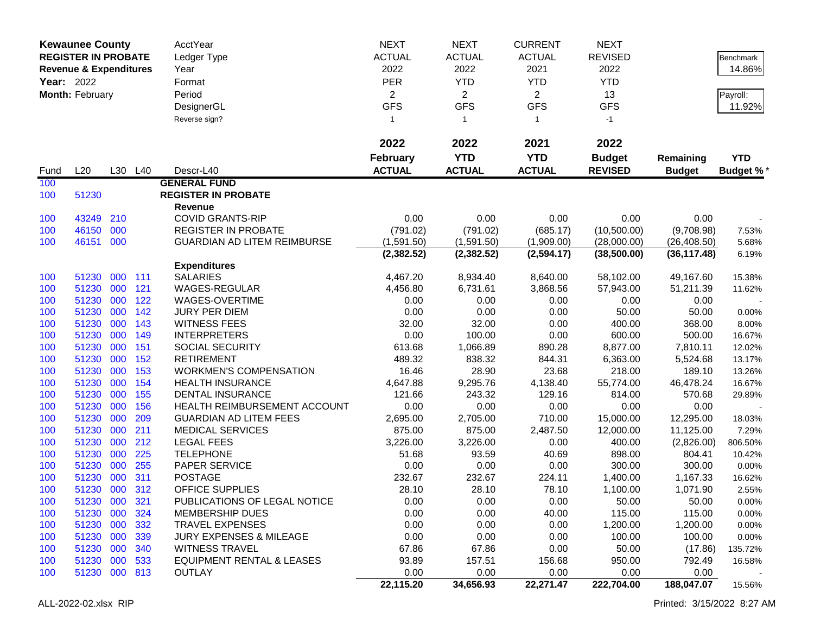| <b>Year: 2022</b> | <b>Kewaunee County</b><br><b>REGISTER IN PROBATE</b><br><b>Revenue &amp; Expenditures</b><br>Month: February |            |            | AcctYear<br>Ledger Type<br>Year<br>Format<br>Period     | <b>NEXT</b><br><b>ACTUAL</b><br>2022<br><b>PER</b><br>$\overline{2}$ | <b>NEXT</b><br><b>ACTUAL</b><br>2022<br><b>YTD</b><br>$\overline{2}$ | <b>CURRENT</b><br><b>ACTUAL</b><br>2021<br><b>YTD</b><br>$\overline{2}$ | <b>NEXT</b><br><b>REVISED</b><br>2022<br><b>YTD</b><br>13 |                    | <b>Benchmark</b><br>14.86%<br>Payroll: |
|-------------------|--------------------------------------------------------------------------------------------------------------|------------|------------|---------------------------------------------------------|----------------------------------------------------------------------|----------------------------------------------------------------------|-------------------------------------------------------------------------|-----------------------------------------------------------|--------------------|----------------------------------------|
|                   |                                                                                                              |            |            | DesignerGL                                              | <b>GFS</b>                                                           | <b>GFS</b>                                                           | <b>GFS</b>                                                              | <b>GFS</b>                                                |                    | 11.92%                                 |
|                   |                                                                                                              |            |            | Reverse sign?                                           | $\mathbf{1}$                                                         | $\overline{1}$                                                       | $\mathbf{1}$                                                            | $-1$                                                      |                    |                                        |
|                   |                                                                                                              |            |            |                                                         | 2022                                                                 | 2022                                                                 | 2021                                                                    | 2022                                                      |                    |                                        |
|                   |                                                                                                              |            |            |                                                         | <b>February</b>                                                      | <b>YTD</b>                                                           | <b>YTD</b>                                                              | <b>Budget</b>                                             | Remaining          | <b>YTD</b>                             |
| Fund              | L20                                                                                                          |            | L30 L40    | Descr-L40                                               | <b>ACTUAL</b>                                                        | <b>ACTUAL</b>                                                        | <b>ACTUAL</b>                                                           | <b>REVISED</b>                                            | <b>Budget</b>      | <b>Budget %*</b>                       |
| 100               |                                                                                                              |            |            | <b>GENERAL FUND</b>                                     |                                                                      |                                                                      |                                                                         |                                                           |                    |                                        |
| 100               | 51230                                                                                                        |            |            | <b>REGISTER IN PROBATE</b>                              |                                                                      |                                                                      |                                                                         |                                                           |                    |                                        |
|                   |                                                                                                              |            |            | Revenue                                                 |                                                                      |                                                                      |                                                                         |                                                           |                    |                                        |
| 100<br>100        | 43249<br>46150                                                                                               | 210<br>000 |            | <b>COVID GRANTS-RIP</b><br><b>REGISTER IN PROBATE</b>   | 0.00<br>(791.02)                                                     | 0.00<br>(791.02)                                                     | 0.00<br>(685.17)                                                        | 0.00<br>(10,500.00)                                       | 0.00<br>(9,708.98) |                                        |
| 100               | 46151                                                                                                        | 000        |            | <b>GUARDIAN AD LITEM REIMBURSE</b>                      | (1,591.50)                                                           | (1,591.50)                                                           | (1,909.00)                                                              | (28,000.00)                                               | (26, 408.50)       | 7.53%<br>5.68%                         |
|                   |                                                                                                              |            |            |                                                         | (2, 382.52)                                                          | (2, 382.52)                                                          | (2,594.17)                                                              | (38,500.00)                                               | (36, 117.48)       | 6.19%                                  |
|                   |                                                                                                              |            |            | <b>Expenditures</b>                                     |                                                                      |                                                                      |                                                                         |                                                           |                    |                                        |
| 100               | 51230                                                                                                        | 000        | 111        | <b>SALARIES</b>                                         | 4,467.20                                                             | 8,934.40                                                             | 8,640.00                                                                | 58,102.00                                                 | 49,167.60          | 15.38%                                 |
| 100               | 51230                                                                                                        | 000        | 121        | WAGES-REGULAR                                           | 4,456.80                                                             | 6,731.61                                                             | 3,868.56                                                                | 57,943.00                                                 | 51,211.39          | 11.62%                                 |
| 100               | 51230                                                                                                        | 000        | 122        | WAGES-OVERTIME                                          | 0.00                                                                 | 0.00                                                                 | 0.00                                                                    | 0.00                                                      | 0.00               |                                        |
| 100               | 51230                                                                                                        | 000        | 142        | JURY PER DIEM                                           | 0.00                                                                 | 0.00                                                                 | 0.00                                                                    | 50.00                                                     | 50.00              | 0.00%                                  |
| 100               | 51230                                                                                                        | 000        | 143        | <b>WITNESS FEES</b>                                     | 32.00                                                                | 32.00                                                                | 0.00                                                                    | 400.00                                                    | 368.00             | 8.00%                                  |
| 100               | 51230                                                                                                        | 000        | 149        | <b>INTERPRETERS</b>                                     | 0.00                                                                 | 100.00                                                               | 0.00                                                                    | 600.00                                                    | 500.00             | 16.67%                                 |
| 100               | 51230                                                                                                        | 000        | 151        | SOCIAL SECURITY                                         | 613.68                                                               | 1,066.89                                                             | 890.28                                                                  | 8,877.00                                                  | 7,810.11           | 12.02%                                 |
| 100               | 51230                                                                                                        | 000        | 152        | <b>RETIREMENT</b>                                       | 489.32                                                               | 838.32                                                               | 844.31                                                                  | 6,363.00                                                  | 5,524.68           | 13.17%                                 |
| 100               | 51230                                                                                                        | 000        | 153        | <b>WORKMEN'S COMPENSATION</b>                           | 16.46                                                                | 28.90                                                                | 23.68                                                                   | 218.00                                                    | 189.10             | 13.26%                                 |
| 100               | 51230                                                                                                        | 000        | 154        | <b>HEALTH INSURANCE</b>                                 | 4,647.88                                                             | 9,295.76                                                             | 4,138.40                                                                | 55,774.00                                                 | 46,478.24          | 16.67%                                 |
| 100               | 51230<br>51230                                                                                               | 000<br>000 | 155<br>156 | <b>DENTAL INSURANCE</b><br>HEALTH REIMBURSEMENT ACCOUNT | 121.66<br>0.00                                                       | 243.32<br>0.00                                                       | 129.16<br>0.00                                                          | 814.00<br>0.00                                            | 570.68<br>0.00     | 29.89%                                 |
| 100<br>100        | 51230                                                                                                        | 000        | 209        | <b>GUARDIAN AD LITEM FEES</b>                           | 2,695.00                                                             | 2,705.00                                                             | 710.00                                                                  | 15,000.00                                                 | 12,295.00          | 18.03%                                 |
| 100               | 51230                                                                                                        | 000        | 211        | <b>MEDICAL SERVICES</b>                                 | 875.00                                                               | 875.00                                                               | 2,487.50                                                                | 12,000.00                                                 | 11,125.00          | 7.29%                                  |
| 100               | 51230                                                                                                        | 000        | 212        | <b>LEGAL FEES</b>                                       | 3,226.00                                                             | 3,226.00                                                             | 0.00                                                                    | 400.00                                                    | (2,826.00)         | 806.50%                                |
| 100               | 51230                                                                                                        | 000        | 225        | <b>TELEPHONE</b>                                        | 51.68                                                                | 93.59                                                                | 40.69                                                                   | 898.00                                                    | 804.41             | 10.42%                                 |
| 100               | 51230                                                                                                        | 000        | 255        | PAPER SERVICE                                           | 0.00                                                                 | 0.00                                                                 | 0.00                                                                    | 300.00                                                    | 300.00             | 0.00%                                  |
| 100               | 51230                                                                                                        | 000        | 311        | <b>POSTAGE</b>                                          | 232.67                                                               | 232.67                                                               | 224.11                                                                  | 1,400.00                                                  | 1,167.33           | 16.62%                                 |
| 100               | 51230 000                                                                                                    |            | 312        | <b>OFFICE SUPPLIES</b>                                  | 28.10                                                                | 28.10                                                                | 78.10                                                                   | 1,100.00                                                  | 1,071.90           | 2.55%                                  |
| 100               | 51230 000                                                                                                    |            | 321        | PUBLICATIONS OF LEGAL NOTICE                            | 0.00                                                                 | 0.00                                                                 | 0.00                                                                    | 50.00                                                     | 50.00              | $0.00\%$                               |
| 100               | 51230                                                                                                        | 000        | 324        | <b>MEMBERSHIP DUES</b>                                  | 0.00                                                                 | 0.00                                                                 | 40.00                                                                   | 115.00                                                    | 115.00             | 0.00%                                  |
| 100               | 51230 000                                                                                                    |            | 332        | TRAVEL EXPENSES                                         | 0.00                                                                 | 0.00                                                                 | 0.00                                                                    | 1,200.00                                                  | 1,200.00           | 0.00%                                  |
| 100               | 51230 000                                                                                                    |            | 339        | <b>JURY EXPENSES &amp; MILEAGE</b>                      | 0.00                                                                 | 0.00                                                                 | 0.00                                                                    | 100.00                                                    | 100.00             | 0.00%                                  |
| 100               | 51230 000                                                                                                    |            | 340        | <b>WITNESS TRAVEL</b>                                   | 67.86                                                                | 67.86                                                                | 0.00                                                                    | 50.00                                                     | (17.86)            | 135.72%                                |
| 100               | 51230 000 533                                                                                                |            |            | <b>EQUIPMENT RENTAL &amp; LEASES</b>                    | 93.89                                                                | 157.51                                                               | 156.68                                                                  | 950.00                                                    | 792.49             | 16.58%                                 |
| 100               | 51230 000 813                                                                                                |            |            | <b>OUTLAY</b>                                           | 0.00                                                                 | 0.00                                                                 | 0.00                                                                    | 0.00                                                      | 0.00               |                                        |
|                   |                                                                                                              |            |            |                                                         | 22,115.20                                                            | 34,656.93                                                            | 22,271.47                                                               | 222,704.00                                                | 188,047.07         | 15.56%                                 |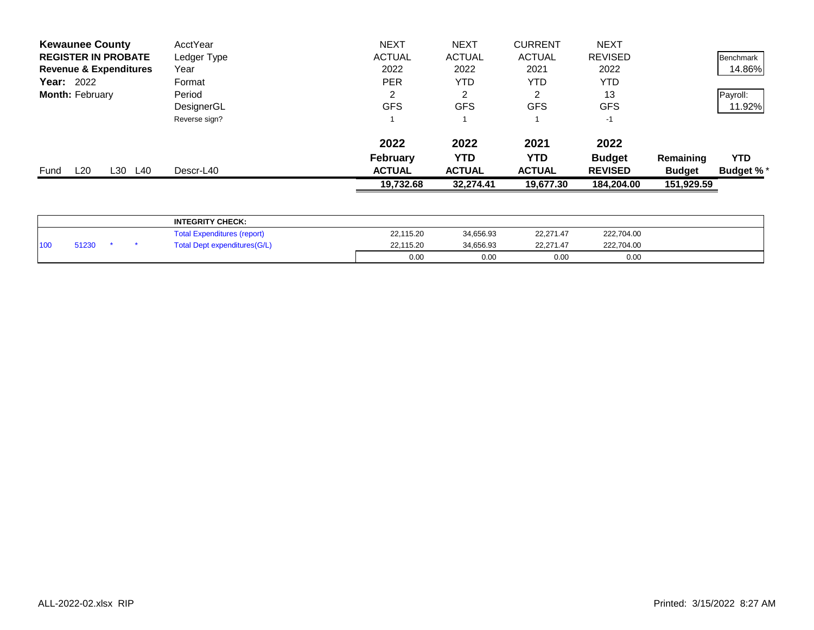| <b>Kewaunee County</b>            | AcctYear      | <b>NEXT</b>     | <b>NEXT</b>   | <b>CURRENT</b> | <b>NEXT</b>    |               |                  |
|-----------------------------------|---------------|-----------------|---------------|----------------|----------------|---------------|------------------|
| <b>REGISTER IN PROBATE</b>        | Ledger Type   | <b>ACTUAL</b>   | <b>ACTUAL</b> | <b>ACTUAL</b>  | <b>REVISED</b> |               | Benchmark        |
| <b>Revenue &amp; Expenditures</b> | Year          | 2022            | 2022          | 2021           | 2022           |               | 14.86%           |
| <b>Year: 2022</b>                 | Format        | <b>PER</b>      | YTD           | YTD            | <b>YTD</b>     |               |                  |
| <b>Month: February</b>            | Period        | 2               | 2             | ◠              | 13             |               | Payroll:         |
|                                   | DesignerGL    | <b>GFS</b>      | <b>GFS</b>    | <b>GFS</b>     | <b>GFS</b>     |               | 11.92%           |
|                                   | Reverse sign? |                 |               |                | $-1$           |               |                  |
|                                   |               | 2022            | 2022          | 2021           | 2022           |               |                  |
|                                   |               | <b>February</b> | YTD           | YTD            | <b>Budget</b>  | Remaining     | <b>YTD</b>       |
| L20<br>L30 I<br>L40<br>Fund       | Descr-L40     | <b>ACTUAL</b>   | <b>ACTUAL</b> | <b>ACTUAL</b>  | <b>REVISED</b> | <b>Budget</b> | <b>Budget %*</b> |
|                                   |               | 19,732.68       | 32,274.41     | 19,677.30      | 184,204.00     | 151,929.59    |                  |
|                                   |               |                 |               |                |                |               |                  |

|                  |       |  | <b>INTEGRITY CHECK:</b>            |           |           |           |            |  |
|------------------|-------|--|------------------------------------|-----------|-----------|-----------|------------|--|
|                  |       |  | <b>Total Expenditures (report)</b> | 22,115.20 | 34,656.93 | 22,271.47 | 222,704.00 |  |
| 110 <sub>0</sub> | 51230 |  | Total Dept expenditures(G/L)       | 22,115.20 | 34.656.93 | 22.271.47 | 222,704.00 |  |
|                  |       |  |                                    | 0.00      | 0.00      | 0.00      | 0.00       |  |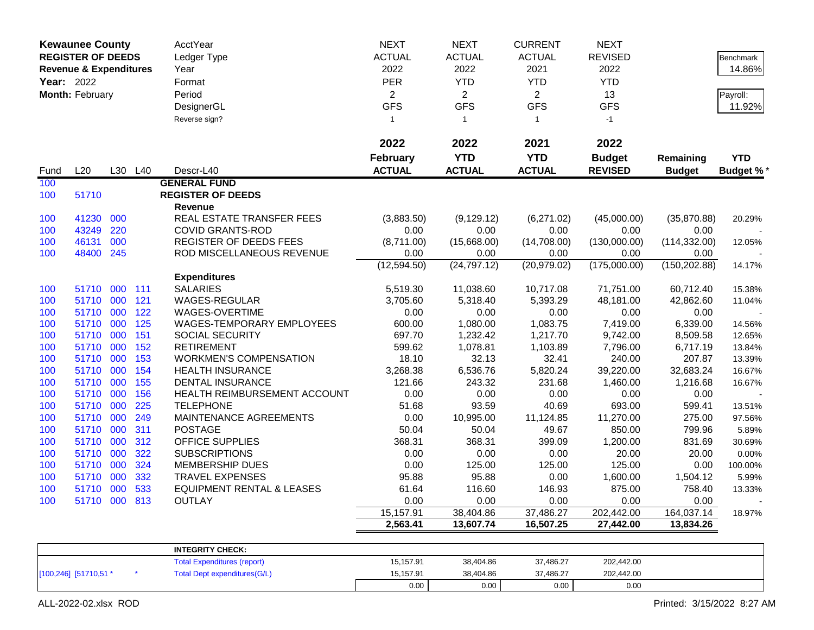|            | <b>Kewaunee County</b>            |     |         | AcctYear                             | <b>NEXT</b>    | <b>NEXT</b>    | <b>CURRENT</b> | <b>NEXT</b>    |               |                  |
|------------|-----------------------------------|-----|---------|--------------------------------------|----------------|----------------|----------------|----------------|---------------|------------------|
|            | <b>REGISTER OF DEEDS</b>          |     |         | Ledger Type                          | <b>ACTUAL</b>  | <b>ACTUAL</b>  | <b>ACTUAL</b>  | <b>REVISED</b> |               | <b>Benchmark</b> |
|            | <b>Revenue &amp; Expenditures</b> |     |         | Year                                 | 2022           | 2022           | 2021           | 2022           |               | 14.86%           |
| Year: 2022 |                                   |     |         | Format                               | <b>PER</b>     | <b>YTD</b>     | <b>YTD</b>     | <b>YTD</b>     |               |                  |
|            | Month: February                   |     |         | Period                               | $\overline{2}$ | $\overline{2}$ | $\overline{2}$ | 13             |               | Payroll:         |
|            |                                   |     |         | DesignerGL                           | <b>GFS</b>     | <b>GFS</b>     | <b>GFS</b>     | <b>GFS</b>     |               | 11.92%           |
|            |                                   |     |         | Reverse sign?                        | 1              | $\overline{1}$ | $\mathbf{1}$   | $-1$           |               |                  |
|            |                                   |     |         |                                      |                |                |                |                |               |                  |
|            |                                   |     |         |                                      | 2022           | 2022           | 2021           | 2022           |               |                  |
|            |                                   |     |         |                                      | February       | <b>YTD</b>     | <b>YTD</b>     | <b>Budget</b>  | Remaining     | <b>YTD</b>       |
| Fund       | L20                               |     | L30 L40 | Descr-L40                            | <b>ACTUAL</b>  | <b>ACTUAL</b>  | <b>ACTUAL</b>  | <b>REVISED</b> | <b>Budget</b> | <b>Budget %*</b> |
| 100        |                                   |     |         | <b>GENERAL FUND</b>                  |                |                |                |                |               |                  |
| 100        | 51710                             |     |         | <b>REGISTER OF DEEDS</b>             |                |                |                |                |               |                  |
|            |                                   |     |         | <b>Revenue</b>                       |                |                |                |                |               |                  |
| 100        | 41230                             | 000 |         | REAL ESTATE TRANSFER FEES            | (3,883.50)     | (9, 129.12)    | (6,271.02)     | (45,000.00)    | (35,870.88)   | 20.29%           |
| 100        | 43249                             | 220 |         | <b>COVID GRANTS-ROD</b>              | 0.00           | 0.00           | 0.00           | 0.00           | 0.00          |                  |
| 100        | 46131                             | 000 |         | REGISTER OF DEEDS FEES               | (8,711.00)     | (15,668.00)    | (14,708.00)    | (130,000.00)   | (114, 332.00) | 12.05%           |
| 100        | 48400                             | 245 |         | ROD MISCELLANEOUS REVENUE            | 0.00           | 0.00           | 0.00           | 0.00           | 0.00          |                  |
|            |                                   |     |         |                                      | (12,594.50)    | (24, 797.12)   | (20, 979.02)   | (175,000.00)   | (150, 202.88) | 14.17%           |
|            |                                   |     |         | <b>Expenditures</b>                  |                |                |                |                |               |                  |
| 100        | 51710                             | 000 | 111     | <b>SALARIES</b>                      | 5,519.30       | 11,038.60      | 10,717.08      | 71,751.00      | 60,712.40     | 15.38%           |
| 100        | 51710                             | 000 | 121     | <b>WAGES-REGULAR</b>                 | 3,705.60       | 5,318.40       | 5,393.29       | 48,181.00      | 42,862.60     | 11.04%           |
| 100        | 51710                             | 000 | 122     | WAGES-OVERTIME                       | 0.00           | 0.00           | 0.00           | 0.00           | 0.00          |                  |
| 100        | 51710                             | 000 | 125     | <b>WAGES-TEMPORARY EMPLOYEES</b>     | 600.00         | 1,080.00       | 1,083.75       | 7,419.00       | 6,339.00      | 14.56%           |
| 100        | 51710                             | 000 | 151     | SOCIAL SECURITY                      | 697.70         | 1,232.42       | 1,217.70       | 9,742.00       | 8,509.58      | 12.65%           |
| 100        | 51710                             | 000 | 152     | <b>RETIREMENT</b>                    | 599.62         | 1,078.81       | 1,103.89       | 7,796.00       | 6,717.19      | 13.84%           |
| 100        | 51710                             | 000 | 153     | <b>WORKMEN'S COMPENSATION</b>        | 18.10          | 32.13          | 32.41          | 240.00         | 207.87        | 13.39%           |
| 100        | 51710                             | 000 | 154     | <b>HEALTH INSURANCE</b>              | 3,268.38       | 6,536.76       | 5,820.24       | 39,220.00      | 32,683.24     | 16.67%           |
| 100        | 51710                             | 000 | 155     | DENTAL INSURANCE                     | 121.66         | 243.32         | 231.68         | 1,460.00       | 1,216.68      | 16.67%           |
| 100        | 51710                             | 000 | 156     | HEALTH REIMBURSEMENT ACCOUNT         | 0.00           | 0.00           | 0.00           | 0.00           | 0.00          |                  |
| 100        | 51710                             | 000 | 225     | <b>TELEPHONE</b>                     | 51.68          | 93.59          | 40.69          | 693.00         | 599.41        | 13.51%           |
| 100        | 51710                             | 000 | 249     | MAINTENANCE AGREEMENTS               | 0.00           | 10,995.00      | 11,124.85      | 11,270.00      | 275.00        | 97.56%           |
| 100        | 51710                             | 000 | 311     | <b>POSTAGE</b>                       | 50.04          | 50.04          | 49.67          | 850.00         | 799.96        | 5.89%            |
| 100        | 51710                             | 000 | 312     | OFFICE SUPPLIES                      | 368.31         | 368.31         | 399.09         | 1,200.00       | 831.69        | 30.69%           |
| 100        | 51710                             | 000 | 322     | <b>SUBSCRIPTIONS</b>                 | 0.00           | 0.00           | 0.00           | 20.00          | 20.00         | 0.00%            |
| 100        | 51710                             | 000 | 324     | <b>MEMBERSHIP DUES</b>               | 0.00           | 125.00         | 125.00         | 125.00         | 0.00          | 100.00%          |
| 100        | 51710                             | 000 | 332     | <b>TRAVEL EXPENSES</b>               | 95.88          | 95.88          | 0.00           | 1,600.00       | 1,504.12      | 5.99%            |
| 100        | 51710 000                         |     | 533     | <b>EQUIPMENT RENTAL &amp; LEASES</b> | 61.64          | 116.60         | 146.93         | 875.00         | 758.40        | 13.33%           |
| 100        | 51710 000 813                     |     |         | OUTLAY                               | 0.00           | 0.00           | 0.00           | 0.00           | 0.00          |                  |
|            |                                   |     |         |                                      | 15,157.91      | 38,404.86      | 37,486.27      | 202,442.00     | 164,037.14    | 18.97%           |
|            |                                   |     |         |                                      | 2,563.41       | 13,607.74      | 16,507.25      | 27,442.00      | 13,834.26     |                  |
|            |                                   |     |         | <b>INTEGRITY CHECK:</b>              |                |                |                |                |               |                  |
|            |                                   |     |         | <b>Total Expenditures (report)</b>   | 15,157.91      | 38,404.86      | 37,486.27      | 202,442.00     |               |                  |
|            | [100,246] [51710,51 *             |     |         | <b>Total Dept expenditures(G/L)</b>  | 15,157.91      | 38,404.86      | 37,486.27      | 202,442.00     |               |                  |

0.00 0.00 0.00 0.00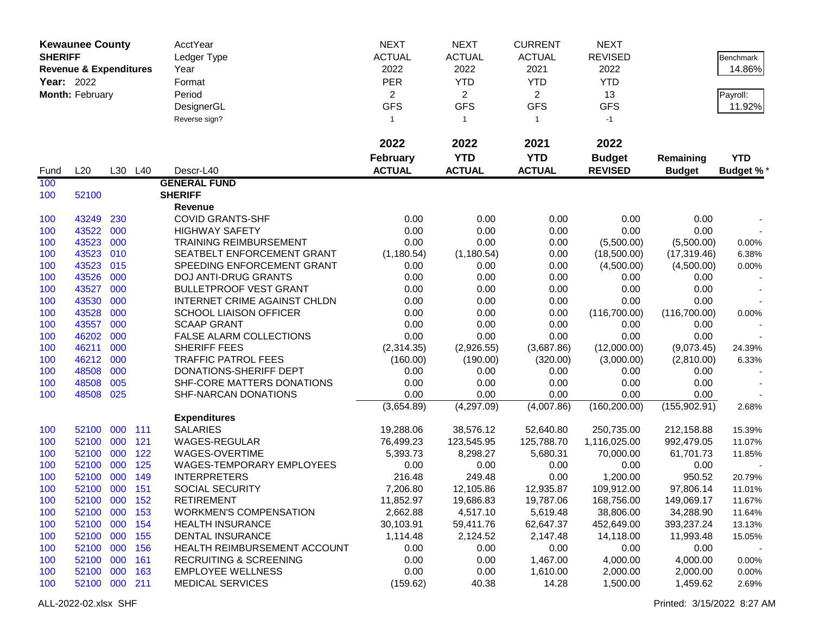| <b>ACTUAL</b><br><b>SHERIFF</b><br><b>ACTUAL</b><br><b>ACTUAL</b><br><b>REVISED</b><br>Ledger Type<br><b>Benchmark</b><br>2022<br>2022<br>2021<br>2022<br>14.86%<br><b>Revenue &amp; Expenditures</b><br>Year<br><b>PER</b><br><b>Year: 2022</b><br><b>YTD</b><br><b>YTD</b><br><b>YTD</b><br>Format<br>Month: February<br>$\overline{2}$<br>$\overline{2}$<br>Period<br>$\overline{2}$<br>13<br>Payroll:<br><b>GFS</b><br><b>GFS</b><br><b>GFS</b><br><b>GFS</b><br>DesignerGL<br>11.92%<br>Reverse sign?<br>$-1$<br>$\mathbf{1}$<br>$\mathbf{1}$<br>$\mathbf{1}$<br>2022<br>2022<br>2021<br>2022<br><b>YTD</b><br><b>YTD</b><br><b>February</b><br><b>Budget</b><br><b>YTD</b><br>Remaining<br><b>ACTUAL</b><br><b>ACTUAL</b><br><b>ACTUAL</b><br><b>REVISED</b><br>L20<br>L30 L40<br>Descr-L40<br><b>Budget</b><br><b>Budget %*</b><br>Fund<br>100<br><b>GENERAL FUND</b><br><b>SHERIFF</b><br>100<br>52100<br>Revenue<br>0.00<br>0.00<br>0.00<br>0.00<br>100<br>43249<br>230<br><b>COVID GRANTS-SHF</b><br>0.00<br>43522<br>0.00<br>0.00<br>0.00<br>0.00<br>0.00<br>100<br>000<br><b>HIGHWAY SAFETY</b><br>43523<br>000<br><b>TRAINING REIMBURSEMENT</b><br>0.00<br>0.00<br>100<br>0.00<br>(5,500.00)<br>(5,500.00)<br>0.00%<br>43523<br>010<br>SEATBELT ENFORCEMENT GRANT<br>100<br>(1, 180.54)<br>(1, 180.54)<br>0.00<br>(18,500.00)<br>(17, 319.46)<br>6.38%<br>43523<br>015<br>0.00<br>100<br>SPEEDING ENFORCEMENT GRANT<br>0.00<br>0.00<br>(4,500.00)<br>(4,500.00)<br>0.00%<br>43526<br>000<br>0.00<br>0.00<br>100<br><b>DOJ ANTI-DRUG GRANTS</b><br>0.00<br>0.00<br>0.00<br>43527<br>000<br><b>BULLETPROOF VEST GRANT</b><br>0.00<br>0.00<br>0.00<br>100<br>0.00<br>0.00<br>43530<br>000<br>INTERNET CRIME AGAINST CHLDN<br>0.00<br>0.00<br>0.00<br>0.00<br>0.00<br>100<br>43528<br>000<br>0.00<br>0.00<br>(116,700.00)<br><b>SCHOOL LIAISON OFFICER</b><br>0.00<br>(116,700.00)<br>100<br>0.00%<br>43557<br>000<br><b>SCAAP GRANT</b><br>0.00<br>0.00<br>0.00<br>0.00<br>0.00<br>100<br>46202<br>000<br>0.00<br>100<br>FALSE ALARM COLLECTIONS<br>0.00<br>0.00<br>0.00<br>0.00<br>46211<br>000<br>SHERIFF FEES<br>(2,314.35)<br>(3,687.86)<br>(12,000.00)<br>100<br>(2,926.55)<br>(9,073.45)<br>24.39% |
|--------------------------------------------------------------------------------------------------------------------------------------------------------------------------------------------------------------------------------------------------------------------------------------------------------------------------------------------------------------------------------------------------------------------------------------------------------------------------------------------------------------------------------------------------------------------------------------------------------------------------------------------------------------------------------------------------------------------------------------------------------------------------------------------------------------------------------------------------------------------------------------------------------------------------------------------------------------------------------------------------------------------------------------------------------------------------------------------------------------------------------------------------------------------------------------------------------------------------------------------------------------------------------------------------------------------------------------------------------------------------------------------------------------------------------------------------------------------------------------------------------------------------------------------------------------------------------------------------------------------------------------------------------------------------------------------------------------------------------------------------------------------------------------------------------------------------------------------------------------------------------------------------------------------------------------------------------------------------------------------------------------------------------------------------------------------------------------------------------------------------------------------------------------------------------------------------------------------|
|                                                                                                                                                                                                                                                                                                                                                                                                                                                                                                                                                                                                                                                                                                                                                                                                                                                                                                                                                                                                                                                                                                                                                                                                                                                                                                                                                                                                                                                                                                                                                                                                                                                                                                                                                                                                                                                                                                                                                                                                                                                                                                                                                                                                                    |
|                                                                                                                                                                                                                                                                                                                                                                                                                                                                                                                                                                                                                                                                                                                                                                                                                                                                                                                                                                                                                                                                                                                                                                                                                                                                                                                                                                                                                                                                                                                                                                                                                                                                                                                                                                                                                                                                                                                                                                                                                                                                                                                                                                                                                    |
|                                                                                                                                                                                                                                                                                                                                                                                                                                                                                                                                                                                                                                                                                                                                                                                                                                                                                                                                                                                                                                                                                                                                                                                                                                                                                                                                                                                                                                                                                                                                                                                                                                                                                                                                                                                                                                                                                                                                                                                                                                                                                                                                                                                                                    |
|                                                                                                                                                                                                                                                                                                                                                                                                                                                                                                                                                                                                                                                                                                                                                                                                                                                                                                                                                                                                                                                                                                                                                                                                                                                                                                                                                                                                                                                                                                                                                                                                                                                                                                                                                                                                                                                                                                                                                                                                                                                                                                                                                                                                                    |
|                                                                                                                                                                                                                                                                                                                                                                                                                                                                                                                                                                                                                                                                                                                                                                                                                                                                                                                                                                                                                                                                                                                                                                                                                                                                                                                                                                                                                                                                                                                                                                                                                                                                                                                                                                                                                                                                                                                                                                                                                                                                                                                                                                                                                    |
|                                                                                                                                                                                                                                                                                                                                                                                                                                                                                                                                                                                                                                                                                                                                                                                                                                                                                                                                                                                                                                                                                                                                                                                                                                                                                                                                                                                                                                                                                                                                                                                                                                                                                                                                                                                                                                                                                                                                                                                                                                                                                                                                                                                                                    |
|                                                                                                                                                                                                                                                                                                                                                                                                                                                                                                                                                                                                                                                                                                                                                                                                                                                                                                                                                                                                                                                                                                                                                                                                                                                                                                                                                                                                                                                                                                                                                                                                                                                                                                                                                                                                                                                                                                                                                                                                                                                                                                                                                                                                                    |
|                                                                                                                                                                                                                                                                                                                                                                                                                                                                                                                                                                                                                                                                                                                                                                                                                                                                                                                                                                                                                                                                                                                                                                                                                                                                                                                                                                                                                                                                                                                                                                                                                                                                                                                                                                                                                                                                                                                                                                                                                                                                                                                                                                                                                    |
|                                                                                                                                                                                                                                                                                                                                                                                                                                                                                                                                                                                                                                                                                                                                                                                                                                                                                                                                                                                                                                                                                                                                                                                                                                                                                                                                                                                                                                                                                                                                                                                                                                                                                                                                                                                                                                                                                                                                                                                                                                                                                                                                                                                                                    |
|                                                                                                                                                                                                                                                                                                                                                                                                                                                                                                                                                                                                                                                                                                                                                                                                                                                                                                                                                                                                                                                                                                                                                                                                                                                                                                                                                                                                                                                                                                                                                                                                                                                                                                                                                                                                                                                                                                                                                                                                                                                                                                                                                                                                                    |
|                                                                                                                                                                                                                                                                                                                                                                                                                                                                                                                                                                                                                                                                                                                                                                                                                                                                                                                                                                                                                                                                                                                                                                                                                                                                                                                                                                                                                                                                                                                                                                                                                                                                                                                                                                                                                                                                                                                                                                                                                                                                                                                                                                                                                    |
|                                                                                                                                                                                                                                                                                                                                                                                                                                                                                                                                                                                                                                                                                                                                                                                                                                                                                                                                                                                                                                                                                                                                                                                                                                                                                                                                                                                                                                                                                                                                                                                                                                                                                                                                                                                                                                                                                                                                                                                                                                                                                                                                                                                                                    |
|                                                                                                                                                                                                                                                                                                                                                                                                                                                                                                                                                                                                                                                                                                                                                                                                                                                                                                                                                                                                                                                                                                                                                                                                                                                                                                                                                                                                                                                                                                                                                                                                                                                                                                                                                                                                                                                                                                                                                                                                                                                                                                                                                                                                                    |
|                                                                                                                                                                                                                                                                                                                                                                                                                                                                                                                                                                                                                                                                                                                                                                                                                                                                                                                                                                                                                                                                                                                                                                                                                                                                                                                                                                                                                                                                                                                                                                                                                                                                                                                                                                                                                                                                                                                                                                                                                                                                                                                                                                                                                    |
|                                                                                                                                                                                                                                                                                                                                                                                                                                                                                                                                                                                                                                                                                                                                                                                                                                                                                                                                                                                                                                                                                                                                                                                                                                                                                                                                                                                                                                                                                                                                                                                                                                                                                                                                                                                                                                                                                                                                                                                                                                                                                                                                                                                                                    |
|                                                                                                                                                                                                                                                                                                                                                                                                                                                                                                                                                                                                                                                                                                                                                                                                                                                                                                                                                                                                                                                                                                                                                                                                                                                                                                                                                                                                                                                                                                                                                                                                                                                                                                                                                                                                                                                                                                                                                                                                                                                                                                                                                                                                                    |
|                                                                                                                                                                                                                                                                                                                                                                                                                                                                                                                                                                                                                                                                                                                                                                                                                                                                                                                                                                                                                                                                                                                                                                                                                                                                                                                                                                                                                                                                                                                                                                                                                                                                                                                                                                                                                                                                                                                                                                                                                                                                                                                                                                                                                    |
|                                                                                                                                                                                                                                                                                                                                                                                                                                                                                                                                                                                                                                                                                                                                                                                                                                                                                                                                                                                                                                                                                                                                                                                                                                                                                                                                                                                                                                                                                                                                                                                                                                                                                                                                                                                                                                                                                                                                                                                                                                                                                                                                                                                                                    |
|                                                                                                                                                                                                                                                                                                                                                                                                                                                                                                                                                                                                                                                                                                                                                                                                                                                                                                                                                                                                                                                                                                                                                                                                                                                                                                                                                                                                                                                                                                                                                                                                                                                                                                                                                                                                                                                                                                                                                                                                                                                                                                                                                                                                                    |
|                                                                                                                                                                                                                                                                                                                                                                                                                                                                                                                                                                                                                                                                                                                                                                                                                                                                                                                                                                                                                                                                                                                                                                                                                                                                                                                                                                                                                                                                                                                                                                                                                                                                                                                                                                                                                                                                                                                                                                                                                                                                                                                                                                                                                    |
|                                                                                                                                                                                                                                                                                                                                                                                                                                                                                                                                                                                                                                                                                                                                                                                                                                                                                                                                                                                                                                                                                                                                                                                                                                                                                                                                                                                                                                                                                                                                                                                                                                                                                                                                                                                                                                                                                                                                                                                                                                                                                                                                                                                                                    |
|                                                                                                                                                                                                                                                                                                                                                                                                                                                                                                                                                                                                                                                                                                                                                                                                                                                                                                                                                                                                                                                                                                                                                                                                                                                                                                                                                                                                                                                                                                                                                                                                                                                                                                                                                                                                                                                                                                                                                                                                                                                                                                                                                                                                                    |
|                                                                                                                                                                                                                                                                                                                                                                                                                                                                                                                                                                                                                                                                                                                                                                                                                                                                                                                                                                                                                                                                                                                                                                                                                                                                                                                                                                                                                                                                                                                                                                                                                                                                                                                                                                                                                                                                                                                                                                                                                                                                                                                                                                                                                    |
|                                                                                                                                                                                                                                                                                                                                                                                                                                                                                                                                                                                                                                                                                                                                                                                                                                                                                                                                                                                                                                                                                                                                                                                                                                                                                                                                                                                                                                                                                                                                                                                                                                                                                                                                                                                                                                                                                                                                                                                                                                                                                                                                                                                                                    |
|                                                                                                                                                                                                                                                                                                                                                                                                                                                                                                                                                                                                                                                                                                                                                                                                                                                                                                                                                                                                                                                                                                                                                                                                                                                                                                                                                                                                                                                                                                                                                                                                                                                                                                                                                                                                                                                                                                                                                                                                                                                                                                                                                                                                                    |
| 46212<br>000<br><b>TRAFFIC PATROL FEES</b><br>100<br>(3,000.00)<br>(160.00)<br>(190.00)<br>(320.00)<br>(2,810.00)<br>6.33%                                                                                                                                                                                                                                                                                                                                                                                                                                                                                                                                                                                                                                                                                                                                                                                                                                                                                                                                                                                                                                                                                                                                                                                                                                                                                                                                                                                                                                                                                                                                                                                                                                                                                                                                                                                                                                                                                                                                                                                                                                                                                         |
| 48508<br>000<br>100<br>DONATIONS-SHERIFF DEPT<br>0.00<br>0.00<br>0.00<br>0.00<br>0.00                                                                                                                                                                                                                                                                                                                                                                                                                                                                                                                                                                                                                                                                                                                                                                                                                                                                                                                                                                                                                                                                                                                                                                                                                                                                                                                                                                                                                                                                                                                                                                                                                                                                                                                                                                                                                                                                                                                                                                                                                                                                                                                              |
| 48508<br>005<br>0.00<br>0.00<br>100<br>SHF-CORE MATTERS DONATIONS<br>0.00<br>0.00<br>0.00                                                                                                                                                                                                                                                                                                                                                                                                                                                                                                                                                                                                                                                                                                                                                                                                                                                                                                                                                                                                                                                                                                                                                                                                                                                                                                                                                                                                                                                                                                                                                                                                                                                                                                                                                                                                                                                                                                                                                                                                                                                                                                                          |
| 100<br>48508<br>025<br>SHF-NARCAN DONATIONS<br>0.00<br>0.00<br>0.00<br>0.00<br>0.00                                                                                                                                                                                                                                                                                                                                                                                                                                                                                                                                                                                                                                                                                                                                                                                                                                                                                                                                                                                                                                                                                                                                                                                                                                                                                                                                                                                                                                                                                                                                                                                                                                                                                                                                                                                                                                                                                                                                                                                                                                                                                                                                |
| (4,297.09)<br>(4,007.86)<br>(160, 200.00)<br>(155, 902.91)<br>(3,654.89)<br>2.68%                                                                                                                                                                                                                                                                                                                                                                                                                                                                                                                                                                                                                                                                                                                                                                                                                                                                                                                                                                                                                                                                                                                                                                                                                                                                                                                                                                                                                                                                                                                                                                                                                                                                                                                                                                                                                                                                                                                                                                                                                                                                                                                                  |
| <b>Expenditures</b><br><b>SALARIES</b><br>52100<br>000<br>111<br>19,288.06<br>38,576.12<br>52,640.80<br>250,735.00<br>212,158.88<br>100                                                                                                                                                                                                                                                                                                                                                                                                                                                                                                                                                                                                                                                                                                                                                                                                                                                                                                                                                                                                                                                                                                                                                                                                                                                                                                                                                                                                                                                                                                                                                                                                                                                                                                                                                                                                                                                                                                                                                                                                                                                                            |
| 15.39%<br>121<br>52100<br>000<br>WAGES-REGULAR<br>76,499.23<br>123,545.95<br>125,788.70<br>1,116,025.00<br>992,479.05<br>100                                                                                                                                                                                                                                                                                                                                                                                                                                                                                                                                                                                                                                                                                                                                                                                                                                                                                                                                                                                                                                                                                                                                                                                                                                                                                                                                                                                                                                                                                                                                                                                                                                                                                                                                                                                                                                                                                                                                                                                                                                                                                       |
| 11.07%<br>122<br>52100 000<br>WAGES-OVERTIME<br>5,393.73<br>8,298.27<br>5,680.31<br>70,000.00<br>61,701.73<br>100<br>11.85%                                                                                                                                                                                                                                                                                                                                                                                                                                                                                                                                                                                                                                                                                                                                                                                                                                                                                                                                                                                                                                                                                                                                                                                                                                                                                                                                                                                                                                                                                                                                                                                                                                                                                                                                                                                                                                                                                                                                                                                                                                                                                        |
| 52100 000<br>125<br>100<br>WAGES-TEMPORARY EMPLOYEES<br>0.00<br>0.00<br>0.00<br>0.00<br>0.00                                                                                                                                                                                                                                                                                                                                                                                                                                                                                                                                                                                                                                                                                                                                                                                                                                                                                                                                                                                                                                                                                                                                                                                                                                                                                                                                                                                                                                                                                                                                                                                                                                                                                                                                                                                                                                                                                                                                                                                                                                                                                                                       |
| 100<br>52100 000<br>149<br><b>INTERPRETERS</b><br>216.48<br>249.48<br>0.00<br>950.52<br>1,200.00<br>20.79%                                                                                                                                                                                                                                                                                                                                                                                                                                                                                                                                                                                                                                                                                                                                                                                                                                                                                                                                                                                                                                                                                                                                                                                                                                                                                                                                                                                                                                                                                                                                                                                                                                                                                                                                                                                                                                                                                                                                                                                                                                                                                                         |
| 52100 000 151<br>100<br>SOCIAL SECURITY<br>7,206.80<br>12,105.86<br>12,935.87<br>97,806.14<br>109,912.00<br>11.01%                                                                                                                                                                                                                                                                                                                                                                                                                                                                                                                                                                                                                                                                                                                                                                                                                                                                                                                                                                                                                                                                                                                                                                                                                                                                                                                                                                                                                                                                                                                                                                                                                                                                                                                                                                                                                                                                                                                                                                                                                                                                                                 |
| 52100 000 152<br><b>RETIREMENT</b><br>11,852.97<br>19,686.83<br>19,787.06<br>168,756.00<br>100<br>149,069.17<br>11.67%                                                                                                                                                                                                                                                                                                                                                                                                                                                                                                                                                                                                                                                                                                                                                                                                                                                                                                                                                                                                                                                                                                                                                                                                                                                                                                                                                                                                                                                                                                                                                                                                                                                                                                                                                                                                                                                                                                                                                                                                                                                                                             |
| 52100 000 153<br><b>WORKMEN'S COMPENSATION</b><br>2,662.88<br>4,517.10<br>5,619.48<br>38,806.00<br>34,288.90<br>100<br>11.64%                                                                                                                                                                                                                                                                                                                                                                                                                                                                                                                                                                                                                                                                                                                                                                                                                                                                                                                                                                                                                                                                                                                                                                                                                                                                                                                                                                                                                                                                                                                                                                                                                                                                                                                                                                                                                                                                                                                                                                                                                                                                                      |
| 52100 000 154<br>59,411.76<br>62,647.37<br><b>HEALTH INSURANCE</b><br>30,103.91<br>452,649.00<br>393,237.24<br>100<br>13.13%                                                                                                                                                                                                                                                                                                                                                                                                                                                                                                                                                                                                                                                                                                                                                                                                                                                                                                                                                                                                                                                                                                                                                                                                                                                                                                                                                                                                                                                                                                                                                                                                                                                                                                                                                                                                                                                                                                                                                                                                                                                                                       |
| 52100 000<br><b>DENTAL INSURANCE</b><br>1,114.48<br>2,124.52<br>2,147.48<br>155<br>14,118.00<br>11,993.48<br>100<br>15.05%                                                                                                                                                                                                                                                                                                                                                                                                                                                                                                                                                                                                                                                                                                                                                                                                                                                                                                                                                                                                                                                                                                                                                                                                                                                                                                                                                                                                                                                                                                                                                                                                                                                                                                                                                                                                                                                                                                                                                                                                                                                                                         |
| 52100 000<br>156<br>0.00<br>0.00<br>0.00<br>HEALTH REIMBURSEMENT ACCOUNT<br>0.00<br>0.00<br>100                                                                                                                                                                                                                                                                                                                                                                                                                                                                                                                                                                                                                                                                                                                                                                                                                                                                                                                                                                                                                                                                                                                                                                                                                                                                                                                                                                                                                                                                                                                                                                                                                                                                                                                                                                                                                                                                                                                                                                                                                                                                                                                    |
| 52100 000<br>0.00<br>161<br><b>RECRUITING &amp; SCREENING</b><br>0.00<br>1,467.00<br>4,000.00<br>4,000.00<br>0.00%<br>100                                                                                                                                                                                                                                                                                                                                                                                                                                                                                                                                                                                                                                                                                                                                                                                                                                                                                                                                                                                                                                                                                                                                                                                                                                                                                                                                                                                                                                                                                                                                                                                                                                                                                                                                                                                                                                                                                                                                                                                                                                                                                          |
| 52100 000<br><b>EMPLOYEE WELLNESS</b><br>0.00<br>0.00<br>1,610.00<br>163<br>2,000.00<br>2,000.00<br>100<br>0.00%                                                                                                                                                                                                                                                                                                                                                                                                                                                                                                                                                                                                                                                                                                                                                                                                                                                                                                                                                                                                                                                                                                                                                                                                                                                                                                                                                                                                                                                                                                                                                                                                                                                                                                                                                                                                                                                                                                                                                                                                                                                                                                   |
| 52100 000 211<br><b>MEDICAL SERVICES</b><br>14.28<br>1,500.00<br>(159.62)<br>40.38<br>1,459.62<br>100<br>2.69%                                                                                                                                                                                                                                                                                                                                                                                                                                                                                                                                                                                                                                                                                                                                                                                                                                                                                                                                                                                                                                                                                                                                                                                                                                                                                                                                                                                                                                                                                                                                                                                                                                                                                                                                                                                                                                                                                                                                                                                                                                                                                                     |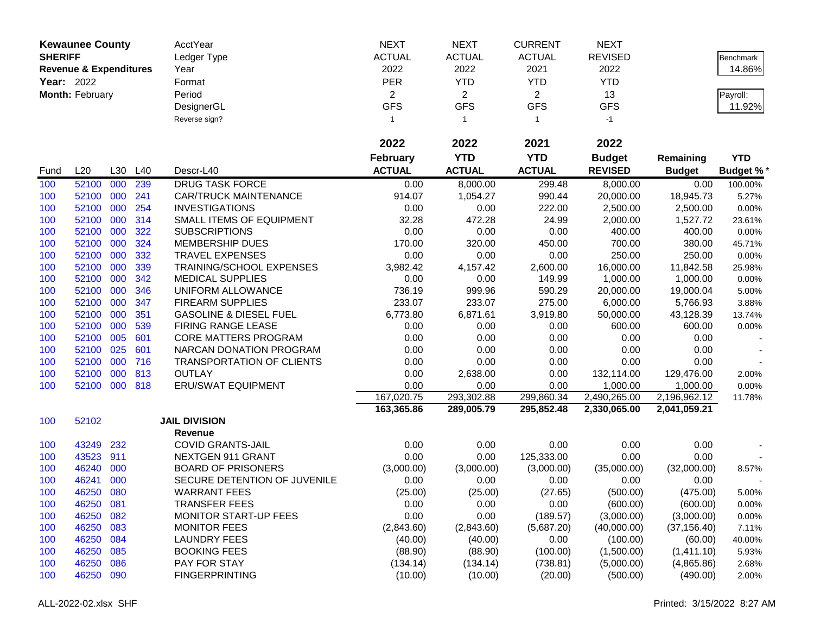|                | <b>Kewaunee County</b>            |     |     | AcctYear                          | <b>NEXT</b>     | <b>NEXT</b>    | <b>CURRENT</b> | <b>NEXT</b>    |               |            |
|----------------|-----------------------------------|-----|-----|-----------------------------------|-----------------|----------------|----------------|----------------|---------------|------------|
| <b>SHERIFF</b> |                                   |     |     | Ledger Type                       | <b>ACTUAL</b>   | <b>ACTUAL</b>  | <b>ACTUAL</b>  | <b>REVISED</b> |               | Benchmark  |
|                | <b>Revenue &amp; Expenditures</b> |     |     | Year                              | 2022            | 2022           | 2021           | 2022           |               | 14.86%     |
| Year: 2022     |                                   |     |     | Format                            | <b>PER</b>      | <b>YTD</b>     | <b>YTD</b>     | <b>YTD</b>     |               |            |
|                | Month: February                   |     |     | Period                            | $\overline{c}$  | $\overline{2}$ | $\overline{2}$ | 13             |               | Payroll:   |
|                |                                   |     |     | DesignerGL                        | <b>GFS</b>      | <b>GFS</b>     | <b>GFS</b>     | <b>GFS</b>     |               | 11.92%     |
|                |                                   |     |     | Reverse sign?                     | $\mathbf{1}$    | $\overline{1}$ | $\mathbf{1}$   | $-1$           |               |            |
|                |                                   |     |     |                                   |                 |                |                |                |               |            |
|                |                                   |     |     |                                   | 2022            | 2022           | 2021           | 2022           |               |            |
|                |                                   |     |     |                                   | <b>February</b> | <b>YTD</b>     | <b>YTD</b>     | <b>Budget</b>  | Remaining     | <b>YTD</b> |
| Fund           | L20                               | L30 | L40 | Descr-L40                         | <b>ACTUAL</b>   | <b>ACTUAL</b>  | <b>ACTUAL</b>  | <b>REVISED</b> | <b>Budget</b> | Budget %*  |
| 100            | 52100                             | 000 | 239 | <b>DRUG TASK FORCE</b>            | 0.00            | 8,000.00       | 299.48         | 8,000.00       | 0.00          | 100.00%    |
| 100            | 52100                             | 000 | 241 | <b>CAR/TRUCK MAINTENANCE</b>      | 914.07          | 1,054.27       | 990.44         | 20,000.00      | 18,945.73     | 5.27%      |
| 100            | 52100                             | 000 | 254 | <b>INVESTIGATIONS</b>             | 0.00            | 0.00           | 222.00         | 2,500.00       | 2,500.00      | 0.00%      |
| 100            | 52100                             | 000 | 314 | SMALL ITEMS OF EQUIPMENT          | 32.28           | 472.28         | 24.99          | 2,000.00       | 1,527.72      | 23.61%     |
| 100            | 52100                             | 000 | 322 | <b>SUBSCRIPTIONS</b>              | 0.00            | 0.00           | 0.00           | 400.00         | 400.00        | 0.00%      |
| 100            | 52100                             | 000 | 324 | MEMBERSHIP DUES                   | 170.00          | 320.00         | 450.00         | 700.00         | 380.00        | 45.71%     |
| 100            | 52100                             | 000 | 332 | <b>TRAVEL EXPENSES</b>            | 0.00            | 0.00           | 0.00           | 250.00         | 250.00        | 0.00%      |
| 100            | 52100                             | 000 | 339 | TRAINING/SCHOOL EXPENSES          | 3,982.42        | 4,157.42       | 2,600.00       | 16,000.00      | 11,842.58     | 25.98%     |
| 100            | 52100                             | 000 | 342 | <b>MEDICAL SUPPLIES</b>           | 0.00            | 0.00           | 149.99         | 1,000.00       | 1,000.00      | 0.00%      |
| 100            | 52100                             | 000 | 346 | UNIFORM ALLOWANCE                 | 736.19          | 999.96         | 590.29         | 20,000.00      | 19,000.04     | 5.00%      |
| 100            | 52100                             | 000 | 347 | <b>FIREARM SUPPLIES</b>           | 233.07          | 233.07         | 275.00         | 6,000.00       | 5,766.93      | 3.88%      |
| 100            | 52100                             | 000 | 351 | <b>GASOLINE &amp; DIESEL FUEL</b> | 6,773.80        | 6,871.61       | 3,919.80       | 50,000.00      | 43,128.39     | 13.74%     |
| 100            | 52100                             | 000 | 539 | FIRING RANGE LEASE                | 0.00            | 0.00           | 0.00           | 600.00         | 600.00        | 0.00%      |
| 100            | 52100                             | 005 | 601 | <b>CORE MATTERS PROGRAM</b>       | 0.00            | 0.00           | 0.00           | 0.00           | 0.00          |            |
| 100            | 52100                             | 025 | 601 | NARCAN DONATION PROGRAM           | 0.00            | 0.00           | 0.00           | 0.00           | 0.00          |            |
| 100            | 52100                             | 000 | 716 | <b>TRANSPORTATION OF CLIENTS</b>  | 0.00            | 0.00           | 0.00           | 0.00           | 0.00          |            |
| 100            | 52100                             | 000 | 813 | <b>OUTLAY</b>                     | 0.00            | 2,638.00       | 0.00           | 132,114.00     | 129,476.00    | 2.00%      |
| 100            | 52100                             | 000 | 818 | <b>ERU/SWAT EQUIPMENT</b>         | 0.00            | 0.00           | 0.00           | 1,000.00       | 1,000.00      | 0.00%      |
|                |                                   |     |     |                                   | 167,020.75      | 293,302.88     | 299,860.34     | 2,490,265.00   | 2,196,962.12  | 11.78%     |
|                |                                   |     |     |                                   | 163,365.86      | 289,005.79     | 295,852.48     | 2,330,065.00   | 2,041,059.21  |            |
| 100            | 52102                             |     |     | <b>JAIL DIVISION</b>              |                 |                |                |                |               |            |
|                |                                   |     |     | <b>Revenue</b>                    |                 |                |                |                |               |            |
| 100            | 43249                             | 232 |     | <b>COVID GRANTS-JAIL</b>          | 0.00            | 0.00           | 0.00           | 0.00           | 0.00          |            |
| 100            | 43523                             | 911 |     | NEXTGEN 911 GRANT                 | 0.00            | 0.00           | 125,333.00     | 0.00           | 0.00          |            |
| 100            | 46240                             | 000 |     | <b>BOARD OF PRISONERS</b>         | (3,000.00)      | (3,000.00)     | (3,000.00)     | (35,000.00)    | (32,000.00)   | 8.57%      |
| 100            | 46241                             | 000 |     | SECURE DETENTION OF JUVENILE      | 0.00            | 0.00           | 0.00           | 0.00           | 0.00          |            |
| 100            | 46250                             | 080 |     | <b>WARRANT FEES</b>               | (25.00)         | (25.00)        | (27.65)        | (500.00)       | (475.00)      | 5.00%      |
| 100            | 46250                             | 081 |     | <b>TRANSFER FEES</b>              | 0.00            | 0.00           | 0.00           | (600.00)       | (600.00)      | 0.00%      |
| 100            | 46250                             | 082 |     | <b>MONITOR START-UP FEES</b>      | 0.00            | 0.00           | (189.57)       | (3,000.00)     | (3,000.00)    | 0.00%      |
| 100            | 46250                             | 083 |     | <b>MONITOR FEES</b>               | (2,843.60)      | (2,843.60)     | (5,687.20)     | (40,000.00)    | (37, 156.40)  | 7.11%      |
| 100            | 46250                             | 084 |     | <b>LAUNDRY FEES</b>               | (40.00)         | (40.00)        | 0.00           | (100.00)       | (60.00)       | 40.00%     |
| 100            | 46250                             | 085 |     | <b>BOOKING FEES</b>               | (88.90)         | (88.90)        | (100.00)       | (1,500.00)     | (1,411.10)    | 5.93%      |
| 100            | 46250                             | 086 |     | PAY FOR STAY                      | (134.14)        | (134.14)       | (738.81)       | (5,000.00)     | (4,865.86)    | 2.68%      |
| 100            | 46250                             | 090 |     | <b>FINGERPRINTING</b>             | (10.00)         | (10.00)        | (20.00)        | (500.00)       | (490.00)      | 2.00%      |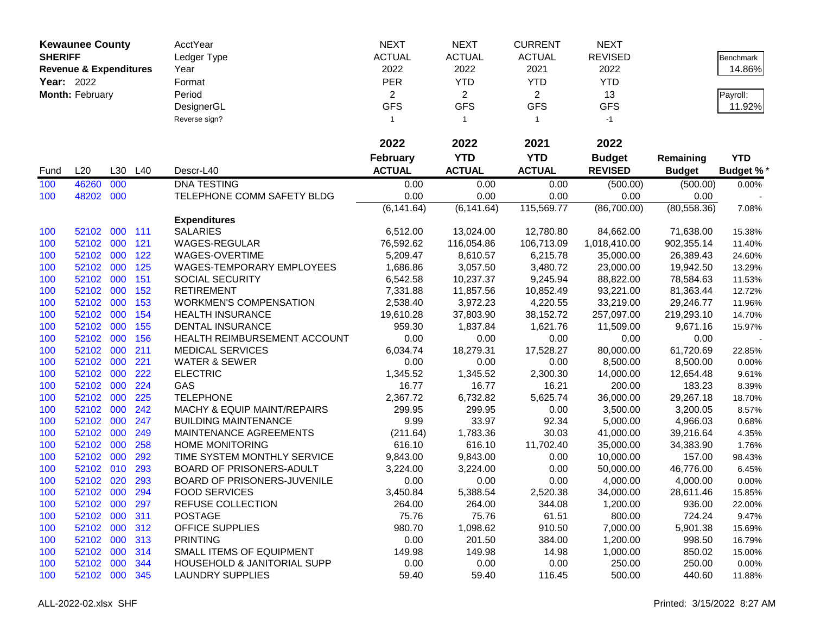|                | <b>Kewaunee County</b>            |         |     | AcctYear                               | <b>NEXT</b>     | <b>NEXT</b>    | <b>CURRENT</b> | <b>NEXT</b>    |               |                  |
|----------------|-----------------------------------|---------|-----|----------------------------------------|-----------------|----------------|----------------|----------------|---------------|------------------|
| <b>SHERIFF</b> |                                   |         |     | Ledger Type                            | <b>ACTUAL</b>   | <b>ACTUAL</b>  | <b>ACTUAL</b>  | <b>REVISED</b> |               | Benchmark        |
|                | <b>Revenue &amp; Expenditures</b> |         |     | Year                                   | 2022            | 2022           | 2021           | 2022           |               | 14.86%           |
| Year: 2022     |                                   |         |     | Format                                 | <b>PER</b>      | <b>YTD</b>     | <b>YTD</b>     | <b>YTD</b>     |               |                  |
|                | Month: February                   |         |     | Period                                 | $\overline{2}$  | $\overline{2}$ | $\overline{2}$ | 13             |               | Payroll:         |
|                |                                   |         |     | DesignerGL                             | <b>GFS</b>      | <b>GFS</b>     | <b>GFS</b>     | <b>GFS</b>     |               | 11.92%           |
|                |                                   |         |     | Reverse sign?                          | $\mathbf{1}$    | $\overline{1}$ | $\mathbf{1}$   | $-1$           |               |                  |
|                |                                   |         |     |                                        |                 |                |                |                |               |                  |
|                |                                   |         |     |                                        | 2022            | 2022           | 2021           | 2022           |               |                  |
|                |                                   |         |     |                                        | <b>February</b> | <b>YTD</b>     | <b>YTD</b>     | <b>Budget</b>  | Remaining     | <b>YTD</b>       |
| Fund           | L20                               | L30     | L40 | Descr-L40                              | <b>ACTUAL</b>   | <b>ACTUAL</b>  | <b>ACTUAL</b>  | <b>REVISED</b> | <b>Budget</b> | <b>Budget %*</b> |
| 100            | 46260                             | 000     |     | <b>DNA TESTING</b>                     | 0.00            | 0.00           | 0.00           | (500.00)       | (500.00)      | 0.00%            |
| 100            | 48202                             | 000     |     | TELEPHONE COMM SAFETY BLDG             | 0.00            | 0.00           | 0.00           | 0.00           | 0.00          |                  |
|                |                                   |         |     |                                        | (6, 141.64)     | (6, 141.64)    | 115,569.77     | (86,700.00)    | (80, 558.36)  | 7.08%            |
|                |                                   |         |     | <b>Expenditures</b>                    |                 |                |                |                |               |                  |
| 100            | 52102                             | 000 111 |     | <b>SALARIES</b>                        | 6,512.00        | 13,024.00      | 12,780.80      | 84,662.00      | 71,638.00     | 15.38%           |
| 100            | 52102                             | 000     | 121 | <b>WAGES-REGULAR</b>                   | 76,592.62       | 116,054.86     | 106,713.09     | 1,018,410.00   | 902,355.14    | 11.40%           |
| 100            | 52102                             | 000     | 122 | WAGES-OVERTIME                         | 5,209.47        | 8,610.57       | 6,215.78       | 35,000.00      | 26,389.43     | 24.60%           |
| 100            | 52102                             | 000     | 125 | WAGES-TEMPORARY EMPLOYEES              | 1,686.86        | 3,057.50       | 3,480.72       | 23,000.00      | 19,942.50     | 13.29%           |
| 100            | 52102                             | 000     | 151 | SOCIAL SECURITY                        | 6,542.58        | 10,237.37      | 9,245.94       | 88,822.00      | 78,584.63     | 11.53%           |
| 100            | 52102                             | 000     | 152 | <b>RETIREMENT</b>                      | 7,331.88        | 11,857.56      | 10,852.49      | 93,221.00      | 81,363.44     | 12.72%           |
| 100            | 52102                             | 000     | 153 | <b>WORKMEN'S COMPENSATION</b>          | 2,538.40        | 3,972.23       | 4,220.55       | 33,219.00      | 29,246.77     | 11.96%           |
| 100            | 52102                             | 000     | 154 | <b>HEALTH INSURANCE</b>                | 19,610.28       | 37,803.90      | 38,152.72      | 257,097.00     | 219,293.10    | 14.70%           |
| 100            | 52102                             | 000     | 155 | DENTAL INSURANCE                       | 959.30          | 1,837.84       | 1,621.76       | 11,509.00      | 9,671.16      | 15.97%           |
| 100            | 52102                             | 000     | 156 | HEALTH REIMBURSEMENT ACCOUNT           | 0.00            | 0.00           | 0.00           | 0.00           | 0.00          |                  |
| 100            | 52102                             | 000     | 211 | <b>MEDICAL SERVICES</b>                | 6,034.74        | 18,279.31      | 17,528.27      | 80,000.00      | 61,720.69     | 22.85%           |
| 100            | 52102                             | 000     | 221 | <b>WATER &amp; SEWER</b>               | 0.00            | 0.00           | 0.00           | 8,500.00       | 8,500.00      | 0.00%            |
| 100            | 52102 000                         |         | 222 | <b>ELECTRIC</b>                        | 1,345.52        | 1,345.52       | 2,300.30       | 14,000.00      | 12,654.48     | 9.61%            |
| 100            | 52102                             | 000     | 224 | GAS                                    | 16.77           | 16.77          | 16.21          | 200.00         | 183.23        | 8.39%            |
| 100            | 52102                             | 000     | 225 | <b>TELEPHONE</b>                       | 2,367.72        | 6,732.82       | 5,625.74       | 36,000.00      | 29,267.18     | 18.70%           |
| 100            | 52102                             | 000     | 242 | MACHY & EQUIP MAINT/REPAIRS            | 299.95          | 299.95         | 0.00           | 3,500.00       | 3,200.05      | 8.57%            |
| 100            | 52102                             | 000     | 247 | <b>BUILDING MAINTENANCE</b>            | 9.99            | 33.97          | 92.34          | 5,000.00       | 4,966.03      | 0.68%            |
| 100            | 52102                             | 000     | 249 | MAINTENANCE AGREEMENTS                 | (211.64)        | 1,783.36       | 30.03          | 41,000.00      | 39,216.64     | 4.35%            |
| 100            | 52102                             | 000     | 258 | <b>HOME MONITORING</b>                 | 616.10          | 616.10         | 11,702.40      | 35,000.00      | 34,383.90     | 1.76%            |
| 100            | 52102                             | 000     | 292 | TIME SYSTEM MONTHLY SERVICE            | 9,843.00        | 9,843.00       | 0.00           | 10,000.00      | 157.00        | 98.43%           |
| 100            | 52102                             | 010     | 293 | BOARD OF PRISONERS-ADULT               | 3,224.00        | 3,224.00       | 0.00           | 50,000.00      | 46,776.00     | 6.45%            |
| 100            | 52102                             | 020     | 293 | BOARD OF PRISONERS-JUVENILE            | 0.00            | 0.00           | 0.00           | 4,000.00       | 4,000.00      | 0.00%            |
| 100            | 52102 000                         |         | 294 | <b>FOOD SERVICES</b>                   | 3,450.84        | 5,388.54       | 2,520.38       | 34,000.00      | 28,611.46     | 15.85%           |
| 100            | 52102 000                         |         | 297 | REFUSE COLLECTION                      | 264.00          | 264.00         | 344.08         | 1,200.00       | 936.00        | 22.00%           |
| 100            | 52102 000                         |         | 311 | <b>POSTAGE</b>                         | 75.76           | 75.76          | 61.51          | 800.00         | 724.24        | 9.47%            |
| 100            | 52102 000 312                     |         |     | <b>OFFICE SUPPLIES</b>                 | 980.70          | 1,098.62       | 910.50         | 7,000.00       | 5,901.38      | 15.69%           |
| 100            | 52102 000 313                     |         |     | <b>PRINTING</b>                        | 0.00            | 201.50         | 384.00         | 1,200.00       | 998.50        | 16.79%           |
| 100            | 52102 000                         |         | 314 | SMALL ITEMS OF EQUIPMENT               | 149.98          | 149.98         | 14.98          | 1,000.00       | 850.02        | 15.00%           |
| 100            | 52102 000                         |         | 344 | <b>HOUSEHOLD &amp; JANITORIAL SUPP</b> | 0.00            | 0.00           | 0.00           | 250.00         | 250.00        | 0.00%            |
| 100            | 52102 000                         |         | 345 | <b>LAUNDRY SUPPLIES</b>                | 59.40           | 59.40          | 116.45         | 500.00         | 440.60        | 11.88%           |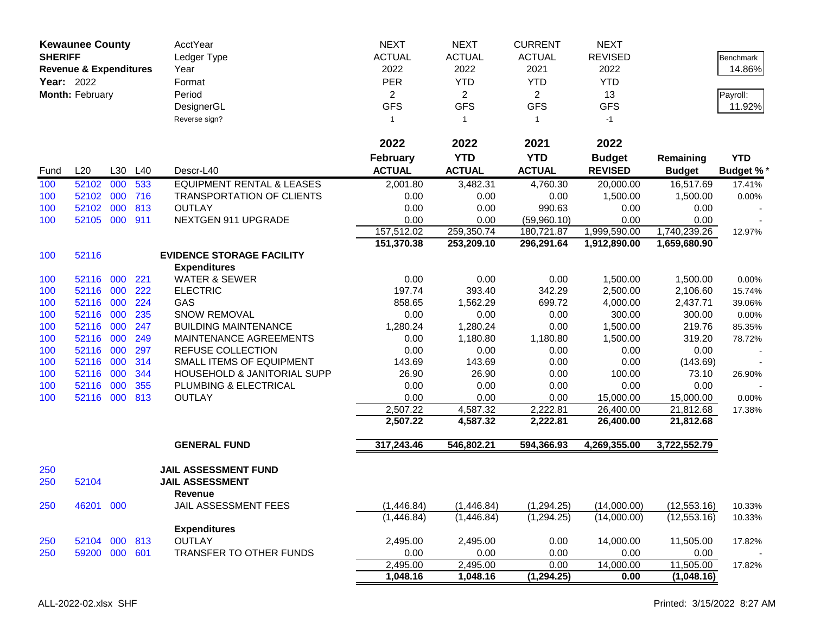| <b>SHERIFF</b>    | <b>Kewaunee County</b>            |     |     | AcctYear<br>Ledger Type              | <b>NEXT</b><br><b>ACTUAL</b> | <b>NEXT</b><br><b>ACTUAL</b> | <b>CURRENT</b><br><b>ACTUAL</b> | <b>NEXT</b><br><b>REVISED</b> |               | Benchmark        |
|-------------------|-----------------------------------|-----|-----|--------------------------------------|------------------------------|------------------------------|---------------------------------|-------------------------------|---------------|------------------|
|                   | <b>Revenue &amp; Expenditures</b> |     |     | Year                                 | 2022                         | 2022                         | 2021                            | 2022                          |               | 14.86%           |
| <b>Year: 2022</b> |                                   |     |     | Format                               | <b>PER</b>                   | <b>YTD</b>                   | <b>YTD</b>                      | <b>YTD</b>                    |               |                  |
|                   | Month: February                   |     |     | Period                               | $\overline{2}$               | $\overline{2}$               | $\overline{2}$                  | 13                            |               | Payroll:         |
|                   |                                   |     |     | DesignerGL                           | <b>GFS</b>                   | <b>GFS</b>                   | <b>GFS</b>                      | <b>GFS</b>                    |               | 11.92%           |
|                   |                                   |     |     | Reverse sign?                        | $\mathbf{1}$                 | $\mathbf{1}$                 | $\mathbf{1}$                    | $-1$                          |               |                  |
|                   |                                   |     |     |                                      | 2022                         | 2022                         | 2021                            | 2022                          |               |                  |
|                   |                                   |     |     |                                      | <b>February</b>              | <b>YTD</b>                   | <b>YTD</b>                      | <b>Budget</b>                 | Remaining     | <b>YTD</b>       |
| Fund              | L20                               | L30 | L40 | Descr-L40                            | <b>ACTUAL</b>                | <b>ACTUAL</b>                | <b>ACTUAL</b>                   | <b>REVISED</b>                | <b>Budget</b> | <b>Budget %*</b> |
| 100               | 52102                             | 000 | 533 | <b>EQUIPMENT RENTAL &amp; LEASES</b> | 2,001.80                     | 3,482.31                     | 4,760.30                        | 20,000.00                     | 16,517.69     | 17.41%           |
| 100               | 52102                             | 000 | 716 | <b>TRANSPORTATION OF CLIENTS</b>     | 0.00                         | 0.00                         | 0.00                            | 1,500.00                      | 1,500.00      | 0.00%            |
| 100               | 52102                             | 000 | 813 | <b>OUTLAY</b>                        | 0.00                         | 0.00                         | 990.63                          | 0.00                          | 0.00          |                  |
| 100               | 52105 000                         |     | 911 | NEXTGEN 911 UPGRADE                  | 0.00                         | 0.00                         | (59,960.10)                     | 0.00                          | 0.00          |                  |
|                   |                                   |     |     |                                      | 157,512.02                   | 259,350.74                   | 180,721.87                      | 1,999,590.00                  | 1,740,239.26  | 12.97%           |
|                   |                                   |     |     |                                      | 151,370.38                   | 253,209.10                   | 296,291.64                      | 1,912,890.00                  | 1,659,680.90  |                  |
| 100               | 52116                             |     |     | <b>EVIDENCE STORAGE FACILITY</b>     |                              |                              |                                 |                               |               |                  |
|                   |                                   |     |     | <b>Expenditures</b>                  |                              |                              |                                 |                               |               |                  |
| 100               | 52116 000                         |     | 221 | <b>WATER &amp; SEWER</b>             | 0.00                         | 0.00                         | 0.00                            | 1,500.00                      | 1,500.00      | 0.00%            |
| 100               | 52116 000                         |     | 222 | <b>ELECTRIC</b>                      | 197.74                       | 393.40                       | 342.29                          | 2,500.00                      | 2,106.60      | 15.74%           |
| 100               | 52116 000                         |     | 224 | GAS                                  | 858.65                       | 1,562.29                     | 699.72                          | 4,000.00                      | 2,437.71      | 39.06%           |
| 100               | 52116 000                         |     | 235 | <b>SNOW REMOVAL</b>                  | 0.00                         | 0.00                         | 0.00                            | 300.00                        | 300.00        | 0.00%            |
| 100               | 52116 000                         |     | 247 | <b>BUILDING MAINTENANCE</b>          | 1,280.24                     | 1,280.24                     | 0.00                            | 1,500.00                      | 219.76        | 85.35%           |
| 100               | 52116 000                         |     | 249 | MAINTENANCE AGREEMENTS               | 0.00                         | 1,180.80                     | 1,180.80                        | 1,500.00                      | 319.20        | 78.72%           |
| 100               | 52116                             | 000 | 297 | <b>REFUSE COLLECTION</b>             | 0.00                         | 0.00                         | 0.00                            | 0.00                          | 0.00          |                  |
| 100               | 52116                             | 000 | 314 | SMALL ITEMS OF EQUIPMENT             | 143.69                       | 143.69                       | 0.00                            | 0.00                          | (143.69)      |                  |
| 100               | 52116 000                         |     | 344 | HOUSEHOLD & JANITORIAL SUPP          | 26.90                        | 26.90                        | 0.00                            | 100.00                        | 73.10         | 26.90%           |
| 100               | 52116                             | 000 | 355 | PLUMBING & ELECTRICAL                | 0.00                         | 0.00                         | 0.00                            | 0.00                          | 0.00          |                  |
| 100               | 52116 000 813                     |     |     | <b>OUTLAY</b>                        | 0.00                         | 0.00                         | 0.00                            | 15,000.00                     | 15,000.00     | 0.00%            |
|                   |                                   |     |     |                                      | 2,507.22                     | 4,587.32                     | 2,222.81                        | 26,400.00                     | 21,812.68     | 17.38%           |
|                   |                                   |     |     |                                      | 2,507.22                     | 4,587.32                     | 2,222.81                        | 26,400.00                     | 21,812.68     |                  |
|                   |                                   |     |     | <b>GENERAL FUND</b>                  | 317,243.46                   | 546,802.21                   | 594,366.93                      | 4,269,355.00                  | 3,722,552.79  |                  |
| 250               |                                   |     |     | JAIL ASSESSMENT FUND                 |                              |                              |                                 |                               |               |                  |
| 250               | 52104                             |     |     | <b>JAIL ASSESSMENT</b><br>Revenue    |                              |                              |                                 |                               |               |                  |
| 250               | 46201 000                         |     |     | JAIL ASSESSMENT FEES                 | (1,446.84)                   | (1,446.84)                   | (1,294.25)                      | (14,000.00)                   | (12, 553.16)  | 10.33%           |
|                   |                                   |     |     |                                      | (1,446.84)                   | (1,446.84)                   | (1,294.25)                      | (14,000.00)                   | (12, 553.16)  | 10.33%           |
|                   |                                   |     |     | <b>Expenditures</b>                  |                              |                              |                                 |                               |               |                  |
| 250               | 52104 000 813                     |     |     | <b>OUTLAY</b>                        | 2,495.00                     | 2,495.00                     | 0.00                            | 14,000.00                     | 11,505.00     | 17.82%           |
| 250               | 59200 000 601                     |     |     | TRANSFER TO OTHER FUNDS              | 0.00                         | 0.00                         | 0.00                            | 0.00                          | 0.00          |                  |
|                   |                                   |     |     |                                      | 2,495.00                     | 2,495.00                     | 0.00                            | 14,000.00                     | 11,505.00     | 17.82%           |
|                   |                                   |     |     |                                      | 1,048.16                     | 1,048.16                     | (1, 294.25)                     | 0.00                          | (1,048.16)    |                  |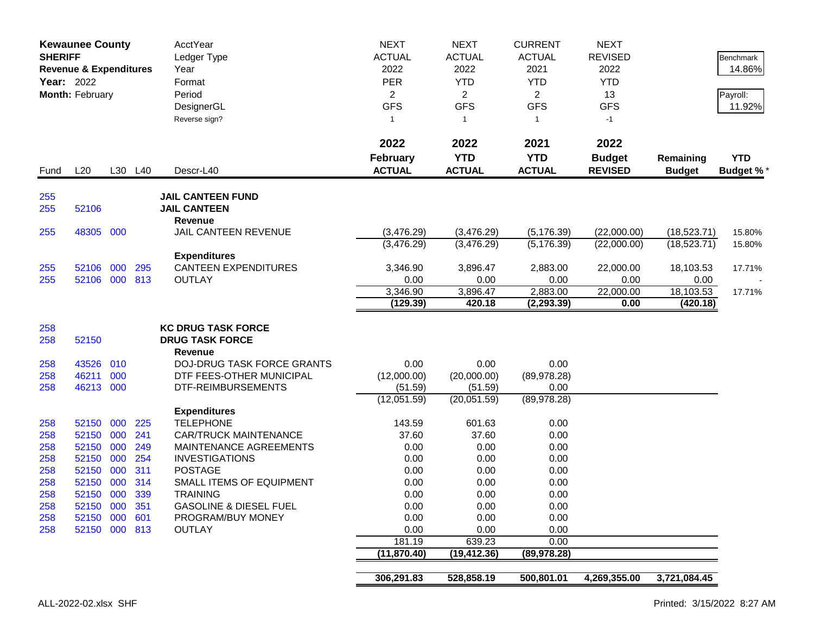| <b>SHERIFF</b><br>Year: 2022 | <b>Kewaunee County</b><br><b>Revenue &amp; Expenditures</b><br>Month: February |            |            | <b>AcctYear</b><br>Ledger Type<br>Year<br>Format<br>Period<br>DesignerGL<br>Reverse sign? | <b>NEXT</b><br><b>ACTUAL</b><br>2022<br><b>PER</b><br>$\overline{2}$<br><b>GFS</b><br>$\mathbf{1}$ | <b>NEXT</b><br><b>ACTUAL</b><br>2022<br><b>YTD</b><br>$\overline{2}$<br><b>GFS</b><br>$\overline{1}$ | <b>CURRENT</b><br><b>ACTUAL</b><br>2021<br><b>YTD</b><br>$\overline{2}$<br><b>GFS</b><br>$\mathbf{1}$ | <b>NEXT</b><br><b>REVISED</b><br>2022<br><b>YTD</b><br>13<br><b>GFS</b><br>$-1$ |                            | Benchmark<br>14.86%<br>Payroll:<br>11.92% |
|------------------------------|--------------------------------------------------------------------------------|------------|------------|-------------------------------------------------------------------------------------------|----------------------------------------------------------------------------------------------------|------------------------------------------------------------------------------------------------------|-------------------------------------------------------------------------------------------------------|---------------------------------------------------------------------------------|----------------------------|-------------------------------------------|
| Fund                         | L20                                                                            |            | L30 L40    | Descr-L40                                                                                 | 2022<br><b>February</b><br><b>ACTUAL</b>                                                           | 2022<br><b>YTD</b><br><b>ACTUAL</b>                                                                  | 2021<br><b>YTD</b><br><b>ACTUAL</b>                                                                   | 2022<br><b>Budget</b><br><b>REVISED</b>                                         | Remaining<br><b>Budget</b> | <b>YTD</b><br><b>Budget %*</b>            |
| 255<br>255                   | 52106                                                                          |            |            | <b>JAIL CANTEEN FUND</b><br><b>JAIL CANTEEN</b><br>Revenue                                |                                                                                                    |                                                                                                      |                                                                                                       |                                                                                 |                            |                                           |
| 255                          | 48305 000                                                                      |            |            | JAIL CANTEEN REVENUE                                                                      | (3,476.29)                                                                                         | (3,476.29)                                                                                           | (5, 176.39)                                                                                           | (22,000.00)                                                                     | (18, 523.71)               | 15.80%                                    |
|                              |                                                                                |            |            |                                                                                           | (3,476.29)                                                                                         | (3,476.29)                                                                                           | (5, 176.39)                                                                                           | (22,000.00)                                                                     | (18, 523.71)               | 15.80%                                    |
|                              |                                                                                |            |            | <b>Expenditures</b>                                                                       |                                                                                                    |                                                                                                      |                                                                                                       |                                                                                 |                            |                                           |
| 255                          | 52106 000                                                                      |            | 295        | <b>CANTEEN EXPENDITURES</b>                                                               | 3,346.90                                                                                           | 3,896.47                                                                                             | 2,883.00                                                                                              | 22,000.00                                                                       | 18,103.53                  | 17.71%                                    |
| 255                          | 52106 000 813                                                                  |            |            | <b>OUTLAY</b>                                                                             | 0.00                                                                                               | 0.00                                                                                                 | 0.00                                                                                                  | 0.00                                                                            | 0.00                       |                                           |
|                              |                                                                                |            |            |                                                                                           | 3,346.90                                                                                           | 3,896.47                                                                                             | 2,883.00                                                                                              | 22,000.00                                                                       | 18,103.53                  | 17.71%                                    |
|                              |                                                                                |            |            |                                                                                           | (129.39)                                                                                           | 420.18                                                                                               | (2, 293.39)                                                                                           | 0.00                                                                            | (420.18)                   |                                           |
| 258                          |                                                                                |            |            | <b>KC DRUG TASK FORCE</b>                                                                 |                                                                                                    |                                                                                                      |                                                                                                       |                                                                                 |                            |                                           |
| 258                          | 52150                                                                          |            |            | <b>DRUG TASK FORCE</b>                                                                    |                                                                                                    |                                                                                                      |                                                                                                       |                                                                                 |                            |                                           |
|                              |                                                                                |            |            | <b>Revenue</b>                                                                            |                                                                                                    |                                                                                                      |                                                                                                       |                                                                                 |                            |                                           |
| 258                          | 43526                                                                          | 010        |            | <b>DOJ-DRUG TASK FORCE GRANTS</b>                                                         | 0.00                                                                                               | 0.00                                                                                                 | 0.00                                                                                                  |                                                                                 |                            |                                           |
| 258                          | 46211                                                                          | 000        |            | DTF FEES-OTHER MUNICIPAL                                                                  | (12,000.00)                                                                                        | (20,000.00)                                                                                          | (89, 978.28)                                                                                          |                                                                                 |                            |                                           |
| 258                          | 46213 000                                                                      |            |            | DTF-REIMBURSEMENTS                                                                        | (51.59)                                                                                            | (51.59)                                                                                              | 0.00                                                                                                  |                                                                                 |                            |                                           |
|                              |                                                                                |            |            |                                                                                           | (12,051.59)                                                                                        | (20,051.59)                                                                                          | (89, 978.28)                                                                                          |                                                                                 |                            |                                           |
|                              |                                                                                |            |            | <b>Expenditures</b>                                                                       |                                                                                                    |                                                                                                      |                                                                                                       |                                                                                 |                            |                                           |
| 258                          | 52150 000                                                                      |            | 225        | <b>TELEPHONE</b>                                                                          | 143.59                                                                                             | 601.63                                                                                               | 0.00                                                                                                  |                                                                                 |                            |                                           |
| 258                          | 52150                                                                          | 000        | 241        | <b>CAR/TRUCK MAINTENANCE</b>                                                              | 37.60                                                                                              | 37.60                                                                                                | 0.00                                                                                                  |                                                                                 |                            |                                           |
| 258                          | 52150                                                                          | 000        | 249        | <b>MAINTENANCE AGREEMENTS</b>                                                             | 0.00                                                                                               | 0.00                                                                                                 | 0.00                                                                                                  |                                                                                 |                            |                                           |
| 258                          | 52150                                                                          | 000        | 254<br>311 | <b>INVESTIGATIONS</b><br><b>POSTAGE</b>                                                   | 0.00                                                                                               | 0.00                                                                                                 | 0.00                                                                                                  |                                                                                 |                            |                                           |
| 258<br>258                   | 52150<br>52150                                                                 | 000<br>000 | 314        | SMALL ITEMS OF EQUIPMENT                                                                  | 0.00<br>0.00                                                                                       | 0.00<br>0.00                                                                                         | 0.00<br>0.00                                                                                          |                                                                                 |                            |                                           |
| 258                          | 52150 000                                                                      |            | 339        | <b>TRAINING</b>                                                                           | 0.00                                                                                               | 0.00                                                                                                 | 0.00                                                                                                  |                                                                                 |                            |                                           |
| 258                          | 52150 000 351                                                                  |            |            | <b>GASOLINE &amp; DIESEL FUEL</b>                                                         | 0.00                                                                                               | 0.00                                                                                                 | 0.00                                                                                                  |                                                                                 |                            |                                           |
| 258                          | 52150 000 601                                                                  |            |            | PROGRAM/BUY MONEY                                                                         | 0.00                                                                                               | 0.00                                                                                                 | 0.00                                                                                                  |                                                                                 |                            |                                           |
| 258                          | 52150 000 813                                                                  |            |            | <b>OUTLAY</b>                                                                             | 0.00                                                                                               | 0.00                                                                                                 | 0.00                                                                                                  |                                                                                 |                            |                                           |
|                              |                                                                                |            |            |                                                                                           | 181.19                                                                                             | 639.23                                                                                               | 0.00                                                                                                  |                                                                                 |                            |                                           |
|                              |                                                                                |            |            |                                                                                           | (11, 870.40)                                                                                       | (19, 412.36)                                                                                         | (89, 978.28)                                                                                          |                                                                                 |                            |                                           |
|                              |                                                                                |            |            |                                                                                           |                                                                                                    |                                                                                                      |                                                                                                       |                                                                                 |                            |                                           |
|                              |                                                                                |            |            |                                                                                           | 306,291.83                                                                                         | 528,858.19                                                                                           | 500,801.01                                                                                            | 4,269,355.00                                                                    | 3,721,084.45               |                                           |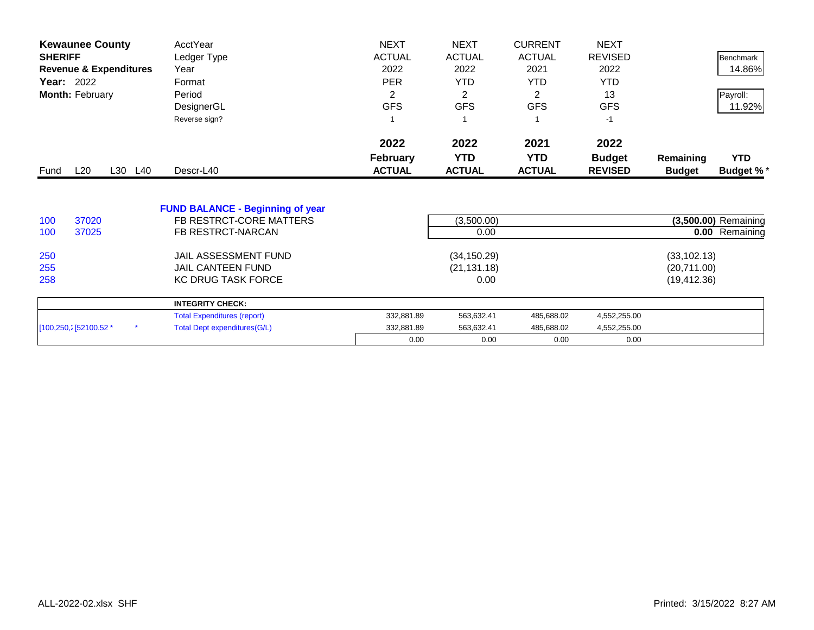| <b>Kewaunee County</b>            | AcctYear                                                           | <b>NEXT</b>     | <b>NEXT</b>   | <b>CURRENT</b> | <b>NEXT</b>    |               |                      |
|-----------------------------------|--------------------------------------------------------------------|-----------------|---------------|----------------|----------------|---------------|----------------------|
| <b>SHERIFF</b>                    | Ledger Type                                                        | <b>ACTUAL</b>   | <b>ACTUAL</b> | <b>ACTUAL</b>  | <b>REVISED</b> |               | Benchmark            |
| <b>Revenue &amp; Expenditures</b> | Year                                                               | 2022            | 2022          | 2021           | 2022           |               | 14.86%               |
| <b>Year: 2022</b>                 | Format                                                             | <b>PER</b>      | <b>YTD</b>    | YTD.           | <b>YTD</b>     |               |                      |
| Month: February                   | Period                                                             | 2               | 2             | 2              | 13             |               | Payroll:             |
|                                   | DesignerGL                                                         | <b>GFS</b>      | <b>GFS</b>    | <b>GFS</b>     | <b>GFS</b>     |               | 11.92%               |
|                                   | Reverse sign?                                                      |                 |               |                | $-1$           |               |                      |
|                                   |                                                                    | 2022            | 2022          | 2021           | 2022           |               |                      |
|                                   |                                                                    | <b>February</b> | <b>YTD</b>    | <b>YTD</b>     | <b>Budget</b>  | Remaining     | <b>YTD</b>           |
| L20<br>L30 L40<br>Fund            | Descr-L40                                                          | <b>ACTUAL</b>   | <b>ACTUAL</b> | <b>ACTUAL</b>  | <b>REVISED</b> | <b>Budget</b> | <b>Budget %*</b>     |
| 37020<br>100                      | <b>FUND BALANCE - Beginning of year</b><br>FB RESTRCT-CORE MATTERS |                 | (3,500.00)    |                |                |               | (3,500.00) Remaining |
| 37025<br>100                      | FB RESTRCT-NARCAN                                                  |                 | 0.00          |                |                |               | 0.00 Remaining       |
|                                   |                                                                    |                 |               |                |                |               |                      |
| 250                               | JAIL ASSESSMENT FUND                                               |                 | (34, 150.29)  |                |                | (33, 102.13)  |                      |
| 255                               | <b>JAIL CANTEEN FUND</b>                                           |                 | (21, 131.18)  |                |                | (20,711.00)   |                      |
| 258                               | <b>KC DRUG TASK FORCE</b>                                          |                 | 0.00          |                |                | (19, 412.36)  |                      |
|                                   | <b>INTEGRITY CHECK:</b>                                            |                 |               |                |                |               |                      |
|                                   | <b>Total Expenditures (report)</b>                                 | 332,881.89      | 563,632.41    | 485,688.02     | 4,552,255.00   |               |                      |
| [100,250,2] 52100.52 *            | <b>Total Dept expenditures(G/L)</b>                                | 332,881.89      | 563,632.41    | 485,688.02     | 4,552,255.00   |               |                      |
|                                   |                                                                    | 0.00            | 0.00          | 0.00           | 0.00           |               |                      |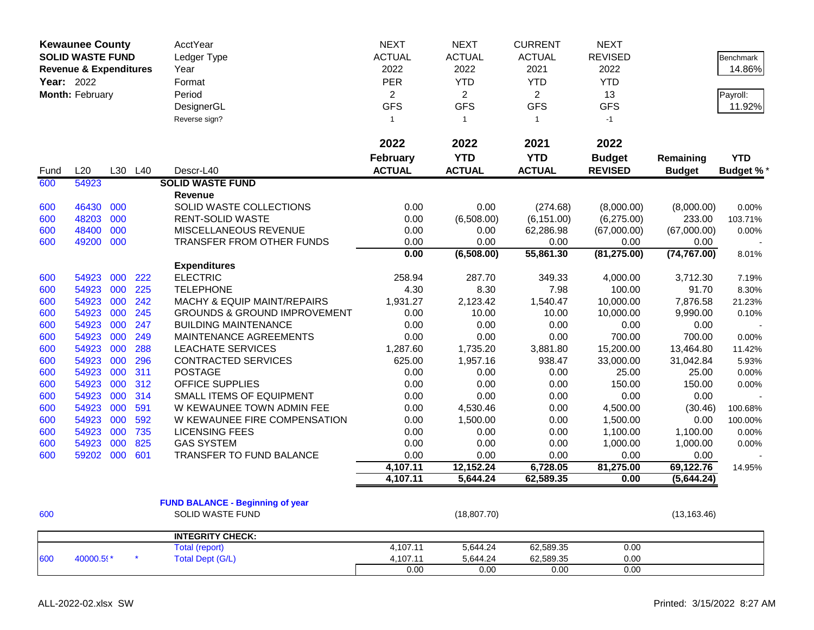|      | <b>Kewaunee County</b><br><b>SOLID WASTE FUND</b><br><b>Revenue &amp; Expenditures</b><br>Year: 2022<br>Month: February |     |         | AcctYear<br>Ledger Type<br>Year<br>Format<br>Period<br>DesignerGL | <b>NEXT</b><br><b>ACTUAL</b><br>2022<br><b>PER</b><br>$\overline{2}$<br><b>GFS</b> | <b>NEXT</b><br><b>ACTUAL</b><br>2022<br><b>YTD</b><br>$\overline{2}$<br><b>GFS</b><br>$\overline{1}$ | <b>CURRENT</b><br><b>ACTUAL</b><br>2021<br><b>YTD</b><br>$\overline{2}$<br><b>GFS</b><br>$\mathbf{1}$ | <b>NEXT</b><br><b>REVISED</b><br>2022<br><b>YTD</b><br>13<br><b>GFS</b> |               | <b>Benchmark</b><br>14.86%<br>Payroll:<br>11.92% |
|------|-------------------------------------------------------------------------------------------------------------------------|-----|---------|-------------------------------------------------------------------|------------------------------------------------------------------------------------|------------------------------------------------------------------------------------------------------|-------------------------------------------------------------------------------------------------------|-------------------------------------------------------------------------|---------------|--------------------------------------------------|
|      |                                                                                                                         |     |         | Reverse sign?                                                     | $\mathbf{1}$                                                                       |                                                                                                      |                                                                                                       | $-1$                                                                    |               |                                                  |
|      |                                                                                                                         |     |         |                                                                   | 2022                                                                               | 2022                                                                                                 | 2021                                                                                                  | 2022                                                                    |               |                                                  |
|      |                                                                                                                         |     |         |                                                                   | <b>February</b>                                                                    | <b>YTD</b>                                                                                           | <b>YTD</b>                                                                                            | <b>Budget</b>                                                           | Remaining     | <b>YTD</b>                                       |
| Fund | L20                                                                                                                     |     | L30 L40 | Descr-L40                                                         | <b>ACTUAL</b>                                                                      | <b>ACTUAL</b>                                                                                        | <b>ACTUAL</b>                                                                                         | <b>REVISED</b>                                                          | <b>Budget</b> | <b>Budget %*</b>                                 |
| 600  | 54923                                                                                                                   |     |         | <b>SOLID WASTE FUND</b>                                           |                                                                                    |                                                                                                      |                                                                                                       |                                                                         |               |                                                  |
|      |                                                                                                                         |     |         | Revenue                                                           |                                                                                    |                                                                                                      |                                                                                                       |                                                                         |               |                                                  |
| 600  | 46430                                                                                                                   | 000 |         | SOLID WASTE COLLECTIONS                                           | 0.00                                                                               | 0.00                                                                                                 | (274.68)                                                                                              | (8,000.00)                                                              | (8,000.00)    | 0.00%                                            |
| 600  | 48203                                                                                                                   | 000 |         | <b>RENT-SOLID WASTE</b>                                           | 0.00                                                                               | (6,508.00)                                                                                           | (6, 151.00)                                                                                           | (6,275.00)                                                              | 233.00        | 103.71%                                          |
| 600  | 48400                                                                                                                   | 000 |         | MISCELLANEOUS REVENUE                                             | 0.00                                                                               | 0.00                                                                                                 | 62,286.98                                                                                             | (67,000.00)                                                             | (67,000.00)   | 0.00%                                            |
| 600  | 49200 000                                                                                                               |     |         | TRANSFER FROM OTHER FUNDS                                         | 0.00<br>0.00                                                                       | 0.00                                                                                                 | 0.00                                                                                                  | 0.00                                                                    | 0.00          |                                                  |
|      |                                                                                                                         |     |         | <b>Expenditures</b>                                               |                                                                                    | (6,508.00)                                                                                           | 55,861.30                                                                                             | (81, 275.00)                                                            | (74, 767.00)  | 8.01%                                            |
| 600  | 54923                                                                                                                   | 000 | 222     | <b>ELECTRIC</b>                                                   | 258.94                                                                             | 287.70                                                                                               | 349.33                                                                                                | 4,000.00                                                                | 3,712.30      | 7.19%                                            |
| 600  | 54923                                                                                                                   | 000 | 225     | <b>TELEPHONE</b>                                                  | 4.30                                                                               | 8.30                                                                                                 | 7.98                                                                                                  | 100.00                                                                  | 91.70         | 8.30%                                            |
| 600  | 54923                                                                                                                   | 000 | 242     | MACHY & EQUIP MAINT/REPAIRS                                       | 1,931.27                                                                           | 2,123.42                                                                                             | 1,540.47                                                                                              | 10,000.00                                                               | 7,876.58      | 21.23%                                           |
| 600  | 54923                                                                                                                   | 000 | 245     | <b>GROUNDS &amp; GROUND IMPROVEMENT</b>                           | 0.00                                                                               | 10.00                                                                                                | 10.00                                                                                                 | 10,000.00                                                               | 9,990.00      | 0.10%                                            |
| 600  | 54923                                                                                                                   | 000 | 247     | <b>BUILDING MAINTENANCE</b>                                       | 0.00                                                                               | 0.00                                                                                                 | 0.00                                                                                                  | 0.00                                                                    | 0.00          |                                                  |
| 600  | 54923                                                                                                                   | 000 | 249     | MAINTENANCE AGREEMENTS                                            | 0.00                                                                               | 0.00                                                                                                 | 0.00                                                                                                  | 700.00                                                                  | 700.00        | 0.00%                                            |
| 600  | 54923                                                                                                                   | 000 | 288     | <b>LEACHATE SERVICES</b>                                          | 1,287.60                                                                           | 1,735.20                                                                                             | 3,881.80                                                                                              | 15,200.00                                                               | 13,464.80     | 11.42%                                           |
| 600  | 54923                                                                                                                   | 000 | 296     | <b>CONTRACTED SERVICES</b>                                        | 625.00                                                                             | 1,957.16                                                                                             | 938.47                                                                                                | 33,000.00                                                               | 31,042.84     | 5.93%                                            |
| 600  | 54923                                                                                                                   | 000 | 311     | <b>POSTAGE</b>                                                    | 0.00                                                                               | 0.00                                                                                                 | 0.00                                                                                                  | 25.00                                                                   | 25.00         | 0.00%                                            |
| 600  | 54923                                                                                                                   | 000 | 312     | OFFICE SUPPLIES                                                   | 0.00                                                                               | 0.00                                                                                                 | 0.00                                                                                                  | 150.00                                                                  | 150.00        | 0.00%                                            |
| 600  | 54923                                                                                                                   | 000 | 314     | SMALL ITEMS OF EQUIPMENT                                          | 0.00                                                                               | 0.00                                                                                                 | 0.00                                                                                                  | 0.00                                                                    | 0.00          |                                                  |
| 600  | 54923                                                                                                                   | 000 | 591     | W KEWAUNEE TOWN ADMIN FEE                                         | 0.00                                                                               | 4,530.46                                                                                             | 0.00                                                                                                  | 4,500.00                                                                | (30.46)       | 100.68%                                          |
| 600  | 54923                                                                                                                   | 000 | 592     | W KEWAUNEE FIRE COMPENSATION                                      | 0.00                                                                               | 1,500.00                                                                                             | 0.00                                                                                                  | 1,500.00                                                                | 0.00          | 100.00%                                          |
| 600  | 54923                                                                                                                   | 000 | 735     | <b>LICENSING FEES</b>                                             | 0.00                                                                               | 0.00                                                                                                 | 0.00                                                                                                  | 1,100.00                                                                | 1,100.00      | 0.00%                                            |
| 600  | 54923                                                                                                                   | 000 | 825     | <b>GAS SYSTEM</b>                                                 | 0.00                                                                               | 0.00                                                                                                 | 0.00                                                                                                  | 1,000.00                                                                | 1,000.00      | 0.00%                                            |
| 600  | 59202                                                                                                                   | 000 | 601     | TRANSFER TO FUND BALANCE                                          | 0.00                                                                               | 0.00                                                                                                 | 0.00                                                                                                  | 0.00                                                                    | 0.00          |                                                  |
|      |                                                                                                                         |     |         |                                                                   | 4,107.11                                                                           | 12,152.24                                                                                            | 6,728.05                                                                                              | 81,275.00                                                               | 69,122.76     | 14.95%                                           |
|      |                                                                                                                         |     |         |                                                                   | 4,107.11                                                                           | 5,644.24                                                                                             | 62,589.35                                                                                             | 0.00                                                                    | (5,644.24)    |                                                  |
|      |                                                                                                                         |     |         |                                                                   |                                                                                    |                                                                                                      |                                                                                                       |                                                                         |               |                                                  |
|      |                                                                                                                         |     |         | <b>FUND BALANCE - Beginning of year</b>                           |                                                                                    |                                                                                                      |                                                                                                       |                                                                         |               |                                                  |
| 600  |                                                                                                                         |     |         | SOLID WASTE FUND                                                  |                                                                                    | (18, 807.70)                                                                                         |                                                                                                       |                                                                         | (13, 163.46)  |                                                  |
|      |                                                                                                                         |     |         | <b>INTEGRITY CHECK:</b>                                           |                                                                                    |                                                                                                      |                                                                                                       |                                                                         |               |                                                  |
|      |                                                                                                                         |     |         | <b>Total (report)</b>                                             | 4,107.11                                                                           | 5,644.24                                                                                             | 62,589.35                                                                                             | 0.00                                                                    |               |                                                  |
| 600  | 40000.59*                                                                                                               |     |         | Total Dept (G/L)                                                  | 4,107.11                                                                           | 5,644.24                                                                                             | 62,589.35                                                                                             | 0.00                                                                    |               |                                                  |
|      |                                                                                                                         |     |         |                                                                   | 0.00                                                                               | 0.00                                                                                                 | 0.00                                                                                                  | 0.00                                                                    |               |                                                  |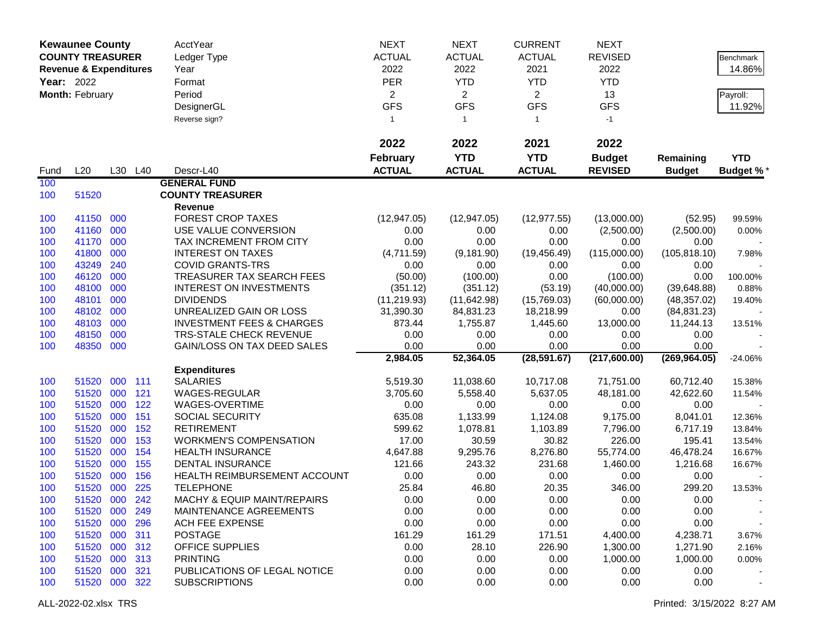|            | <b>Kewaunee County</b>            |     |         | <b>AcctYear</b>                      | <b>NEXT</b>     | <b>NEXT</b>                  | <b>CURRENT</b>               | <b>NEXT</b>      |               |            |
|------------|-----------------------------------|-----|---------|--------------------------------------|-----------------|------------------------------|------------------------------|------------------|---------------|------------|
|            | <b>COUNTY TREASURER</b>           |     |         | Ledger Type                          | <b>ACTUAL</b>   | <b>ACTUAL</b>                | <b>ACTUAL</b>                | <b>REVISED</b>   |               | Benchmark  |
|            | <b>Revenue &amp; Expenditures</b> |     |         | Year                                 | 2022            | 2022                         | 2021                         | 2022             |               | 14.86%     |
| Year: 2022 |                                   |     |         | Format                               | <b>PER</b>      | <b>YTD</b>                   | <b>YTD</b>                   | <b>YTD</b>       |               |            |
|            |                                   |     |         |                                      |                 |                              |                              |                  |               |            |
|            | Month: February                   |     |         | Period                               | $\overline{2}$  | $\overline{2}$<br><b>GFS</b> | $\overline{2}$<br><b>GFS</b> | 13<br><b>GFS</b> |               | Payroll:   |
|            |                                   |     |         | DesignerGL                           | <b>GFS</b>      |                              |                              |                  |               | 11.92%     |
|            |                                   |     |         | Reverse sign?                        | $\mathbf{1}$    | $\mathbf{1}$                 | $\mathbf{1}$                 | $-1$             |               |            |
|            |                                   |     |         |                                      | 2022            | 2022                         | 2021                         | 2022             |               |            |
|            |                                   |     |         |                                      | <b>February</b> | <b>YTD</b>                   | <b>YTD</b>                   | <b>Budget</b>    | Remaining     | <b>YTD</b> |
| Fund       | L20                               |     | L30 L40 | Descr-L40                            | <b>ACTUAL</b>   | <b>ACTUAL</b>                | <b>ACTUAL</b>                | <b>REVISED</b>   | <b>Budget</b> | Budget %*  |
| 100        |                                   |     |         | <b>GENERAL FUND</b>                  |                 |                              |                              |                  |               |            |
| 100        | 51520                             |     |         | <b>COUNTY TREASURER</b>              |                 |                              |                              |                  |               |            |
|            |                                   |     |         | Revenue                              |                 |                              |                              |                  |               |            |
| 100        | 41150                             | 000 |         | <b>FOREST CROP TAXES</b>             | (12, 947.05)    | (12, 947.05)                 | (12, 977.55)                 | (13,000.00)      | (52.95)       | 99.59%     |
| 100        | 41160 000                         |     |         | USE VALUE CONVERSION                 | 0.00            | 0.00                         | 0.00                         | (2,500.00)       | (2,500.00)    | 0.00%      |
| 100        | 41170                             | 000 |         | TAX INCREMENT FROM CITY              | 0.00            | 0.00                         | 0.00                         | 0.00             | 0.00          |            |
| 100        | 41800                             | 000 |         | <b>INTEREST ON TAXES</b>             | (4,711.59)      | (9, 181.90)                  | (19, 456.49)                 | (115,000.00)     | (105, 818.10) | 7.98%      |
| 100        | 43249                             | 240 |         | <b>COVID GRANTS-TRS</b>              | 0.00            | 0.00                         | 0.00                         | 0.00             | 0.00          |            |
| 100        | 46120                             | 000 |         | TREASURER TAX SEARCH FEES            | (50.00)         | (100.00)                     | 0.00                         | (100.00)         | 0.00          | 100.00%    |
| 100        | 48100                             | 000 |         | <b>INTEREST ON INVESTMENTS</b>       | (351.12)        | (351.12)                     | (53.19)                      | (40,000.00)      | (39,648.88)   | 0.88%      |
| 100        | 48101                             | 000 |         | <b>DIVIDENDS</b>                     | (11, 219.93)    | (11, 642.98)                 | (15,769.03)                  | (60,000.00)      | (48, 357.02)  | 19.40%     |
| 100        | 48102                             | 000 |         | UNREALIZED GAIN OR LOSS              | 31,390.30       | 84,831.23                    | 18,218.99                    | 0.00             | (84, 831.23)  |            |
| 100        | 48103                             | 000 |         | <b>INVESTMENT FEES &amp; CHARGES</b> | 873.44          | 1,755.87                     | 1,445.60                     | 13,000.00        | 11,244.13     | 13.51%     |
| 100        | 48150                             | 000 |         | <b>TRS-STALE CHECK REVENUE</b>       | 0.00            | 0.00                         | 0.00                         | 0.00             | 0.00          |            |
| 100        | 48350                             | 000 |         | GAIN/LOSS ON TAX DEED SALES          | 0.00            | 0.00                         | 0.00                         | 0.00             | 0.00          |            |
|            |                                   |     |         |                                      | 2,984.05        | 52,364.05                    | (28, 591.67)                 | (217,600.00)     | (269, 964.05) | $-24.06%$  |
|            |                                   |     |         | <b>Expenditures</b>                  |                 |                              |                              |                  |               |            |
| 100        | 51520                             | 000 | 111     | <b>SALARIES</b>                      | 5,519.30        | 11,038.60                    | 10,717.08                    | 71,751.00        | 60,712.40     | 15.38%     |
| 100        | 51520                             | 000 | 121     | WAGES-REGULAR                        | 3,705.60        | 5,558.40                     | 5,637.05                     | 48,181.00        | 42,622.60     | 11.54%     |
| 100        | 51520                             | 000 | 122     | WAGES-OVERTIME                       | 0.00            | 0.00                         | 0.00                         | 0.00             | 0.00          |            |
| 100        | 51520                             | 000 | 151     | <b>SOCIAL SECURITY</b>               | 635.08          | 1,133.99                     | 1,124.08                     | 9,175.00         | 8,041.01      | 12.36%     |
| 100        | 51520                             | 000 | 152     | <b>RETIREMENT</b>                    | 599.62          | 1,078.81                     | 1,103.89                     | 7,796.00         | 6,717.19      | 13.84%     |
| 100        | 51520                             | 000 | 153     | <b>WORKMEN'S COMPENSATION</b>        | 17.00           | 30.59                        | 30.82                        | 226.00           | 195.41        | 13.54%     |
| 100        | 51520                             | 000 | 154     | <b>HEALTH INSURANCE</b>              | 4,647.88        | 9,295.76                     | 8,276.80                     | 55,774.00        | 46,478.24     | 16.67%     |
| 100        | 51520                             | 000 | 155     | <b>DENTAL INSURANCE</b>              | 121.66          | 243.32                       | 231.68                       | 1,460.00         | 1,216.68      | 16.67%     |
| 100        | 51520                             | 000 | 156     | HEALTH REIMBURSEMENT ACCOUNT         | 0.00            | 0.00                         | 0.00                         | 0.00             | 0.00          |            |
| 100        | 51520 000                         |     | 225     | <b>TELEPHONE</b>                     | 25.84           | 46.80                        | 20.35                        | 346.00           | 299.20        | 13.53%     |
| 100        | 51520 000 242                     |     |         | MACHY & EQUIP MAINT/REPAIRS          | 0.00            | 0.00                         | 0.00                         | 0.00             | 0.00          |            |
| 100        | 51520 000                         |     | 249     | MAINTENANCE AGREEMENTS               | 0.00            | 0.00                         | 0.00                         | 0.00             | 0.00          |            |
| 100        | 51520 000                         |     | 296     | ACH FEE EXPENSE                      | 0.00            | 0.00                         | 0.00                         | 0.00             | 0.00          |            |
| 100        | 51520 000                         |     | 311     | <b>POSTAGE</b>                       | 161.29          | 161.29                       | 171.51                       | 4,400.00         | 4,238.71      | 3.67%      |
| 100        | 51520 000                         |     | 312     | OFFICE SUPPLIES                      | 0.00            | 28.10                        | 226.90                       | 1,300.00         | 1,271.90      | 2.16%      |
| 100        | 51520                             | 000 | 313     | <b>PRINTING</b>                      | 0.00            | 0.00                         | 0.00                         | 1,000.00         | 1,000.00      | 0.00%      |
| 100        | 51520 000                         |     | 321     | PUBLICATIONS OF LEGAL NOTICE         | 0.00            | 0.00                         | 0.00                         | 0.00             | 0.00          |            |
| 100        | 51520 000 322                     |     |         | <b>SUBSCRIPTIONS</b>                 | 0.00            | 0.00                         | 0.00                         | 0.00             | 0.00          |            |
|            |                                   |     |         |                                      |                 |                              |                              |                  |               |            |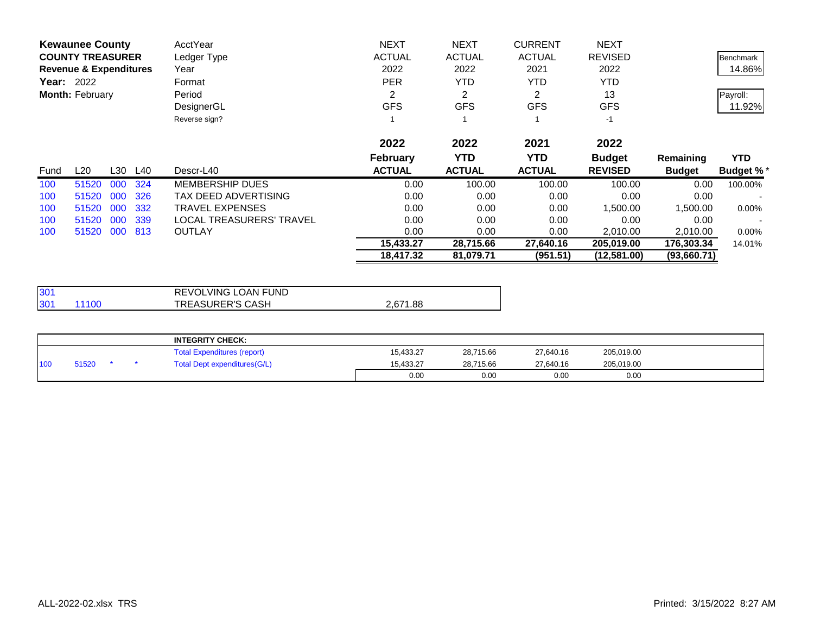|                   | <b>Kewaunee County</b>            |     |         | AcctYear                 | <b>NEXT</b>     | <b>NEXT</b>   | <b>CURRENT</b> | <b>NEXT</b>    |               |                  |
|-------------------|-----------------------------------|-----|---------|--------------------------|-----------------|---------------|----------------|----------------|---------------|------------------|
|                   | <b>COUNTY TREASURER</b>           |     |         | Ledger Type              | <b>ACTUAL</b>   | <b>ACTUAL</b> | <b>ACTUAL</b>  | <b>REVISED</b> |               | Benchmark        |
|                   | <b>Revenue &amp; Expenditures</b> |     |         | Year                     | 2022            | 2022          | 2021           | 2022           |               | 14.86%           |
| <b>Year: 2022</b> |                                   |     |         | Format                   | <b>PER</b>      | <b>YTD</b>    | <b>YTD</b>     | YTD            |               |                  |
|                   | Month: February                   |     |         | Period                   | 2               | 2             | 2              | 13             |               | Payroll:         |
|                   |                                   |     |         | DesignerGL               | <b>GFS</b>      | <b>GFS</b>    | <b>GFS</b>     | <b>GFS</b>     |               | 11.92%           |
|                   |                                   |     |         | Reverse sign?            |                 |               |                | $-1$           |               |                  |
|                   |                                   |     |         |                          | 2022            | 2022          | 2021           | 2022           |               |                  |
|                   |                                   |     |         |                          | <b>February</b> | <b>YTD</b>    | <b>YTD</b>     | <b>Budget</b>  | Remaining     | <b>YTD</b>       |
| Fund              | L20                               |     | L30 L40 | Descr-L40                | <b>ACTUAL</b>   | <b>ACTUAL</b> | <b>ACTUAL</b>  | <b>REVISED</b> | <b>Budget</b> | <b>Budget %*</b> |
| 100               | 51520                             | 000 | 324     | <b>MEMBERSHIP DUES</b>   | 0.00            | 100.00        | 100.00         | 100.00         | 0.00          | 100.00%          |
| 100               | 51520                             | 000 | 326     | TAX DEED ADVERTISING     | 0.00            | 0.00          | 0.00           | 0.00           | 0.00          |                  |
| 100               | 51520                             | 000 | 332     | TRAVEL EXPENSES          | 0.00            | 0.00          | 0.00           | 1,500.00       | 1,500.00      | $0.00\%$         |
| 100               | 51520                             | 000 | 339     | LOCAL TREASURERS' TRAVEL | 0.00            | 0.00          | 0.00           | 0.00           | 0.00          |                  |
| 100               | 51520                             | 000 | 813     | <b>OUTLAY</b>            | 0.00            | 0.00          | 0.00           | 2,010.00       | 2,010.00      | $0.00\%$         |
|                   |                                   |     |         |                          | 15,433.27       | 28,715.66     | 27,640.16      | 205,019.00     | 176,303.34    | 14.01%           |
|                   |                                   |     |         |                          | 18,417.32       | 81,079.71     | (951.51)       | (12,581.00)    | (93,660.71)   |                  |

| 130 <sup>4</sup>         | REVOLVING LOAN FUND     |          |
|--------------------------|-------------------------|----------|
| 30 <sup>2</sup><br>11100 | <b>TREASURER'S CASH</b> | 2,671.88 |

|     |       |  | <b>INTEGRITY CHECK:</b>            |           |           |           |            |  |
|-----|-------|--|------------------------------------|-----------|-----------|-----------|------------|--|
|     |       |  | <b>Total Expenditures (report)</b> | 15.433.27 | 28,715.66 | 27,640.16 | 205,019.00 |  |
| 100 | 51520 |  | Total Dept expenditures (G/L)      | 15.433.27 | 28.715.66 | 27,640.16 | 205,019.00 |  |
|     |       |  |                                    | 0.00      | 0.00      | 0.00      | 0.00       |  |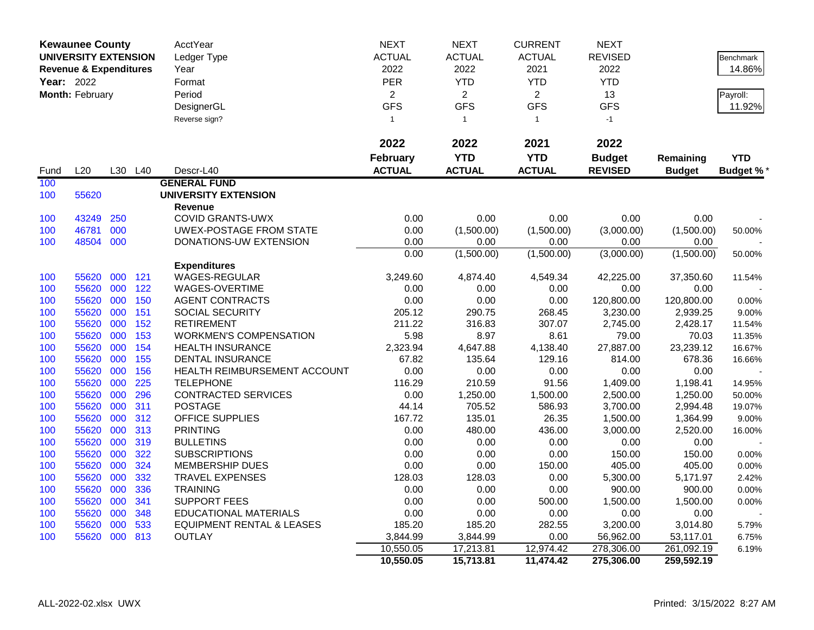|      | <b>Kewaunee County</b>            |     |                 | AcctYear                             | <b>NEXT</b>     | <b>NEXT</b>        | <b>CURRENT</b>     | <b>NEXT</b>        |                    |                  |
|------|-----------------------------------|-----|-----------------|--------------------------------------|-----------------|--------------------|--------------------|--------------------|--------------------|------------------|
|      | <b>UNIVERSITY EXTENSION</b>       |     |                 | Ledger Type                          | <b>ACTUAL</b>   | <b>ACTUAL</b>      | <b>ACTUAL</b>      | <b>REVISED</b>     |                    | Benchmark        |
|      | <b>Revenue &amp; Expenditures</b> |     |                 | Year                                 | 2022            | 2022               | 2021               | 2022               |                    | 14.86%           |
|      | <b>Year: 2022</b>                 |     |                 | Format                               | PER             | <b>YTD</b>         | <b>YTD</b>         | <b>YTD</b>         |                    |                  |
|      | Month: February                   |     |                 | Period                               | $\overline{2}$  | $\overline{2}$     | $\overline{2}$     | 13                 |                    | Payroll:         |
|      |                                   |     |                 | DesignerGL                           | <b>GFS</b>      | <b>GFS</b>         | <b>GFS</b>         | <b>GFS</b>         |                    | 11.92%           |
|      |                                   |     |                 | Reverse sign?                        | $\mathbf{1}$    | $\overline{1}$     | $\mathbf{1}$       | $-1$               |                    |                  |
|      |                                   |     |                 |                                      |                 |                    |                    |                    |                    |                  |
|      |                                   |     |                 |                                      | 2022            | 2022               | 2021               | 2022               |                    |                  |
|      |                                   |     |                 |                                      | <b>February</b> | <b>YTD</b>         | <b>YTD</b>         | <b>Budget</b>      | Remaining          | <b>YTD</b>       |
|      | L20                               | L30 | L <sub>40</sub> | Descr-L40                            | <b>ACTUAL</b>   | <b>ACTUAL</b>      | <b>ACTUAL</b>      | <b>REVISED</b>     |                    |                  |
| Fund |                                   |     |                 |                                      |                 |                    |                    |                    | <b>Budget</b>      | <b>Budget %*</b> |
| 100  |                                   |     |                 | <b>GENERAL FUND</b>                  |                 |                    |                    |                    |                    |                  |
| 100  | 55620                             |     |                 | <b>UNIVERSITY EXTENSION</b>          |                 |                    |                    |                    |                    |                  |
|      |                                   |     |                 | <b>Revenue</b>                       | 0.00            |                    |                    |                    |                    |                  |
| 100  | 43249                             | 250 |                 | <b>COVID GRANTS-UWX</b>              |                 | 0.00               | 0.00               | 0.00               | 0.00               |                  |
| 100  | 46781<br>48504 000                | 000 |                 | <b>UWEX-POSTAGE FROM STATE</b>       | 0.00            | (1,500.00)<br>0.00 | (1,500.00)<br>0.00 | (3,000.00)         | (1,500.00)         | 50.00%           |
| 100  |                                   |     |                 | DONATIONS-UW EXTENSION               | 0.00<br>0.00    | (1,500.00)         | (1,500.00)         | 0.00<br>(3,000.00) | 0.00<br>(1,500.00) |                  |
|      |                                   |     |                 | <b>Expenditures</b>                  |                 |                    |                    |                    |                    | 50.00%           |
| 100  | 55620                             | 000 | 121             | WAGES-REGULAR                        | 3,249.60        | 4,874.40           | 4,549.34           | 42,225.00          | 37,350.60          |                  |
| 100  | 55620                             | 000 | 122             | WAGES-OVERTIME                       | 0.00            | 0.00               | 0.00               | 0.00               | 0.00               | 11.54%           |
| 100  | 55620                             | 000 | 150             | <b>AGENT CONTRACTS</b>               | 0.00            | 0.00               | 0.00               | 120,800.00         | 120,800.00         |                  |
| 100  | 55620                             | 000 | 151             | <b>SOCIAL SECURITY</b>               | 205.12          | 290.75             | 268.45             | 3,230.00           | 2,939.25           | 0.00%<br>9.00%   |
| 100  | 55620                             | 000 | 152             | <b>RETIREMENT</b>                    | 211.22          | 316.83             | 307.07             | 2,745.00           | 2,428.17           | 11.54%           |
| 100  | 55620                             | 000 | 153             | <b>WORKMEN'S COMPENSATION</b>        | 5.98            | 8.97               | 8.61               | 79.00              | 70.03              | 11.35%           |
| 100  | 55620                             | 000 | 154             | <b>HEALTH INSURANCE</b>              | 2,323.94        | 4,647.88           | 4,138.40           | 27,887.00          | 23,239.12          | 16.67%           |
| 100  | 55620                             | 000 | 155             | <b>DENTAL INSURANCE</b>              | 67.82           | 135.64             | 129.16             | 814.00             | 678.36             | 16.66%           |
| 100  | 55620                             | 000 | 156             | HEALTH REIMBURSEMENT ACCOUNT         | 0.00            | 0.00               | 0.00               | 0.00               | 0.00               |                  |
| 100  | 55620                             | 000 | 225             | <b>TELEPHONE</b>                     | 116.29          | 210.59             | 91.56              | 1,409.00           | 1,198.41           | 14.95%           |
| 100  | 55620                             | 000 | 296             | <b>CONTRACTED SERVICES</b>           | 0.00            | 1,250.00           | 1,500.00           | 2,500.00           | 1,250.00           | 50.00%           |
| 100  | 55620                             | 000 | 311             | <b>POSTAGE</b>                       | 44.14           | 705.52             | 586.93             | 3,700.00           | 2,994.48           | 19.07%           |
| 100  | 55620                             | 000 | 312             | <b>OFFICE SUPPLIES</b>               | 167.72          | 135.01             | 26.35              | 1,500.00           | 1,364.99           | 9.00%            |
| 100  | 55620                             | 000 | 313             | <b>PRINTING</b>                      | 0.00            | 480.00             | 436.00             | 3,000.00           | 2,520.00           | 16.00%           |
| 100  | 55620                             | 000 | 319             | <b>BULLETINS</b>                     | 0.00            | 0.00               | 0.00               | 0.00               | 0.00               |                  |
| 100  | 55620                             | 000 | 322             | <b>SUBSCRIPTIONS</b>                 | 0.00            | 0.00               | 0.00               | 150.00             | 150.00             | 0.00%            |
| 100  | 55620                             | 000 | 324             | <b>MEMBERSHIP DUES</b>               | 0.00            | 0.00               | 150.00             | 405.00             | 405.00             | 0.00%            |
| 100  | 55620                             | 000 | 332             | <b>TRAVEL EXPENSES</b>               | 128.03          | 128.03             | 0.00               | 5,300.00           | 5,171.97           | 2.42%            |
| 100  | 55620                             | 000 | 336             | <b>TRAINING</b>                      | 0.00            | 0.00               | 0.00               | 900.00             | 900.00             | 0.00%            |
| 100  | 55620                             | 000 | 341             | <b>SUPPORT FEES</b>                  | 0.00            | 0.00               | 500.00             | 1,500.00           | 1,500.00           | 0.00%            |
| 100  | 55620                             | 000 | 348             | <b>EDUCATIONAL MATERIALS</b>         | 0.00            | 0.00               | 0.00               | 0.00               | 0.00               |                  |
| 100  | 55620                             | 000 | 533             | <b>EQUIPMENT RENTAL &amp; LEASES</b> | 185.20          | 185.20             | 282.55             | 3,200.00           | 3,014.80           | 5.79%            |
| 100  | 55620                             | 000 | 813             | <b>OUTLAY</b>                        | 3,844.99        | 3,844.99           | 0.00               | 56,962.00          | 53,117.01          | 6.75%            |
|      |                                   |     |                 |                                      | 10,550.05       | 17,213.81          | 12,974.42          | 278,306.00         | 261,092.19         | 6.19%            |
|      |                                   |     |                 |                                      | 10,550.05       | 15,713.81          | 11,474.42          | 275,306.00         | 259,592.19         |                  |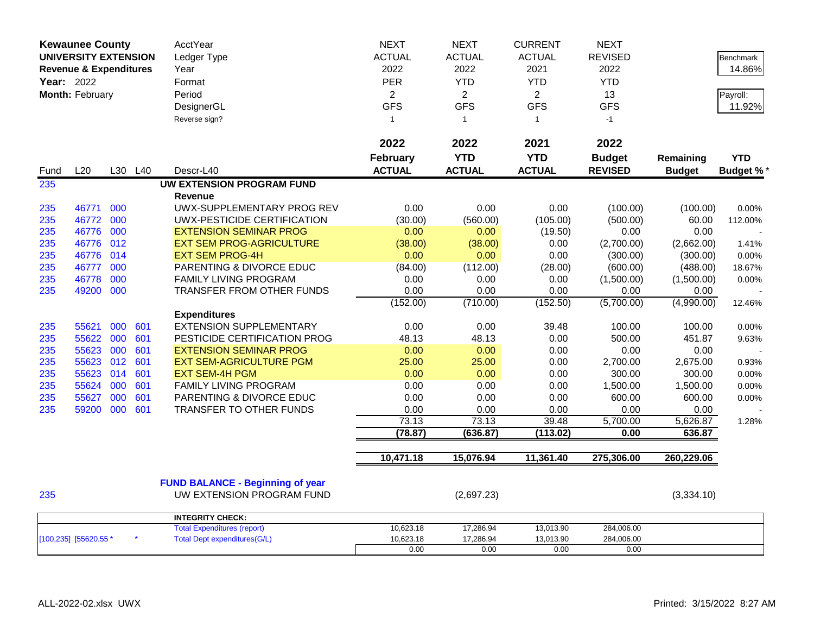| <b>Kewaunee County</b>            |           |     |     | AcctYear                                | <b>NEXT</b>      | <b>NEXT</b>    | <b>CURRENT</b>    | <b>NEXT</b>      |                    |                  |
|-----------------------------------|-----------|-----|-----|-----------------------------------------|------------------|----------------|-------------------|------------------|--------------------|------------------|
| <b>UNIVERSITY EXTENSION</b>       |           |     |     | Ledger Type                             | <b>ACTUAL</b>    | <b>ACTUAL</b>  | <b>ACTUAL</b>     | <b>REVISED</b>   |                    | <b>Benchmark</b> |
| <b>Revenue &amp; Expenditures</b> |           |     |     | Year                                    | 2022             | 2022           | 2021              | 2022             |                    | 14.86%           |
| Year: 2022                        |           |     |     | Format                                  | PER              | <b>YTD</b>     | <b>YTD</b>        | <b>YTD</b>       |                    |                  |
| Month: February                   |           |     |     | Period                                  | $\overline{2}$   | $\overline{2}$ | $\overline{2}$    | 13               |                    | Payroll:         |
|                                   |           |     |     | DesignerGL                              | <b>GFS</b>       | <b>GFS</b>     | <b>GFS</b>        | <b>GFS</b>       |                    | 11.92%           |
|                                   |           |     |     | Reverse sign?                           | $\mathbf{1}$     | $\overline{1}$ | $\mathbf{1}$      | $-1$             |                    |                  |
|                                   |           |     |     |                                         |                  |                |                   |                  |                    |                  |
|                                   |           |     |     |                                         | 2022             | 2022           | 2021              | 2022             |                    |                  |
|                                   |           |     |     |                                         | <b>February</b>  | <b>YTD</b>     | <b>YTD</b>        | <b>Budget</b>    | Remaining          | <b>YTD</b>       |
| Fund                              | L20       | L30 | L40 | Descr-L40                               | <b>ACTUAL</b>    | <b>ACTUAL</b>  | <b>ACTUAL</b>     | <b>REVISED</b>   | <b>Budget</b>      | <b>Budget %*</b> |
| 235                               |           |     |     | UW EXTENSION PROGRAM FUND               |                  |                |                   |                  |                    |                  |
|                                   |           |     |     | <b>Revenue</b>                          |                  |                |                   |                  |                    |                  |
| 235                               | 46771     | 000 |     | UWX-SUPPLEMENTARY PROG REV              | 0.00             | 0.00           | 0.00              | (100.00)         | (100.00)           | 0.00%            |
| 235                               | 46772     | 000 |     | UWX-PESTICIDE CERTIFICATION             | (30.00)          | (560.00)       | (105.00)          | (500.00)         | 60.00              | 112.00%          |
| 235                               | 46776     | 000 |     | <b>EXTENSION SEMINAR PROG</b>           | 0.00             | 0.00           | (19.50)           | 0.00             | 0.00               |                  |
| 235                               | 46776     | 012 |     | <b>EXT SEM PROG-AGRICULTURE</b>         | (38.00)          | (38.00)        | 0.00              | (2,700.00)       | (2,662.00)         | 1.41%            |
| 235                               | 46776 014 |     |     | <b>EXT SEM PROG-4H</b>                  | 0.00             | 0.00           | 0.00              | (300.00)         | (300.00)           | 0.00%            |
| 235                               | 46777     | 000 |     | PARENTING & DIVORCE EDUC                | (84.00)          | (112.00)       | (28.00)           | (600.00)         | (488.00)           | 18.67%           |
| 235                               | 46778     | 000 |     | <b>FAMILY LIVING PROGRAM</b>            | 0.00             | 0.00           | 0.00              | (1,500.00)       | (1,500.00)         | 0.00%            |
| 235                               | 49200     | 000 |     | TRANSFER FROM OTHER FUNDS               | 0.00             | 0.00           | 0.00              | 0.00             | 0.00               |                  |
|                                   |           |     |     |                                         | (152.00)         | (710.00)       | (152.50)          | (5,700.00)       | (4,990.00)         | 12.46%           |
|                                   |           |     |     | <b>Expenditures</b>                     |                  |                |                   |                  |                    |                  |
| 235                               | 55621     | 000 | 601 | <b>EXTENSION SUPPLEMENTARY</b>          | 0.00             | 0.00           | 39.48             | 100.00           | 100.00             | 0.00%            |
| 235                               | 55622     | 000 | 601 | PESTICIDE CERTIFICATION PROG            | 48.13            | 48.13          | 0.00              | 500.00           | 451.87             | 9.63%            |
| 235                               | 55623     | 000 | 601 | <b>EXTENSION SEMINAR PROG</b>           | 0.00             | 0.00           | 0.00              | 0.00             | 0.00               |                  |
| 235                               | 55623     | 012 | 601 | <b>EXT SEM-AGRICULTURE PGM</b>          | 25.00            | 25.00          | 0.00              | 2,700.00         | 2,675.00           | 0.93%            |
| 235                               | 55623     | 014 | 601 | <b>EXT SEM-4H PGM</b>                   | 0.00             | 0.00           | 0.00              | 300.00           | 300.00             | 0.00%            |
| 235                               | 55624     | 000 | 601 | FAMILY LIVING PROGRAM                   | 0.00             | 0.00           | 0.00              | 1,500.00         | 1,500.00           | 0.00%            |
| 235                               | 55627     | 000 | 601 | PARENTING & DIVORCE EDUC                | 0.00             | 0.00           | 0.00              | 600.00           | 600.00             | 0.00%            |
| 235                               | 59200     | 000 | 601 | <b>TRANSFER TO OTHER FUNDS</b>          | 0.00             | 0.00<br>73.13  | 0.00              | 0.00             | 0.00               |                  |
|                                   |           |     |     |                                         | 73.13<br>(78.87) | (636.87)       | 39.48<br>(113.02) | 5,700.00<br>0.00 | 5,626.87<br>636.87 | 1.28%            |
|                                   |           |     |     |                                         |                  |                |                   |                  |                    |                  |
|                                   |           |     |     |                                         | 10,471.18        | 15,076.94      | 11,361.40         | 275,306.00       | 260,229.06         |                  |
|                                   |           |     |     |                                         |                  |                |                   |                  |                    |                  |
|                                   |           |     |     | <b>FUND BALANCE - Beginning of year</b> |                  |                |                   |                  |                    |                  |
| 235                               |           |     |     | UW EXTENSION PROGRAM FUND               |                  | (2,697.23)     |                   |                  | (3,334.10)         |                  |
|                                   |           |     |     | <b>INTEGRITY CHECK:</b>                 |                  |                |                   |                  |                    |                  |
|                                   |           |     |     | <b>Total Expenditures (report)</b>      | 10,623.18        | 17,286.94      | 13,013.90         | 284,006.00       |                    |                  |
| [100,235] [55620.55 *             |           |     |     | <b>Total Dept expenditures(G/L)</b>     | 10,623.18        | 17,286.94      | 13,013.90         | 284,006.00       |                    |                  |
|                                   |           |     |     |                                         | 0.00             | 0.00           | 0.00              | 0.00             |                    |                  |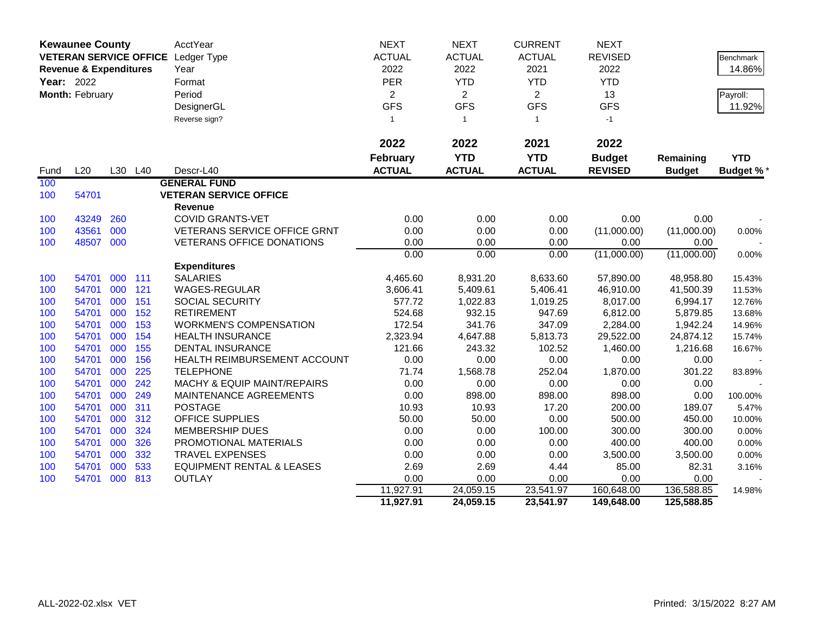|      | <b>Kewaunee County</b>            |     |         | AcctYear                             | <b>NEXT</b>       | <b>NEXT</b>       | <b>CURRENT</b>    | <b>NEXT</b>        |                    |                  |
|------|-----------------------------------|-----|---------|--------------------------------------|-------------------|-------------------|-------------------|--------------------|--------------------|------------------|
|      |                                   |     |         | VETERAN SERVICE OFFICE Ledger Type   | <b>ACTUAL</b>     | <b>ACTUAL</b>     | <b>ACTUAL</b>     | <b>REVISED</b>     |                    | Benchmark        |
|      | <b>Revenue &amp; Expenditures</b> |     |         | Year                                 | 2022              | 2022              | 2021              | 2022               |                    | 14.86%           |
|      | Year: 2022                        |     |         | Format                               | PER               | <b>YTD</b>        | <b>YTD</b>        | <b>YTD</b>         |                    |                  |
|      | Month: February                   |     |         | Period                               | $\overline{2}$    | $\overline{2}$    | $\overline{2}$    | 13                 |                    | Payroll:         |
|      |                                   |     |         | DesignerGL                           | <b>GFS</b>        | <b>GFS</b>        | <b>GFS</b>        | <b>GFS</b>         |                    | 11.92%           |
|      |                                   |     |         | Reverse sign?                        | $\overline{1}$    | $\mathbf{1}$      | $\overline{1}$    | $-1$               |                    |                  |
|      |                                   |     |         |                                      |                   |                   |                   |                    |                    |                  |
|      |                                   |     |         |                                      | 2022              | 2022              | 2021              | 2022               |                    |                  |
|      |                                   |     |         |                                      | <b>February</b>   | <b>YTD</b>        | <b>YTD</b>        | <b>Budget</b>      | Remaining          | <b>YTD</b>       |
| Fund | L20                               |     | L30 L40 | Descr-L40                            | <b>ACTUAL</b>     | <b>ACTUAL</b>     | <b>ACTUAL</b>     | <b>REVISED</b>     | <b>Budget</b>      | <b>Budget %*</b> |
| 100  |                                   |     |         | <b>GENERAL FUND</b>                  |                   |                   |                   |                    |                    |                  |
| 100  | 54701                             |     |         | <b>VETERAN SERVICE OFFICE</b>        |                   |                   |                   |                    |                    |                  |
|      |                                   |     |         | <b>Revenue</b>                       |                   |                   |                   |                    |                    |                  |
| 100  | 43249                             | 260 |         | <b>COVID GRANTS-VET</b>              | 0.00              | 0.00              | 0.00              | 0.00               | 0.00               |                  |
| 100  | 43561                             | 000 |         | <b>VETERANS SERVICE OFFICE GRNT</b>  | 0.00              | 0.00              | 0.00              | (11,000.00)        | (11,000.00)        | 0.00%            |
| 100  | 48507                             | 000 |         | <b>VETERANS OFFICE DONATIONS</b>     | 0.00              | 0.00              | 0.00              | 0.00               | 0.00               |                  |
|      |                                   |     |         |                                      | 0.00              | 0.00              | 0.00              | (11,000.00)        | (11,000.00)        | 0.00%            |
|      |                                   |     |         | <b>Expenditures</b>                  |                   |                   |                   |                    |                    |                  |
| 100  | 54701                             | 000 | 111     | <b>SALARIES</b>                      | 4,465.60          | 8,931.20          | 8,633.60          | 57,890.00          | 48,958.80          | 15.43%           |
| 100  | 54701                             | 000 | 121     | WAGES-REGULAR                        | 3,606.41          | 5,409.61          | 5,406.41          | 46,910.00          | 41,500.39          | 11.53%           |
| 100  | 54701                             | 000 | 151     | <b>SOCIAL SECURITY</b>               | 577.72            | 1,022.83          | 1,019.25          | 8,017.00           | 6,994.17           | 12.76%           |
| 100  | 54701                             | 000 | 152     | <b>RETIREMENT</b>                    | 524.68            | 932.15            | 947.69            | 6,812.00           | 5,879.85           | 13.68%           |
| 100  | 54701                             | 000 | 153     | <b>WORKMEN'S COMPENSATION</b>        | 172.54            | 341.76            | 347.09            | 2,284.00           | 1,942.24           | 14.96%           |
| 100  | 54701                             | 000 | 154     | <b>HEALTH INSURANCE</b>              | 2,323.94          | 4,647.88          | 5,813.73          | 29,522.00          | 24,874.12          | 15.74%           |
| 100  | 54701                             | 000 | 155     | <b>DENTAL INSURANCE</b>              | 121.66            | 243.32            | 102.52            | 1,460.00           | 1,216.68           | 16.67%           |
| 100  | 54701                             | 000 | 156     | HEALTH REIMBURSEMENT ACCOUNT         | 0.00              | 0.00              | 0.00              | 0.00               | 0.00               |                  |
| 100  | 54701                             | 000 | 225     | <b>TELEPHONE</b>                     | 71.74             | 1,568.78          | 252.04            | 1,870.00           | 301.22             | 83.89%           |
| 100  | 54701                             | 000 | 242     | MACHY & EQUIP MAINT/REPAIRS          | 0.00              | 0.00              | 0.00              | 0.00               | 0.00               |                  |
| 100  | 54701                             | 000 | 249     | MAINTENANCE AGREEMENTS               | 0.00              | 898.00            | 898.00            | 898.00             | 0.00               | 100.00%          |
| 100  | 54701                             | 000 | 311     | <b>POSTAGE</b>                       | 10.93             | 10.93             | 17.20             | 200.00             | 189.07             | 5.47%            |
| 100  | 54701                             | 000 | 312     | <b>OFFICE SUPPLIES</b>               | 50.00             | 50.00             | 0.00              | 500.00             | 450.00             | 10.00%           |
| 100  | 54701                             | 000 | 324     | <b>MEMBERSHIP DUES</b>               | 0.00              | 0.00              | 100.00            | 300.00             | 300.00             | 0.00%            |
| 100  | 54701                             | 000 | 326     | PROMOTIONAL MATERIALS                | 0.00              | 0.00              | 0.00              | 400.00             | 400.00             | 0.00%            |
| 100  | 54701                             | 000 | 332     | <b>TRAVEL EXPENSES</b>               | 0.00              | 0.00              | 0.00              | 3,500.00           | 3,500.00           | 0.00%            |
| 100  | 54701                             | 000 | 533     | <b>EQUIPMENT RENTAL &amp; LEASES</b> | 2.69              | 2.69              | 4.44              | 85.00              | 82.31              | 3.16%            |
| 100  | 54701                             | 000 | 813     | <b>OUTLAY</b>                        | 0.00<br>11,927.91 | 0.00<br>24,059.15 | 0.00<br>23,541.97 | 0.00<br>160,648.00 | 0.00<br>136,588.85 | 14.98%           |
|      |                                   |     |         |                                      | 11,927.91         | 24,059.15         | 23,541.97         | 149,648.00         | 125,588.85         |                  |
|      |                                   |     |         |                                      |                   |                   |                   |                    |                    |                  |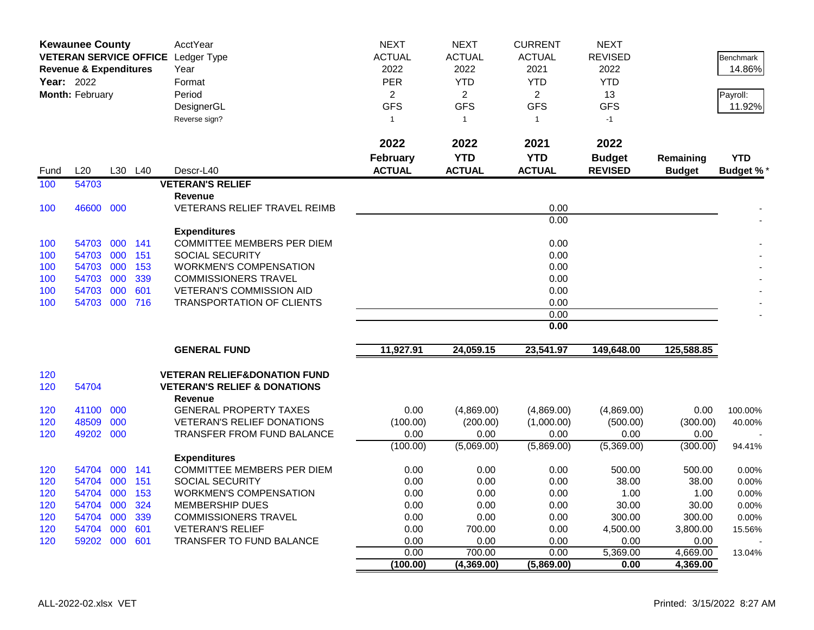| <b>ACTUAL</b><br>VETERAN SERVICE OFFICE Ledger Type<br><b>ACTUAL</b><br><b>ACTUAL</b><br><b>REVISED</b><br><b>Benchmark</b><br>2022<br>2022<br>2021<br>2022<br>14.86%<br><b>Revenue &amp; Expenditures</b><br>Year<br>Year: 2022<br><b>PER</b><br><b>YTD</b><br><b>YTD</b><br><b>YTD</b><br>Format<br>Month: February<br>Period<br>$\overline{2}$<br>$\overline{2}$<br>$\overline{2}$<br>13<br>Payroll:<br><b>GFS</b><br><b>GFS</b><br><b>GFS</b><br><b>GFS</b><br>11.92%<br>DesignerGL<br>Reverse sign?<br>$-1$<br>$\mathbf{1}$<br>$\overline{1}$<br>$\mathbf{1}$<br>2022<br>2022<br>2021<br>2022<br><b>YTD</b><br><b>YTD</b><br><b>YTD</b><br><b>February</b><br><b>Budget</b><br>Remaining<br><b>ACTUAL</b><br><b>ACTUAL</b><br><b>ACTUAL</b><br><b>REVISED</b><br>L20<br>L30<br>L40<br>Descr-L40<br><b>Budget</b><br><b>Budget %</b><br>Fund<br>54703<br><b>VETERAN'S RELIEF</b><br>100<br><b>Revenue</b><br>46600 000<br>0.00<br>100<br><b>VETERANS RELIEF TRAVEL REIMB</b><br>0.00<br><b>Expenditures</b><br>000 141<br>COMMITTEE MEMBERS PER DIEM<br>0.00<br>100<br>54703<br>000<br>0.00<br>54703<br>151<br><b>SOCIAL SECURITY</b><br>100<br>54703 000<br>153<br>0.00<br><b>WORKMEN'S COMPENSATION</b><br>100<br>54703 000<br>339<br><b>COMMISSIONERS TRAVEL</b><br>0.00<br>100<br>54703<br>000<br>601<br><b>VETERAN'S COMMISSION AID</b><br>0.00<br>100<br>54703 000 716<br><b>TRANSPORTATION OF CLIENTS</b><br>0.00<br>100<br>0.00<br>0.00<br>11,927.91<br>24,059.15<br>23,541.97<br>149,648.00<br>125,588.85<br><b>GENERAL FUND</b><br><b>VETERAN RELIEF&amp;DONATION FUND</b><br>120<br>120<br>54704<br><b>VETERAN'S RELIEF &amp; DONATIONS</b><br><b>Revenue</b><br>41100 000<br><b>GENERAL PROPERTY TAXES</b><br>0.00<br>(4,869.00)<br>0.00<br>120<br>(4,869.00)<br>(4,869.00)<br>100.00%<br>48509<br>000<br><b>VETERAN'S RELIEF DONATIONS</b><br>(100.00)<br>(200.00)<br>(1,000.00)<br>120<br>(500.00)<br>(300.00)<br>40.00%<br>49202 000<br>120<br><b>TRANSFER FROM FUND BALANCE</b><br>0.00<br>0.00<br>0.00<br>0.00<br>0.00<br>(5,069.00)<br>(5,869.00)<br>(5,369.00)<br>(300.00)<br>(100.00)<br>94.41%<br><b>Expenditures</b><br>000 141<br><b>COMMITTEE MEMBERS PER DIEM</b><br>0.00<br>0.00<br>0.00<br>500.00<br>120<br>54704<br>500.00<br>0.00%<br>54704 000<br>151<br><b>SOCIAL SECURITY</b><br>0.00<br>0.00<br>0.00<br>38.00<br>38.00<br>120<br>0.00%<br>54704 000<br>153<br><b>WORKMEN'S COMPENSATION</b><br>0.00<br>0.00<br>0.00<br>1.00<br>1.00<br>120<br>0.00%<br>000<br>324<br>54704<br><b>MEMBERSHIP DUES</b><br>0.00<br>0.00<br>30.00<br>30.00<br>120<br>0.00<br>0.00%<br>339<br>300.00<br>120<br>54704 000<br><b>COMMISSIONERS TRAVEL</b><br>0.00<br>0.00<br>0.00<br>300.00<br>0.00%<br>54704 000<br>601<br>0.00<br>120<br><b>VETERAN'S RELIEF</b><br>0.00<br>700.00<br>4,500.00<br>3,800.00<br>15.56%<br>59202 000<br>601<br><b>TRANSFER TO FUND BALANCE</b><br>0.00<br>0.00<br>0.00<br>0.00<br>0.00<br>120<br>0.00<br>700.00<br>0.00<br>5,369.00<br>4,669.00<br>13.04%<br>(100.00)<br>(4,369.00)<br>(5,869.00)<br>4,369.00<br>0.00 | <b>Kewaunee County</b> |  | AcctYear | <b>NEXT</b> | <b>NEXT</b> | <b>CURRENT</b> | <b>NEXT</b> |  |
|--------------------------------------------------------------------------------------------------------------------------------------------------------------------------------------------------------------------------------------------------------------------------------------------------------------------------------------------------------------------------------------------------------------------------------------------------------------------------------------------------------------------------------------------------------------------------------------------------------------------------------------------------------------------------------------------------------------------------------------------------------------------------------------------------------------------------------------------------------------------------------------------------------------------------------------------------------------------------------------------------------------------------------------------------------------------------------------------------------------------------------------------------------------------------------------------------------------------------------------------------------------------------------------------------------------------------------------------------------------------------------------------------------------------------------------------------------------------------------------------------------------------------------------------------------------------------------------------------------------------------------------------------------------------------------------------------------------------------------------------------------------------------------------------------------------------------------------------------------------------------------------------------------------------------------------------------------------------------------------------------------------------------------------------------------------------------------------------------------------------------------------------------------------------------------------------------------------------------------------------------------------------------------------------------------------------------------------------------------------------------------------------------------------------------------------------------------------------------------------------------------------------------------------------------------------------------------------------------------------------------------------------------------------------------------------------------------------------------------------------------------------------------------------------------------------------------------------------------------------------------------------------------------------------------------------------------------------------------------------------------------------------------------------------------------------------|------------------------|--|----------|-------------|-------------|----------------|-------------|--|
|                                                                                                                                                                                                                                                                                                                                                                                                                                                                                                                                                                                                                                                                                                                                                                                                                                                                                                                                                                                                                                                                                                                                                                                                                                                                                                                                                                                                                                                                                                                                                                                                                                                                                                                                                                                                                                                                                                                                                                                                                                                                                                                                                                                                                                                                                                                                                                                                                                                                                                                                                                                                                                                                                                                                                                                                                                                                                                                                                                                                                                                                    |                        |  |          |             |             |                |             |  |
|                                                                                                                                                                                                                                                                                                                                                                                                                                                                                                                                                                                                                                                                                                                                                                                                                                                                                                                                                                                                                                                                                                                                                                                                                                                                                                                                                                                                                                                                                                                                                                                                                                                                                                                                                                                                                                                                                                                                                                                                                                                                                                                                                                                                                                                                                                                                                                                                                                                                                                                                                                                                                                                                                                                                                                                                                                                                                                                                                                                                                                                                    |                        |  |          |             |             |                |             |  |
|                                                                                                                                                                                                                                                                                                                                                                                                                                                                                                                                                                                                                                                                                                                                                                                                                                                                                                                                                                                                                                                                                                                                                                                                                                                                                                                                                                                                                                                                                                                                                                                                                                                                                                                                                                                                                                                                                                                                                                                                                                                                                                                                                                                                                                                                                                                                                                                                                                                                                                                                                                                                                                                                                                                                                                                                                                                                                                                                                                                                                                                                    |                        |  |          |             |             |                |             |  |
|                                                                                                                                                                                                                                                                                                                                                                                                                                                                                                                                                                                                                                                                                                                                                                                                                                                                                                                                                                                                                                                                                                                                                                                                                                                                                                                                                                                                                                                                                                                                                                                                                                                                                                                                                                                                                                                                                                                                                                                                                                                                                                                                                                                                                                                                                                                                                                                                                                                                                                                                                                                                                                                                                                                                                                                                                                                                                                                                                                                                                                                                    |                        |  |          |             |             |                |             |  |
|                                                                                                                                                                                                                                                                                                                                                                                                                                                                                                                                                                                                                                                                                                                                                                                                                                                                                                                                                                                                                                                                                                                                                                                                                                                                                                                                                                                                                                                                                                                                                                                                                                                                                                                                                                                                                                                                                                                                                                                                                                                                                                                                                                                                                                                                                                                                                                                                                                                                                                                                                                                                                                                                                                                                                                                                                                                                                                                                                                                                                                                                    |                        |  |          |             |             |                |             |  |
|                                                                                                                                                                                                                                                                                                                                                                                                                                                                                                                                                                                                                                                                                                                                                                                                                                                                                                                                                                                                                                                                                                                                                                                                                                                                                                                                                                                                                                                                                                                                                                                                                                                                                                                                                                                                                                                                                                                                                                                                                                                                                                                                                                                                                                                                                                                                                                                                                                                                                                                                                                                                                                                                                                                                                                                                                                                                                                                                                                                                                                                                    |                        |  |          |             |             |                |             |  |
|                                                                                                                                                                                                                                                                                                                                                                                                                                                                                                                                                                                                                                                                                                                                                                                                                                                                                                                                                                                                                                                                                                                                                                                                                                                                                                                                                                                                                                                                                                                                                                                                                                                                                                                                                                                                                                                                                                                                                                                                                                                                                                                                                                                                                                                                                                                                                                                                                                                                                                                                                                                                                                                                                                                                                                                                                                                                                                                                                                                                                                                                    |                        |  |          |             |             |                |             |  |
|                                                                                                                                                                                                                                                                                                                                                                                                                                                                                                                                                                                                                                                                                                                                                                                                                                                                                                                                                                                                                                                                                                                                                                                                                                                                                                                                                                                                                                                                                                                                                                                                                                                                                                                                                                                                                                                                                                                                                                                                                                                                                                                                                                                                                                                                                                                                                                                                                                                                                                                                                                                                                                                                                                                                                                                                                                                                                                                                                                                                                                                                    |                        |  |          |             |             |                |             |  |
|                                                                                                                                                                                                                                                                                                                                                                                                                                                                                                                                                                                                                                                                                                                                                                                                                                                                                                                                                                                                                                                                                                                                                                                                                                                                                                                                                                                                                                                                                                                                                                                                                                                                                                                                                                                                                                                                                                                                                                                                                                                                                                                                                                                                                                                                                                                                                                                                                                                                                                                                                                                                                                                                                                                                                                                                                                                                                                                                                                                                                                                                    |                        |  |          |             |             |                |             |  |
|                                                                                                                                                                                                                                                                                                                                                                                                                                                                                                                                                                                                                                                                                                                                                                                                                                                                                                                                                                                                                                                                                                                                                                                                                                                                                                                                                                                                                                                                                                                                                                                                                                                                                                                                                                                                                                                                                                                                                                                                                                                                                                                                                                                                                                                                                                                                                                                                                                                                                                                                                                                                                                                                                                                                                                                                                                                                                                                                                                                                                                                                    |                        |  |          |             |             |                |             |  |
|                                                                                                                                                                                                                                                                                                                                                                                                                                                                                                                                                                                                                                                                                                                                                                                                                                                                                                                                                                                                                                                                                                                                                                                                                                                                                                                                                                                                                                                                                                                                                                                                                                                                                                                                                                                                                                                                                                                                                                                                                                                                                                                                                                                                                                                                                                                                                                                                                                                                                                                                                                                                                                                                                                                                                                                                                                                                                                                                                                                                                                                                    |                        |  |          |             |             |                |             |  |
|                                                                                                                                                                                                                                                                                                                                                                                                                                                                                                                                                                                                                                                                                                                                                                                                                                                                                                                                                                                                                                                                                                                                                                                                                                                                                                                                                                                                                                                                                                                                                                                                                                                                                                                                                                                                                                                                                                                                                                                                                                                                                                                                                                                                                                                                                                                                                                                                                                                                                                                                                                                                                                                                                                                                                                                                                                                                                                                                                                                                                                                                    |                        |  |          |             |             |                |             |  |
|                                                                                                                                                                                                                                                                                                                                                                                                                                                                                                                                                                                                                                                                                                                                                                                                                                                                                                                                                                                                                                                                                                                                                                                                                                                                                                                                                                                                                                                                                                                                                                                                                                                                                                                                                                                                                                                                                                                                                                                                                                                                                                                                                                                                                                                                                                                                                                                                                                                                                                                                                                                                                                                                                                                                                                                                                                                                                                                                                                                                                                                                    |                        |  |          |             |             |                |             |  |
|                                                                                                                                                                                                                                                                                                                                                                                                                                                                                                                                                                                                                                                                                                                                                                                                                                                                                                                                                                                                                                                                                                                                                                                                                                                                                                                                                                                                                                                                                                                                                                                                                                                                                                                                                                                                                                                                                                                                                                                                                                                                                                                                                                                                                                                                                                                                                                                                                                                                                                                                                                                                                                                                                                                                                                                                                                                                                                                                                                                                                                                                    |                        |  |          |             |             |                |             |  |
|                                                                                                                                                                                                                                                                                                                                                                                                                                                                                                                                                                                                                                                                                                                                                                                                                                                                                                                                                                                                                                                                                                                                                                                                                                                                                                                                                                                                                                                                                                                                                                                                                                                                                                                                                                                                                                                                                                                                                                                                                                                                                                                                                                                                                                                                                                                                                                                                                                                                                                                                                                                                                                                                                                                                                                                                                                                                                                                                                                                                                                                                    |                        |  |          |             |             |                |             |  |
|                                                                                                                                                                                                                                                                                                                                                                                                                                                                                                                                                                                                                                                                                                                                                                                                                                                                                                                                                                                                                                                                                                                                                                                                                                                                                                                                                                                                                                                                                                                                                                                                                                                                                                                                                                                                                                                                                                                                                                                                                                                                                                                                                                                                                                                                                                                                                                                                                                                                                                                                                                                                                                                                                                                                                                                                                                                                                                                                                                                                                                                                    |                        |  |          |             |             |                |             |  |
|                                                                                                                                                                                                                                                                                                                                                                                                                                                                                                                                                                                                                                                                                                                                                                                                                                                                                                                                                                                                                                                                                                                                                                                                                                                                                                                                                                                                                                                                                                                                                                                                                                                                                                                                                                                                                                                                                                                                                                                                                                                                                                                                                                                                                                                                                                                                                                                                                                                                                                                                                                                                                                                                                                                                                                                                                                                                                                                                                                                                                                                                    |                        |  |          |             |             |                |             |  |
|                                                                                                                                                                                                                                                                                                                                                                                                                                                                                                                                                                                                                                                                                                                                                                                                                                                                                                                                                                                                                                                                                                                                                                                                                                                                                                                                                                                                                                                                                                                                                                                                                                                                                                                                                                                                                                                                                                                                                                                                                                                                                                                                                                                                                                                                                                                                                                                                                                                                                                                                                                                                                                                                                                                                                                                                                                                                                                                                                                                                                                                                    |                        |  |          |             |             |                |             |  |
|                                                                                                                                                                                                                                                                                                                                                                                                                                                                                                                                                                                                                                                                                                                                                                                                                                                                                                                                                                                                                                                                                                                                                                                                                                                                                                                                                                                                                                                                                                                                                                                                                                                                                                                                                                                                                                                                                                                                                                                                                                                                                                                                                                                                                                                                                                                                                                                                                                                                                                                                                                                                                                                                                                                                                                                                                                                                                                                                                                                                                                                                    |                        |  |          |             |             |                |             |  |
|                                                                                                                                                                                                                                                                                                                                                                                                                                                                                                                                                                                                                                                                                                                                                                                                                                                                                                                                                                                                                                                                                                                                                                                                                                                                                                                                                                                                                                                                                                                                                                                                                                                                                                                                                                                                                                                                                                                                                                                                                                                                                                                                                                                                                                                                                                                                                                                                                                                                                                                                                                                                                                                                                                                                                                                                                                                                                                                                                                                                                                                                    |                        |  |          |             |             |                |             |  |
|                                                                                                                                                                                                                                                                                                                                                                                                                                                                                                                                                                                                                                                                                                                                                                                                                                                                                                                                                                                                                                                                                                                                                                                                                                                                                                                                                                                                                                                                                                                                                                                                                                                                                                                                                                                                                                                                                                                                                                                                                                                                                                                                                                                                                                                                                                                                                                                                                                                                                                                                                                                                                                                                                                                                                                                                                                                                                                                                                                                                                                                                    |                        |  |          |             |             |                |             |  |
|                                                                                                                                                                                                                                                                                                                                                                                                                                                                                                                                                                                                                                                                                                                                                                                                                                                                                                                                                                                                                                                                                                                                                                                                                                                                                                                                                                                                                                                                                                                                                                                                                                                                                                                                                                                                                                                                                                                                                                                                                                                                                                                                                                                                                                                                                                                                                                                                                                                                                                                                                                                                                                                                                                                                                                                                                                                                                                                                                                                                                                                                    |                        |  |          |             |             |                |             |  |
|                                                                                                                                                                                                                                                                                                                                                                                                                                                                                                                                                                                                                                                                                                                                                                                                                                                                                                                                                                                                                                                                                                                                                                                                                                                                                                                                                                                                                                                                                                                                                                                                                                                                                                                                                                                                                                                                                                                                                                                                                                                                                                                                                                                                                                                                                                                                                                                                                                                                                                                                                                                                                                                                                                                                                                                                                                                                                                                                                                                                                                                                    |                        |  |          |             |             |                |             |  |
|                                                                                                                                                                                                                                                                                                                                                                                                                                                                                                                                                                                                                                                                                                                                                                                                                                                                                                                                                                                                                                                                                                                                                                                                                                                                                                                                                                                                                                                                                                                                                                                                                                                                                                                                                                                                                                                                                                                                                                                                                                                                                                                                                                                                                                                                                                                                                                                                                                                                                                                                                                                                                                                                                                                                                                                                                                                                                                                                                                                                                                                                    |                        |  |          |             |             |                |             |  |
|                                                                                                                                                                                                                                                                                                                                                                                                                                                                                                                                                                                                                                                                                                                                                                                                                                                                                                                                                                                                                                                                                                                                                                                                                                                                                                                                                                                                                                                                                                                                                                                                                                                                                                                                                                                                                                                                                                                                                                                                                                                                                                                                                                                                                                                                                                                                                                                                                                                                                                                                                                                                                                                                                                                                                                                                                                                                                                                                                                                                                                                                    |                        |  |          |             |             |                |             |  |
|                                                                                                                                                                                                                                                                                                                                                                                                                                                                                                                                                                                                                                                                                                                                                                                                                                                                                                                                                                                                                                                                                                                                                                                                                                                                                                                                                                                                                                                                                                                                                                                                                                                                                                                                                                                                                                                                                                                                                                                                                                                                                                                                                                                                                                                                                                                                                                                                                                                                                                                                                                                                                                                                                                                                                                                                                                                                                                                                                                                                                                                                    |                        |  |          |             |             |                |             |  |
|                                                                                                                                                                                                                                                                                                                                                                                                                                                                                                                                                                                                                                                                                                                                                                                                                                                                                                                                                                                                                                                                                                                                                                                                                                                                                                                                                                                                                                                                                                                                                                                                                                                                                                                                                                                                                                                                                                                                                                                                                                                                                                                                                                                                                                                                                                                                                                                                                                                                                                                                                                                                                                                                                                                                                                                                                                                                                                                                                                                                                                                                    |                        |  |          |             |             |                |             |  |
|                                                                                                                                                                                                                                                                                                                                                                                                                                                                                                                                                                                                                                                                                                                                                                                                                                                                                                                                                                                                                                                                                                                                                                                                                                                                                                                                                                                                                                                                                                                                                                                                                                                                                                                                                                                                                                                                                                                                                                                                                                                                                                                                                                                                                                                                                                                                                                                                                                                                                                                                                                                                                                                                                                                                                                                                                                                                                                                                                                                                                                                                    |                        |  |          |             |             |                |             |  |
|                                                                                                                                                                                                                                                                                                                                                                                                                                                                                                                                                                                                                                                                                                                                                                                                                                                                                                                                                                                                                                                                                                                                                                                                                                                                                                                                                                                                                                                                                                                                                                                                                                                                                                                                                                                                                                                                                                                                                                                                                                                                                                                                                                                                                                                                                                                                                                                                                                                                                                                                                                                                                                                                                                                                                                                                                                                                                                                                                                                                                                                                    |                        |  |          |             |             |                |             |  |
|                                                                                                                                                                                                                                                                                                                                                                                                                                                                                                                                                                                                                                                                                                                                                                                                                                                                                                                                                                                                                                                                                                                                                                                                                                                                                                                                                                                                                                                                                                                                                                                                                                                                                                                                                                                                                                                                                                                                                                                                                                                                                                                                                                                                                                                                                                                                                                                                                                                                                                                                                                                                                                                                                                                                                                                                                                                                                                                                                                                                                                                                    |                        |  |          |             |             |                |             |  |
|                                                                                                                                                                                                                                                                                                                                                                                                                                                                                                                                                                                                                                                                                                                                                                                                                                                                                                                                                                                                                                                                                                                                                                                                                                                                                                                                                                                                                                                                                                                                                                                                                                                                                                                                                                                                                                                                                                                                                                                                                                                                                                                                                                                                                                                                                                                                                                                                                                                                                                                                                                                                                                                                                                                                                                                                                                                                                                                                                                                                                                                                    |                        |  |          |             |             |                |             |  |
|                                                                                                                                                                                                                                                                                                                                                                                                                                                                                                                                                                                                                                                                                                                                                                                                                                                                                                                                                                                                                                                                                                                                                                                                                                                                                                                                                                                                                                                                                                                                                                                                                                                                                                                                                                                                                                                                                                                                                                                                                                                                                                                                                                                                                                                                                                                                                                                                                                                                                                                                                                                                                                                                                                                                                                                                                                                                                                                                                                                                                                                                    |                        |  |          |             |             |                |             |  |
|                                                                                                                                                                                                                                                                                                                                                                                                                                                                                                                                                                                                                                                                                                                                                                                                                                                                                                                                                                                                                                                                                                                                                                                                                                                                                                                                                                                                                                                                                                                                                                                                                                                                                                                                                                                                                                                                                                                                                                                                                                                                                                                                                                                                                                                                                                                                                                                                                                                                                                                                                                                                                                                                                                                                                                                                                                                                                                                                                                                                                                                                    |                        |  |          |             |             |                |             |  |
|                                                                                                                                                                                                                                                                                                                                                                                                                                                                                                                                                                                                                                                                                                                                                                                                                                                                                                                                                                                                                                                                                                                                                                                                                                                                                                                                                                                                                                                                                                                                                                                                                                                                                                                                                                                                                                                                                                                                                                                                                                                                                                                                                                                                                                                                                                                                                                                                                                                                                                                                                                                                                                                                                                                                                                                                                                                                                                                                                                                                                                                                    |                        |  |          |             |             |                |             |  |
|                                                                                                                                                                                                                                                                                                                                                                                                                                                                                                                                                                                                                                                                                                                                                                                                                                                                                                                                                                                                                                                                                                                                                                                                                                                                                                                                                                                                                                                                                                                                                                                                                                                                                                                                                                                                                                                                                                                                                                                                                                                                                                                                                                                                                                                                                                                                                                                                                                                                                                                                                                                                                                                                                                                                                                                                                                                                                                                                                                                                                                                                    |                        |  |          |             |             |                |             |  |
|                                                                                                                                                                                                                                                                                                                                                                                                                                                                                                                                                                                                                                                                                                                                                                                                                                                                                                                                                                                                                                                                                                                                                                                                                                                                                                                                                                                                                                                                                                                                                                                                                                                                                                                                                                                                                                                                                                                                                                                                                                                                                                                                                                                                                                                                                                                                                                                                                                                                                                                                                                                                                                                                                                                                                                                                                                                                                                                                                                                                                                                                    |                        |  |          |             |             |                |             |  |
|                                                                                                                                                                                                                                                                                                                                                                                                                                                                                                                                                                                                                                                                                                                                                                                                                                                                                                                                                                                                                                                                                                                                                                                                                                                                                                                                                                                                                                                                                                                                                                                                                                                                                                                                                                                                                                                                                                                                                                                                                                                                                                                                                                                                                                                                                                                                                                                                                                                                                                                                                                                                                                                                                                                                                                                                                                                                                                                                                                                                                                                                    |                        |  |          |             |             |                |             |  |
|                                                                                                                                                                                                                                                                                                                                                                                                                                                                                                                                                                                                                                                                                                                                                                                                                                                                                                                                                                                                                                                                                                                                                                                                                                                                                                                                                                                                                                                                                                                                                                                                                                                                                                                                                                                                                                                                                                                                                                                                                                                                                                                                                                                                                                                                                                                                                                                                                                                                                                                                                                                                                                                                                                                                                                                                                                                                                                                                                                                                                                                                    |                        |  |          |             |             |                |             |  |
|                                                                                                                                                                                                                                                                                                                                                                                                                                                                                                                                                                                                                                                                                                                                                                                                                                                                                                                                                                                                                                                                                                                                                                                                                                                                                                                                                                                                                                                                                                                                                                                                                                                                                                                                                                                                                                                                                                                                                                                                                                                                                                                                                                                                                                                                                                                                                                                                                                                                                                                                                                                                                                                                                                                                                                                                                                                                                                                                                                                                                                                                    |                        |  |          |             |             |                |             |  |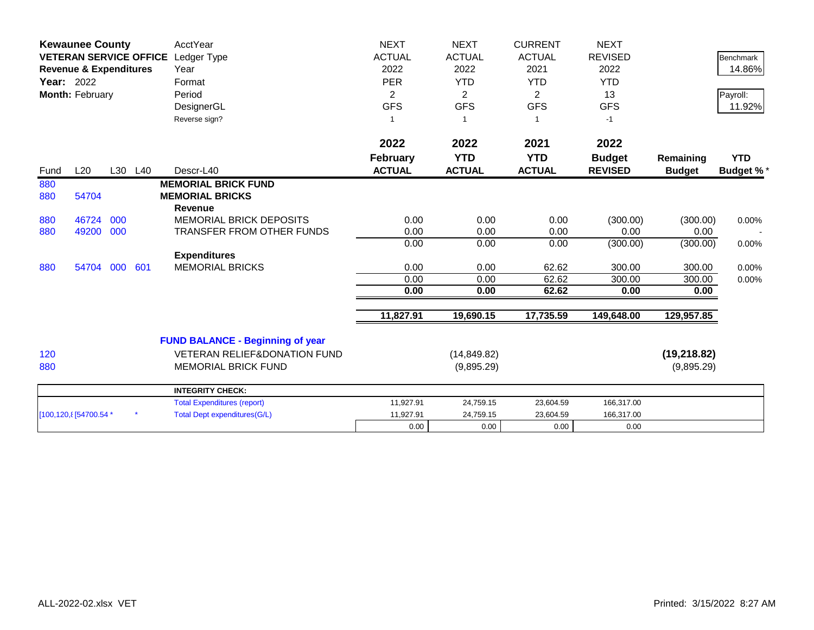|            | <b>Kewaunee County</b><br><b>VETERAN SERVICE OFFICE</b><br><b>Revenue &amp; Expenditures</b><br><b>Year: 2022</b><br>Month: February |     |         | AcctYear<br>Ledger Type<br>Year<br>Format<br>Period                                | <b>NEXT</b><br><b>ACTUAL</b><br>2022<br><b>PER</b><br>$\overline{2}$ | <b>NEXT</b><br><b>ACTUAL</b><br>2022<br><b>YTD</b><br>$\overline{2}$ | <b>CURRENT</b><br><b>ACTUAL</b><br>2021<br><b>YTD</b><br>$\overline{2}$ | <b>NEXT</b><br><b>REVISED</b><br>2022<br><b>YTD</b><br>13 |                            | <b>Benchmark</b><br>14.86%<br>Payroll: |
|------------|--------------------------------------------------------------------------------------------------------------------------------------|-----|---------|------------------------------------------------------------------------------------|----------------------------------------------------------------------|----------------------------------------------------------------------|-------------------------------------------------------------------------|-----------------------------------------------------------|----------------------------|----------------------------------------|
|            |                                                                                                                                      |     |         | DesignerGL<br>Reverse sign?                                                        | <b>GFS</b><br>$\mathbf{1}$                                           | <b>GFS</b>                                                           | <b>GFS</b><br>$\mathbf{1}$                                              | <b>GFS</b><br>$-1$                                        |                            | 11.92%                                 |
| Fund       | L20                                                                                                                                  |     | L30 L40 | Descr-L40                                                                          | 2022<br><b>February</b><br><b>ACTUAL</b>                             | 2022<br><b>YTD</b><br><b>ACTUAL</b>                                  | 2021<br><b>YTD</b><br><b>ACTUAL</b>                                     | 2022<br><b>Budget</b><br><b>REVISED</b>                   | Remaining<br><b>Budget</b> | <b>YTD</b><br><b>Budget %*</b>         |
| 880        |                                                                                                                                      |     |         | <b>MEMORIAL BRICK FUND</b>                                                         |                                                                      |                                                                      |                                                                         |                                                           |                            |                                        |
| 880        | 54704                                                                                                                                |     |         | <b>MEMORIAL BRICKS</b><br><b>Revenue</b>                                           |                                                                      |                                                                      |                                                                         |                                                           |                            |                                        |
| 880<br>880 | 46724<br>49200 000                                                                                                                   | 000 |         | <b>MEMORIAL BRICK DEPOSITS</b><br><b>TRANSFER FROM OTHER FUNDS</b>                 | 0.00<br>0.00                                                         | 0.00<br>0.00                                                         | 0.00<br>0.00                                                            | (300.00)<br>0.00                                          | (300.00)<br>0.00           | 0.00%                                  |
|            |                                                                                                                                      |     |         |                                                                                    | 0.00                                                                 | 0.00                                                                 | 0.00                                                                    | (300.00)                                                  | (300.00)                   | 0.00%                                  |
| 880        | 54704                                                                                                                                | 000 | 601     | <b>Expenditures</b><br><b>MEMORIAL BRICKS</b>                                      | 0.00<br>0.00                                                         | 0.00<br>0.00                                                         | 62.62<br>62.62                                                          | 300.00<br>300.00                                          | 300.00<br>300.00           | 0.00%<br>0.00%                         |
|            |                                                                                                                                      |     |         |                                                                                    | 0.00                                                                 | 0.00                                                                 | 62.62                                                                   | 0.00                                                      | 0.00                       |                                        |
|            |                                                                                                                                      |     |         |                                                                                    | 11,827.91                                                            | 19,690.15                                                            | 17,735.59                                                               | 149,648.00                                                | 129,957.85                 |                                        |
| 120        |                                                                                                                                      |     |         | <b>FUND BALANCE - Beginning of year</b><br><b>VETERAN RELIEF&amp;DONATION FUND</b> |                                                                      | (14, 849.82)                                                         |                                                                         |                                                           | (19, 218.82)               |                                        |
| 880        |                                                                                                                                      |     |         | <b>MEMORIAL BRICK FUND</b>                                                         |                                                                      | (9,895.29)                                                           |                                                                         |                                                           | (9,895.29)                 |                                        |
|            |                                                                                                                                      |     |         | <b>INTEGRITY CHECK:</b>                                                            |                                                                      |                                                                      |                                                                         |                                                           |                            |                                        |
|            |                                                                                                                                      |     |         | <b>Total Expenditures (report)</b>                                                 | 11,927.91                                                            | 24,759.15                                                            | 23,604.59                                                               | 166,317.00                                                |                            |                                        |
|            | [100,120, 8] 54700.54 *                                                                                                              |     |         | <b>Total Dept expenditures(G/L)</b>                                                | 11,927.91                                                            | 24,759.15                                                            | 23,604.59                                                               | 166,317.00                                                |                            |                                        |
|            |                                                                                                                                      |     |         |                                                                                    | 0.00                                                                 | 0.00                                                                 | 0.00                                                                    | 0.00                                                      |                            |                                        |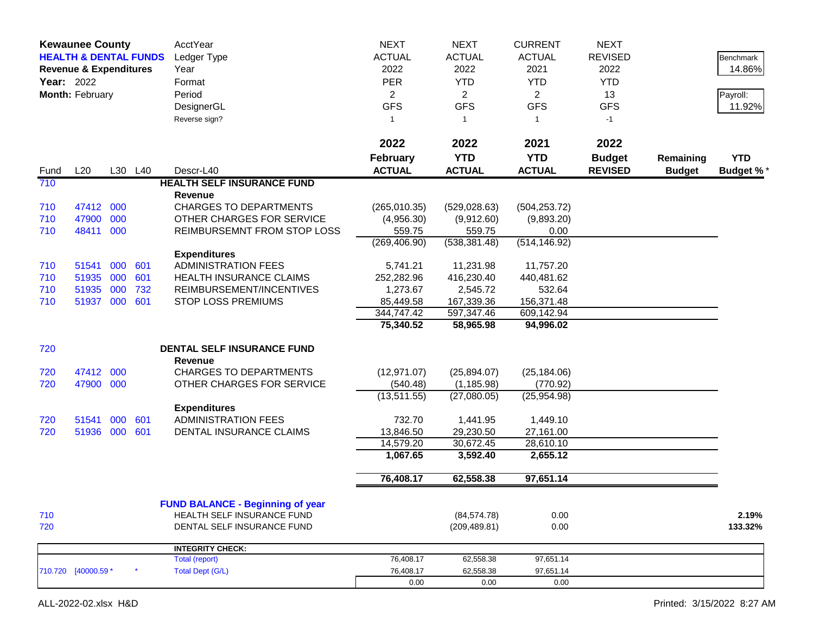|             | <b>Kewaunee County</b><br><b>HEALTH &amp; DENTAL FUNDS</b><br><b>Revenue &amp; Expenditures</b><br>Year: 2022<br>Month: February |     |         | <b>AcctYear</b><br>Ledger Type<br>Year<br>Format<br>Period<br>DesignerGL<br>Reverse sign? | <b>NEXT</b><br><b>NEXT</b><br><b>CURRENT</b><br><b>ACTUAL</b><br><b>ACTUAL</b><br><b>ACTUAL</b><br>2022<br>2022<br>2021<br><b>PER</b><br><b>YTD</b><br><b>YTD</b><br>$\overline{2}$<br>$\overline{2}$<br>$\overline{2}$<br><b>GFS</b><br><b>GFS</b><br><b>GFS</b><br>$\mathbf{1}$<br>$\mathbf{1}$<br>$\overline{1}$ |                               |               |                |               |                  |
|-------------|----------------------------------------------------------------------------------------------------------------------------------|-----|---------|-------------------------------------------------------------------------------------------|---------------------------------------------------------------------------------------------------------------------------------------------------------------------------------------------------------------------------------------------------------------------------------------------------------------------|-------------------------------|---------------|----------------|---------------|------------------|
|             |                                                                                                                                  |     |         |                                                                                           | 2022                                                                                                                                                                                                                                                                                                                | 2022                          | 2021          | 2022           |               |                  |
|             |                                                                                                                                  |     |         |                                                                                           | <b>February</b>                                                                                                                                                                                                                                                                                                     | <b>YTD</b>                    | <b>YTD</b>    | <b>Budget</b>  | Remaining     | <b>YTD</b>       |
| Fund<br>710 | L20                                                                                                                              |     | L30 L40 | Descr-L40<br><b>HEALTH SELF INSURANCE FUND</b>                                            | <b>ACTUAL</b>                                                                                                                                                                                                                                                                                                       | <b>ACTUAL</b>                 | <b>ACTUAL</b> | <b>REVISED</b> | <b>Budget</b> | <b>Budget %*</b> |
|             |                                                                                                                                  |     |         | Revenue                                                                                   |                                                                                                                                                                                                                                                                                                                     |                               |               |                |               |                  |
| 710         | 47412 000                                                                                                                        |     |         | <b>CHARGES TO DEPARTMENTS</b>                                                             | (265,010.35)                                                                                                                                                                                                                                                                                                        | (529, 028.63)                 | (504, 253.72) |                |               |                  |
| 710         | 47900                                                                                                                            | 000 |         | OTHER CHARGES FOR SERVICE                                                                 | (4,956.30)                                                                                                                                                                                                                                                                                                          | (9,912.60)                    | (9,893.20)    |                |               |                  |
| 710         | 48411 000                                                                                                                        |     |         | REIMBURSEMNT FROM STOP LOSS                                                               | 559.75                                                                                                                                                                                                                                                                                                              | 559.75                        | 0.00          |                |               |                  |
|             |                                                                                                                                  |     |         |                                                                                           | (269, 406.90)                                                                                                                                                                                                                                                                                                       | (538, 381.48)                 | (514, 146.92) |                |               |                  |
|             |                                                                                                                                  |     |         | <b>Expenditures</b>                                                                       |                                                                                                                                                                                                                                                                                                                     |                               |               |                |               |                  |
| 710         | 51541                                                                                                                            | 000 | 601     | <b>ADMINISTRATION FEES</b>                                                                | 5,741.21                                                                                                                                                                                                                                                                                                            | 11,231.98                     | 11,757.20     |                |               |                  |
| 710         | 51935                                                                                                                            | 000 | 601     | HEALTH INSURANCE CLAIMS                                                                   | 252,282.96                                                                                                                                                                                                                                                                                                          | 416,230.40                    | 440,481.62    |                |               |                  |
| 710         | 51935                                                                                                                            | 000 | 732     | REIMBURSEMENT/INCENTIVES                                                                  | 1,273.67                                                                                                                                                                                                                                                                                                            | 2,545.72                      | 532.64        |                |               |                  |
| 710         | 51937 000                                                                                                                        |     | 601     | STOP LOSS PREMIUMS                                                                        | 85,449.58                                                                                                                                                                                                                                                                                                           | 167,339.36                    | 156,371.48    |                |               |                  |
|             |                                                                                                                                  |     |         |                                                                                           | 344,747.42                                                                                                                                                                                                                                                                                                          | 597,347.46<br>58,965.98       | 609,142.94    |                |               |                  |
|             |                                                                                                                                  |     |         |                                                                                           | 75,340.52                                                                                                                                                                                                                                                                                                           |                               | 94,996.02     |                |               |                  |
| 720         |                                                                                                                                  |     |         | <b>DENTAL SELF INSURANCE FUND</b>                                                         |                                                                                                                                                                                                                                                                                                                     |                               |               |                |               |                  |
|             |                                                                                                                                  |     |         | <b>Revenue</b>                                                                            |                                                                                                                                                                                                                                                                                                                     |                               |               |                |               |                  |
| 720         | 47412                                                                                                                            | 000 |         | <b>CHARGES TO DEPARTMENTS</b>                                                             | (12, 971.07)                                                                                                                                                                                                                                                                                                        | (25,894.07)                   | (25, 184.06)  |                |               |                  |
| 720         | 47900 000                                                                                                                        |     |         | OTHER CHARGES FOR SERVICE                                                                 | (540.48)                                                                                                                                                                                                                                                                                                            | (1, 185.98)                   | (770.92)      |                |               |                  |
|             |                                                                                                                                  |     |         |                                                                                           | (13,511.55)                                                                                                                                                                                                                                                                                                         | (27,080.05)                   | (25,954.98)   |                |               |                  |
|             |                                                                                                                                  |     |         | <b>Expenditures</b>                                                                       |                                                                                                                                                                                                                                                                                                                     |                               |               |                |               |                  |
| 720         | 51541                                                                                                                            | 000 | 601     | <b>ADMINISTRATION FEES</b>                                                                | 732.70                                                                                                                                                                                                                                                                                                              | 1,441.95                      | 1,449.10      |                |               |                  |
| 720         | 51936 000                                                                                                                        |     | 601     | DENTAL INSURANCE CLAIMS                                                                   | 13,846.50                                                                                                                                                                                                                                                                                                           | 29,230.50                     | 27,161.00     |                |               |                  |
|             |                                                                                                                                  |     |         |                                                                                           | 14,579.20                                                                                                                                                                                                                                                                                                           | 30,672.45                     | 28,610.10     |                |               |                  |
|             |                                                                                                                                  |     |         |                                                                                           | 1,067.65                                                                                                                                                                                                                                                                                                            | 3,592.40                      | 2,655.12      |                |               |                  |
|             |                                                                                                                                  |     |         |                                                                                           | 76,408.17                                                                                                                                                                                                                                                                                                           | 62,558.38                     | 97,651.14     |                |               |                  |
|             |                                                                                                                                  |     |         |                                                                                           |                                                                                                                                                                                                                                                                                                                     |                               |               |                |               |                  |
|             |                                                                                                                                  |     |         | <b>FUND BALANCE - Beginning of year</b><br><b>HEALTH SELF INSURANCE FUND</b>              |                                                                                                                                                                                                                                                                                                                     |                               |               |                |               |                  |
| 710<br>720  |                                                                                                                                  |     |         | DENTAL SELF INSURANCE FUND                                                                |                                                                                                                                                                                                                                                                                                                     | (84, 574.78)<br>(209, 489.81) | 0.00<br>0.00  |                |               | 2.19%<br>133.32% |
|             |                                                                                                                                  |     |         |                                                                                           |                                                                                                                                                                                                                                                                                                                     |                               |               |                |               |                  |
|             |                                                                                                                                  |     |         | <b>INTEGRITY CHECK:</b>                                                                   |                                                                                                                                                                                                                                                                                                                     |                               |               |                |               |                  |
|             |                                                                                                                                  |     |         | <b>Total (report)</b>                                                                     | 76,408.17                                                                                                                                                                                                                                                                                                           | 62,558.38                     | 97,651.14     |                |               |                  |
|             | 710.720 [40000.59 *                                                                                                              |     |         | <b>Total Dept (G/L)</b>                                                                   | 76,408.17                                                                                                                                                                                                                                                                                                           | 62,558.38                     | 97,651.14     |                |               |                  |
|             |                                                                                                                                  |     |         |                                                                                           | 0.00                                                                                                                                                                                                                                                                                                                | 0.00                          | 0.00          |                |               |                  |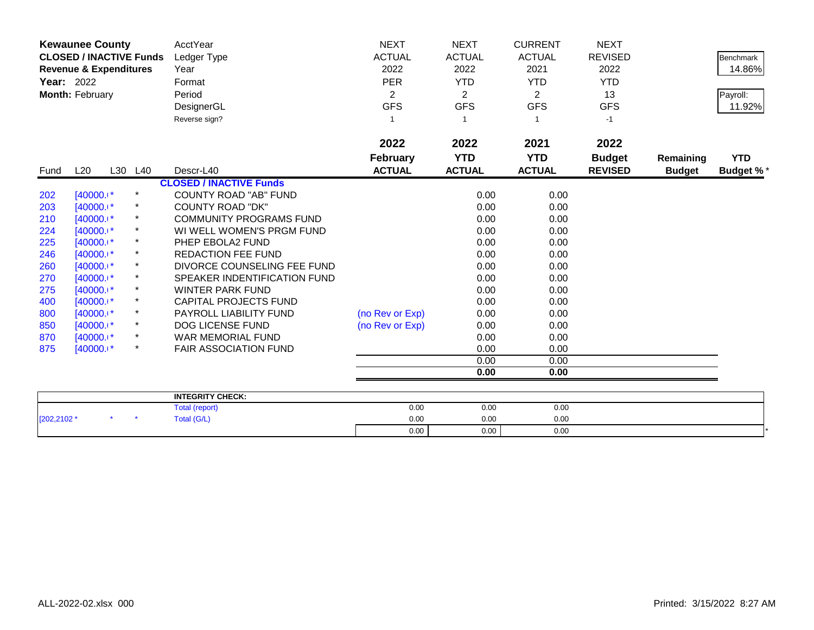| <b>Kewaunee County</b><br><b>CLOSED / INACTIVE Funds</b><br><b>Revenue &amp; Expenditures</b><br>Year: 2022<br>Month: February |              |         |         | <b>AcctYear</b><br>Ledger Type<br>Year<br>Format<br>Period<br>DesignerGL<br>Reverse sign? | <b>NEXT</b><br><b>ACTUAL</b><br>2022<br><b>PER</b><br>2<br><b>GFS</b> | <b>NEXT</b><br><b>ACTUAL</b><br>2022<br><b>YTD</b><br>2<br><b>GFS</b> | <b>CURRENT</b><br><b>ACTUAL</b><br>2021<br><b>YTD</b><br>$\overline{2}$<br><b>GFS</b><br>1 | <b>NEXT</b><br><b>REVISED</b><br>2022<br><b>YTD</b><br>13<br><b>GFS</b><br>$-1$ |                            | <b>Benchmark</b><br>14.86%<br>Payroll:<br>11.92% |
|--------------------------------------------------------------------------------------------------------------------------------|--------------|---------|---------|-------------------------------------------------------------------------------------------|-----------------------------------------------------------------------|-----------------------------------------------------------------------|--------------------------------------------------------------------------------------------|---------------------------------------------------------------------------------|----------------------------|--------------------------------------------------|
| Fund                                                                                                                           | L20          | L30 L40 |         | Descr-L40                                                                                 | 2022<br><b>February</b><br><b>ACTUAL</b>                              | 2022<br><b>YTD</b><br><b>ACTUAL</b>                                   | 2021<br><b>YTD</b><br><b>ACTUAL</b>                                                        | 2022<br><b>Budget</b><br><b>REVISED</b>                                         | Remaining<br><b>Budget</b> | <b>YTD</b><br><b>Budget %*</b>                   |
|                                                                                                                                |              |         |         | <b>CLOSED / INACTIVE Funds</b>                                                            |                                                                       |                                                                       |                                                                                            |                                                                                 |                            |                                                  |
| 202                                                                                                                            | [40000.1*    |         | $\star$ | <b>COUNTY ROAD "AB" FUND</b>                                                              |                                                                       | 0.00                                                                  | 0.00                                                                                       |                                                                                 |                            |                                                  |
| 203                                                                                                                            | [40000.1*    |         | $\star$ | <b>COUNTY ROAD "DK"</b>                                                                   |                                                                       | 0.00                                                                  | 0.00                                                                                       |                                                                                 |                            |                                                  |
| 210                                                                                                                            | $[40000.1*$  |         |         | <b>COMMUNITY PROGRAMS FUND</b>                                                            |                                                                       | 0.00                                                                  | 0.00                                                                                       |                                                                                 |                            |                                                  |
| 224                                                                                                                            | $[40000.1*$  |         | $\star$ | WI WELL WOMEN'S PRGM FUND                                                                 |                                                                       | 0.00                                                                  | 0.00                                                                                       |                                                                                 |                            |                                                  |
| 225                                                                                                                            | [40000.1*    |         |         | PHEP EBOLA2 FUND                                                                          |                                                                       | 0.00                                                                  | 0.00                                                                                       |                                                                                 |                            |                                                  |
| 246                                                                                                                            | $[40000.1*]$ |         | $\star$ | <b>REDACTION FEE FUND</b>                                                                 |                                                                       | 0.00                                                                  | 0.00                                                                                       |                                                                                 |                            |                                                  |
| 260                                                                                                                            | [40000.1*    |         | $\star$ | DIVORCE COUNSELING FEE FUND                                                               |                                                                       | 0.00                                                                  | 0.00                                                                                       |                                                                                 |                            |                                                  |
| 270                                                                                                                            | [40000.1*    |         |         | SPEAKER INDENTIFICATION FUND                                                              |                                                                       | 0.00                                                                  | 0.00                                                                                       |                                                                                 |                            |                                                  |
| 275                                                                                                                            | [40000.1*    |         | $\star$ | <b>WINTER PARK FUND</b>                                                                   |                                                                       | 0.00                                                                  | 0.00                                                                                       |                                                                                 |                            |                                                  |
| 400                                                                                                                            | [40000.1*    |         |         | CAPITAL PROJECTS FUND                                                                     |                                                                       | 0.00                                                                  | 0.00                                                                                       |                                                                                 |                            |                                                  |
| 800                                                                                                                            | $[40000.1*]$ |         | $\star$ | <b>PAYROLL LIABILITY FUND</b>                                                             | (no Rev or Exp)                                                       | 0.00                                                                  | 0.00                                                                                       |                                                                                 |                            |                                                  |
| 850                                                                                                                            | $[40000.1*]$ |         | $\star$ | <b>DOG LICENSE FUND</b>                                                                   | (no Rev or Exp)                                                       | 0.00                                                                  | 0.00                                                                                       |                                                                                 |                            |                                                  |
| 870                                                                                                                            | [40000.1*    |         |         | WAR MEMORIAL FUND                                                                         |                                                                       | 0.00                                                                  | 0.00                                                                                       |                                                                                 |                            |                                                  |
| 875                                                                                                                            | $[40000.1*$  |         | $\star$ | <b>FAIR ASSOCIATION FUND</b>                                                              |                                                                       | 0.00                                                                  | 0.00                                                                                       |                                                                                 |                            |                                                  |
|                                                                                                                                |              |         |         |                                                                                           |                                                                       | 0.00                                                                  | 0.00                                                                                       |                                                                                 |                            |                                                  |
|                                                                                                                                |              |         |         |                                                                                           |                                                                       | 0.00                                                                  | 0.00                                                                                       |                                                                                 |                            |                                                  |
|                                                                                                                                |              |         |         | <b>INTEGRITY CHECK:</b>                                                                   |                                                                       |                                                                       |                                                                                            |                                                                                 |                            |                                                  |
|                                                                                                                                |              |         |         | $T = 1 - 1$ $(1 - 1 - 1)$                                                                 | 0.00                                                                  | 0.00                                                                  | 0.00                                                                                       |                                                                                 |                            |                                                  |

|            |  | <b>INTEGRITY CHECK:</b> |      |      |      |  |
|------------|--|-------------------------|------|------|------|--|
|            |  | Total (report)          | 0.00 | 0.00 | 0.00 |  |
| [202,2102' |  | <b>Fotal (G/L)</b>      | 0.00 | 0.00 | 0.00 |  |
|            |  |                         | 0.00 | 0.00 | 0.00 |  |